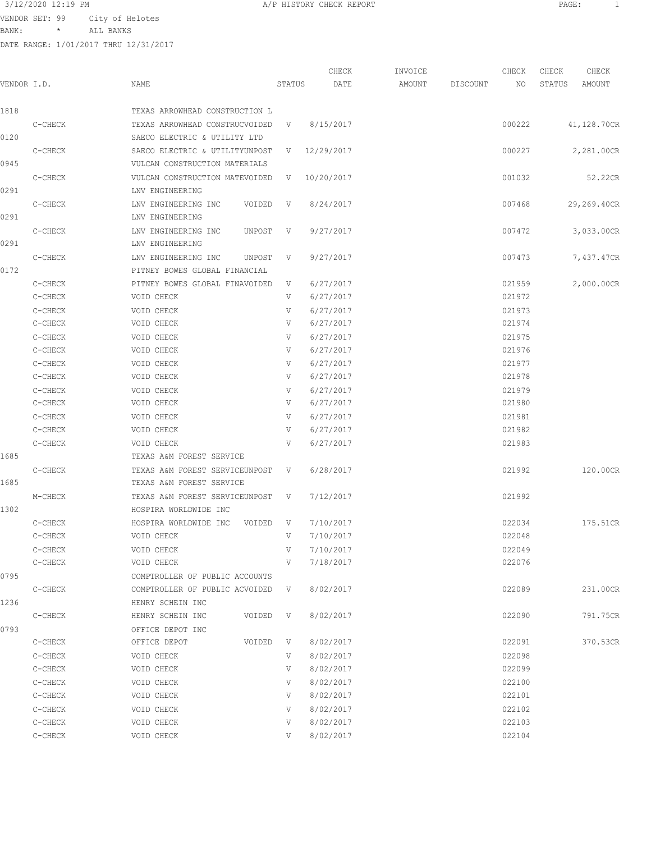VENDOR SET: 99 City of Helotes

BANK: \* ALL BANKS

| 3/12/2020 12:19 PM | CHECK REPORT<br>$H = \cap H \cap H$<br>---------- | PAGE: |
|--------------------|---------------------------------------------------|-------|
|                    |                                                   |       |

| VENDOR I.D. |         | NAME                                                            | STATUS       | CHECK<br>DATE | INVOICE<br>AMOUNT | DISCOUNT | CHECK<br>NO. | CHECK<br>STATUS | CHECK<br>AMOUNT |
|-------------|---------|-----------------------------------------------------------------|--------------|---------------|-------------------|----------|--------------|-----------------|-----------------|
|             |         |                                                                 |              |               |                   |          |              |                 |                 |
| 1818        |         | TEXAS ARROWHEAD CONSTRUCTION L                                  |              |               |                   |          |              |                 |                 |
| 0120        | C-CHECK | TEXAS ARROWHEAD CONSTRUCVOIDED<br>SAECO ELECTRIC & UTILITY LTD  | V            | 8/15/2017     |                   |          | 000222       |                 | 41,128.70CR     |
| 0945        | C-CHECK | SAECO ELECTRIC & UTILITYUNPOST<br>VULCAN CONSTRUCTION MATERIALS | V            | 12/29/2017    |                   |          | 000227       |                 | 2,281.00CR      |
| 0291        | C-CHECK | VULCAN CONSTRUCTION MATEVOIDED<br>LNV ENGINEERING               | V            | 10/20/2017    |                   |          | 001032       |                 | 52.22CR         |
| 0291        | C-CHECK | LNV ENGINEERING INC<br>VOIDED<br>LNV ENGINEERING                | $\mathbf{V}$ | 8/24/2017     |                   |          | 007468       |                 | 29,269.40CR     |
| 0291        | C-CHECK | LNV ENGINEERING INC<br>UNPOST<br>LNV ENGINEERING                | V.           | 9/27/2017     |                   |          | 007472       |                 | 3,033.00CR      |
| 0172        | C-CHECK | LNV ENGINEERING INC<br>UNPOST<br>PITNEY BOWES GLOBAL FINANCIAL  | V            | 9/27/2017     |                   |          | 007473       |                 | 7,437.47CR      |
|             | C-CHECK | PITNEY BOWES GLOBAL FINAVOIDED                                  | V            | 6/27/2017     |                   |          | 021959       |                 | 2,000.00CR      |
|             | C-CHECK | VOID CHECK                                                      | V            | 6/27/2017     |                   |          | 021972       |                 |                 |
|             | C-CHECK | VOID CHECK                                                      | V            | 6/27/2017     |                   |          | 021973       |                 |                 |
|             | C-CHECK | VOID CHECK                                                      | V            | 6/27/2017     |                   |          | 021974       |                 |                 |
|             | C-CHECK | VOID CHECK                                                      | V            | 6/27/2017     |                   |          | 021975       |                 |                 |
|             | C-CHECK | VOID CHECK                                                      | V            | 6/27/2017     |                   |          | 021976       |                 |                 |
|             | C-CHECK | VOID CHECK                                                      | V            | 6/27/2017     |                   |          | 021977       |                 |                 |
|             | C-CHECK | VOID CHECK                                                      | V            | 6/27/2017     |                   |          | 021978       |                 |                 |
|             | C-CHECK | VOID CHECK                                                      | V            | 6/27/2017     |                   |          | 021979       |                 |                 |
|             | C-CHECK | VOID CHECK                                                      | V            | 6/27/2017     |                   |          | 021980       |                 |                 |
|             | C-CHECK | VOID CHECK                                                      | V            | 6/27/2017     |                   |          | 021981       |                 |                 |
|             | C-CHECK | VOID CHECK                                                      | V            | 6/27/2017     |                   |          | 021982       |                 |                 |
|             | C-CHECK | VOID CHECK                                                      | V            | 6/27/2017     |                   |          | 021983       |                 |                 |
| 1685        |         | TEXAS A&M FOREST SERVICE                                        |              |               |                   |          |              |                 |                 |
| 1685        | C-CHECK | TEXAS A&M FOREST SERVICEUNPOST<br>TEXAS A&M FOREST SERVICE      | V            | 6/28/2017     |                   |          | 021992       |                 | 120.00CR        |
| 1302        | M-CHECK | TEXAS A&M FOREST SERVICEUNPOST<br>HOSPIRA WORLDWIDE INC         | V            | 7/12/2017     |                   |          | 021992       |                 |                 |
|             | C-CHECK | HOSPIRA WORLDWIDE INC<br>VOIDED                                 | V.           | 7/10/2017     |                   |          | 022034       |                 | 175.51CR        |
|             | C-CHECK | VOID CHECK                                                      | V            | 7/10/2017     |                   |          | 022048       |                 |                 |
|             | C-CHECK | VOID CHECK                                                      | V            | 7/10/2017     |                   |          | 022049       |                 |                 |
|             | C-CHECK | VOID CHECK                                                      | V            | 7/18/2017     |                   |          | 022076       |                 |                 |
| 0795        |         | COMPTROLLER OF PUBLIC ACCOUNTS                                  |              |               |                   |          |              |                 |                 |
|             | C-CHECK | COMPTROLLER OF PUBLIC ACVOIDED V                                |              | 8/02/2017     |                   |          | 022089       |                 | 231.00CR        |
| 1236        |         | HENRY SCHEIN INC                                                |              |               |                   |          |              |                 |                 |
|             | C-CHECK | HENRY SCHEIN INC<br>VOIDED V                                    |              | 8/02/2017     |                   |          | 022090       |                 | 791.75CR        |
| 0793        |         | OFFICE DEPOT INC                                                |              |               |                   |          |              |                 |                 |
|             | C-CHECK | OFFICE DEPOT<br>VOIDED V                                        |              | 8/02/2017     |                   |          | 022091       |                 | 370.53CR        |
|             | C-CHECK | VOID CHECK                                                      | V            | 8/02/2017     |                   |          | 022098       |                 |                 |
|             | C-CHECK | VOID CHECK                                                      | V            | 8/02/2017     |                   |          | 022099       |                 |                 |
|             | C-CHECK | VOID CHECK                                                      | V            | 8/02/2017     |                   |          | 022100       |                 |                 |
|             | C-CHECK | VOID CHECK                                                      | V            | 8/02/2017     |                   |          | 022101       |                 |                 |
|             | C-CHECK | VOID CHECK                                                      | V            | 8/02/2017     |                   |          | 022102       |                 |                 |
|             | C-CHECK | VOID CHECK                                                      | V            | 8/02/2017     |                   |          | 022103       |                 |                 |
|             | C-CHECK | VOID CHECK                                                      | V            | 8/02/2017     |                   |          | 022104       |                 |                 |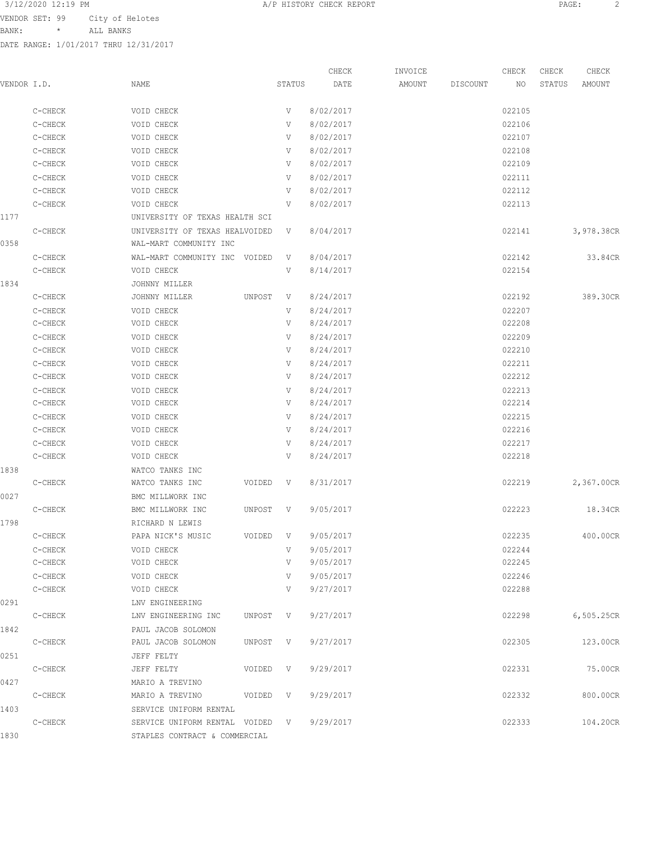BANK: \* ALL BANKS

|             |         |                                 |          |        | CHECK     | INVOICE |          | CHECK  | CHECK  | CHECK      |
|-------------|---------|---------------------------------|----------|--------|-----------|---------|----------|--------|--------|------------|
| VENDOR I.D. |         | NAME                            |          | STATUS | DATE      | AMOUNT  | DISCOUNT | NO     | STATUS | AMOUNT     |
|             | C-CHECK | VOID CHECK                      |          | V      | 8/02/2017 |         |          | 022105 |        |            |
|             | C-CHECK | VOID CHECK                      |          | V      | 8/02/2017 |         |          | 022106 |        |            |
|             | C-CHECK | VOID CHECK                      |          | V      | 8/02/2017 |         |          | 022107 |        |            |
|             | C-CHECK | VOID CHECK                      |          | V      | 8/02/2017 |         |          | 022108 |        |            |
|             | C-CHECK | VOID CHECK                      |          | V      | 8/02/2017 |         |          | 022109 |        |            |
|             | C-CHECK | VOID CHECK                      |          | V      | 8/02/2017 |         |          | 022111 |        |            |
|             | C-CHECK | VOID CHECK                      |          | V      | 8/02/2017 |         |          | 022112 |        |            |
|             | C-CHECK | VOID CHECK                      |          | V      | 8/02/2017 |         |          | 022113 |        |            |
| 1177        |         | UNIVERSITY OF TEXAS HEALTH SCI  |          |        |           |         |          |        |        |            |
|             | C-CHECK | UNIVERSITY OF TEXAS HEALVOIDED  |          | V      | 8/04/2017 |         |          | 022141 |        | 3,978.38CR |
| 0358        |         | WAL-MART COMMUNITY INC          |          |        |           |         |          |        |        |            |
|             | C-CHECK | WAL-MART COMMUNITY INC VOIDED   |          | V      | 8/04/2017 |         |          | 022142 |        | 33.84CR    |
|             | C-CHECK | VOID CHECK                      |          | V      | 8/14/2017 |         |          | 022154 |        |            |
| 1834        |         | JOHNNY MILLER                   |          |        |           |         |          |        |        |            |
|             | C-CHECK | JOHNNY MILLER                   | UNPOST   | V      | 8/24/2017 |         |          | 022192 |        | 389.30CR   |
|             | C-CHECK | VOID CHECK                      |          | V      | 8/24/2017 |         |          | 022207 |        |            |
|             | C-CHECK | VOID CHECK                      |          | V      | 8/24/2017 |         |          | 022208 |        |            |
|             | C-CHECK | VOID CHECK                      |          | V      | 8/24/2017 |         |          | 022209 |        |            |
|             | C-CHECK | VOID CHECK                      |          | V      | 8/24/2017 |         |          | 022210 |        |            |
|             | C-CHECK | VOID CHECK                      |          | V      | 8/24/2017 |         |          | 022211 |        |            |
|             | C-CHECK | VOID CHECK                      |          | V      | 8/24/2017 |         |          | 022212 |        |            |
|             | C-CHECK | VOID CHECK                      |          | V      | 8/24/2017 |         |          | 022213 |        |            |
|             | C-CHECK | VOID CHECK                      |          | V      | 8/24/2017 |         |          | 022214 |        |            |
|             | C-CHECK | VOID CHECK                      |          | V      | 8/24/2017 |         |          | 022215 |        |            |
|             | C-CHECK | VOID CHECK                      |          | V      | 8/24/2017 |         |          | 022216 |        |            |
|             | C-CHECK | VOID CHECK                      |          | V      | 8/24/2017 |         |          | 022217 |        |            |
|             | C-CHECK | VOID CHECK                      |          | V      | 8/24/2017 |         |          | 022218 |        |            |
| 1838        |         | WATCO TANKS INC                 |          |        |           |         |          |        |        |            |
|             | C-CHECK | WATCO TANKS INC                 | VOIDED   | V      | 8/31/2017 |         |          | 022219 |        | 2,367.00CR |
| 0027        |         | BMC MILLWORK INC                |          |        |           |         |          |        |        |            |
|             | C-CHECK | BMC MILLWORK INC                | UNPOST   | V      | 9/05/2017 |         |          | 022223 |        | 18.34CR    |
| 1798        |         | RICHARD N LEWIS                 |          |        |           |         |          |        |        |            |
|             | C-CHECK | PAPA NICK'S MUSIC               | VOIDED V |        | 9/05/2017 |         |          | 022235 |        | 400.00CR   |
|             | C-CHECK | VOID CHECK                      |          | V      | 9/05/2017 |         |          | 022244 |        |            |
|             | C-CHECK | VOID CHECK                      |          | V      | 9/05/2017 |         |          | 022245 |        |            |
|             | C-CHECK | VOID CHECK                      |          | V      | 9/05/2017 |         |          | 022246 |        |            |
|             | C-CHECK | VOID CHECK                      |          | V      | 9/27/2017 |         |          | 022288 |        |            |
| 0291        |         | LNV ENGINEERING                 |          |        |           |         |          |        |        |            |
|             | C-CHECK | LNV ENGINEERING INC             | UNPOST V |        | 9/27/2017 |         |          | 022298 |        | 6,505.25CR |
| 1842        |         | PAUL JACOB SOLOMON              |          |        |           |         |          |        |        |            |
|             | C-CHECK | PAUL JACOB SOLOMON              | UNPOST V |        | 9/27/2017 |         |          | 022305 |        | 123.00CR   |
| 0251        |         | JEFF FELTY                      |          |        |           |         |          |        |        |            |
|             | C-CHECK | JEFF FELTY                      | VOIDED V |        | 9/29/2017 |         |          | 022331 |        | 75.00CR    |
| 0427        |         | MARIO A TREVINO                 |          |        |           |         |          |        |        |            |
|             | C-CHECK | MARIO A TREVINO                 | VOIDED V |        | 9/29/2017 |         |          | 022332 |        | 800.00CR   |
| 1403        |         | SERVICE UNIFORM RENTAL          |          |        |           |         |          |        |        |            |
|             | C-CHECK | SERVICE UNIFORM RENTAL VOIDED V |          |        | 9/29/2017 |         |          | 022333 |        | 104.20CR   |
| 1830        |         | STAPLES CONTRACT & COMMERCIAL   |          |        |           |         |          |        |        |            |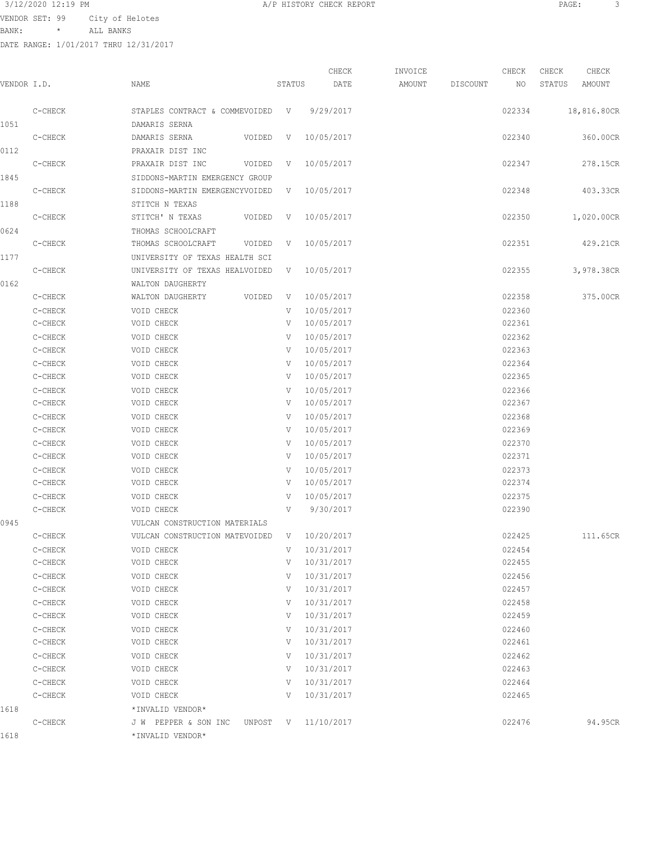## 3/12/2020 12:19 PM

| 3/12/2020 12:19 PM |         |                                       |                                |        | A/P HISTORY CHECK REPORT |         |          |        | PAGE:  | 3           |  |
|--------------------|---------|---------------------------------------|--------------------------------|--------|--------------------------|---------|----------|--------|--------|-------------|--|
| VENDOR SET: 99     |         | City of Helotes                       |                                |        |                          |         |          |        |        |             |  |
| BANK:              | $\star$ | ALL BANKS                             |                                |        |                          |         |          |        |        |             |  |
|                    |         | DATE RANGE: 1/01/2017 THRU 12/31/2017 |                                |        |                          |         |          |        |        |             |  |
|                    |         |                                       |                                |        |                          |         |          |        |        |             |  |
|                    |         |                                       |                                |        | CHECK                    | INVOICE |          | CHECK  | CHECK  | CHECK       |  |
| VENDOR I.D.        |         | NAME                                  |                                | STATUS | DATE                     | AMOUNT  | DISCOUNT | NO.    | STATUS | AMOUNT      |  |
|                    |         |                                       |                                |        |                          |         |          |        |        |             |  |
| C-CHECK            |         |                                       | STAPLES CONTRACT & COMMEVOIDED | V      | 9/29/2017                |         |          | 022334 |        | 18,816.80CR |  |
|                    |         |                                       |                                |        |                          |         |          |        |        |             |  |

|      | C-CHECK   | STAPLES CONTRACT & COMMEVOIDED V 9/29/2017 |              |              | 022334 | 18,816.80CR |
|------|-----------|--------------------------------------------|--------------|--------------|--------|-------------|
| 1051 |           | DAMARIS SERNA                              |              |              |        |             |
|      | C-CHECK   | DAMARIS SERNA<br>VOIDED                    | V            | 10/05/2017   | 022340 | 360.00CR    |
| 0112 |           | PRAXAIR DIST INC                           |              |              |        |             |
|      | C-CHECK   | PRAXAIR DIST INC<br>VOIDED                 | $\mathbf{V}$ | 10/05/2017   | 022347 | 278.15CR    |
| 1845 |           | SIDDONS-MARTIN EMERGENCY GROUP             |              |              |        |             |
|      | C-CHECK   | SIDDONS-MARTIN EMERGENCYVOIDED             |              | V 10/05/2017 | 022348 | 403.33CR    |
| 1188 |           | STITCH N TEXAS                             |              |              |        |             |
|      | C-CHECK   | STITCH' N TEXAS<br>VOIDED                  | $\mathbf{V}$ | 10/05/2017   | 022350 | 1,020.00CR  |
| 0624 |           | THOMAS SCHOOLCRAFT                         |              |              |        |             |
|      | C-CHECK   | THOMAS SCHOOLCRAFT<br>VOIDED               | V.           | 10/05/2017   | 022351 | 429.21CR    |
| 1177 |           | UNIVERSITY OF TEXAS HEALTH SCI             |              |              |        |             |
|      | C-CHECK   | UNIVERSITY OF TEXAS HEALVOIDED             | V            | 10/05/2017   | 022355 | 3,978.38CR  |
| 0162 |           | WALTON DAUGHERTY                           |              |              |        |             |
|      | C-CHECK   | WALTON DAUGHERTY<br>VOIDED                 | V            | 10/05/2017   | 022358 | 375.00CR    |
|      | C-CHECK   | VOID CHECK                                 | V            | 10/05/2017   | 022360 |             |
|      | C-CHECK   | VOID CHECK                                 | V            | 10/05/2017   | 022361 |             |
|      | C-CHECK   | VOID CHECK                                 | V            | 10/05/2017   | 022362 |             |
|      | C-CHECK   | VOID CHECK                                 | V            | 10/05/2017   | 022363 |             |
|      | C-CHECK   | VOID CHECK                                 | V            | 10/05/2017   | 022364 |             |
|      | C-CHECK   | VOID CHECK                                 | V            | 10/05/2017   | 022365 |             |
|      | C-CHECK   | VOID CHECK                                 | V            | 10/05/2017   | 022366 |             |
|      | C-CHECK   | VOID CHECK                                 | V            | 10/05/2017   | 022367 |             |
|      | C-CHECK   | VOID CHECK                                 | V            | 10/05/2017   | 022368 |             |
|      | C-CHECK   | VOID CHECK                                 | V            | 10/05/2017   | 022369 |             |
|      | C-CHECK   | VOID CHECK                                 | V            | 10/05/2017   | 022370 |             |
|      | C-CHECK   | VOID CHECK                                 | V            | 10/05/2017   | 022371 |             |
|      | C-CHECK   | VOID CHECK                                 | V            | 10/05/2017   | 022373 |             |
|      | C-CHECK   | VOID CHECK                                 | V            | 10/05/2017   | 022374 |             |
|      | C-CHECK   | VOID CHECK                                 | V            | 10/05/2017   | 022375 |             |
|      | C-CHECK   | VOID CHECK                                 | V            | 9/30/2017    | 022390 |             |
| 0945 |           | VULCAN CONSTRUCTION MATERIALS              |              |              |        |             |
|      | C-CHECK   | VULCAN CONSTRUCTION MATEVOIDED             | V –          | 10/20/2017   | 022425 | 111.65CR    |
|      | C-CHECK   | VOID CHECK                                 | V            | 10/31/2017   | 022454 |             |
|      | C-CHECK   | VOID CHECK                                 | V            | 10/31/2017   | 022455 |             |
|      | $C-CHECK$ | VOID CHECK                                 |              | V 10/31/2017 | 022456 |             |
|      | C-CHECK   | VOID CHECK                                 | V            | 10/31/2017   | 022457 |             |
|      | C-CHECK   | VOID CHECK                                 | V            | 10/31/2017   | 022458 |             |
|      | C-CHECK   | VOID CHECK                                 | V            | 10/31/2017   | 022459 |             |
|      | C-CHECK   | VOID CHECK                                 | V            | 10/31/2017   | 022460 |             |
|      | C-CHECK   | VOID CHECK                                 | V            | 10/31/2017   | 022461 |             |
|      | C-CHECK   | VOID CHECK                                 | V            | 10/31/2017   | 022462 |             |
|      | C-CHECK   | VOID CHECK                                 | V            | 10/31/2017   | 022463 |             |
|      | C-CHECK   | VOID CHECK                                 | V            | 10/31/2017   | 022464 |             |
|      | C-CHECK   | VOID CHECK                                 | V            | 10/31/2017   | 022465 |             |
| 1618 |           | *INVALID VENDOR*                           |              |              |        |             |
|      | C-CHECK   | J W PEPPER & SON INC UNPOST V 11/10/2017   |              |              | 022476 | 94.95CR     |
| 1618 |           | *INVALID VENDOR*                           |              |              |        |             |
|      |           |                                            |              |              |        |             |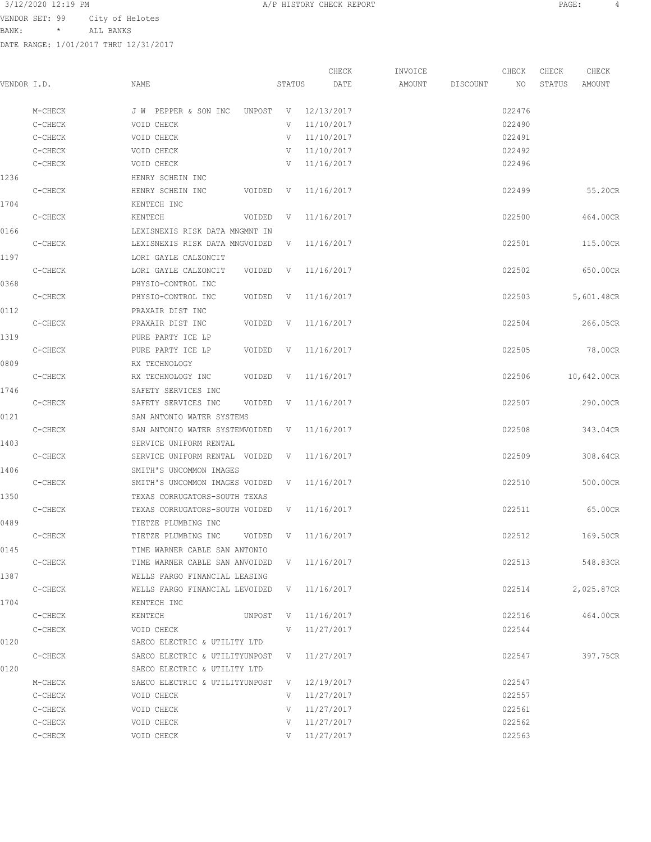BANK: \* ALL BANKS

|             |         |                                             |              | CHECK        | INVOICE |          | CHECK  | CHECK  | CHECK       |
|-------------|---------|---------------------------------------------|--------------|--------------|---------|----------|--------|--------|-------------|
| VENDOR I.D. |         | NAME                                        | STATUS       | DATE         | AMOUNT  | DISCOUNT | NO     | STATUS | AMOUNT      |
|             | M-CHECK | J W PEPPER & SON INC<br>UNPOST              | V            | 12/13/2017   |         |          | 022476 |        |             |
|             | C-CHECK | VOID CHECK                                  | V            | 11/10/2017   |         |          | 022490 |        |             |
|             | C-CHECK | VOID CHECK                                  | V            | 11/10/2017   |         |          | 022491 |        |             |
|             | C-CHECK | VOID CHECK                                  | V            | 11/10/2017   |         |          | 022492 |        |             |
|             | C-CHECK | VOID CHECK                                  | V            | 11/16/2017   |         |          | 022496 |        |             |
| 1236        |         | HENRY SCHEIN INC                            |              |              |         |          |        |        |             |
|             | C-CHECK | HENRY SCHEIN INC<br>VOIDED                  | V            | 11/16/2017   |         |          | 022499 |        | 55.20CR     |
| 1704        |         | KENTECH INC                                 |              |              |         |          |        |        |             |
|             | C-CHECK | KENTECH<br>VOIDED                           | V            | 11/16/2017   |         |          | 022500 |        | 464.00CR    |
| 0166        |         | LEXISNEXIS RISK DATA MNGMNT IN              |              |              |         |          |        |        |             |
|             | C-CHECK | LEXISNEXIS RISK DATA MNGVOIDED              | V            | 11/16/2017   |         |          | 022501 |        | 115.00CR    |
| 1197        |         | LORI GAYLE CALZONCIT                        |              |              |         |          |        |        |             |
|             | C-CHECK | LORI GAYLE CALZONCIT<br>VOIDED              | V            | 11/16/2017   |         |          | 022502 |        | 650.00CR    |
| 0368        |         | PHYSIO-CONTROL INC                          |              |              |         |          |        |        |             |
|             | C-CHECK | PHYSIO-CONTROL INC<br>VOIDED                | V            | 11/16/2017   |         |          | 022503 |        | 5,601.48CR  |
| 0112        |         | PRAXAIR DIST INC                            |              |              |         |          |        |        |             |
|             | C-CHECK | PRAXAIR DIST INC<br>VOIDED                  | V            | 11/16/2017   |         |          | 022504 |        | 266.05CR    |
| 1319        |         | PURE PARTY ICE LP                           |              |              |         |          |        |        |             |
|             | C-CHECK | PURE PARTY ICE LP<br>VOIDED                 | V            | 11/16/2017   |         |          | 022505 |        | 78.00CR     |
| 0809        |         | RX TECHNOLOGY                               |              |              |         |          |        |        |             |
|             | C-CHECK | RX TECHNOLOGY INC<br>VOIDED                 | $\mathbf{V}$ | 11/16/2017   |         |          | 022506 |        | 10,642.00CR |
| 1746        |         | SAFETY SERVICES INC                         |              |              |         |          |        |        |             |
|             | C-CHECK | SAFETY SERVICES INC<br>VOIDED               | V            | 11/16/2017   |         |          | 022507 |        | 290.00CR    |
| 0121        |         | SAN ANTONIO WATER SYSTEMS                   |              |              |         |          |        |        |             |
|             | C-CHECK | SAN ANTONIO WATER SYSTEMVOIDED              | V            | 11/16/2017   |         |          | 022508 |        | 343.04CR    |
| 1403        |         | SERVICE UNIFORM RENTAL                      |              |              |         |          |        |        |             |
|             | C-CHECK | SERVICE UNIFORM RENTAL VOIDED               | V            | 11/16/2017   |         |          | 022509 |        | 308.64CR    |
| 1406        |         | SMITH'S UNCOMMON IMAGES                     |              |              |         |          |        |        |             |
|             | C-CHECK | SMITH'S UNCOMMON IMAGES VOIDED              | V            | 11/16/2017   |         |          | 022510 |        | 500.00CR    |
| 1350        |         | TEXAS CORRUGATORS-SOUTH TEXAS               |              |              |         |          |        |        |             |
|             | C-CHECK | TEXAS CORRUGATORS-SOUTH VOIDED              | V            | 11/16/2017   |         |          | 022511 |        | 65.00CR     |
| 0489        |         | TIETZE PLUMBING INC                         |              |              |         |          |        |        |             |
|             | C-CHECK | TIETZE PLUMBING INC<br>VOIDED               | V            | 11/16/2017   |         |          | 022512 |        | 169.50CR    |
| 0145        |         | TIME WARNER CABLE SAN ANTONIO               |              |              |         |          |        |        |             |
|             | C-CHECK | TIME WARNER CABLE SAN ANVOIDED V 11/16/2017 |              |              |         |          | 022513 |        | 548.83CR    |
| 1387        |         | WELLS FARGO FINANCIAL LEASING               |              |              |         |          |        |        |             |
|             | C-CHECK | WELLS FARGO FINANCIAL LEVOIDED              | V            | 11/16/2017   |         |          | 022514 |        | 2,025.87CR  |
| 1704        |         | KENTECH INC                                 |              |              |         |          |        |        |             |
|             | C-CHECK | KENTECH<br>UNPOST                           |              | V 11/16/2017 |         |          | 022516 |        | 464.00CR    |
|             | C-CHECK | VOID CHECK                                  | V            | 11/27/2017   |         |          | 022544 |        |             |
| 0120        |         | SAECO ELECTRIC & UTILITY LTD                |              |              |         |          |        |        |             |
|             | C-CHECK | SAECO ELECTRIC & UTILITYUNPOST V            |              | 11/27/2017   |         |          | 022547 |        | 397.75CR    |
| 0120        |         | SAECO ELECTRIC & UTILITY LTD                |              |              |         |          |        |        |             |
|             | M-CHECK | SAECO ELECTRIC & UTILITYUNPOST              |              | V 12/19/2017 |         |          | 022547 |        |             |
|             | C-CHECK | VOID CHECK                                  |              | V 11/27/2017 |         |          | 022557 |        |             |
|             | C-CHECK | VOID CHECK                                  | V            | 11/27/2017   |         |          | 022561 |        |             |
|             | C-CHECK | VOID CHECK                                  | V            | 11/27/2017   |         |          | 022562 |        |             |
|             | C-CHECK | VOID CHECK                                  | V            | 11/27/2017   |         |          | 022563 |        |             |
|             |         |                                             |              |              |         |          |        |        |             |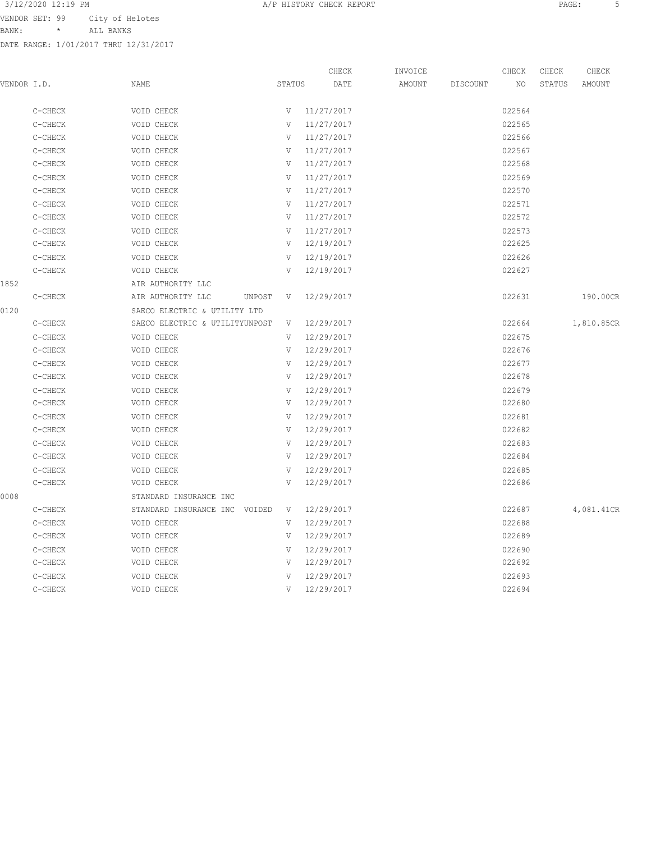BANK: \* ALL BANKS

|             |         |                                |        | CHECK      | INVOICE |          | CHECK  | CHECK  | CHECK      |
|-------------|---------|--------------------------------|--------|------------|---------|----------|--------|--------|------------|
| VENDOR I.D. |         | NAME                           | STATUS | DATE       | AMOUNT  | DISCOUNT | NO     | STATUS | AMOUNT     |
|             | C-CHECK | VOID CHECK                     | V      | 11/27/2017 |         |          | 022564 |        |            |
|             | C-CHECK | VOID CHECK                     | V      | 11/27/2017 |         |          | 022565 |        |            |
|             | C-CHECK | VOID CHECK                     | V      | 11/27/2017 |         |          | 022566 |        |            |
|             | C-CHECK | VOID CHECK                     | V      | 11/27/2017 |         |          | 022567 |        |            |
|             | C-CHECK | VOID CHECK                     | V      | 11/27/2017 |         |          | 022568 |        |            |
|             | C-CHECK | VOID CHECK                     | V      | 11/27/2017 |         |          | 022569 |        |            |
|             | C-CHECK | VOID CHECK                     | V      | 11/27/2017 |         |          | 022570 |        |            |
|             | C-CHECK | VOID CHECK                     | V      | 11/27/2017 |         |          | 022571 |        |            |
|             | C-CHECK | VOID CHECK                     | V      | 11/27/2017 |         |          | 022572 |        |            |
|             | C-CHECK | VOID CHECK                     | V      | 11/27/2017 |         |          | 022573 |        |            |
|             | C-CHECK | VOID CHECK                     | V      | 12/19/2017 |         |          | 022625 |        |            |
|             | C-CHECK | VOID CHECK                     | V      | 12/19/2017 |         |          | 022626 |        |            |
|             | C-CHECK | VOID CHECK                     | V      | 12/19/2017 |         |          | 022627 |        |            |
| 1852        |         | AIR AUTHORITY LLC              |        |            |         |          |        |        |            |
|             | C-CHECK | AIR AUTHORITY LLC<br>UNPOST    | V      | 12/29/2017 |         |          | 022631 |        | 190.00CR   |
| 0120        |         | SAECO ELECTRIC & UTILITY LTD   |        |            |         |          |        |        |            |
|             | C-CHECK | SAECO ELECTRIC & UTILITYUNPOST | V      | 12/29/2017 |         |          | 022664 |        | 1,810.85CR |
|             | C-CHECK | VOID CHECK                     | V      | 12/29/2017 |         |          | 022675 |        |            |
|             | C-CHECK | VOID CHECK                     | V      | 12/29/2017 |         |          | 022676 |        |            |
|             | C-CHECK | VOID CHECK                     | V      | 12/29/2017 |         |          | 022677 |        |            |
|             | C-CHECK | VOID CHECK                     | V      | 12/29/2017 |         |          | 022678 |        |            |
|             | C-CHECK | VOID CHECK                     | V      | 12/29/2017 |         |          | 022679 |        |            |
|             | C-CHECK | VOID CHECK                     | V      | 12/29/2017 |         |          | 022680 |        |            |
|             | C-CHECK | VOID CHECK                     | V      | 12/29/2017 |         |          | 022681 |        |            |
|             | C-CHECK | VOID CHECK                     | V      | 12/29/2017 |         |          | 022682 |        |            |
|             | C-CHECK | VOID CHECK                     | V      | 12/29/2017 |         |          | 022683 |        |            |
|             | C-CHECK | VOID CHECK                     | V      | 12/29/2017 |         |          | 022684 |        |            |
|             | C-CHECK | VOID CHECK                     | V      | 12/29/2017 |         |          | 022685 |        |            |
|             | C-CHECK | VOID CHECK                     | V      | 12/29/2017 |         |          | 022686 |        |            |
| 0008        |         | STANDARD INSURANCE INC         |        |            |         |          |        |        |            |
|             | C-CHECK | STANDARD INSURANCE INC VOIDED  | V      | 12/29/2017 |         |          | 022687 |        | 4,081.41CR |
|             | C-CHECK | VOID CHECK                     | V      | 12/29/2017 |         |          | 022688 |        |            |
|             | C-CHECK | VOID CHECK                     | V      | 12/29/2017 |         |          | 022689 |        |            |
|             | C-CHECK | VOID CHECK                     | V      | 12/29/2017 |         |          | 022690 |        |            |
|             | C-CHECK | VOID CHECK                     | V      | 12/29/2017 |         |          | 022692 |        |            |
|             | C-CHECK | VOID CHECK                     | V      | 12/29/2017 |         |          | 022693 |        |            |
|             | C-CHECK | VOID CHECK                     | V      | 12/29/2017 |         |          | 022694 |        |            |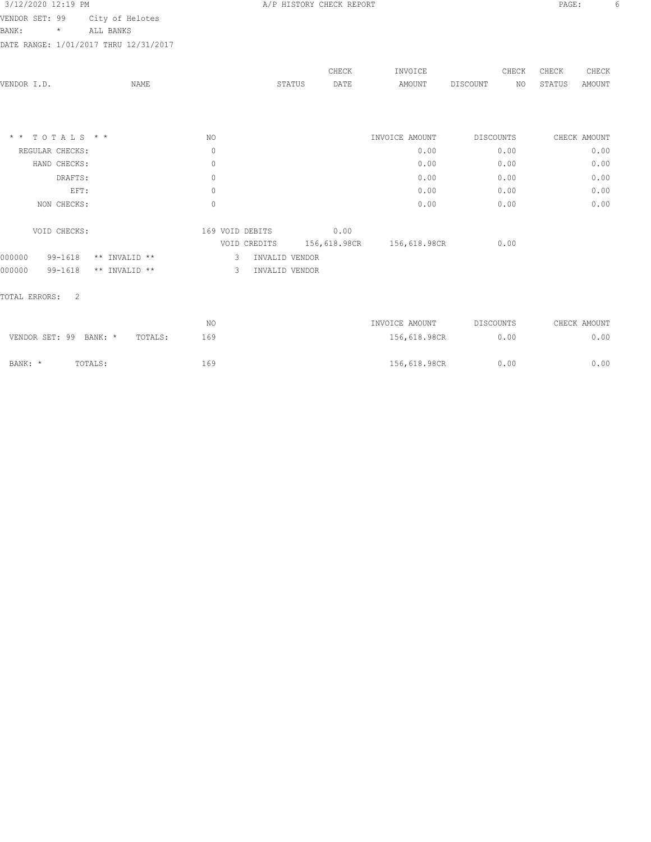## 3/12/2020 12:19 PM **A/P HISTORY CHECK REPORT PAGE:** 6

VENDOR SET: 99 City of Helotes

BANK: \* ALL BANKS

DATE RANGE: 1/01/2017 THRU 12/31/2017

|                 |                 |               |                 |                | CHECK        | INVOICE        | CHECK          | CHECK        | CHECK         |
|-----------------|-----------------|---------------|-----------------|----------------|--------------|----------------|----------------|--------------|---------------|
| VENDOR I.D.     |                 | NAME          |                 | STATUS         | DATE         | AMOUNT         | DISCOUNT<br>NO | STATUS       | <b>AMOUNT</b> |
|                 |                 |               |                 |                |              |                |                |              |               |
|                 |                 |               |                 |                |              |                |                |              |               |
| $\star$ $\star$ | TOTALS * *      |               | NO              |                |              | INVOICE AMOUNT | DISCOUNTS      | CHECK AMOUNT |               |
|                 | REGULAR CHECKS: |               | $\mathbb O$     |                |              | 0.00           | 0.00           |              | 0.00          |
|                 | HAND CHECKS:    |               | $\circ$         |                |              | 0.00           | 0.00           |              | 0.00          |
|                 | DRAFTS:         |               | $\circ$         |                |              | 0.00           | 0.00           |              | 0.00          |
|                 | EFT:            |               | $\mathbb O$     |                |              | 0.00           | 0.00           |              | 0.00          |
|                 | NON CHECKS:     |               | $\mathbb O$     |                |              | 0.00           | 0.00           |              | 0.00          |
|                 | VOID CHECKS:    |               | 169 VOID DEBITS |                | 0.00         |                |                |              |               |
|                 |                 |               |                 | VOID CREDITS   | 156,618.98CR | 156,618.98CR   | 0.00           |              |               |
| 000000          | $99 - 1618$     | ** INVALID ** | 3.              | INVALID VENDOR |              |                |                |              |               |
| 000000          | $99 - 1618$     | ** INVALID ** | 3               | INVALID VENDOR |              |                |                |              |               |
|                 |                 |               |                 |                |              |                |                |              |               |

## TOTAL ERRORS: 2

|                        |         |         | NΟ  | INVOICE AMOUNT | DISCOUNTS | CHECK AMOUNT |
|------------------------|---------|---------|-----|----------------|-----------|--------------|
| VENDOR SET: 99 BANK: * |         | TOTALS: | 169 | 156,618.98CR   | 0.00      | 0.00         |
| BANK: *                | TOTALS: |         | 169 | 156,618.98CR   | 0.00      | 0.00         |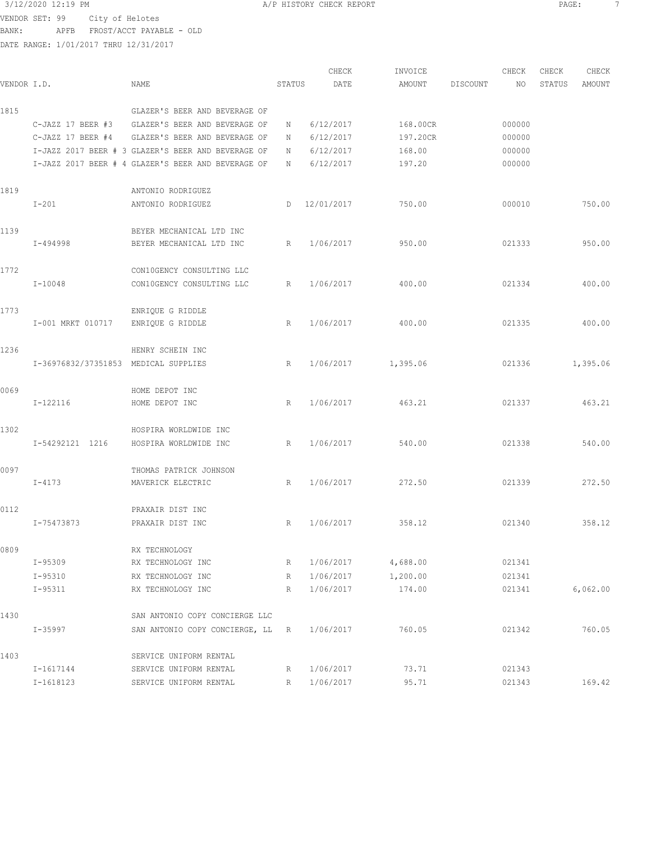VENDOR SET: 99 City of Helotes BANK: APFB FROST/ACCT PAYABLE - OLD

DATE RANGE: 1/01/2017 THRU 12/31/2017

CHECK INVOICE CHECK CHECK CHECK VENDOR I.D. NAME STATUS DATE AMOUNT DISCOUNT NO STATUS AMOUNT 1815 GLAZER'S BEER AND BEVERAGE OF C-JAZZ 17 BEER #3 GLAZER'S BEER AND BEVERAGE OF N 6/12/2017 168.00CR 000000 C-JAZZ 17 BEER #4 GLAZER'S BEER AND BEVERAGE OF N 6/12/2017 197.20CR 000000 I-JAZZ 2017 BEER # 3 GLAZER'S BEER AND BEVERAGE OF N 6/12/2017 168.00 000000 I-JAZZ 2017 BEER # 4 GLAZER'S BEER AND BEVERAGE OF N 6/12/2017 197.20 000000 1819 ANTONIO RODRIGUEZ I-201 ANTONIO RODRIGUEZ D 12/01/2017 750.00 000010 750.00 1139 BEYER MECHANICAL LTD INC I-494998 BEYER MECHANICAL LTD INC R 1/06/2017 950.00 021333 950.00 1772 CON10GENCY CONSULTING LLC I-10048 CON10GENCY CONSULTING LLC R 1/06/2017 400.00 021334 400.00 1773 ENRIQUE G RIDDLE I-001 MRKT 010717 ENRIQUE G RIDDLE R 1/06/2017 400.00 021335 400.00 1236 HENRY SCHEIN INC I-36976832/37351853 MEDICAL SUPPLIES R 1/06/2017 1,395.06 021336 1,395.06 0069 HOME DEPOT INC I-122116 HOME DEPOT INC R 1/06/2017 463.21 021337 463.21 1302 HOSPIRA WORLDWIDE INC I-54292121 1216 HOSPIRA WORLDWIDE INC R 1/06/2017 540.00 021338 540.00 0097 THOMAS PATRICK JOHNSON I-4173 MAVERICK ELECTRIC R 1/06/2017 272.50 021339 272.50 0112 PRAXAIR DIST INC I-75473873 PRAXAIR DIST INC R 1/06/2017 358.12 021340 358.12 0809 RX TECHNOLOGY I-95309 RX TECHNOLOGY INC R 1/06/2017 4,688.00 021341 I-95310 RX TECHNOLOGY INC R 1/06/2017 1,200.00 021341 I-95311 RX TECHNOLOGY INC R 1/06/2017 174.00 021341 6,062.00 1430 SAN ANTONIO COPY CONCIERGE LLC I-35997 SAN ANTONIO COPY CONCIERGE, LL R 1/06/2017 760.05 021342 760.05 1403 SERVICE UNIFORM RENTAL I-1617144 SERVICE UNIFORM RENTAL R 1/06/2017 73.71 021343 I-1618123 SERVICE UNIFORM RENTAL R 1/06/2017 95.71 021343 169.42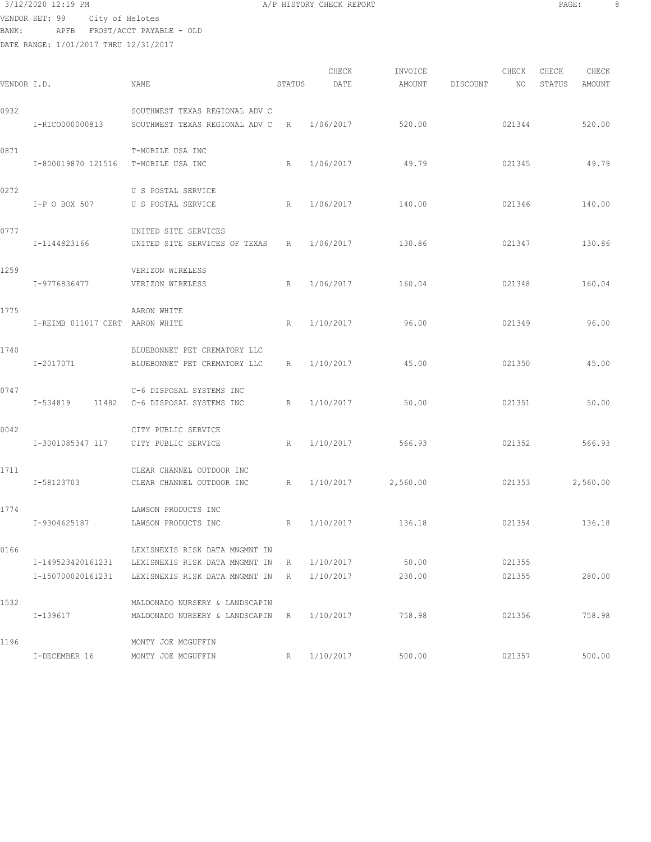$3/12/2020$  12:19 PM  $A/P$  HISTORY CHECK REPORT PAGE: 8 VENDOR SET: 99 City of Helotes BANK: APFB FROST/ACCT PAYABLE - OLD

| VENDOR I.D. |                                        | NAME                                                                                               | STATUS | CHECK<br>DATE          | INVOICE<br>AMOUNT  | DISCOUNT | CHECK<br>NO      | CHECK<br>STATUS | CHECK<br>AMOUNT |
|-------------|----------------------------------------|----------------------------------------------------------------------------------------------------|--------|------------------------|--------------------|----------|------------------|-----------------|-----------------|
| 0932        | I-RICO000000813                        | SOUTHWEST TEXAS REGIONAL ADV C<br>SOUTHWEST TEXAS REGIONAL ADV C R                                 |        | 1/06/2017              | 520.00             |          | 021344           |                 | 520.00          |
| 0871        | I-800019870 121516 T-MOBILE USA INC    | T-MOBILE USA INC                                                                                   | R      | 1/06/2017              | 49.79              |          | 021345           |                 | 49.79           |
| 0272        | I-P O BOX 507                          | U S POSTAL SERVICE<br>U S POSTAL SERVICE                                                           | R      | 1/06/2017              | 140.00             |          | 021346           |                 | 140.00          |
| 0777        | I-1144823166                           | UNITED SITE SERVICES<br>UNITED SITE SERVICES OF TEXAS                                              | R      | 1/06/2017              | 130.86             |          | 021347           |                 | 130.86          |
| 1259        | I-9776836477                           | VERIZON WIRELESS<br>VERIZON WIRELESS                                                               | R      | 1/06/2017              | 160.04             |          | 021348           |                 | 160.04          |
| 1775        | I-REIMB 011017 CERT AARON WHITE        | AARON WHITE                                                                                        | R      | 1/10/2017              | 96.00              |          | 021349           |                 | 96.00           |
| 1740        | I-2017071                              | BLUEBONNET PET CREMATORY LLC<br>BLUEBONNET PET CREMATORY LLC                                       | R      | 1/10/2017              | 45.00              |          | 021350           |                 | 45.00           |
| 0747        |                                        | C-6 DISPOSAL SYSTEMS INC<br>I-534819 11482 C-6 DISPOSAL SYSTEMS INC<br>R                           |        | 1/10/2017              | 50.00              |          | 021351           |                 | 50.00           |
| 0042        | I-3001085347 117                       | CITY PUBLIC SERVICE<br>CITY PUBLIC SERVICE                                                         | R      | 1/10/2017              | 566.93             |          | 021352           |                 | 566.93          |
| 1711        | I-58123703                             | CLEAR CHANNEL OUTDOOR INC<br>CLEAR CHANNEL OUTDOOR INC                                             | R      |                        | 1/10/2017 2,560.00 |          | 021353           |                 | 2,560.00        |
| 1774        | I-9304625187                           | LAWSON PRODUCTS INC<br>LAWSON PRODUCTS INC                                                         | R      | 1/10/2017              | 136.18             |          | 021354           |                 | 136.18          |
| 0166        | I-149523420161231<br>I-150700020161231 | LEXISNEXIS RISK DATA MNGMNT IN<br>LEXISNEXIS RISK DATA MNGMNT IN<br>LEXISNEXIS RISK DATA MNGMNT IN | R<br>R | 1/10/2017<br>1/10/2017 | 50.00<br>230.00    |          | 021355<br>021355 |                 | 280.00          |
| 1532        | I-139617                               | MALDONADO NURSERY & LANDSCAPIN<br>MALDONADO NURSERY & LANDSCAPIN R                                 |        | 1/10/2017              | 758.98             |          | 021356           |                 | 758.98          |
| 1196        | I-DECEMBER 16                          | MONTY JOE MCGUFFIN<br>MONTY JOE MCGUFFIN                                                           | R      | 1/10/2017              | 500.00             |          | 021357           |                 | 500.00          |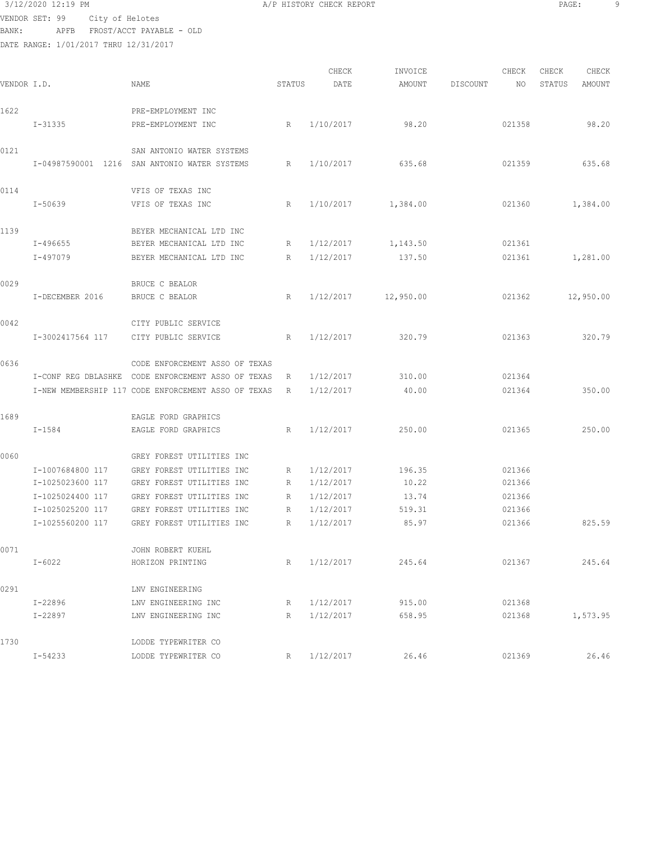# 3/12/2020 12:19 PM A/P HISTORY CHECK REPORT PAGE: 9

VENDOR SET: 99 City of Helotes BANK: APFB FROST/ACCT PAYABLE - OLD

|             |                     |                                                     |        | CHECK     | INVOICE   |          | CHECK  | CHECK  | CHECK     |
|-------------|---------------------|-----------------------------------------------------|--------|-----------|-----------|----------|--------|--------|-----------|
| VENDOR I.D. |                     | <b>NAME</b>                                         | STATUS | DATE      | AMOUNT    | DISCOUNT | NO     | STATUS | AMOUNT    |
|             |                     |                                                     |        |           |           |          |        |        |           |
| 1622        |                     | PRE-EMPLOYMENT INC                                  |        |           |           |          |        |        |           |
|             | I-31335             | PRE-EMPLOYMENT INC                                  | R      | 1/10/2017 | 98.20     |          | 021358 |        | 98.20     |
| 0121        |                     | SAN ANTONIO WATER SYSTEMS                           |        |           |           |          |        |        |           |
|             |                     | I-04987590001 1216 SAN ANTONIO WATER SYSTEMS        | R      | 1/10/2017 | 635.68    |          | 021359 |        | 635.68    |
| 0114        |                     | VFIS OF TEXAS INC                                   |        |           |           |          |        |        |           |
|             | $I - 50639$         | VFIS OF TEXAS INC                                   | R      | 1/10/2017 | 1,384.00  |          | 021360 |        | 1,384.00  |
| 1139        |                     | BEYER MECHANICAL LTD INC                            |        |           |           |          |        |        |           |
|             | I-496655            | BEYER MECHANICAL LTD INC                            | R      | 1/12/2017 | 1,143.50  |          | 021361 |        |           |
|             | I-497079            | BEYER MECHANICAL LTD INC                            | R      | 1/12/2017 | 137.50    |          | 021361 |        | 1,281.00  |
| 0029        |                     | BRUCE C BEALOR                                      |        |           |           |          |        |        |           |
|             | I-DECEMBER 2016     | BRUCE C BEALOR                                      | R      | 1/12/2017 | 12,950.00 |          | 021362 |        | 12,950.00 |
|             |                     |                                                     |        |           |           |          |        |        |           |
| 0042        |                     | CITY PUBLIC SERVICE                                 |        |           |           |          |        |        |           |
|             | I-3002417564 117    | CITY PUBLIC SERVICE                                 | R      | 1/12/2017 | 320.79    |          | 021363 |        | 320.79    |
| 0636        |                     | CODE ENFORCEMENT ASSO OF TEXAS                      |        |           |           |          |        |        |           |
|             | I-CONF REG DBLASHKE | CODE ENFORCEMENT ASSO OF TEXAS                      | R      | 1/12/2017 | 310.00    |          | 021364 |        |           |
|             |                     | I-NEW MEMBERSHIP 117 CODE ENFORCEMENT ASSO OF TEXAS | R      | 1/12/2017 | 40.00     |          | 021364 |        | 350.00    |
| 1689        |                     | EAGLE FORD GRAPHICS                                 |        |           |           |          |        |        |           |
|             | I-1584              | EAGLE FORD GRAPHICS                                 | R      | 1/12/2017 | 250.00    |          | 021365 |        | 250.00    |
|             |                     |                                                     |        |           |           |          |        |        |           |
| 0060        |                     | GREY FOREST UTILITIES INC                           |        |           |           |          |        |        |           |
|             | I-1007684800 117    | GREY FOREST UTILITIES INC                           | R      | 1/12/2017 | 196.35    |          | 021366 |        |           |
|             | I-1025023600 117    | GREY FOREST UTILITIES INC                           | R      | 1/12/2017 | 10.22     |          | 021366 |        |           |
|             | I-1025024400 117    | GREY FOREST UTILITIES INC                           | R      | 1/12/2017 | 13.74     |          | 021366 |        |           |
|             | I-1025025200 117    | GREY FOREST UTILITIES INC                           | R      | 1/12/2017 | 519.31    |          | 021366 |        |           |
|             | I-1025560200 117    | GREY FOREST UTILITIES INC                           | R      | 1/12/2017 | 85.97     |          | 021366 |        | 825.59    |
| 0071        |                     | JOHN ROBERT KUEHL                                   |        |           |           |          |        |        |           |
|             | $I - 6022$          | HORIZON PRINTING                                    | R      | 1/12/2017 | 245.64    |          | 021367 |        | 245.64    |
| 0291        |                     | LNV ENGINEERING                                     |        |           |           |          |        |        |           |
|             | $I - 22896$         | LNV ENGINEERING INC                                 | R      | 1/12/2017 | 915.00    |          | 021368 |        |           |
|             | I-22897             | LNV ENGINEERING INC                                 | R      | 1/12/2017 | 658.95    |          | 021368 |        | 1,573.95  |
|             |                     |                                                     |        |           |           |          |        |        |           |
| 1730        |                     | LODDE TYPEWRITER CO                                 |        |           |           |          |        |        |           |
|             | $I - 54233$         | LODDE TYPEWRITER CO                                 | R      | 1/12/2017 | 26.46     |          | 021369 |        | 26.46     |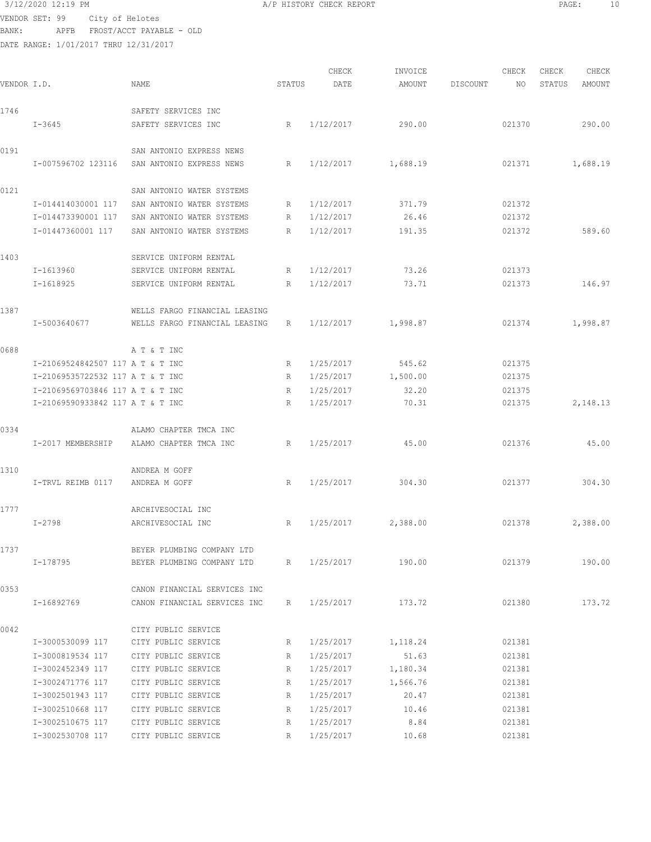VENDOR SET: 99 City of Helotes BANK: APFB FROST/ACCT PAYABLE - OLD

DATE RANGE: 1/01/2017 THRU 12/31/2017

| 3/12/2020 12:19 PM | A/P HISTORY CHECK REPORT | PAGE. |  |
|--------------------|--------------------------|-------|--|
|                    |                          |       |  |

CHECK INVOICE CHECK CHECK CHECK<br>DATE AMOUNT DISCOUNT NO STATUS AMOUNT VENDOR I.D. NAME STATUS DATE AMOUNT DISCOUNT NO STATUS AMOUNT 1746 SAFETY SERVICES INC I-3645 SAFETY SERVICES INC R 1/12/2017 290.00 021370 290.00 0191 SAN ANTONIO EXPRESS NEWS I-007596702 123116 SAN ANTONIO EXPRESS NEWS R 1/12/2017 1,688.19 021371 1,688.19 0121 SAN ANTONIO WATER SYSTEMS I-014414030001 117 SAN ANTONIO WATER SYSTEMS R 1/12/2017 371.79 021372 I-014473390001 117 SAN ANTONIO WATER SYSTEMS R 1/12/2017 26.46 021372 I-01447360001 117 SAN ANTONIO WATER SYSTEMS R 1/12/2017 191.35 021372 589.60 1403 SERVICE UNIFORM RENTAL I-1613960 SERVICE UNIFORM RENTAL R 1/12/2017 73.26 021373 I-1618925 SERVICE UNIFORM RENTAL R 1/12/2017 73.71 021373 146.97 1387 WELLS FARGO FINANCIAL LEASING I-5003640677 WELLS FARGO FINANCIAL LEASING R 1/12/2017 1,998.87 021374 1,998.87 0688 A T & T INC I-21069524842507 117 A T & T INC R 1/25/2017 545.62 021375 I-21069535722532 117 A T & T INC R 1/25/2017 1,500.00 021375 I-21069569703846 117 A T & T INC R 1/25/2017 32.20 021375 I-21069590933842 117 A T & T INC R 1/25/2017 70.31 021375 2,148.13 0334 ALAMO CHAPTER TMCA INC I-2017 MEMBERSHIP ALAMO CHAPTER TMCA INC R 1/25/2017 45.00 021376 45.00 1310 ANDREA M GOFF I-TRVL REIMB 0117 ANDREA M GOFF R 1/25/2017 304.30 021377 304.30 1777 ARCHIVESOCIAL INC I-2798 ARCHIVESOCIAL INC R 1/25/2017 2,388.00 021378 2,388.00 1737 BEYER PLUMBING COMPANY LTD I-178795 BEYER PLUMBING COMPANY LTD R 1/25/2017 190.00 021379 190.00 0353 CANON FINANCIAL SERVICES INC I-16892769 CANON FINANCIAL SERVICES INC R 1/25/2017 173.72 021380 173.72 0042 CITY PUBLIC SERVICE I-3000530099 117 CITY PUBLIC SERVICE R 1/25/2017 1,118.24 021381 I-3000819534 117 CITY PUBLIC SERVICE R 1/25/2017 51.63 021381 I-3002452349 117 CITY PUBLIC SERVICE R 1/25/2017 1,180.34 021381 I-3002471776 117 CITY PUBLIC SERVICE R 1/25/2017 1,566.76 021381 I-3002501943 117 CITY PUBLIC SERVICE R 1/25/2017 20.47 021381 I-3002510668 117 CITY PUBLIC SERVICE R 1/25/2017 10.46 021381 I-3002510675 117 CITY PUBLIC SERVICE R 1/25/2017 8.84 021381 I-3002530708 117 CITY PUBLIC SERVICE R 1/25/2017 10.68 021381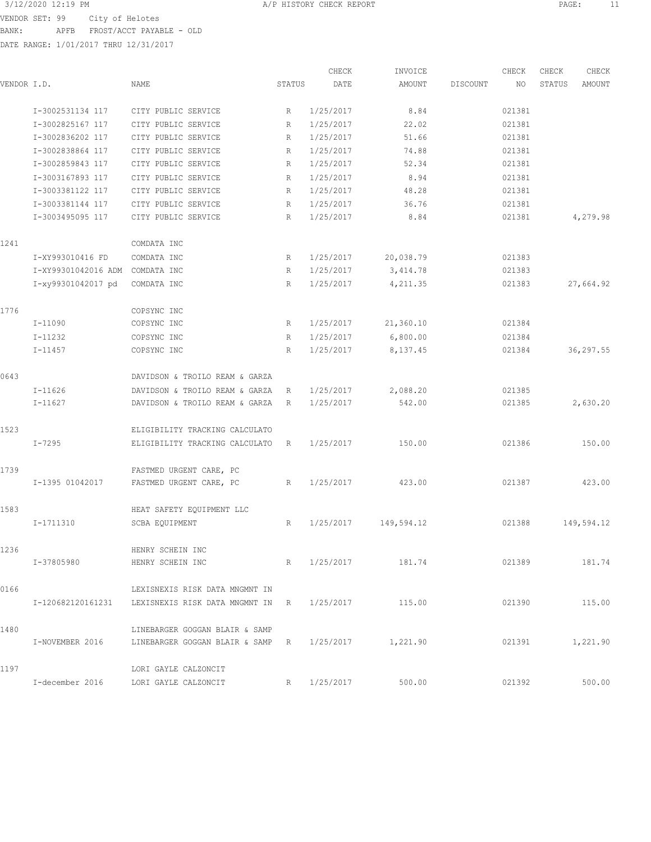3/12/2020 12:19 PM A/P HISTORY CHECK REPORT PAGE: 11 VENDOR SET: 99 City of Helotes BANK: APFB FROST/ACCT PAYABLE - OLD

| VENDOR I.D. |                     | NAME                                               | STATUS       | CHECK<br>DATE | INVOICE<br>AMOUNT  | DISCOUNT | CHECK<br>NO | CHECK<br>STATUS | CHECK<br>AMOUNT |
|-------------|---------------------|----------------------------------------------------|--------------|---------------|--------------------|----------|-------------|-----------------|-----------------|
|             |                     |                                                    |              |               |                    |          |             |                 |                 |
|             | I-3002531134 117    | CITY PUBLIC SERVICE                                | R            | 1/25/2017     | 8.84               |          | 021381      |                 |                 |
|             | I-3002825167 117    | CITY PUBLIC SERVICE                                | $\mathbb{R}$ | 1/25/2017     | 22.02              |          | 021381      |                 |                 |
|             | I-3002836202 117    | CITY PUBLIC SERVICE                                | R            | 1/25/2017     | 51.66              |          | 021381      |                 |                 |
|             | I-3002838864 117    | CITY PUBLIC SERVICE                                | R            | 1/25/2017     | 74.88              |          | 021381      |                 |                 |
|             | I-3002859843 117    | CITY PUBLIC SERVICE                                | R            | 1/25/2017     | 52.34              |          | 021381      |                 |                 |
|             | I-3003167893 117    | CITY PUBLIC SERVICE                                | R            | 1/25/2017     | 8.94               |          | 021381      |                 |                 |
|             | I-3003381122 117    | CITY PUBLIC SERVICE                                | R            | 1/25/2017     | 48.28              |          | 021381      |                 |                 |
|             | I-3003381144 117    | CITY PUBLIC SERVICE                                | R            | 1/25/2017     | 36.76              |          | 021381      |                 |                 |
|             | I-3003495095 117    | CITY PUBLIC SERVICE                                | R            | 1/25/2017     | 8.84               |          | 021381      |                 | 4,279.98        |
| 1241        |                     | COMDATA INC                                        |              |               |                    |          |             |                 |                 |
|             | I-XY993010416 FD    | COMDATA INC                                        | R            | 1/25/2017     | 20,038.79          |          | 021383      |                 |                 |
|             | I-XY99301042016 ADM | COMDATA INC                                        | R            | 1/25/2017     | 3,414.78           |          | 021383      |                 |                 |
|             | I-xy99301042017 pd  | COMDATA INC                                        | R            | 1/25/2017     | 4,211.35           |          | 021383      |                 | 27,664.92       |
| 1776        |                     | COPSYNC INC                                        |              |               |                    |          |             |                 |                 |
|             | $I-11090$           | COPSYNC INC                                        | R            | 1/25/2017     | 21,360.10          |          | 021384      |                 |                 |
|             | $I-11232$           | COPSYNC INC                                        | R            | 1/25/2017     | 6,800.00           |          | 021384      |                 |                 |
|             | $I - 11457$         | COPSYNC INC                                        | R            | 1/25/2017     | 8,137.45           |          | 021384      |                 | 36,297.55       |
| 0643        |                     | DAVIDSON & TROILO REAM & GARZA                     |              |               |                    |          |             |                 |                 |
|             | $I-11626$           | DAVIDSON & TROILO REAM & GARZA                     | R            | 1/25/2017     | 2,088.20           |          | 021385      |                 |                 |
|             | $I-11627$           | DAVIDSON & TROILO REAM & GARZA                     | R            | 1/25/2017     | 542.00             |          | 021385      |                 | 2,630.20        |
| 1523        |                     | ELIGIBILITY TRACKING CALCULATO                     |              |               |                    |          |             |                 |                 |
|             | $I - 7295$          | ELIGIBILITY TRACKING CALCULATO                     | R            | 1/25/2017     | 150.00             |          | 021386      |                 | 150.00          |
| 1739        |                     | FASTMED URGENT CARE, PC                            |              |               |                    |          |             |                 |                 |
|             | I-1395 01042017     | FASTMED URGENT CARE, PC                            | R            | 1/25/2017     | 423.00             |          | 021387      |                 | 423.00          |
| 1583        |                     | HEAT SAFETY EQUIPMENT LLC                          |              |               |                    |          |             |                 |                 |
|             | I-1711310           | SCBA EQUIPMENT                                     | R            | 1/25/2017     | 149,594.12         |          | 021388      |                 | 149,594.12      |
| 1236        |                     | HENRY SCHEIN INC                                   |              |               |                    |          |             |                 |                 |
|             | I-37805980          | HENRY SCHEIN INC                                   | R            |               | 1/25/2017 181.74   |          | 021389      |                 | 181.74          |
| 0166        |                     | LEXISNEXIS RISK DATA MNGMNT IN                     |              |               |                    |          |             |                 |                 |
|             |                     | I-120682120161231 LEXISNEXIS RISK DATA MNGMNT IN R |              | 1/25/2017     | 115.00             |          | 021390      |                 | 115.00          |
| 1480        |                     | LINEBARGER GOGGAN BLAIR & SAMP                     |              |               |                    |          |             |                 |                 |
|             | I-NOVEMBER 2016     | LINEBARGER GOGGAN BLAIR & SAMP R                   |              |               | 1/25/2017 1,221.90 |          | 021391      |                 | 1,221.90        |
| 1197        |                     | LORI GAYLE CALZONCIT                               |              |               |                    |          |             |                 |                 |
|             | I-december 2016     | LORI GAYLE CALZONCIT                               | R            | 1/25/2017     | 500.00             |          | 021392      |                 | 500.00          |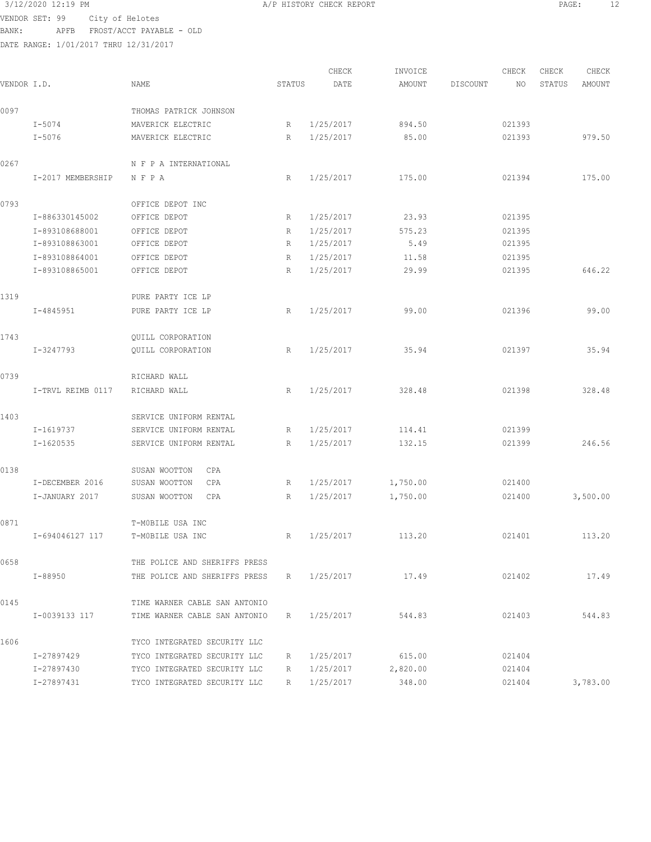# VENDOR SET: 99 City of

|                | 3/12/2020 12:19 PM |                                       | A/P HISTORY CHECK REPORT |        |       |         |          |       | PAGE:  | 12 <sup>°</sup> |  |
|----------------|--------------------|---------------------------------------|--------------------------|--------|-------|---------|----------|-------|--------|-----------------|--|
| VENDOR SET: 99 |                    | City of Helotes                       |                          |        |       |         |          |       |        |                 |  |
| BANK :         | APFB               | FROST/ACCT PAYABLE - OLD              |                          |        |       |         |          |       |        |                 |  |
|                |                    | DATE RANGE: 1/01/2017 THRU 12/31/2017 |                          |        |       |         |          |       |        |                 |  |
|                |                    |                                       |                          |        |       |         |          |       |        |                 |  |
|                |                    |                                       |                          |        | CHECK | INVOICE |          | CHECK | CHECK  | CHECK           |  |
| VENDOR I.D.    |                    | NAME                                  |                          | STATUS | DATE  | AMOUNT  | DISCOUNT | NO.   | STATUS | AMOUNT          |  |
|                |                    |                                       |                          |        |       |         |          |       |        |                 |  |
| 0097           |                    | THOMAS PATRICK JOHNSON                |                          |        |       |         |          |       |        |                 |  |

|      | $I - 5074$        | MAVERICK ELECTRIC             | R | 1/25/2017 | 894.50   | 021393 |          |
|------|-------------------|-------------------------------|---|-----------|----------|--------|----------|
|      | $I - 5076$        | MAVERICK ELECTRIC             | R | 1/25/2017 | 85.00    | 021393 | 979.50   |
| 0267 |                   | N F P A INTERNATIONAL         |   |           |          |        |          |
|      | I-2017 MEMBERSHIP | NFPA                          | R | 1/25/2017 | 175.00   | 021394 | 175.00   |
| 0793 |                   | OFFICE DEPOT INC              |   |           |          |        |          |
|      | I-886330145002    | OFFICE DEPOT                  | R | 1/25/2017 | 23.93    | 021395 |          |
|      | I-893108688001    | OFFICE DEPOT                  | R | 1/25/2017 | 575.23   | 021395 |          |
|      | I-893108863001    | OFFICE DEPOT                  | R | 1/25/2017 | 5.49     | 021395 |          |
|      | I-893108864001    | OFFICE DEPOT                  | R | 1/25/2017 | 11.58    | 021395 |          |
|      | I-893108865001    | OFFICE DEPOT                  | R | 1/25/2017 | 29.99    | 021395 | 646.22   |
| 1319 |                   | PURE PARTY ICE LP             |   |           |          |        |          |
|      | I-4845951         | PURE PARTY ICE LP             | R | 1/25/2017 | 99.00    | 021396 | 99.00    |
| 1743 |                   | <b>OUILL CORPORATION</b>      |   |           |          |        |          |
|      | I-3247793         | QUILL CORPORATION             | R | 1/25/2017 | 35.94    | 021397 | 35.94    |
| 0739 |                   | RICHARD WALL                  |   |           |          |        |          |
|      | I-TRVL REIMB 0117 | RICHARD WALL                  | R | 1/25/2017 | 328.48   | 021398 | 328.48   |
| 1403 |                   | SERVICE UNIFORM RENTAL        |   |           |          |        |          |
|      | I-1619737         | SERVICE UNIFORM RENTAL        | R | 1/25/2017 | 114.41   | 021399 |          |
|      | I-1620535         | SERVICE UNIFORM RENTAL        | R | 1/25/2017 | 132.15   | 021399 | 246.56   |
| 0138 |                   | SUSAN WOOTTON<br>CPA          |   |           |          |        |          |
|      | I-DECEMBER 2016   | SUSAN WOOTTON<br>CPA          | R | 1/25/2017 | 1,750.00 | 021400 |          |
|      | I-JANUARY 2017    | SUSAN WOOTTON<br>CPA          | R | 1/25/2017 | 1,750.00 | 021400 | 3,500.00 |
| 0871 |                   | T-MOBILE USA INC              |   |           |          |        |          |
|      | I-694046127 117   | T-MOBILE USA INC              | R | 1/25/2017 | 113.20   | 021401 | 113.20   |
| 0658 |                   | THE POLICE AND SHERIFFS PRESS |   |           |          |        |          |
|      | I-88950           | THE POLICE AND SHERIFFS PRESS | R | 1/25/2017 | 17.49    | 021402 | 17.49    |
| 0145 |                   | TIME WARNER CABLE SAN ANTONIO |   |           |          |        |          |
|      | I-0039133 117     | TIME WARNER CABLE SAN ANTONIO | R | 1/25/2017 | 544.83   | 021403 | 544.83   |
| 1606 |                   | TYCO INTEGRATED SECURITY LLC  |   |           |          |        |          |
|      | I-27897429        | TYCO INTEGRATED SECURITY LLC  | R | 1/25/2017 | 615.00   | 021404 |          |
|      | I-27897430        | TYCO INTEGRATED SECURITY LLC  | R | 1/25/2017 | 2,820.00 | 021404 |          |
|      | I-27897431        | TYCO INTEGRATED SECURITY LLC  | R | 1/25/2017 | 348.00   | 021404 | 3,783.00 |
|      |                   |                               |   |           |          |        |          |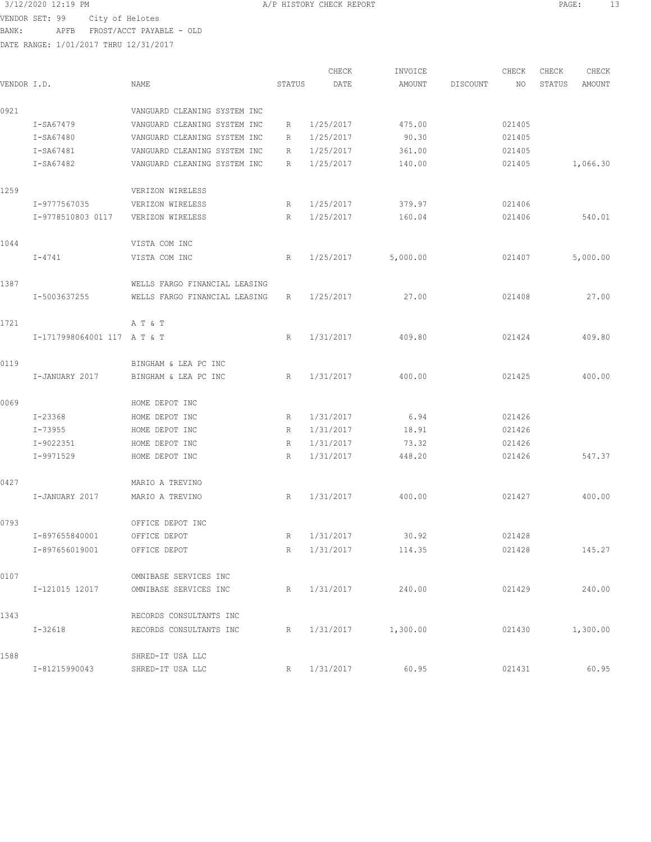VENDOR SET: 99 City of Helotes

BANK: APFB FROST/ACCT PAYABLE - OLD

DATE RANGE: 1/01/2017 THRU 12/31/2017

CHECK INVOICE CHECK CHECK CHECK VENDOR I.D. NAME STATUS DATE AMOUNT DISCOUNT NO STATUS AMOUNT 0921 VANGUARD CLEANING SYSTEM INC I-SA67479 VANGUARD CLEANING SYSTEM INC R 1/25/2017 475.00 021405 I-SA67480 VANGUARD CLEANING SYSTEM INC R 1/25/2017 90.30 021405 I-SA67481 VANGUARD CLEANING SYSTEM INC R 1/25/2017 361.00 021405 I-SA67482 VANGUARD CLEANING SYSTEM INC R 1/25/2017 140.00 021405 1,066.30 1259 VERIZON WIRELESS I-9777567035 VERIZON WIRELESS R 1/25/2017 379.97 021406 I-9778510803 0117 VERIZON WIRELESS R 1/25/2017 160.04 021406 540.01 1044 VISTA COM INC I-4741 VISTA COM INC R 1/25/2017 5,000.00 021407 5,000.00 1387 WELLS FARGO FINANCIAL LEASING I-5003637255 WELLS FARGO FINANCIAL LEASING R 1/25/2017 27.00 021408 27.00 1721 A T & T I-1717998064001 117 A T & T R 1/31/2017 409.80 021424 409.80 0119 BINGHAM & LEA PC INC I-JANUARY 2017 BINGHAM & LEA PC INC R 1/31/2017 400.00 021425 400.00 0069 HOME DEPOT INC I-23368 HOME DEPOT INC R 1/31/2017 6.94 021426 I-73955 HOME DEPOT INC R 1/31/2017 18.91 021426 I-9022351 HOME DEPOT INC R 1/31/2017 73.32 021426 I-9971529 HOME DEPOT INC R 1/31/2017 448.20 021426 547.37 0427 MARIO A TREVINO I-JANUARY 2017 MARIO A TREVINO R 1/31/2017 400.00 021427 400.00 0793 OFFICE DEPOT INC I-897655840001 OFFICE DEPOT R 1/31/2017 30.92 021428 I-897656019001 OFFICE DEPOT R 1/31/2017 114.35 021428 145.27 0107 OMNIBASE SERVICES INC I-121015 12017 OMNIBASE SERVICES INC R 1/31/2017 240.00 021429 240.00 1343 RECORDS CONSULTANTS INC I-32618 RECORDS CONSULTANTS INC R 1/31/2017 1,300.00 021430 1,300.00 1588 SHRED-IT USA LLC I-81215990043 SHRED-IT USA LLC R 1/31/2017 60.95 021431 60.95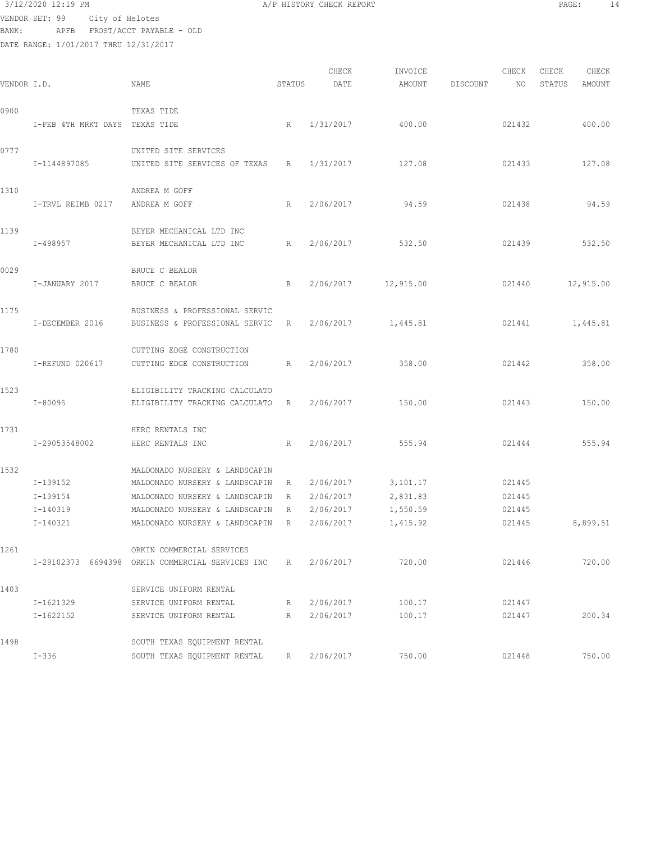```
 3/12/2020 12:19 PM A/P HISTORY CHECK REPORT PAGE: 14
VENDOR SET: 99 City of Helotes
```
BANK: APFB FROST/ACCT PAYABLE - OLD

|             |                                |                                                  |        | CHECK     | INVOICE            |          | CHECK  | CHECK  | CHECK     |
|-------------|--------------------------------|--------------------------------------------------|--------|-----------|--------------------|----------|--------|--------|-----------|
| VENDOR I.D. |                                | NAME                                             | STATUS | DATE      | AMOUNT             | DISCOUNT | NO     | STATUS | AMOUNT    |
| 0900        |                                | TEXAS TIDE                                       |        |           |                    |          |        |        |           |
|             | I-FEB 4TH MRKT DAYS TEXAS TIDE |                                                  | R      | 1/31/2017 | 400.00             |          | 021432 |        | 400.00    |
| 0777        |                                | UNITED SITE SERVICES                             |        |           |                    |          |        |        |           |
|             | I-1144897085                   | UNITED SITE SERVICES OF TEXAS                    | R      | 1/31/2017 | 127.08             |          | 021433 |        | 127.08    |
| 1310        |                                | ANDREA M GOFF                                    |        |           |                    |          |        |        |           |
|             | I-TRVL REIMB 0217              | ANDREA M GOFF                                    | R      | 2/06/2017 | 94.59              |          | 021438 |        | 94.59     |
| 1139        |                                | BEYER MECHANICAL LTD INC                         |        |           |                    |          |        |        |           |
|             | I-498957                       | BEYER MECHANICAL LTD INC                         | R      | 2/06/2017 | 532.50             |          | 021439 |        | 532.50    |
| 0029        |                                | BRUCE C BEALOR                                   |        |           |                    |          |        |        |           |
|             | I-JANUARY 2017                 | BRUCE C BEALOR                                   | R      | 2/06/2017 | 12,915.00          |          | 021440 |        | 12,915.00 |
| 1175        |                                | BUSINESS & PROFESSIONAL SERVIC                   |        |           |                    |          |        |        |           |
|             | I-DECEMBER 2016                | BUSINESS & PROFESSIONAL SERVIC                   | R      |           | 2/06/2017 1,445.81 |          | 021441 |        | 1,445.81  |
| 1780        |                                | CUTTING EDGE CONSTRUCTION                        |        |           |                    |          |        |        |           |
|             | I-REFUND 020617                | CUTTING EDGE CONSTRUCTION                        | R      | 2/06/2017 | 358.00             |          | 021442 |        | 358.00    |
| 1523        |                                | ELIGIBILITY TRACKING CALCULATO                   |        |           |                    |          |        |        |           |
|             | I-80095                        | ELIGIBILITY TRACKING CALCULATO R                 |        | 2/06/2017 | 150.00             |          | 021443 |        | 150.00    |
| 1731        |                                | HERC RENTALS INC                                 |        |           |                    |          |        |        |           |
|             | I-29053548002                  | HERC RENTALS INC                                 | R      | 2/06/2017 | 555.94             |          | 021444 |        | 555.94    |
| 1532        |                                | MALDONADO NURSERY & LANDSCAPIN                   |        |           |                    |          |        |        |           |
|             | I-139152                       | MALDONADO NURSERY & LANDSCAPIN                   | R      | 2/06/2017 | 3,101.17           |          | 021445 |        |           |
|             | I-139154                       | MALDONADO NURSERY & LANDSCAPIN                   | R      | 2/06/2017 | 2,831.83           |          | 021445 |        |           |
|             | I-140319                       | MALDONADO NURSERY & LANDSCAPIN                   | R      | 2/06/2017 | 1,550.59           |          | 021445 |        |           |
|             | I-140321                       | MALDONADO NURSERY & LANDSCAPIN                   | R      | 2/06/2017 | 1,415.92           |          | 021445 |        | 8,899.51  |
| 1261        |                                | ORKIN COMMERCIAL SERVICES                        |        |           |                    |          |        |        |           |
|             |                                | I-29102373 6694398 ORKIN COMMERCIAL SERVICES INC | R      | 2/06/2017 | 720.00             |          | 021446 |        | 720.00    |
| 1403        |                                | SERVICE UNIFORM RENTAL                           |        |           |                    |          |        |        |           |
|             | I-1621329                      | SERVICE UNIFORM RENTAL                           | R      | 2/06/2017 | 100.17             |          | 021447 |        |           |
|             | I-1622152                      | SERVICE UNIFORM RENTAL                           | R      | 2/06/2017 | 100.17             |          | 021447 |        | 200.34    |
| 1498        |                                | SOUTH TEXAS EQUIPMENT RENTAL                     |        |           |                    |          |        |        |           |
|             | $I - 336$                      | SOUTH TEXAS EQUIPMENT RENTAL                     | R      | 2/06/2017 | 750.00             |          | 021448 |        | 750.00    |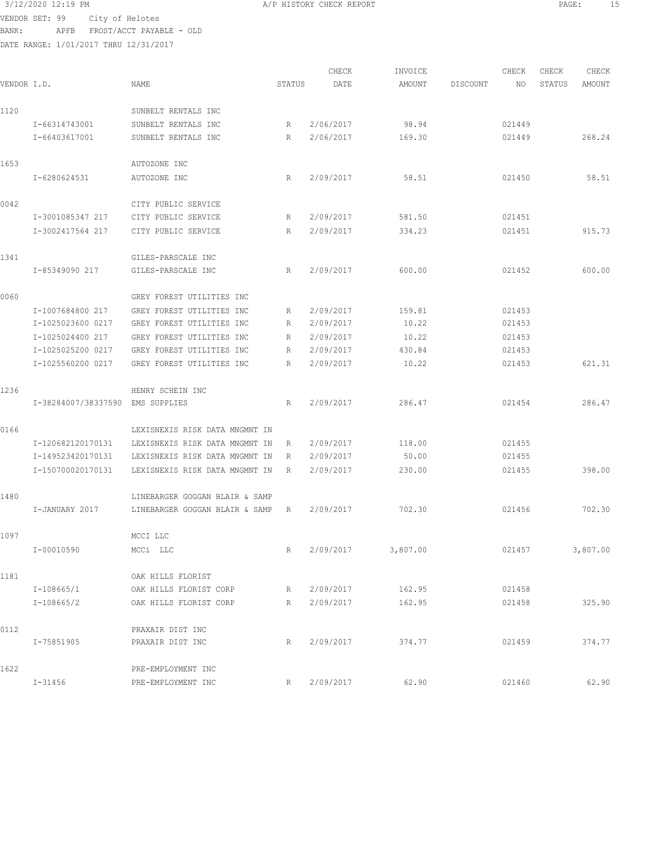## 3/12/2020 12:19 PM A/P HISTORY CHECK REPORT PAGE: 15 VENDOR SET: 99 City of Helotes

BANK: APFB FROST/ACCT PAYABLE - OLD

| VENDOR I.D. |                                  | <b>NAME</b>                    | STATUS      | CHECK<br>DATE | INVOICE<br>AMOUNT | DISCOUNT | CHECK<br>NO. | CHECK<br>STATUS | CHECK<br>AMOUNT |
|-------------|----------------------------------|--------------------------------|-------------|---------------|-------------------|----------|--------------|-----------------|-----------------|
| 1120        |                                  | SUNBELT RENTALS INC            |             |               |                   |          |              |                 |                 |
|             | I-66314743001                    | SUNBELT RENTALS INC            | R           | 2/06/2017     | 98.94             |          | 021449       |                 |                 |
|             | I-66403617001                    | SUNBELT RENTALS INC            | R           | 2/06/2017     | 169.30            |          | 021449       |                 | 268.24          |
| 1653        |                                  | AUTOZONE INC                   |             |               |                   |          |              |                 |                 |
|             | I-6280624531                     | AUTOZONE INC                   | R           | 2/09/2017     | 58.51             |          | 021450       |                 | 58.51           |
| 0042        |                                  | CITY PUBLIC SERVICE            |             |               |                   |          |              |                 |                 |
|             | I-3001085347 217                 | CITY PUBLIC SERVICE            | R           | 2/09/2017     | 581.50            |          | 021451       |                 |                 |
|             | I-3002417564 217                 | CITY PUBLIC SERVICE            | $R_{\perp}$ | 2/09/2017     | 334.23            |          | 021451       |                 | 915.73          |
| 1341        |                                  | GILES-PARSCALE INC             |             |               |                   |          |              |                 |                 |
|             | I-85349090 217                   | GILES-PARSCALE INC             | R           | 2/09/2017     | 600.00            |          | 021452       |                 | 600.00          |
| 0060        |                                  | GREY FOREST UTILITIES INC      |             |               |                   |          |              |                 |                 |
|             | I-1007684800 217                 | GREY FOREST UTILITIES INC      | R           | 2/09/2017     | 159.81            |          | 021453       |                 |                 |
|             | I-1025023600 0217                | GREY FOREST UTILITIES INC      | R           | 2/09/2017     | 10.22             |          | 021453       |                 |                 |
|             | I-1025024400 217                 | GREY FOREST UTILITIES INC      | R           | 2/09/2017     | 10.22             |          | 021453       |                 |                 |
|             | I-1025025200 0217                | GREY FOREST UTILITIES INC      | R           | 2/09/2017     | 430.84            |          | 021453       |                 |                 |
|             | I-1025560200 0217                | GREY FOREST UTILITIES INC      | R           | 2/09/2017     | 10.22             |          | 021453       |                 | 621.31          |
| 1236        |                                  | HENRY SCHEIN INC               |             |               |                   |          |              |                 |                 |
|             | I-38284007/38337590 EMS SUPPLIES |                                | R           | 2/09/2017     | 286.47            |          | 021454       |                 | 286.47          |
| 0166        |                                  | LEXISNEXIS RISK DATA MNGMNT IN |             |               |                   |          |              |                 |                 |
|             | I-120682120170131                | LEXISNEXIS RISK DATA MNGMNT IN | R           | 2/09/2017     | 118.00            |          | 021455       |                 |                 |
|             | I-149523420170131                | LEXISNEXIS RISK DATA MNGMNT IN | R           | 2/09/2017     | 50.00             |          | 021455       |                 |                 |
|             | I-150700020170131                | LEXISNEXIS RISK DATA MNGMNT IN | R           | 2/09/2017     | 230.00            |          | 021455       |                 | 398.00          |
| 1480        |                                  | LINEBARGER GOGGAN BLAIR & SAMP |             |               |                   |          |              |                 |                 |
|             | I-JANUARY 2017                   | LINEBARGER GOGGAN BLAIR & SAMP | R           | 2/09/2017     | 702.30            |          | 021456       |                 | 702.30          |
| 1097        |                                  | MCCI LLC                       |             |               |                   |          |              |                 |                 |
|             | I-00010590                       | MCCi LLC                       | R           | 2/09/2017     | 3,807.00          |          | 021457       |                 | 3,807.00        |
| 1181        |                                  | OAK HILLS FLORIST              |             |               |                   |          |              |                 |                 |
|             | I-108665/1                       | OAK HILLS FLORIST CORP         | R           | 2/09/2017     | 162.95            |          | 021458       |                 |                 |
|             | $I-108665/2$                     | OAK HILLS FLORIST CORP         | R           | 2/09/2017     | 162.95            |          | 021458       |                 | 325.90          |
| 0112        |                                  | PRAXAIR DIST INC               |             |               |                   |          |              |                 |                 |
|             | I-75851905                       | PRAXAIR DIST INC               | R           | 2/09/2017     | 374.77            |          | 021459       |                 | 374.77          |
| 1622        |                                  | PRE-EMPLOYMENT INC             |             |               |                   |          |              |                 |                 |
|             | $I - 31456$                      | PRE-EMPLOYMENT INC             | R           | 2/09/2017     | 62.90             |          | 021460       |                 | 62.90           |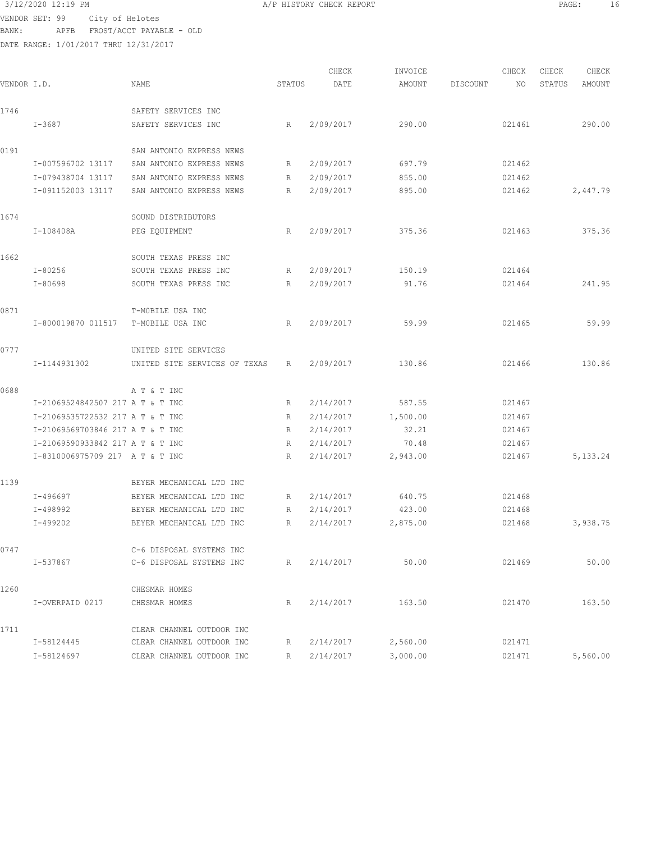## 3/12/2020 12:19 PM PAGE: 16<br>
VENDOR SET: 99 City of Helotes And Alphart CHECK REPORT PAGE: 16 VENDOR SET: 99 City of Helotes

BANK: APFB FROST/ACCT PAYABLE - OLD DATE RANGE: 1/01/2017 THRU 12/31/2017

| VENDOR I.D. |                                  | <b>NAME</b>                   | STATUS | CHECK<br>DATE | INVOICE<br>AMOUNT | DISCOUNT | CHECK<br>NO | CHECK<br>STATUS | CHECK<br>AMOUNT |
|-------------|----------------------------------|-------------------------------|--------|---------------|-------------------|----------|-------------|-----------------|-----------------|
|             |                                  |                               |        |               |                   |          |             |                 |                 |
| 1746        |                                  | SAFETY SERVICES INC           |        |               |                   |          |             |                 |                 |
|             | $I - 3687$                       | SAFETY SERVICES INC           | R      | 2/09/2017     | 290.00            |          | 021461      |                 | 290.00          |
| 0191        |                                  | SAN ANTONIO EXPRESS NEWS      |        |               |                   |          |             |                 |                 |
|             | I-007596702 13117                | SAN ANTONIO EXPRESS NEWS      | R      | 2/09/2017     | 697.79            |          | 021462      |                 |                 |
|             | I-079438704 13117                | SAN ANTONIO EXPRESS NEWS      | R      | 2/09/2017     | 855.00            |          | 021462      |                 |                 |
|             | I-091152003 13117                | SAN ANTONIO EXPRESS NEWS      | R      | 2/09/2017     | 895.00            |          | 021462      |                 | 2,447.79        |
| 1674        |                                  | SOUND DISTRIBUTORS            |        |               |                   |          |             |                 |                 |
|             | I-108408A                        | PEG EQUIPMENT                 | R      | 2/09/2017     | 375.36            |          | 021463      |                 | 375.36          |
| 1662        |                                  | SOUTH TEXAS PRESS INC         |        |               |                   |          |             |                 |                 |
|             | $I - 80256$                      | SOUTH TEXAS PRESS INC         | R      | 2/09/2017     | 150.19            |          | 021464      |                 |                 |
|             | $I - 80698$                      | SOUTH TEXAS PRESS INC         | R      | 2/09/2017     | 91.76             |          | 021464      |                 | 241.95          |
| 0871        |                                  | T-MOBILE USA INC              |        |               |                   |          |             |                 |                 |
|             | I-800019870 011517               | T-MOBILE USA INC              | R      | 2/09/2017     | 59.99             |          | 021465      |                 | 59.99           |
| 0777        |                                  | UNITED SITE SERVICES          |        |               |                   |          |             |                 |                 |
|             | I-1144931302                     | UNITED SITE SERVICES OF TEXAS | R      | 2/09/2017     | 130.86            |          | 021466      |                 | 130.86          |
| 0688        |                                  | A T & T INC                   |        |               |                   |          |             |                 |                 |
|             | I-21069524842507 217 A T & T INC |                               | R      | 2/14/2017     | 587.55            |          | 021467      |                 |                 |
|             | I-21069535722532 217 A T & T INC |                               | R      | 2/14/2017     | 1,500.00          |          | 021467      |                 |                 |
|             | I-21069569703846 217 A T & T INC |                               | R      | 2/14/2017     | 32.21             |          | 021467      |                 |                 |
|             | I-21069590933842 217 A T & T INC |                               | R      | 2/14/2017     | 70.48             |          | 021467      |                 |                 |
|             | I-8310006975709 217 A T & T INC  |                               | R      | 2/14/2017     | 2,943.00          |          | 021467      |                 | 5, 133. 24      |
| 1139        |                                  | BEYER MECHANICAL LTD INC      |        |               |                   |          |             |                 |                 |
|             | I-496697                         | BEYER MECHANICAL LTD INC      | R      | 2/14/2017     | 640.75            |          | 021468      |                 |                 |
|             | I-498992                         | BEYER MECHANICAL LTD INC      | R      | 2/14/2017     | 423.00            |          | 021468      |                 |                 |
|             | I-499202                         | BEYER MECHANICAL LTD INC      | R      | 2/14/2017     | 2,875.00          |          | 021468      |                 | 3,938.75        |
|             |                                  |                               |        |               |                   |          |             |                 |                 |
| 0747        |                                  | C-6 DISPOSAL SYSTEMS INC      |        |               |                   |          |             |                 |                 |
|             | I-537867                         | C-6 DISPOSAL SYSTEMS INC      | R      | 2/14/2017     | 50.00             |          | 021469      |                 | 50.00           |
| 1260        |                                  | CHESMAR HOMES                 |        |               |                   |          |             |                 |                 |
|             | I-OVERPAID 0217                  | CHESMAR HOMES                 | R      | 2/14/2017     | 163.50            |          | 021470      |                 | 163.50          |
| 1711        |                                  | CLEAR CHANNEL OUTDOOR INC     |        |               |                   |          |             |                 |                 |
|             | I-58124445                       | CLEAR CHANNEL OUTDOOR INC     | R      | 2/14/2017     | 2,560.00          |          | 021471      |                 |                 |
|             | I-58124697                       | CLEAR CHANNEL OUTDOOR INC     | R      | 2/14/2017     | 3,000.00          |          | 021471      |                 | 5,560.00        |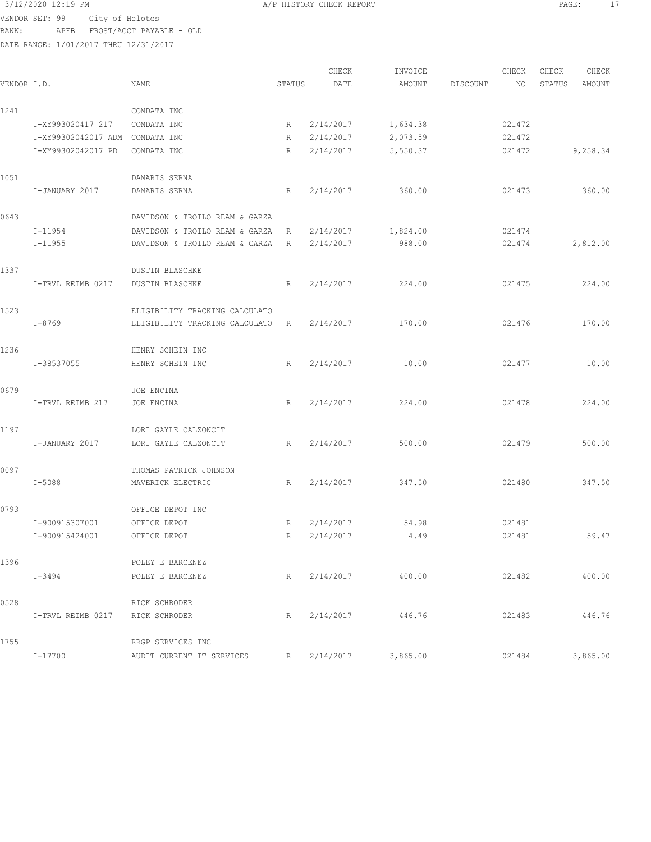3/12/2020 12:19 PM A/P HISTORY CHECK REPORT PAGE: 17 VENDOR SET: 99 City of Helotes BANK: APFB FROST/ACCT PAYABLE - OLD

| VENDOR I.D. |                     | NAME                           | STATUS      | CHECK<br>DATE | INVOICE<br>AMOUNT | DISCOUNT | CHECK<br>NO | CHECK<br>STATUS | CHECK<br><b>AMOUNT</b> |
|-------------|---------------------|--------------------------------|-------------|---------------|-------------------|----------|-------------|-----------------|------------------------|
|             |                     |                                |             |               |                   |          |             |                 |                        |
| 1241        |                     | COMDATA INC                    |             |               |                   |          |             |                 |                        |
|             | I-XY993020417 217   | COMDATA INC                    | R           | 2/14/2017     | 1,634.38          |          | 021472      |                 |                        |
|             | I-XY99302042017 ADM | COMDATA INC                    | R           | 2/14/2017     | 2,073.59          |          | 021472      |                 |                        |
|             | I-XY99302042017 PD  | COMDATA INC                    | R           | 2/14/2017     | 5,550.37          |          | 021472      |                 | 9,258.34               |
| 1051        |                     | DAMARIS SERNA                  |             |               |                   |          |             |                 |                        |
|             | I-JANUARY 2017      | DAMARIS SERNA                  | R           | 2/14/2017     | 360.00            |          | 021473      |                 | 360.00                 |
| 0643        |                     | DAVIDSON & TROILO REAM & GARZA |             |               |                   |          |             |                 |                        |
|             | I-11954             | DAVIDSON & TROILO REAM & GARZA | R           | 2/14/2017     | 1,824.00          |          | 021474      |                 |                        |
|             | $I - 11955$         | DAVIDSON & TROILO REAM & GARZA | R           | 2/14/2017     | 988.00            |          | 021474      |                 | 2,812.00               |
| 1337        |                     | DUSTIN BLASCHKE                |             |               |                   |          |             |                 |                        |
|             | I-TRVL REIMB 0217   | <b>DUSTIN BLASCHKE</b>         | R           | 2/14/2017     | 224.00            |          | 021475      |                 | 224.00                 |
| 1523        |                     | ELIGIBILITY TRACKING CALCULATO |             |               |                   |          |             |                 |                        |
|             | I-8769              | ELIGIBILITY TRACKING CALCULATO | R           | 2/14/2017     | 170.00            |          | 021476      |                 | 170.00                 |
| 1236        |                     | HENRY SCHEIN INC               |             |               |                   |          |             |                 |                        |
|             | I-38537055          | HENRY SCHEIN INC               | R           | 2/14/2017     | 10.00             |          | 021477      |                 | 10.00                  |
| 0679        |                     | JOE ENCINA                     |             |               |                   |          |             |                 |                        |
|             | I-TRVL REIMB 217    | JOE ENCINA                     | R           | 2/14/2017     | 224.00            |          | 021478      |                 | 224.00                 |
| 1197        |                     | LORI GAYLE CALZONCIT           |             |               |                   |          |             |                 |                        |
|             | I-JANUARY 2017      | LORI GAYLE CALZONCIT           | R           | 2/14/2017     | 500.00            |          | 021479      |                 | 500.00                 |
| 0097        |                     | THOMAS PATRICK JOHNSON         |             |               |                   |          |             |                 |                        |
|             | I-5088              | MAVERICK ELECTRIC              | R           | 2/14/2017     | 347.50            |          | 021480      |                 | 347.50                 |
| 0793        |                     | OFFICE DEPOT INC               |             |               |                   |          |             |                 |                        |
|             | I-900915307001      | OFFICE DEPOT                   | R           | 2/14/2017     | 54.98             |          | 021481      |                 |                        |
|             | I-900915424001      | OFFICE DEPOT                   | $\mathbb R$ | 2/14/2017     | 4.49              |          | 021481      |                 | 59.47                  |
| 1396        |                     | POLEY E BARCENEZ               |             |               |                   |          |             |                 |                        |
|             | I-3494              | POLEY E BARCENEZ               | R           | 2/14/2017     | 400.00            |          | 021482      |                 | 400.00                 |
| 0528        |                     | RICK SCHRODER                  |             |               |                   |          |             |                 |                        |
|             | I-TRVL REIMB 0217   | RICK SCHRODER                  | R           | 2/14/2017     | 446.76            |          | 021483      |                 | 446.76                 |
| 1755        |                     | RRGP SERVICES INC              |             |               |                   |          |             |                 |                        |
|             | I-17700             | AUDIT CURRENT IT SERVICES      | R           | 2/14/2017     | 3,865.00          |          | 021484      |                 | 3,865.00               |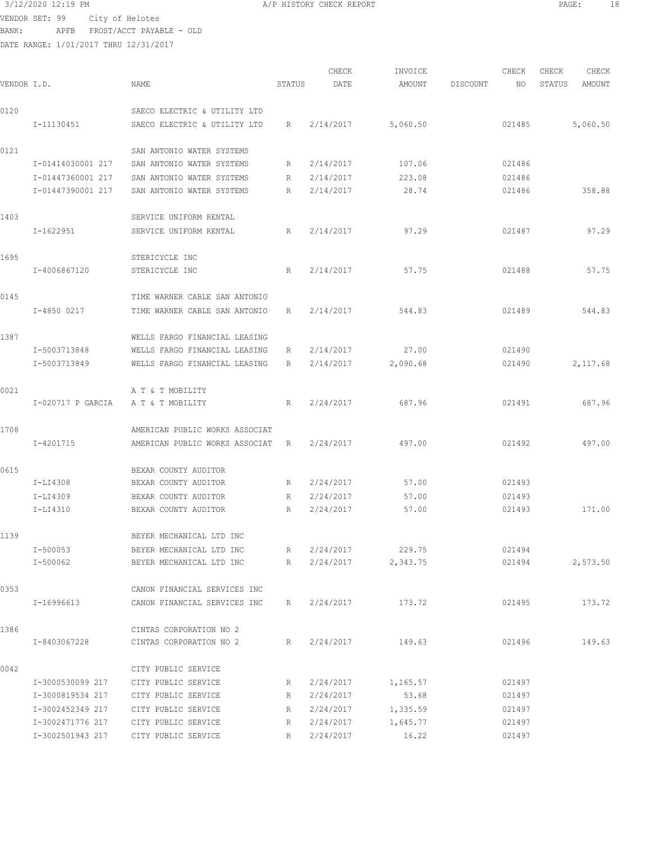## 3/12/2020 12:19 PM A/P HISTORY CHECK REPORT PAGE: 18 VENDOR SET: 99 City of Helotes

BANK: APFB FROST/ACCT PAYABLE - OLD

| VENDOR I.D. |                   | NAME                           | STATUS | CHECK<br>DATE | INVOICE<br>AMOUNT | DISCOUNT | CHECK<br>NO | CHECK<br>STATUS | CHECK<br>AMOUNT |
|-------------|-------------------|--------------------------------|--------|---------------|-------------------|----------|-------------|-----------------|-----------------|
| 0120        |                   | SAECO ELECTRIC & UTILITY LTD   |        |               |                   |          |             |                 |                 |
|             | I-11130451        | SAECO ELECTRIC & UTILITY LTD   | R      | 2/14/2017     | 5,060.50          |          | 021485      |                 | 5,060.50        |
| 0121        |                   | SAN ANTONIO WATER SYSTEMS      |        |               |                   |          |             |                 |                 |
|             | I-01414030001 217 | SAN ANTONIO WATER SYSTEMS      | R      | 2/14/2017     | 107.06            |          | 021486      |                 |                 |
|             | I-01447360001 217 | SAN ANTONIO WATER SYSTEMS      | R      | 2/14/2017     | 223.08            |          | 021486      |                 |                 |
|             | I-01447390001 217 | SAN ANTONIO WATER SYSTEMS      | R      | 2/14/2017     | 28.74             |          | 021486      |                 | 358.88          |
| 1403        |                   | SERVICE UNIFORM RENTAL         |        |               |                   |          |             |                 |                 |
|             | I-1622951         | SERVICE UNIFORM RENTAL         | R      | 2/14/2017     | 97.29             |          | 021487      |                 | 97.29           |
| 1695        |                   | STERICYCLE INC                 |        |               |                   |          |             |                 |                 |
|             | I-4006867120      | STERICYCLE INC                 | R      | 2/14/2017     | 57.75             |          | 021488      |                 | 57.75           |
| 0145        |                   | TIME WARNER CABLE SAN ANTONIO  |        |               |                   |          |             |                 |                 |
|             | I-4850 0217       | TIME WARNER CABLE SAN ANTONIO  | R      | 2/14/2017     | 544.83            |          | 021489      |                 | 544.83          |
| 1387        |                   | WELLS FARGO FINANCIAL LEASING  |        |               |                   |          |             |                 |                 |
|             | I-5003713848      | WELLS FARGO FINANCIAL LEASING  | R      | 2/14/2017     | 27.00             |          | 021490      |                 |                 |
|             | I-5003713849      | WELLS FARGO FINANCIAL LEASING  | R      | 2/14/2017     | 2,090.68          |          | 021490      |                 | 2,117.68        |
| 0021        |                   | A T & T MOBILITY               |        |               |                   |          |             |                 |                 |
|             | I-020717 P GARCIA | A T & T MOBILITY               | R      | 2/24/2017     | 687.96            |          | 021491      |                 | 687.96          |
| 1708        |                   | AMERICAN PUBLIC WORKS ASSOCIAT |        |               |                   |          |             |                 |                 |
|             | I-4201715         | AMERICAN PUBLIC WORKS ASSOCIAT | R      | 2/24/2017     | 497.00            |          | 021492      |                 | 497.00          |
| 0615        |                   | BEXAR COUNTY AUDITOR           |        |               |                   |          |             |                 |                 |
|             | I-LI4308          | BEXAR COUNTY AUDITOR           | R      | 2/24/2017     | 57.00             |          | 021493      |                 |                 |
|             | I-LI4309          | BEXAR COUNTY AUDITOR           | R      | 2/24/2017     | 57.00             |          | 021493      |                 |                 |
|             | I-LI4310          | BEXAR COUNTY AUDITOR           | R      | 2/24/2017     | 57.00             |          | 021493      |                 | 171.00          |
| 1139        |                   | BEYER MECHANICAL LTD INC       |        |               |                   |          |             |                 |                 |
|             | I-500053          | BEYER MECHANICAL LTD INC       | R      | 2/24/2017     | 229.75            |          | 021494      |                 |                 |
|             | I-500062          | BEYER MECHANICAL LTD INC       | R      | 2/24/2017     | 2,343.75          |          | 021494      |                 | 2,573.50        |
| 0353        |                   | CANON FINANCIAL SERVICES INC   |        |               |                   |          |             |                 |                 |
|             | I-16996613        | CANON FINANCIAL SERVICES INC   | R      | 2/24/2017     | 173.72            |          | 021495      |                 | 173.72          |
| 1386        |                   | CINTAS CORPORATION NO 2        |        |               |                   |          |             |                 |                 |
|             | I-8403067228      | CINTAS CORPORATION NO 2        | R      | 2/24/2017     | 149.63            |          | 021496      |                 | 149.63          |
| 0042        |                   | CITY PUBLIC SERVICE            |        |               |                   |          |             |                 |                 |
|             | I-3000530099 217  | CITY PUBLIC SERVICE            | R      | 2/24/2017     | 1,165.57          |          | 021497      |                 |                 |
|             | I-3000819534 217  | CITY PUBLIC SERVICE            | R      | 2/24/2017     | 53.68             |          | 021497      |                 |                 |
|             | I-3002452349 217  | CITY PUBLIC SERVICE            | R      | 2/24/2017     | 1,335.59          |          | 021497      |                 |                 |
|             | I-3002471776 217  | CITY PUBLIC SERVICE            | R      | 2/24/2017     | 1,645.77          |          | 021497      |                 |                 |
|             | I-3002501943 217  | CITY PUBLIC SERVICE            | R      | 2/24/2017     | 16.22             |          | 021497      |                 |                 |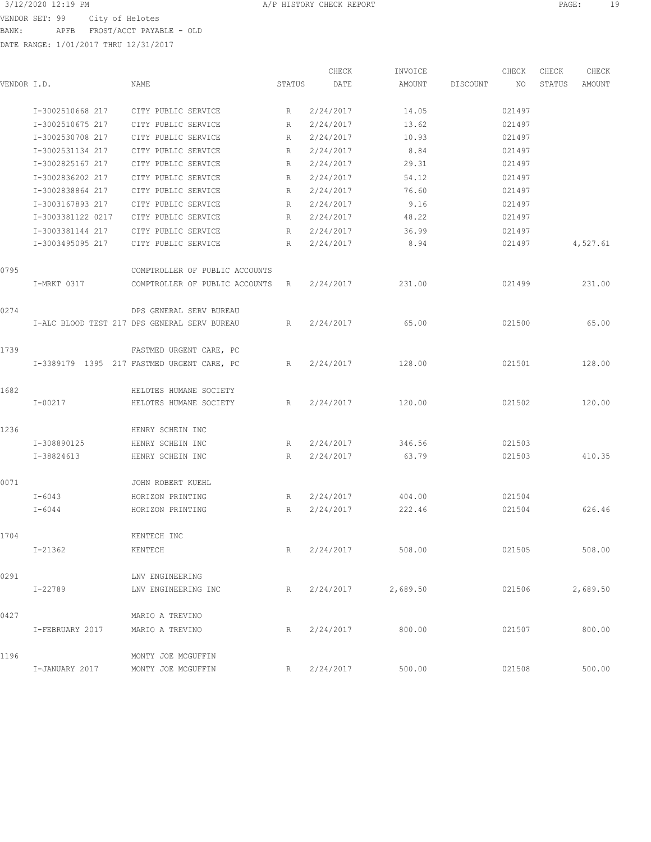3/12/2020 12:19 PM A/P HISTORY CHECK REPORT PAGE: 19 VENDOR SET: 99 City of Helotes BANK: APFB FROST/ACCT PAYABLE - OLD

|             |                   |                                              |        | CHECK     | INVOICE  |          | CHECK  | CHECK  | CHECK    |
|-------------|-------------------|----------------------------------------------|--------|-----------|----------|----------|--------|--------|----------|
| VENDOR I.D. |                   | NAME                                         | STATUS | DATE      | AMOUNT   | DISCOUNT | NO     | STATUS | AMOUNT   |
|             | I-3002510668 217  | CITY PUBLIC SERVICE                          | R      | 2/24/2017 | 14.05    |          | 021497 |        |          |
|             | I-3002510675 217  | CITY PUBLIC SERVICE                          | R      | 2/24/2017 | 13.62    |          | 021497 |        |          |
|             | I-3002530708 217  | CITY PUBLIC SERVICE                          | R      | 2/24/2017 | 10.93    |          | 021497 |        |          |
|             | I-3002531134 217  | CITY PUBLIC SERVICE                          | R      | 2/24/2017 | 8.84     |          | 021497 |        |          |
|             | I-3002825167 217  | CITY PUBLIC SERVICE                          | R      | 2/24/2017 | 29.31    |          | 021497 |        |          |
|             | I-3002836202 217  | CITY PUBLIC SERVICE                          | R      | 2/24/2017 | 54.12    |          | 021497 |        |          |
|             | I-3002838864 217  | CITY PUBLIC SERVICE                          | R      | 2/24/2017 | 76.60    |          | 021497 |        |          |
|             | I-3003167893 217  | CITY PUBLIC SERVICE                          | R      | 2/24/2017 | 9.16     |          | 021497 |        |          |
|             | I-3003381122 0217 | CITY PUBLIC SERVICE                          | R      | 2/24/2017 | 48.22    |          | 021497 |        |          |
|             | I-3003381144 217  | CITY PUBLIC SERVICE                          | R      | 2/24/2017 | 36.99    |          | 021497 |        |          |
|             | I-3003495095 217  | CITY PUBLIC SERVICE                          | R      | 2/24/2017 | 8.94     |          | 021497 |        | 4,527.61 |
| 0795        |                   | COMPTROLLER OF PUBLIC ACCOUNTS               |        |           |          |          |        |        |          |
|             | I-MRKT 0317       | COMPTROLLER OF PUBLIC ACCOUNTS R             |        | 2/24/2017 | 231.00   |          | 021499 |        | 231.00   |
| 0274        |                   | DPS GENERAL SERV BUREAU                      |        |           |          |          |        |        |          |
|             |                   | I-ALC BLOOD TEST 217 DPS GENERAL SERV BUREAU | R      | 2/24/2017 | 65.00    |          | 021500 |        | 65.00    |
| 1739        |                   | FASTMED URGENT CARE, PC                      |        |           |          |          |        |        |          |
|             |                   | I-3389179 1395 217 FASTMED URGENT CARE, PC   | R      | 2/24/2017 | 128.00   |          | 021501 |        | 128.00   |
| 1682        |                   | HELOTES HUMANE SOCIETY                       |        |           |          |          |        |        |          |
|             | $I - 00217$       | HELOTES HUMANE SOCIETY                       | R      | 2/24/2017 | 120.00   |          | 021502 |        | 120.00   |
| 1236        |                   | HENRY SCHEIN INC                             |        |           |          |          |        |        |          |
|             | I-308890125       | HENRY SCHEIN INC                             | R      | 2/24/2017 | 346.56   |          | 021503 |        |          |
|             | I-38824613        | HENRY SCHEIN INC                             | R      | 2/24/2017 | 63.79    |          | 021503 |        | 410.35   |
| 0071        |                   | JOHN ROBERT KUEHL                            |        |           |          |          |        |        |          |
|             | I-6043            | HORIZON PRINTING                             | R      | 2/24/2017 | 404.00   |          | 021504 |        |          |
|             | I-6044            | HORIZON PRINTING                             | R      | 2/24/2017 | 222.46   |          | 021504 |        | 626.46   |
| 1704        |                   | KENTECH INC                                  |        |           |          |          |        |        |          |
|             | $I - 21362$       | KENTECH                                      | R      | 2/24/2017 | 508.00   |          | 021505 |        | 508.00   |
| 0291        |                   | LNV ENGINEERING                              |        |           |          |          |        |        |          |
|             | I-22789           | LNV ENGINEERING INC                          | R      | 2/24/2017 | 2,689.50 |          | 021506 |        | 2,689.50 |
| 0427        |                   | MARIO A TREVINO                              |        |           |          |          |        |        |          |
|             | I-FEBRUARY 2017   | MARIO A TREVINO                              | R      | 2/24/2017 | 800.00   |          | 021507 |        | 800.00   |
| 1196        |                   | MONTY JOE MCGUFFIN                           |        |           |          |          |        |        |          |
|             | I-JANUARY 2017    | MONTY JOE MCGUFFIN                           | R      | 2/24/2017 | 500.00   |          | 021508 |        | 500.00   |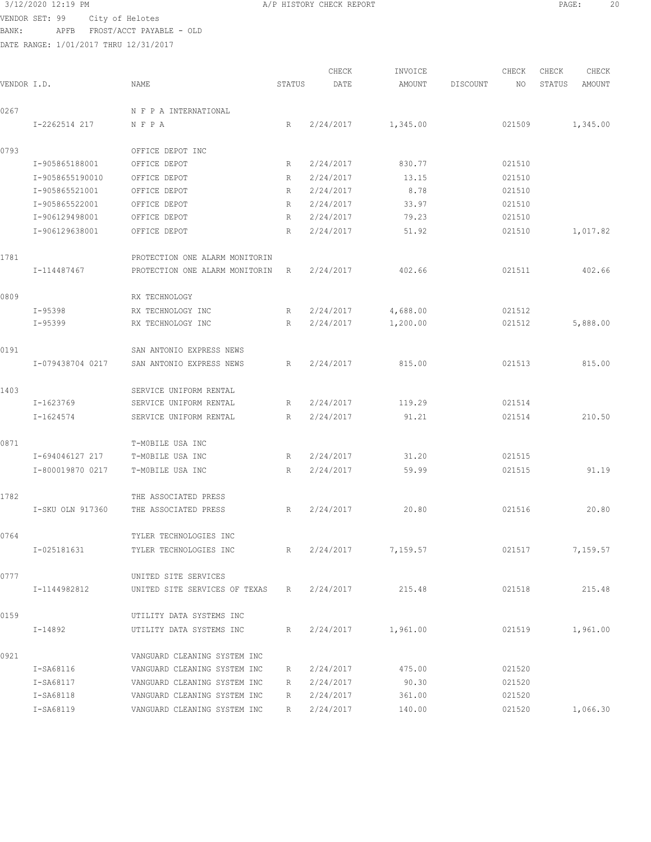3/12/2020 12:19 PM A/P HISTORY CHECK REPORT PAGE: 20 VENDOR SET: 99 City of Helotes BANK: APFB FROST/ACCT PAYABLE - OLD

|             |                  |                                 |        | CHECK       | INVOICE            |          | CHECK  | CHECK  | CHECK    |
|-------------|------------------|---------------------------------|--------|-------------|--------------------|----------|--------|--------|----------|
| VENDOR I.D. |                  | <b>NAME</b>                     | STATUS | DATE        | AMOUNT             | DISCOUNT | NO.    | STATUS | AMOUNT   |
| 0267        |                  | N F P A INTERNATIONAL           |        |             |                    |          |        |        |          |
|             | I-2262514 217    | NFPA                            | R      | 2/24/2017   | 1,345.00           |          | 021509 |        | 1,345.00 |
| 0793        |                  | OFFICE DEPOT INC                |        |             |                    |          |        |        |          |
|             | I-905865188001   | OFFICE DEPOT                    | R      | 2/24/2017   | 830.77             |          | 021510 |        |          |
|             | I-9058655190010  | OFFICE DEPOT                    | R      | 2/24/2017   | 13.15              |          | 021510 |        |          |
|             | I-905865521001   | OFFICE DEPOT                    | R      | 2/24/2017   | 8.78               |          | 021510 |        |          |
|             | I-905865522001   | OFFICE DEPOT                    | R      | 2/24/2017   | 33.97              |          | 021510 |        |          |
|             | I-906129498001   | OFFICE DEPOT                    | R      | 2/24/2017   | 79.23              |          | 021510 |        |          |
|             | I-906129638001   | OFFICE DEPOT                    | R      | 2/24/2017   | 51.92              |          | 021510 |        | 1,017.82 |
| 1781        |                  | PROTECTION ONE ALARM MONITORIN  |        |             |                    |          |        |        |          |
|             | I-114487467      | PROTECTION ONE ALARM MONITORIN  | R      | 2/24/2017   | 402.66             |          | 021511 |        | 402.66   |
| 0809        |                  | RX TECHNOLOGY                   |        |             |                    |          |        |        |          |
|             | I-95398          | RX TECHNOLOGY INC               | R      | 2/24/2017   | 4,688.00           |          | 021512 |        |          |
|             | $I - 95399$      | RX TECHNOLOGY INC               | R      | 2/24/2017   | 1,200.00           |          | 021512 |        | 5,888.00 |
| 0191        |                  | SAN ANTONIO EXPRESS NEWS        |        |             |                    |          |        |        |          |
|             | I-079438704 0217 | SAN ANTONIO EXPRESS NEWS        | R      | 2/24/2017   | 815.00             |          | 021513 |        | 815.00   |
| 1403        |                  | SERVICE UNIFORM RENTAL          |        |             |                    |          |        |        |          |
|             | I-1623769        | SERVICE UNIFORM RENTAL          | R      | 2/24/2017   | 119.29             |          | 021514 |        |          |
|             | I-1624574        | SERVICE UNIFORM RENTAL          | R      | 2/24/2017   | 91.21              |          | 021514 |        | 210.50   |
| 0871        |                  | T-MOBILE USA INC                |        |             |                    |          |        |        |          |
|             | I-694046127 217  | T-MOBILE USA INC                | R      | 2/24/2017   | 31.20              |          | 021515 |        |          |
|             | I-800019870 0217 | T-MOBILE USA INC                | R      | 2/24/2017   | 59.99              |          | 021515 |        | 91.19    |
| 1782        |                  | THE ASSOCIATED PRESS            |        |             |                    |          |        |        |          |
|             | I-SKU OLN 917360 | THE ASSOCIATED PRESS            | R      | 2/24/2017   | 20.80              |          | 021516 |        | 20.80    |
| 0764        |                  | TYLER TECHNOLOGIES INC          |        |             |                    |          |        |        |          |
|             | I-025181631      | TYLER TECHNOLOGIES INC          | R      | 2/24/2017   | 7,159.57           |          | 021517 |        | 7,159.57 |
| 0777        |                  | UNITED SITE SERVICES            |        |             |                    |          |        |        |          |
|             | I-1144982812     | UNITED SITE SERVICES OF TEXAS R |        | 2/24/2017   | 215.48             |          | 021518 |        | 215.48   |
| 0159        |                  | UTILITY DATA SYSTEMS INC        |        |             |                    |          |        |        |          |
|             | I-14892          | UTILITY DATA SYSTEMS INC        | R      |             | 2/24/2017 1,961.00 |          | 021519 |        | 1,961.00 |
| 0921        |                  | VANGUARD CLEANING SYSTEM INC    |        |             |                    |          |        |        |          |
|             | I-SA68116        | VANGUARD CLEANING SYSTEM INC    | R      | 2/24/2017   | 475.00             |          | 021520 |        |          |
|             | I-SA68117        | VANGUARD CLEANING SYSTEM INC    | R      | 2/24/2017   | 90.30              |          | 021520 |        |          |
|             | I-SA68118        | VANGUARD CLEANING SYSTEM INC    | R      | 2/24/2017   | 361.00             |          | 021520 |        |          |
|             | I-SA68119        | VANGUARD CLEANING SYSTEM INC    |        | R 2/24/2017 | 140.00             |          | 021520 |        | 1,066.30 |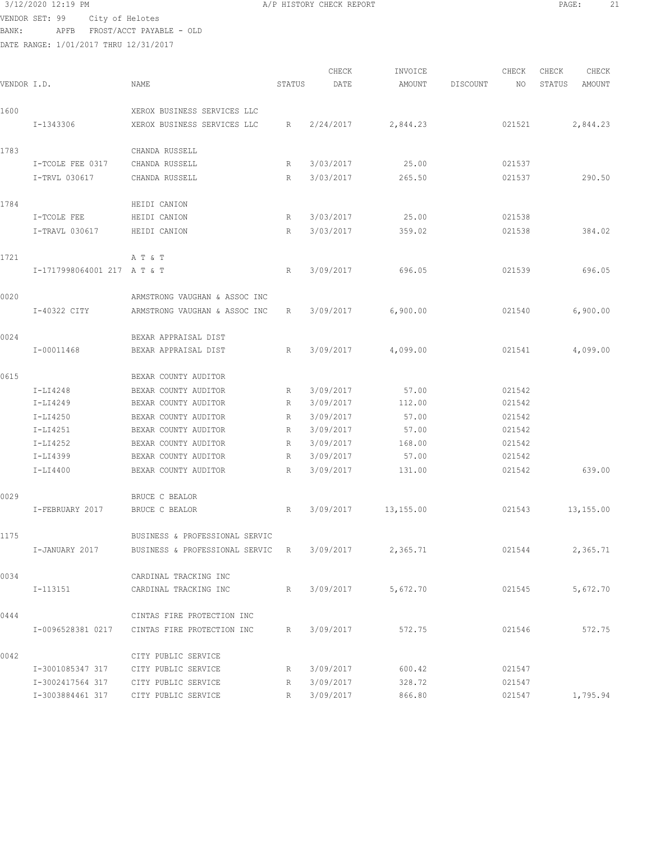## 3/12/2020 12:19 PM A/P HISTORY CHECK REPORT PAGE: 21

VENDOR SET: 99 City of Helotes BANK: APFB FROST/ACCT PAYABLE - OLD

0042 CITY PUBLIC SERVICE

DATE RANGE: 1/01/2017 THRU 12/31/2017

| VENDOR I.D. |                             | NAME                             | STATUS      | CHECK<br>DATE | INVOICE<br>AMOUNT | DISCOUNT | CHECK<br>NO | CHECK<br>STATUS | CHECK<br><b>AMOUNT</b> |
|-------------|-----------------------------|----------------------------------|-------------|---------------|-------------------|----------|-------------|-----------------|------------------------|
|             |                             |                                  |             |               |                   |          |             |                 |                        |
| 1600        |                             | XEROX BUSINESS SERVICES LLC      |             |               |                   |          |             |                 |                        |
|             | I-1343306                   | XEROX BUSINESS SERVICES LLC      | R           | 2/24/2017     | 2,844.23          |          | 021521      |                 | 2,844.23               |
| 1783        |                             | CHANDA RUSSELL                   |             |               |                   |          |             |                 |                        |
|             | I-TCOLE FEE 0317            | CHANDA RUSSELL                   | R           | 3/03/2017     | 25.00             |          | 021537      |                 |                        |
|             | I-TRVL 030617               | CHANDA RUSSELL                   | R           | 3/03/2017     | 265.50            |          | 021537      |                 | 290.50                 |
| 1784        |                             | HEIDI CANION                     |             |               |                   |          |             |                 |                        |
|             | I-TCOLE FEE                 | HEIDI CANION                     | R           | 3/03/2017     | 25.00             |          | 021538      |                 |                        |
|             | I-TRAVL 030617              | HEIDI CANION                     | R           | 3/03/2017     | 359.02            |          | 021538      |                 | 384.02                 |
| 1721        |                             | A T & T                          |             |               |                   |          |             |                 |                        |
|             | I-1717998064001 217 A T & T |                                  | R           | 3/09/2017     | 696.05            |          | 021539      |                 | 696.05                 |
| 0020        |                             | ARMSTRONG VAUGHAN & ASSOC INC    |             |               |                   |          |             |                 |                        |
|             | I-40322 CITY                | ARMSTRONG VAUGHAN & ASSOC INC    | R           | 3/09/2017     | 6,900.00          |          | 021540      |                 | 6,900.00               |
| 0024        |                             | BEXAR APPRAISAL DIST             |             |               |                   |          |             |                 |                        |
|             | I-00011468                  | BEXAR APPRAISAL DIST             | R           | 3/09/2017     | 4,099.00          |          | 021541      |                 | 4,099.00               |
| 0615        |                             | BEXAR COUNTY AUDITOR             |             |               |                   |          |             |                 |                        |
|             | $I-LI4248$                  | BEXAR COUNTY AUDITOR             | R           | 3/09/2017     | 57.00             |          | 021542      |                 |                        |
|             | $I-LI4249$                  | BEXAR COUNTY AUDITOR             | R           | 3/09/2017     | 112.00            |          | 021542      |                 |                        |
|             | I-LI4250                    | BEXAR COUNTY AUDITOR             | R           | 3/09/2017     | 57.00             |          | 021542      |                 |                        |
|             | I-LI4251                    | BEXAR COUNTY AUDITOR             | R           | 3/09/2017     | 57.00             |          | 021542      |                 |                        |
|             | $I-LI4252$                  | BEXAR COUNTY AUDITOR             | R           | 3/09/2017     | 168.00            |          | 021542      |                 |                        |
|             | I-LI4399                    | BEXAR COUNTY AUDITOR             | R           | 3/09/2017     | 57.00             |          | 021542      |                 |                        |
|             | I-LI4400                    | BEXAR COUNTY AUDITOR             | R           | 3/09/2017     | 131.00            |          | 021542      |                 | 639.00                 |
| 0029        |                             | BRUCE C BEALOR                   |             |               |                   |          |             |                 |                        |
|             | I-FEBRUARY 2017             | BRUCE C BEALOR                   | R           | 3/09/2017     | 13,155.00         |          | 021543      |                 | 13,155.00              |
| 1175        |                             | BUSINESS & PROFESSIONAL SERVIC   |             |               |                   |          |             |                 |                        |
|             | I-JANUARY 2017              | BUSINESS & PROFESSIONAL SERVIC R |             | 3/09/2017     | 2,365.71          |          | 021544      |                 | 2,365.71               |
| 0034        |                             | CARDINAL TRACKING INC            |             |               |                   |          |             |                 |                        |
|             | I-113151                    | CARDINAL TRACKING INC            | R           | 3/09/2017     | 5,672.70          |          | 021545      |                 | 5,672.70               |
|             |                             |                                  |             |               |                   |          |             |                 |                        |
| 0444        |                             | CINTAS FIRE PROTECTION INC       |             |               |                   |          |             |                 |                        |
|             | I-0096528381 0217           | CINTAS FIRE PROTECTION INC       | $R_{\perp}$ | 3/09/2017     | 572.75            |          | 021546      |                 | 572.75                 |

I-3001085347 317 CITY PUBLIC SERVICE R 3/09/2017 600.42 021547

I-3003884461 317 CITY PUBLIC SERVICE R 3/09/2017 866.80 021547 1,795.94

I-3002417564 317 CITY PUBLIC SERVICE R 3/09/2017 328.72 021547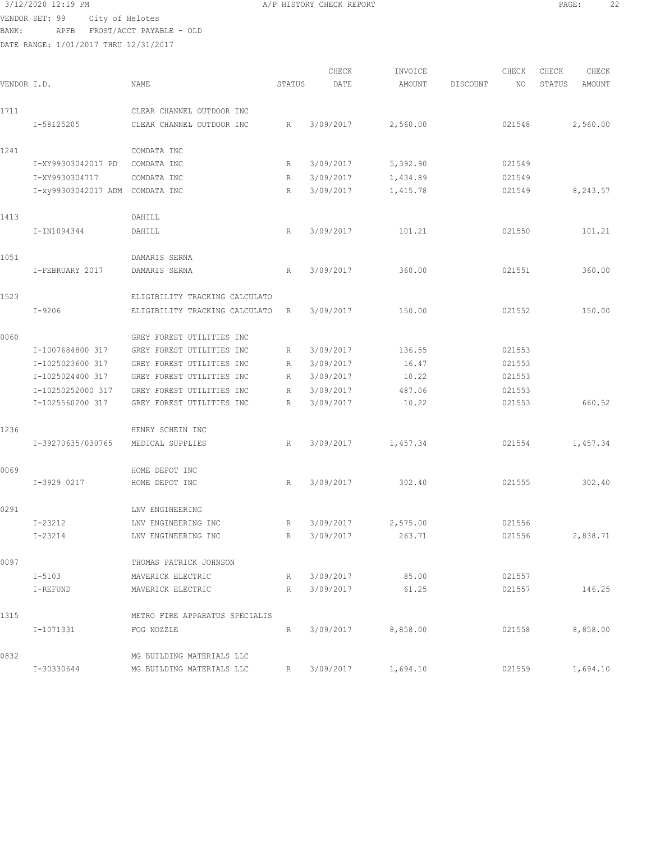## 3/12/2020 12:19 PM A/P HISTORY CHECK REPORT PAGE: 22 VENDOR SET: 99 City of Helotes

BANK: APFB FROST/ACCT PAYABLE - OLD DATE RANGE: 1/01/2017 THRU 12/31/2017

CHECK INVOICE CHECK CHECK CHECK VENDOR I.D. NAME STATUS DATE AMOUNT DISCOUNT NO STATUS AMOUNT 1711 CLEAR CHANNEL OUTDOOR INC I-58125205 CLEAR CHANNEL OUTDOOR INC R 3/09/2017 2,560.00 021548 2,560.00 1241 COMDATA INC I-XY99303042017 PD COMDATA INC R 3/09/2017 5,392.90 021549 I-XY9930304717 COMDATA INC R 3/09/2017 1,434.89 021549 I-xy99303042017 ADM COMDATA INC R 3/09/2017 1,415.78 021549 8,243.57 1413 DAHILL I-IN1094344 DAHILL R 3/09/2017 101.21 021550 101.21 1051 DAMARIS SERNA I-FEBRUARY 2017 DAMARIS SERNA R 3/09/2017 360.00 021551 360.00 1523 ELIGIBILITY TRACKING CALCULATO I-9206 ELIGIBILITY TRACKING CALCULATO R 3/09/2017 150.00 021552 150.00 0060 GREY FOREST UTILITIES INC I-1007684800 317 GREY FOREST UTILITIES INC R 3/09/2017 136.55 021553 I-1025023600 317 GREY FOREST UTILITIES INC R 3/09/2017 16.47 021553 I-1025024400 317 GREY FOREST UTILITIES INC R 3/09/2017 10.22 021553 I-10250252000 317 GREY FOREST UTILITIES INC R 3/09/2017 487.06 021553 I-1025560200 317 GREY FOREST UTILITIES INC R 3/09/2017 10.22 021553 660.52 1236 HENRY SCHEIN INC I-39270635/030765 MEDICAL SUPPLIES R 3/09/2017 1,457.34 021554 1,457.34 0069 HOME DEPOT INC I-3929 0217 HOME DEPOT INC R 3/09/2017 302.40 021555 302.40 0291 LNV ENGINEERING I-23212 LNV ENGINEERING INC R 3/09/2017 2,575.00 021556 I-23214 LNV ENGINEERING INC R 3/09/2017 263.71 021556 2,838.71 0097 THOMAS PATRICK JOHNSON I-5103 MAVERICK ELECTRIC R 3/09/2017 85.00 021557 I-REFUND MAVERICK ELECTRIC R 3/09/2017 61.25 021557 146.25 1315 METRO FIRE APPARATUS SPECIALIS I-1071331 FOG NOZZLE R 3/09/2017 8,858.00 021558 8,858.00 0832 MG BUILDING MATERIALS LLC I-30330644 MG BUILDING MATERIALS LLC R 3/09/2017 1,694.10 021559 1,694.10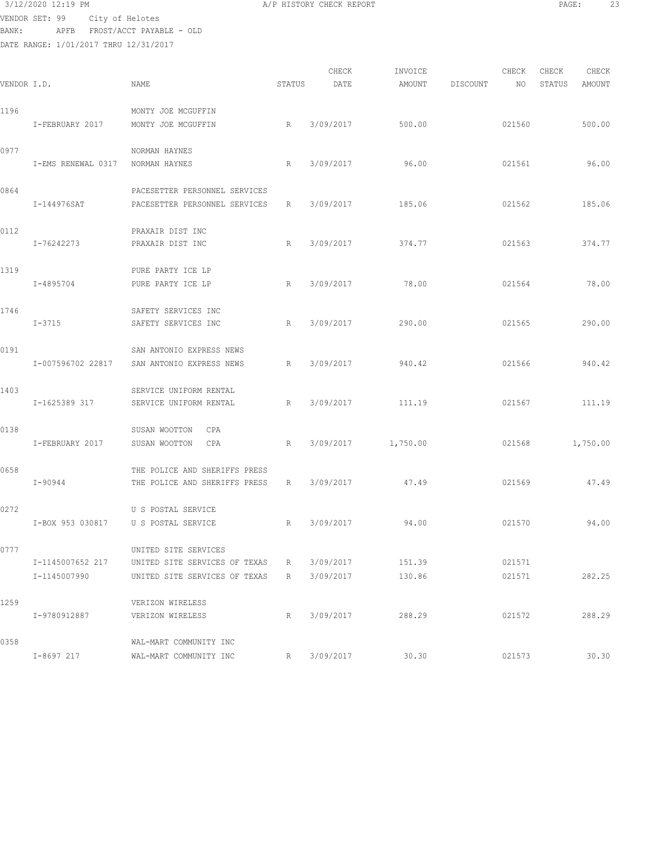# 3/12/2020 12:19 PM A/P HISTORY CHECK REPORT PAGE: 23 VENDOR SET: 99 City of Helotes

BANK: APFB FROST/ACCT PAYABLE - OLD DATE RANGE: 1/01/2017 THRU 12/31/2017

|             |                    |                                                       |        | CHECK     | INVOICE  |          | CHECK  | CHECK  | CHECK    |
|-------------|--------------------|-------------------------------------------------------|--------|-----------|----------|----------|--------|--------|----------|
| VENDOR I.D. |                    | NAME                                                  | STATUS | DATE      | AMOUNT   | DISCOUNT | NO.    | STATUS | AMOUNT   |
| 1196        |                    | MONTY JOE MCGUFFIN                                    |        |           |          |          |        |        |          |
|             | I-FEBRUARY 2017    | MONTY JOE MCGUFFIN                                    | R      | 3/09/2017 | 500.00   |          | 021560 |        | 500.00   |
| 0977        |                    | NORMAN HAYNES                                         |        |           |          |          |        |        |          |
|             | I-EMS RENEWAL 0317 | NORMAN HAYNES                                         | R      | 3/09/2017 | 96.00    |          | 021561 |        | 96.00    |
| 0864        |                    | PACESETTER PERSONNEL SERVICES                         |        |           |          |          |        |        |          |
|             | I-144976SAT        | PACESETTER PERSONNEL SERVICES                         | R      | 3/09/2017 | 185.06   |          | 021562 |        | 185.06   |
|             |                    |                                                       |        |           |          |          |        |        |          |
| 0112        | I-76242273         | PRAXAIR DIST INC<br>PRAXAIR DIST INC                  | R      | 3/09/2017 | 374.77   |          | 021563 |        | 374.77   |
|             |                    |                                                       |        |           |          |          |        |        |          |
| 1319        | I-4895704          | PURE PARTY ICE LP<br>PURE PARTY ICE LP                | R      | 3/09/2017 | 78.00    |          | 021564 |        | 78.00    |
|             |                    |                                                       |        |           |          |          |        |        |          |
| 1746        | $I - 3715$         | SAFETY SERVICES INC<br>SAFETY SERVICES INC            | R      | 3/09/2017 | 290.00   |          | 021565 |        | 290.00   |
|             |                    |                                                       |        |           |          |          |        |        |          |
| 0191        |                    | SAN ANTONIO EXPRESS NEWS                              |        |           |          |          |        |        |          |
|             | I-007596702 22817  | SAN ANTONIO EXPRESS NEWS                              | R      | 3/09/2017 | 940.42   |          | 021566 |        | 940.42   |
| 1403        |                    | SERVICE UNIFORM RENTAL                                |        |           |          |          |        |        |          |
|             | I-1625389 317      | SERVICE UNIFORM RENTAL                                | R      | 3/09/2017 | 111.19   |          | 021567 |        | 111.19   |
| 0138        |                    | SUSAN WOOTTON<br>CPA                                  |        |           |          |          |        |        |          |
|             | I-FEBRUARY 2017    | SUSAN WOOTTON<br>CPA                                  | R      | 3/09/2017 | 1,750.00 |          | 021568 |        | 1,750.00 |
| 0658        |                    | THE POLICE AND SHERIFFS PRESS                         |        |           |          |          |        |        |          |
|             | $I - 90944$        | THE POLICE AND SHERIFFS PRESS                         | R      | 3/09/2017 | 47.49    |          | 021569 |        | 47.49    |
| 0272        |                    | U S POSTAL SERVICE                                    |        |           |          |          |        |        |          |
|             | I-BOX 953 030817   | U S POSTAL SERVICE                                    | R      | 3/09/2017 | 94.00    |          | 021570 |        | 94.00    |
|             |                    |                                                       |        |           |          |          |        |        |          |
| 0777        | I-1145007652 217   | UNITED SITE SERVICES<br>UNITED SITE SERVICES OF TEXAS | R      | 3/09/2017 | 151.39   |          | 021571 |        |          |
|             | I-1145007990       | UNITED SITE SERVICES OF TEXAS                         | R      | 3/09/2017 | 130.86   |          | 021571 |        | 282.25   |
| 1259        |                    | VERIZON WIRELESS                                      |        |           |          |          |        |        |          |
|             | I-9780912887       | VERIZON WIRELESS                                      | R      | 3/09/2017 | 288.29   |          | 021572 |        | 288.29   |
| 0358        |                    | WAL-MART COMMUNITY INC                                |        |           |          |          |        |        |          |
|             | I-8697 217         | WAL-MART COMMUNITY INC                                | R      | 3/09/2017 | 30.30    |          | 021573 |        | 30.30    |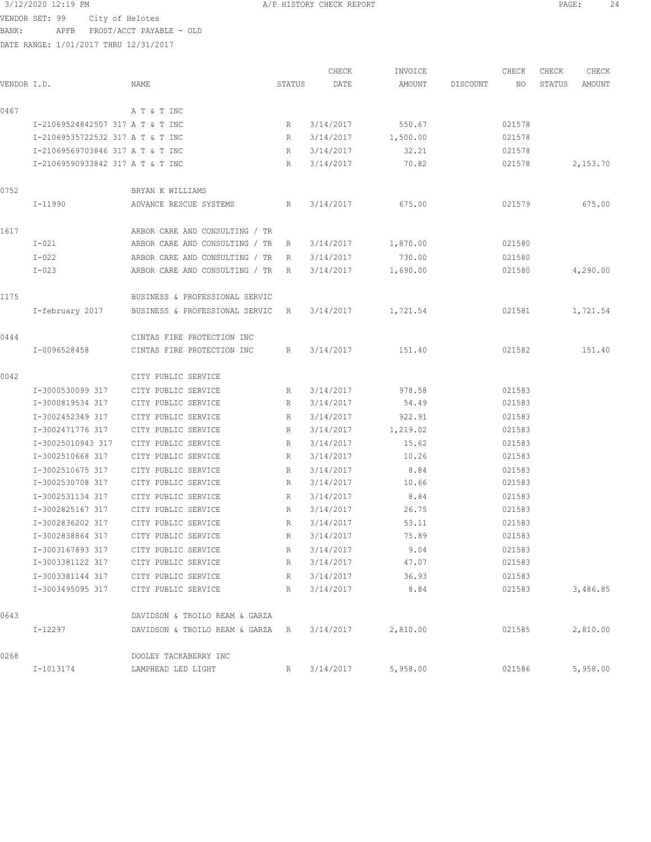VENDOR SET: 99 City of Helotes

BANK: APFB FROST/ACCT PAYABLE - OLD

DATE RANGE: 1/01/2017 THRU 12/31/2017

CHECK INVOICE CHECK CHECK CHECK VENDOR I.D. NAME STATUS DATE AMOUNT DISCOUNT NO STATUS AMOUNT 0467 A T & T INC I-21069524842507 317 A T & T INC R 3/14/2017 550.67 021578 I-21069535722532 317 A T & T INC R 3/14/2017 1,500.00 021578 I-21069569703846 317 A T & T INC R 3/14/2017 32.21 021578 I-21069590933842 317 A T & T INC R 3/14/2017 70.82 021578 2,153.70 0752 BRYAN K WILLIAMS I-11990 ADVANCE RESCUE SYSTEMS R 3/14/2017 675.00 021579 675.00 1617 ARBOR CARE AND CONSULTING / TR I-021 ARBOR CARE AND CONSULTING / TR R 3/14/2017 1,870.00 021580 I-022 ARBOR CARE AND CONSULTING / TR R 3/14/2017 730.00 021580 I-023 ARBOR CARE AND CONSULTING / TR R 3/14/2017 1,690.00 021580 4,290.00 1175 BUSINESS & PROFESSIONAL SERVIC I-february 2017 BUSINESS & PROFESSIONAL SERVIC R 3/14/2017 1,721.54 021581 1,721.54 0444 CINTAS FIRE PROTECTION INC I-0096528458 CINTAS FIRE PROTECTION INC R 3/14/2017 151.40 021582 151.40 0042 CITY PUBLIC SERVICE I-3000530099 317 CITY PUBLIC SERVICE R 3/14/2017 978.58 021583 I-3000819534 317 CITY PUBLIC SERVICE R 3/14/2017 54.49 021583 I-3002452349 317 CITY PUBLIC SERVICE R 3/14/2017 922.91 021583 I-3002471776 317 CITY PUBLIC SERVICE R 3/14/2017 1,219.02 021583 I-30025010943 317 CITY PUBLIC SERVICE R 3/14/2017 15.62 021583 I-3002510668 317 CITY PUBLIC SERVICE R 3/14/2017 10.26 021583 I-3002510675 317 CITY PUBLIC SERVICE R 3/14/2017 8.84 021583 I-3002530708 317 CITY PUBLIC SERVICE R 3/14/2017 10.66 021583 I-3002531134 317 CITY PUBLIC SERVICE R 3/14/2017 8.84 021583 I-3002825167 317 CITY PUBLIC SERVICE R 3/14/2017 26.75 021583 I-3002836202 317 CITY PUBLIC SERVICE R 3/14/2017 53.11 021583 I-3002838864 317 CITY PUBLIC SERVICE R 3/14/2017 75.89 021583 I-3003167893 317 CITY PUBLIC SERVICE R 3/14/2017 9.04 021583 I-3003381122 317 CITY PUBLIC SERVICE R 3/14/2017 47.07 021583 I-3003381144 317 CITY PUBLIC SERVICE R 3/14/2017 36.93 021583 I-3003495095 317 CITY PUBLIC SERVICE R 3/14/2017 8.84 021583 3,486.85 0643 DAVIDSON & TROILO REAM & GARZA I-12297 DAVIDSON & TROILO REAM & GARZA R 3/14/2017 2,810.00 021585 2,810.00 0268 DOOLEY TACKABERRY INC I-1013174 LAMPHEAD LED LIGHT R 3/14/2017 5,958.00 021586 5,958.00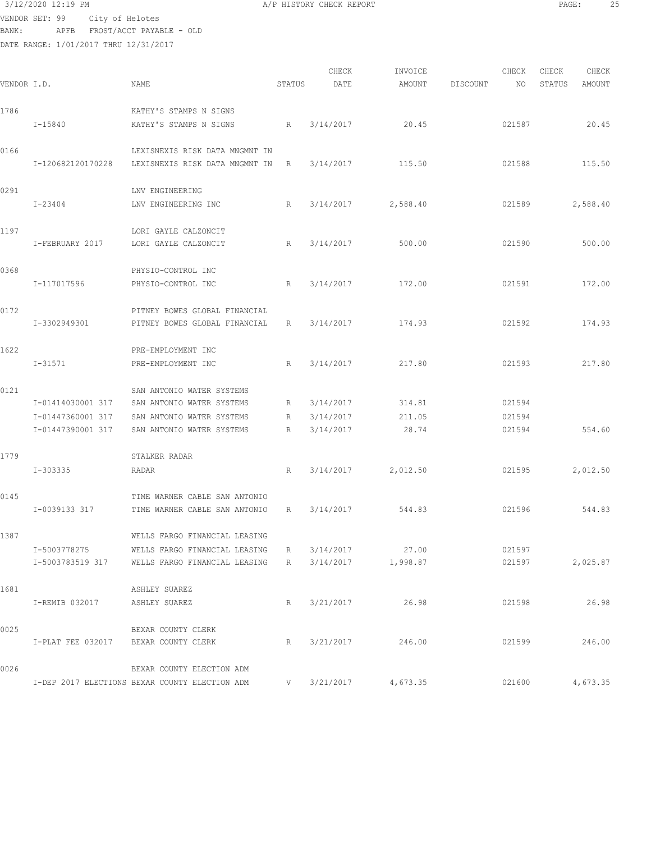## 3/12/2020 12:19 PM A/P HISTORY CHECK REPORT PAGE: 25 VENDOR SET: 99 City of Helotes

BANK: APFB FROST/ACCT PAYABLE - OLD

| VENDOR I.D. |                                      | NAME                                           | STATUS | CHECK<br>DATE | INVOICE<br>AMOUNT  | DISCOUNT | CHECK<br>NO | CHECK<br>STATUS | CHECK<br>AMOUNT |
|-------------|--------------------------------------|------------------------------------------------|--------|---------------|--------------------|----------|-------------|-----------------|-----------------|
| 1786        |                                      | KATHY'S STAMPS N SIGNS                         |        |               |                    |          |             |                 |                 |
|             | $I - 15840$                          | KATHY'S STAMPS N SIGNS                         | R      | 3/14/2017     | 20.45              |          | 021587      |                 | 20.45           |
| 0166        |                                      | LEXISNEXIS RISK DATA MNGMNT IN                 |        |               |                    |          |             |                 |                 |
|             | I-120682120170228                    | LEXISNEXIS RISK DATA MNGMNT IN                 | R      | 3/14/2017     | 115.50             |          | 021588      |                 | 115.50          |
| 0291        |                                      | LNV ENGINEERING                                |        |               |                    |          |             |                 |                 |
|             | I-23404                              | LNV ENGINEERING INC                            | R      | 3/14/2017     | 2,588.40           |          | 021589      |                 | 2,588.40        |
| 1197        |                                      | LORI GAYLE CALZONCIT                           |        |               |                    |          |             |                 |                 |
|             | I-FEBRUARY 2017                      | LORI GAYLE CALZONCIT                           | R      | 3/14/2017     | 500.00             |          | 021590      |                 | 500.00          |
| 0368        |                                      | PHYSIO-CONTROL INC                             |        |               |                    |          |             |                 |                 |
|             | I-117017596                          | PHYSIO-CONTROL INC                             | R      | 3/14/2017     | 172.00             |          | 021591      |                 | 172.00          |
| 0172        |                                      | PITNEY BOWES GLOBAL FINANCIAL                  |        |               |                    |          |             |                 |                 |
|             | I-3302949301                         | PITNEY BOWES GLOBAL FINANCIAL                  | R      | 3/14/2017     | 174.93             |          | 021592      |                 | 174.93          |
| 1622        |                                      | PRE-EMPLOYMENT INC                             |        |               |                    |          |             |                 |                 |
|             | $I - 31571$                          | PRE-EMPLOYMENT INC                             | R      | 3/14/2017     | 217.80             |          | 021593      |                 | 217.80          |
| 0121        |                                      | SAN ANTONIO WATER SYSTEMS                      |        |               |                    |          |             |                 |                 |
|             | I-01414030001 317                    | SAN ANTONIO WATER SYSTEMS                      | R      | 3/14/2017     | 314.81             |          | 021594      |                 |                 |
|             | I-01447360001 317                    | SAN ANTONIO WATER SYSTEMS                      | R      | 3/14/2017     | 211.05             |          | 021594      |                 |                 |
|             | I-01447390001 317                    | SAN ANTONIO WATER SYSTEMS                      | R      | 3/14/2017     | 28.74              |          | 021594      |                 | 554.60          |
| 1779        |                                      | STALKER RADAR                                  |        |               |                    |          |             |                 |                 |
|             | I-303335                             | RADAR                                          | R      | 3/14/2017     | 2,012.50           |          | 021595      |                 | 2,012.50        |
| 0145        |                                      | TIME WARNER CABLE SAN ANTONIO                  |        |               |                    |          |             |                 |                 |
|             | I-0039133 317                        | TIME WARNER CABLE SAN ANTONIO                  | R      | 3/14/2017     | 544.83             |          | 021596      |                 | 544.83          |
| 1387        |                                      | WELLS FARGO FINANCIAL LEASING                  |        |               |                    |          |             |                 |                 |
|             | I-5003778275                         | WELLS FARGO FINANCIAL LEASING                  | R      | 3/14/2017     | 27.00              |          | 021597      |                 |                 |
|             |                                      | I-5003783519 317 WELLS FARGO FINANCIAL LEASING | R      |               | 3/14/2017 1,998.87 |          | 021597      |                 | 2,025.87        |
| 1681        |                                      | ASHLEY SUAREZ                                  |        |               |                    |          |             |                 |                 |
|             | I-REMIB 032017                       | ASHLEY SUAREZ                                  | R      | 3/21/2017     | 26.98              |          | 021598      |                 | 26.98           |
| 0025        |                                      | BEXAR COUNTY CLERK                             |        |               |                    |          |             |                 |                 |
|             | I-PLAT FEE 032017 BEXAR COUNTY CLERK |                                                | R      | 3/21/2017     | 246.00             |          | 021599      |                 | 246.00          |
| 0026        |                                      | BEXAR COUNTY ELECTION ADM                      |        |               |                    |          |             |                 |                 |
|             |                                      | I-DEP 2017 ELECTIONS BEXAR COUNTY ELECTION ADM | V      | 3/21/2017     | 4,673.35           |          | 021600      |                 | 4,673.35        |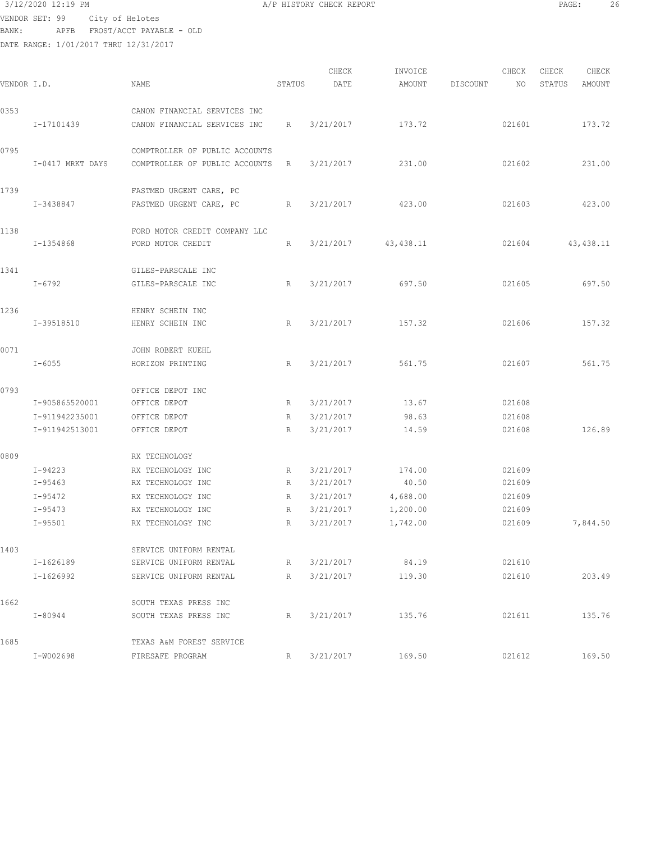$3/12/2020$  12:19 PM  $A/P$  HISTORY CHECK REPORT  $\blacksquare$  PAGE: 26 VENDOR SET: 99 City of Helotes BANK: APFB FROST/ACCT PAYABLE - OLD

| VENDOR I.D. |                                  | NAME                                                             | STATUS | CHECK<br>DATE          | INVOICE<br>AMOUNT | DISCOUNT | CHECK<br>NO      | CHECK<br>STATUS | CHECK<br>AMOUNT |
|-------------|----------------------------------|------------------------------------------------------------------|--------|------------------------|-------------------|----------|------------------|-----------------|-----------------|
| 0353        |                                  | CANON FINANCIAL SERVICES INC                                     |        |                        |                   |          |                  |                 |                 |
|             | I-17101439                       | CANON FINANCIAL SERVICES INC                                     | R      | 3/21/2017              | 173.72            |          | 021601           |                 | 173.72          |
| 0795        | I-0417 MRKT DAYS                 | COMPTROLLER OF PUBLIC ACCOUNTS<br>COMPTROLLER OF PUBLIC ACCOUNTS | R      | 3/21/2017              | 231.00            |          | 021602           |                 | 231.00          |
| 1739        | I-3438847                        | FASTMED URGENT CARE, PC<br>FASTMED URGENT CARE, PC               | R      | 3/21/2017              | 423.00            |          | 021603           |                 | 423.00          |
| 1138        | I-1354868                        | FORD MOTOR CREDIT COMPANY LLC<br>FORD MOTOR CREDIT               | R      | 3/21/2017              | 43, 438.11        |          | 021604           |                 | 43, 438.11      |
| 1341        | I-6792                           | GILES-PARSCALE INC<br>GILES-PARSCALE INC                         | R      | 3/21/2017              | 697.50            |          | 021605           |                 | 697.50          |
| 1236        | I-39518510                       | HENRY SCHEIN INC<br>HENRY SCHEIN INC                             | R      | 3/21/2017              | 157.32            |          | 021606           |                 | 157.32          |
| 0071        | $I - 6055$                       | JOHN ROBERT KUEHL<br>HORIZON PRINTING                            | R      | 3/21/2017              | 561.75            |          | 021607           |                 | 561.75          |
| 0793        |                                  | OFFICE DEPOT INC                                                 |        |                        |                   |          |                  |                 |                 |
|             | I-905865520001                   | OFFICE DEPOT                                                     | R      | 3/21/2017              | 13.67             |          | 021608           |                 |                 |
|             | I-911942235001<br>I-911942513001 | OFFICE DEPOT<br>OFFICE DEPOT                                     | R<br>R | 3/21/2017<br>3/21/2017 | 98.63<br>14.59    |          | 021608<br>021608 |                 | 126.89          |
| 0809        |                                  | RX TECHNOLOGY                                                    |        |                        |                   |          |                  |                 |                 |
|             | I-94223                          | RX TECHNOLOGY INC                                                | R      | 3/21/2017              | 174.00            |          | 021609           |                 |                 |
|             | $I-95463$                        | RX TECHNOLOGY INC                                                | R      | 3/21/2017              | 40.50             |          | 021609           |                 |                 |
|             | I-95472                          | RX TECHNOLOGY INC                                                | R      | 3/21/2017              | 4,688.00          |          | 021609           |                 |                 |
|             | $I-95473$                        | RX TECHNOLOGY INC                                                | R      | 3/21/2017              | 1,200.00          |          | 021609           |                 |                 |
|             | $I - 95501$                      | RX TECHNOLOGY INC                                                | R      | 3/21/2017              | 1,742.00          |          | 021609           |                 | 7,844.50        |
| 1403        |                                  | SERVICE UNIFORM RENTAL                                           |        |                        |                   |          |                  |                 |                 |
|             | I-1626189                        | SERVICE UNIFORM RENTAL                                           | R      |                        | 3/21/2017 84.19   |          | 021610           |                 |                 |
|             | I-1626992                        | SERVICE UNIFORM RENTAL                                           | R      | 3/21/2017              | 119.30            |          | 021610           |                 | 203.49          |
| 1662        |                                  | SOUTH TEXAS PRESS INC                                            |        |                        |                   |          |                  |                 |                 |
|             | I-80944                          | SOUTH TEXAS PRESS INC                                            | R      | 3/21/2017              | 135.76            |          | 021611           |                 | 135.76          |
| 1685        |                                  | TEXAS A&M FOREST SERVICE                                         |        |                        |                   |          |                  |                 |                 |
|             | I-W002698                        | FIRESAFE PROGRAM                                                 | R      | 3/21/2017              | 169.50            |          | 021612           |                 | 169.50          |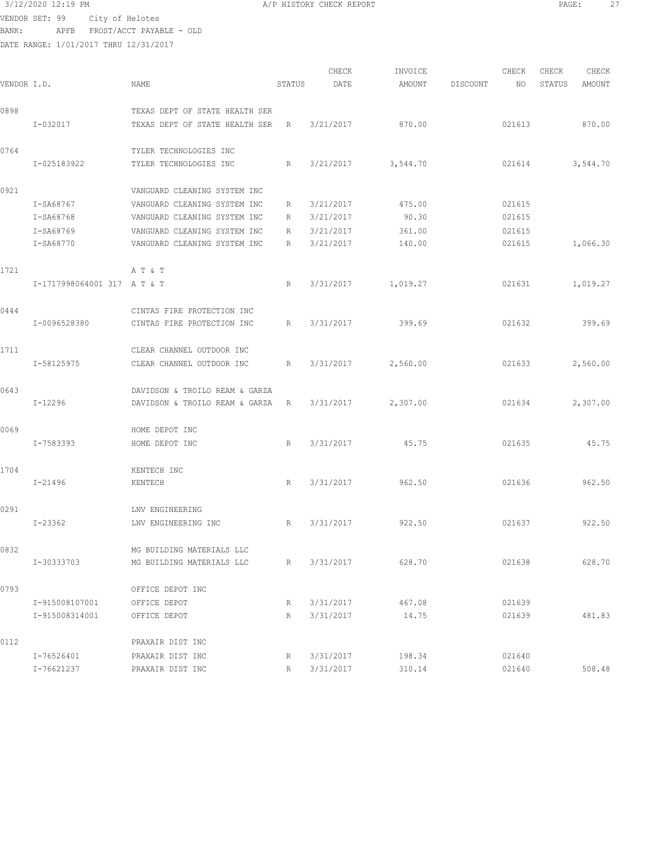## 3/12/2020 12:19 PM **A/P HISTORY CHECK REPORT PAGE:** 27

VENDOR SET: 99 City of Helotes BANK: APFB FROST/ACCT PAYABLE - OLD

DATE RANGE: 1/01/2017 THRU 12/31/2017

|             |                             |                                |             | CHECK     | INVOICE  |          | CHECK  | CHECK  | CHECK    |
|-------------|-----------------------------|--------------------------------|-------------|-----------|----------|----------|--------|--------|----------|
| VENDOR I.D. |                             | NAME                           | STATUS      | DATE      | AMOUNT   | DISCOUNT | NO.    | STATUS | AMOUNT   |
| 0898        |                             | TEXAS DEPT OF STATE HEALTH SER |             |           |          |          |        |        |          |
|             | $I - 032017$                | TEXAS DEPT OF STATE HEALTH SER | R           | 3/21/2017 | 870.00   |          | 021613 |        | 870.00   |
| 0764        |                             | TYLER TECHNOLOGIES INC         |             |           |          |          |        |        |          |
|             | I-025183922                 | TYLER TECHNOLOGIES INC         | R           | 3/21/2017 | 3,544.70 |          | 021614 |        | 3,544.70 |
| 0921        |                             | VANGUARD CLEANING SYSTEM INC   |             |           |          |          |        |        |          |
|             | I-SA68767                   | VANGUARD CLEANING SYSTEM INC   | R           | 3/21/2017 | 475.00   |          | 021615 |        |          |
|             | I-SA68768                   | VANGUARD CLEANING SYSTEM INC   | R           | 3/21/2017 | 90.30    |          | 021615 |        |          |
|             | I-SA68769                   | VANGUARD CLEANING SYSTEM INC   | R           | 3/21/2017 | 361.00   |          | 021615 |        |          |
|             | I-SA68770                   | VANGUARD CLEANING SYSTEM INC   | R           | 3/21/2017 | 140.00   |          | 021615 |        | 1,066.30 |
| 1721        |                             | A T & T                        |             |           |          |          |        |        |          |
|             | I-1717998064001 317 A T & T |                                | R           | 3/31/2017 | 1,019.27 |          | 021631 |        | 1,019.27 |
| 0444        |                             | CINTAS FIRE PROTECTION INC     |             |           |          |          |        |        |          |
|             | I-0096528380                | CINTAS FIRE PROTECTION INC     | R           | 3/31/2017 | 399.69   |          | 021632 |        | 399.69   |
| 1711        |                             | CLEAR CHANNEL OUTDOOR INC      |             |           |          |          |        |        |          |
|             | I-58125975                  | CLEAR CHANNEL OUTDOOR INC      | $R_{\perp}$ | 3/31/2017 | 2,560.00 |          | 021633 |        | 2,560.00 |
| 0643        |                             | DAVIDSON & TROILO REAM & GARZA |             |           |          |          |        |        |          |
|             | $I-12296$                   | DAVIDSON & TROILO REAM & GARZA | R           | 3/31/2017 | 2,307.00 |          | 021634 |        | 2,307.00 |
| 0069        |                             | HOME DEPOT INC                 |             |           |          |          |        |        |          |
|             | I-7583393                   | HOME DEPOT INC                 | R           | 3/31/2017 | 45.75    |          | 021635 |        | 45.75    |
| 1704        |                             | KENTECH INC                    |             |           |          |          |        |        |          |
|             | $I - 21496$                 | KENTECH                        | R           | 3/31/2017 | 962.50   |          | 021636 |        | 962.50   |
| 0291        |                             | LNV ENGINEERING                |             |           |          |          |        |        |          |
|             | I-23362                     | LNV ENGINEERING INC            | R           | 3/31/2017 | 922.50   |          | 021637 |        | 922.50   |
| 0832        |                             | MG BUILDING MATERIALS LLC      |             |           |          |          |        |        |          |
|             | I-30333703                  | MG BUILDING MATERIALS LLC      | R           | 3/31/2017 | 628.70   |          | 021638 |        | 628.70   |
| 0793        |                             | OFFICE DEPOT INC               |             |           |          |          |        |        |          |
|             | I-915008107001              | OFFICE DEPOT                   | R           | 3/31/2017 | 467.08   |          | 021639 |        |          |
|             | I-915008314001              | OFFICE DEPOT                   | R           | 3/31/2017 | 14.75    |          | 021639 |        | 481.83   |
| 0112        |                             | PRAXAIR DIST INC               |             |           |          |          |        |        |          |
|             | I-76526401                  | PRAXAIR DIST INC               | R           | 3/31/2017 | 198.34   |          | 021640 |        |          |

I-76621237 PRAXAIR DIST INC R 3/31/2017 310.14 021640 508.48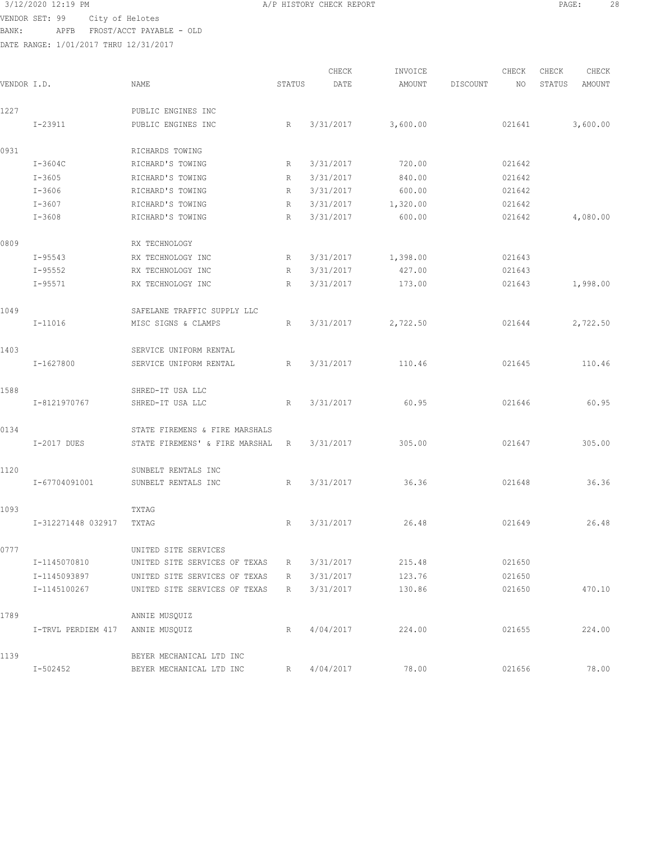$3/12/2020$  12:19 PM  $A/P$  HISTORY CHECK REPORT  $\blacksquare$  PAGE: 28 VENDOR SET: 99 City of Helotes BANK: APFB FROST/ACCT PAYABLE - OLD

| VENDOR I.D. |                    | NAME                           | STATUS | CHECK<br>DATE | INVOICE<br>AMOUNT | DISCOUNT | CHECK<br>NO | CHECK<br>STATUS | CHECK<br><b>AMOUNT</b> |
|-------------|--------------------|--------------------------------|--------|---------------|-------------------|----------|-------------|-----------------|------------------------|
|             |                    |                                |        |               |                   |          |             |                 |                        |
| 1227        |                    | PUBLIC ENGINES INC             |        |               |                   |          |             |                 |                        |
|             | $I - 23911$        | PUBLIC ENGINES INC             | R      | 3/31/2017     | 3,600.00          |          | 021641      |                 | 3,600.00               |
| 0931        |                    | RICHARDS TOWING                |        |               |                   |          |             |                 |                        |
|             | $I-3604C$          | RICHARD'S TOWING               | R      | 3/31/2017     | 720.00            |          | 021642      |                 |                        |
|             | $I - 3605$         | RICHARD'S TOWING               | R      | 3/31/2017     | 840.00            |          | 021642      |                 |                        |
|             | $I - 3606$         | RICHARD'S TOWING               | R      | 3/31/2017     | 600.00            |          | 021642      |                 |                        |
|             | $I - 3607$         | RICHARD'S TOWING               | R      | 3/31/2017     | 1,320.00          |          | 021642      |                 |                        |
|             | $I - 3608$         | RICHARD'S TOWING               | R      | 3/31/2017     | 600.00            |          | 021642      |                 | 4,080.00               |
| 0809        |                    | RX TECHNOLOGY                  |        |               |                   |          |             |                 |                        |
|             | $I-95543$          | RX TECHNOLOGY INC              | R      | 3/31/2017     | 1,398.00          |          | 021643      |                 |                        |
|             | $I - 95552$        | RX TECHNOLOGY INC              | R      | 3/31/2017     | 427.00            |          | 021643      |                 |                        |
|             | $I - 95571$        | RX TECHNOLOGY INC              | R      | 3/31/2017     | 173.00            |          | 021643      |                 | 1,998.00               |
| 1049        |                    | SAFELANE TRAFFIC SUPPLY LLC    |        |               |                   |          |             |                 |                        |
|             | $I-11016$          | MISC SIGNS & CLAMPS            | R      | 3/31/2017     | 2,722.50          |          | 021644      |                 | 2,722.50               |
| 1403        |                    | SERVICE UNIFORM RENTAL         |        |               |                   |          |             |                 |                        |
|             | I-1627800          | SERVICE UNIFORM RENTAL         | R      | 3/31/2017     | 110.46            |          | 021645      |                 | 110.46                 |
| 1588        |                    | SHRED-IT USA LLC               |        |               |                   |          |             |                 |                        |
|             | I-8121970767       | SHRED-IT USA LLC               | R      | 3/31/2017     | 60.95             |          | 021646      |                 | 60.95                  |
| 0134        |                    | STATE FIREMENS & FIRE MARSHALS |        |               |                   |          |             |                 |                        |
|             | I-2017 DUES        | STATE FIREMENS' & FIRE MARSHAL | R      | 3/31/2017     | 305.00            |          | 021647      |                 | 305.00                 |
| 1120        |                    | SUNBELT RENTALS INC            |        |               |                   |          |             |                 |                        |
|             | I-67704091001      | SUNBELT RENTALS INC            | R      | 3/31/2017     | 36.36             |          | 021648      |                 | 36.36                  |
| 1093        |                    | TXTAG                          |        |               |                   |          |             |                 |                        |
|             | I-312271448 032917 | TXTAG                          | R      | 3/31/2017     | 26.48             |          | 021649      |                 | 26.48                  |
| 0777        |                    | UNITED SITE SERVICES           |        |               |                   |          |             |                 |                        |
|             | I-1145070810       | UNITED SITE SERVICES OF TEXAS  | R      | 3/31/2017     | 215.48            |          | 021650      |                 |                        |
|             | I-1145093897       | UNITED SITE SERVICES OF TEXAS  | R      | 3/31/2017     | 123.76            |          | 021650      |                 |                        |
|             | I-1145100267       | UNITED SITE SERVICES OF TEXAS  | R      | 3/31/2017     | 130.86            |          | 021650      |                 | 470.10                 |
| 1789        |                    | ANNIE MUSQUIZ                  |        |               |                   |          |             |                 |                        |
|             | I-TRVL PERDIEM 417 | ANNIE MUSQUIZ                  | R      | 4/04/2017     | 224.00            |          | 021655      |                 | 224.00                 |
| 1139        |                    | BEYER MECHANICAL LTD INC       |        |               |                   |          |             |                 |                        |
|             | $I - 502452$       | BEYER MECHANICAL LTD INC       | R      | 4/04/2017     | 78.00             |          | 021656      |                 | 78.00                  |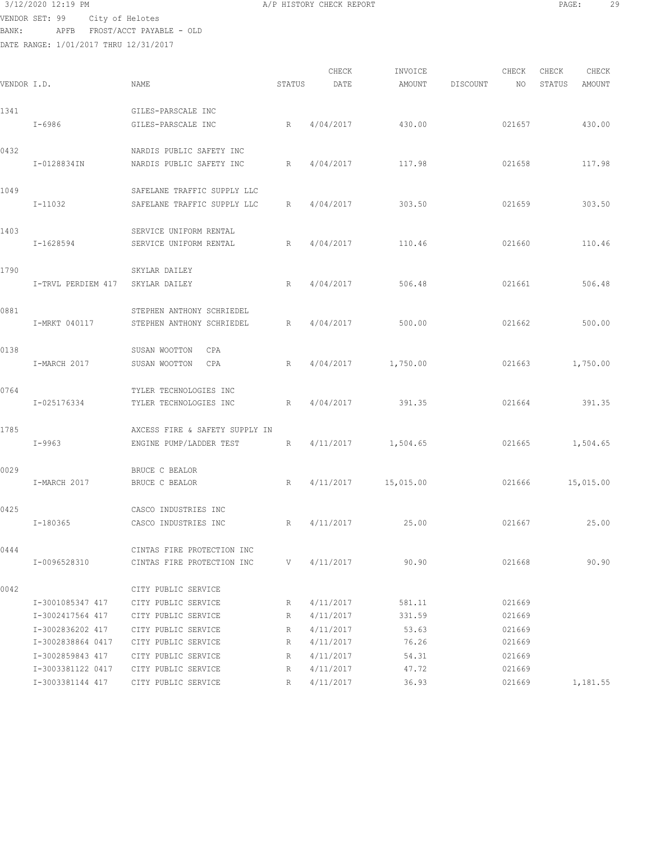$3/12/2020$  12:19 PM  $A/P$  HISTORY CHECK REPORT  $\blacksquare$  PAGE: 29 VENDOR SET: 99 City of Helotes BANK: APFB FROST/ACCT PAYABLE - OLD

|             |                    |                                |        | CHECK     | INVOICE              |          | CHECK  | CHECK  | CHECK         |
|-------------|--------------------|--------------------------------|--------|-----------|----------------------|----------|--------|--------|---------------|
| VENDOR I.D. |                    | NAME                           | STATUS | DATE      | <b>AMOUNT</b>        | DISCOUNT | NO     | STATUS | <b>AMOUNT</b> |
| 1341        |                    | GILES-PARSCALE INC             |        |           |                      |          |        |        |               |
|             | I-6986             | GILES-PARSCALE INC             | R      | 4/04/2017 | 430.00               |          | 021657 |        | 430.00        |
| 0432        |                    | NARDIS PUBLIC SAFETY INC       |        |           |                      |          |        |        |               |
|             | I-0128834IN        | NARDIS PUBLIC SAFETY INC       | R      | 4/04/2017 | 117.98               |          | 021658 |        | 117.98        |
| 1049        |                    | SAFELANE TRAFFIC SUPPLY LLC    |        |           |                      |          |        |        |               |
|             | I-11032            | SAFELANE TRAFFIC SUPPLY LLC    | R      | 4/04/2017 | 303.50               |          | 021659 |        | 303.50        |
| 1403        |                    | SERVICE UNIFORM RENTAL         |        |           |                      |          |        |        |               |
|             | I-1628594          | SERVICE UNIFORM RENTAL         | R      | 4/04/2017 | 110.46               |          | 021660 |        | 110.46        |
| 1790        |                    | SKYLAR DAILEY                  |        |           |                      |          |        |        |               |
|             | I-TRVL PERDIEM 417 | SKYLAR DAILEY                  | R      | 4/04/2017 | 506.48               |          | 021661 |        | 506.48        |
| 0881        |                    | STEPHEN ANTHONY SCHRIEDEL      |        |           |                      |          |        |        |               |
|             | I-MRKT 040117      | STEPHEN ANTHONY SCHRIEDEL      | R      | 4/04/2017 | 500.00               |          | 021662 |        | 500.00        |
| 0138        |                    | SUSAN WOOTTON<br>CPA           |        |           |                      |          |        |        |               |
|             | I-MARCH 2017       | SUSAN WOOTTON<br>CPA           | R      | 4/04/2017 | 1,750.00             |          | 021663 |        | 1,750.00      |
| 0764        |                    | TYLER TECHNOLOGIES INC         |        |           |                      |          |        |        |               |
|             | I-025176334        | TYLER TECHNOLOGIES INC         | R      | 4/04/2017 | 391.35               |          | 021664 |        | 391.35        |
| 1785        |                    | AXCESS FIRE & SAFETY SUPPLY IN |        |           |                      |          |        |        |               |
|             | $I-9963$           | ENGINE PUMP/LADDER TEST        | R      |           | $4/11/2017$ 1,504.65 |          | 021665 |        | 1,504.65      |
| 0029        |                    | BRUCE C BEALOR                 |        |           |                      |          |        |        |               |
|             | I-MARCH 2017       | BRUCE C BEALOR                 | R      |           | 4/11/2017 15,015.00  |          | 021666 |        | 15,015.00     |
| 0425        |                    | CASCO INDUSTRIES INC           |        |           |                      |          |        |        |               |
|             | I-180365           | CASCO INDUSTRIES INC           | R      | 4/11/2017 | 25.00                |          | 021667 |        | 25.00         |
| 0444        |                    | CINTAS FIRE PROTECTION INC     |        |           |                      |          |        |        |               |
|             | I-0096528310       | CINTAS FIRE PROTECTION INC     | V —    | 4/11/2017 | 90.90                |          | 021668 |        | 90.90         |
| 0042        |                    | CITY PUBLIC SERVICE            |        |           |                      |          |        |        |               |
|             | I-3001085347 417   | CITY PUBLIC SERVICE            | R      | 4/11/2017 | 581.11               |          | 021669 |        |               |
|             | I-3002417564 417   | CITY PUBLIC SERVICE            | R      | 4/11/2017 | 331.59               |          | 021669 |        |               |
|             | I-3002836202 417   | CITY PUBLIC SERVICE            | R      | 4/11/2017 | 53.63                |          | 021669 |        |               |
|             | I-3002838864 0417  | CITY PUBLIC SERVICE            | R      | 4/11/2017 | 76.26                |          | 021669 |        |               |
|             | I-3002859843 417   | CITY PUBLIC SERVICE            | R      | 4/11/2017 | 54.31                |          | 021669 |        |               |
|             | I-3003381122 0417  | CITY PUBLIC SERVICE            | R      | 4/11/2017 | 47.72                |          | 021669 |        |               |
|             | I-3003381144 417   | CITY PUBLIC SERVICE            | R      | 4/11/2017 | 36.93                |          | 021669 |        | 1,181.55      |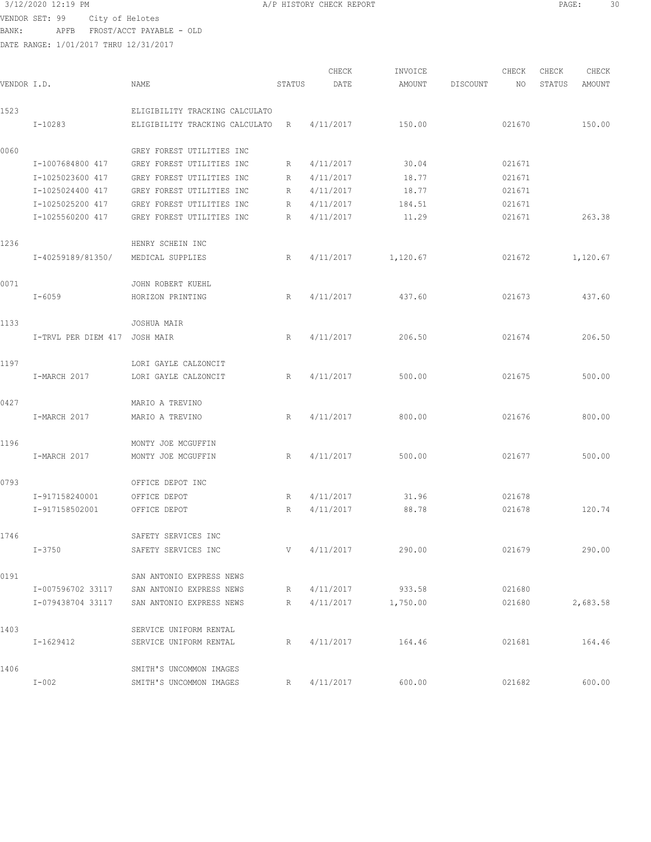VENDOR SET: 99 City of Helotes BANK: APFB FROST/ACCT PAYABLE - OLD

| 3/12/2020 12:19 PM | A/P HISTORY CHECK REPORT | PAGE<br>.3U |
|--------------------|--------------------------|-------------|
|--------------------|--------------------------|-------------|

| VENDOR I.D. |                               | <b>NAME</b>                    | STATUS | CHECK<br>DATE | INVOICE<br>AMOUNT | DISCOUNT | CHECK<br>NO | CHECK<br>STATUS | CHECK<br>AMOUNT |
|-------------|-------------------------------|--------------------------------|--------|---------------|-------------------|----------|-------------|-----------------|-----------------|
| 1523        |                               | ELIGIBILITY TRACKING CALCULATO |        |               |                   |          |             |                 |                 |
|             | I-10283                       | ELIGIBILITY TRACKING CALCULATO | R      | 4/11/2017     | 150.00            |          | 021670      |                 | 150.00          |
| 0060        |                               | GREY FOREST UTILITIES INC      |        |               |                   |          |             |                 |                 |
|             | I-1007684800 417              | GREY FOREST UTILITIES INC      | R      | 4/11/2017     | 30.04             |          | 021671      |                 |                 |
|             | I-1025023600 417              | GREY FOREST UTILITIES INC      | R      | 4/11/2017     | 18.77             |          | 021671      |                 |                 |
|             | I-1025024400 417              | GREY FOREST UTILITIES INC      | R      | 4/11/2017     | 18.77             |          | 021671      |                 |                 |
|             | I-1025025200 417              | GREY FOREST UTILITIES INC      | R      | 4/11/2017     | 184.51            |          | 021671      |                 |                 |
|             | I-1025560200 417              | GREY FOREST UTILITIES INC      | R      | 4/11/2017     | 11.29             |          | 021671      |                 | 263.38          |
| 1236        |                               | HENRY SCHEIN INC               |        |               |                   |          |             |                 |                 |
|             | I-40259189/81350/             | MEDICAL SUPPLIES               | R      | 4/11/2017     | 1,120.67          |          | 021672      |                 | 1,120.67        |
| 0071        |                               | JOHN ROBERT KUEHL              |        |               |                   |          |             |                 |                 |
|             | $I - 6059$                    | HORIZON PRINTING               | R      | 4/11/2017     | 437.60            |          | 021673      |                 | 437.60          |
| 1133        |                               | JOSHUA MAIR                    |        |               |                   |          |             |                 |                 |
|             | I-TRVL PER DIEM 417 JOSH MAIR |                                | R      | 4/11/2017     | 206.50            |          | 021674      |                 | 206.50          |
| 1197        |                               | LORI GAYLE CALZONCIT           |        |               |                   |          |             |                 |                 |
|             | I-MARCH 2017                  | LORI GAYLE CALZONCIT           | R      | 4/11/2017     | 500.00            |          | 021675      |                 | 500.00          |
| 0427        |                               | MARIO A TREVINO                |        |               |                   |          |             |                 |                 |
|             | I-MARCH 2017                  | MARIO A TREVINO                | R      | 4/11/2017     | 800.00            |          | 021676      |                 | 800.00          |
| 1196        |                               | MONTY JOE MCGUFFIN             |        |               |                   |          |             |                 |                 |
|             | I-MARCH 2017                  | MONTY JOE MCGUFFIN             | R      | 4/11/2017     | 500.00            |          | 021677      |                 | 500.00          |
| 0793        |                               | OFFICE DEPOT INC               |        |               |                   |          |             |                 |                 |
|             | I-917158240001                | OFFICE DEPOT                   | R      | 4/11/2017     | 31.96             |          | 021678      |                 |                 |
|             | I-917158502001                | OFFICE DEPOT                   | R      | 4/11/2017     | 88.78             |          | 021678      |                 | 120.74          |
| 1746        |                               | SAFETY SERVICES INC            |        |               |                   |          |             |                 |                 |
|             | $I - 3750$                    | SAFETY SERVICES INC            | V      | 4/11/2017     | 290.00            |          | 021679      |                 | 290.00          |
| 0191        |                               | SAN ANTONIO EXPRESS NEWS       |        |               |                   |          |             |                 |                 |
|             | I-007596702 33117             | SAN ANTONIO EXPRESS NEWS       | R      | 4/11/2017     | 933.58            |          | 021680      |                 |                 |
|             | I-079438704 33117             | SAN ANTONIO EXPRESS NEWS       | R      | 4/11/2017     | 1,750.00          |          | 021680      |                 | 2,683.58        |
| 1403        |                               | SERVICE UNIFORM RENTAL         |        |               |                   |          |             |                 |                 |
|             | I-1629412                     | SERVICE UNIFORM RENTAL         | R      | 4/11/2017     | 164.46            |          | 021681      |                 | 164.46          |
| 1406        |                               | SMITH'S UNCOMMON IMAGES        |        |               |                   |          |             |                 |                 |
|             | $I-002$                       | SMITH'S UNCOMMON IMAGES        |        | R 4/11/2017   | 600.00            |          | 021682      |                 | 600.00          |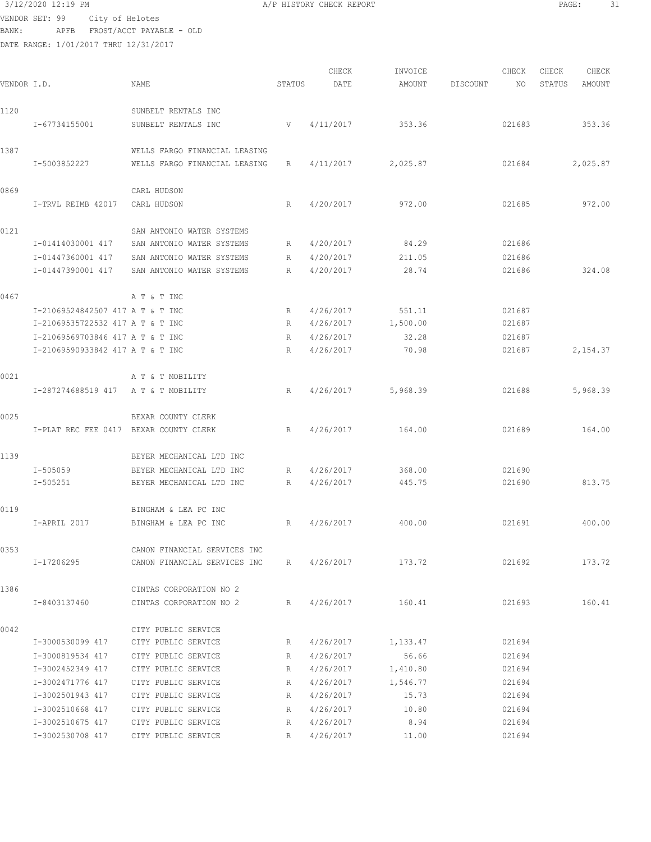## 3/12/2020 12:19 PM **A/P HISTORY CHECK REPORT PAGE:** 31 VENDOR SET: 99 City of Helotes

BANK: APFB FROST/ACCT PAYABLE - OLD

|             |                                        |                               |        | CHECK     | INVOICE            |          | CHECK  | CHECK  | CHECK    |
|-------------|----------------------------------------|-------------------------------|--------|-----------|--------------------|----------|--------|--------|----------|
| VENDOR I.D. |                                        | NAME                          | STATUS | DATE      | AMOUNT             | DISCOUNT | ΝO     | STATUS | AMOUNT   |
| 1120        |                                        | SUNBELT RENTALS INC           |        |           |                    |          |        |        |          |
|             |                                        |                               |        |           |                    |          |        |        |          |
|             | I-67734155001                          | SUNBELT RENTALS INC           | V      | 4/11/2017 | 353.36             |          | 021683 |        | 353.36   |
| 1387        |                                        | WELLS FARGO FINANCIAL LEASING |        |           |                    |          |        |        |          |
|             | I-5003852227                           | WELLS FARGO FINANCIAL LEASING | R      | 4/11/2017 | 2,025.87           |          | 021684 |        | 2,025.87 |
| 0869        |                                        | CARL HUDSON                   |        |           |                    |          |        |        |          |
|             | I-TRVL REIMB 42017                     | CARL HUDSON                   | R      | 4/20/2017 | 972.00             |          | 021685 |        | 972.00   |
|             |                                        |                               |        |           |                    |          |        |        |          |
| 0121        |                                        | SAN ANTONIO WATER SYSTEMS     |        |           |                    |          |        |        |          |
|             | I-01414030001 417                      | SAN ANTONIO WATER SYSTEMS     | R      | 4/20/2017 | 84.29              |          | 021686 |        |          |
|             | I-01447360001 417                      | SAN ANTONIO WATER SYSTEMS     | R      | 4/20/2017 | 211.05             |          | 021686 |        |          |
|             | I-01447390001 417                      | SAN ANTONIO WATER SYSTEMS     | R      | 4/20/2017 | 28.74              |          | 021686 |        | 324.08   |
| 0467        |                                        | A T & T INC                   |        |           |                    |          |        |        |          |
|             | I-21069524842507 417 A T & T INC       |                               | R      | 4/26/2017 | 551.11             |          | 021687 |        |          |
|             | I-21069535722532 417 A T & T INC       |                               | R      | 4/26/2017 | 1,500.00           |          | 021687 |        |          |
|             | I-21069569703846 417 A T & T INC       |                               | R      | 4/26/2017 | 32.28              |          | 021687 |        |          |
|             | I-21069590933842 417 A T & T INC       |                               | R      | 4/26/2017 | 70.98              |          | 021687 |        | 2,154.37 |
|             |                                        |                               |        |           |                    |          |        |        |          |
| 0021        |                                        | A T & T MOBILITY              |        |           |                    |          |        |        |          |
|             | I-287274688519 417 A T & T MOBILITY    |                               | R      | 4/26/2017 | 5,968.39           |          | 021688 |        | 5,968.39 |
| 0025        |                                        | BEXAR COUNTY CLERK            |        |           |                    |          |        |        |          |
|             | I-PLAT REC FEE 0417 BEXAR COUNTY CLERK |                               | R      | 4/26/2017 | 164.00             |          | 021689 |        | 164.00   |
| 1139        |                                        | BEYER MECHANICAL LTD INC      |        |           |                    |          |        |        |          |
|             | I-505059                               | BEYER MECHANICAL LTD INC      | R      | 4/26/2017 | 368.00             |          | 021690 |        |          |
|             | I-505251                               | BEYER MECHANICAL LTD INC      | R      | 4/26/2017 | 445.75             |          | 021690 |        | 813.75   |
|             |                                        |                               |        |           |                    |          |        |        |          |
| 0119        |                                        | BINGHAM & LEA PC INC          |        |           |                    |          |        |        |          |
|             | I-APRIL 2017                           | BINGHAM & LEA PC INC          | R      | 4/26/2017 | 400.00             |          | 021691 |        | 400.00   |
| 0353        |                                        | CANON FINANCIAL SERVICES INC  |        |           |                    |          |        |        |          |
|             | I-17206295                             | CANON FINANCIAL SERVICES INC  |        |           | R 4/26/2017 173.72 |          | 021692 |        | 173.72   |
|             |                                        |                               |        |           |                    |          |        |        |          |
| 1386        |                                        | CINTAS CORPORATION NO 2       |        |           |                    |          |        |        |          |
|             | I-8403137460                           | CINTAS CORPORATION NO 2       |        |           | R 4/26/2017 160.41 |          | 021693 |        | 160.41   |
| 0042        |                                        | CITY PUBLIC SERVICE           |        |           |                    |          |        |        |          |
|             | I-3000530099 417                       | CITY PUBLIC SERVICE           | R      | 4/26/2017 | 1,133.47           |          | 021694 |        |          |
|             | I-3000819534 417                       | CITY PUBLIC SERVICE           | R      | 4/26/2017 | 56.66              |          | 021694 |        |          |
|             | I-3002452349 417                       | CITY PUBLIC SERVICE           | R      | 4/26/2017 | 1,410.80           |          | 021694 |        |          |
|             | I-3002471776 417                       | CITY PUBLIC SERVICE           | R      | 4/26/2017 | 1,546.77           |          | 021694 |        |          |
|             | I-3002501943 417                       | CITY PUBLIC SERVICE           | R      | 4/26/2017 | 15.73              |          | 021694 |        |          |
|             | I-3002510668 417                       | CITY PUBLIC SERVICE           | R      | 4/26/2017 | 10.80              |          | 021694 |        |          |
|             | I-3002510675 417                       | CITY PUBLIC SERVICE           | R      | 4/26/2017 | 8.94               |          | 021694 |        |          |
|             | I-3002530708 417                       | CITY PUBLIC SERVICE           | R      | 4/26/2017 | 11.00              |          | 021694 |        |          |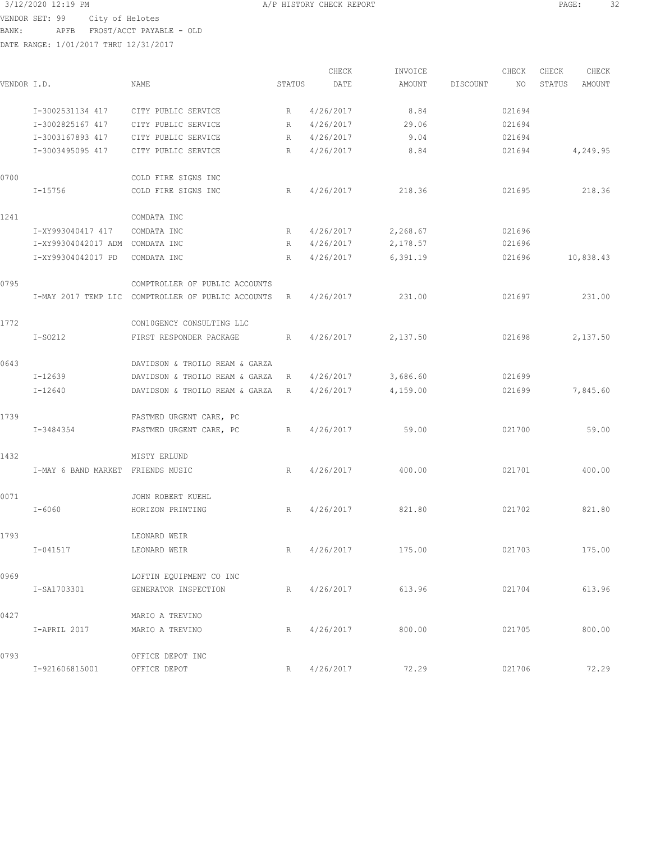3/12/2020 12:19 PM A/P HISTORY CHECK REPORT PAGE: 32 VENDOR SET: 99 City of Helotes BANK: APFB FROST/ACCT PAYABLE - OLD

| VENDOR I.D. |                                   | NAME                                               | STATUS | CHECK<br>DATE | INVOICE<br>AMOUNT | DISCOUNT | CHECK<br>ΝO | CHECK<br>STATUS | CHECK<br>AMOUNT |
|-------------|-----------------------------------|----------------------------------------------------|--------|---------------|-------------------|----------|-------------|-----------------|-----------------|
|             |                                   |                                                    |        |               |                   |          |             |                 |                 |
|             | I-3002531134 417                  | CITY PUBLIC SERVICE                                | R      | 4/26/2017     | 8.84              |          | 021694      |                 |                 |
|             | I-3002825167 417                  | CITY PUBLIC SERVICE                                | R      | 4/26/2017     | 29.06             |          | 021694      |                 |                 |
|             | I-3003167893 417                  | CITY PUBLIC SERVICE                                | R      | 4/26/2017     | 9.04              |          | 021694      |                 |                 |
|             | I-3003495095 417                  | CITY PUBLIC SERVICE                                | R      | 4/26/2017     | 8.84              |          | 021694      |                 | 4,249.95        |
| 0700        |                                   | COLD FIRE SIGNS INC                                |        |               |                   |          |             |                 |                 |
|             | $I - 15756$                       | COLD FIRE SIGNS INC                                | R      | 4/26/2017     | 218.36            |          | 021695      |                 | 218.36          |
| 1241        |                                   | COMDATA INC                                        |        |               |                   |          |             |                 |                 |
|             | I-XY993040417 417                 | COMDATA INC                                        | R      | 4/26/2017     | 2,268.67          |          | 021696      |                 |                 |
|             | I-XY99304042017 ADM               | COMDATA INC                                        | R      | 4/26/2017     | 2,178.57          |          | 021696      |                 |                 |
|             | I-XY99304042017 PD                | COMDATA INC                                        | R      | 4/26/2017     | 6,391.19          |          | 021696      |                 | 10,838.43       |
| 0795        |                                   | COMPTROLLER OF PUBLIC ACCOUNTS                     |        |               |                   |          |             |                 |                 |
|             |                                   | I-MAY 2017 TEMP LIC COMPTROLLER OF PUBLIC ACCOUNTS | R      | 4/26/2017     | 231.00            |          | 021697      |                 | 231.00          |
| 1772        |                                   | CON10GENCY CONSULTING LLC                          |        |               |                   |          |             |                 |                 |
|             | $I-SO212$                         | FIRST RESPONDER PACKAGE                            | R      | 4/26/2017     | 2,137.50          |          | 021698      |                 | 2,137.50        |
| 0643        |                                   | DAVIDSON & TROILO REAM & GARZA                     |        |               |                   |          |             |                 |                 |
|             | $I-12639$                         | DAVIDSON & TROILO REAM & GARZA                     | R      | 4/26/2017     | 3,686.60          |          | 021699      |                 |                 |
|             | $I - 12640$                       | DAVIDSON & TROILO REAM & GARZA                     | R      | 4/26/2017     | 4,159.00          |          | 021699      |                 | 7,845.60        |
| 1739        |                                   | FASTMED URGENT CARE, PC                            |        |               |                   |          |             |                 |                 |
|             | I-3484354                         | FASTMED URGENT CARE, PC                            | R      | 4/26/2017     | 59.00             |          | 021700      |                 | 59.00           |
| 1432        |                                   | MISTY ERLUND                                       |        |               |                   |          |             |                 |                 |
|             | I-MAY 6 BAND MARKET FRIENDS MUSIC |                                                    | R      | 4/26/2017     | 400.00            |          | 021701      |                 | 400.00          |
| 0071        |                                   | JOHN ROBERT KUEHL                                  |        |               |                   |          |             |                 |                 |
|             | $I - 6060$                        | HORIZON PRINTING                                   | R      | 4/26/2017     | 821.80            |          | 021702      |                 | 821.80          |
| 1793        |                                   | LEONARD WEIR                                       |        |               |                   |          |             |                 |                 |
|             | $I - 041517$                      | LEONARD WEIR                                       | R      | 4/26/2017     | 175.00            |          | 021703      |                 | 175.00          |
| 0969        |                                   | LOFTIN EQUIPMENT CO INC                            |        |               |                   |          |             |                 |                 |
|             | I-SA1703301                       | GENERATOR INSPECTION                               | R      | 4/26/2017     | 613.96            |          | 021704      |                 | 613.96          |
| 0427        |                                   | MARIO A TREVINO                                    |        |               |                   |          |             |                 |                 |
|             | I-APRIL 2017                      | MARIO A TREVINO                                    | R      | 4/26/2017     | 800.00            |          | 021705      |                 | 800.00          |
| 0793        |                                   | OFFICE DEPOT INC                                   |        |               |                   |          |             |                 |                 |
|             | I-921606815001                    | OFFICE DEPOT                                       | R      | 4/26/2017     | 72.29             |          | 021706      |                 | 72.29           |
|             |                                   |                                                    |        |               |                   |          |             |                 |                 |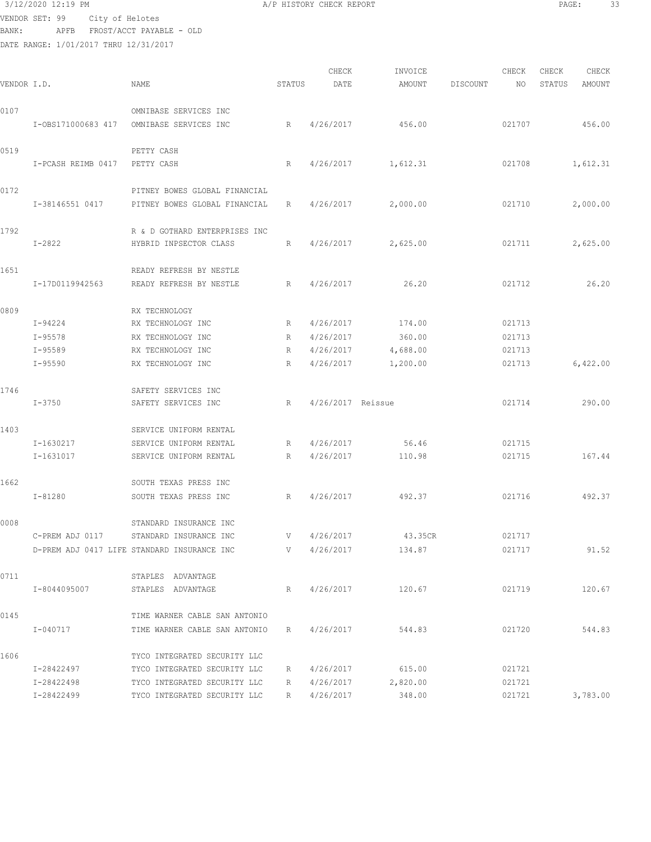## 3/12/2020 12:19 PM **A/P HISTORY CHECK REPORT PAGE:** 33 VENDOR SET: 99 City of Helotes BANK: APFB FROST/ACCT PAYABLE - OLD

DATE RANGE: 1/01/2017 THRU 12/31/2017

CHECK INVOICE CHECK CHECK CHECK<br>DATE AMOUNT DISCOUNT NO STATUS AMOUNT VENDOR I.D. NAME STATUS DATE AMOUNT DISCOUNT NO STATUS AMOUNT 0107 OMNIBASE SERVICES INC I-OBS171000683 417 OMNIBASE SERVICES INC R 4/26/2017 456.00 021707 456.00 0519 PETTY CASH I-PCASH REIMB 0417 PETTY CASH R 4/26/2017 1,612.31 021708 1,612.31 0172 **PITNEY BOWES GLOBAL FINANCIAL**  I-38146551 0417 PITNEY BOWES GLOBAL FINANCIAL R 4/26/2017 2,000.00 021710 2,000.00 1792 R & D GOTHARD ENTERPRISES INC I-2822 HYBRID INPSECTOR CLASS R 4/26/2017 2,625.00 021711 2,625.00 1651 READY REFRESH BY NESTLE I-17D0119942563 READY REFRESH BY NESTLE R 4/26/2017 26.20 021712 26.20 0809 RX TECHNOLOGY I-94224 RX TECHNOLOGY INC R 4/26/2017 174.00 021713 I-95578 RX TECHNOLOGY INC R 4/26/2017 360.00 021713 I-95589 RX TECHNOLOGY INC R 4/26/2017 4,688.00 021713 I-95590 RX TECHNOLOGY INC R 4/26/2017 1,200.00 021713 6,422.00 1746 SAFETY SERVICES INC I-3750 SAFETY SERVICES INC R 4/26/2017 Reissue 021714 290.00 1403 SERVICE UNIFORM RENTAL I-1630217 SERVICE UNIFORM RENTAL R 4/26/2017 56.46 021715 I-1631017 SERVICE UNIFORM RENTAL R 4/26/2017 110.98 021715 167.44 1662 SOUTH TEXAS PRESS INC I-81280 SOUTH TEXAS PRESS INC R 4/26/2017 492.37 021716 492.37 0008 STANDARD INSURANCE INC C-PREM ADJ 0117 STANDARD INSURANCE INC V 4/26/2017 43.35CR 021717 D-PREM ADJ 0417 LIFE STANDARD INSURANCE INC V 4/26/2017 134.87 021717 91.52 0711 STAPLES ADVANTAGE I-8044095007 STAPLES ADVANTAGE R 4/26/2017 120.67 021719 120.67 0145 TIME WARNER CABLE SAN ANTONIO I-040717 TIME WARNER CABLE SAN ANTONIO R 4/26/2017 544.83 021720 544.83 1606 TYCO INTEGRATED SECURITY LLC I-28422497 TYCO INTEGRATED SECURITY LLC R 4/26/2017 615.00 021721 I-28422498 TYCO INTEGRATED SECURITY LLC R 4/26/2017 2,820.00 021721 I-28422499 TYCO INTEGRATED SECURITY LLC R 4/26/2017 348.00 021721 3,783.00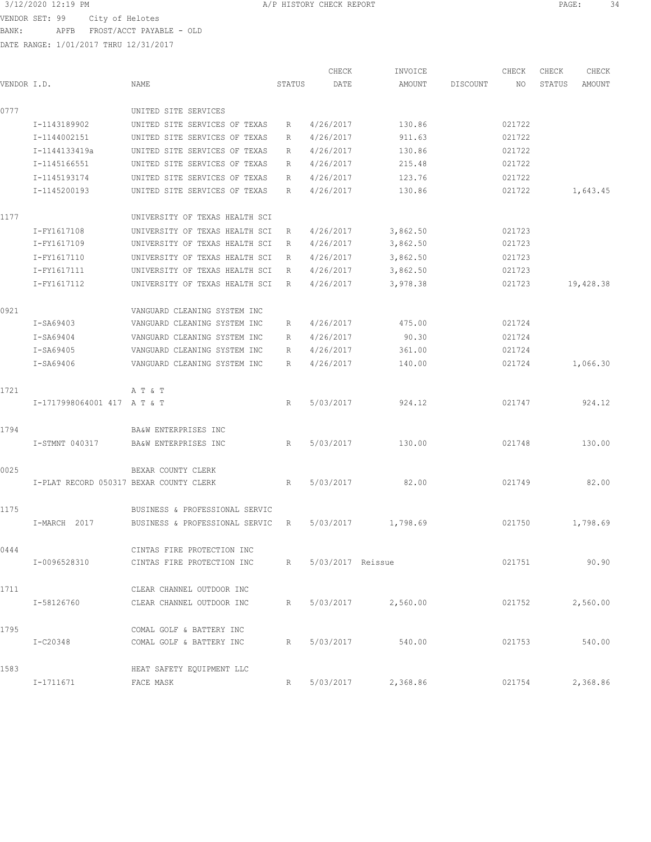3/12/2020 12:19 PM A/P HISTORY CHECK REPORT PAGE: 34 VENDOR SET: 99 City of Helotes

BANK: APFB FROST/ACCT PAYABLE - OLD

|             |                                         |                                |        | CHECK               | INVOICE            |          | CHECK  | CHECK  | CHECK     |
|-------------|-----------------------------------------|--------------------------------|--------|---------------------|--------------------|----------|--------|--------|-----------|
| VENDOR I.D. |                                         | NAME                           | STATUS | DATE                | AMOUNT             | DISCOUNT | NO     | STATUS | AMOUNT    |
| 0777        |                                         | UNITED SITE SERVICES           |        |                     |                    |          |        |        |           |
|             | I-1143189902                            | UNITED SITE SERVICES OF TEXAS  | R      | 4/26/2017           | 130.86             |          | 021722 |        |           |
|             | I-1144002151                            | UNITED SITE SERVICES OF TEXAS  | R      | 4/26/2017           | 911.63             |          | 021722 |        |           |
|             | I-1144133419a                           | UNITED SITE SERVICES OF TEXAS  | R      | 4/26/2017           | 130.86             |          | 021722 |        |           |
|             | I-1145166551                            | UNITED SITE SERVICES OF TEXAS  | R      | 4/26/2017           | 215.48             |          | 021722 |        |           |
|             | I-1145193174                            | UNITED SITE SERVICES OF TEXAS  | R      | 4/26/2017           | 123.76             |          | 021722 |        |           |
|             | I-1145200193                            | UNITED SITE SERVICES OF TEXAS  | R      | 4/26/2017           | 130.86             |          | 021722 |        | 1,643.45  |
| 1177        |                                         | UNIVERSITY OF TEXAS HEALTH SCI |        |                     |                    |          |        |        |           |
|             | I-FY1617108                             | UNIVERSITY OF TEXAS HEALTH SCI | R      | 4/26/2017           | 3,862.50           |          | 021723 |        |           |
|             | I-FY1617109                             | UNIVERSITY OF TEXAS HEALTH SCI | R      | 4/26/2017           | 3,862.50           |          | 021723 |        |           |
|             | I-FY1617110                             | UNIVERSITY OF TEXAS HEALTH SCI | R      | 4/26/2017           | 3,862.50           |          | 021723 |        |           |
|             | I-FY1617111                             | UNIVERSITY OF TEXAS HEALTH SCI | R      | 4/26/2017           | 3,862.50           |          | 021723 |        |           |
|             | I-FY1617112                             | UNIVERSITY OF TEXAS HEALTH SCI | R      | 4/26/2017           | 3,978.38           |          | 021723 |        | 19,428.38 |
| 0921        |                                         | VANGUARD CLEANING SYSTEM INC   |        |                     |                    |          |        |        |           |
|             | $I-SA69403$                             | VANGUARD CLEANING SYSTEM INC   | R      | 4/26/2017           | 475.00             |          | 021724 |        |           |
|             | I-SA69404                               | VANGUARD CLEANING SYSTEM INC   | R      | 4/26/2017           | 90.30              |          | 021724 |        |           |
|             | I-SA69405                               | VANGUARD CLEANING SYSTEM INC   | R      | 4/26/2017           | 361.00             |          | 021724 |        |           |
|             | I-SA69406                               | VANGUARD CLEANING SYSTEM INC   | R      | 4/26/2017           | 140.00             |          | 021724 |        | 1,066.30  |
| 1721        |                                         | A T & T                        |        |                     |                    |          |        |        |           |
|             | I-1717998064001 417 AT & T              |                                | R      | 5/03/2017           | 924.12             |          | 021747 |        | 924.12    |
| 1794        |                                         | BA&W ENTERPRISES INC           |        |                     |                    |          |        |        |           |
|             | I-STMNT 040317                          | BA&W ENTERPRISES INC           | R      | 5/03/2017           | 130.00             |          | 021748 |        | 130.00    |
| 0025        |                                         | BEXAR COUNTY CLERK             |        |                     |                    |          |        |        |           |
|             | I-PLAT RECORD 050317 BEXAR COUNTY CLERK |                                | R      | 5/03/2017           | 82.00              |          | 021749 |        | 82.00     |
| 1175        |                                         | BUSINESS & PROFESSIONAL SERVIC |        |                     |                    |          |        |        |           |
|             | I-MARCH 2017                            | BUSINESS & PROFESSIONAL SERVIC | R      | 5/03/2017           | 1,798.69           |          | 021750 |        | 1,798.69  |
| 0444        |                                         | CINTAS FIRE PROTECTION INC     |        |                     |                    |          |        |        |           |
|             | I-0096528310                            | CINTAS FIRE PROTECTION INC     |        | R 5/03/2017 Reissue |                    |          | 021751 |        | 90.90     |
| 1711        |                                         | CLEAR CHANNEL OUTDOOR INC      |        |                     |                    |          |        |        |           |
|             | I-58126760                              | CLEAR CHANNEL OUTDOOR INC      | R      |                     | 5/03/2017 2,560.00 |          | 021752 |        | 2,560.00  |
| 1795        |                                         | COMAL GOLF & BATTERY INC       |        |                     |                    |          |        |        |           |
|             | I-C20348                                | COMAL GOLF & BATTERY INC       | R      | 5/03/2017           | 540.00             |          | 021753 |        | 540.00    |
| 1583        |                                         | HEAT SAFETY EQUIPMENT LLC      |        |                     |                    |          |        |        |           |
|             | I-1711671                               | FACE MASK                      | R      | 5/03/2017           | 2,368.86           |          | 021754 |        | 2,368.86  |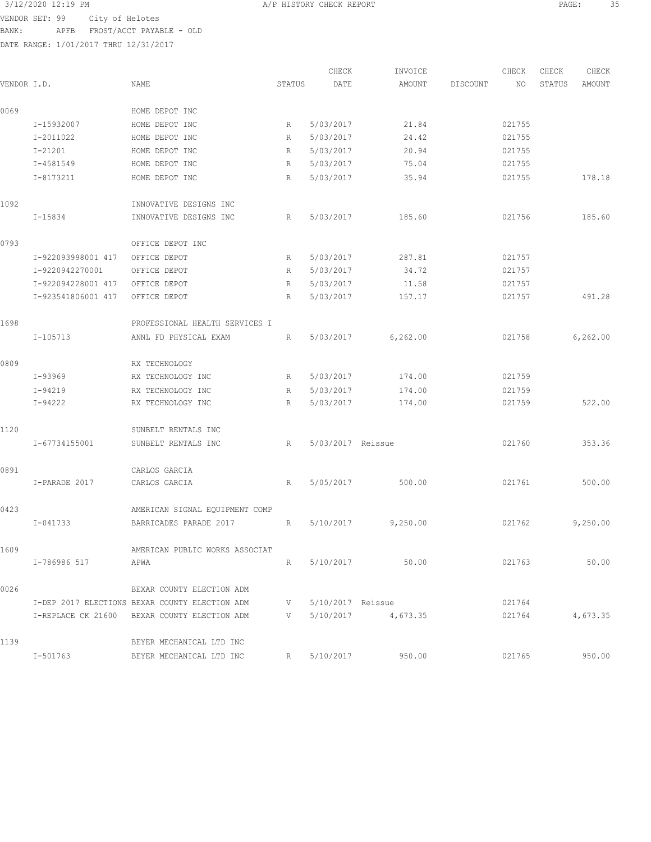3/12/2020 12:19 PM A/P HISTORY CHECK REPORT PAGE: 35 VENDOR SET: 99 City of Helotes BANK: APFB FROST/ACCT PAYABLE - OLD

| VENDOR I.D. |                    | NAME                                           | STATUS                                                                      | CHECK<br>DATE          | INVOICE<br>AMOUNT    | DISCOUNT | CHECK<br>NO | CHECK<br>STATUS | CHECK<br>AMOUNT |
|-------------|--------------------|------------------------------------------------|-----------------------------------------------------------------------------|------------------------|----------------------|----------|-------------|-----------------|-----------------|
| 0069        |                    | HOME DEPOT INC                                 |                                                                             |                        |                      |          |             |                 |                 |
|             | I-15932007         |                                                |                                                                             |                        | 21.84                |          | 021755      |                 |                 |
|             | I-2011022          | HOME DEPOT INC<br>HOME DEPOT INC               | R<br>R                                                                      | 5/03/2017<br>5/03/2017 | 24.42                |          | 021755      |                 |                 |
|             | $I - 21201$        |                                                |                                                                             |                        | 20.94                |          |             |                 |                 |
|             | I-4581549          | HOME DEPOT INC<br>HOME DEPOT INC               | R                                                                           | 5/03/2017              | 75.04                |          | 021755      |                 |                 |
|             |                    |                                                | R                                                                           | 5/03/2017              |                      |          | 021755      |                 |                 |
|             | I-8173211          | HOME DEPOT INC                                 | R                                                                           | 5/03/2017              | 35.94                |          | 021755      |                 | 178.18          |
| 1092        |                    | INNOVATIVE DESIGNS INC                         |                                                                             |                        |                      |          |             |                 |                 |
|             | I-15834            | INNOVATIVE DESIGNS INC                         | R                                                                           | 5/03/2017              | 185.60               |          | 021756      |                 | 185.60          |
| 0793        |                    | OFFICE DEPOT INC                               |                                                                             |                        |                      |          |             |                 |                 |
|             | I-922093998001 417 | OFFICE DEPOT                                   | R                                                                           | 5/03/2017              | 287.81               |          | 021757      |                 |                 |
|             | I-9220942270001    | OFFICE DEPOT                                   | R                                                                           | 5/03/2017              | 34.72                |          | 021757      |                 |                 |
|             | I-922094228001 417 | OFFICE DEPOT                                   | R                                                                           | 5/03/2017              | 11.58                |          | 021757      |                 |                 |
|             | I-923541806001 417 | OFFICE DEPOT                                   | R                                                                           | 5/03/2017              | 157.17               |          | 021757      |                 | 491.28          |
| 1698        |                    | PROFESSIONAL HEALTH SERVICES I                 |                                                                             |                        |                      |          |             |                 |                 |
|             | I-105713           | ANNL FD PHYSICAL EXAM                          | R                                                                           | 5/03/2017              | 6, 262.00            |          | 021758      |                 | 6,262.00        |
| 0809        |                    | RX TECHNOLOGY                                  |                                                                             |                        |                      |          |             |                 |                 |
|             | I-93969            | RX TECHNOLOGY INC                              | R                                                                           | 5/03/2017              | 174.00               |          | 021759      |                 |                 |
|             | I-94219            | RX TECHNOLOGY INC                              | R                                                                           | 5/03/2017              | 174.00               |          | 021759      |                 |                 |
|             | $I-94222$          | RX TECHNOLOGY INC                              | R                                                                           | 5/03/2017              | 174.00               |          | 021759      |                 | 522.00          |
| 1120        |                    | SUNBELT RENTALS INC                            |                                                                             |                        |                      |          |             |                 |                 |
|             | I-67734155001      | SUNBELT RENTALS INC                            | R                                                                           | 5/03/2017 Reissue      |                      |          | 021760      |                 | 353.36          |
| 0891        |                    | CARLOS GARCIA                                  |                                                                             |                        |                      |          |             |                 |                 |
|             | I-PARADE 2017      | CARLOS GARCIA                                  | R                                                                           | 5/05/2017              | 500.00               |          | 021761      |                 | 500.00          |
| 0423        |                    | AMERICAN SIGNAL EQUIPMENT COMP                 |                                                                             |                        |                      |          |             |                 |                 |
|             | I-041733           | BARRICADES PARADE 2017                         | R                                                                           | 5/10/2017              | 9,250.00             |          | 021762      |                 | 9,250.00        |
| 1609        |                    | AMERICAN PUBLIC WORKS ASSOCIAT                 |                                                                             |                        |                      |          |             |                 |                 |
|             | I-786986 517       | APWA                                           |                                                                             | R 5/10/2017            | 50.00                |          | 021763      |                 | 50.00           |
| 0026        |                    | BEXAR COUNTY ELECTION ADM                      |                                                                             |                        |                      |          |             |                 |                 |
|             |                    | I-DEP 2017 ELECTIONS BEXAR COUNTY ELECTION ADM | V —                                                                         | 5/10/2017 Reissue      |                      |          | 021764      |                 |                 |
|             |                    | I-REPLACE CK 21600 BEXAR COUNTY ELECTION ADM   | $\mathbf V$ and $\mathbf V$ and $\mathbf V$ and $\mathbf V$ and $\mathbf V$ |                        | $5/10/2017$ 4,673.35 |          | 021764      |                 | 4,673.35        |
|             |                    |                                                |                                                                             |                        |                      |          |             |                 |                 |
| 1139        |                    | BEYER MECHANICAL LTD INC                       |                                                                             |                        |                      |          |             |                 |                 |
|             | I-501763           | BEYER MECHANICAL LTD INC                       |                                                                             | R 5/10/2017            | 950.00               |          | 021765      |                 | 950.00          |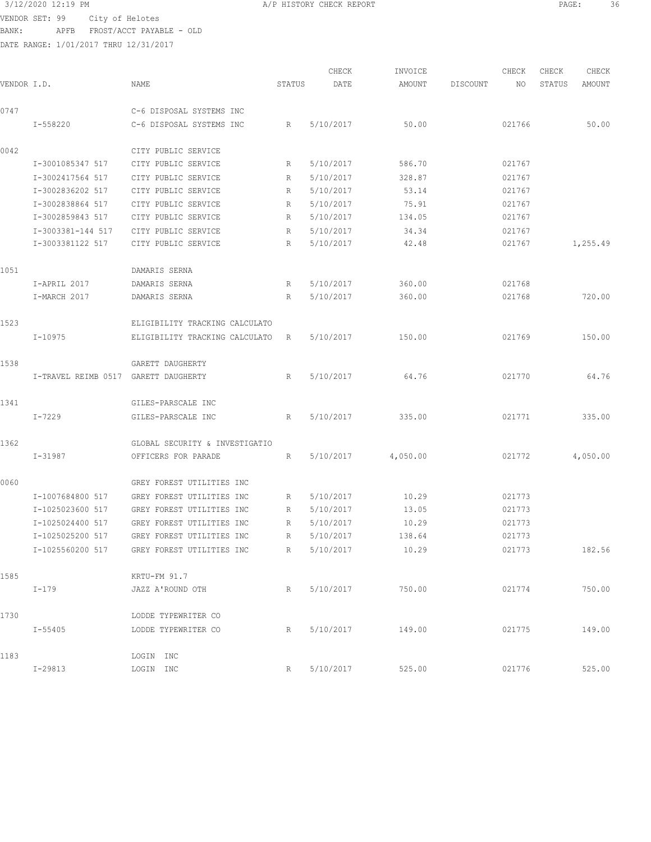## 3/12/2020 12:19 PM A/P HISTORY CHECK REPORT PAGE: 36

VENDOR SET: 99 City of Helotes BANK: APFB FROST/ACCT PAYABLE - OLD DATE RANGE: 1/01/2017 THRU 12/31/2017

CHECK INVOICE CHECK CHECK CHECK VENDOR I.D. NAME STATUS DATE AMOUNT DISCOUNT NO STATUS AMOUNT 0747 C-6 DISPOSAL SYSTEMS INC I-558220 C-6 DISPOSAL SYSTEMS INC R 5/10/2017 50.00 021766 50.00 0042 CITY PUBLIC SERVICE I-3001085347 517 CITY PUBLIC SERVICE R 5/10/2017 586.70 021767 I-3002417564 517 CITY PUBLIC SERVICE R 5/10/2017 328.87 021767 I-3002836202 517 CITY PUBLIC SERVICE R 5/10/2017 53.14 021767 I-3002838864 517 CITY PUBLIC SERVICE R 5/10/2017 75.91 021767 I-3002859843 517 CITY PUBLIC SERVICE R 5/10/2017 134.05 021767 I-3003381-144 517 CITY PUBLIC SERVICE R 5/10/2017 34.34 021767 I-3003381122 517 CITY PUBLIC SERVICE R 5/10/2017 42.48 021767 1,255.49 1051 DAMARIS SERNA I-APRIL 2017 DAMARIS SERNA R 5/10/2017 360.00 021768 I-MARCH 2017 DAMARIS SERNA R 5/10/2017 360.00 021768 720.00 1523 ELIGIBILITY TRACKING CALCULATO I-10975 ELIGIBILITY TRACKING CALCULATO R 5/10/2017 150.00 021769 150.00 1538 GARETT DAUGHERTY I-TRAVEL REIMB 0517 GARETT DAUGHERTY R 5/10/2017 64.76 021770 64.76 1341 GILES-PARSCALE INC I-7229 GILES-PARSCALE INC R 5/10/2017 335.00 021771 335.00 1362 GLOBAL SECURITY & INVESTIGATIO I-31987 OFFICERS FOR PARADE R 5/10/2017 4,050.00 021772 4,050.00 0060 GREY FOREST UTILITIES INC I-1007684800 517 GREY FOREST UTILITIES INC R 5/10/2017 10.29 021773 I-1025023600 517 GREY FOREST UTILITIES INC R 5/10/2017 13.05 021773 I-1025024400 517 GREY FOREST UTILITIES INC R 5/10/2017 10.29 021773 I-1025025200 517 GREY FOREST UTILITIES INC R 5/10/2017 138.64 021773 I-1025560200 517 GREY FOREST UTILITIES INC R 5/10/2017 10.29 021773 182.56 1585 KRTU-FM 91.7 I-179 JAZZ A'ROUND OTH R 5/10/2017 750.00 021774 750.00 1730 LODDE TYPEWRITER CO I-55405 LODDE TYPEWRITER CO R 5/10/2017 149.00 021775 149.00 1183 LOGIN INC I-29813 LOGIN INC R 5/10/2017 525.00 021776 525.00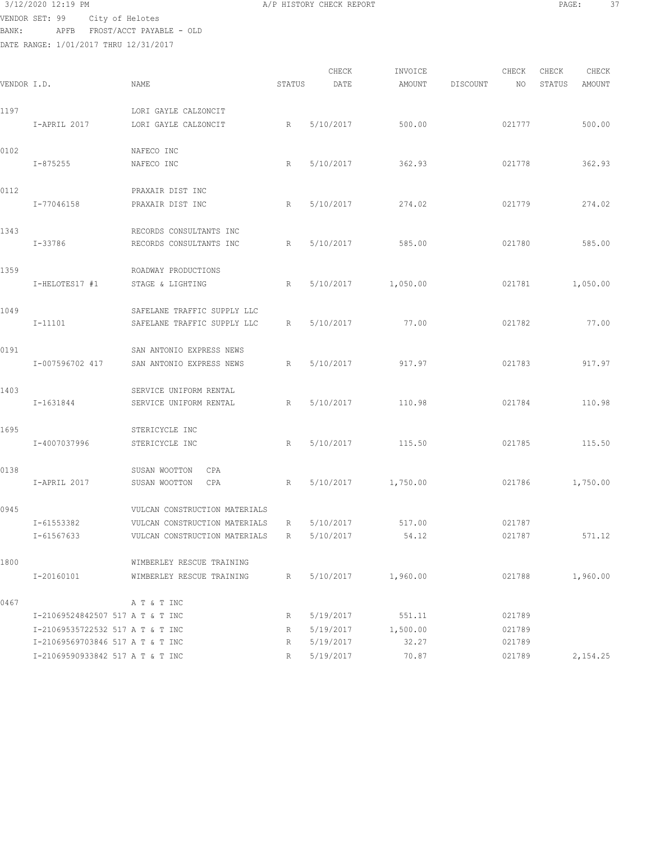### 3/12/2020 12:19 PM A/P HISTORY CHECK REPORT PAGE: 37 VENDOR SET: 99 City of Helotes BANK: APFB FROST/ACCT PAYABLE - OLD

| VENDOR I.D. |                                  | NAME                                                           | STATUS | CHECK<br>DATE | INVOICE<br>AMOUNT | DISCOUNT | CHECK<br>NO | CHECK<br>STATUS | CHECK<br>AMOUNT |
|-------------|----------------------------------|----------------------------------------------------------------|--------|---------------|-------------------|----------|-------------|-----------------|-----------------|
| 1197        | I-APRIL 2017                     | LORI GAYLE CALZONCIT<br>LORI GAYLE CALZONCIT                   | R      | 5/10/2017     | 500.00            |          | 021777      |                 | 500.00          |
| 0102        |                                  | NAFECO INC                                                     |        |               |                   |          |             |                 |                 |
|             | I-875255                         | NAFECO INC                                                     | R      | 5/10/2017     | 362.93            |          | 021778      |                 | 362.93          |
| 0112        | I-77046158                       | PRAXAIR DIST INC<br>PRAXAIR DIST INC                           | R      | 5/10/2017     | 274.02            |          | 021779      |                 | 274.02          |
| 1343        |                                  | RECORDS CONSULTANTS INC                                        |        |               |                   |          |             |                 |                 |
|             | I-33786                          | RECORDS CONSULTANTS INC                                        | R      | 5/10/2017     | 585.00            |          | 021780      |                 | 585.00          |
| 1359        | I-HELOTES17 #1                   | ROADWAY PRODUCTIONS<br>STAGE & LIGHTING                        | R      | 5/10/2017     | 1,050.00          |          | 021781      |                 | 1,050.00        |
| 1049        | $I-11101$                        | SAFELANE TRAFFIC SUPPLY LLC<br>SAFELANE TRAFFIC SUPPLY LLC     | R      | 5/10/2017     | 77.00             |          | 021782      |                 | 77.00           |
| 0191        | I-007596702 417                  | SAN ANTONIO EXPRESS NEWS<br>SAN ANTONIO EXPRESS NEWS           | R      | 5/10/2017     | 917.97            |          | 021783      |                 | 917.97          |
| 1403        | I-1631844                        | SERVICE UNIFORM RENTAL<br>SERVICE UNIFORM RENTAL               | R      | 5/10/2017     | 110.98            |          | 021784      |                 | 110.98          |
| 1695        | I-4007037996                     | STERICYCLE INC<br>STERICYCLE INC                               | R      | 5/10/2017     | 115.50            |          | 021785      |                 | 115.50          |
| 0138        | I-APRIL 2017                     | SUSAN WOOTTON<br>CPA<br>SUSAN WOOTTON<br>CPA                   | R      | 5/10/2017     | 1,750.00          |          | 021786      |                 | 1,750.00        |
| 0945        | I-61553382                       | VULCAN CONSTRUCTION MATERIALS<br>VULCAN CONSTRUCTION MATERIALS | R      | 5/10/2017     | 517.00            |          | 021787      |                 |                 |
|             | I-61567633                       | VULCAN CONSTRUCTION MATERIALS                                  | R      | 5/10/2017     | 54.12             |          | 021787      |                 | 571.12          |
| 1800        | I-20160101                       | WIMBERLEY RESCUE TRAINING<br>WIMBERLEY RESCUE TRAINING         | R      | 5/10/2017     | 1,960.00          |          | 021788      |                 | 1,960.00        |
| 0467        |                                  | A T & T INC                                                    |        |               |                   |          |             |                 |                 |
|             | I-21069524842507 517 A T & T INC |                                                                | R      | 5/19/2017     | 551.11            |          | 021789      |                 |                 |
|             | I-21069535722532 517 A T & T INC |                                                                | R      | 5/19/2017     | 1,500.00          |          | 021789      |                 |                 |
|             | I-21069569703846 517 A T & T INC |                                                                | R      | 5/19/2017     | 32.27             |          | 021789      |                 |                 |
|             | I-21069590933842 517 A T & T INC |                                                                | R      | 5/19/2017     | 70.87             |          | 021789      |                 | 2,154.25        |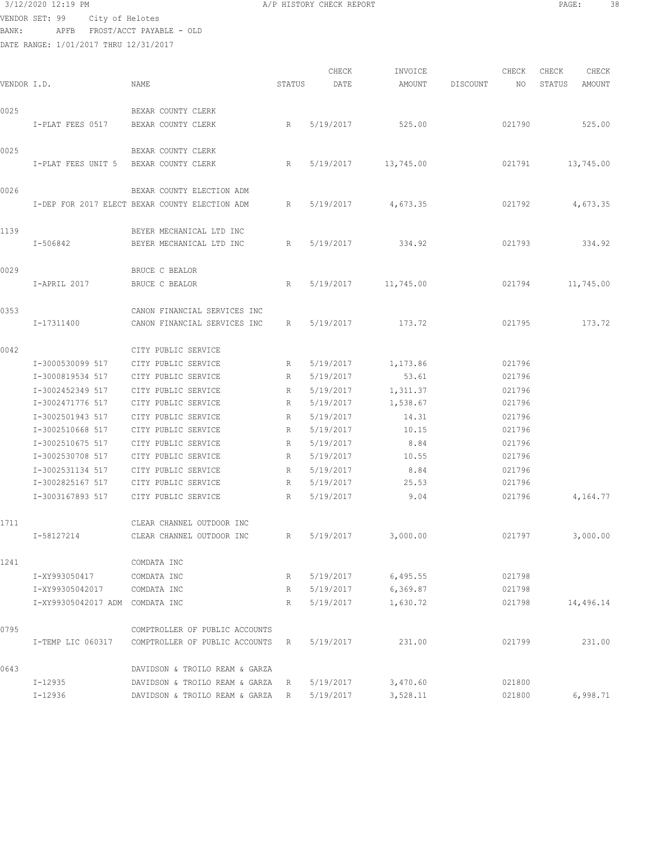| BANK:       |           |                   | VENDOR SET: 99 City of Helotes | APFB FROST/ACCT PAYABLE - OLD                  |                                |                 |               |                   |          |             |                 |                 |
|-------------|-----------|-------------------|--------------------------------|------------------------------------------------|--------------------------------|-----------------|---------------|-------------------|----------|-------------|-----------------|-----------------|
|             |           |                   |                                | DATE RANGE: 1/01/2017 THRU 12/31/2017          |                                |                 |               |                   |          |             |                 |                 |
| VENDOR I.D. |           |                   |                                | NAME                                           |                                | STATUS          | CHECK<br>DATE | INVOICE<br>AMOUNT | DISCOUNT | CHECK<br>NO | CHECK<br>STATUS | CHECK<br>AMOUNT |
| 0025        |           |                   |                                | BEXAR COUNTY CLERK                             |                                |                 |               |                   |          |             |                 |                 |
|             |           |                   | I-PLAT FEES 0517               | BEXAR COUNTY CLERK                             |                                | R               | 5/19/2017     | 525.00            |          | 021790      |                 | 525.00          |
| 0025        |           |                   |                                | BEXAR COUNTY CLERK                             |                                |                 |               |                   |          |             |                 |                 |
|             |           |                   |                                | I-PLAT FEES UNIT 5 BEXAR COUNTY CLERK          |                                | R               | 5/19/2017     | 13,745.00         |          | 021791      |                 | 13,745.00       |
| 0026        |           |                   |                                | BEXAR COUNTY ELECTION ADM                      |                                |                 |               |                   |          |             |                 |                 |
|             |           |                   |                                | I-DEP FOR 2017 ELECT BEXAR COUNTY ELECTION ADM |                                | R               | 5/19/2017     | 4,673.35          |          | 021792      |                 | 4,673.35        |
| 1139        |           |                   |                                | BEYER MECHANICAL LTD INC                       |                                |                 |               |                   |          |             |                 |                 |
|             | I-506842  |                   |                                | BEYER MECHANICAL LTD INC                       |                                | R               | 5/19/2017     | 334.92            |          | 021793      |                 | 334.92          |
| 0029        |           |                   |                                | BRUCE C BEALOR                                 |                                |                 |               |                   |          |             |                 |                 |
|             |           | I-APRIL 2017      |                                | BRUCE C BEALOR                                 |                                | R               | 5/19/2017     | 11,745.00         |          | 021794      |                 | 11,745.00       |
| 0353        |           |                   |                                |                                                | CANON FINANCIAL SERVICES INC   |                 |               |                   |          |             |                 |                 |
|             |           | I-17311400        |                                |                                                | CANON FINANCIAL SERVICES INC   | R               | 5/19/2017     | 173.72            |          | 021795      |                 | 173.72          |
| 0042        |           |                   |                                | CITY PUBLIC SERVICE                            |                                |                 |               |                   |          |             |                 |                 |
|             |           | I-3000530099 517  |                                | CITY PUBLIC SERVICE                            |                                | R               | 5/19/2017     | 1,173.86          |          | 021796      |                 |                 |
|             |           | I-3000819534 517  |                                | CITY PUBLIC SERVICE                            |                                | R               | 5/19/2017     | 53.61             |          | 021796      |                 |                 |
|             |           | I-3002452349 517  |                                | CITY PUBLIC SERVICE                            |                                | R               | 5/19/2017     | 1,311.37          |          | 021796      |                 |                 |
|             |           | I-3002471776 517  |                                | CITY PUBLIC SERVICE                            |                                | R               | 5/19/2017     | 1,538.67          |          | 021796      |                 |                 |
|             |           | I-3002501943 517  |                                | CITY PUBLIC SERVICE                            |                                | R               | 5/19/2017     | 14.31             |          | 021796      |                 |                 |
|             |           | I-3002510668 517  |                                | CITY PUBLIC SERVICE                            |                                | R               | 5/19/2017     | 10.15             |          | 021796      |                 |                 |
|             |           | I-3002510675 517  |                                | CITY PUBLIC SERVICE                            |                                | R               | 5/19/2017     | 8.84              |          | 021796      |                 |                 |
|             |           | I-3002530708 517  |                                | CITY PUBLIC SERVICE                            |                                | R               | 5/19/2017     | 10.55             |          | 021796      |                 |                 |
|             |           | I-3002531134 517  |                                | CITY PUBLIC SERVICE                            |                                | R               | 5/19/2017     | 8.84              |          | 021796      |                 |                 |
|             |           | I-3002825167 517  |                                | CITY PUBLIC SERVICE                            |                                | R               | 5/19/2017     | 25.53             |          | 021796      |                 |                 |
|             |           |                   | I-3003167893 517               | CITY PUBLIC SERVICE                            |                                | $R_{\parallel}$ | 5/19/2017     | 9.04              |          | 021796      |                 | 4,164.77        |
| 1711        |           |                   |                                | CLEAR CHANNEL OUTDOOR INC                      |                                |                 |               |                   |          |             |                 |                 |
|             |           | I-58127214        |                                | CLEAR CHANNEL OUTDOOR INC                      |                                | R               | 5/19/2017     | 3,000.00          |          | 021797      |                 | 3,000.00        |
| 1241        |           |                   |                                | COMDATA INC                                    |                                |                 |               |                   |          |             |                 |                 |
|             |           | I-XY993050417     |                                | COMDATA INC                                    |                                | R               | 5/19/2017     | 6,495.55          |          | 021798      |                 |                 |
|             |           | I-XY99305042017   |                                | COMDATA INC                                    |                                | R               | 5/19/2017     | 6,369.87          |          | 021798      |                 |                 |
|             |           |                   |                                | I-XY99305042017 ADM COMDATA INC                |                                | R               | 5/19/2017     | 1,630.72          |          | 021798      |                 | 14,496.14       |
| 0795        |           |                   |                                |                                                | COMPTROLLER OF PUBLIC ACCOUNTS |                 |               |                   |          |             |                 |                 |
|             |           | I-TEMP LIC 060317 |                                |                                                | COMPTROLLER OF PUBLIC ACCOUNTS | R               | 5/19/2017     | 231.00            |          | 021799      |                 | 231.00          |
| 0643        |           |                   |                                |                                                | DAVIDSON & TROILO REAM & GARZA |                 |               |                   |          |             |                 |                 |
|             | I-12935   |                   |                                |                                                | DAVIDSON & TROILO REAM & GARZA | R               | 5/19/2017     | 3,470.60          |          | 021800      |                 |                 |
|             | $I-12936$ |                   |                                |                                                | DAVIDSON & TROILO REAM & GARZA | R               | 5/19/2017     | 3,528.11          |          | 021800      |                 | 6,998.71        |

3/12/2020 12:19 PM A/P HISTORY CHECK REPORT PAGE: 38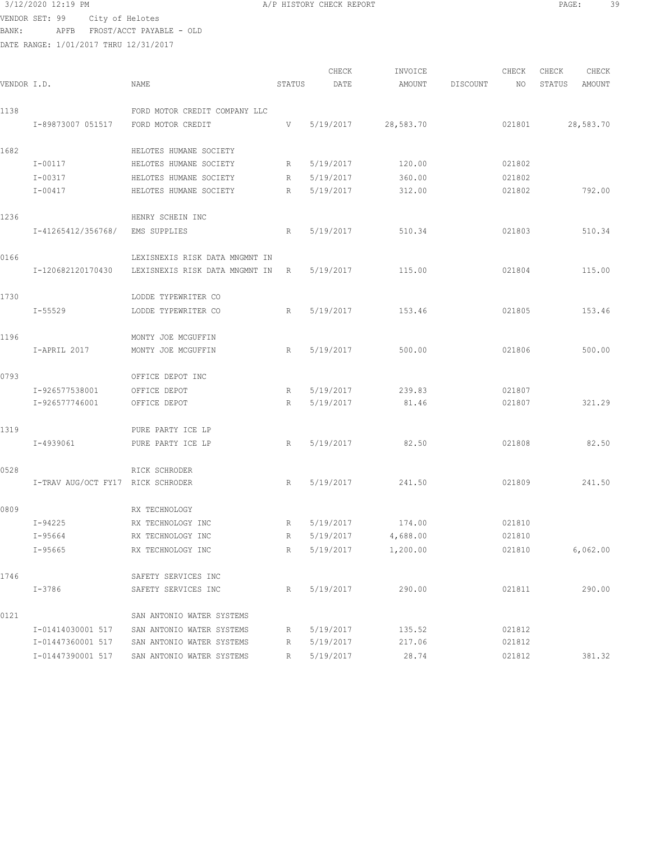### 3/12/2020 12:19 PM **A/P HISTORY CHECK REPORT PAGE:** 39

VENDOR SET: 99 City of Helotes BANK: APFB FROST/ACCT PAYABLE - OLD

|             |                                   |                                |             | CHECK     | INVOICE   |          | CHECK  | CHECK  | CHECK     |
|-------------|-----------------------------------|--------------------------------|-------------|-----------|-----------|----------|--------|--------|-----------|
| VENDOR I.D. |                                   | NAME                           | STATUS      | DATE      | AMOUNT    | DISCOUNT | NO     | STATUS | AMOUNT    |
| 1138        |                                   | FORD MOTOR CREDIT COMPANY LLC  |             |           |           |          |        |        |           |
|             | I-89873007 051517                 | FORD MOTOR CREDIT              | V           | 5/19/2017 | 28,583.70 |          | 021801 |        | 28,583.70 |
|             |                                   |                                |             |           |           |          |        |        |           |
| 1682        |                                   | HELOTES HUMANE SOCIETY         |             |           |           |          |        |        |           |
|             | $I - 00117$                       | HELOTES HUMANE SOCIETY         | R           | 5/19/2017 | 120.00    |          | 021802 |        |           |
|             | $I - 00317$                       | HELOTES HUMANE SOCIETY         | R           | 5/19/2017 | 360.00    |          | 021802 |        |           |
|             | $I - 00417$                       | HELOTES HUMANE SOCIETY         | $R_{\perp}$ | 5/19/2017 | 312.00    |          | 021802 |        | 792.00    |
| 1236        |                                   | HENRY SCHEIN INC               |             |           |           |          |        |        |           |
|             | I-41265412/356768/                | EMS SUPPLIES                   | R           | 5/19/2017 | 510.34    |          | 021803 |        | 510.34    |
|             |                                   |                                |             |           |           |          |        |        |           |
| 0166        |                                   | LEXISNEXIS RISK DATA MNGMNT IN |             |           |           |          |        |        |           |
|             | I-120682120170430                 | LEXISNEXIS RISK DATA MNGMNT IN | R           | 5/19/2017 | 115.00    |          | 021804 |        | 115.00    |
| 1730        |                                   | LODDE TYPEWRITER CO            |             |           |           |          |        |        |           |
|             |                                   |                                |             |           |           |          |        |        |           |
|             | $I - 55529$                       | LODDE TYPEWRITER CO            | R           | 5/19/2017 | 153.46    |          | 021805 |        | 153.46    |
| 1196        |                                   | MONTY JOE MCGUFFIN             |             |           |           |          |        |        |           |
|             | I-APRIL 2017                      | MONTY JOE MCGUFFIN             | R           | 5/19/2017 | 500.00    |          | 021806 |        | 500.00    |
|             |                                   |                                |             |           |           |          |        |        |           |
| 0793        |                                   | OFFICE DEPOT INC               |             |           |           |          |        |        |           |
|             | I-926577538001                    | OFFICE DEPOT                   | R           | 5/19/2017 | 239.83    |          | 021807 |        |           |
|             | I-926577746001                    | OFFICE DEPOT                   | R           | 5/19/2017 | 81.46     |          | 021807 |        | 321.29    |
| 1319        |                                   | PURE PARTY ICE LP              |             |           |           |          |        |        |           |
|             | $I - 4939061$                     | PURE PARTY ICE LP              | R           | 5/19/2017 | 82.50     |          | 021808 |        | 82.50     |
|             |                                   |                                |             |           |           |          |        |        |           |
| 0528        |                                   | RICK SCHRODER                  |             |           |           |          |        |        |           |
|             | I-TRAV AUG/OCT FY17 RICK SCHRODER |                                | R           | 5/19/2017 | 241.50    |          | 021809 |        | 241.50    |
| 0.000       |                                   |                                |             |           |           |          |        |        |           |

|                   | RX TECHNOLOGY             |   |           |          |        |          |
|-------------------|---------------------------|---|-----------|----------|--------|----------|
| $I - 94225$       | RX TECHNOLOGY INC         | R | 5/19/2017 | 174.00   | 021810 |          |
| I-95664           | RX TECHNOLOGY INC         | R | 5/19/2017 | 4,688.00 | 021810 |          |
| $I-95665$         | RX TECHNOLOGY INC         | R | 5/19/2017 | 1,200.00 | 021810 | 6,062,00 |
|                   | SAFETY SERVICES INC       |   |           |          |        |          |
| $I - 3786$        | SAFETY SERVICES INC       | R | 5/19/2017 | 290.00   | 021811 | 290.00   |
|                   | SAN ANTONIO WATER SYSTEMS |   |           |          |        |          |
| I-01414030001 517 | SAN ANTONIO WATER SYSTEMS | R | 5/19/2017 | 135.52   | 021812 |          |
| I-01447360001 517 | SAN ANTONIO WATER SYSTEMS | R | 5/19/2017 | 217.06   | 021812 |          |
| I-01447390001 517 | SAN ANTONIO WATER SYSTEMS | R | 5/19/2017 | 28.74    | 021812 | 381.32   |
|                   |                           |   |           |          |        |          |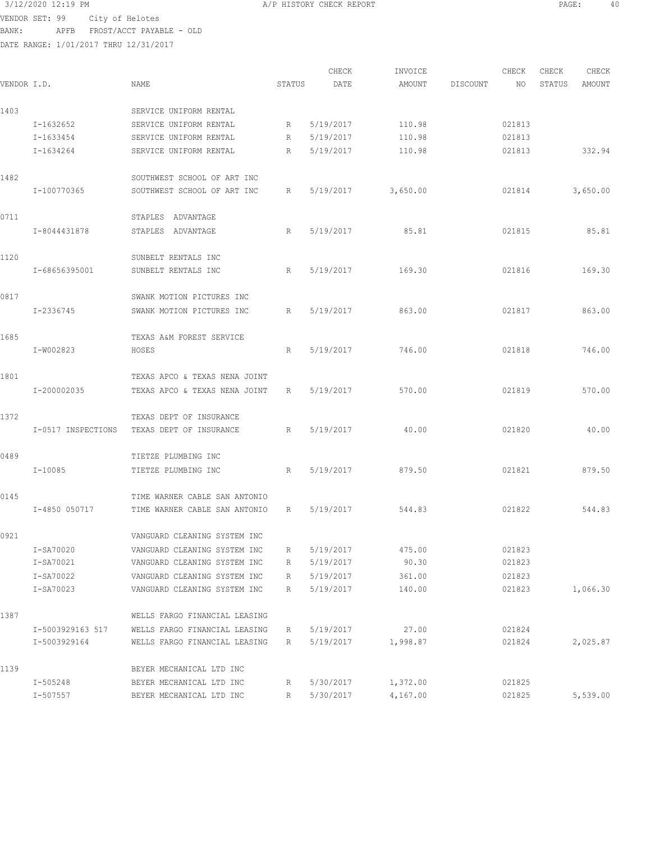VENDOR SET: 99 City of Helotes

BANK: APFB FROST/ACCT PAYABLE - OLD

DATE RANGE: 1/01/2017 THRU 12/31/2017

CHECK INVOICE CHECK CHECK CHECK VENDOR I.D. NAME STATUS DATE AMOUNT DISCOUNT NO STATUS AMOUNT 1403 SERVICE UNIFORM RENTAL I-1632652 SERVICE UNIFORM RENTAL R 5/19/2017 110.98 021813 I-1633454 SERVICE UNIFORM RENTAL R 5/19/2017 110.98 021813 I-1634264 SERVICE UNIFORM RENTAL R 5/19/2017 110.98 021813 332.94 1482 SOUTHWEST SCHOOL OF ART INC I-100770365 SOUTHWEST SCHOOL OF ART INC R 5/19/2017 3,650.00 021814 3,650.00 0711 STAPLES ADVANTAGE I-8044431878 STAPLES ADVANTAGE R 5/19/2017 85.81 021815 85.81 1120 SUNBELT RENTALS INC I-68656395001 SUNBELT RENTALS INC R 5/19/2017 169.30 021816 169.30 0817 SWANK MOTION PICTURES INC I-2336745 SWANK MOTION PICTURES INC R 5/19/2017 863.00 021817 863.00 1685 TEXAS A&M FOREST SERVICE I-W002823 HOSES R 5/19/2017 746.00 021818 746.00 1801 TEXAS APCO & TEXAS NENA JOINT I-200002035 TEXAS APCO & TEXAS NENA JOINT R 5/19/2017 570.00 021819 570.00 1372 TEXAS DEPT OF INSURANCE I-0517 INSPECTIONS TEXAS DEPT OF INSURANCE R 5/19/2017 40.00 021820 40.00 0489 TIETZE PLUMBING INC I-10085 TIETZE PLUMBING INC R 5/19/2017 879.50 021821 879.50 0145 TIME WARNER CABLE SAN ANTONIO I-4850 050717 TIME WARNER CABLE SAN ANTONIO R 5/19/2017 544.83 021822 544.83 0921 VANGUARD CLEANING SYSTEM INC I-SA70020 VANGUARD CLEANING SYSTEM INC R 5/19/2017 475.00 021823 I-SA70021 VANGUARD CLEANING SYSTEM INC R 5/19/2017 90.30 021823 I-SA70022 VANGUARD CLEANING SYSTEM INC R 5/19/2017 361.00 021823 I-SA70023 VANGUARD CLEANING SYSTEM INC R 5/19/2017 140.00 021823 1,066.30 1387 WELLS FARGO FINANCIAL LEASING I-5003929163 517 WELLS FARGO FINANCIAL LEASING R 5/19/2017 27.00 021824 I-5003929164 WELLS FARGO FINANCIAL LEASING R 5/19/2017 1,998.87 021824 2,025.87 1139 BEYER MECHANICAL LTD INC I-505248 BEYER MECHANICAL LTD INC R 5/30/2017 1,372.00 021825 I-507557 BEYER MECHANICAL LTD INC R 5/30/2017 4,167.00 021825 5,539.00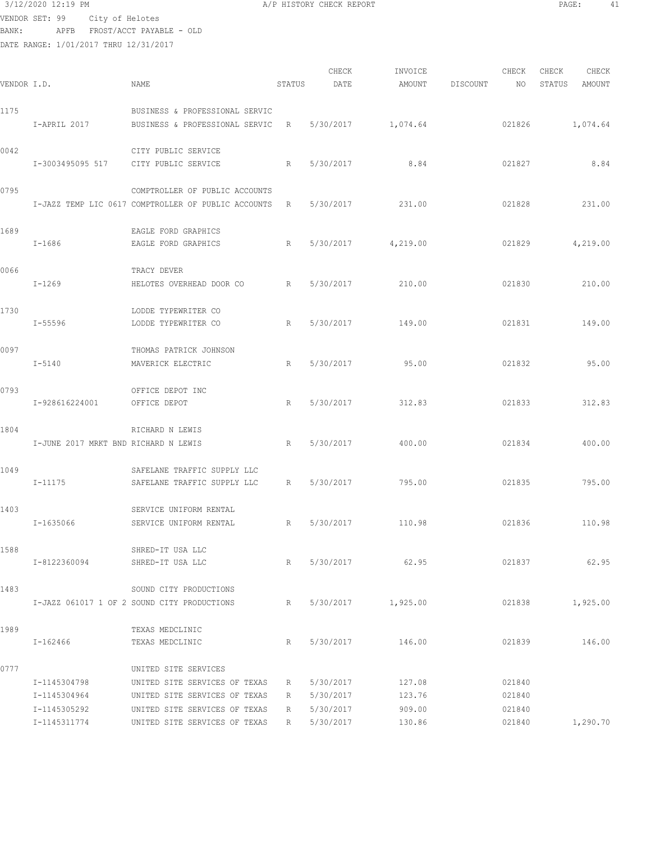## $3/12/2020$  12:19 PM  $A/P$  HISTORY CHECK REPORT  $\blacksquare$  PAGE: 41 VENDOR SET: 99 City of Helotes BANK: APFB FROST/ACCT PAYABLE - OLD

| VENDOR I.D. |                                              | NAME                                                                                                                    | STATUS      | CHECK<br>DATE                       | INVOICE<br>AMOUNT          | DISCOUNT | CHECK<br>NO                | CHECK<br>STATUS | CHECK<br>AMOUNT |
|-------------|----------------------------------------------|-------------------------------------------------------------------------------------------------------------------------|-------------|-------------------------------------|----------------------------|----------|----------------------------|-----------------|-----------------|
| 1175        |                                              | BUSINESS & PROFESSIONAL SERVIC                                                                                          |             |                                     |                            |          |                            |                 |                 |
|             | I-APRIL 2017                                 | BUSINESS & PROFESSIONAL SERVIC R                                                                                        |             |                                     | 5/30/2017 1,074.64         |          | 021826                     |                 | 1,074.64        |
| 0042        | I-3003495095 517 CITY PUBLIC SERVICE         | CITY PUBLIC SERVICE                                                                                                     | R           | 5/30/2017                           | 8.84                       |          | 021827                     |                 | 8.84            |
| 0795        |                                              | COMPTROLLER OF PUBLIC ACCOUNTS<br>I-JAZZ TEMP LIC 0617 COMPTROLLER OF PUBLIC ACCOUNTS R                                 |             | 5/30/2017                           | 231.00                     |          | 021828                     |                 | 231.00          |
| 1689        | I-1686                                       | EAGLE FORD GRAPHICS<br>EAGLE FORD GRAPHICS                                                                              | R           |                                     | 5/30/2017 4,219.00         |          | 021829                     |                 | 4,219.00        |
| 0066        | I-1269                                       | TRACY DEVER<br>HELOTES OVERHEAD DOOR CO R                                                                               |             | 5/30/2017                           | 210.00                     |          | 021830                     |                 | 210.00          |
| 1730        | I-55596                                      | LODDE TYPEWRITER CO<br>LODDE TYPEWRITER CO                                                                              | R           | 5/30/2017                           | 149.00                     |          | 021831                     |                 | 149.00          |
| 0097        | I-5140                                       | THOMAS PATRICK JOHNSON<br>MAVERICK ELECTRIC                                                                             | R           | 5/30/2017                           | 95.00                      |          | 021832                     |                 | 95.00           |
| 0793        | I-928616224001                               | OFFICE DEPOT INC<br>OFFICE DEPOT                                                                                        | R           | 5/30/2017                           | 312.83                     |          | 021833                     |                 | 312.83          |
| 1804        | I-JUNE 2017 MRKT BND RICHARD N LEWIS         | RICHARD N LEWIS                                                                                                         | R           | 5/30/2017                           | 400.00                     |          | 021834                     |                 | 400.00          |
| 1049        | I-11175                                      | SAFELANE TRAFFIC SUPPLY LLC<br>SAFELANE TRAFFIC SUPPLY LLC                                                              | R           | 5/30/2017                           | 795.00                     |          | 021835                     |                 | 795.00          |
| 1403        | I-1635066                                    | SERVICE UNIFORM RENTAL<br>SERVICE UNIFORM RENTAL<br>R                                                                   |             | 5/30/2017                           | 110.98                     |          | 021836                     |                 | 110.98          |
| 1588        | I-8122360094                                 | SHRED-IT USA LLC<br>SHRED-IT USA LLC                                                                                    | R           | 5/30/2017                           | 62.95                      |          | 021837                     |                 | 62.95           |
| 1483        |                                              | SOUND CITY PRODUCTIONS<br>I-JAZZ 061017 1 OF 2 SOUND CITY PRODUCTIONS                                                   | R           |                                     | 5/30/2017 1,925.00         |          | 021838                     |                 | 1,925.00        |
| 1989        | I-162466                                     | TEXAS MEDCLINIC<br>TEXAS MEDCLINIC                                                                                      | R           |                                     | 5/30/2017 146.00           |          | 021839                     |                 | 146.00          |
| 0777        | I-1145304798<br>I-1145304964<br>I-1145305292 | UNITED SITE SERVICES<br>UNITED SITE SERVICES OF TEXAS<br>UNITED SITE SERVICES OF TEXAS<br>UNITED SITE SERVICES OF TEXAS | R<br>R<br>R | 5/30/2017<br>5/30/2017<br>5/30/2017 | 127.08<br>123.76<br>909.00 |          | 021840<br>021840<br>021840 |                 |                 |
|             | I-1145311774                                 | UNITED SITE SERVICES OF TEXAS                                                                                           | R           | 5/30/2017                           | 130.86                     |          | 021840                     |                 | 1,290.70        |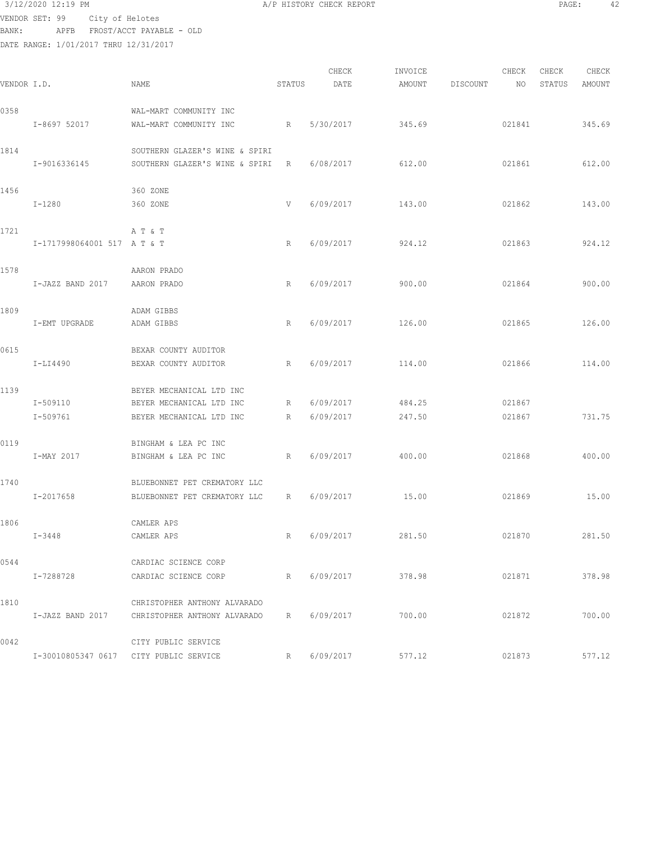### 3/12/2020 12:19 PM **A/P HISTORY CHECK REPORT PAGE:** 42

VENDOR SET: 99 City of Helotes BANK: APFB

| BANK:       | APFB         | FROST/ACCT PAYABLE - OLD              |                                  |        |                                                                                 |         |          |        |        |        |  |
|-------------|--------------|---------------------------------------|----------------------------------|--------|---------------------------------------------------------------------------------|---------|----------|--------|--------|--------|--|
|             |              | DATE RANGE: 1/01/2017 THRU 12/31/2017 |                                  |        |                                                                                 |         |          |        |        |        |  |
|             |              |                                       |                                  |        |                                                                                 |         |          |        |        |        |  |
|             |              |                                       |                                  |        | CHECK                                                                           | INVOICE |          | CHECK  | CHECK  | CHECK  |  |
| VENDOR I.D. |              | NAME                                  |                                  | STATUS | DATE                                                                            | AMOUNT  | DISCOUNT | NO.    | STATUS | AMOUNT |  |
|             |              |                                       |                                  |        |                                                                                 |         |          |        |        |        |  |
| 0358        |              | WAL-MART COMMUNITY INC                |                                  |        |                                                                                 |         |          |        |        |        |  |
|             | I-8697 52017 | WAL-MART COMMUNITY INC                |                                  | R      | 5/30/2017                                                                       | 345.69  |          | 021841 |        | 345.69 |  |
|             |              |                                       |                                  |        |                                                                                 |         |          |        |        |        |  |
| 1814        |              |                                       | SOUTHERN GLAZER'S WINE & SPIRI   |        |                                                                                 |         |          |        |        |        |  |
|             | I-9016336145 |                                       | SOUTHERN GLAZER'S WINE & SPIRI R |        | 6/08/2017                                                                       | 612.00  |          | 021861 |        | 612.00 |  |
|             |              |                                       |                                  |        |                                                                                 |         |          |        |        |        |  |
| 1456        |              | 360 ZONE                              |                                  |        |                                                                                 |         |          |        |        |        |  |
|             |              |                                       |                                  |        | the contract of the contract of the contract of the contract of the contract of |         |          |        |        |        |  |

| 1456 | $I - 1280$                  | 360 ZONE<br>360 ZONE                                         | V               | 6/09/2017 | 143.00 | 021862 | 143.00 |
|------|-----------------------------|--------------------------------------------------------------|-----------------|-----------|--------|--------|--------|
| 1721 | I-1717998064001 517 A T & T | A T & T                                                      | R               | 6/09/2017 | 924.12 | 021863 | 924.12 |
| 1578 | I-JAZZ BAND 2017            | AARON PRADO<br>AARON PRADO                                   | R               | 6/09/2017 | 900.00 | 021864 | 900.00 |
| 1809 | I-EMT UPGRADE               | ADAM GIBBS<br>ADAM GIBBS                                     | R               | 6/09/2017 | 126.00 | 021865 | 126.00 |
| 0615 | $I-LI4490$                  | BEXAR COUNTY AUDITOR<br>BEXAR COUNTY AUDITOR                 | R               | 6/09/2017 | 114.00 | 021866 | 114.00 |
| 1139 | I-509110                    | BEYER MECHANICAL LTD INC<br>BEYER MECHANICAL LTD INC         | R               | 6/09/2017 | 484.25 | 021867 |        |
| 0119 | I-509761                    | BEYER MECHANICAL LTD INC<br>BINGHAM & LEA PC INC             | R               | 6/09/2017 | 247.50 | 021867 | 731.75 |
| 1740 | I-MAY 2017                  | BINGHAM & LEA PC INC<br>BLUEBONNET PET CREMATORY LLC         | R               | 6/09/2017 | 400.00 | 021868 | 400.00 |
| 1806 | I-2017658                   | BLUEBONNET PET CREMATORY LLC<br>CAMLER APS                   | $R_{\parallel}$ | 6/09/2017 | 15.00  | 021869 | 15.00  |
| 0544 | $I - 3448$                  | CAMLER APS<br>CARDIAC SCIENCE CORP                           | R               | 6/09/2017 | 281.50 | 021870 | 281.50 |
|      | I-7288728                   | CARDIAC SCIENCE CORP                                         | R               | 6/09/2017 | 378.98 | 021871 | 378.98 |
| 1810 | I-JAZZ BAND 2017            | CHRISTOPHER ANTHONY ALVARADO<br>CHRISTOPHER ANTHONY ALVARADO | R               | 6/09/2017 | 700.00 | 021872 | 700.00 |
| 0042 | I-30010805347 0617          | CITY PUBLIC SERVICE<br>CITY PUBLIC SERVICE                   | R               | 6/09/2017 | 577.12 | 021873 | 577.12 |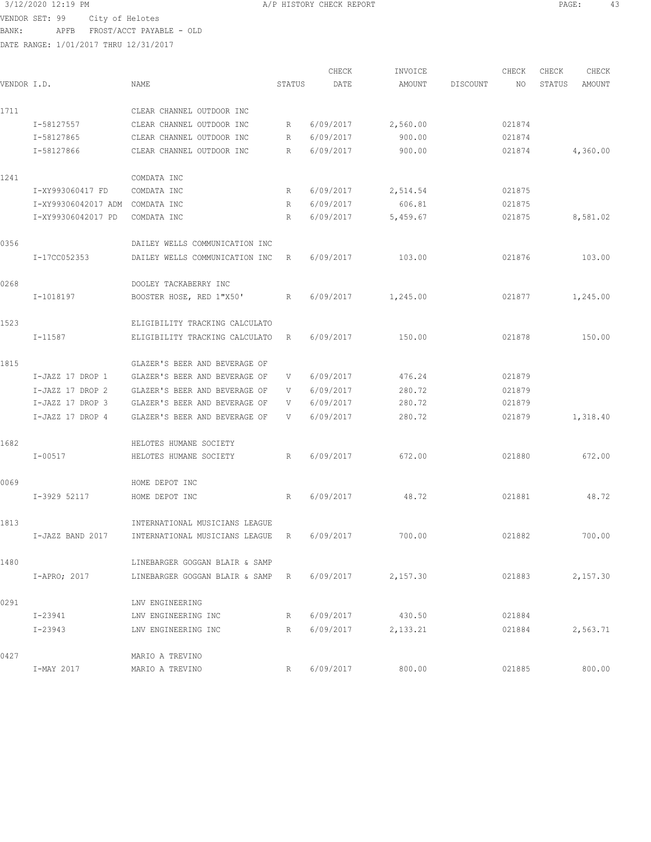3/12/2020 12:19 PM A/P HISTORY CHECK REPORT PAGE: 43 VENDOR SET: 99 City of Helotes

BANK: APFB FROST/ACCT PAYABLE - OLD

| VENDOR I.D. |                     | <b>NAME</b>                    | STATUS | CHECK<br>DATE | INVOICE<br>AMOUNT | DISCOUNT | CHECK<br>NO | CHECK<br>STATUS | CHECK<br>AMOUNT |
|-------------|---------------------|--------------------------------|--------|---------------|-------------------|----------|-------------|-----------------|-----------------|
| 1711        |                     | CLEAR CHANNEL OUTDOOR INC      |        |               |                   |          |             |                 |                 |
|             | I-58127557          | CLEAR CHANNEL OUTDOOR INC      | R      | 6/09/2017     | 2,560.00          |          | 021874      |                 |                 |
|             | I-58127865          | CLEAR CHANNEL OUTDOOR INC      | R      | 6/09/2017     | 900.00            |          | 021874      |                 |                 |
|             | I-58127866          | CLEAR CHANNEL OUTDOOR INC      | R      | 6/09/2017     | 900.00            |          | 021874      |                 | 4,360.00        |
| 1241        |                     | COMDATA INC                    |        |               |                   |          |             |                 |                 |
|             | I-XY993060417 FD    | COMDATA INC                    | R      | 6/09/2017     | 2,514.54          |          | 021875      |                 |                 |
|             | I-XY99306042017 ADM | COMDATA INC                    | R      | 6/09/2017     | 606.81            |          | 021875      |                 |                 |
|             | I-XY99306042017 PD  | COMDATA INC                    | R      | 6/09/2017     | 5,459.67          |          | 021875      |                 | 8,581.02        |
| 0356        |                     | DAILEY WELLS COMMUNICATION INC |        |               |                   |          |             |                 |                 |
|             | I-17CC052353        | DAILEY WELLS COMMUNICATION INC | R      | 6/09/2017     | 103.00            |          | 021876      |                 | 103.00          |
| 0268        |                     | DOOLEY TACKABERRY INC          |        |               |                   |          |             |                 |                 |
|             | I-1018197           | BOOSTER HOSE, RED 1"X50'       | R      | 6/09/2017     | 1,245.00          |          | 021877      |                 | 1,245.00        |
| 1523        |                     | ELIGIBILITY TRACKING CALCULATO |        |               |                   |          |             |                 |                 |
|             | I-11587             | ELIGIBILITY TRACKING CALCULATO | R      | 6/09/2017     | 150.00            |          | 021878      |                 | 150.00          |
| 1815        |                     | GLAZER'S BEER AND BEVERAGE OF  |        |               |                   |          |             |                 |                 |
|             | I-JAZZ 17 DROP 1    | GLAZER'S BEER AND BEVERAGE OF  | V      | 6/09/2017     | 476.24            |          | 021879      |                 |                 |
|             | I-JAZZ 17 DROP 2    | GLAZER'S BEER AND BEVERAGE OF  | V      | 6/09/2017     | 280.72            |          | 021879      |                 |                 |
|             | I-JAZZ 17 DROP 3    | GLAZER'S BEER AND BEVERAGE OF  | V      | 6/09/2017     | 280.72            |          | 021879      |                 |                 |
|             | I-JAZZ 17 DROP 4    | GLAZER'S BEER AND BEVERAGE OF  | V      | 6/09/2017     | 280.72            |          | 021879      |                 | 1,318.40        |
| 1682        |                     | HELOTES HUMANE SOCIETY         |        |               |                   |          |             |                 |                 |
|             | $I - 00517$         | HELOTES HUMANE SOCIETY         | R      | 6/09/2017     | 672.00            |          | 021880      |                 | 672.00          |
| 0069        |                     | HOME DEPOT INC                 |        |               |                   |          |             |                 |                 |
|             | I-3929 52117        | HOME DEPOT INC                 | R      | 6/09/2017     | 48.72             |          | 021881      |                 | 48.72           |
| 1813        |                     | INTERNATIONAL MUSICIANS LEAGUE |        |               |                   |          |             |                 |                 |
|             | I-JAZZ BAND 2017    | INTERNATIONAL MUSICIANS LEAGUE | R      | 6/09/2017     | 700.00            |          | 021882      |                 | 700.00          |
| 1480        |                     | LINEBARGER GOGGAN BLAIR & SAMP |        |               |                   |          |             |                 |                 |
|             | $I-APRO$ ; 2017     | LINEBARGER GOGGAN BLAIR & SAMP | R      | 6/09/2017     | 2,157.30          |          | 021883      |                 | 2,157.30        |
| 0291        |                     | LNV ENGINEERING                |        |               |                   |          |             |                 |                 |
|             | $I - 23941$         | LNV ENGINEERING INC            | R      | 6/09/2017     | 430.50            |          | 021884      |                 |                 |
|             | $I - 23943$         | LNV ENGINEERING INC            | R      | 6/09/2017     | 2,133.21          |          | 021884      |                 | 2,563.71        |
| 0427        |                     | MARIO A TREVINO                |        |               |                   |          |             |                 |                 |
|             | I-MAY 2017          | MARIO A TREVINO                | R      | 6/09/2017     | 800.00            |          | 021885      |                 | 800.00          |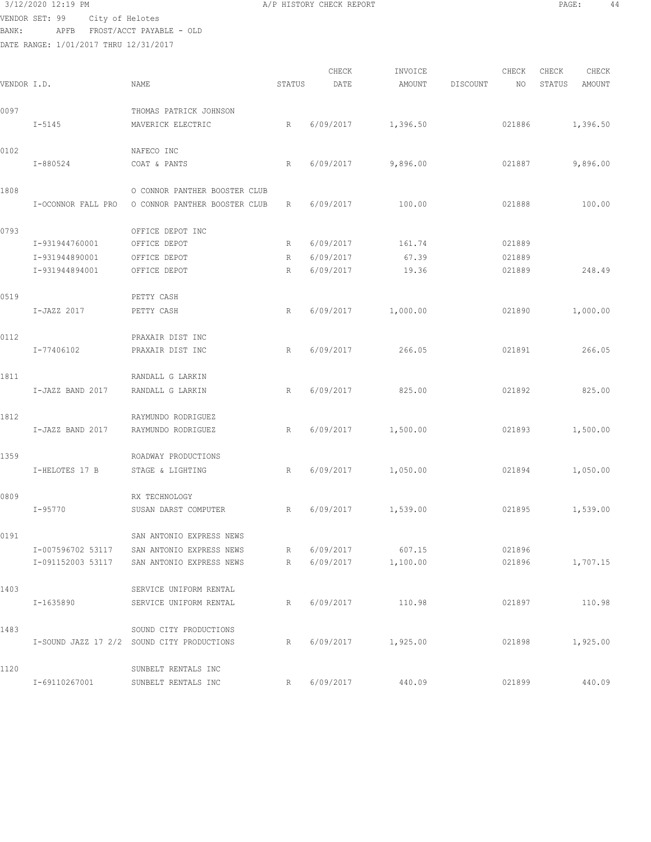VENDOR SET: 99 City of Helotes

DATE RANGE: 1/01/2017 THRU 12/31/2017

 3/12/2020 12:19 PM A/P HISTORY CHECK REPORT PAGE: 44 BANK: APFB FROST/ACCT PAYABLE - OLD CHECK INVOICE CHECK CHECK CHECK VENDOR I.D. NAME STATUS DATE AMOUNT DISCOUNT NO STATUS AMOUNT 0097 THOMAS PATRICK JOHNSON I-5145 MAVERICK ELECTRIC R 6/09/2017 1,396.50 021886 1,396.50 0102 NAFECO INC I-880524 COAT & PANTS R 6/09/2017 9,896.00 021887 9,896.00 1808 O CONNOR PANTHER BOOSTER CLUB I-OCONNOR FALL PRO O CONNOR PANTHER BOOSTER CLUB R 6/09/2017 100.00 021888 100.00 0793 OFFICE DEPOT INC I-931944760001 OFFICE DEPOT R 6/09/2017 161.74 021889 I-931944890001 OFFICE DEPOT R 6/09/2017 67.39 021889 I-931944894001 OFFICE DEPOT R 6/09/2017 19.36 021889 248.49 0519 PETTY CASH I-JAZZ 2017 PETTY CASH R 6/09/2017 1,000.00 021890 1,000.00 0112 PRAXAIR DIST INC I-77406102 PRAXAIR DIST INC R 6/09/2017 266.05 021891 266.05 1811 RANDALL G LARKIN I-JAZZ BAND 2017 RANDALL G LARKIN R 6/09/2017 825.00 021892 825.00 1812 RAYMUNDO RODRIGUEZ I-JAZZ BAND 2017 RAYMUNDO RODRIGUEZ R 6/09/2017 1,500.00 021893 1,500.00 1359 ROADWAY PRODUCTIONS I-HELOTES 17 B STAGE & LIGHTING R 6/09/2017 1,050.00 021894 1,050.00 0809 RX TECHNOLOGY

 I-95770 SUSAN DARST COMPUTER R 6/09/2017 1,539.00 021895 1,539.00 0191 SAN ANTONIO EXPRESS NEWS I-007596702 53117 SAN ANTONIO EXPRESS NEWS R 6/09/2017 607.15 021896 I-091152003 53117 SAN ANTONIO EXPRESS NEWS R 6/09/2017 1,100.00 021896 1,707.15 1403 SERVICE UNIFORM RENTAL I-1635890 SERVICE UNIFORM RENTAL R 6/09/2017 110.98 021897 110.98 1483 SOUND CITY PRODUCTIONS I-SOUND JAZZ 17 2/2 SOUND CITY PRODUCTIONS R 6/09/2017 1,925.00 021898 1,925.00 1120 SUNBELT RENTALS INC I-69110267001 SUNBELT RENTALS INC R 6/09/2017 440.09 021899 440.09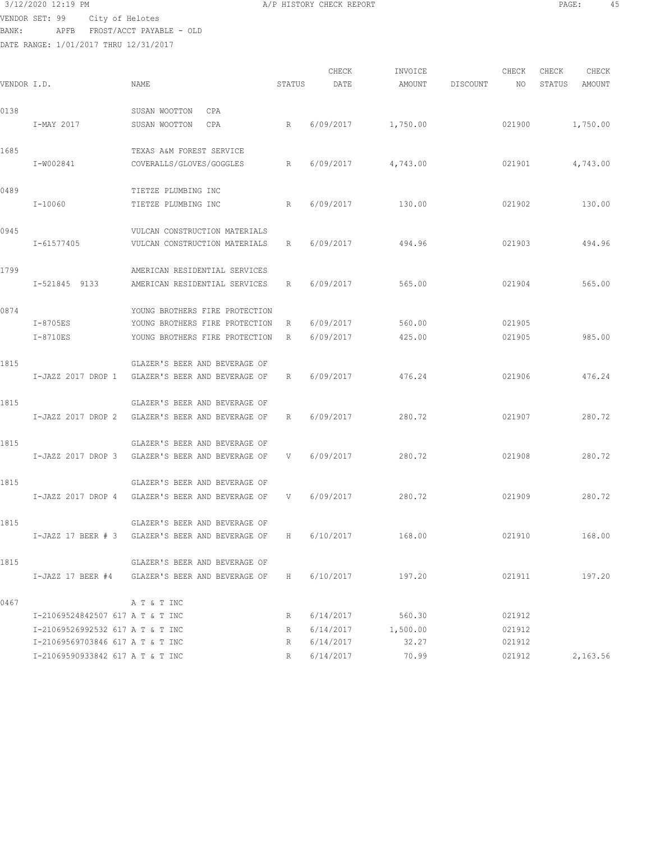$3/12/2020$  12:19 PM  $\,$  A/P HISTORY CHECK REPORT  $\,$  PAGE: 45 VENDOR SET: 99 City of Helotes BANK: APFB FROST/ACCT PAYABLE - OLD

| VENDOR I.D. |                                  | NAME                                             | STATUS | CHECK<br>DATE | INVOICE<br>AMOUNT | DISCOUNT | CHECK<br>NO | CHECK<br>STATUS | CHECK<br>AMOUNT |
|-------------|----------------------------------|--------------------------------------------------|--------|---------------|-------------------|----------|-------------|-----------------|-----------------|
| 0138        |                                  | SUSAN WOOTTON<br>CPA                             |        |               |                   |          |             |                 |                 |
|             | I-MAY 2017                       | SUSAN WOOTTON<br>CPA                             | R      | 6/09/2017     | 1,750.00          |          | 021900      |                 | 1,750.00        |
| 1685        |                                  | TEXAS A&M FOREST SERVICE                         |        |               |                   |          |             |                 |                 |
|             | I-W002841                        | COVERALLS/GLOVES/GOGGLES                         | R      | 6/09/2017     | 4,743.00          |          | 021901      |                 | 4,743.00        |
| 0489        |                                  | TIETZE PLUMBING INC                              |        |               |                   |          |             |                 |                 |
|             | $I-10060$                        | TIETZE PLUMBING INC                              | R      | 6/09/2017     | 130.00            |          | 021902      |                 | 130.00          |
| 0945        |                                  | VULCAN CONSTRUCTION MATERIALS                    |        |               |                   |          |             |                 |                 |
|             | I-61577405                       | VULCAN CONSTRUCTION MATERIALS                    | R      | 6/09/2017     | 494.96            |          | 021903      |                 | 494.96          |
| 1799        |                                  | AMERICAN RESIDENTIAL SERVICES                    |        |               |                   |          |             |                 |                 |
|             | I-521845 9133                    | AMERICAN RESIDENTIAL SERVICES                    | R      | 6/09/2017     | 565.00            |          | 021904      |                 | 565.00          |
| 0874        |                                  | YOUNG BROTHERS FIRE PROTECTION                   |        |               |                   |          |             |                 |                 |
|             | I-8705ES                         | YOUNG BROTHERS FIRE PROTECTION                   | R      | 6/09/2017     | 560.00            |          | 021905      |                 |                 |
|             | I-8710ES                         | YOUNG BROTHERS FIRE PROTECTION                   | R      | 6/09/2017     | 425.00            |          | 021905      |                 | 985.00          |
| 1815        |                                  | GLAZER'S BEER AND BEVERAGE OF                    |        |               |                   |          |             |                 |                 |
|             | I-JAZZ 2017 DROP 1               | GLAZER'S BEER AND BEVERAGE OF                    | R      | 6/09/2017     | 476.24            |          | 021906      |                 | 476.24          |
| 1815        |                                  | GLAZER'S BEER AND BEVERAGE OF                    |        |               |                   |          |             |                 |                 |
|             | I-JAZZ 2017 DROP 2               | GLAZER'S BEER AND BEVERAGE OF                    | R      | 6/09/2017     | 280.72            |          | 021907      |                 | 280.72          |
| 1815        |                                  | GLAZER'S BEER AND BEVERAGE OF                    |        |               |                   |          |             |                 |                 |
|             |                                  | I-JAZZ 2017 DROP 3 GLAZER'S BEER AND BEVERAGE OF | V      | 6/09/2017     | 280.72            |          | 021908      |                 | 280.72          |
| 1815        |                                  | GLAZER'S BEER AND BEVERAGE OF                    |        |               |                   |          |             |                 |                 |
|             |                                  | I-JAZZ 2017 DROP 4 GLAZER'S BEER AND BEVERAGE OF | $-$ V  | 6/09/2017     | 280.72            |          | 021909      |                 | 280.72          |
| 1815        |                                  | GLAZER'S BEER AND BEVERAGE OF                    |        |               |                   |          |             |                 |                 |
|             |                                  | I-JAZZ 17 BEER # 3 GLAZER'S BEER AND BEVERAGE OF | H      | 6/10/2017     | 168.00            |          | 021910      |                 | 168.00          |
| 1815        |                                  | GLAZER'S BEER AND BEVERAGE OF                    |        |               |                   |          |             |                 |                 |
|             |                                  | I-JAZZ 17 BEER #4 GLAZER'S BEER AND BEVERAGE OF  | H      | 6/10/2017     | 197.20            |          | 021911      |                 | 197.20          |
| 0467        |                                  | A T & T INC                                      |        |               |                   |          |             |                 |                 |
|             | I-21069524842507 617 A T & T INC |                                                  | R      | 6/14/2017     | 560.30            |          | 021912      |                 |                 |
|             | I-21069526992532 617 A T & T INC |                                                  | R      | 6/14/2017     | 1,500.00          |          | 021912      |                 |                 |
|             | I-21069569703846 617 A T & T INC |                                                  | R      | 6/14/2017     | 32.27             |          | 021912      |                 |                 |
|             | I-21069590933842 617 A T & T INC |                                                  | R      | 6/14/2017     | 70.99             |          | 021912      |                 | 2,163.56        |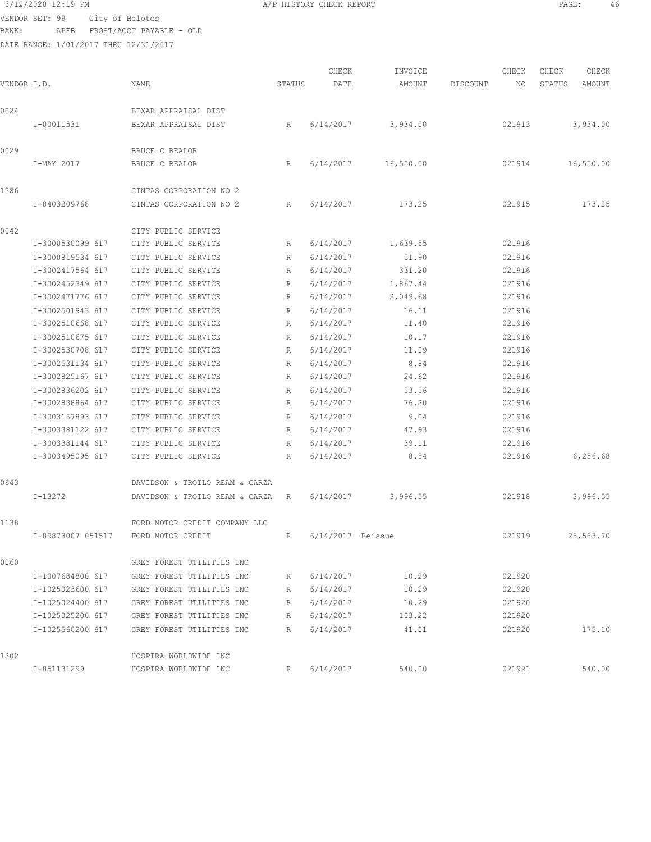### 3/12/2020 12:19 PM A/P HISTORY CHECK REPORT PAGE: 46

VENDOR SET: 99 City of Helotes BANK: APFB FROST/ACCT PAYABLE - OLD

DATE RANGE: 1/01/2017 THRU 12/31/2017

|  | P HISTORY CHECK REPORT |  |  |  |
|--|------------------------|--|--|--|
|--|------------------------|--|--|--|

CHECK INVOICE CHECK CHECK CHECK .<br>In the other we have status and the set of the count of the Status amount of the Status and the Status and the<br>International contract and the status of the status and the status and the status and the status and the stat 0024 BEXAR APPRAISAL DIST I-00011531 BEXAR APPRAISAL DIST R 6/14/2017 3,934.00 021913 3,934.00 0029 BRUCE C BEALOR I-MAY 2017 BRUCE C BEALOR R 6/14/2017 16,550.00 021914 16,550.00 1386 CINTAS CORPORATION NO 2 I-8403209768 CINTAS CORPORATION NO 2 R 6/14/2017 173.25 021915 173.25 0042 CITY PUBLIC SERVICE I-3000530099 617 CITY PUBLIC SERVICE R 6/14/2017 1,639.55 021916 I-3000819534 617 CITY PUBLIC SERVICE R 6/14/2017 51.90 021916 I-3002417564 617 CITY PUBLIC SERVICE R 6/14/2017 331.20 021916 I-3002452349 617 CITY PUBLIC SERVICE R 6/14/2017 1,867.44 021916 I-3002471776 617 CITY PUBLIC SERVICE R 6/14/2017 2,049.68 021916 I-3002501943 617 CITY PUBLIC SERVICE R 6/14/2017 16.11 021916 I-3002510668 617 CITY PUBLIC SERVICE R 6/14/2017 11.40 021916 I-3002510675 617 CITY PUBLIC SERVICE R 6/14/2017 10.17 021916 I-3002530708 617 CITY PUBLIC SERVICE R 6/14/2017 11.09 021916 I-3002531134 617 CITY PUBLIC SERVICE R 6/14/2017 8.84 021916 I-3002825167 617 CITY PUBLIC SERVICE R 6/14/2017 24.62 021916 I-3002836202 617 CITY PUBLIC SERVICE R 6/14/2017 53.56 021916 I-3002838864 617 CITY PUBLIC SERVICE R 6/14/2017 76.20 021916 I-3003167893 617 CITY PUBLIC SERVICE R 6/14/2017 9.04 021916 I-3003381122 617 CITY PUBLIC SERVICE R 6/14/2017 47.93 021916 I-3003381144 617 CITY PUBLIC SERVICE R 6/14/2017 39.11 021916 I-3003495095 617 CITY PUBLIC SERVICE R 6/14/2017 8.84 021916 6,256.68 0643 DAVIDSON & TROILO REAM & GARZA I-13272 DAVIDSON & TROILO REAM & GARZA R 6/14/2017 3,996.55 021918 3,996.55 1138 FORD MOTOR CREDIT COMPANY LLC I-89873007 051517 FORD MOTOR CREDIT R 6/14/2017 Reissue 021919 28,583.70 0060 GREY FOREST UTILITIES INC I-1007684800 617 GREY FOREST UTILITIES INC R 6/14/2017 10.29 021920 I-1025023600 617 GREY FOREST UTILITIES INC R 6/14/2017 10.29 021920 I-1025024400 617 GREY FOREST UTILITIES INC R 6/14/2017 10.29 021920 I-1025025200 617 GREY FOREST UTILITIES INC R 6/14/2017 103.22 021920 I-1025560200 617 GREY FOREST UTILITIES INC R 6/14/2017 41.01 021920 175.10 1302 HOSPIRA WORLDWIDE INC I-851131299 HOSPIRA WORLDWIDE INC R 6/14/2017 540.00 021921 540.00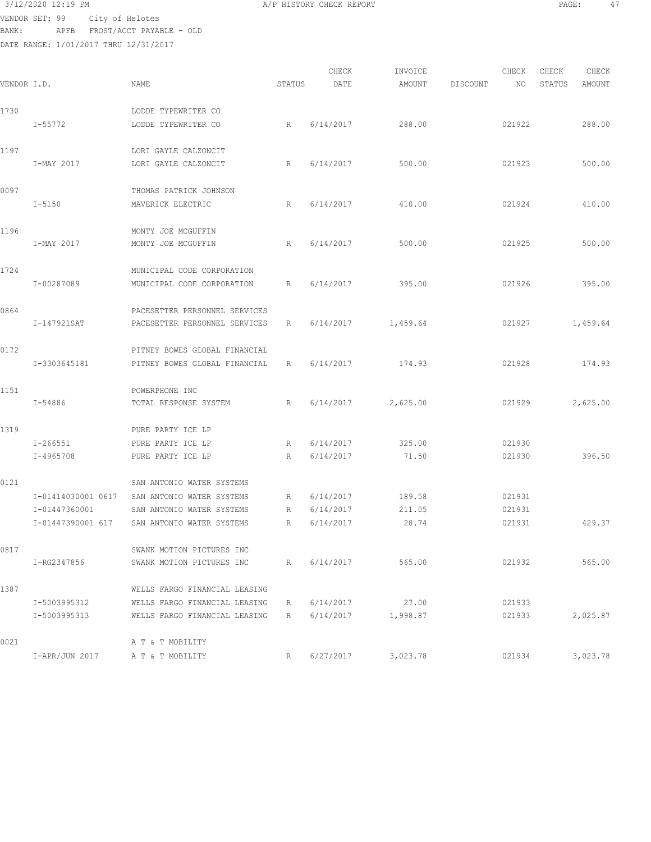# $3/12/2020$  12:19 PM  $A/P$  HISTORY CHECK REPORT PAGE: 47 VENDOR SET: 99 City of Helotes

BANK: APFB FROST/ACCT PAYABLE - OLD DATE RANGE: 1/01/2017 THRU 12/31/2017

|             |                    |                               |             | CHECK     | INVOICE  |          | CHECK  | CHECK  | CHECK    |
|-------------|--------------------|-------------------------------|-------------|-----------|----------|----------|--------|--------|----------|
| VENDOR I.D. |                    | NAME                          | STATUS      | DATE      | AMOUNT   | DISCOUNT | NO     | STATUS | AMOUNT   |
| 1730        |                    | LODDE TYPEWRITER CO           |             |           |          |          |        |        |          |
|             | $I - 55772$        | LODDE TYPEWRITER CO           | R           | 6/14/2017 | 288.00   |          | 021922 |        | 288.00   |
| 1197        |                    | LORI GAYLE CALZONCIT          |             |           |          |          |        |        |          |
|             | I-MAY 2017         | LORI GAYLE CALZONCIT          | R           | 6/14/2017 | 500.00   |          | 021923 |        | 500.00   |
| 0097        |                    | THOMAS PATRICK JOHNSON        |             |           |          |          |        |        |          |
|             | $I - 5150$         | MAVERICK ELECTRIC             | R           | 6/14/2017 | 410.00   |          | 021924 |        | 410.00   |
| 1196        |                    | MONTY JOE MCGUFFIN            |             |           |          |          |        |        |          |
|             | I-MAY 2017         | MONTY JOE MCGUFFIN            | R           | 6/14/2017 | 500.00   |          | 021925 |        | 500.00   |
| 1724        |                    | MUNICIPAL CODE CORPORATION    |             |           |          |          |        |        |          |
|             | I-00287089         | MUNICIPAL CODE CORPORATION    | R           | 6/14/2017 | 395.00   |          | 021926 |        | 395.00   |
| 0864        |                    | PACESETTER PERSONNEL SERVICES |             |           |          |          |        |        |          |
|             | I-147921SAT        | PACESETTER PERSONNEL SERVICES | R           | 6/14/2017 | 1,459.64 |          | 021927 |        | 1,459.64 |
| 0172        |                    | PITNEY BOWES GLOBAL FINANCIAL |             |           |          |          |        |        |          |
|             | I-3303645181       | PITNEY BOWES GLOBAL FINANCIAL | R           | 6/14/2017 | 174.93   |          | 021928 |        | 174.93   |
| 1151        |                    | POWERPHONE INC                |             |           |          |          |        |        |          |
|             | I-54886            | TOTAL RESPONSE SYSTEM         | R           | 6/14/2017 | 2,625.00 |          | 021929 |        | 2,625.00 |
| 1319        |                    | PURE PARTY ICE LP             |             |           |          |          |        |        |          |
|             | $I - 266551$       | PURE PARTY ICE LP             | R           | 6/14/2017 | 325.00   |          | 021930 |        |          |
|             | I-4965708          | PURE PARTY ICE LP             | R           | 6/14/2017 | 71.50    |          | 021930 |        | 396.50   |
| 0121        |                    | SAN ANTONIO WATER SYSTEMS     |             |           |          |          |        |        |          |
|             | I-01414030001 0617 | SAN ANTONIO WATER SYSTEMS     | R           | 6/14/2017 | 189.58   |          | 021931 |        |          |
|             | I-01447360001      | SAN ANTONIO WATER SYSTEMS     | R           | 6/14/2017 | 211.05   |          | 021931 |        |          |
|             | I-01447390001 617  | SAN ANTONIO WATER SYSTEMS     | R           | 6/14/2017 | 28.74    |          | 021931 |        | 429.37   |
| 0817        |                    | SWANK MOTION PICTURES INC     |             |           |          |          |        |        |          |
|             | I-RG2347856        | SWANK MOTION PICTURES INC     | $R_{\perp}$ | 6/14/2017 | 565.00   |          | 021932 |        | 565.00   |
| 1387        |                    | WELLS FARGO FINANCIAL LEASING |             |           |          |          |        |        |          |
|             | I-5003995312       | WELLS FARGO FINANCIAL LEASING | R           | 6/14/2017 | 27.00    |          | 021933 |        |          |
|             | I-5003995313       | WELLS FARGO FINANCIAL LEASING | R           | 6/14/2017 | 1,998.87 |          | 021933 |        | 2,025.87 |
| 0021        |                    | A T & T MOBILITY              |             |           |          |          |        |        |          |
|             | I-APR/JUN 2017     | A T & T MOBILITY              | R           | 6/27/2017 | 3,023.78 |          | 021934 |        | 3,023.78 |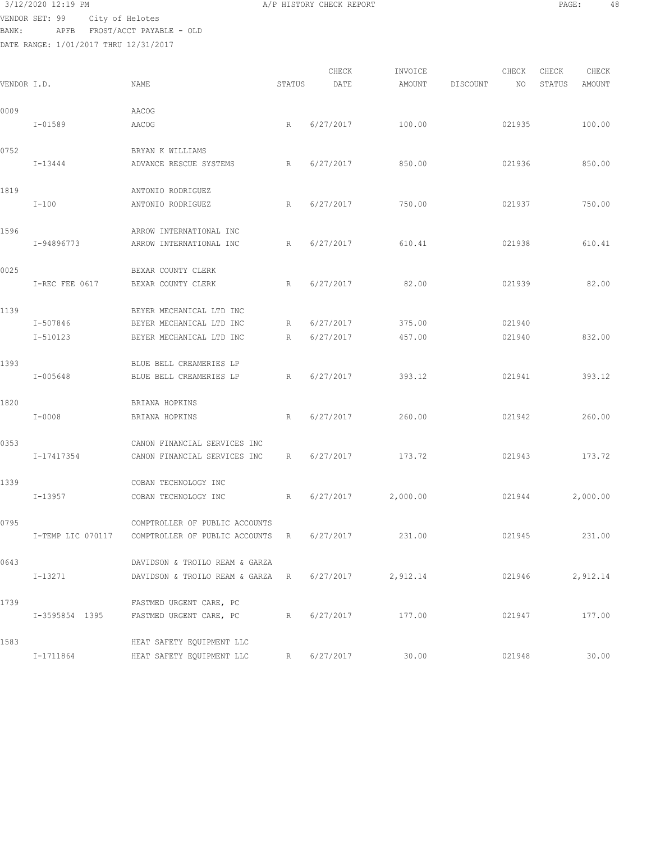VENDOR SET: 99 City of Helotes BANK: APFB FROST/ACCT PAYABLE - OLD

| 3/12/2020 12:19 PM<br>the contract of the contract of the contract of the contract of the contract of the contract of the contract of | <b>\/P HISTORY CHECK REPORT</b> | PAGE. | 48 |
|---------------------------------------------------------------------------------------------------------------------------------------|---------------------------------|-------|----|
| the contract of the contract of the contract of the contract of the contract of the contract of the contract of<br>___                |                                 |       |    |

| VENDOR I.D. |                | NAME                                                         | STATUS | CHECK<br>DATE | INVOICE<br>AMOUNT | DISCOUNT | CHECK<br>NO | CHECK<br>STATUS | CHECK<br>AMOUNT |
|-------------|----------------|--------------------------------------------------------------|--------|---------------|-------------------|----------|-------------|-----------------|-----------------|
| 0009        |                | AACOG                                                        |        |               |                   |          |             |                 |                 |
|             | $I - 01589$    | AACOG                                                        | R      | 6/27/2017     | 100.00            |          | 021935      |                 | 100.00          |
| 0752        |                | BRYAN K WILLIAMS                                             |        |               |                   |          |             |                 |                 |
|             | I-13444        | ADVANCE RESCUE SYSTEMS                                       | R      | 6/27/2017     | 850.00            |          | 021936      |                 | 850.00          |
| 1819        |                | ANTONIO RODRIGUEZ                                            |        |               |                   |          |             |                 |                 |
|             | $I-100$        | ANTONIO RODRIGUEZ                                            | R      | 6/27/2017     | 750.00            |          | 021937      |                 | 750.00          |
| 1596        |                | ARROW INTERNATIONAL INC                                      |        |               |                   |          |             |                 |                 |
|             | I-94896773     | ARROW INTERNATIONAL INC                                      | R      | 6/27/2017     | 610.41            |          | 021938      |                 | 610.41          |
| 0025        |                | BEXAR COUNTY CLERK                                           |        |               |                   |          |             |                 |                 |
|             | I-REC FEE 0617 | BEXAR COUNTY CLERK                                           | R      | 6/27/2017     | 82.00             |          | 021939      |                 | 82.00           |
| 1139        |                | BEYER MECHANICAL LTD INC                                     |        |               |                   |          |             |                 |                 |
|             | I-507846       | BEYER MECHANICAL LTD INC                                     | R      | 6/27/2017     | 375.00            |          | 021940      |                 |                 |
|             | I-510123       | BEYER MECHANICAL LTD INC                                     | R      | 6/27/2017     | 457.00            |          | 021940      |                 | 832.00          |
| 1393        |                | BLUE BELL CREAMERIES LP                                      |        |               |                   |          |             |                 |                 |
|             | I-005648       | BLUE BELL CREAMERIES LP                                      | R      | 6/27/2017     | 393.12            |          | 021941      |                 | 393.12          |
| 1820        |                | BRIANA HOPKINS                                               |        |               |                   |          |             |                 |                 |
|             | $I - 0008$     | BRIANA HOPKINS                                               | R      | 6/27/2017     | 260.00            |          | 021942      |                 | 260.00          |
| 0353        |                | CANON FINANCIAL SERVICES INC                                 |        |               |                   |          |             |                 |                 |
|             | I-17417354     | CANON FINANCIAL SERVICES INC                                 | R      | 6/27/2017     | 173.72            |          | 021943      |                 | 173.72          |
| 1339        |                | COBAN TECHNOLOGY INC                                         |        |               |                   |          |             |                 |                 |
|             | $I-13957$      | COBAN TECHNOLOGY INC                                         | R      | 6/27/2017     | 2,000.00          |          | 021944      |                 | 2,000.00        |
| 0795        |                | COMPTROLLER OF PUBLIC ACCOUNTS                               |        |               |                   |          |             |                 |                 |
|             |                | I-TEMP LIC 070117 COMPTROLLER OF PUBLIC ACCOUNTS R 6/27/2017 |        |               | 231.00            |          | 021945      |                 | 231.00          |
| 0643        |                | DAVIDSON & TROILO REAM & GARZA                               |        |               |                   |          |             |                 |                 |
|             | I-13271        | DAVIDSON & TROILO REAM & GARZA R                             |        | 6/27/2017     | 2,912.14          |          | 021946      |                 | 2,912.14        |
| 1739        |                | FASTMED URGENT CARE, PC                                      |        |               |                   |          |             |                 |                 |
|             |                | I-3595854 1395 FASTMED URGENT CARE, PC                       | R      | 6/27/2017     | 177.00            |          | 021947      |                 | 177.00          |
| 1583        |                | HEAT SAFETY EQUIPMENT LLC                                    |        |               |                   |          |             |                 |                 |
|             | I-1711864      | HEAT SAFETY EQUIPMENT LLC                                    |        | R 6/27/2017   | 30.00             |          | 021948      |                 | 30.00           |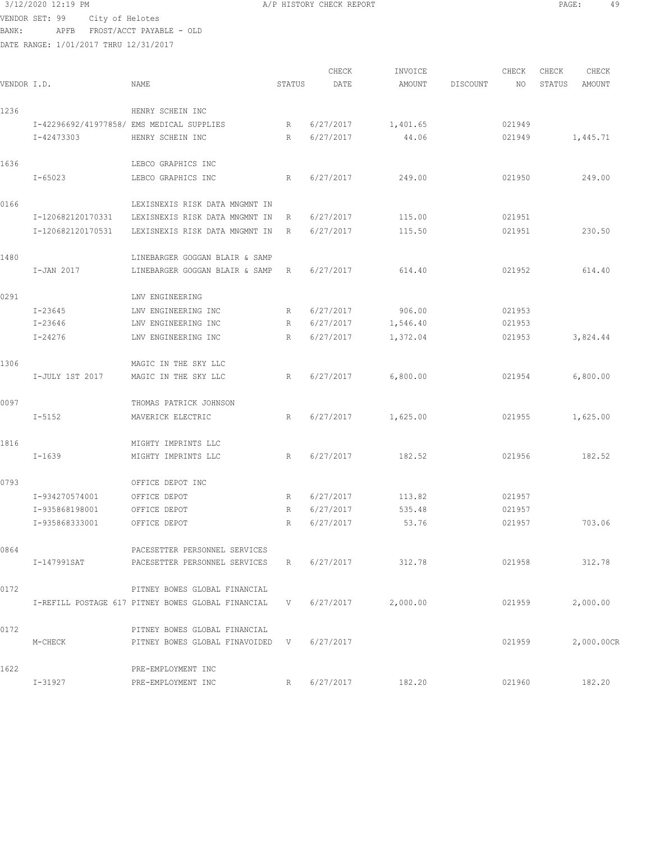VENDOR SET: 99 City of Helotes

BANK: APFB FROST/ACCT PAYABLE - OLD

0172 PITNEY BOWES GLOBAL FINANCIAL

0172 PITNEY BOWES GLOBAL FINANCIAL

1622 PRE-EMPLOYMENT INC

DATE RANGE: 1/01/2017 THRU 12/31/2017

| VENDOR I.D. |                                           | <b>NAME</b>                    | STATUS       | CHECK<br>DATE | INVOICE<br>AMOUNT | <b>DISCOUNT</b> | CHECK<br>NO | CHECK<br>STATUS | CHECK<br>AMOUNT |  |
|-------------|-------------------------------------------|--------------------------------|--------------|---------------|-------------------|-----------------|-------------|-----------------|-----------------|--|
| 1236        |                                           | HENRY SCHEIN INC               |              |               |                   |                 |             |                 |                 |  |
|             | I-42296692/41977858/ EMS MEDICAL SUPPLIES |                                | R            | 6/27/2017     | 1,401.65          |                 | 021949      |                 |                 |  |
|             | I-42473303                                | HENRY SCHEIN INC               | $\mathbb{R}$ | 6/27/2017     | 44.06             |                 | 021949      |                 | 1,445.71        |  |
| 1636        |                                           | LEBCO GRAPHICS INC             |              |               |                   |                 |             |                 |                 |  |
|             | $I - 65023$                               | LEBCO GRAPHICS INC             | R            | 6/27/2017     | 249.00            |                 | 021950      |                 | 249.00          |  |
| 0166        |                                           | LEXISNEXIS RISK DATA MNGMNT IN |              |               |                   |                 |             |                 |                 |  |
|             | I-120682120170331                         | LEXISNEXIS RISK DATA MNGMNT IN | R            | 6/27/2017     | 115.00            |                 | 021951      |                 |                 |  |
|             | I-120682120170531                         | LEXISNEXIS RISK DATA MNGMNT IN | $\mathbb R$  | 6/27/2017     | 115.50            |                 | 021951      |                 | 230.50          |  |
| 1480        |                                           | LINEBARGER GOGGAN BLAIR & SAMP |              |               |                   |                 |             |                 |                 |  |
|             | I-JAN 2017                                | LINEBARGER GOGGAN BLAIR & SAMP | R            | 6/27/2017     | 614.40            |                 | 021952      |                 | 614.40          |  |
| 0291        |                                           | LNV ENGINEERING                |              |               |                   |                 |             |                 |                 |  |
|             | $I - 23645$                               | LNV ENGINEERING INC            | $\mathbb{R}$ | 6/27/2017     | 906.00            |                 | 021953      |                 |                 |  |
|             | $I - 23646$                               | LNV ENGINEERING INC            | R            | 6/27/2017     | 1,546.40          |                 | 021953      |                 |                 |  |
|             | $I - 24276$                               | LNV ENGINEERING INC            | R            | 6/27/2017     | 1,372.04          |                 | 021953      |                 | 3,824.44        |  |
| 1306        |                                           | MAGIC IN THE SKY LLC           |              |               |                   |                 |             |                 |                 |  |
|             | I-JULY 1ST 2017                           | MAGIC IN THE SKY LLC           | $\mathbb R$  | 6/27/2017     | 6,800.00          |                 | 021954      |                 | 6,800.00        |  |
| 0097        |                                           | THOMAS PATRICK JOHNSON         |              |               |                   |                 |             |                 |                 |  |
|             | $I - 5152$                                | MAVERICK ELECTRIC              | R            | 6/27/2017     | 1,625.00          |                 | 021955      |                 | 1,625.00        |  |
| 1816        |                                           | MIGHTY IMPRINTS LLC            |              |               |                   |                 |             |                 |                 |  |
|             | $I - 1639$                                | MIGHTY IMPRINTS LLC            | R            | 6/27/2017     | 182.52            |                 | 021956      |                 | 182.52          |  |
| 0793        |                                           | OFFICE DEPOT INC               |              |               |                   |                 |             |                 |                 |  |
|             | I-934270574001                            | OFFICE DEPOT                   | R            | 6/27/2017     | 113.82            |                 | 021957      |                 |                 |  |
|             | I-935868198001                            | OFFICE DEPOT                   | R            | 6/27/2017     | 535.48            |                 | 021957      |                 |                 |  |
|             | I-935868333001                            | OFFICE DEPOT                   | R            | 6/27/2017     | 53.76             |                 | 021957      |                 | 703.06          |  |
| 0864        |                                           | PACESETTER PERSONNEL SERVICES  |              |               |                   |                 |             |                 |                 |  |
|             | I-147991SAT                               | PACESETTER PERSONNEL SERVICES  | R            | 6/27/2017     | 312.78            |                 | 021958      |                 | 312.78          |  |

I-REFILL POSTAGE 617 PITNEY BOWES GLOBAL FINANCIAL V 6/27/2017 2,000.00 021959 2,000.00

M-CHECK PITNEY BOWES GLOBAL FINAVOIDED V 6/27/2017 021959 021959 2,000.00CR

I-31927 PRE-EMPLOYMENT INC R 6/27/2017 182.20 021960 182.20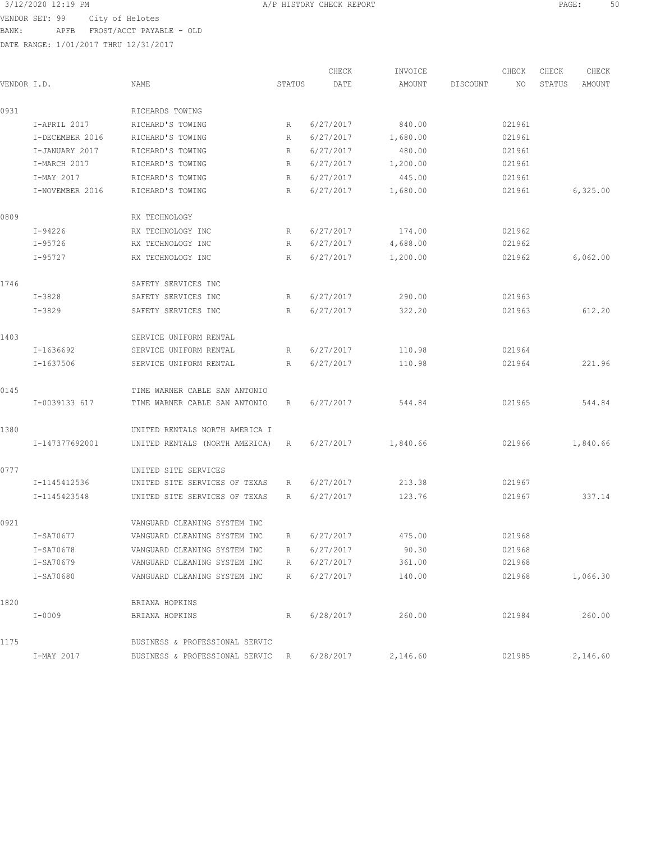3/12/2020 12:19 PM A/P HISTORY CHECK REPORT PAGE: 50 VENDOR SET: 99 City of Helotes BANK: APFB FROST/ACCT PAYABLE - OLD

|             |                 |                                  |        | CHECK     | INVOICE  |          | CHECK  | CHECK  | CHECK    |
|-------------|-----------------|----------------------------------|--------|-----------|----------|----------|--------|--------|----------|
| VENDOR I.D. |                 | NAME                             | STATUS | DATE      | AMOUNT   | DISCOUNT | NO     | STATUS | AMOUNT   |
| 0931        |                 | RICHARDS TOWING                  |        |           |          |          |        |        |          |
|             | I-APRIL 2017    | RICHARD'S TOWING                 | R      | 6/27/2017 | 840.00   |          | 021961 |        |          |
|             | I-DECEMBER 2016 | RICHARD'S TOWING                 | R      | 6/27/2017 | 1,680.00 |          | 021961 |        |          |
|             | I-JANUARY 2017  | RICHARD'S TOWING                 | R      | 6/27/2017 | 480.00   |          | 021961 |        |          |
|             | I-MARCH 2017    | RICHARD'S TOWING                 | R      | 6/27/2017 | 1,200.00 |          | 021961 |        |          |
|             | I-MAY 2017      | RICHARD'S TOWING                 | R      | 6/27/2017 | 445.00   |          | 021961 |        |          |
|             | I-NOVEMBER 2016 | RICHARD'S TOWING                 | R      | 6/27/2017 | 1,680.00 |          | 021961 |        | 6,325.00 |
| 0809        |                 | RX TECHNOLOGY                    |        |           |          |          |        |        |          |
|             | I-94226         | RX TECHNOLOGY INC                | R      | 6/27/2017 | 174.00   |          | 021962 |        |          |
|             | I-95726         | RX TECHNOLOGY INC                | R      | 6/27/2017 | 4,688.00 |          | 021962 |        |          |
|             | I-95727         | RX TECHNOLOGY INC                | R      | 6/27/2017 | 1,200.00 |          | 021962 |        | 6,062.00 |
| 1746        |                 | SAFETY SERVICES INC              |        |           |          |          |        |        |          |
|             | $I - 3828$      | SAFETY SERVICES INC              | R      | 6/27/2017 | 290.00   |          | 021963 |        |          |
|             | $I - 3829$      | SAFETY SERVICES INC              | R      | 6/27/2017 | 322.20   |          | 021963 |        | 612.20   |
| 1403        |                 | SERVICE UNIFORM RENTAL           |        |           |          |          |        |        |          |
|             | I-1636692       | SERVICE UNIFORM RENTAL           | R      | 6/27/2017 | 110.98   |          | 021964 |        |          |
|             | I-1637506       | SERVICE UNIFORM RENTAL           | R      | 6/27/2017 | 110.98   |          | 021964 |        | 221.96   |
| 0145        |                 | TIME WARNER CABLE SAN ANTONIO    |        |           |          |          |        |        |          |
|             | I-0039133 617   | TIME WARNER CABLE SAN ANTONIO    | R      | 6/27/2017 | 544.84   |          | 021965 |        | 544.84   |
| 1380        |                 | UNITED RENTALS NORTH AMERICA I   |        |           |          |          |        |        |          |
|             | I-147377692001  | UNITED RENTALS (NORTH AMERICA)   | R      | 6/27/2017 | 1,840.66 |          | 021966 |        | 1,840.66 |
| 0777        |                 | UNITED SITE SERVICES             |        |           |          |          |        |        |          |
|             | I-1145412536    | UNITED SITE SERVICES OF TEXAS    | R      | 6/27/2017 | 213.38   |          | 021967 |        |          |
|             | I-1145423548    | UNITED SITE SERVICES OF TEXAS    | R      | 6/27/2017 | 123.76   |          | 021967 |        | 337.14   |
| 0921        |                 | VANGUARD CLEANING SYSTEM INC     |        |           |          |          |        |        |          |
|             | I-SA70677       | VANGUARD CLEANING SYSTEM INC     | R      | 6/27/2017 | 475.00   |          | 021968 |        |          |
|             | I-SA70678       | VANGUARD CLEANING SYSTEM INC     | R      | 6/27/2017 | 90.30    |          | 021968 |        |          |
|             | I-SA70679       | VANGUARD CLEANING SYSTEM INC     | R      | 6/27/2017 | 361.00   |          | 021968 |        |          |
|             | I-SA70680       | VANGUARD CLEANING SYSTEM INC     | R      | 6/27/2017 | 140.00   |          | 021968 |        | 1,066.30 |
| 1820        |                 | BRIANA HOPKINS                   |        |           |          |          |        |        |          |
|             | $I - 0009$      | BRIANA HOPKINS                   | R      | 6/28/2017 | 260.00   |          | 021984 |        | 260.00   |
| 1175        |                 | BUSINESS & PROFESSIONAL SERVIC   |        |           |          |          |        |        |          |
|             | I-MAY 2017      | BUSINESS & PROFESSIONAL SERVIC R |        | 6/28/2017 | 2,146.60 |          | 021985 |        | 2,146.60 |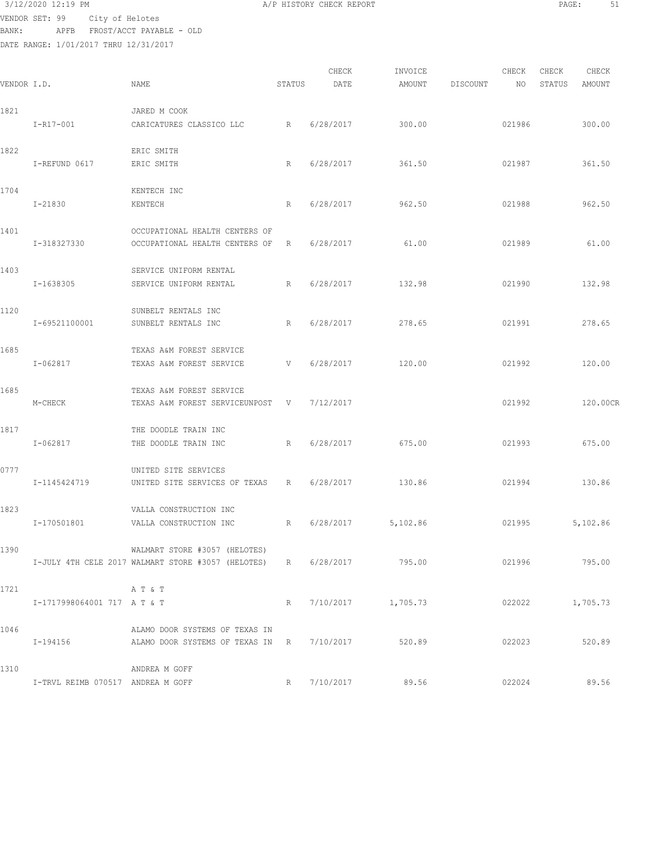## 3/12/2020 12:19 PM **A/P HISTORY CHECK REPORT PAGE:** 51

VENDOR SET: 99 City of Helotes BANK: APFB FROST/ACCT PAYABLE - OLD

|             |                                   |                                                                |              | CHECK       | INVOICE              |          | CHECK  | CHECK           | CHECK    |
|-------------|-----------------------------------|----------------------------------------------------------------|--------------|-------------|----------------------|----------|--------|-----------------|----------|
| VENDOR I.D. |                                   | NAME                                                           | STATUS       | DATE        | AMOUNT               | DISCOUNT | NO     | STATUS          | AMOUNT   |
| 1821        |                                   | JARED M COOK                                                   |              |             |                      |          |        |                 |          |
|             | I-R17-001                         | CARICATURES CLASSICO LLC                                       | R            | 6/28/2017   | 300.00               |          | 021986 |                 | 300.00   |
| 1822        |                                   | ERIC SMITH                                                     |              |             |                      |          |        |                 |          |
|             | I-REFUND 0617                     | ERIC SMITH                                                     | R            | 6/28/2017   | 361.50               |          | 021987 |                 | 361.50   |
| 1704        |                                   | KENTECH INC                                                    |              |             |                      |          |        |                 |          |
|             | I-21830                           | KENTECH                                                        | R            | 6/28/2017   | 962.50               |          | 021988 |                 | 962.50   |
| 1401        |                                   | OCCUPATIONAL HEALTH CENTERS OF                                 |              |             |                      |          |        |                 |          |
|             | I-318327330                       | OCCUPATIONAL HEALTH CENTERS OF                                 | R            | 6/28/2017   | 61.00                |          | 021989 |                 | 61.00    |
| 1403        |                                   | SERVICE UNIFORM RENTAL                                         |              |             |                      |          |        |                 |          |
|             | I-1638305                         | SERVICE UNIFORM RENTAL                                         | $\mathbb{R}$ | 6/28/2017   | 132.98               |          | 021990 |                 | 132.98   |
| 1120        |                                   | SUNBELT RENTALS INC                                            |              |             |                      |          |        |                 |          |
|             | I-69521100001                     | SUNBELT RENTALS INC                                            | R            | 6/28/2017   | 278.65               |          | 021991 |                 | 278.65   |
| 1685        |                                   | TEXAS A&M FOREST SERVICE                                       |              |             |                      |          |        |                 |          |
|             | I-062817                          | TEXAS A&M FOREST SERVICE                                       | V            | 6/28/2017   | 120.00               |          | 021992 |                 | 120.00   |
| 1685        |                                   | TEXAS A&M FOREST SERVICE                                       |              |             |                      |          |        |                 |          |
|             | M-CHECK                           | TEXAS A&M FOREST SERVICEUNPOST                                 | V            | 7/12/2017   |                      |          | 021992 |                 | 120.00CR |
| 1817        |                                   | THE DOODLE TRAIN INC                                           |              |             |                      |          |        |                 |          |
|             | $I - 062817$                      | THE DOODLE TRAIN INC                                           | R            | 6/28/2017   | 675.00               |          | 021993 |                 | 675.00   |
| 0777        |                                   | UNITED SITE SERVICES                                           |              |             |                      |          |        |                 |          |
|             | I-1145424719                      | UNITED SITE SERVICES OF TEXAS                                  | R            | 6/28/2017   | 130.86               |          | 021994 |                 | 130.86   |
| 1823        |                                   | VALLA CONSTRUCTION INC                                         |              |             |                      |          |        |                 |          |
|             | I-170501801                       | VALLA CONSTRUCTION INC                                         | R            | 6/28/2017   | 5,102.86             |          | 021995 |                 | 5,102.86 |
| 1390        |                                   | WALMART STORE #3057 (HELOTES)                                  |              |             |                      |          |        |                 |          |
|             |                                   | I-JULY 4TH CELE 2017 WALMART STORE #3057 (HELOTES) R 6/28/2017 |              |             | 795.00               |          | 021996 |                 | 795.00   |
| 1721        |                                   | A T & T                                                        |              |             |                      |          |        |                 |          |
|             | I-1717998064001 717 A T & T       |                                                                |              |             | R 7/10/2017 1,705.73 |          |        | 022022 1,705.73 |          |
| 1046        |                                   | ALAMO DOOR SYSTEMS OF TEXAS IN                                 |              |             |                      |          |        |                 |          |
|             | I-194156                          | ALAMO DOOR SYSTEMS OF TEXAS IN R 7/10/2017 520.89              |              |             |                      |          |        | 022023 520.89   |          |
| 1310        |                                   | ANDREA M GOFF                                                  |              |             |                      |          |        |                 |          |
|             | I-TRVL REIMB 070517 ANDREA M GOFF |                                                                |              | R 7/10/2017 | 89.56                |          | 022024 |                 | 89.56    |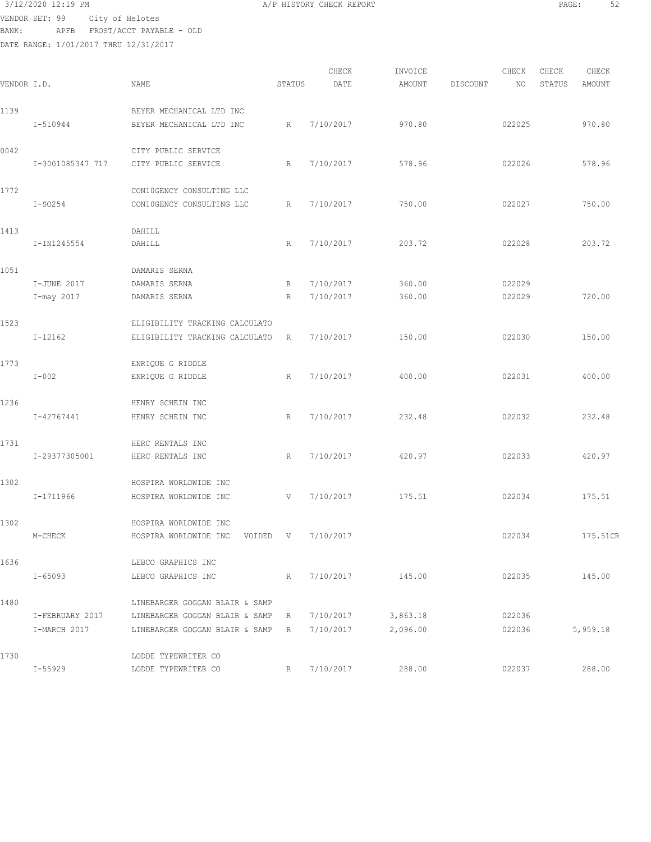VENDOR SET: 99 City of Helotes BANK: APFB FROST/ACCT PAYABLE - OLD

| 3/12/2020 12:19 PM | A/P HISTORY CHECK REPORT | PAGE | - - |
|--------------------|--------------------------|------|-----|
|                    |                          |      |     |

| VENDOR I.D. |                  | NAME                                                              | STATUS      | CHECK<br>DATE | INVOICE<br>AMOUNT | DISCOUNT | CHECK<br>NO | CHECK<br>STATUS | CHECK<br>AMOUNT |
|-------------|------------------|-------------------------------------------------------------------|-------------|---------------|-------------------|----------|-------------|-----------------|-----------------|
| 1139        | I-510944         | BEYER MECHANICAL LTD INC<br>BEYER MECHANICAL LTD INC              | R           | 7/10/2017     | 970.80            |          | 022025      |                 | 970.80          |
| 0042        | I-3001085347 717 | CITY PUBLIC SERVICE<br>CITY PUBLIC SERVICE                        | R           | 7/10/2017     | 578.96            |          | 022026      |                 | 578.96          |
| 1772        | $I-SO254$        | CON10GENCY CONSULTING LLC<br>CON10GENCY CONSULTING LLC            | R           | 7/10/2017     | 750.00            |          | 022027      |                 | 750.00          |
| 1413        | I-IN1245554      | DAHILL<br>DAHILL                                                  | R           | 7/10/2017     | 203.72            |          | 022028      |                 | 203.72          |
| 1051        | I-JUNE 2017      | DAMARIS SERNA<br>DAMARIS SERNA                                    | R           | 7/10/2017     | 360.00            |          | 022029      |                 |                 |
|             | I-may 2017       | DAMARIS SERNA                                                     | R           | 7/10/2017     | 360.00            |          | 022029      |                 | 720.00          |
| 1523        | $I-12162$        | ELIGIBILITY TRACKING CALCULATO<br>ELIGIBILITY TRACKING CALCULATO  | R           | 7/10/2017     | 150.00            |          | 022030      |                 | 150.00          |
| 1773        | $I-002$          | ENRIQUE G RIDDLE<br>ENRIQUE G RIDDLE                              | R           | 7/10/2017     | 400.00            |          | 022031      |                 | 400.00          |
| 1236        | I-42767441       | HENRY SCHEIN INC<br>HENRY SCHEIN INC                              | R           | 7/10/2017     | 232.48            |          | 022032      |                 | 232.48          |
| 1731        | I-29377305001    | HERC RENTALS INC<br>HERC RENTALS INC                              | R           | 7/10/2017     | 420.97            |          | 022033      |                 | 420.97          |
| 1302        | $I-1711966$      | HOSPIRA WORLDWIDE INC<br>HOSPIRA WORLDWIDE INC                    | V           | 7/10/2017     | 175.51            |          | 022034      |                 | 175.51          |
| 1302        | M-CHECK          | HOSPIRA WORLDWIDE INC<br>HOSPIRA WORLDWIDE INC VOIDED V 7/10/2017 |             |               |                   |          | 022034      |                 | 175.51CR        |
| 1636        | $I - 65093$      | LEBCO GRAPHICS INC<br>LEBCO GRAPHICS INC                          | R           | 7/10/2017     | 145.00            |          | 022035      |                 | 145.00          |
| 1480        | I-FEBRUARY 2017  | LINEBARGER GOGGAN BLAIR & SAMP<br>LINEBARGER GOGGAN BLAIR & SAMP  | $R_{\perp}$ | 7/10/2017     | 3,863.18          |          | 022036      |                 |                 |
| 1730        | I-MARCH 2017     | LINEBARGER GOGGAN BLAIR & SAMP<br>LODDE TYPEWRITER CO             | R           | 7/10/2017     | 2,096.00          |          | 022036      |                 | 5,959.18        |
|             | I-55929          | LODDE TYPEWRITER CO                                               | R           | 7/10/2017     | 288.00            |          | 022037      |                 | 288.00          |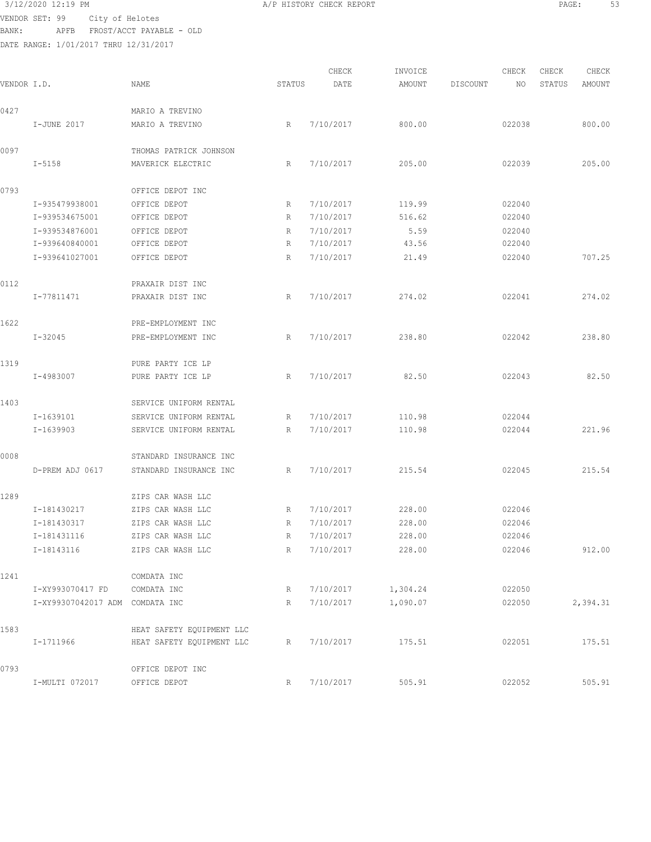### 3/12/2020 12:19 PM A/P HISTORY CHECK REPORT PAGE: 53

VENDOR SET: 99 City of Helotes BANK: APFB FROST/ACCT PAYABLE - OLD

DATE RANGE: 1/01/2017 THRU 12/31/2017

| P HISTORY CHECK REPORT |  |
|------------------------|--|
|                        |  |

CHECK INVOICE CHECK CHECK CHECK VENDOR I.D. NAME STATUS DATE AMOUNT DISCOUNT NO STATUS AMOUNT 0427 MARIO A TREVINO I-JUNE 2017 MARIO A TREVINO R 7/10/2017 800.00 022038 800.00 0097 THOMAS PATRICK JOHNSON I-5158 MAVERICK ELECTRIC R 7/10/2017 205.00 022039 205.00 0793 OFFICE DEPOT INC I-935479938001 OFFICE DEPOT R 7/10/2017 119.99 022040 I-939534675001 OFFICE DEPOT R 7/10/2017 516.62 022040 I-939534876001 OFFICE DEPOT R 7/10/2017 5.59 022040 I-939640840001 OFFICE DEPOT R 7/10/2017 43.56 022040 I-939641027001 OFFICE DEPOT R 7/10/2017 21.49 022040 707.25 0112 PRAXAIR DIST INC I-77811471 PRAXAIR DIST INC R 7/10/2017 274.02 022041 274.02 1622 PRE-EMPLOYMENT INC I-32045 PRE-EMPLOYMENT INC R 7/10/2017 238.80 022042 238.80 1319 PURE PARTY ICE LP I-4983007 PURE PARTY ICE LP R 7/10/2017 82.50 022043 82.50 1403 SERVICE UNIFORM RENTAL I-1639101 SERVICE UNIFORM RENTAL R 7/10/2017 110.98 022044 I-1639903 SERVICE UNIFORM RENTAL R 7/10/2017 110.98 022044 221.96 0008 STANDARD INSURANCE INC D-PREM ADJ 0617 STANDARD INSURANCE INC R 7/10/2017 215.54 022045 215.54 1289 ZIPS CAR WASH LLC I-181430217 ZIPS CAR WASH LLC R 7/10/2017 228.00 022046 I-181430317 ZIPS CAR WASH LLC R 7/10/2017 228.00 022046 I-181431116 ZIPS CAR WASH LLC R 7/10/2017 228.00 022046 I-18143116 ZIPS CAR WASH LLC R 7/10/2017 228.00 022046 912.00 1241 COMDATA INC I-XY993070417 FD COMDATA INC R 7/10/2017 1,304.24 022050 I-XY99307042017 ADM COMDATA INC R 7/10/2017 1,090.07 022050 2,394.31 1583 HEAT SAFETY EQUIPMENT LLC I-1711966 HEAT SAFETY EQUIPMENT LLC R 7/10/2017 175.51 022051 175.51 0793 OFFICE DEPOT INC I-MULTI 072017 OFFICE DEPOT R 7/10/2017 505.91 022052 505.91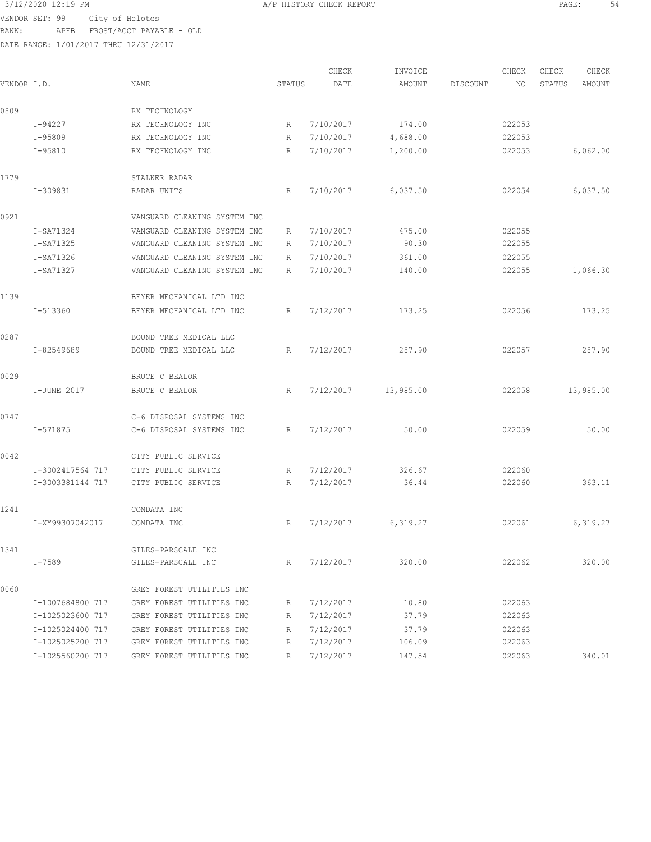$3/12/2020$  12:19 PM  $A/P$  HISTORY CHECK REPORT  $\overline{S4}$ VENDOR SET: 99 City of Helotes

BANK: APFB FROST/ACCT PAYABLE - OLD

|             |                  |                              |        | CHECK     | INVOICE   |          | CHECK  | CHECK  | CHECK     |
|-------------|------------------|------------------------------|--------|-----------|-----------|----------|--------|--------|-----------|
| VENDOR I.D. |                  | NAME                         | STATUS | DATE      | AMOUNT    | DISCOUNT | ΝO     | STATUS | AMOUNT    |
| 0809        |                  | RX TECHNOLOGY                |        |           |           |          |        |        |           |
|             | $I - 94227$      | RX TECHNOLOGY INC            | R      | 7/10/2017 | 174.00    |          | 022053 |        |           |
|             | I-95809          | RX TECHNOLOGY INC            | R      | 7/10/2017 | 4,688.00  |          | 022053 |        |           |
|             | $I-95810$        | RX TECHNOLOGY INC            | R      | 7/10/2017 | 1,200.00  |          | 022053 |        | 6,062.00  |
| 1779        |                  | STALKER RADAR                |        |           |           |          |        |        |           |
|             | I-309831         | RADAR UNITS                  | R      | 7/10/2017 | 6,037.50  |          | 022054 |        | 6,037.50  |
| 0921        |                  | VANGUARD CLEANING SYSTEM INC |        |           |           |          |        |        |           |
|             | I-SA71324        | VANGUARD CLEANING SYSTEM INC | R      | 7/10/2017 | 475.00    |          | 022055 |        |           |
|             | I-SA71325        | VANGUARD CLEANING SYSTEM INC | R      | 7/10/2017 | 90.30     |          | 022055 |        |           |
|             | I-SA71326        | VANGUARD CLEANING SYSTEM INC | R      | 7/10/2017 | 361.00    |          | 022055 |        |           |
|             | I-SA71327        | VANGUARD CLEANING SYSTEM INC | R      | 7/10/2017 | 140.00    |          | 022055 |        | 1,066.30  |
| 1139        |                  | BEYER MECHANICAL LTD INC     |        |           |           |          |        |        |           |
|             | I-513360         | BEYER MECHANICAL LTD INC     | R      | 7/12/2017 | 173.25    |          | 022056 |        | 173.25    |
| 0287        |                  | BOUND TREE MEDICAL LLC       |        |           |           |          |        |        |           |
|             | I-82549689       | BOUND TREE MEDICAL LLC       | R      | 7/12/2017 | 287.90    |          | 022057 |        | 287.90    |
| 0029        |                  | BRUCE C BEALOR               |        |           |           |          |        |        |           |
|             | I-JUNE 2017      | BRUCE C BEALOR               | R      | 7/12/2017 | 13,985.00 |          | 022058 |        | 13,985.00 |
| 0747        |                  | C-6 DISPOSAL SYSTEMS INC     |        |           |           |          |        |        |           |
|             | $I - 571875$     | C-6 DISPOSAL SYSTEMS INC     | R      | 7/12/2017 | 50.00     |          | 022059 |        | 50.00     |
| 0042        |                  | CITY PUBLIC SERVICE          |        |           |           |          |        |        |           |
|             | I-3002417564 717 | CITY PUBLIC SERVICE          | R      | 7/12/2017 | 326.67    |          | 022060 |        |           |
|             | I-3003381144 717 | CITY PUBLIC SERVICE          | R      | 7/12/2017 | 36.44     |          | 022060 |        | 363.11    |
| 1241        |                  | COMDATA INC                  |        |           |           |          |        |        |           |
|             | I-XY99307042017  | COMDATA INC                  | R      | 7/12/2017 | 6,319.27  |          | 022061 |        | 6,319.27  |
| 1341        |                  | GILES-PARSCALE INC           |        |           |           |          |        |        |           |
|             | I-7589           | GILES-PARSCALE INC           | R      | 7/12/2017 | 320.00    |          | 022062 |        | 320.00    |
| 0060        |                  | GREY FOREST UTILITIES INC    |        |           |           |          |        |        |           |
|             | I-1007684800 717 | GREY FOREST UTILITIES INC    | R      | 7/12/2017 | 10.80     |          | 022063 |        |           |
|             | I-1025023600 717 | GREY FOREST UTILITIES INC    | R      | 7/12/2017 | 37.79     |          | 022063 |        |           |
|             | I-1025024400 717 | GREY FOREST UTILITIES INC    | R      | 7/12/2017 | 37.79     |          | 022063 |        |           |
|             | I-1025025200 717 | GREY FOREST UTILITIES INC    | R      | 7/12/2017 | 106.09    |          | 022063 |        |           |
|             | I-1025560200 717 | GREY FOREST UTILITIES INC    | R      | 7/12/2017 | 147.54    |          | 022063 |        | 340.01    |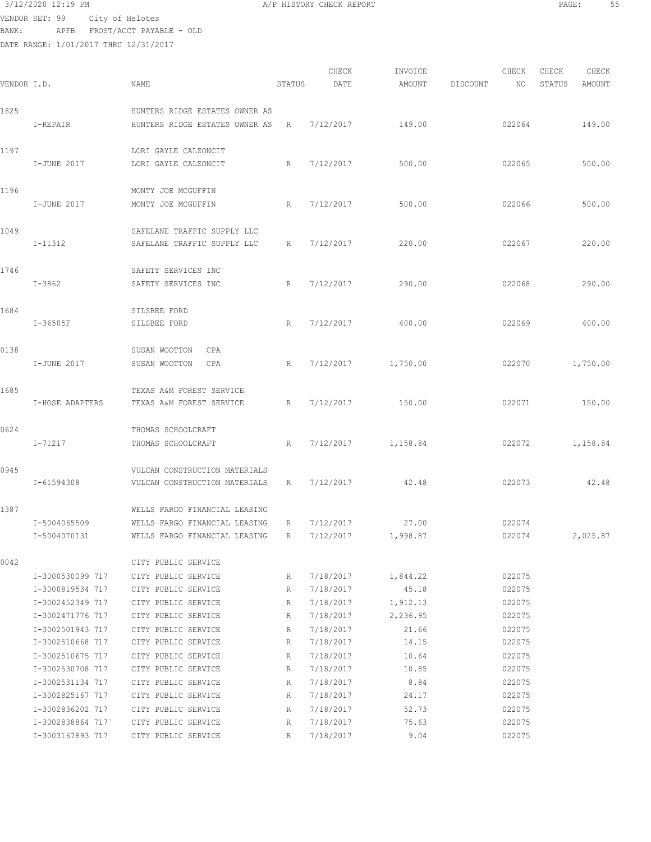$3/12/2020$  12:19 PM  $A/P$  HISTORY CHECK REPORT  $\overline{PAGE:}$  PAGE: 55 VENDOR SET: 99 City of Helotes BANK: APFB FROST/ACCT PAYABLE - OLD

| VENDOR I.D. |                                                          | NAME                                                                                            | STATUS      | CHECK<br>DATE                       | INVOICE<br>AMOUNT       | DISCOUNT | CHECK<br>NO                | CHECK<br>STATUS | CHECK<br>AMOUNT |
|-------------|----------------------------------------------------------|-------------------------------------------------------------------------------------------------|-------------|-------------------------------------|-------------------------|----------|----------------------------|-----------------|-----------------|
| 1825        |                                                          | HUNTERS RIDGE ESTATES OWNER AS                                                                  |             |                                     |                         |          |                            |                 |                 |
|             | I-REPAIR                                                 | HUNTERS RIDGE ESTATES OWNER AS                                                                  | R           | 7/12/2017                           | 149.00                  |          | 022064                     |                 | 149.00          |
| 1197        | I-JUNE 2017                                              | LORI GAYLE CALZONCIT<br>LORI GAYLE CALZONCIT                                                    | R           | 7/12/2017                           | 500.00                  |          | 022065                     |                 | 500.00          |
| 1196        | I-JUNE 2017                                              | MONTY JOE MCGUFFIN<br>MONTY JOE MCGUFFIN                                                        | R           | 7/12/2017                           | 500.00                  |          | 022066                     |                 | 500.00          |
| 1049        | I-11312                                                  | SAFELANE TRAFFIC SUPPLY LLC<br>SAFELANE TRAFFIC SUPPLY LLC                                      | R           | 7/12/2017                           | 220.00                  |          | 022067                     |                 | 220.00          |
| 1746        | $I - 3862$                                               | SAFETY SERVICES INC<br>SAFETY SERVICES INC                                                      | R           | 7/12/2017                           | 290.00                  |          | 022068                     |                 | 290.00          |
| 1684        | $I-36505F$                                               | SILSBEE FORD<br>SILSBEE FORD                                                                    | R           | 7/12/2017                           | 400.00                  |          | 022069                     |                 | 400.00          |
| 0138        | I-JUNE 2017                                              | SUSAN WOOTTON<br>CPA<br>SUSAN WOOTTON<br>CPA                                                    | R           | 7/12/2017                           | 1,750.00                |          | 022070                     |                 | 1,750.00        |
| 1685        | I-HOSE ADAPTERS                                          | TEXAS A&M FOREST SERVICE<br>TEXAS A&M FOREST SERVICE                                            | R           | 7/12/2017                           | 150.00                  |          | 022071                     |                 | 150.00          |
| 0624        | I-71217                                                  | THOMAS SCHOOLCRAFT<br>THOMAS SCHOOLCRAFT                                                        | R           | 7/12/2017                           | 1,158.84                |          | 022072                     |                 | 1,158.84        |
| 0945        | I-61594308                                               | VULCAN CONSTRUCTION MATERIALS<br>VULCAN CONSTRUCTION MATERIALS                                  | R           | 7/12/2017                           | 42.48                   |          | 022073                     |                 | 42.48           |
| 1387        | I-5004065509<br>I-5004070131                             | WELLS FARGO FINANCIAL LEASING<br>WELLS FARGO FINANCIAL LEASING<br>WELLS FARGO FINANCIAL LEASING | R<br>R      | 7/12/2017<br>7/12/2017              | 27.00<br>1,998.87       |          | 022074<br>022074           |                 | 2,025.87        |
| 0042        |                                                          | CITY PUBLIC SERVICE                                                                             |             |                                     |                         |          |                            |                 |                 |
|             | I-3000530099 717<br>I-3000819534 717                     | CITY PUBLIC SERVICE<br>CITY PUBLIC SERVICE                                                      | R<br>R      | 7/18/2017<br>7/18/2017              | 1,844.22<br>45.18       |          | 022075<br>022075           |                 |                 |
|             | I-3002452349 717<br>I-3002471776 717                     | CITY PUBLIC SERVICE<br>CITY PUBLIC SERVICE                                                      | R<br>R      | 7/18/2017<br>7/18/2017              | 1,912.13<br>2,236.95    |          | 022075<br>022075           |                 |                 |
|             | I-3002501943 717<br>I-3002510668 717<br>I-3002510675 717 | CITY PUBLIC SERVICE<br>CITY PUBLIC SERVICE<br>CITY PUBLIC SERVICE                               | R<br>R<br>R | 7/18/2017<br>7/18/2017<br>7/18/2017 | 21.66<br>14.15<br>10.64 |          | 022075<br>022075<br>022075 |                 |                 |
|             | I-3002530708 717<br>I-3002531134 717                     | CITY PUBLIC SERVICE<br>CITY PUBLIC SERVICE                                                      | R<br>R      | 7/18/2017<br>7/18/2017              | 10.85<br>8.84           |          | 022075<br>022075           |                 |                 |
|             | I-3002825167 717<br>I-3002836202 717<br>I-3002838864 717 | CITY PUBLIC SERVICE<br>CITY PUBLIC SERVICE<br>CITY PUBLIC SERVICE                               | R<br>R<br>R | 7/18/2017<br>7/18/2017<br>7/18/2017 | 24.17<br>52.73<br>75.63 |          | 022075<br>022075<br>022075 |                 |                 |
|             | I-3003167893 717                                         | CITY PUBLIC SERVICE                                                                             | R           | 7/18/2017                           | 9.04                    |          | 022075                     |                 |                 |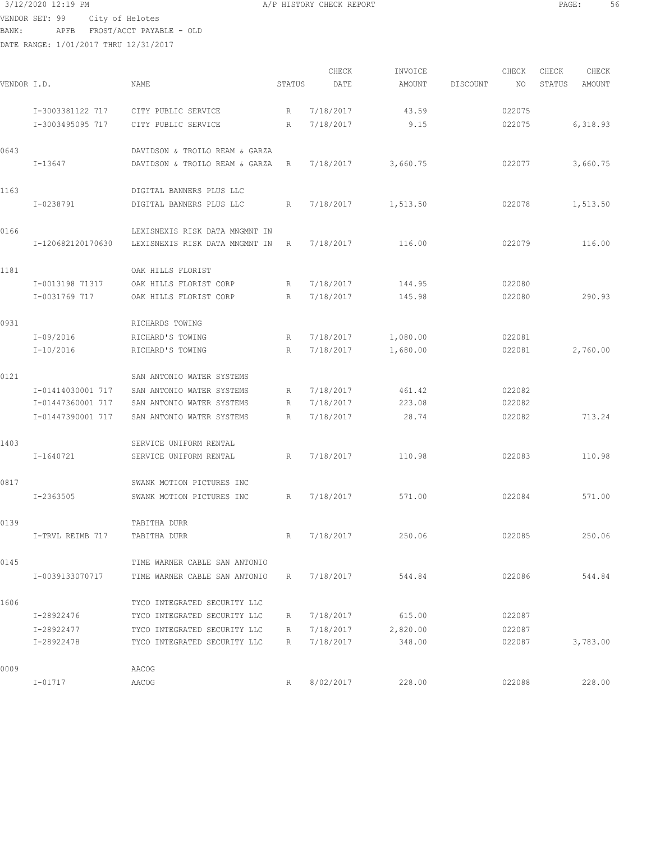$3/12/2020$  12:19 PM  $\,$  A/P HISTORY CHECK REPORT  $\,$  PAGE: 56  $\,$  PAGE: 56  $\,$  PAGE: 56  $\,$ VENDOR SET: 99 City of Helotes BANK: APFB FROST/ACCT PAYABLE - OLD

| VENDOR I.D. |                   | NAME                           | STATUS | CHECK<br>DATE | INVOICE<br>AMOUNT | DISCOUNT | CHECK<br>NO | CHECK<br>STATUS | CHECK<br>AMOUNT |
|-------------|-------------------|--------------------------------|--------|---------------|-------------------|----------|-------------|-----------------|-----------------|
|             | I-3003381122 717  | CITY PUBLIC SERVICE            | R      | 7/18/2017     | 43.59             |          | 022075      |                 |                 |
|             | I-3003495095 717  | CITY PUBLIC SERVICE            | R      | 7/18/2017     | 9.15              |          | 022075      |                 | 6,318.93        |
| 0643        |                   | DAVIDSON & TROILO REAM & GARZA |        |               |                   |          |             |                 |                 |
|             | $I-13647$         | DAVIDSON & TROILO REAM & GARZA | R      | 7/18/2017     | 3,660.75          |          | 022077      |                 | 3,660.75        |
| 1163        |                   | DIGITAL BANNERS PLUS LLC       |        |               |                   |          |             |                 |                 |
|             | I-0238791         | DIGITAL BANNERS PLUS LLC       | R      | 7/18/2017     | 1,513.50          |          | 022078      |                 | 1,513.50        |
| 0166        |                   | LEXISNEXIS RISK DATA MNGMNT IN |        |               |                   |          |             |                 |                 |
|             | I-120682120170630 | LEXISNEXIS RISK DATA MNGMNT IN | R      | 7/18/2017     | 116.00            |          | 022079      |                 | 116.00          |
| 1181        |                   | OAK HILLS FLORIST              |        |               |                   |          |             |                 |                 |
|             | I-0013198 71317   | OAK HILLS FLORIST CORP         | R      | 7/18/2017     | 144.95            |          | 022080      |                 |                 |
|             | I-0031769 717     | OAK HILLS FLORIST CORP         | R      | 7/18/2017     | 145.98            |          | 022080      |                 | 290.93          |
| 0931        |                   | RICHARDS TOWING                |        |               |                   |          |             |                 |                 |
|             | $I-09/2016$       | RICHARD'S TOWING               | R      | 7/18/2017     | 1,080.00          |          | 022081      |                 |                 |
|             | $I-10/2016$       | RICHARD'S TOWING               | R      | 7/18/2017     | 1,680.00          |          | 022081      |                 | 2,760.00        |
| 0121        |                   | SAN ANTONIO WATER SYSTEMS      |        |               |                   |          |             |                 |                 |
|             | I-01414030001 717 | SAN ANTONIO WATER SYSTEMS      | R      | 7/18/2017     | 461.42            |          | 022082      |                 |                 |
|             | I-01447360001 717 | SAN ANTONIO WATER SYSTEMS      | R      | 7/18/2017     | 223.08            |          | 022082      |                 |                 |
|             | I-01447390001 717 | SAN ANTONIO WATER SYSTEMS      | R      | 7/18/2017     | 28.74             |          | 022082      |                 | 713.24          |
| 1403        |                   | SERVICE UNIFORM RENTAL         |        |               |                   |          |             |                 |                 |
|             | I-1640721         | SERVICE UNIFORM RENTAL         | R      | 7/18/2017     | 110.98            |          | 022083      |                 | 110.98          |
| 0817        |                   | SWANK MOTION PICTURES INC      |        |               |                   |          |             |                 |                 |
|             | I-2363505         | SWANK MOTION PICTURES INC      | R      | 7/18/2017     | 571.00            |          | 022084      |                 | 571.00          |
| 0139        |                   | TABITHA DURR                   |        |               |                   |          |             |                 |                 |
|             | I-TRVL REIMB 717  | TABITHA DURR                   | R      | 7/18/2017     | 250.06            |          | 022085      |                 | 250.06          |
| 0145        |                   | TIME WARNER CABLE SAN ANTONIO  |        |               |                   |          |             |                 |                 |
|             | I-0039133070717   | TIME WARNER CABLE SAN ANTONIO  | R      | 7/18/2017     | 544.84            |          | 022086      |                 | 544.84          |
| 1606        |                   | TYCO INTEGRATED SECURITY LLC   |        |               |                   |          |             |                 |                 |
|             | I-28922476        | TYCO INTEGRATED SECURITY LLC   | R      | 7/18/2017     | 615.00            |          | 022087      |                 |                 |
|             | I-28922477        | TYCO INTEGRATED SECURITY LLC   | R      | 7/18/2017     | 2,820.00          |          | 022087      |                 |                 |
|             | I-28922478        | TYCO INTEGRATED SECURITY LLC   | R      | 7/18/2017     | 348.00            |          | 022087      |                 | 3,783.00        |
| 0009        |                   | AACOG                          |        |               |                   |          |             |                 |                 |
|             | $I - 01717$       | AACOG                          | R      | 8/02/2017     | 228.00            |          | 022088      |                 | 228.00          |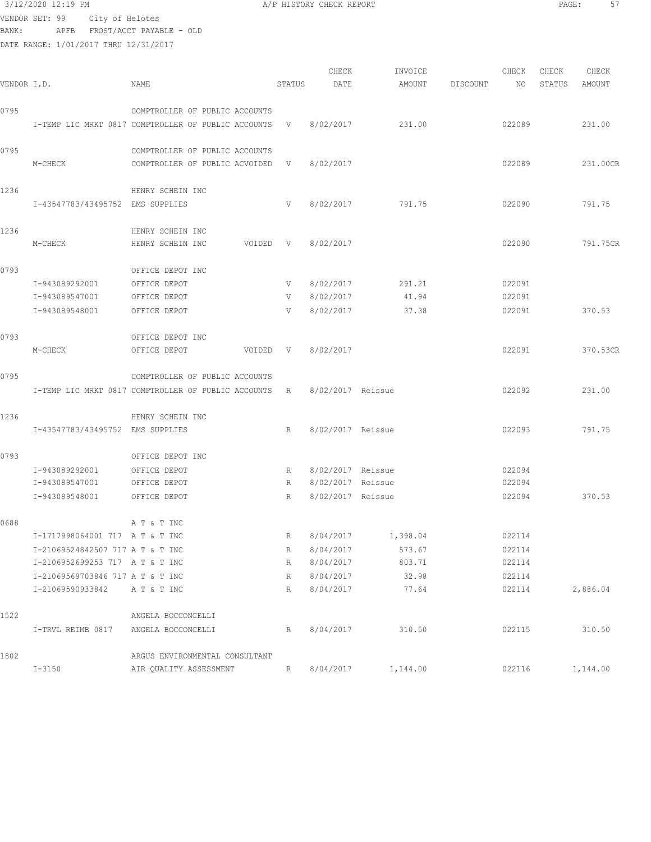## 3/12/2020 12:19 PM A/P HISTORY CHECK REPORT PAGE: 57 VENDOR SET: 99 City of Helotes BANK: APFB FROST/ACCT PAYABLE - OLD

DATE RANGE: 1/01/2017 THRU 12/31/2017 CHECK INVOICE CHECK CHECK CHECK<br>DATE AMOUNT DISCOUNT NO STATUS AMOUNT VENDOR I.D. NAME STATUS DATE AMOUNT DISCOUNT NO STATUS AMOUNT 0795 COMPTROLLER OF PUBLIC ACCOUNTS I-TEMP LIC MRKT 0817 COMPTROLLER OF PUBLIC ACCOUNTS V 8/02/2017 231.00 022089 231.00 0795 COMPTROLLER OF PUBLIC ACCOUNTS M-CHECK COMPTROLLER OF PUBLIC ACVOIDED V 8/02/2017 022089 022089 231.00CR 1236 HENRY SCHEIN INC I-43547783/43495752 EMS SUPPLIES V 8/02/2017 791.75 022090 791.75 1236 HENRY SCHEIN INC M-CHECK HENRY SCHEIN INC VOIDED V 8/02/2017 022090 791.75CR 0793 OFFICE DEPOT INC I-943089292001 OFFICE DEPOT V 8/02/2017 291.21 022091 I-943089547001 OFFICE DEPOT V 8/02/2017 41.94 022091 I-943089548001 OFFICE DEPOT V 8/02/2017 37.38 022091 370.53 0793 OFFICE DEPOT INC M-CHECK OFFICE DEPOT VOIDED V 8/02/2017 022091 370.53CR 0795 COMPTROLLER OF PUBLIC ACCOUNTS I-TEMP LIC MRKT 0817 COMPTROLLER OF PUBLIC ACCOUNTS R 8/02/2017 Reissue 022092 231.00 1236 HENRY SCHEIN INC I-43547783/43495752 EMS SUPPLIES R 8/02/2017 Reissue 022093 791.75 0793 OFFICE DEPOT INC

|      | I-943089292001                   | OFFICE DEPOT                   | R | 8/02/2017         | Reissue  | 022094 |          |
|------|----------------------------------|--------------------------------|---|-------------------|----------|--------|----------|
|      | I-943089547001                   | OFFICE DEPOT                   | R | 8/02/2017         | Reissue  | 022094 |          |
|      | I-943089548001                   | OFFICE DEPOT                   | R | 8/02/2017 Reissue |          | 022094 | 370.53   |
| 0688 |                                  | A T & T INC                    |   |                   |          |        |          |
|      | I-1717998064001 717 A T & T INC  |                                | R | 8/04/2017         | 1,398.04 | 022114 |          |
|      | I-21069524842507 717 A T & T INC |                                | R | 8/04/2017         | 573.67   | 022114 |          |
|      | I-2106952699253 717 A T & T INC  |                                | R | 8/04/2017         | 803.71   | 022114 |          |
|      | I-21069569703846 717 A T & T INC |                                | R | 8/04/2017         | 32.98    | 022114 |          |
|      | I-21069590933842                 | A T & T INC                    | R | 8/04/2017         | 77.64    | 022114 | 2,886.04 |
| 1522 |                                  | ANGELA BOCCONCELLI             |   |                   |          |        |          |
|      | I-TRVL REIMB 0817                | ANGELA BOCCONCELLI             | R | 8/04/2017         | 310.50   | 022115 | 310.50   |
| 1802 |                                  | ARGUS ENVIRONMENTAL CONSULTANT |   |                   |          |        |          |
|      | $I - 3150$                       | AIR OUALITY ASSESSMENT         | R | 8/04/2017         | 1,144.00 | 022116 | 1,144.00 |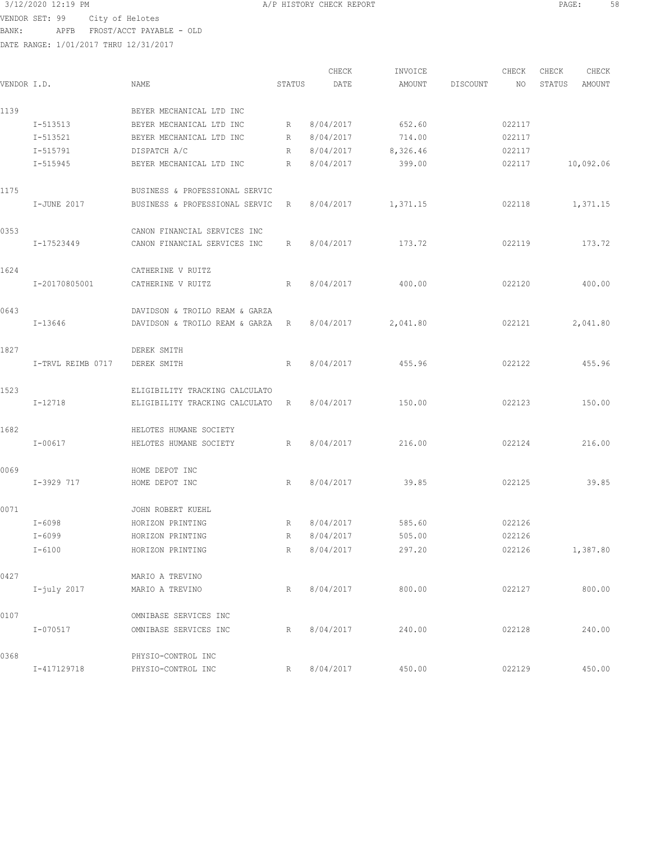VENDOR SET: 99 City of Helotes

3/12/2020 12:19 PM **A/P HISTORY CHECK REPORT PAGE:** 58

BANK: APFB FROST/ACCT PAYABLE - OLD

| VENDOR I.D. |                   | NAME                           | STATUS          | CHECK<br>DATE | INVOICE<br>AMOUNT | DISCOUNT | CHECK<br>NO. | CHECK<br>STATUS | CHECK<br>AMOUNT |
|-------------|-------------------|--------------------------------|-----------------|---------------|-------------------|----------|--------------|-----------------|-----------------|
| 1139        |                   | BEYER MECHANICAL LTD INC       |                 |               |                   |          |              |                 |                 |
|             | I-513513          | BEYER MECHANICAL LTD INC       | R               | 8/04/2017     | 652.60            |          | 022117       |                 |                 |
|             | I-513521          | BEYER MECHANICAL LTD INC       | R               | 8/04/2017     | 714.00            |          | 022117       |                 |                 |
|             | I-515791          | DISPATCH A/C                   | R               | 8/04/2017     | 8,326.46          |          | 022117       |                 |                 |
|             | I-515945          | BEYER MECHANICAL LTD INC       | R               | 8/04/2017     | 399.00            |          | 022117       |                 | 10,092.06       |
| 1175        |                   | BUSINESS & PROFESSIONAL SERVIC |                 |               |                   |          |              |                 |                 |
|             | I-JUNE 2017       | BUSINESS & PROFESSIONAL SERVIC | R               | 8/04/2017     | 1,371.15          |          | 022118       |                 | 1,371.15        |
| 0353        |                   | CANON FINANCIAL SERVICES INC   |                 |               |                   |          |              |                 |                 |
|             | I-17523449        | CANON FINANCIAL SERVICES INC   | R               | 8/04/2017     | 173.72            |          | 022119       |                 | 173.72          |
| 1624        |                   | CATHERINE V RUITZ              |                 |               |                   |          |              |                 |                 |
|             | I-20170805001     | CATHERINE V RUITZ              | $R_{\parallel}$ | 8/04/2017     | 400.00            |          | 022120       |                 | 400.00          |
| 0643        |                   | DAVIDSON & TROILO REAM & GARZA |                 |               |                   |          |              |                 |                 |
|             | I-13646           | DAVIDSON & TROILO REAM & GARZA | R               | 8/04/2017     | 2,041.80          |          | 022121       |                 | 2,041.80        |
| 1827        |                   | DEREK SMITH                    |                 |               |                   |          |              |                 |                 |
|             | I-TRVL REIMB 0717 | DEREK SMITH                    | R               | 8/04/2017     | 455.96            |          | 022122       |                 | 455.96          |
| 1523        |                   | ELIGIBILITY TRACKING CALCULATO |                 |               |                   |          |              |                 |                 |
|             | I-12718           | ELIGIBILITY TRACKING CALCULATO | R               | 8/04/2017     | 150.00            |          | 022123       |                 | 150.00          |
| 1682        |                   | HELOTES HUMANE SOCIETY         |                 |               |                   |          |              |                 |                 |
|             | $I - 00617$       | HELOTES HUMANE SOCIETY         | R               | 8/04/2017     | 216.00            |          | 022124       |                 | 216.00          |
| 0069        |                   | HOME DEPOT INC                 |                 |               |                   |          |              |                 |                 |
|             | I-3929 717        | HOME DEPOT INC                 | R               | 8/04/2017     | 39.85             |          | 022125       |                 | 39.85           |
| 0071        |                   | JOHN ROBERT KUEHL              |                 |               |                   |          |              |                 |                 |
|             | $I - 6098$        | HORIZON PRINTING               | R               | 8/04/2017     | 585.60            |          | 022126       |                 |                 |
|             | I-6099            | HORIZON PRINTING               | R               | 8/04/2017     | 505.00            |          | 022126       |                 |                 |
|             | $I - 6100$        | HORIZON PRINTING               | R               | 8/04/2017     | 297.20            |          | 022126       |                 | 1,387.80        |
| 0427        |                   | MARIO A TREVINO                |                 |               |                   |          |              |                 |                 |
|             | $I$ -july 2017    | MARIO A TREVINO                | R               | 8/04/2017     | 800.00            |          | 022127       |                 | 800.00          |
| 0107        |                   | OMNIBASE SERVICES INC          |                 |               |                   |          |              |                 |                 |
|             | I-070517          | OMNIBASE SERVICES INC          | R               | 8/04/2017     | 240.00            |          | 022128       |                 | 240.00          |
| 0368        |                   | PHYSIO-CONTROL INC             |                 |               |                   |          |              |                 |                 |
|             | I-417129718       | PHYSIO-CONTROL INC             | R               | 8/04/2017     | 450.00            |          | 022129       |                 | 450.00          |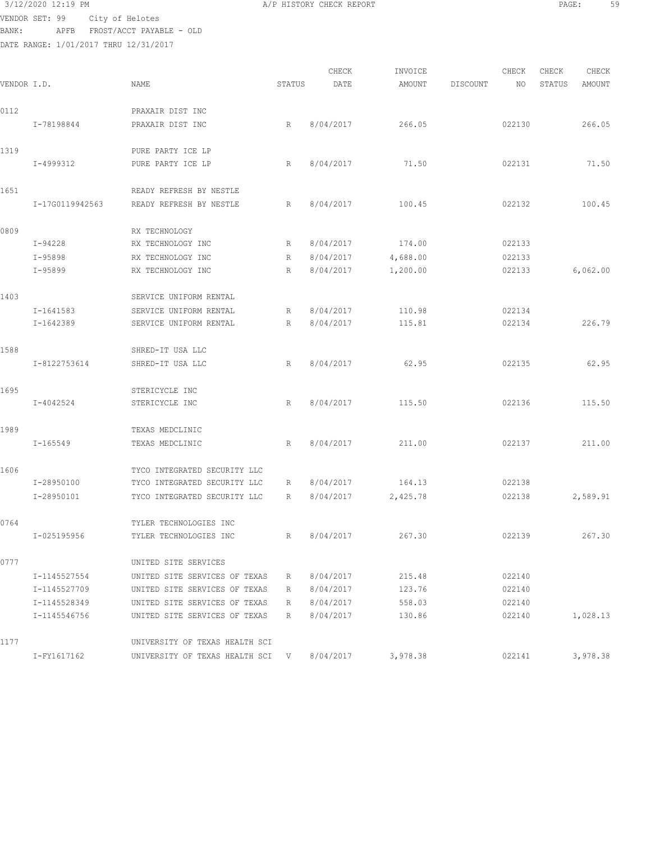## 3/12/2020 12:19 PM **A**/P HISTORY CHECK REPORT **PAGE:** 59 VENDOR SET: 99 City of Helotes BANK: APFB FROST/ACCT PAYABLE - OLD

| VENDOR I.D. |                 | NAME                             | STATUS | CHECK<br>DATE | INVOICE<br>AMOUNT | DISCOUNT | CHECK<br>NO. | CHECK<br>STATUS | CHECK<br>AMOUNT |
|-------------|-----------------|----------------------------------|--------|---------------|-------------------|----------|--------------|-----------------|-----------------|
| 0112        |                 | PRAXAIR DIST INC                 |        |               |                   |          |              |                 |                 |
|             | I-78198844      | PRAXAIR DIST INC                 | R      | 8/04/2017     | 266.05            |          | 022130       |                 | 266.05          |
| 1319        |                 | PURE PARTY ICE LP                |        |               |                   |          |              |                 |                 |
|             | I-4999312       | PURE PARTY ICE LP                | R      | 8/04/2017     | 71.50             |          | 022131       |                 | 71.50           |
| 1651        |                 | READY REFRESH BY NESTLE          |        |               |                   |          |              |                 |                 |
|             | I-17G0119942563 | READY REFRESH BY NESTLE          | R      | 8/04/2017     | 100.45            |          | 022132       |                 | 100.45          |
| 0809        |                 | RX TECHNOLOGY                    |        |               |                   |          |              |                 |                 |
|             | $I-94228$       | RX TECHNOLOGY INC                | R      | 8/04/2017     | 174.00            |          | 022133       |                 |                 |
|             | $I-95898$       | RX TECHNOLOGY INC                | R      | 8/04/2017     | 4,688.00          |          | 022133       |                 |                 |
|             | $I-95899$       | RX TECHNOLOGY INC                | R      | 8/04/2017     | 1,200.00          |          | 022133       |                 | 6,062.00        |
| 1403        |                 | SERVICE UNIFORM RENTAL           |        |               |                   |          |              |                 |                 |
|             | I-1641583       | SERVICE UNIFORM RENTAL           | R      | 8/04/2017     | 110.98            |          | 022134       |                 |                 |
|             | $I-1642389$     | SERVICE UNIFORM RENTAL           | R      | 8/04/2017     | 115.81            |          | 022134       |                 | 226.79          |
| 1588        |                 | SHRED-IT USA LLC                 |        |               |                   |          |              |                 |                 |
|             | I-8122753614    | SHRED-IT USA LLC                 | R      | 8/04/2017     | 62.95             |          | 022135       |                 | 62.95           |
| 1695        |                 | STERICYCLE INC                   |        |               |                   |          |              |                 |                 |
|             | I-4042524       | STERICYCLE INC                   | R      | 8/04/2017     | 115.50            |          | 022136       |                 | 115.50          |
| 1989        |                 | TEXAS MEDCLINIC                  |        |               |                   |          |              |                 |                 |
|             | $I - 165549$    | TEXAS MEDCLINIC                  | R      | 8/04/2017     | 211.00            |          | 022137       |                 | 211.00          |
| 1606        |                 | TYCO INTEGRATED SECURITY LLC     |        |               |                   |          |              |                 |                 |
|             | I-28950100      | TYCO INTEGRATED SECURITY LLC     | R      | 8/04/2017     | 164.13            |          | 022138       |                 |                 |
|             | I-28950101      | TYCO INTEGRATED SECURITY LLC     | R      | 8/04/2017     | 2,425.78          |          | 022138       |                 | 2,589.91        |
| 0764        |                 | TYLER TECHNOLOGIES INC           |        |               |                   |          |              |                 |                 |
|             | I-025195956     | TYLER TECHNOLOGIES INC           | R      | 8/04/2017     | 267.30            |          | 022139       |                 | 267.30          |
| 0777        |                 | UNITED SITE SERVICES             |        |               |                   |          |              |                 |                 |
|             | I-1145527554    | UNITED SITE SERVICES OF TEXAS    | R      | 8/04/2017     | 215.48            |          | 022140       |                 |                 |
|             | I-1145527709    | UNITED SITE SERVICES OF TEXAS    | R      | 8/04/2017     | 123.76            |          | 022140       |                 |                 |
|             | I-1145528349    | UNITED SITE SERVICES OF TEXAS    | R      | 8/04/2017     | 558.03            |          | 022140       |                 |                 |
|             | I-1145546756    | UNITED SITE SERVICES OF TEXAS    | R      | 8/04/2017     | 130.86            |          | 022140       |                 | 1,028.13        |
| 1177        |                 | UNIVERSITY OF TEXAS HEALTH SCI   |        |               |                   |          |              |                 |                 |
|             | I-FY1617162     | UNIVERSITY OF TEXAS HEALTH SCI V |        | 8/04/2017     | 3,978.38          |          | 022141       |                 | 3,978.38        |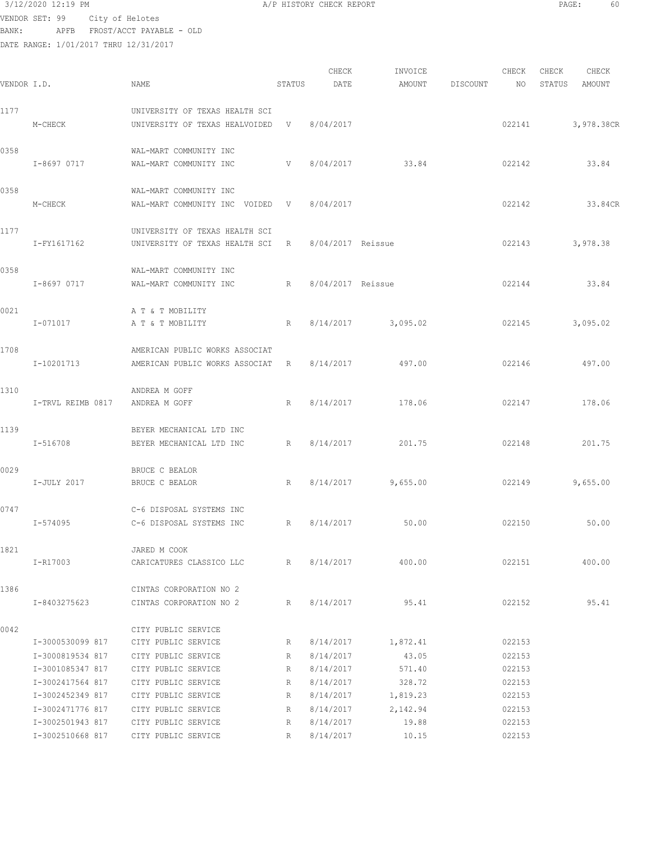VENDOR SET: 99 City of Helotes BANK: APFB FROST/ACCT PAYABLE - OLD

DATE RANGE: 1/01/2017 THRU 12/31/2017

| 3/12/2020 12:19 PM |                           | A/P HISTORY CHECK REPORT | PAGE | 5U |
|--------------------|---------------------------|--------------------------|------|----|
| 00 יחסס ממתותק     | $C_1 + \cdots$ of Ualatos |                          |      |    |

CHECK INVOICE CHECK CHECK CHECK<br>DATE AMOUNT DISCOUNT NO STATUS AMOUNT VENDOR I.D. NAME STATUS DATE AMOUNT DISCOUNT NO STATUS AMOUNT 1177 UNIVERSITY OF TEXAS HEALTH SCI M-CHECK UNIVERSITY OF TEXAS HEALVOIDED V 8/04/2017 022141 3,978.38CR 0358 WAL-MART COMMUNITY INC I-8697 0717 WAL-MART COMMUNITY INC V 8/04/2017 33.84 022142 33.84 0358 WAL-MART COMMUNITY INC M-CHECK WAL-MART COMMUNITY INC VOIDED V 8/04/2017 022142 022142 33.84CR 1177 UNIVERSITY OF TEXAS HEALTH SCI I-FY1617162 UNIVERSITY OF TEXAS HEALTH SCI R 8/04/2017 Reissue 022143 3,978.38 0358 WAL-MART COMMUNITY INC I-8697 0717 WAL-MART COMMUNITY INC R 8/04/2017 Reissue 022144 33.84 0021 A T & T MOBILITY I-071017 A T & T MOBILITY R 8/14/2017 3,095.02 022145 3,095.02 1708 AMERICAN PUBLIC WORKS ASSOCIAT I-10201713 AMERICAN PUBLIC WORKS ASSOCIAT R 8/14/2017 497.00 022146 497.00 1310 ANDREA M GOFF I-TRVL REIMB 0817 ANDREA M GOFF R 8/14/2017 178.06 022147 178.06 1139 BEYER MECHANICAL LTD INC I-516708 BEYER MECHANICAL LTD INC R 8/14/2017 201.75 022148 201.75 0029 BRUCE C BEALOR I-JULY 2017 BRUCE C BEALOR R 8/14/2017 9,655.00 022149 9,655.00 0747 C-6 DISPOSAL SYSTEMS INC I-574095 C-6 DISPOSAL SYSTEMS INC R 8/14/2017 50.00 022150 50.00 1821 JARED M COOK I-R17003 CARICATURES CLASSICO LLC R 8/14/2017 400.00 022151 400.00 1386 CINTAS CORPORATION NO 2 I-8403275623 CINTAS CORPORATION NO 2 R 8/14/2017 95.41 022152 95.41 0042 CITY PUBLIC SERVICE I-3000530099 817 CITY PUBLIC SERVICE R 8/14/2017 1,872.41 022153 I-3000819534 817 CITY PUBLIC SERVICE R 8/14/2017 43.05 022153 I-3001085347 817 CITY PUBLIC SERVICE R 8/14/2017 571.40 022153 I-3002417564 817 CITY PUBLIC SERVICE R 8/14/2017 328.72 022153 I-3002452349 817 CITY PUBLIC SERVICE R 8/14/2017 1,819.23 022153 I-3002471776 817 CITY PUBLIC SERVICE R 8/14/2017 2,142.94 022153 I-3002501943 817 CITY PUBLIC SERVICE R 8/14/2017 19.88 022153 I-3002510668 817 CITY PUBLIC SERVICE R 8/14/2017 10.15 022153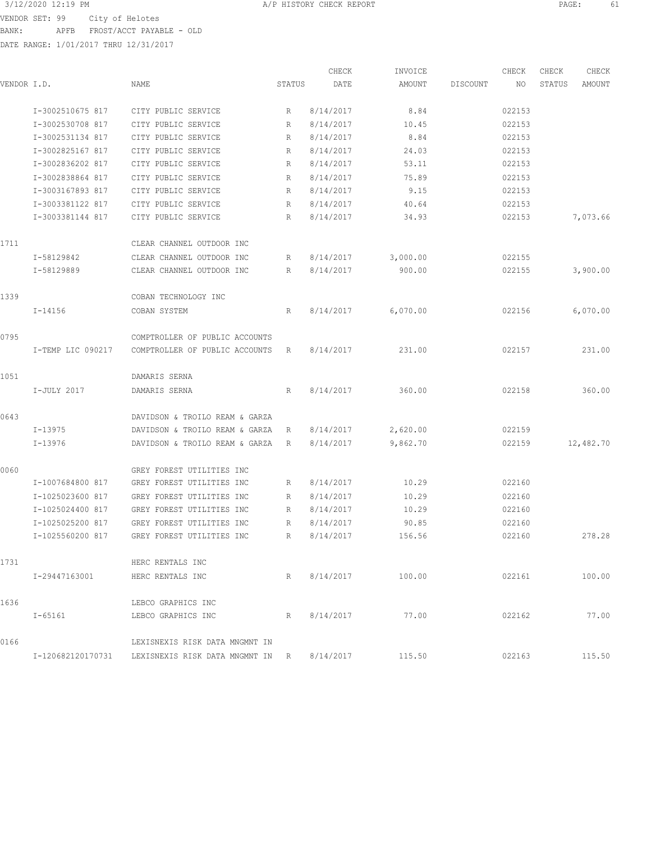3/12/2020 12:19 PM A/P HISTORY CHECK REPORT PAGE: 61 VENDOR SET: 99 City of Helotes BANK: APFB FROST/ACCT PAYABLE - OLD

|             |                                |                                                              |                 | CHECK     | INVOICE          |          | CHECK  | CHECK  | CHECK         |
|-------------|--------------------------------|--------------------------------------------------------------|-----------------|-----------|------------------|----------|--------|--------|---------------|
| VENDOR I.D. |                                | NAME                                                         | STATUS          | DATE      | AMOUNT           | DISCOUNT | NO.    | STATUS | AMOUNT        |
|             | I-3002510675 817               | CITY PUBLIC SERVICE                                          | R               | 8/14/2017 | 8.84             |          | 022153 |        |               |
|             | I-3002530708 817               | CITY PUBLIC SERVICE                                          | R               | 8/14/2017 | 10.45            |          | 022153 |        |               |
|             | I-3002531134 817               | CITY PUBLIC SERVICE                                          | R               | 8/14/2017 | 8.84             |          | 022153 |        |               |
|             | I-3002825167 817               | CITY PUBLIC SERVICE                                          | R               | 8/14/2017 | 24.03            |          | 022153 |        |               |
|             | I-3002836202 817               | CITY PUBLIC SERVICE                                          | R               | 8/14/2017 | 53.11            |          | 022153 |        |               |
|             | I-3002838864 817               | CITY PUBLIC SERVICE                                          | R               | 8/14/2017 | 75.89            |          | 022153 |        |               |
|             | I-3003167893 817               | CITY PUBLIC SERVICE                                          | R               | 8/14/2017 | 9.15             |          | 022153 |        |               |
|             | I-3003381122 817               | CITY PUBLIC SERVICE                                          | R               | 8/14/2017 | 40.64            |          | 022153 |        |               |
|             | I-3003381144 817               | CITY PUBLIC SERVICE                                          | R               | 8/14/2017 | 34.93            |          | 022153 |        | 7,073.66      |
| 1711        |                                | CLEAR CHANNEL OUTDOOR INC                                    |                 |           |                  |          |        |        |               |
|             | I-58129842                     | CLEAR CHANNEL OUTDOOR INC                                    | R               | 8/14/2017 | 3,000.00         |          | 022155 |        |               |
|             | I-58129889                     | CLEAR CHANNEL OUTDOOR INC                                    | R               | 8/14/2017 | 900.00           |          | 022155 |        | 3,900.00      |
| 1339        |                                | COBAN TECHNOLOGY INC                                         |                 |           |                  |          |        |        |               |
|             | $I - 14156$                    | COBAN SYSTEM                                                 | R               | 8/14/2017 | 6,070.00         |          | 022156 |        | 6,070.00      |
| 0795        |                                | COMPTROLLER OF PUBLIC ACCOUNTS                               |                 |           |                  |          |        |        |               |
|             | I-TEMP LIC 090217              | COMPTROLLER OF PUBLIC ACCOUNTS                               | R               | 8/14/2017 | 231.00           |          | 022157 |        | 231.00        |
| 1051        |                                | DAMARIS SERNA                                                |                 |           |                  |          |        |        |               |
|             | I-JULY 2017                    | DAMARIS SERNA                                                | R               | 8/14/2017 | 360.00           |          | 022158 |        | 360.00        |
| 0643        |                                | DAVIDSON & TROILO REAM & GARZA                               |                 |           |                  |          |        |        |               |
|             | I-13975                        | DAVIDSON & TROILO REAM & GARZA                               | R               | 8/14/2017 | 2,620.00         |          | 022159 |        |               |
|             | $I-13976$                      | DAVIDSON & TROILO REAM & GARZA                               | R               | 8/14/2017 | 9,862.70         |          | 022159 |        | 12,482.70     |
| 0060        |                                | GREY FOREST UTILITIES INC                                    |                 |           |                  |          |        |        |               |
|             | I-1007684800 817               | GREY FOREST UTILITIES INC                                    | R               | 8/14/2017 | 10.29            |          | 022160 |        |               |
|             | I-1025023600 817               | GREY FOREST UTILITIES INC                                    | R               | 8/14/2017 | 10.29            |          | 022160 |        |               |
|             | I-1025024400 817               | GREY FOREST UTILITIES INC                                    | R               | 8/14/2017 | 10.29            |          | 022160 |        |               |
|             | I-1025025200 817               | GREY FOREST UTILITIES INC                                    | R               | 8/14/2017 | 90.85            |          | 022160 |        |               |
|             | I-1025560200 817               | GREY FOREST UTILITIES INC                                    | $R_{\parallel}$ | 8/14/2017 | 156.56           |          | 022160 |        | 278.28        |
| 1731        |                                | HERC RENTALS INC                                             |                 |           |                  |          |        |        |               |
|             | I-29447163001 HERC RENTALS INC |                                                              | $R_{\odot}$     |           | 8/14/2017 100.00 |          |        |        | 022161 100.00 |
| 1636        |                                | LEBCO GRAPHICS INC                                           |                 |           |                  |          |        |        |               |
|             | I-65161                        | LEBCO GRAPHICS INC                                           | R               | 8/14/2017 | 77.00            |          | 022162 |        | 77.00         |
| 0166        |                                | LEXISNEXIS RISK DATA MNGMNT IN                               |                 |           |                  |          |        |        |               |
|             |                                | I-120682120170731 LEXISNEXIS RISK DATA MNGMNT IN R 8/14/2017 |                 |           | 115.50           |          | 022163 |        | 115.50        |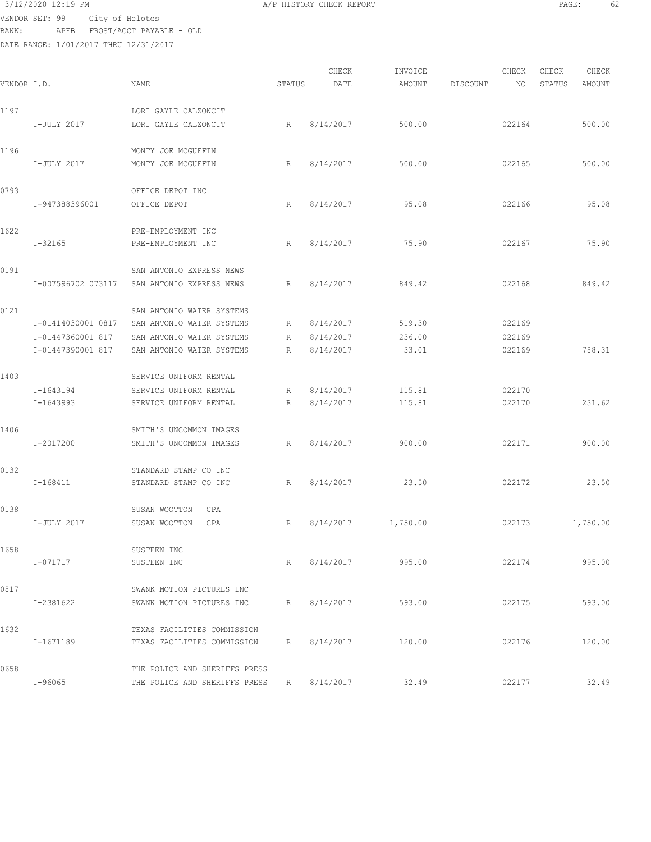# $3/12/2020$  12:19 PM  $A/P$  HISTORY CHECK REPORT PAGE: 62 VENDOR SET: 99 City of Helotes

BANK: APFB FROST/ACCT PAYABLE - OLD DATE RANGE: 1/01/2017 THRU 12/31/2017

|             |                    |                                           |        | CHECK       | INVOICE  |          | CHECK  | CHECK  | CHECK    |
|-------------|--------------------|-------------------------------------------|--------|-------------|----------|----------|--------|--------|----------|
| VENDOR I.D. |                    | NAME                                      | STATUS | DATE        | AMOUNT   | DISCOUNT | NO.    | STATUS | AMOUNT   |
| 1197        |                    | LORI GAYLE CALZONCIT                      |        |             |          |          |        |        |          |
|             | I-JULY 2017        | LORI GAYLE CALZONCIT                      | R      | 8/14/2017   | 500.00   |          | 022164 |        | 500.00   |
| 1196        |                    | MONTY JOE MCGUFFIN                        |        |             |          |          |        |        |          |
|             | I-JULY 2017        | MONTY JOE MCGUFFIN                        | R      | 8/14/2017   | 500.00   |          | 022165 |        | 500.00   |
| 0793        |                    | OFFICE DEPOT INC                          |        |             |          |          |        |        |          |
|             | I-947388396001     | OFFICE DEPOT                              | R      | 8/14/2017   | 95.08    |          | 022166 |        | 95.08    |
| 1622        |                    | PRE-EMPLOYMENT INC                        |        |             |          |          |        |        |          |
|             | I-32165            | PRE-EMPLOYMENT INC                        | R      | 8/14/2017   | 75.90    |          | 022167 |        | 75.90    |
| 0191        |                    | SAN ANTONIO EXPRESS NEWS                  |        |             |          |          |        |        |          |
|             | I-007596702 073117 | SAN ANTONIO EXPRESS NEWS                  | R      | 8/14/2017   | 849.42   |          | 022168 |        | 849.42   |
| 0121        |                    | SAN ANTONIO WATER SYSTEMS                 |        |             |          |          |        |        |          |
|             | I-01414030001 0817 | SAN ANTONIO WATER SYSTEMS                 | R      | 8/14/2017   | 519.30   |          | 022169 |        |          |
|             | I-01447360001 817  | SAN ANTONIO WATER SYSTEMS                 | R      | 8/14/2017   | 236.00   |          | 022169 |        |          |
|             | I-01447390001 817  | SAN ANTONIO WATER SYSTEMS                 | R      | 8/14/2017   | 33.01    |          | 022169 |        | 788.31   |
| 1403        |                    | SERVICE UNIFORM RENTAL                    |        |             |          |          |        |        |          |
|             | I-1643194          | SERVICE UNIFORM RENTAL                    | R      | 8/14/2017   | 115.81   |          | 022170 |        |          |
|             | I-1643993          | SERVICE UNIFORM RENTAL                    | R      | 8/14/2017   | 115.81   |          | 022170 |        | 231.62   |
| 1406        |                    | SMITH'S UNCOMMON IMAGES                   |        |             |          |          |        |        |          |
|             | I-2017200          | SMITH'S UNCOMMON IMAGES                   | R      | 8/14/2017   | 900.00   |          | 022171 |        | 900.00   |
| 0132        |                    | STANDARD STAMP CO INC                     |        |             |          |          |        |        |          |
|             | I-168411           | STANDARD STAMP CO INC                     | R      | 8/14/2017   | 23.50    |          | 022172 |        | 23.50    |
| 0138        |                    | SUSAN WOOTTON<br>CPA                      |        |             |          |          |        |        |          |
|             | I-JULY 2017        | SUSAN WOOTTON<br>CPA                      | R      | 8/14/2017   | 1,750.00 |          | 022173 |        | 1,750.00 |
| 1658        |                    | SUSTEEN INC                               |        |             |          |          |        |        |          |
|             | I-071717           | SUSTEEN INC                               | R      | 8/14/2017   | 995.00   |          | 022174 |        | 995.00   |
| 0817        |                    | SWANK MOTION PICTURES INC                 |        |             |          |          |        |        |          |
|             | I-2381622          | SWANK MOTION PICTURES INC                 | R      | 8/14/2017   | 593.00   |          | 022175 |        | 593.00   |
| 1632        |                    | TEXAS FACILITIES COMMISSION               |        |             |          |          |        |        |          |
|             | I-1671189          | TEXAS FACILITIES COMMISSION               |        | R 8/14/2017 | 120.00   |          | 022176 |        | 120.00   |
| 0658        |                    | THE POLICE AND SHERIFFS PRESS             |        |             |          |          |        |        |          |
|             | I-96065            | THE POLICE AND SHERIFFS PRESS R 8/14/2017 |        |             | 32.49    |          | 022177 |        | 32.49    |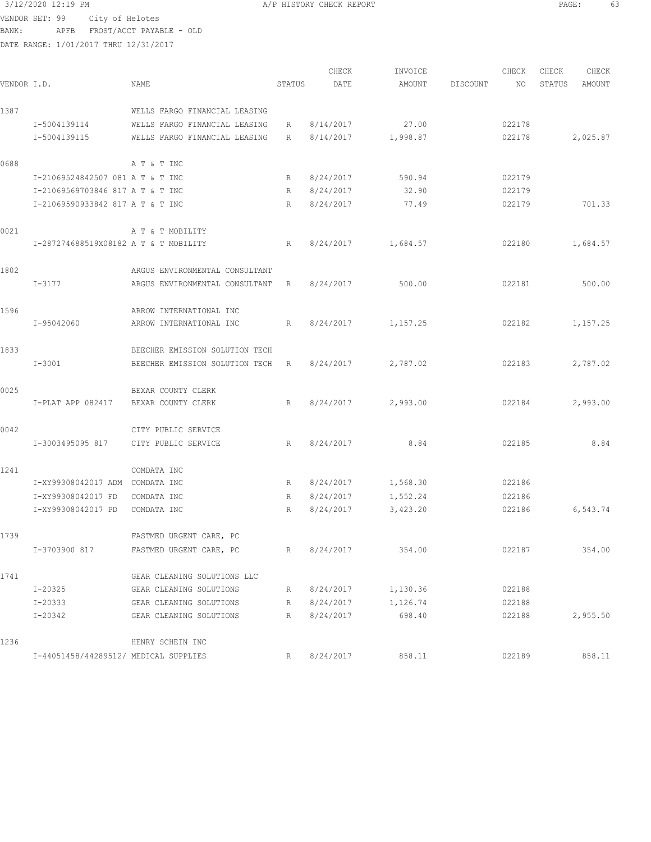# 3/12/2020 12:19 PM **A/P HISTORY CHECK REPORT PAGE:** 63 VENDOR SET: 99 City of Helotes

BANK: APFB FROST/ACCT PAYABLE - OLD DATE RANGE: 1/01/2017 THRU 12/31/2017

| VENDOR I.D. |                                       | NAME                           | STATUS | CHECK<br>DATE | INVOICE<br>AMOUNT  | DISCOUNT | CHECK<br>NO. | CHECK<br>STATUS | CHECK<br>AMOUNT |
|-------------|---------------------------------------|--------------------------------|--------|---------------|--------------------|----------|--------------|-----------------|-----------------|
|             |                                       |                                |        |               |                    |          |              |                 |                 |
| 1387        |                                       | WELLS FARGO FINANCIAL LEASING  |        |               |                    |          |              |                 |                 |
|             | I-5004139114                          | WELLS FARGO FINANCIAL LEASING  | R      | 8/14/2017     | 27.00              |          | 022178       |                 |                 |
|             | I-5004139115                          | WELLS FARGO FINANCIAL LEASING  | R      | 8/14/2017     | 1,998.87           |          | 022178       |                 | 2,025.87        |
| 0688        |                                       | A T & T INC                    |        |               |                    |          |              |                 |                 |
|             | I-21069524842507 081 A T & T INC      |                                | R      | 8/24/2017     | 590.94             |          | 022179       |                 |                 |
|             | I-21069569703846 817 A T & T INC      |                                | R      | 8/24/2017     | 32.90              |          | 022179       |                 |                 |
|             | I-21069590933842 817 A T & T INC      |                                | R      | 8/24/2017     | 77.49              |          | 022179       |                 | 701.33          |
| 0021        |                                       | A T & T MOBILITY               |        |               |                    |          |              |                 |                 |
|             | I-287274688519X08182 A T & T MOBILITY |                                | R      | 8/24/2017     | 1,684.57           |          | 022180       |                 | 1,684.57        |
| 1802        |                                       | ARGUS ENVIRONMENTAL CONSULTANT |        |               |                    |          |              |                 |                 |
|             | I-3177                                | ARGUS ENVIRONMENTAL CONSULTANT | R      | 8/24/2017     | 500.00             |          | 022181       |                 | 500.00          |
| 1596        |                                       | ARROW INTERNATIONAL INC        |        |               |                    |          |              |                 |                 |
|             | I-95042060                            | ARROW INTERNATIONAL INC        | R      | 8/24/2017     | 1,157.25           |          | 022182       |                 | 1,157.25        |
| 1833        |                                       | BEECHER EMISSION SOLUTION TECH |        |               |                    |          |              |                 |                 |
|             | $I - 3001$                            | BEECHER EMISSION SOLUTION TECH | R      | 8/24/2017     | 2,787.02           |          | 022183       |                 | 2,787.02        |
| 0025        |                                       | BEXAR COUNTY CLERK             |        |               |                    |          |              |                 |                 |
|             | I-PLAT APP 082417                     | BEXAR COUNTY CLERK             | R      | 8/24/2017     | 2,993.00           |          | 022184       |                 | 2,993.00        |
| 0042        |                                       | CITY PUBLIC SERVICE            |        |               |                    |          |              |                 |                 |
|             | I-3003495095 817                      | CITY PUBLIC SERVICE            | R      | 8/24/2017     | 8.84               |          | 022185       |                 | 8.84            |
| 1241        |                                       | COMDATA INC                    |        |               |                    |          |              |                 |                 |
|             | I-XY99308042017 ADM                   | COMDATA INC                    | R      | 8/24/2017     | 1,568.30           |          | 022186       |                 |                 |
|             | I-XY99308042017 FD                    | COMDATA INC                    | R      | 8/24/2017     | 1,552.24           |          | 022186       |                 |                 |
|             | I-XY99308042017 PD                    | COMDATA INC                    | R      | 8/24/2017     | 3,423.20           |          | 022186       |                 | 6,543.74        |
| 1739        |                                       | FASTMED URGENT CARE, PC        |        |               |                    |          |              |                 |                 |
|             | I-3703900 817                         | FASTMED URGENT CARE, PC        | R      | 8/24/2017     | 354.00             |          | 022187       |                 | 354.00          |
| 1741        |                                       | GEAR CLEANING SOLUTIONS LLC    |        |               |                    |          |              |                 |                 |
|             | $I - 20325$                           | GEAR CLEANING SOLUTIONS        | R      |               | 8/24/2017 1,130.36 |          | 022188       |                 |                 |
|             | I-20333                               | GEAR CLEANING SOLUTIONS        | R      | 8/24/2017     | 1,126.74           |          | 022188       |                 |                 |
|             | I-20342                               | GEAR CLEANING SOLUTIONS        | R      | 8/24/2017     | 698.40             |          | 022188       |                 | 2,955.50        |
| 1236        |                                       | HENRY SCHEIN INC               |        |               |                    |          |              |                 |                 |
|             | I-44051458/44289512/ MEDICAL SUPPLIES |                                | R      | 8/24/2017     | 858.11             |          | 022189       |                 | 858.11          |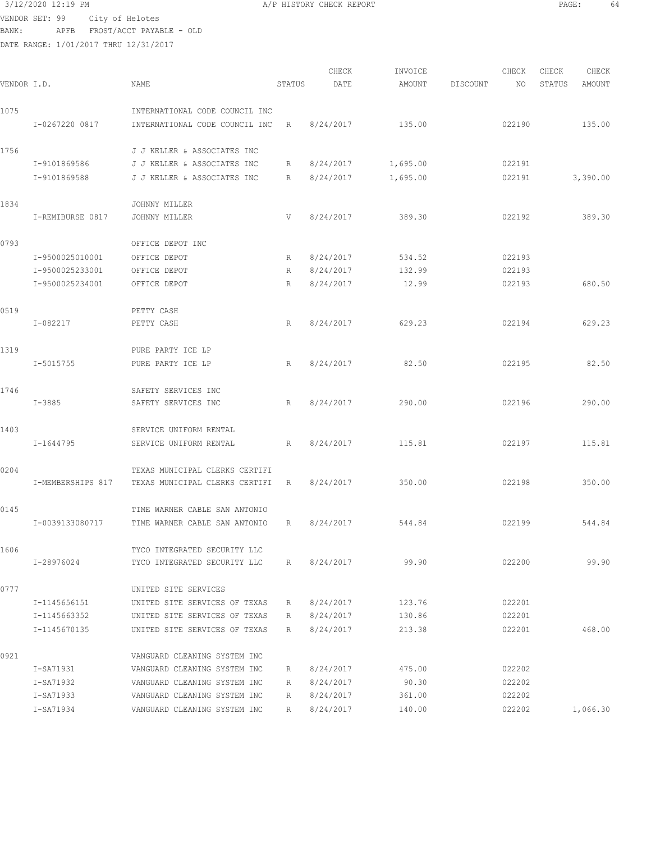$3/12/2020$  12:19 PM  $A/P$  HISTORY CHECK REPORT  $\blacksquare$  PAGE: 64 VENDOR SET: 99 City of Helotes BANK: APFB FROST/ACCT PAYABLE - OLD

| VENDOR I.D. |                   | NAME                           | STATUS | CHECK<br>DATE | INVOICE<br>AMOUNT | DISCOUNT | CHECK<br>NO | CHECK<br>STATUS | CHECK<br>AMOUNT |
|-------------|-------------------|--------------------------------|--------|---------------|-------------------|----------|-------------|-----------------|-----------------|
|             |                   |                                |        |               |                   |          |             |                 |                 |
| 1075        |                   | INTERNATIONAL CODE COUNCIL INC |        |               |                   |          |             |                 |                 |
|             | I-0267220 0817    | INTERNATIONAL CODE COUNCIL INC | R      | 8/24/2017     | 135.00            |          | 022190      |                 | 135.00          |
| 1756        |                   | J J KELLER & ASSOCIATES INC    |        |               |                   |          |             |                 |                 |
|             | I-9101869586      | J J KELLER & ASSOCIATES INC    | R      | 8/24/2017     | 1,695.00          |          | 022191      |                 |                 |
|             | I-9101869588      | J J KELLER & ASSOCIATES INC    | R      | 8/24/2017     | 1,695.00          |          | 022191      |                 | 3,390.00        |
| 1834        |                   | JOHNNY MILLER                  |        |               |                   |          |             |                 |                 |
|             | I-REMIBURSE 0817  | JOHNNY MILLER                  | V      | 8/24/2017     | 389.30            |          | 022192      |                 | 389.30          |
| 0793        |                   | OFFICE DEPOT INC               |        |               |                   |          |             |                 |                 |
|             | I-9500025010001   | OFFICE DEPOT                   | R      | 8/24/2017     | 534.52            |          | 022193      |                 |                 |
|             | I-9500025233001   | OFFICE DEPOT                   | R      | 8/24/2017     | 132.99            |          | 022193      |                 |                 |
|             | I-9500025234001   | OFFICE DEPOT                   | R      | 8/24/2017     | 12.99             |          | 022193      |                 | 680.50          |
| 0519        |                   | PETTY CASH                     |        |               |                   |          |             |                 |                 |
|             | $I - 082217$      | PETTY CASH                     | R      | 8/24/2017     | 629.23            |          | 022194      |                 | 629.23          |
| 1319        |                   | PURE PARTY ICE LP              |        |               |                   |          |             |                 |                 |
|             | I-5015755         | PURE PARTY ICE LP              | R      | 8/24/2017     | 82.50             |          | 022195      |                 | 82.50           |
| 1746        |                   | SAFETY SERVICES INC            |        |               |                   |          |             |                 |                 |
|             | $I - 3885$        | SAFETY SERVICES INC            | R      | 8/24/2017     | 290.00            |          | 022196      |                 | 290.00          |
|             |                   |                                |        |               |                   |          |             |                 |                 |
| 1403        |                   | SERVICE UNIFORM RENTAL         |        |               |                   |          |             |                 |                 |
|             | I-1644795         | SERVICE UNIFORM RENTAL         | R      | 8/24/2017     | 115.81            |          | 022197      |                 | 115.81          |
| 0204        |                   | TEXAS MUNICIPAL CLERKS CERTIFI |        |               |                   |          |             |                 |                 |
|             | I-MEMBERSHIPS 817 | TEXAS MUNICIPAL CLERKS CERTIFI | R      | 8/24/2017     | 350.00            |          | 022198      |                 | 350.00          |
| 0145        |                   | TIME WARNER CABLE SAN ANTONIO  |        |               |                   |          |             |                 |                 |
|             | I-0039133080717   | TIME WARNER CABLE SAN ANTONIO  | R      | 8/24/2017     | 544.84            |          | 022199      |                 | 544.84          |
| 1606        |                   | TYCO INTEGRATED SECURITY LLC   |        |               |                   |          |             |                 |                 |
|             | I-28976024        | TYCO INTEGRATED SECURITY LLC   | R      | 8/24/2017     | 99.90             |          | 022200      |                 | 99.90           |
| 0777        |                   | UNITED SITE SERVICES           |        |               |                   |          |             |                 |                 |
|             | I-1145656151      | UNITED SITE SERVICES OF TEXAS  | R      | 8/24/2017     | 123.76            |          | 022201      |                 |                 |
|             | I-1145663352      | UNITED SITE SERVICES OF TEXAS  | R      | 8/24/2017     | 130.86            |          | 022201      |                 |                 |
|             | I-1145670135      | UNITED SITE SERVICES OF TEXAS  | R      | 8/24/2017     | 213.38            |          | 022201      |                 | 468.00          |
| 0921        |                   | VANGUARD CLEANING SYSTEM INC   |        |               |                   |          |             |                 |                 |
|             | I-SA71931         | VANGUARD CLEANING SYSTEM INC   | R      | 8/24/2017     | 475.00            |          | 022202      |                 |                 |
|             | I-SA71932         | VANGUARD CLEANING SYSTEM INC   | R      | 8/24/2017     | 90.30             |          | 022202      |                 |                 |
|             | I-SA71933         | VANGUARD CLEANING SYSTEM INC   | R      | 8/24/2017     | 361.00            |          | 022202      |                 |                 |
|             | I-SA71934         | VANGUARD CLEANING SYSTEM INC   | R      | 8/24/2017     | 140.00            |          | 022202      |                 | 1,066.30        |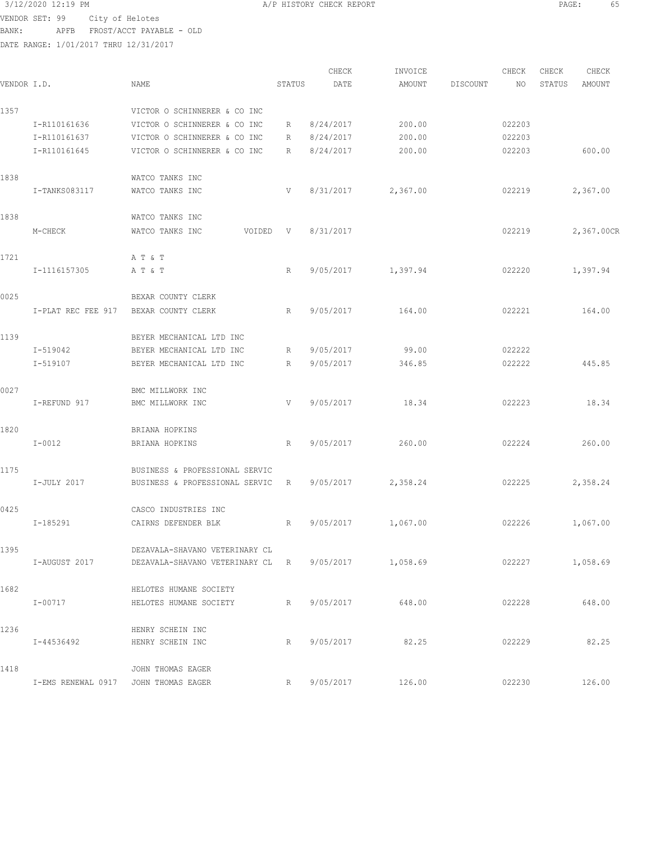VENDOR SET: 99 City of Helotes BANK: APFB FROST/ACCT PAYABLE - OLD

|             |                                      |                                                     |                 | CHECK       | INVOICE            |          | CHECK  | CHECK  | CHECK      |
|-------------|--------------------------------------|-----------------------------------------------------|-----------------|-------------|--------------------|----------|--------|--------|------------|
| VENDOR I.D. |                                      | NAME                                                | STATUS          | DATE        | AMOUNT             | DISCOUNT | NO     | STATUS | AMOUNT     |
| 1357        |                                      | VICTOR O SCHINNERER & CO INC                        |                 |             |                    |          |        |        |            |
|             | I-R110161636                         | VICTOR O SCHINNERER & CO INC                        | $R_{\parallel}$ | 8/24/2017   | 200.00             |          | 022203 |        |            |
|             | I-R110161637                         | VICTOR O SCHINNERER & CO INC                        | R               | 8/24/2017   | 200.00             |          | 022203 |        |            |
|             | I-R110161645                         | VICTOR O SCHINNERER & CO INC                        | R               | 8/24/2017   | 200.00             |          | 022203 |        | 600.00     |
| 1838        |                                      | WATCO TANKS INC                                     |                 |             |                    |          |        |        |            |
|             | I-TANKS083117                        | WATCO TANKS INC                                     | V               | 8/31/2017   | 2,367.00           |          | 022219 |        | 2,367.00   |
| 1838        |                                      | WATCO TANKS INC                                     |                 |             |                    |          |        |        |            |
|             | M-CHECK                              | WATCO TANKS INC<br>VOIDED                           | V               | 8/31/2017   |                    |          | 022219 |        | 2,367.00CR |
| 1721        |                                      | A T & T                                             |                 |             |                    |          |        |        |            |
|             | I-1116157305                         | A T & T                                             | $R_{\parallel}$ | 9/05/2017   | 1,397.94           |          | 022220 |        | 1,397.94   |
| 0025        |                                      | BEXAR COUNTY CLERK                                  |                 |             |                    |          |        |        |            |
|             | I-PLAT REC FEE 917                   | BEXAR COUNTY CLERK                                  | $R_{\parallel}$ | 9/05/2017   | 164.00             |          | 022221 |        | 164.00     |
| 1139        |                                      | BEYER MECHANICAL LTD INC                            |                 |             |                    |          |        |        |            |
|             | I-519042                             | BEYER MECHANICAL LTD INC                            | R               | 9/05/2017   | 99.00              |          | 022222 |        |            |
|             | I-519107                             | BEYER MECHANICAL LTD INC                            | R               | 9/05/2017   | 346.85             |          | 022222 |        | 445.85     |
| 0027        |                                      | BMC MILLWORK INC                                    |                 |             |                    |          |        |        |            |
|             | I-REFUND 917                         | BMC MILLWORK INC                                    | V               | 9/05/2017   | 18.34              |          | 022223 |        | 18.34      |
| 1820        |                                      | BRIANA HOPKINS                                      |                 |             |                    |          |        |        |            |
|             | $I-0012$                             | BRIANA HOPKINS                                      | $R_{\parallel}$ | 9/05/2017   | 260.00             |          | 022224 |        | 260.00     |
| 1175        |                                      | BUSINESS & PROFESSIONAL SERVIC                      |                 |             |                    |          |        |        |            |
|             | I-JULY 2017                          | BUSINESS & PROFESSIONAL SERVIC                      | R               | 9/05/2017   | 2,358.24           |          | 022225 |        | 2,358.24   |
| 0425        |                                      | CASCO INDUSTRIES INC                                |                 |             |                    |          |        |        |            |
|             | I-185291                             | CAIRNS DEFENDER BLK                                 | R               | 9/05/2017   | 1,067.00           |          | 022226 |        | 1,067.00   |
| 1395        |                                      | DEZAVALA-SHAVANO VETERINARY CL                      |                 |             |                    |          |        |        |            |
|             | I-AUGUST 2017                        | DEZAVALA-SHAVANO VETERINARY CL R 9/05/2017 1,058.69 |                 |             |                    |          |        | 022227 | 1,058.69   |
| 1682        |                                      | HELOTES HUMANE SOCIETY                              |                 |             |                    |          |        |        |            |
|             | $I - 00717$                          | HELOTES HUMANE SOCIETY                              |                 | R 9/05/2017 | 648.00             |          | 022228 |        | 648.00     |
| 1236        |                                      | HENRY SCHEIN INC                                    |                 |             |                    |          |        |        |            |
|             | I-44536492                           | HENRY SCHEIN INC                                    |                 | R 9/05/2017 | 82.25              |          | 022229 |        | 82.25      |
| 1418        |                                      | JOHN THOMAS EAGER                                   |                 |             |                    |          |        |        |            |
|             | I-EMS RENEWAL 0917 JOHN THOMAS EAGER |                                                     |                 |             | R 9/05/2017 126.00 |          | 022230 |        | 126.00     |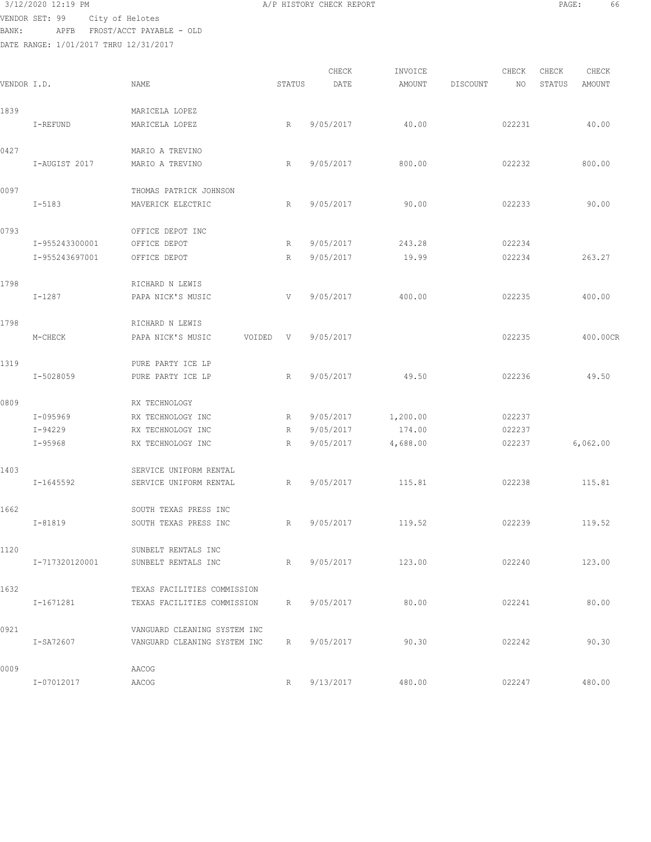3/12/2020 12:19 PM A/P HISTORY CHECK REPORT PAGE: 66 VENDOR SET: 99 City of Helotes

BANK: APFB FROST/ACCT PAYABLE - OLD

| VENDOR I.D. |                | <b>NAME</b>                  | STATUS | CHECK<br>DATE | INVOICE<br>AMOUNT | DISCOUNT | CHECK<br>NO | CHECK<br>STATUS | CHECK<br>AMOUNT |
|-------------|----------------|------------------------------|--------|---------------|-------------------|----------|-------------|-----------------|-----------------|
| 1839        |                | MARICELA LOPEZ               |        |               |                   |          |             |                 |                 |
|             | I-REFUND       | MARICELA LOPEZ               | R      | 9/05/2017     | 40.00             |          | 022231      |                 | 40.00           |
| 0427        |                | MARIO A TREVINO              |        |               |                   |          |             |                 |                 |
|             | I-AUGIST 2017  | MARIO A TREVINO              | R      | 9/05/2017     | 800.00            |          | 022232      |                 | 800.00          |
| 0097        |                | THOMAS PATRICK JOHNSON       |        |               |                   |          |             |                 |                 |
|             | $I - 5183$     | MAVERICK ELECTRIC            | R      | 9/05/2017     | 90.00             |          | 022233      |                 | 90.00           |
| 0793        |                | OFFICE DEPOT INC             |        |               |                   |          |             |                 |                 |
|             | I-955243300001 | OFFICE DEPOT                 | R      | 9/05/2017     | 243.28            |          | 022234      |                 |                 |
|             | I-955243697001 | OFFICE DEPOT                 | R      | 9/05/2017     | 19.99             |          | 022234      |                 | 263.27          |
| 1798        |                | RICHARD N LEWIS              |        |               |                   |          |             |                 |                 |
|             | $I-1287$       | PAPA NICK'S MUSIC            | V      | 9/05/2017     | 400.00            |          | 022235      |                 | 400.00          |
| 1798        |                | RICHARD N LEWIS              |        |               |                   |          |             |                 |                 |
|             | M-CHECK        | PAPA NICK'S MUSIC<br>VOIDED  | V      | 9/05/2017     |                   |          | 022235      |                 | 400.00CR        |
| 1319        |                | PURE PARTY ICE LP            |        |               |                   |          |             |                 |                 |
|             | I-5028059      | PURE PARTY ICE LP            | R      | 9/05/2017     | 49.50             |          | 022236      |                 | 49.50           |
| 0809        |                | RX TECHNOLOGY                |        |               |                   |          |             |                 |                 |
|             | I-095969       | RX TECHNOLOGY INC            | R      | 9/05/2017     | 1,200.00          |          | 022237      |                 |                 |
|             | I-94229        | RX TECHNOLOGY INC            | R      | 9/05/2017     | 174.00            |          | 022237      |                 |                 |
|             | I-95968        | RX TECHNOLOGY INC            | R      | 9/05/2017     | 4,688.00          |          | 022237      |                 | 6,062.00        |
| 1403        |                | SERVICE UNIFORM RENTAL       |        |               |                   |          |             |                 |                 |
|             | I-1645592      | SERVICE UNIFORM RENTAL       | R      | 9/05/2017     | 115.81            |          | 022238      |                 | 115.81          |
| 1662        |                | SOUTH TEXAS PRESS INC        |        |               |                   |          |             |                 |                 |
|             | I-81819        | SOUTH TEXAS PRESS INC        | R      | 9/05/2017     | 119.52            |          | 022239      |                 | 119.52          |
| 1120        |                | SUNBELT RENTALS INC          |        |               |                   |          |             |                 |                 |
|             | I-717320120001 | SUNBELT RENTALS INC          | R      | 9/05/2017     | 123.00            |          | 022240      |                 | 123.00          |
| 1632        |                | TEXAS FACILITIES COMMISSION  |        |               |                   |          |             |                 |                 |
|             | I-1671281      | TEXAS FACILITIES COMMISSION  | R      | 9/05/2017     | 80.00             |          | 022241      |                 | 80.00           |
| 0921        |                | VANGUARD CLEANING SYSTEM INC |        |               |                   |          |             |                 |                 |
|             | I-SA72607      | VANGUARD CLEANING SYSTEM INC | R      | 9/05/2017     | 90.30             |          | 022242      |                 | 90.30           |
| 0009        |                | AACOG                        |        |               |                   |          |             |                 |                 |
|             | I-07012017     | AACOG                        | R      | 9/13/2017     | 480.00            |          | 022247      |                 | 480.00          |
|             |                |                              |        |               |                   |          |             |                 |                 |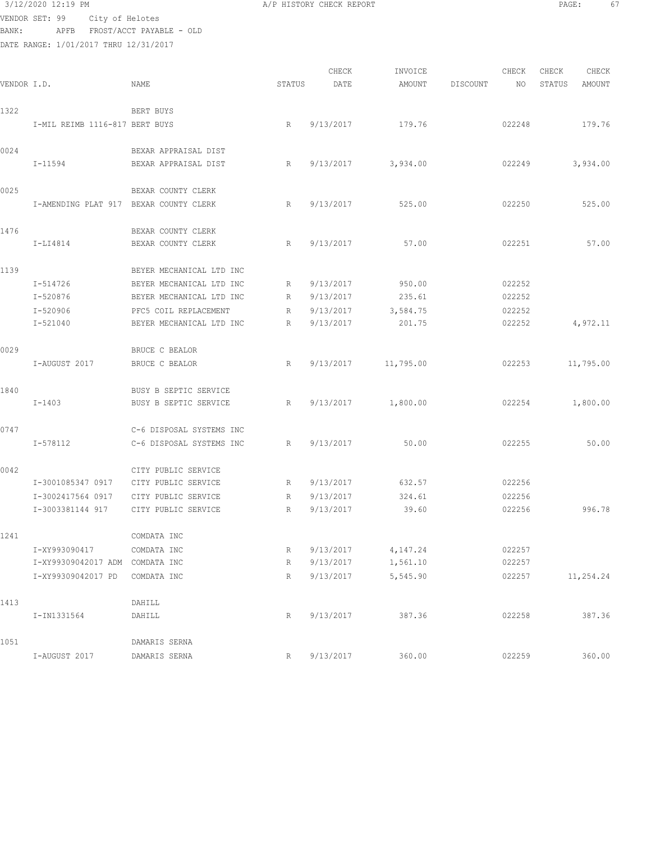3/12/2020 12:19 PM **A/P HISTORY CHECK REPORT PAGE:** 67 VENDOR SET: 99 City of Helotes

BANK: APFB FROST/ACCT PAYABLE - OLD DATE RANGE: 1/01/2017 THRU 12/31/2017

CHECK INVOICE CHECK CHECK CHECK<br>DATE AMOUNT DISCOUNT NO STATUS AMOUNT VENDOR I.D. NAME STATUS DATE AMOUNT DISCOUNT NO STATUS AMOUNT 1322 BERT BUYS I-MIL REIMB 1116-817 BERT BUYS R 9/13/2017 179.76 022248 179.76 0024 BEXAR APPRAISAL DIST I-11594 BEXAR APPRAISAL DIST R 9/13/2017 3,934.00 022249 3,934.00 0025 BEXAR COUNTY CLERK I-AMENDING PLAT 917 BEXAR COUNTY CLERK R 9/13/2017 525.00 022250 525.00 1476 BEXAR COUNTY CLERK I-LI4814 BEXAR COUNTY CLERK R 9/13/2017 57.00 022251 57.00 1139 BEYER MECHANICAL LTD INC I-514726 BEYER MECHANICAL LTD INC R 9/13/2017 950.00 022252 I-520876 BEYER MECHANICAL LTD INC R 9/13/2017 235.61 022252 I-520906 PFC5 COIL REPLACEMENT R 9/13/2017 3,584.75 022252 I-521040 BEYER MECHANICAL LTD INC R 9/13/2017 201.75 022252 4,972.11 0029 BRUCE C BEALOR I-AUGUST 2017 BRUCE C BEALOR R 9/13/2017 11,795.00 022253 11,795.00 1840 BUSY B SEPTIC SERVICE I-1403 BUSY B SEPTIC SERVICE R 9/13/2017 1,800.00 022254 1,800.00 0747 C-6 DISPOSAL SYSTEMS INC I-578112 C-6 DISPOSAL SYSTEMS INC R 9/13/2017 50.00 022255 50.00 0042 CITY PUBLIC SERVICE I-3001085347 0917 CITY PUBLIC SERVICE R 9/13/2017 632.57 022256 I-3002417564 0917 CITY PUBLIC SERVICE R 9/13/2017 324.61 022256 I-3003381144 917 CITY PUBLIC SERVICE R 9/13/2017 39.60 022256 996.78 1241 COMDATA INC I-XY993090417 COMDATA INC R 9/13/2017 4,147.24 022257 I-XY99309042017 ADM COMDATA INC R 9/13/2017 1,561.10 022257 I-XY99309042017 PD COMDATA INC R 9/13/2017 5,545.90 022257 11,254.24 1413 DAHILL I-IN1331564 DAHILL R 9/13/2017 387.36 022258 387.36 1051 DAMARIS SERNA I-AUGUST 2017 DAMARIS SERNA R 9/13/2017 360.00 022259 360.00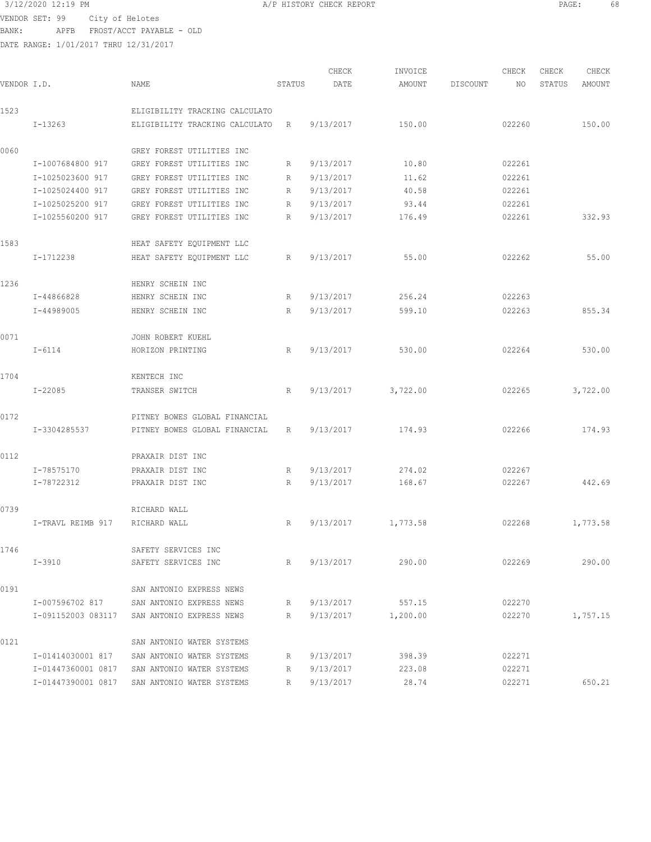VENDOR SET: 99 City of Helotes BANK: APFB FROST/ACCT PAYABLE - OLD

| 3/12/2020 12:19 PM                 | A/P HISTORY CHECK REPORT | PAGE |  |
|------------------------------------|--------------------------|------|--|
| VENDOR SET: 99     City of Helotes |                          |      |  |

| VENDOR I.D. |                    | NAME                           | STATUS          | CHECK<br>DATE | INVOICE<br>AMOUNT | DISCOUNT | CHECK<br>NO. | CHECK<br>STATUS | CHECK<br>AMOUNT |
|-------------|--------------------|--------------------------------|-----------------|---------------|-------------------|----------|--------------|-----------------|-----------------|
| 1523        |                    | ELIGIBILITY TRACKING CALCULATO |                 |               |                   |          |              |                 |                 |
|             | $I-13263$          | ELIGIBILITY TRACKING CALCULATO | R               | 9/13/2017     | 150.00            |          | 022260       |                 | 150.00          |
| 0060        |                    | GREY FOREST UTILITIES INC      |                 |               |                   |          |              |                 |                 |
|             | I-1007684800 917   | GREY FOREST UTILITIES INC      | R               | 9/13/2017     | 10.80             |          | 022261       |                 |                 |
|             | I-1025023600 917   | GREY FOREST UTILITIES INC      | R               | 9/13/2017     | 11.62             |          | 022261       |                 |                 |
|             | I-1025024400 917   | GREY FOREST UTILITIES INC      | R               | 9/13/2017     | 40.58             |          | 022261       |                 |                 |
|             | I-1025025200 917   | GREY FOREST UTILITIES INC      | R               | 9/13/2017     | 93.44             |          | 022261       |                 |                 |
|             | I-1025560200 917   | GREY FOREST UTILITIES INC      | R               | 9/13/2017     | 176.49            |          | 022261       |                 | 332.93          |
| 1583        |                    | HEAT SAFETY EQUIPMENT LLC      |                 |               |                   |          |              |                 |                 |
|             | I-1712238          | HEAT SAFETY EQUIPMENT LLC      | R               | 9/13/2017     | 55.00             |          | 022262       |                 | 55.00           |
| 1236        |                    | HENRY SCHEIN INC               |                 |               |                   |          |              |                 |                 |
|             | I-44866828         | HENRY SCHEIN INC               | R               | 9/13/2017     | 256.24            |          | 022263       |                 |                 |
|             | I-44989005         | HENRY SCHEIN INC               | $R_{\parallel}$ | 9/13/2017     | 599.10            |          | 022263       |                 | 855.34          |
| 0071        |                    | JOHN ROBERT KUEHL              |                 |               |                   |          |              |                 |                 |
|             | $I - 6114$         | HORIZON PRINTING               | R               | 9/13/2017     | 530.00            |          | 022264       |                 | 530.00          |
| 1704        |                    | KENTECH INC                    |                 |               |                   |          |              |                 |                 |
|             | $I - 22085$        | TRANSER SWITCH                 | R               | 9/13/2017     | 3,722.00          |          | 022265       |                 | 3,722.00        |
| 0172        |                    | PITNEY BOWES GLOBAL FINANCIAL  |                 |               |                   |          |              |                 |                 |
|             | I-3304285537       | PITNEY BOWES GLOBAL FINANCIAL  | R               | 9/13/2017     | 174.93            |          | 022266       |                 | 174.93          |
| 0112        |                    | PRAXAIR DIST INC               |                 |               |                   |          |              |                 |                 |
|             | I-78575170         | PRAXAIR DIST INC               | R               | 9/13/2017     | 274.02            |          | 022267       |                 |                 |
|             | I-78722312         | PRAXAIR DIST INC               | R               | 9/13/2017     | 168.67            |          | 022267       |                 | 442.69          |
| 0739        |                    | RICHARD WALL                   |                 |               |                   |          |              |                 |                 |
|             | I-TRAVL REIMB 917  | RICHARD WALL                   | R               | 9/13/2017     | 1,773.58          |          | 022268       |                 | 1,773.58        |
| 1746        |                    | SAFETY SERVICES INC            |                 |               |                   |          |              |                 |                 |
|             | I-3910             | SAFETY SERVICES INC            | $R_{\perp}$     | 9/13/2017     | 290.00            |          | 022269       |                 | 290.00          |
| 0191        |                    | SAN ANTONIO EXPRESS NEWS       |                 |               |                   |          |              |                 |                 |
|             | I-007596702 817    | SAN ANTONIO EXPRESS NEWS       | R               |               | 9/13/2017 557.15  |          | 022270       |                 |                 |
|             | I-091152003 083117 | SAN ANTONIO EXPRESS NEWS       | R               | 9/13/2017     | 1,200.00          |          | 022270       |                 | 1,757.15        |
| 0121        |                    | SAN ANTONIO WATER SYSTEMS      |                 |               |                   |          |              |                 |                 |
|             | I-01414030001 817  | SAN ANTONIO WATER SYSTEMS      | R               | 9/13/2017     | 398.39            |          | 022271       |                 |                 |
|             | I-01447360001 0817 | SAN ANTONIO WATER SYSTEMS      | R               | 9/13/2017     | 223.08            |          | 022271       |                 |                 |
|             | I-01447390001 0817 | SAN ANTONIO WATER SYSTEMS      | R               | 9/13/2017     | 28.74             |          | 022271       |                 | 650.21          |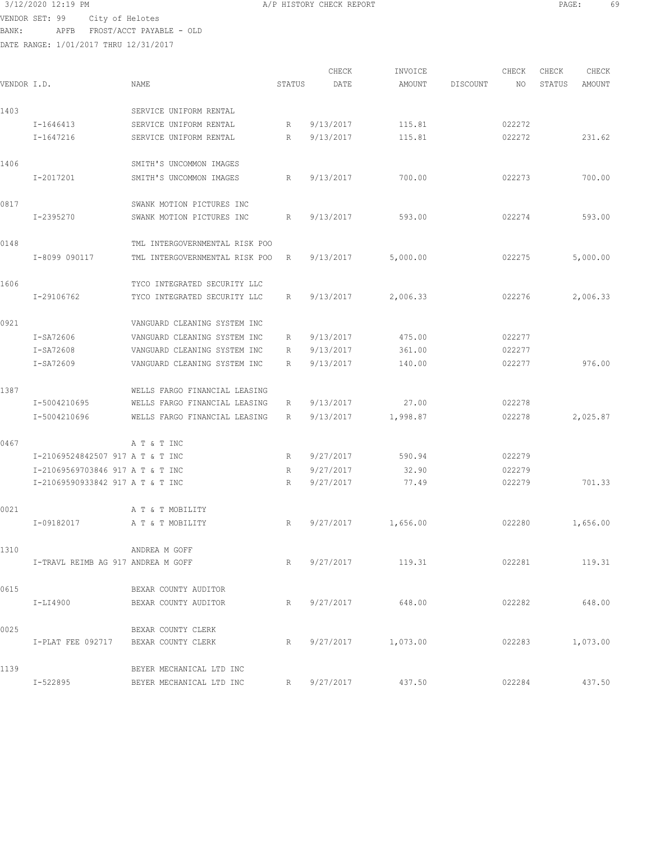| 3/12/2020 12:19 PM |                                          | A/P HISTORY CHECK REPORT | PAGE: | 69 |
|--------------------|------------------------------------------|--------------------------|-------|----|
|                    | VENDOR SET: 99 City of Helotes           |                          |       |    |
| BANK:              | APFB FROST/ACCT PAYABLE - OLD            |                          |       |    |
|                    | 10017 1017 1108. 1101 10017 10101 101017 |                          |       |    |

|             |                                    |                                |                 | CHECK     | INVOICE            |          | CHECK  | CHECK  | CHECK    |
|-------------|------------------------------------|--------------------------------|-----------------|-----------|--------------------|----------|--------|--------|----------|
| VENDOR I.D. |                                    | NAME                           | STATUS          | DATE      | AMOUNT             | DISCOUNT | NO     | STATUS | AMOUNT   |
| 1403        |                                    | SERVICE UNIFORM RENTAL         |                 |           |                    |          |        |        |          |
|             | I-1646413                          | SERVICE UNIFORM RENTAL         | R               | 9/13/2017 | 115.81             |          | 022272 |        |          |
|             | I-1647216                          | SERVICE UNIFORM RENTAL         | R               | 9/13/2017 | 115.81             |          | 022272 |        | 231.62   |
| 1406        |                                    | SMITH'S UNCOMMON IMAGES        |                 |           |                    |          |        |        |          |
|             | I-2017201                          | SMITH'S UNCOMMON IMAGES        | R               | 9/13/2017 | 700.00             |          | 022273 |        | 700.00   |
| 0817        |                                    | SWANK MOTION PICTURES INC      |                 |           |                    |          |        |        |          |
|             | I-2395270                          | SWANK MOTION PICTURES INC      | R               | 9/13/2017 | 593.00             |          | 022274 |        | 593.00   |
| 0148        |                                    | TML INTERGOVERNMENTAL RISK POO |                 |           |                    |          |        |        |          |
|             | I-8099 090117                      | TML INTERGOVERNMENTAL RISK POO | R               | 9/13/2017 | 5,000.00           |          | 022275 |        | 5,000.00 |
| 1606        |                                    | TYCO INTEGRATED SECURITY LLC   |                 |           |                    |          |        |        |          |
|             | I-29106762                         | TYCO INTEGRATED SECURITY LLC   | R               | 9/13/2017 | 2,006.33           |          | 022276 |        | 2,006.33 |
| 0921        |                                    | VANGUARD CLEANING SYSTEM INC   |                 |           |                    |          |        |        |          |
|             | I-SA72606                          | VANGUARD CLEANING SYSTEM INC   | R               | 9/13/2017 | 475.00             |          | 022277 |        |          |
|             | I-SA72608                          | VANGUARD CLEANING SYSTEM INC   | R               | 9/13/2017 | 361.00             |          | 022277 |        |          |
|             | I-SA72609                          | VANGUARD CLEANING SYSTEM INC   | R               | 9/13/2017 | 140.00             |          | 022277 |        | 976.00   |
| 1387        |                                    | WELLS FARGO FINANCIAL LEASING  |                 |           |                    |          |        |        |          |
|             | I-5004210695                       | WELLS FARGO FINANCIAL LEASING  | R               | 9/13/2017 | 27.00              |          | 022278 |        |          |
|             | I-5004210696                       | WELLS FARGO FINANCIAL LEASING  | R               | 9/13/2017 | 1,998.87           |          | 022278 |        | 2,025.87 |
| 0467        |                                    | A T & T INC                    |                 |           |                    |          |        |        |          |
|             | I-21069524842507 917 A T & T INC   |                                | R               | 9/27/2017 | 590.94             |          | 022279 |        |          |
|             | I-21069569703846 917 A T & T INC   |                                | R               | 9/27/2017 | 32.90              |          | 022279 |        |          |
|             | I-21069590933842 917 A T & T INC   |                                | R               | 9/27/2017 | 77.49              |          | 022279 |        | 701.33   |
| 0021        |                                    | A T & T MOBILITY               |                 |           |                    |          |        |        |          |
|             | I-09182017                         | A T & T MOBILITY               | R               | 9/27/2017 | 1,656.00           |          | 022280 |        | 1,656.00 |
| 1310        |                                    | ANDREA M GOFF                  |                 |           |                    |          |        |        |          |
|             | I-TRAVL REIMB AG 917 ANDREA M GOFF |                                | $R_{\parallel}$ | 9/27/2017 | 119.31             |          | 022281 |        | 119.31   |
| 0615        |                                    | BEXAR COUNTY AUDITOR           |                 |           |                    |          |        |        |          |
|             | $I-LI4900$                         | BEXAR COUNTY AUDITOR           | R               | 9/27/2017 | 648.00             |          | 022282 |        | 648.00   |
| 0025        |                                    | BEXAR COUNTY CLERK             |                 |           |                    |          |        |        |          |
|             | I-PLAT FEE 092717                  | BEXAR COUNTY CLERK             | R               |           | 9/27/2017 1,073.00 |          | 022283 |        | 1,073.00 |
| 1139        |                                    | BEYER MECHANICAL LTD INC       |                 |           |                    |          |        |        |          |
|             | I-522895                           | BEYER MECHANICAL LTD INC       | R               | 9/27/2017 | 437.50             |          | 022284 |        | 437.50   |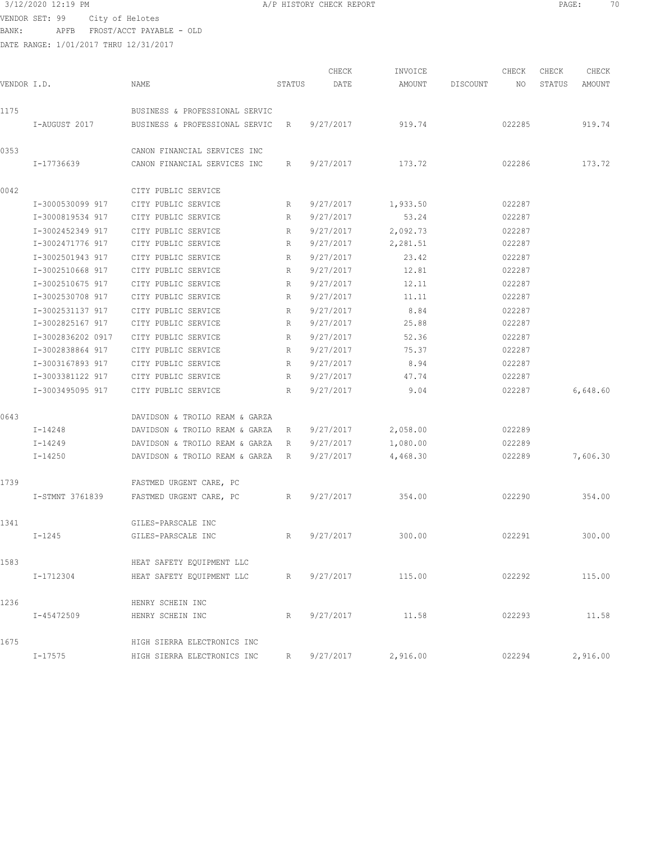3/12/2020 12:19 PM A/P HISTORY CHECK REPORT PAGE: 70 VENDOR SET: 99 City of Helotes BANK: APFB FROST/ACCT PAYABLE - OLD

| VENDOR I.D. |                   | NAME                             | STATUS      | CHECK<br>DATE | INVOICE<br>AMOUNT | DISCOUNT | CHECK<br>NO. | CHECK<br>STATUS | CHECK<br>AMOUNT |
|-------------|-------------------|----------------------------------|-------------|---------------|-------------------|----------|--------------|-----------------|-----------------|
| 1175        |                   | BUSINESS & PROFESSIONAL SERVIC   |             |               |                   |          |              |                 |                 |
|             | I-AUGUST 2017     | BUSINESS & PROFESSIONAL SERVIC   | R           | 9/27/2017     | 919.74            |          | 022285       |                 | 919.74          |
| 0353        |                   | CANON FINANCIAL SERVICES INC     |             |               |                   |          |              |                 |                 |
|             | I-17736639        | CANON FINANCIAL SERVICES INC     | R           | 9/27/2017     | 173.72            |          | 022286       |                 | 173.72          |
| 0042        |                   | CITY PUBLIC SERVICE              |             |               |                   |          |              |                 |                 |
|             | I-3000530099 917  | CITY PUBLIC SERVICE              | R           | 9/27/2017     | 1,933.50          |          | 022287       |                 |                 |
|             | I-3000819534 917  | CITY PUBLIC SERVICE              | R           | 9/27/2017     | 53.24             |          | 022287       |                 |                 |
|             | I-3002452349 917  | CITY PUBLIC SERVICE              | R           | 9/27/2017     | 2,092.73          |          | 022287       |                 |                 |
|             | I-3002471776 917  | CITY PUBLIC SERVICE              | R           | 9/27/2017     | 2,281.51          |          | 022287       |                 |                 |
|             | I-3002501943 917  | CITY PUBLIC SERVICE              | R           | 9/27/2017     | 23.42             |          | 022287       |                 |                 |
|             | I-3002510668 917  | CITY PUBLIC SERVICE              | R           | 9/27/2017     | 12.81             |          | 022287       |                 |                 |
|             | I-3002510675 917  | CITY PUBLIC SERVICE              | R           | 9/27/2017     | 12.11             |          | 022287       |                 |                 |
|             | I-3002530708 917  | CITY PUBLIC SERVICE              | R           | 9/27/2017     | 11.11             |          | 022287       |                 |                 |
|             | I-3002531137 917  | CITY PUBLIC SERVICE              | R           | 9/27/2017     | 8.84              |          | 022287       |                 |                 |
|             | I-3002825167 917  | CITY PUBLIC SERVICE              | R           | 9/27/2017     | 25.88             |          | 022287       |                 |                 |
|             | I-3002836202 0917 | CITY PUBLIC SERVICE              | R           | 9/27/2017     | 52.36             |          | 022287       |                 |                 |
|             | I-3002838864 917  | CITY PUBLIC SERVICE              | R           | 9/27/2017     | 75.37             |          | 022287       |                 |                 |
|             | I-3003167893 917  | CITY PUBLIC SERVICE              | R           | 9/27/2017     | 8.94              |          | 022287       |                 |                 |
|             | I-3003381122 917  | CITY PUBLIC SERVICE              | R           | 9/27/2017     | 47.74             |          | 022287       |                 |                 |
|             | I-3003495095 917  | CITY PUBLIC SERVICE              | R           | 9/27/2017     | 9.04              |          | 022287       |                 | 6,648.60        |
| 0643        |                   | DAVIDSON & TROILO REAM & GARZA   |             |               |                   |          |              |                 |                 |
|             | I-14248           | DAVIDSON & TROILO REAM & GARZA R |             | 9/27/2017     | 2,058.00          |          | 022289       |                 |                 |
|             | I-14249           | DAVIDSON & TROILO REAM & GARZA   | $R_{\odot}$ | 9/27/2017     | 1,080.00          |          | 022289       |                 |                 |
|             | I-14250           | DAVIDSON & TROILO REAM & GARZA   | R           | 9/27/2017     | 4,468.30          |          | 022289       |                 | 7,606.30        |
| 1739        |                   | FASTMED URGENT CARE, PC          |             |               |                   |          |              |                 |                 |
|             | I-STMNT 3761839   | FASTMED URGENT CARE, PC          | R           | 9/27/2017     | 354.00            |          | 022290       |                 | 354.00          |
| 1341        |                   | GILES-PARSCALE INC               |             |               |                   |          |              |                 |                 |
|             | I-1245            | GILES-PARSCALE INC               | R,          | 9/27/2017     | 300.00            |          | 022291       |                 | 300.00          |
| 1583        |                   | HEAT SAFETY EQUIPMENT LLC        |             |               |                   |          |              |                 |                 |
|             | I-1712304         | HEAT SAFETY EOUIPMENT LLC        | R           | 9/27/2017     | 115.00            |          | 022292       |                 | 115.00          |
| 1236        |                   | HENRY SCHEIN INC                 |             |               |                   |          |              |                 |                 |
|             | I-45472509        | HENRY SCHEIN INC                 | R           | 9/27/2017     | 11.58             |          | 022293       |                 | 11.58           |
| 1675        |                   | HIGH SIERRA ELECTRONICS INC      |             |               |                   |          |              |                 |                 |
|             | I-17575           | HIGH SIERRA ELECTRONICS INC      | R           | 9/27/2017     | 2,916.00          |          | 022294       |                 | 2,916.00        |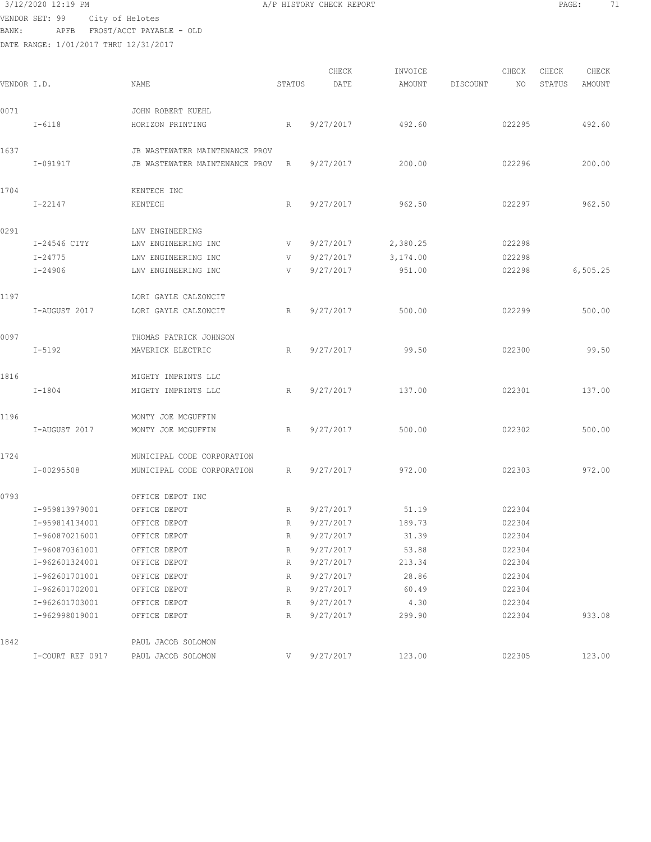## 3/12/2020 12:19 PM **A/P HISTORY CHECK REPORT PAGE:** 71

VENDOR SET: 99 City of Helotes BANK: APFB FROST/ACCT PAYABLE - OLD

| VENDOR I.D. |                  | NAME                           | STATUS | CHECK<br>DATE | INVOICE<br>AMOUNT | DISCOUNT | CHECK<br>NO | CHECK<br>STATUS | CHECK<br>AMOUNT |
|-------------|------------------|--------------------------------|--------|---------------|-------------------|----------|-------------|-----------------|-----------------|
| 0071        |                  | JOHN ROBERT KUEHL              |        |               |                   |          |             |                 |                 |
|             | $I - 6118$       | HORIZON PRINTING               | R      | 9/27/2017     | 492.60            |          | 022295      |                 | 492.60          |
| 1637        |                  | JB WASTEWATER MAINTENANCE PROV |        |               |                   |          |             |                 |                 |
|             | I-091917         | JB WASTEWATER MAINTENANCE PROV | R      | 9/27/2017     | 200.00            |          | 022296      |                 | 200.00          |
| 1704        |                  | KENTECH INC                    |        |               |                   |          |             |                 |                 |
|             | I-22147          | KENTECH                        | R      | 9/27/2017     | 962.50            |          | 022297      |                 | 962.50          |
| 0291        |                  | LNV ENGINEERING                |        |               |                   |          |             |                 |                 |
|             | I-24546 CITY     | LNV ENGINEERING INC            | V      | 9/27/2017     | 2,380.25          |          | 022298      |                 |                 |
|             | $I - 24775$      | LNV ENGINEERING INC            | V      | 9/27/2017     | 3,174.00          |          | 022298      |                 |                 |
|             | $I - 24906$      | LNV ENGINEERING INC            | V      | 9/27/2017     | 951.00            |          | 022298      |                 | 6, 505.25       |
| 1197        |                  | LORI GAYLE CALZONCIT           |        |               |                   |          |             |                 |                 |
|             | I-AUGUST 2017    | LORI GAYLE CALZONCIT           | R      | 9/27/2017     | 500.00            |          | 022299      |                 | 500.00          |
| 0097        |                  | THOMAS PATRICK JOHNSON         |        |               |                   |          |             |                 |                 |
|             | $I - 5192$       | MAVERICK ELECTRIC              | R      | 9/27/2017     | 99.50             |          | 022300      |                 | 99.50           |
| 1816        |                  | MIGHTY IMPRINTS LLC            |        |               |                   |          |             |                 |                 |
|             | $I - 1804$       | MIGHTY IMPRINTS LLC            | R      | 9/27/2017     | 137.00            |          | 022301      |                 | 137.00          |
| 1196        |                  | MONTY JOE MCGUFFIN             |        |               |                   |          |             |                 |                 |
|             | I-AUGUST 2017    | MONTY JOE MCGUFFIN             | R      | 9/27/2017     | 500.00            |          | 022302      |                 | 500.00          |
| 1724        |                  | MUNICIPAL CODE CORPORATION     |        |               |                   |          |             |                 |                 |
|             | I-00295508       | MUNICIPAL CODE CORPORATION     | R      | 9/27/2017     | 972.00            |          | 022303      |                 | 972.00          |
| 0793        |                  | OFFICE DEPOT INC               |        |               |                   |          |             |                 |                 |
|             | I-959813979001   | OFFICE DEPOT                   | R      | 9/27/2017     | 51.19             |          | 022304      |                 |                 |
|             | I-959814134001   | OFFICE DEPOT                   | R      | 9/27/2017     | 189.73            |          | 022304      |                 |                 |
|             | I-960870216001   | OFFICE DEPOT                   | R      | 9/27/2017     | 31.39             |          | 022304      |                 |                 |
|             | I-960870361001   | OFFICE DEPOT                   | R      | 9/27/2017     | 53.88             |          | 022304      |                 |                 |
|             | I-962601324001   | OFFICE DEPOT                   | R      | 9/27/2017     | 213.34            |          | 022304      |                 |                 |
|             | I-962601701001   | OFFICE DEPOT                   | R      | 9/27/2017     | 28.86             |          | 022304      |                 |                 |
|             | I-962601702001   | OFFICE DEPOT                   | R      | 9/27/2017     | 60.49             |          | 022304      |                 |                 |
|             | I-962601703001   | OFFICE DEPOT                   | R      | 9/27/2017     | 4.30              |          | 022304      |                 |                 |
|             | I-962998019001   | OFFICE DEPOT                   | R      | 9/27/2017     | 299.90            |          | 022304      |                 | 933.08          |
| 1842        |                  | PAUL JACOB SOLOMON             |        |               |                   |          |             |                 |                 |
|             | I-COURT REF 0917 | PAUL JACOB SOLOMON             | V      | 9/27/2017     | 123.00            |          | 022305      |                 | 123.00          |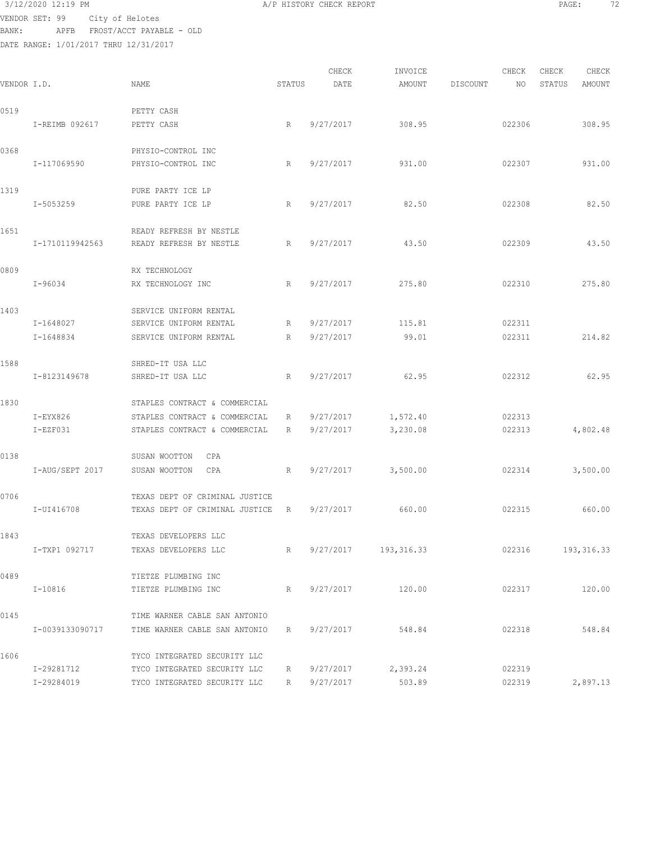3/12/2020 12:19 PM A/P HISTORY CHECK REPORT PAGE: 72 VENDOR SET: 99 City of Helotes

BANK: APFB FROST/ACCT PAYABLE - OLD DATE RANGE: 1/01/2017 THRU 12/31/2017

CHECK INVOICE CHECK CHECK CHECK VENDOR I.D. NAME STATUS DATE AMOUNT DISCOUNT NO STATUS AMOUNT 0519 PETTY CASH I-REIMB 092617 PETTY CASH R 9/27/2017 308.95 022306 308.95 0368 PHYSIO-CONTROL INC I-117069590 PHYSIO-CONTROL INC R 9/27/2017 931.00 022307 931.00 1319 PURE PARTY ICE LP I-5053259 PURE PARTY ICE LP R 9/27/2017 82.50 022308 82.50 1651 READY REFRESH BY NESTLE I-1710119942563 READY REFRESH BY NESTLE R 9/27/2017 43.50 022309 43.50 0809 RX TECHNOLOGY I-96034 RX TECHNOLOGY INC R 9/27/2017 275.80 022310 275.80 1403 SERVICE UNIFORM RENTAL I-1648027 SERVICE UNIFORM RENTAL R 9/27/2017 115.81 022311 I-1648834 SERVICE UNIFORM RENTAL R 9/27/2017 99.01 022311 214.82 1588 SHRED-IT USA LLC I-8123149678 SHRED-IT USA LLC R 9/27/2017 62.95 022312 62.95 1830 STAPLES CONTRACT & COMMERCIAL I-EYX826 STAPLES CONTRACT & COMMERCIAL R 9/27/2017 1,572.40 022313 I-EZF031 STAPLES CONTRACT & COMMERCIAL R 9/27/2017 3,230.08 022313 4,802.48 0138 SUSAN WOOTTON CPA I-AUG/SEPT 2017 SUSAN WOOTTON CPA R 9/27/2017 3,500.00 022314 3,500.00 0706 TEXAS DEPT OF CRIMINAL JUSTICE I-UI416708 TEXAS DEPT OF CRIMINAL JUSTICE R 9/27/2017 660.00 022315 660.00 1843 TEXAS DEVELOPERS LLC I-TXP1 092717 TEXAS DEVELOPERS LLC R 9/27/2017 193,316.33 022316 193,316.33 0489 TIETZE PLUMBING INC I-10816 TIETZE PLUMBING INC R 9/27/2017 120.00 022317 120.00 0145 TIME WARNER CABLE SAN ANTONIO I-0039133090717 TIME WARNER CABLE SAN ANTONIO R 9/27/2017 548.84 022318 548.84 1606 TYCO INTEGRATED SECURITY LLC I-29281712 TYCO INTEGRATED SECURITY LLC R 9/27/2017 2,393.24 022319

I-29284019 TYCO INTEGRATED SECURITY LLC R 9/27/2017 503.89 022319 2,897.13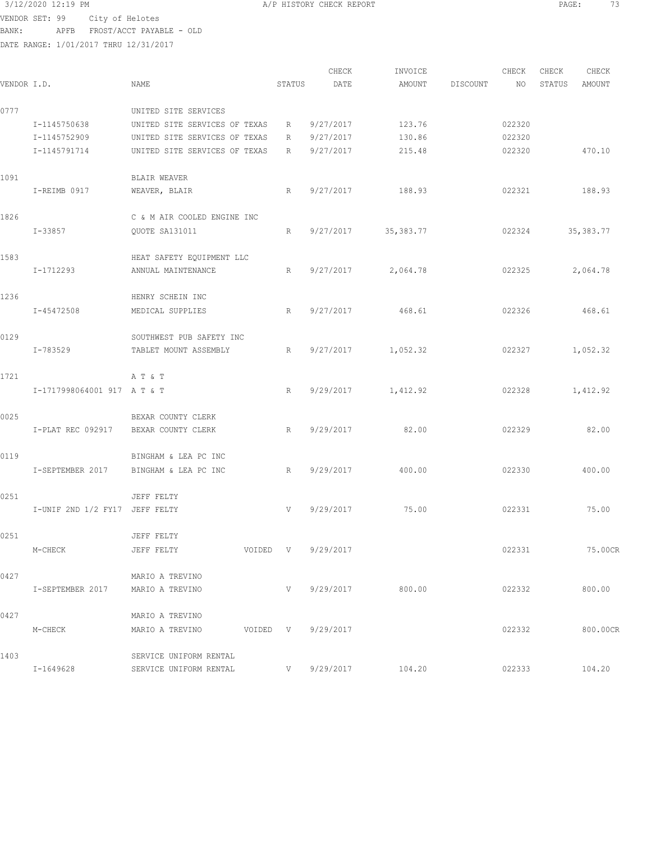|             |                                  |                                       |             | CHECK              | INVOICE     |          | CHECK  | CHECK  | CHECK      |
|-------------|----------------------------------|---------------------------------------|-------------|--------------------|-------------|----------|--------|--------|------------|
| VENDOR I.D. |                                  | NAME                                  | STATUS      | DATE               | AMOUNT      | DISCOUNT | NO     | STATUS | AMOUNT     |
| 0777        |                                  | UNITED SITE SERVICES                  |             |                    |             |          |        |        |            |
|             | I-1145750638                     | UNITED SITE SERVICES OF TEXAS         | R           | 9/27/2017          | 123.76      |          | 022320 |        |            |
|             | I-1145752909                     | UNITED SITE SERVICES OF TEXAS         | R           | 9/27/2017          | 130.86      |          | 022320 |        |            |
|             | I-1145791714                     | UNITED SITE SERVICES OF TEXAS         | R           | 9/27/2017          | 215.48      |          | 022320 |        | 470.10     |
|             |                                  |                                       |             |                    |             |          |        |        |            |
| 1091        |                                  | BLAIR WEAVER                          |             |                    |             |          |        |        |            |
|             | I-REIMB 0917                     | WEAVER, BLAIR                         | R           | 9/27/2017          | 188.93      |          | 022321 |        | 188.93     |
| 1826        |                                  | C & M AIR COOLED ENGINE INC           |             |                    |             |          |        |        |            |
|             | I-33857                          | QUOTE SA131011                        | R           | 9/27/2017          | 35, 383. 77 |          | 022324 |        | 35, 383.77 |
|             |                                  |                                       |             |                    |             |          |        |        |            |
| 1583        |                                  | HEAT SAFETY EQUIPMENT LLC             |             |                    |             |          |        |        |            |
|             | I-1712293                        | ANNUAL MAINTENANCE                    | R           | 9/27/2017          | 2,064.78    |          | 022325 |        | 2,064.78   |
| 1236        |                                  | HENRY SCHEIN INC                      |             |                    |             |          |        |        |            |
|             | I-45472508                       | MEDICAL SUPPLIES                      | R           | 9/27/2017          | 468.61      |          | 022326 |        | 468.61     |
|             |                                  |                                       |             |                    |             |          |        |        |            |
| 0129        |                                  | SOUTHWEST PUB SAFETY INC              |             |                    |             |          |        |        |            |
|             | I-783529                         | TABLET MOUNT ASSEMBLY                 | R           | 9/27/2017          | 1,052.32    |          | 022327 |        | 1,052.32   |
| 1721        |                                  | A T & T                               |             |                    |             |          |        |        |            |
|             | I-1717998064001 917 A T & T      |                                       | R           | 9/29/2017          | 1,412.92    |          | 022328 |        | 1,412.92   |
|             |                                  |                                       |             |                    |             |          |        |        |            |
| 0025        |                                  | BEXAR COUNTY CLERK                    |             |                    |             |          |        |        |            |
|             | I-PLAT REC 092917                | BEXAR COUNTY CLERK                    | R           | 9/29/2017          | 82.00       |          | 022329 |        | 82.00      |
| 0119        |                                  | BINGHAM & LEA PC INC                  |             |                    |             |          |        |        |            |
|             | I-SEPTEMBER 2017                 | BINGHAM & LEA PC INC                  | R           | 9/29/2017          | 400.00      |          | 022330 |        | 400.00     |
|             |                                  |                                       |             |                    |             |          |        |        |            |
| 0251        |                                  | JEFF FELTY                            |             |                    |             |          |        |        |            |
|             | I-UNIF 2ND 1/2 FY17 JEFF FELTY   |                                       | V           | 9/29/2017          | 75.00       |          | 022331 |        | 75.00      |
| 0251        |                                  | JEFF FELTY                            |             |                    |             |          |        |        |            |
|             |                                  |                                       |             |                    |             |          |        |        | 75.00CR    |
|             | M-CHECK                          | JEFF FELTY                            |             | VOIDED V 9/29/2017 |             |          | 022331 |        |            |
| 0427        |                                  | MARIO A TREVINO                       |             |                    |             |          |        |        |            |
|             | I-SEPTEMBER 2017 MARIO A TREVINO |                                       |             | V 9/29/2017        | 800.00      |          | 022332 |        | 800.00     |
|             |                                  |                                       |             |                    |             |          |        |        |            |
| 0427        |                                  | MARIO A TREVINO                       |             |                    |             |          |        |        |            |
|             | M-CHECK                          | MARIO A TREVINO<br>VOIDED V 9/29/2017 |             |                    |             |          | 022332 |        | 800.00CR   |
| 1403        |                                  | SERVICE UNIFORM RENTAL                |             |                    |             |          |        |        |            |
|             | I-1649628                        | SERVICE UNIFORM RENTAL                | $V$ and $V$ | 9/29/2017          | 104.20      |          | 022333 |        | 104.20     |
|             |                                  |                                       |             |                    |             |          |        |        |            |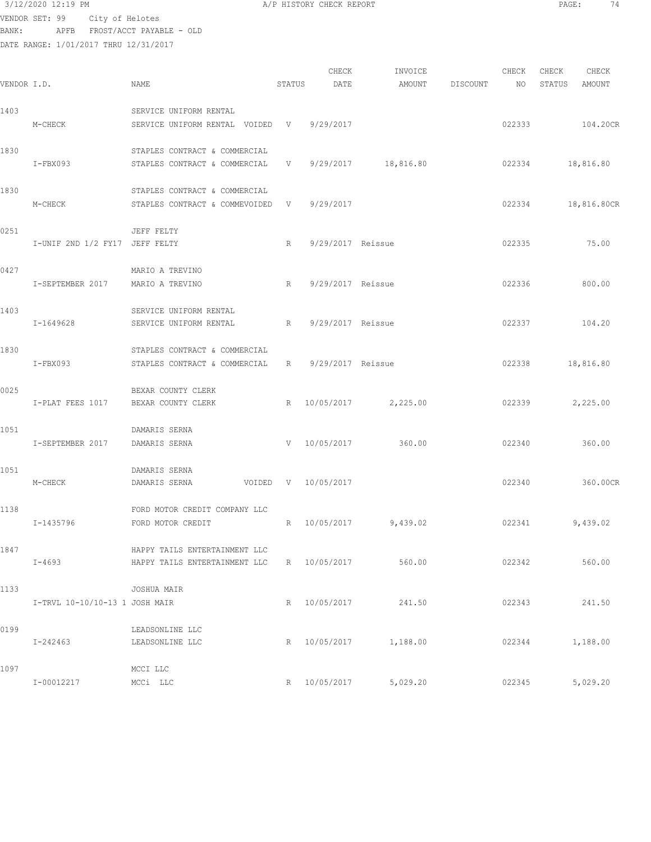DATE RANGE: 1/01/2017 THRU 12/31/2017

| 3/12/2020 12:19 PM<br>A/P HISTORY CHECK REPORT<br>PAGE: |  |
|---------------------------------------------------------|--|
|---------------------------------------------------------|--|

CHECK INVOICE CHECK CHECK CHECK CHECK CHECK VENDOR I.D. NAME STATUS DATE AMOUNT DISCOUNT NO STATUS AMOUNT 1403 SERVICE UNIFORM RENTAL M-CHECK SERVICE UNIFORM RENTAL VOIDED V 9/29/2017 101 022333 022333 104.20CR 1830 STAPLES CONTRACT & COMMERCIAL I-FBX093 STAPLES CONTRACT & COMMERCIAL V 9/29/2017 18,816.80 022334 18,816.80 1830 STAPLES CONTRACT & COMMERCIAL M-CHECK STAPLES CONTRACT & COMMEVOIDED V 9/29/2017 022334 18,816.80CR 0251 JEFF FELTY I-UNIF 2ND 1/2 FY17 JEFF FELTY R 9/29/2017 Reissue 022335 75.00 0427 MARIO A TREVINO I-SEPTEMBER 2017 MARIO A TREVINO R 9/29/2017 Reissue 022336 800.00 1403 SERVICE UNIFORM RENTAL I-1649628 SERVICE UNIFORM RENTAL R 9/29/2017 Reissue 022337 104.20 1830 STAPLES CONTRACT & COMMERCIAL I-FBX093 STAPLES CONTRACT & COMMERCIAL R 9/29/2017 Reissue 022338 18,816.80 0025 BEXAR COUNTY CLERK I-PLAT FEES 1017 BEXAR COUNTY CLERK R 10/05/2017 2,225.00 022339 2,225.00 1051 DAMARIS SERNA I-SEPTEMBER 2017 DAMARIS SERNA V 10/05/2017 360.00 022340 360.00 1051 DAMARIS SERNA M-CHECK DAMARIS SERNA VOIDED V 10/05/2017 022340 360.00CR 1138 FORD MOTOR CREDIT COMPANY LLC I-1435796 FORD MOTOR CREDIT R 10/05/2017 9,439.02 022341 9,439.02 1847 HAPPY TAILS ENTERTAINMENT LLC I-4693 HAPPY TAILS ENTERTAINMENT LLC R 10/05/2017 560.00 022342 560.00 1133 JOSHUA MAIR I-TRVL 10-10/10-13 1 JOSH MAIR R 10/05/2017 241.50 022343 241.50 0199 LEADSONLINE LLC I-242463 LEADSONLINE LLC R 10/05/2017 1,188.00 022344 1,188.00 1097 MCCI LLC I-00012217 MCCi LLC R 10/05/2017 5,029.20 022345 5,029.20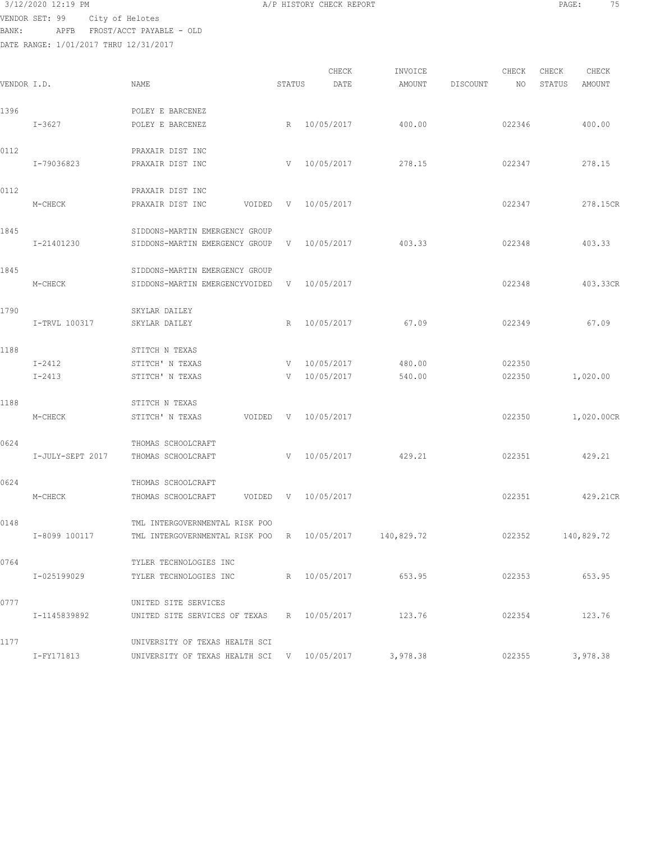| 3/12/2020 12:19 PM             |  | A/P HISTORY CHECK REPORT | PAGE. | $- -$ |
|--------------------------------|--|--------------------------|-------|-------|
| UENDOD CET. 00 City of Holotop |  |                          |       |       |

| VENDOR I.D. |                  | NAME                                                             | STATUS       | CHECK<br>DATE | INVOICE<br>AMOUNT | DISCOUNT | CHECK<br>NO | CHECK<br>STATUS | CHECK<br>AMOUNT |
|-------------|------------------|------------------------------------------------------------------|--------------|---------------|-------------------|----------|-------------|-----------------|-----------------|
| 1396        | $I - 3627$       | POLEY E BARCENEZ<br>POLEY E BARCENEZ                             | R            | 10/05/2017    | 400.00            |          | 022346      |                 | 400.00          |
|             |                  |                                                                  |              |               |                   |          |             |                 |                 |
| 0112        | I-79036823       | PRAXAIR DIST INC<br>PRAXAIR DIST INC                             | V            | 10/05/2017    | 278.15            |          | 022347      |                 | 278.15          |
| 0112        |                  | PRAXAIR DIST INC                                                 | V            | 10/05/2017    |                   |          | 022347      |                 | 278.15CR        |
|             | M-CHECK          | PRAXAIR DIST INC<br>VOIDED                                       |              |               |                   |          |             |                 |                 |
| 1845        | I-21401230       | SIDDONS-MARTIN EMERGENCY GROUP<br>SIDDONS-MARTIN EMERGENCY GROUP | V –          | 10/05/2017    | 403.33            |          | 022348      |                 | 403.33          |
| 1845        | M-CHECK          | SIDDONS-MARTIN EMERGENCY GROUP<br>SIDDONS-MARTIN EMERGENCYVOIDED | V            | 10/05/2017    |                   |          | 022348      |                 | 403.33CR        |
|             |                  |                                                                  |              |               |                   |          |             |                 |                 |
| 1790        | I-TRVL 100317    | SKYLAR DAILEY<br>SKYLAR DAILEY                                   | R            | 10/05/2017    | 67.09             |          | 022349      |                 | 67.09           |
| 1188        |                  | STITCH N TEXAS                                                   |              |               |                   |          |             |                 |                 |
|             | $I - 2412$       | STITCH' N TEXAS                                                  | V            | 10/05/2017    | 480.00            |          | 022350      |                 |                 |
|             | $I - 2413$       | STITCH' N TEXAS                                                  | V            | 10/05/2017    | 540.00            |          | 022350      |                 | 1,020.00        |
| 1188        |                  | STITCH N TEXAS                                                   |              |               |                   |          |             |                 |                 |
|             | M-CHECK          | STITCH' N TEXAS<br>VOIDED                                        | $\mathbf{V}$ | 10/05/2017    |                   |          | 022350      |                 | 1,020.00CR      |
| 0624        |                  | THOMAS SCHOOLCRAFT                                               |              |               |                   |          |             |                 |                 |
|             | I-JULY-SEPT 2017 | THOMAS SCHOOLCRAFT                                               | V            | 10/05/2017    | 429.21            |          | 022351      |                 | 429.21          |
| 0624        |                  | THOMAS SCHOOLCRAFT                                               |              |               |                   |          |             |                 |                 |
|             | M-CHECK          | VOIDED<br>THOMAS SCHOOLCRAFT                                     | $\mathbf{V}$ | 10/05/2017    |                   |          | 022351      |                 | 429.21CR        |
| 0148        |                  | TML INTERGOVERNMENTAL RISK POO                                   |              |               |                   |          |             |                 |                 |
|             | I-8099 100117    | TML INTERGOVERNMENTAL RISK POO                                   | R            | 10/05/2017    | 140,829.72        |          | 022352      |                 | 140,829.72      |
| 0764        |                  | TYLER TECHNOLOGIES INC                                           |              |               |                   |          |             |                 |                 |
|             | I-025199029      | TYLER TECHNOLOGIES INC                                           |              | R 10/05/2017  | 653.95            |          | 022353      |                 | 653.95          |
| 0777        |                  | UNITED SITE SERVICES                                             |              |               |                   |          |             |                 |                 |
|             | I-1145839892     | UNITED SITE SERVICES OF TEXAS                                    |              | R 10/05/2017  | 123.76            |          | 022354      |                 | 123.76          |
| 1177        |                  | UNIVERSITY OF TEXAS HEALTH SCI                                   |              |               |                   |          |             |                 |                 |
|             | I-FY171813       | UNIVERSITY OF TEXAS HEALTH SCI V 10/05/2017                      |              |               | 3,978.38          |          | 022355      |                 | 3,978.38        |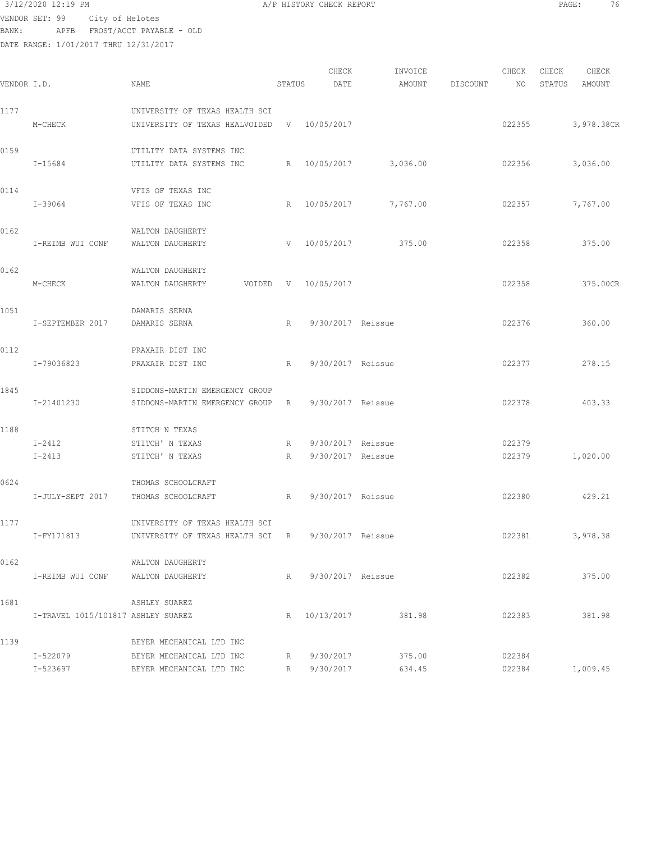# 3/12/2020 12:19 PM A/P HISTORY CHECK REPORT PAGE: 76 VENDOR SET: 99 City of Helotes

BANK: APFB FROST/ACCT PAYABLE - OLD DATE RANGE: 1/01/2017 THRU 12/31/2017

| VENDOR I.D. |                                    | NAME                                                             | STATUS      | CHECK<br>DATE       | INVOICE<br>AMOUNT | DISCOUNT | CHECK<br>NO | CHECK<br>STATUS | CHECK<br>AMOUNT |
|-------------|------------------------------------|------------------------------------------------------------------|-------------|---------------------|-------------------|----------|-------------|-----------------|-----------------|
|             |                                    |                                                                  |             |                     |                   |          |             |                 |                 |
| 1177        | M-CHECK                            | UNIVERSITY OF TEXAS HEALTH SCI<br>UNIVERSITY OF TEXAS HEALVOIDED |             | V 10/05/2017        |                   |          | 022355      |                 | 3,978.38CR      |
| 0159        |                                    | UTILITY DATA SYSTEMS INC                                         |             |                     |                   |          |             |                 |                 |
|             | I-15684                            | UTILITY DATA SYSTEMS INC                                         |             | R 10/05/2017        | 3,036.00          |          | 022356      |                 | 3,036.00        |
| 0114        |                                    | VFIS OF TEXAS INC                                                |             |                     |                   |          |             |                 |                 |
|             | I-39064                            | VFIS OF TEXAS INC                                                | R           | 10/05/2017          | 7,767.00          |          | 022357      |                 | 7,767.00        |
| 0162        |                                    | WALTON DAUGHERTY                                                 |             |                     |                   |          |             |                 |                 |
|             | I-REIMB WUI CONF                   | WALTON DAUGHERTY                                                 | V           | 10/05/2017          | 375.00            |          | 022358      |                 | 375.00          |
| 0162        |                                    | WALTON DAUGHERTY                                                 |             |                     |                   |          |             |                 |                 |
|             | M-CHECK                            | WALTON DAUGHERTY<br>VOIDED                                       | V           | 10/05/2017          |                   |          | 022358      |                 | 375.00CR        |
| 1051        | I-SEPTEMBER 2017                   | DAMARIS SERNA<br>DAMARIS SERNA                                   | R           | 9/30/2017 Reissue   |                   |          | 022376      |                 | 360.00          |
|             |                                    |                                                                  |             |                     |                   |          |             |                 |                 |
| 0112        | I-79036823                         | PRAXAIR DIST INC<br>PRAXAIR DIST INC                             | R           | 9/30/2017 Reissue   |                   |          | 022377      |                 | 278.15          |
|             |                                    |                                                                  |             |                     |                   |          |             |                 |                 |
| 1845        | I-21401230                         | SIDDONS-MARTIN EMERGENCY GROUP<br>SIDDONS-MARTIN EMERGENCY GROUP | $R_{\odot}$ | 9/30/2017 Reissue   |                   |          | 022378      |                 | 403.33          |
| 1188        |                                    |                                                                  |             |                     |                   |          |             |                 |                 |
|             | $I-2412$                           | STITCH N TEXAS<br>STITCH' N TEXAS                                | R           | 9/30/2017 Reissue   |                   |          | 022379      |                 |                 |
|             | $I - 2413$                         | STITCH' N TEXAS                                                  | R           | 9/30/2017 Reissue   |                   |          | 022379      |                 | 1,020.00        |
| 0624        |                                    | THOMAS SCHOOLCRAFT                                               |             |                     |                   |          |             |                 |                 |
|             | I-JULY-SEPT 2017                   | THOMAS SCHOOLCRAFT                                               | R           | 9/30/2017 Reissue   |                   |          | 022380      |                 | 429.21          |
| 1177        |                                    | UNIVERSITY OF TEXAS HEALTH SCI                                   |             |                     |                   |          |             |                 |                 |
|             | I-FY171813                         | UNIVERSITY OF TEXAS HEALTH SCI                                   | R           | 9/30/2017 Reissue   |                   |          | 022381      |                 | 3,978.38        |
| 0162        |                                    | WALTON DAUGHERTY                                                 |             |                     |                   |          |             |                 |                 |
|             | I-REIMB WUI CONF                   | WALTON DAUGHERTY                                                 |             | R 9/30/2017 Reissue |                   |          | 022382      |                 | 375.00          |
| 1681        |                                    | ASHLEY SUAREZ                                                    |             |                     |                   |          |             |                 |                 |
|             | I-TRAVEL 1015/101817 ASHLEY SUAREZ |                                                                  |             | R 10/13/2017        | 381.98            |          | 022383      |                 | 381.98          |
| 1139        |                                    | BEYER MECHANICAL LTD INC                                         |             |                     |                   |          |             |                 |                 |
|             | I-522079                           | BEYER MECHANICAL LTD INC                                         | $R$ and $R$ | 9/30/2017           | 375.00            |          | 022384      |                 |                 |
|             | I-523697                           | BEYER MECHANICAL LTD INC                                         |             | R 9/30/2017         | 634.45            |          | 022384      |                 | 1,009.45        |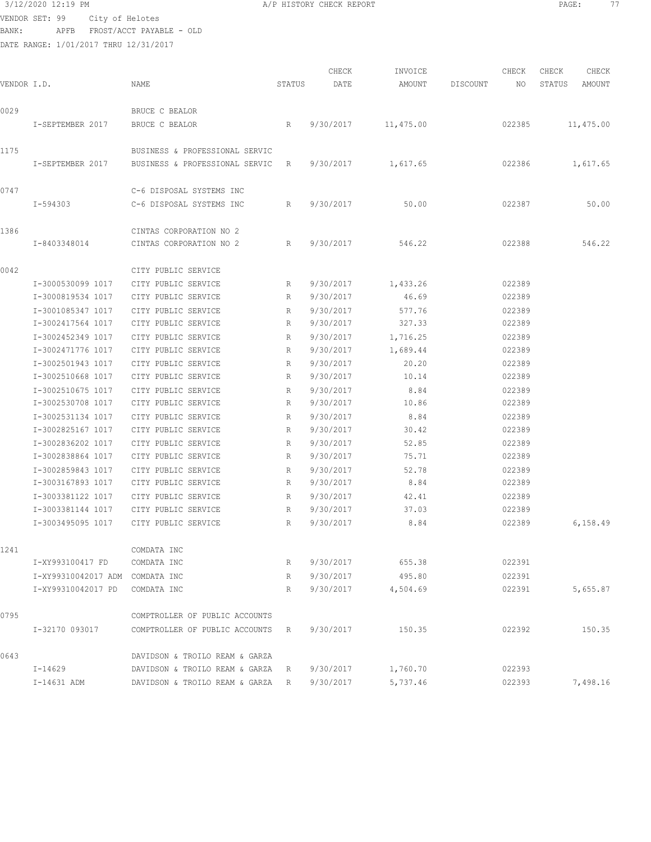VENDOR SET: 99 City of Helotes BANK: APFB FROST/ACCT PAYABLE - OLD

|             |                     |                                |        | CHECK     | INVOICE   |          | CHECK  | CHECK  | CHECK     |
|-------------|---------------------|--------------------------------|--------|-----------|-----------|----------|--------|--------|-----------|
| VENDOR I.D. |                     | NAME                           | STATUS | DATE      | AMOUNT    | DISCOUNT | NO.    | STATUS | AMOUNT    |
| 0029        |                     | BRUCE C BEALOR                 |        |           |           |          |        |        |           |
|             | I-SEPTEMBER 2017    | BRUCE C BEALOR                 | R      | 9/30/2017 | 11,475.00 |          | 022385 |        | 11,475.00 |
| 1175        |                     | BUSINESS & PROFESSIONAL SERVIC |        |           |           |          |        |        |           |
|             | I-SEPTEMBER 2017    | BUSINESS & PROFESSIONAL SERVIC | R      | 9/30/2017 | 1,617.65  |          | 022386 |        | 1,617.65  |
| 0747        |                     | C-6 DISPOSAL SYSTEMS INC       |        |           |           |          |        |        |           |
|             | I-594303            | C-6 DISPOSAL SYSTEMS INC       | R      | 9/30/2017 | 50.00     |          | 022387 |        | 50.00     |
| 1386        |                     | CINTAS CORPORATION NO 2        |        |           |           |          |        |        |           |
|             | I-8403348014        | CINTAS CORPORATION NO 2        | R      | 9/30/2017 | 546.22    |          | 022388 |        | 546.22    |
| 0042        |                     | CITY PUBLIC SERVICE            |        |           |           |          |        |        |           |
|             | I-3000530099 1017   | CITY PUBLIC SERVICE            | R      | 9/30/2017 | 1,433.26  |          | 022389 |        |           |
|             | I-3000819534 1017   | CITY PUBLIC SERVICE            | R      | 9/30/2017 | 46.69     |          | 022389 |        |           |
|             | I-3001085347 1017   | CITY PUBLIC SERVICE            | R      | 9/30/2017 | 577.76    |          | 022389 |        |           |
|             | I-3002417564 1017   | CITY PUBLIC SERVICE            | R      | 9/30/2017 | 327.33    |          | 022389 |        |           |
|             | I-3002452349 1017   | CITY PUBLIC SERVICE            | R      | 9/30/2017 | 1,716.25  |          | 022389 |        |           |
|             | I-3002471776 1017   | CITY PUBLIC SERVICE            | R      | 9/30/2017 | 1,689.44  |          | 022389 |        |           |
|             | I-3002501943 1017   | CITY PUBLIC SERVICE            | R      | 9/30/2017 | 20.20     |          | 022389 |        |           |
|             | I-3002510668 1017   | CITY PUBLIC SERVICE            | R      | 9/30/2017 | 10.14     |          | 022389 |        |           |
|             | I-3002510675 1017   | CITY PUBLIC SERVICE            | R      | 9/30/2017 | 8.84      |          | 022389 |        |           |
|             | I-3002530708 1017   | CITY PUBLIC SERVICE            | R      | 9/30/2017 | 10.86     |          | 022389 |        |           |
|             | I-3002531134 1017   | CITY PUBLIC SERVICE            | R      | 9/30/2017 | 8.84      |          | 022389 |        |           |
|             | I-3002825167 1017   | CITY PUBLIC SERVICE            | R      | 9/30/2017 | 30.42     |          | 022389 |        |           |
|             | I-3002836202 1017   | CITY PUBLIC SERVICE            | R      | 9/30/2017 | 52.85     |          | 022389 |        |           |
|             | I-3002838864 1017   | CITY PUBLIC SERVICE            | R      | 9/30/2017 | 75.71     |          | 022389 |        |           |
|             | I-3002859843 1017   | CITY PUBLIC SERVICE            | R      | 9/30/2017 | 52.78     |          | 022389 |        |           |
|             | I-3003167893 1017   | CITY PUBLIC SERVICE            | R      | 9/30/2017 | 8.84      |          | 022389 |        |           |
|             | I-3003381122 1017   | CITY PUBLIC SERVICE            | R      | 9/30/2017 | 42.41     |          | 022389 |        |           |
|             | I-3003381144 1017   | CITY PUBLIC SERVICE            | R      | 9/30/2017 | 37.03     |          | 022389 |        |           |
|             | I-3003495095 1017   | CITY PUBLIC SERVICE            | R      | 9/30/2017 | 8.84      |          | 022389 |        | 6,158.49  |
| 1241        |                     | COMDATA INC                    |        |           |           |          |        |        |           |
|             | I-XY993100417 FD    | COMDATA INC                    | R      | 9/30/2017 | 655.38    |          | 022391 |        |           |
|             | I-XY99310042017 ADM | COMDATA INC                    | R      | 9/30/2017 | 495.80    |          | 022391 |        |           |
|             | I-XY99310042017 PD  | COMDATA INC                    | R      | 9/30/2017 | 4,504.69  |          | 022391 |        | 5,655.87  |
| 0795        |                     | COMPTROLLER OF PUBLIC ACCOUNTS |        |           |           |          |        |        |           |
|             | I-32170 093017      | COMPTROLLER OF PUBLIC ACCOUNTS | R      | 9/30/2017 | 150.35    |          | 022392 |        | 150.35    |
| 0643        |                     | DAVIDSON & TROILO REAM & GARZA |        |           |           |          |        |        |           |
|             | I-14629             | DAVIDSON & TROILO REAM & GARZA | R      | 9/30/2017 | 1,760.70  |          | 022393 |        |           |
|             | I-14631 ADM         | DAVIDSON & TROILO REAM & GARZA | R      | 9/30/2017 | 5,737.46  |          | 022393 |        | 7,498.16  |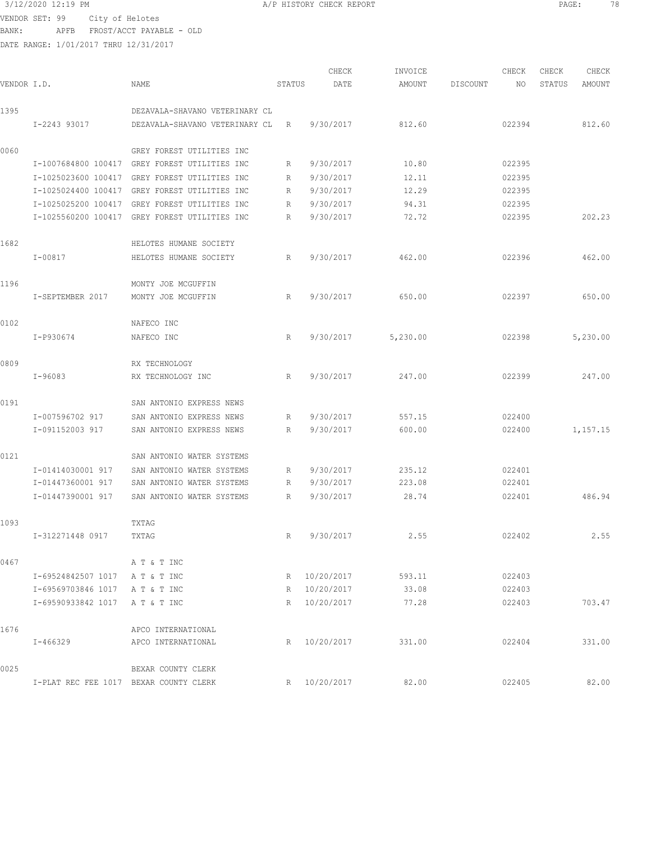3/12/2020 12:19 PM A/P HISTORY CHECK REPORT PAGE: 78 VENDOR SET: 99 City of Helotes BANK: APFB FROST/ACCT PAYABLE - OLD

| VENDOR I.D. |                                        | NAME                                          | STATUS          | CHECK<br>DATE | INVOICE<br>AMOUNT | DISCOUNT | CHECK<br>NO | CHECK<br>STATUS | CHECK<br>AMOUNT |
|-------------|----------------------------------------|-----------------------------------------------|-----------------|---------------|-------------------|----------|-------------|-----------------|-----------------|
| 1395        |                                        | DEZAVALA-SHAVANO VETERINARY CL                |                 |               |                   |          |             |                 |                 |
|             | I-2243 93017                           | DEZAVALA-SHAVANO VETERINARY CL                | R               | 9/30/2017     | 812.60            |          | 022394      |                 | 812.60          |
| 0060        |                                        | GREY FOREST UTILITIES INC                     |                 |               |                   |          |             |                 |                 |
|             |                                        | I-1007684800 100417 GREY FOREST UTILITIES INC | R               | 9/30/2017     | 10.80             |          | 022395      |                 |                 |
|             | I-1025023600 100417                    | GREY FOREST UTILITIES INC                     | R               | 9/30/2017     | 12.11             |          | 022395      |                 |                 |
|             |                                        | I-1025024400 100417 GREY FOREST UTILITIES INC | R               | 9/30/2017     | 12.29             |          | 022395      |                 |                 |
|             | I-1025025200 100417                    | GREY FOREST UTILITIES INC                     | R               | 9/30/2017     | 94.31             |          | 022395      |                 |                 |
|             |                                        | I-1025560200 100417 GREY FOREST UTILITIES INC | R               | 9/30/2017     | 72.72             |          | 022395      |                 | 202.23          |
| 1682        |                                        | HELOTES HUMANE SOCIETY                        |                 |               |                   |          |             |                 |                 |
|             | I-00817                                | HELOTES HUMANE SOCIETY                        | $R_{\parallel}$ | 9/30/2017     | 462.00            |          | 022396      |                 | 462.00          |
| 1196        |                                        | MONTY JOE MCGUFFIN                            |                 |               |                   |          |             |                 |                 |
|             | I-SEPTEMBER 2017                       | MONTY JOE MCGUFFIN                            | R               | 9/30/2017     | 650.00            |          | 022397      |                 | 650.00          |
| 0102        |                                        | NAFECO INC                                    |                 |               |                   |          |             |                 |                 |
|             | I-P930674                              | NAFECO INC                                    | R               | 9/30/2017     | 5,230.00          |          | 022398      |                 | 5,230.00        |
| 0809        |                                        | RX TECHNOLOGY                                 |                 |               |                   |          |             |                 |                 |
|             | I-96083                                | RX TECHNOLOGY INC                             | R               | 9/30/2017     | 247.00            |          | 022399      |                 | 247.00          |
| 0191        |                                        | SAN ANTONIO EXPRESS NEWS                      |                 |               |                   |          |             |                 |                 |
|             | I-007596702 917                        | SAN ANTONIO EXPRESS NEWS                      | R               | 9/30/2017     | 557.15            |          | 022400      |                 |                 |
|             | I-091152003 917                        | SAN ANTONIO EXPRESS NEWS                      | R               | 9/30/2017     | 600.00            |          | 022400      |                 | 1,157.15        |
| 0121        |                                        | SAN ANTONIO WATER SYSTEMS                     |                 |               |                   |          |             |                 |                 |
|             | I-01414030001 917                      | SAN ANTONIO WATER SYSTEMS                     | R               | 9/30/2017     | 235.12            |          | 022401      |                 |                 |
|             | I-01447360001 917                      | SAN ANTONIO WATER SYSTEMS                     | R               | 9/30/2017     | 223.08            |          | 022401      |                 |                 |
|             | I-01447390001 917                      | SAN ANTONIO WATER SYSTEMS                     | R               | 9/30/2017     | 28.74             |          | 022401      |                 | 486.94          |
| 1093        |                                        | TXTAG                                         |                 |               |                   |          |             |                 |                 |
|             | I-312271448 0917                       | TXTAG                                         | R.              | 9/30/2017     | 2.55              |          | 022402      |                 | 2.55            |
| 0467        |                                        | A T & T INC                                   |                 |               |                   |          |             |                 |                 |
|             | I-69524842507 1017 A T & T INC         |                                               |                 | R 10/20/2017  | 593.11            |          | 022403      |                 |                 |
|             | I-69569703846 1017 A T & T INC         |                                               |                 | R 10/20/2017  | 33.08             |          | 022403      |                 |                 |
|             | I-69590933842 1017 A T & T INC         |                                               |                 | R 10/20/2017  | 77.28             |          | 022403      |                 | 703.47          |
| 1676        |                                        | APCO INTERNATIONAL                            |                 |               |                   |          |             |                 |                 |
|             | I-466329                               | APCO INTERNATIONAL                            |                 | R 10/20/2017  | 331.00            |          | 022404      |                 | 331.00          |
| 0025        |                                        | BEXAR COUNTY CLERK                            |                 |               |                   |          |             |                 |                 |
|             | I-PLAT REC FEE 1017 BEXAR COUNTY CLERK |                                               |                 | R 10/20/2017  | 82.00             |          | 022405      |                 | 82.00           |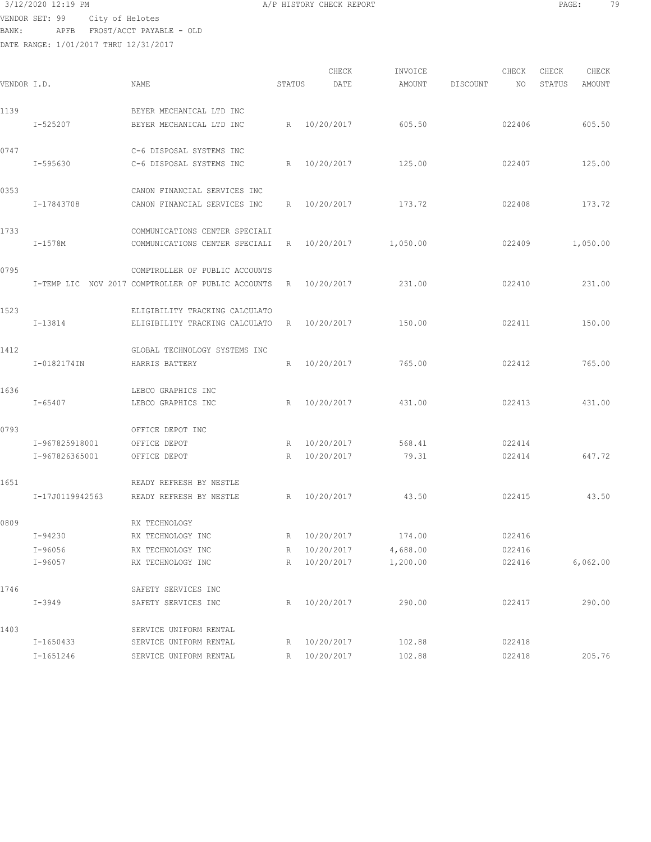DATE RANGE: 1/01/2017 THRU 12/31/2017

| 3/12/2020 12:19 PM             |  | A/P HISTORY CHECK REPORT | PAGE |  |
|--------------------------------|--|--------------------------|------|--|
| ENDOR SET : 99 City of Holotes |  |                          |      |  |

CHECK INVOICE CHECK CHECK CHECK VENDOR I.D. NAME STATUS DATE AMOUNT DISCOUNT NO STATUS AMOUNT 1139 BEYER MECHANICAL LTD INC I-525207 BEYER MECHANICAL LTD INC R 10/20/2017 605.50 022406 605.50 0747 C-6 DISPOSAL SYSTEMS INC I-595630 C-6 DISPOSAL SYSTEMS INC R 10/20/2017 125.00 022407 125.00 0353 CANON FINANCIAL SERVICES INC I-17843708 CANON FINANCIAL SERVICES INC R 10/20/2017 173.72 022408 173.72 1733 COMMUNICATIONS CENTER SPECIALI I-1578M COMMUNICATIONS CENTER SPECIALI R 10/20/2017 1,050.00 022409 1,050.00 0795 COMPTROLLER OF PUBLIC ACCOUNTS I-TEMP LIC NOV 2017 COMPTROLLER OF PUBLIC ACCOUNTS R 10/20/2017 231.00 022410 231.00 1523 ELIGIBILITY TRACKING CALCULATO I-13814 ELIGIBILITY TRACKING CALCULATO R 10/20/2017 150.00 022411 150.00 1412 GLOBAL TECHNOLOGY SYSTEMS INC I-0182174IN HARRIS BATTERY R 10/20/2017 765.00 022412 765.00 1636 LEBCO GRAPHICS INC I-65407 LEBCO GRAPHICS INC R 10/20/2017 431.00 022413 431.00 0793 OFFICE DEPOT INC I-967825918001 OFFICE DEPOT R 10/20/2017 568.41 022414 I-967826365001 OFFICE DEPOT R 10/20/2017 79.31 022414 647.72 1651 READY REFRESH BY NESTLE I-17J0119942563 READY REFRESH BY NESTLE R 10/20/2017 43.50 022415 43.50 0809 RX TECHNOLOGY I-94230 RX TECHNOLOGY INC R 10/20/2017 174.00 022416 I-96056 RX TECHNOLOGY INC R 10/20/2017 4,688.00 022416 I-96057 RX TECHNOLOGY INC R 10/20/2017 1,200.00 022416 6,062.00 1746 SAFETY SERVICES INC I-3949 SAFETY SERVICES INC R 10/20/2017 290.00 022417 290.00 1403 SERVICE UNIFORM RENTAL I-1650433 SERVICE UNIFORM RENTAL R 10/20/2017 102.88 022418 I-1651246 SERVICE UNIFORM RENTAL R 10/20/2017 102.88 022418 205.76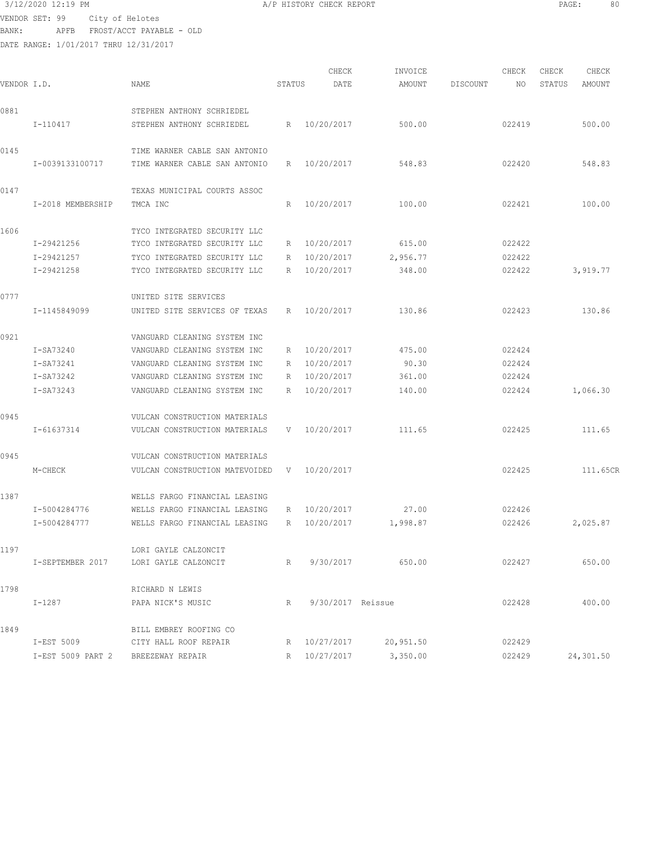VENDOR SET: 99 City of Helotes BANK: APFB FROST/ACCT PAYABLE - OLD

1849 BILL EMBREY ROOFING CO

DATE RANGE: 1/01/2017 THRU 12/31/2017

| VENDOR I.D. |                   | NAME                           | STATUS          | CHECK<br>DATE | INVOICE<br>AMOUNT | DISCOUNT | CHECK<br>NO | CHECK<br>STATUS | CHECK<br>AMOUNT |
|-------------|-------------------|--------------------------------|-----------------|---------------|-------------------|----------|-------------|-----------------|-----------------|
| 0881        | I-110417          | STEPHEN ANTHONY SCHRIEDEL      |                 | R 10/20/2017  |                   |          | 022419      |                 | 500.00          |
|             |                   | STEPHEN ANTHONY SCHRIEDEL      |                 |               | 500.00            |          |             |                 |                 |
| 0145        |                   | TIME WARNER CABLE SAN ANTONIO  |                 |               |                   |          |             |                 |                 |
|             | I-0039133100717   | TIME WARNER CABLE SAN ANTONIO  | R               | 10/20/2017    | 548.83            |          | 022420      |                 | 548.83          |
| 0147        |                   | TEXAS MUNICIPAL COURTS ASSOC   |                 |               |                   |          |             |                 |                 |
|             | I-2018 MEMBERSHIP | TMCA INC                       | R               | 10/20/2017    | 100.00            |          | 022421      |                 | 100.00          |
| 1606        |                   | TYCO INTEGRATED SECURITY LLC   |                 |               |                   |          |             |                 |                 |
|             | I-29421256        | TYCO INTEGRATED SECURITY LLC   | R               | 10/20/2017    | 615.00            |          | 022422      |                 |                 |
|             | I-29421257        | TYCO INTEGRATED SECURITY LLC   | R               | 10/20/2017    | 2,956.77          |          | 022422      |                 |                 |
|             | I-29421258        | TYCO INTEGRATED SECURITY LLC   | $R_{\parallel}$ | 10/20/2017    | 348.00            |          | 022422      |                 | 3,919.77        |
| 0777        |                   | UNITED SITE SERVICES           |                 |               |                   |          |             |                 |                 |
|             | I-1145849099      | UNITED SITE SERVICES OF TEXAS  | R               | 10/20/2017    | 130.86            |          | 022423      |                 | 130.86          |
| 0921        |                   | VANGUARD CLEANING SYSTEM INC   |                 |               |                   |          |             |                 |                 |
|             | I-SA73240         | VANGUARD CLEANING SYSTEM INC   | R               | 10/20/2017    | 475.00            |          | 022424      |                 |                 |
|             | I-SA73241         | VANGUARD CLEANING SYSTEM INC   | R               | 10/20/2017    | 90.30             |          | 022424      |                 |                 |
|             | I-SA73242         | VANGUARD CLEANING SYSTEM INC   | R               | 10/20/2017    | 361.00            |          | 022424      |                 |                 |
|             | I-SA73243         | VANGUARD CLEANING SYSTEM INC   | R               | 10/20/2017    | 140.00            |          | 022424      |                 | 1,066.30        |
| 0945        |                   | VULCAN CONSTRUCTION MATERIALS  |                 |               |                   |          |             |                 |                 |
|             | I-61637314        | VULCAN CONSTRUCTION MATERIALS  | V               | 10/20/2017    | 111.65            |          | 022425      |                 | 111.65          |
| 0945        |                   | VULCAN CONSTRUCTION MATERIALS  |                 |               |                   |          |             |                 |                 |
|             | M-CHECK           | VULCAN CONSTRUCTION MATEVOIDED | V               | 10/20/2017    |                   |          | 022425      |                 | 111.65CR        |
| 1387        |                   | WELLS FARGO FINANCIAL LEASING  |                 |               |                   |          |             |                 |                 |
|             | I-5004284776      | WELLS FARGO FINANCIAL LEASING  | R               | 10/20/2017    | 27.00             |          | 022426      |                 |                 |
|             | I-5004284777      | WELLS FARGO FINANCIAL LEASING  | $R_{\parallel}$ | 10/20/2017    | 1,998.87          |          | 022426      |                 | 2,025.87        |
| 1197        |                   | LORI GAYLE CALZONCIT           |                 |               |                   |          |             |                 |                 |
|             | I-SEPTEMBER 2017  | LORI GAYLE CALZONCIT           | R               | 9/30/2017     | 650.00            |          | 022427      |                 | 650.00          |
| 1798        |                   | RICHARD N LEWIS                |                 |               |                   |          |             |                 |                 |

I-1287 PAPA NICK'S MUSIC R 9/30/2017 Reissue 022428 400.00

I-EST 5009 PART 2 BREEZEWAY REPAIR R 10/27/2017 3,350.00 022429 24,301.50

I-EST 5009 CITY HALL ROOF REPAIR R 10/27/2017 20,951.50 022429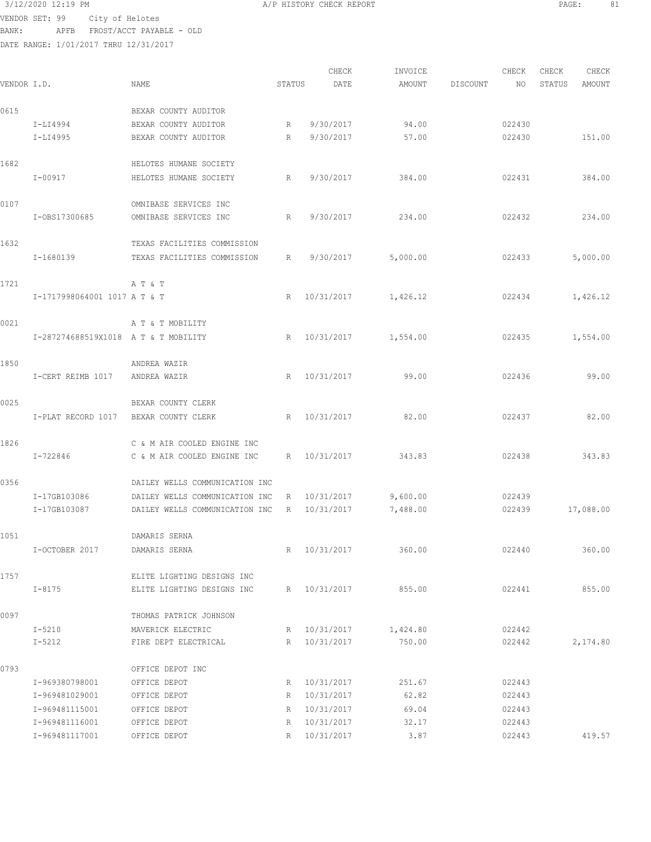VENDOR SET: 99 City of Helotes BANK: APFB FROST/ACCT PAYABLE - OLD

DATE RANGE: 1/01/2017 THRU 12/31/2017

CHECK INVOICE CHECK CHECK CHECK<br>DATE AMOUNT DISCOUNT NO STATUS AMOUNT .<br>In the other we have status and the second of the count of the STATUS AMOUNT DISCOUNT AMOUNT AMOUNT 0615 BEXAR COUNTY AUDITOR I-LI4994 BEXAR COUNTY AUDITOR R 9/30/2017 94.00 022430 BEXAR COUNTY AUDITOR  $R = 9/30/2017$  57.00 022430 151.00 1682 HELOTES HUMANE SOCIETY I-00917 HELOTES HUMANE SOCIETY R 9/30/2017 384.00 022431 384.00 0107 OMNIBASE SERVICES INC I-OBS17300685 OMNIBASE SERVICES INC R 9/30/2017 234.00 022432 234.00 1632 TEXAS FACILITIES COMMISSION I-1680139 TEXAS FACILITIES COMMISSION R 9/30/2017 5,000.00 022433 5,000.00 1721 A T & T I-1717998064001 1017 A T & T R 10/31/2017 1,426.12 022434 1,426.12 0021 A T & T MOBILITY I-287274688519X1018 A T & T MOBILITY R 10/31/2017 1,554.00 022435 1,554.00 1850 ANDREA WAZIR I-CERT REIMB 1017 ANDREA WAZIR R 10/31/2017 99.00 022436 99.00 0025 BEXAR COUNTY CLERK I-PLAT RECORD 1017 BEXAR COUNTY CLERK R 10/31/2017 82.00 022437 82.00 1826 C & M AIR COOLED ENGINE INC I-722846 C & M AIR COOLED ENGINE INC R 10/31/2017 343.83 022438 343.83 0356 DAILEY WELLS COMMUNICATION INC I-17GB103086 DAILEY WELLS COMMUNICATION INC R 10/31/2017 9,600.00 022439<br>I-17GB103087 DAILEY WELLS COMMUNICATION INC R 10/31/2017 7,488.00 022.439 DAILEY WELLS COMMUNICATION INC R 10/31/2017 7,488.00 022439 17,088.00 1051 DAMARIS SERNA I-OCTOBER 2017 DAMARIS SERNA R 10/31/2017 360.00 022440 360.00 1757 ELITE LIGHTING DESIGNS INC I-8175 ELITE LIGHTING DESIGNS INC R 10/31/2017 855.00 022441 855.00 0097 THOMAS PATRICK JOHNSON I-5210 MAVERICK ELECTRIC R 10/31/2017 1,424.80 022442 I-5212 FIRE DEPT ELECTRICAL R 10/31/2017 750.00 022442 2,174.80 0793 OFFICE DEPOT INC I-969380798001 OFFICE DEPOT R 10/31/2017 251.67 022443 I-969481029001 OFFICE DEPOT R 10/31/2017 62.82 022443 I-969481115001 OFFICE DEPOT R 10/31/2017 69.04 022443 I-969481116001 OFFICE DEPOT R 10/31/2017 32.17 022443 I-969481117001 OFFICE DEPOT R 10/31/2017 3.87 022443 419.57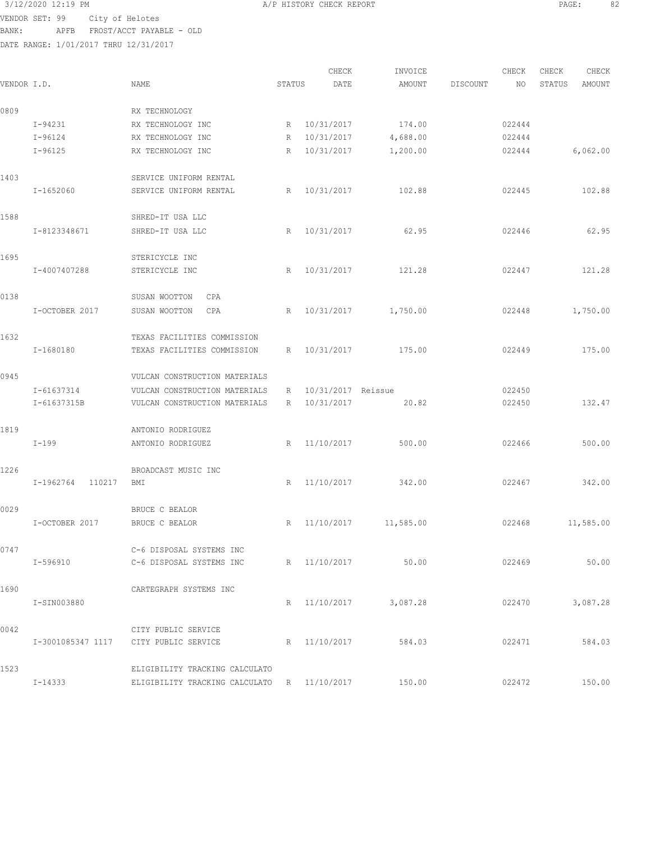3/12/2020 12:19 PM A/P HISTORY CHECK REPORT PAGE: 82 VENDOR SET: 99 City of Helotes BANK: APFB FROST/ACCT PAYABLE - OLD

| VENDOR I.D. |                      | <b>NAME</b>                                 | STATUS                             | CHECK<br>DATE            | INVOICE<br>AMOUNT  | DISCOUNT | CHECK<br>NO      | CHECK<br>STATUS | CHECK<br>AMOUNT |
|-------------|----------------------|---------------------------------------------|------------------------------------|--------------------------|--------------------|----------|------------------|-----------------|-----------------|
|             |                      |                                             |                                    |                          |                    |          |                  |                 |                 |
| 0809        |                      | RX TECHNOLOGY                               |                                    |                          |                    |          |                  |                 |                 |
|             | I-94231<br>$I-96124$ | RX TECHNOLOGY INC<br>RX TECHNOLOGY INC      | $R_{\parallel}$<br>$R_{\parallel}$ | 10/31/2017<br>10/31/2017 | 174.00<br>4,688.00 |          | 022444<br>022444 |                 |                 |
|             | I-96125              | RX TECHNOLOGY INC                           | R                                  | 10/31/2017               | 1,200.00           |          | 022444           |                 | 6,062.00        |
| 1403        |                      | SERVICE UNIFORM RENTAL                      |                                    |                          |                    |          |                  |                 |                 |
|             | I-1652060            | SERVICE UNIFORM RENTAL                      | R                                  | 10/31/2017               | 102.88             |          | 022445           |                 | 102.88          |
| 1588        |                      | SHRED-IT USA LLC                            |                                    |                          |                    |          |                  |                 |                 |
|             | I-8123348671         | SHRED-IT USA LLC                            | R                                  | 10/31/2017               | 62.95              |          | 022446           |                 | 62.95           |
| 1695        |                      | STERICYCLE INC                              |                                    |                          |                    |          |                  |                 |                 |
|             | I-4007407288         | STERICYCLE INC                              | R                                  | 10/31/2017               | 121.28             |          | 022447           |                 | 121.28          |
| 0138        |                      | SUSAN WOOTTON<br>CPA                        |                                    |                          |                    |          |                  |                 |                 |
|             | I-OCTOBER 2017       | SUSAN WOOTTON<br>CPA                        | R                                  | 10/31/2017               | 1,750.00           |          | 022448           |                 | 1,750.00        |
| 1632        |                      | TEXAS FACILITIES COMMISSION                 |                                    |                          |                    |          |                  |                 |                 |
|             | I-1680180            | TEXAS FACILITIES COMMISSION                 | $R_{\parallel}$                    | 10/31/2017               | 175.00             |          | 022449           |                 | 175.00          |
| 0945        |                      | VULCAN CONSTRUCTION MATERIALS               |                                    |                          |                    |          |                  |                 |                 |
|             | I-61637314           | VULCAN CONSTRUCTION MATERIALS               | R                                  | 10/31/2017 Reissue       |                    |          | 022450           |                 |                 |
|             | I-61637315B          | VULCAN CONSTRUCTION MATERIALS               | R                                  | 10/31/2017               | 20.82              |          | 022450           |                 | 132.47          |
| 1819        |                      | ANTONIO RODRIGUEZ                           |                                    |                          |                    |          |                  |                 |                 |
|             | $I-199$              | ANTONIO RODRIGUEZ                           | $R_{\parallel}$                    | 11/10/2017               | 500.00             |          | 022466           |                 | 500.00          |
| 1226        |                      | BROADCAST MUSIC INC                         |                                    |                          |                    |          |                  |                 |                 |
|             | I-1962764<br>110217  | BMI                                         | R                                  | 11/10/2017               | 342.00             |          | 022467           |                 | 342.00          |
| 0029        |                      | <b>BRUCE C BEALOR</b>                       |                                    |                          |                    |          |                  |                 |                 |
|             | I-OCTOBER 2017       | BRUCE C BEALOR                              |                                    | R 11/10/2017             | 11,585.00          |          | 022468           |                 | 11,585.00       |
| 0747        |                      | C-6 DISPOSAL SYSTEMS INC                    |                                    |                          |                    |          |                  |                 |                 |
|             | I-596910             | C-6 DISPOSAL SYSTEMS INC                    |                                    | R 11/10/2017             | 50.00              |          | 022469           |                 | 50.00           |
| 1690        |                      | CARTEGRAPH SYSTEMS INC                      |                                    |                          |                    |          |                  |                 |                 |
|             | I-SIN003880          |                                             |                                    | R 11/10/2017             | 3,087.28           |          | 022470           |                 | 3,087.28        |
| 0042        |                      | CITY PUBLIC SERVICE                         |                                    |                          |                    |          |                  |                 |                 |
|             |                      | I-3001085347 1117 CITY PUBLIC SERVICE       |                                    | R 11/10/2017             | 584.03             |          | 022471           |                 | 584.03          |
| 1523        |                      | ELIGIBILITY TRACKING CALCULATO              |                                    |                          |                    |          |                  |                 |                 |
|             | I-14333              | ELIGIBILITY TRACKING CALCULATO R 11/10/2017 |                                    |                          | 150.00             |          | 022472           |                 | 150.00          |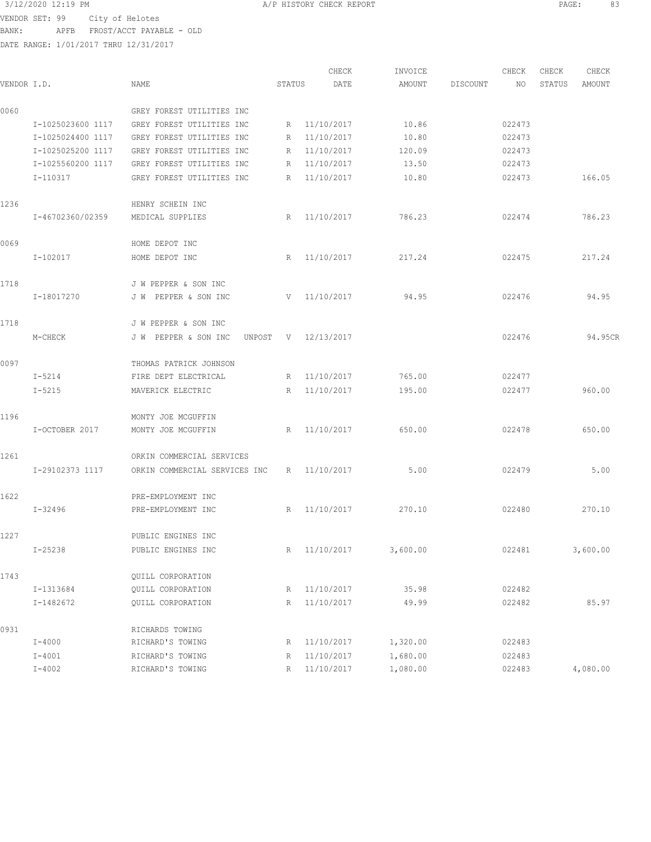3/12/2020 12:19 PM A/P HISTORY CHECK REPORT PAGE: 83 VENDOR SET: 99 City of Helotes BANK: APFB FROST/ACCT PAYABLE - OLD

|             |                   |                                |        | CHECK        | INVOICE  |          | CHECK  | CHECK  | CHECK    |
|-------------|-------------------|--------------------------------|--------|--------------|----------|----------|--------|--------|----------|
| VENDOR I.D. |                   | NAME                           | STATUS | DATE         | AMOUNT   | DISCOUNT | NO.    | STATUS | AMOUNT   |
| 0060        |                   | GREY FOREST UTILITIES INC      |        |              |          |          |        |        |          |
|             | I-1025023600 1117 | GREY FOREST UTILITIES INC      | R      | 11/10/2017   | 10.86    |          | 022473 |        |          |
|             | I-1025024400 1117 | GREY FOREST UTILITIES INC      | R      | 11/10/2017   | 10.80    |          | 022473 |        |          |
|             | I-1025025200 1117 | GREY FOREST UTILITIES INC      | R      | 11/10/2017   | 120.09   |          | 022473 |        |          |
|             | I-1025560200 1117 | GREY FOREST UTILITIES INC      | R      | 11/10/2017   | 13.50    |          | 022473 |        |          |
|             | I-110317          | GREY FOREST UTILITIES INC      | R      | 11/10/2017   | 10.80    |          | 022473 |        | 166.05   |
| 1236        |                   | HENRY SCHEIN INC               |        |              |          |          |        |        |          |
|             | I-46702360/02359  | MEDICAL SUPPLIES               | R      | 11/10/2017   | 786.23   |          | 022474 |        | 786.23   |
| 0069        |                   | HOME DEPOT INC                 |        |              |          |          |        |        |          |
|             | I-102017          | HOME DEPOT INC                 | R      | 11/10/2017   | 217.24   |          | 022475 |        | 217.24   |
| 1718        |                   | J W PEPPER & SON INC           |        |              |          |          |        |        |          |
|             | I-18017270        | J W PEPPER & SON INC           | V      | 11/10/2017   | 94.95    |          | 022476 |        | 94.95    |
| 1718        |                   | J W PEPPER & SON INC           |        |              |          |          |        |        |          |
|             | M-CHECK           | J W PEPPER & SON INC<br>UNPOST | V      | 12/13/2017   |          |          | 022476 |        | 94.95CR  |
| 0097        |                   | THOMAS PATRICK JOHNSON         |        |              |          |          |        |        |          |
|             | I-5214            | FIRE DEPT ELECTRICAL           | R      | 11/10/2017   | 765.00   |          | 022477 |        |          |
|             | $I - 5215$        | MAVERICK ELECTRIC              | R      | 11/10/2017   | 195.00   |          | 022477 |        | 960.00   |
| 1196        |                   | MONTY JOE MCGUFFIN             |        |              |          |          |        |        |          |
|             | I-OCTOBER 2017    | MONTY JOE MCGUFFIN             | R      | 11/10/2017   | 650.00   |          | 022478 |        | 650.00   |
| 1261        |                   | ORKIN COMMERCIAL SERVICES      |        |              |          |          |        |        |          |
|             | I-29102373 1117   | ORKIN COMMERCIAL SERVICES INC  | R      | 11/10/2017   | 5.00     |          | 022479 |        | 5.00     |
| 1622        |                   | PRE-EMPLOYMENT INC             |        |              |          |          |        |        |          |
|             | I-32496           | PRE-EMPLOYMENT INC             | R      | 11/10/2017   | 270.10   |          | 022480 |        | 270.10   |
| 1227        |                   | PUBLIC ENGINES INC             |        |              |          |          |        |        |          |
|             | $I - 25238$       | PUBLIC ENGINES INC             |        | R 11/10/2017 | 3,600.00 |          | 022481 |        | 3,600.00 |
| 1743        |                   | QUILL CORPORATION              |        |              |          |          |        |        |          |
|             | I-1313684         | QUILL CORPORATION              | R      | 11/10/2017   | 35.98    |          | 022482 |        |          |
|             | I-1482672         | QUILL CORPORATION              | R      | 11/10/2017   | 49.99    |          | 022482 |        | 85.97    |
| 0931        |                   | RICHARDS TOWING                |        |              |          |          |        |        |          |
|             | $I - 4000$        | RICHARD'S TOWING               | R      | 11/10/2017   | 1,320.00 |          | 022483 |        |          |
|             | $I - 4001$        | RICHARD'S TOWING               | R      | 11/10/2017   | 1,680.00 |          | 022483 |        |          |
|             | $I - 4002$        | RICHARD'S TOWING               | R      | 11/10/2017   | 1,080.00 |          | 022483 |        | 4,080.00 |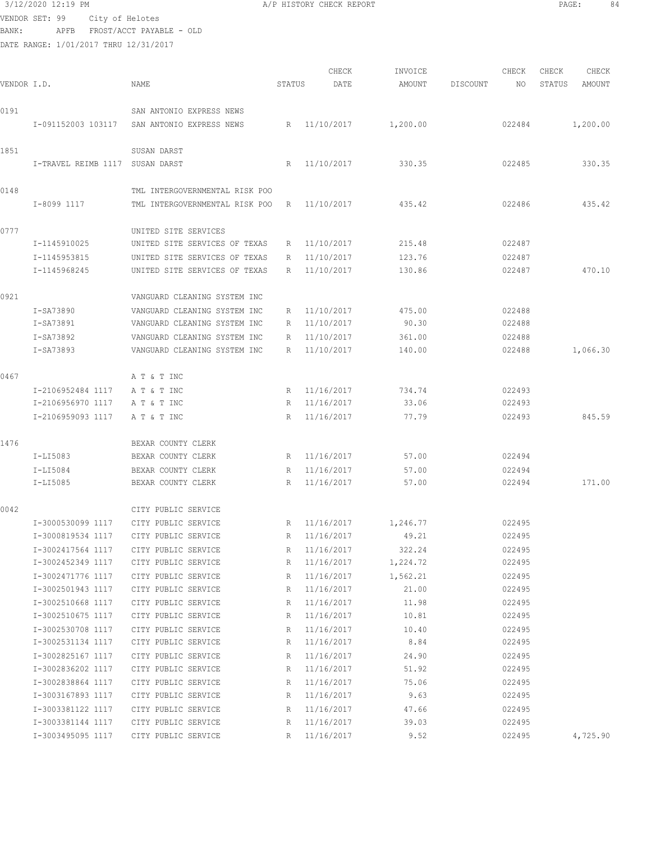3/12/2020 12:19 PM A/P HISTORY CHECK REPORT PAGE: 84 VENDOR SET: 99 City of Helotes BANK: APFB FROST/ACCT PAYABLE - OLD

|             |                     |                                |        | CHECK      | INVOICE  |                 | CHECK  | CHECK  | CHECK    |
|-------------|---------------------|--------------------------------|--------|------------|----------|-----------------|--------|--------|----------|
| VENDOR I.D. |                     | <b>NAME</b>                    | STATUS | DATE       | AMOUNT   | <b>DISCOUNT</b> | NO     | STATUS | AMOUNT   |
| 0191        |                     | SAN ANTONIO EXPRESS NEWS       |        |            |          |                 |        |        |          |
|             | I-091152003 103117  | SAN ANTONIO EXPRESS NEWS       | R      | 11/10/2017 | 1,200.00 |                 | 022484 |        | 1,200.00 |
|             |                     |                                |        |            |          |                 |        |        |          |
| 1851        |                     | SUSAN DARST                    |        |            |          |                 |        |        |          |
|             | I-TRAVEL REIMB 1117 | SUSAN DARST                    | R      | 11/10/2017 | 330.35   |                 | 022485 |        | 330.35   |
| 0148        |                     | TML INTERGOVERNMENTAL RISK POO |        |            |          |                 |        |        |          |
|             | I-8099 1117         | TML INTERGOVERNMENTAL RISK POO | R      | 11/10/2017 | 435.42   |                 | 022486 |        | 435.42   |
|             |                     |                                |        |            |          |                 |        |        |          |
| 0777        |                     | UNITED SITE SERVICES           |        |            |          |                 |        |        |          |
|             | I-1145910025        | UNITED SITE SERVICES OF TEXAS  | R      | 11/10/2017 | 215.48   |                 | 022487 |        |          |
|             | I-1145953815        | UNITED SITE SERVICES OF TEXAS  | R      | 11/10/2017 | 123.76   |                 | 022487 |        |          |
|             | I-1145968245        | UNITED SITE SERVICES OF TEXAS  | R      | 11/10/2017 | 130.86   |                 | 022487 |        | 470.10   |
| 0921        |                     | VANGUARD CLEANING SYSTEM INC   |        |            |          |                 |        |        |          |
|             | I-SA73890           | VANGUARD CLEANING SYSTEM INC   | R      | 11/10/2017 | 475.00   |                 | 022488 |        |          |
|             | I-SA73891           | VANGUARD CLEANING SYSTEM INC   | R      | 11/10/2017 | 90.30    |                 | 022488 |        |          |
|             | I-SA73892           | VANGUARD CLEANING SYSTEM INC   | R      | 11/10/2017 | 361.00   |                 | 022488 |        |          |
|             | I-SA73893           | VANGUARD CLEANING SYSTEM INC   | R      | 11/10/2017 | 140.00   |                 | 022488 |        | 1,066.30 |
| 0467        |                     | A T & T INC                    |        |            |          |                 |        |        |          |
|             | I-2106952484 1117   | A T & T INC                    | R      | 11/16/2017 | 734.74   |                 | 022493 |        |          |
|             | I-2106956970 1117   | A T & T INC                    | R      | 11/16/2017 | 33.06    |                 | 022493 |        |          |
|             | I-2106959093 1117   | A T & T INC                    | R      | 11/16/2017 | 77.79    |                 | 022493 |        | 845.59   |
|             |                     |                                |        |            |          |                 |        |        |          |
| 1476        |                     | BEXAR COUNTY CLERK             |        |            |          |                 |        |        |          |
|             | I-LI5083            | BEXAR COUNTY CLERK             | R      | 11/16/2017 | 57.00    |                 | 022494 |        |          |
|             | I-LI5084            | BEXAR COUNTY CLERK             | R      | 11/16/2017 | 57.00    |                 | 022494 |        |          |
|             | I-LI5085            | BEXAR COUNTY CLERK             | R      | 11/16/2017 | 57.00    |                 | 022494 |        | 171.00   |
| 0042        |                     | CITY PUBLIC SERVICE            |        |            |          |                 |        |        |          |
|             | I-3000530099 1117   | CITY PUBLIC SERVICE            | R      | 11/16/2017 | 1,246.77 |                 | 022495 |        |          |
|             | I-3000819534 1117   | CITY PUBLIC SERVICE            | R      | 11/16/2017 | 49.21    |                 | 022495 |        |          |
|             | I-3002417564 1117   | CITY PUBLIC SERVICE            | R      | 11/16/2017 | 322.24   |                 | 022495 |        |          |
|             | I-3002452349 1117   | CITY PUBLIC SERVICE            | R      | 11/16/2017 | 1,224.72 |                 | 022495 |        |          |
|             | I-3002471776 1117   | CITY PUBLIC SERVICE            | R      | 11/16/2017 | 1,562.21 |                 | 022495 |        |          |
|             | I-3002501943 1117   | CITY PUBLIC SERVICE            | R      | 11/16/2017 | 21.00    |                 | 022495 |        |          |
|             | I-3002510668 1117   | CITY PUBLIC SERVICE            | R      | 11/16/2017 | 11.98    |                 | 022495 |        |          |
|             | I-3002510675 1117   | CITY PUBLIC SERVICE            | R      | 11/16/2017 | 10.81    |                 | 022495 |        |          |
|             | I-3002530708 1117   | CITY PUBLIC SERVICE            | R      | 11/16/2017 | 10.40    |                 | 022495 |        |          |
|             | I-3002531134 1117   | CITY PUBLIC SERVICE            | R      | 11/16/2017 | 8.84     |                 | 022495 |        |          |
|             | I-3002825167 1117   | CITY PUBLIC SERVICE            | R      | 11/16/2017 | 24.90    |                 | 022495 |        |          |
|             | I-3002836202 1117   | CITY PUBLIC SERVICE            | R      | 11/16/2017 | 51.92    |                 | 022495 |        |          |
|             | I-3002838864 1117   | CITY PUBLIC SERVICE            | R      | 11/16/2017 | 75.06    |                 | 022495 |        |          |
|             | I-3003167893 1117   | CITY PUBLIC SERVICE            | R      | 11/16/2017 | 9.63     |                 | 022495 |        |          |
|             | I-3003381122 1117   | CITY PUBLIC SERVICE            | R      | 11/16/2017 | 47.66    |                 | 022495 |        |          |
|             | I-3003381144 1117   | CITY PUBLIC SERVICE            | R      | 11/16/2017 | 39.03    |                 | 022495 |        |          |
|             | I-3003495095 1117   | CITY PUBLIC SERVICE            | R      | 11/16/2017 | 9.52     |                 | 022495 |        | 4,725.90 |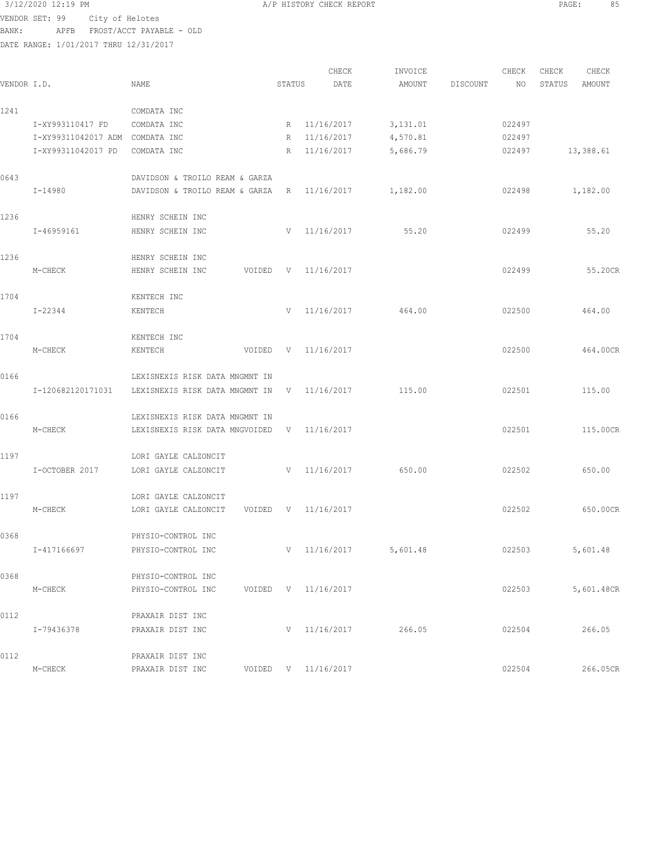3/12/2020 12:19 PM A/P HISTORY CHECK REPORT PAGE: 85 VENDOR SET: 99 City of Helotes BANK: APFB FROST/ACCT PAYABLE - OLD

|             |                     |                                |        | CHECK               | INVOICE  |          | CHECK  | CHECK  | CHECK      |
|-------------|---------------------|--------------------------------|--------|---------------------|----------|----------|--------|--------|------------|
| VENDOR I.D. |                     | NAME                           | STATUS | DATE                | AMOUNT   | DISCOUNT | NO     | STATUS | AMOUNT     |
| 1241        |                     | COMDATA INC                    |        |                     |          |          |        |        |            |
|             | I-XY993110417 FD    | COMDATA INC                    | R      | 11/16/2017          | 3,131.01 |          | 022497 |        |            |
|             | I-XY99311042017 ADM | COMDATA INC                    | R      | 11/16/2017          | 4,570.81 |          | 022497 |        |            |
|             | I-XY99311042017 PD  | COMDATA INC                    | R      | 11/16/2017          | 5,686.79 |          | 022497 |        | 13,388.61  |
| 0643        |                     | DAVIDSON & TROILO REAM & GARZA |        |                     |          |          |        |        |            |
|             | I-14980             | DAVIDSON & TROILO REAM & GARZA | R      | 11/16/2017          | 1,182.00 |          | 022498 |        | 1,182.00   |
| 1236        |                     | HENRY SCHEIN INC               |        |                     |          |          |        |        |            |
|             | I-46959161          | HENRY SCHEIN INC               | V      | 11/16/2017          | 55.20    |          | 022499 |        | 55.20      |
| 1236        |                     | HENRY SCHEIN INC               |        |                     |          |          |        |        |            |
|             | M-CHECK             | HENRY SCHEIN INC<br>VOIDED     | V      | 11/16/2017          |          |          | 022499 |        | 55.20CR    |
| 1704        |                     | KENTECH INC                    |        |                     |          |          |        |        |            |
|             | $I - 22344$         | KENTECH                        | V      | 11/16/2017          | 464.00   |          | 022500 |        | 464.00     |
| 1704        |                     | KENTECH INC                    |        |                     |          |          |        |        |            |
|             | M-CHECK             | KENTECH<br>VOIDED              | V      | 11/16/2017          |          |          | 022500 |        | 464.00CR   |
| 0166        |                     | LEXISNEXIS RISK DATA MNGMNT IN |        |                     |          |          |        |        |            |
|             | I-120682120171031   | LEXISNEXIS RISK DATA MNGMNT IN | V      | 11/16/2017          | 115.00   |          | 022501 |        | 115.00     |
| 0166        |                     | LEXISNEXIS RISK DATA MNGMNT IN |        |                     |          |          |        |        |            |
|             | M-CHECK             | LEXISNEXIS RISK DATA MNGVOIDED | V      | 11/16/2017          |          |          | 022501 |        | 115.00CR   |
| 1197        |                     | LORI GAYLE CALZONCIT           |        |                     |          |          |        |        |            |
|             | I-OCTOBER 2017      | LORI GAYLE CALZONCIT           | V      | 11/16/2017          | 650.00   |          | 022502 |        | 650.00     |
| 1197        |                     | LORI GAYLE CALZONCIT           |        |                     |          |          |        |        |            |
|             | M-CHECK             | LORI GAYLE CALZONCIT<br>VOIDED | V      | 11/16/2017          |          |          | 022502 |        | 650.00CR   |
| 0368        |                     | PHYSIO-CONTROL INC             |        |                     |          |          |        |        |            |
|             | I-417166697         | PHYSIO-CONTROL INC             |        | V 11/16/2017        | 5,601.48 |          | 022503 |        | 5,601.48   |
| 0368        |                     | PHYSIO-CONTROL INC             |        |                     |          |          |        |        |            |
|             | M-CHECK             | PHYSIO-CONTROL INC             |        | VOIDED V 11/16/2017 |          |          | 022503 |        | 5,601.48CR |
| 0112        |                     | PRAXAIR DIST INC               |        |                     |          |          |        |        |            |
|             | I-79436378          | PRAXAIR DIST INC               |        | V 11/16/2017        | 266.05   |          | 022504 |        | 266.05     |
| 0112        |                     | PRAXAIR DIST INC               |        |                     |          |          |        |        |            |
|             | M-CHECK             | PRAXAIR DIST INC               |        | VOIDED V 11/16/2017 |          |          | 022504 |        | 266.05CR   |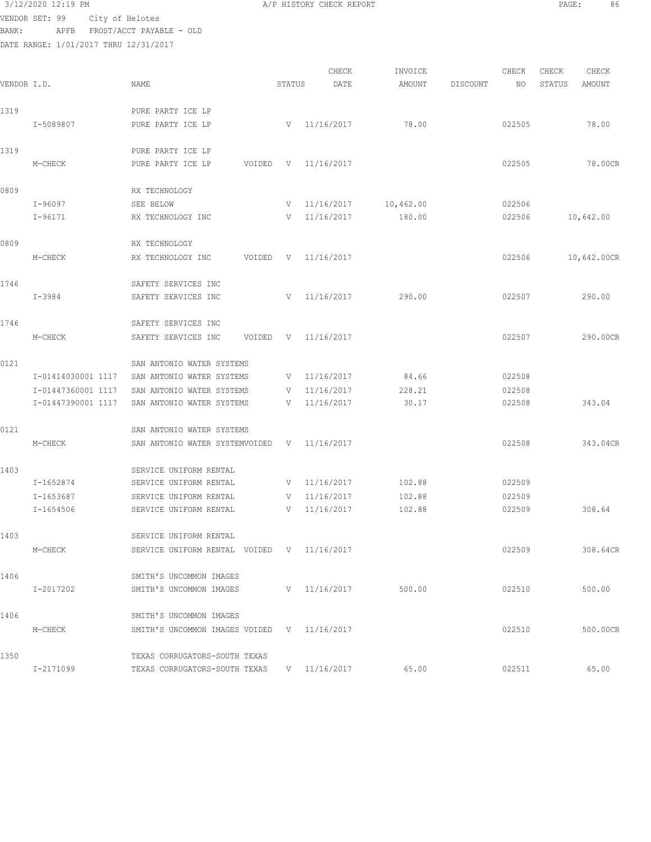|             | VENDOR SET: 99                        | City of Helotes                             |        |                  |           |          |        |        |             |
|-------------|---------------------------------------|---------------------------------------------|--------|------------------|-----------|----------|--------|--------|-------------|
| BANK:       | APFB                                  | FROST/ACCT PAYABLE - OLD                    |        |                  |           |          |        |        |             |
|             | DATE RANGE: 1/01/2017 THRU 12/31/2017 |                                             |        |                  |           |          |        |        |             |
|             |                                       |                                             |        |                  |           |          |        |        |             |
|             |                                       |                                             |        | CHECK            | INVOICE   |          | CHECK  | CHECK  | CHECK       |
| VENDOR I.D. |                                       | <b>NAME</b>                                 | STATUS | DATE             | AMOUNT    | DISCOUNT | NO     | STATUS | AMOUNT      |
| 1319        |                                       | PURE PARTY ICE LP                           |        |                  |           |          |        |        |             |
|             | I-5089807                             | PURE PARTY ICE LP                           |        | $V = 11/16/2017$ | 78.00     |          | 022505 |        | 78.00       |
|             |                                       |                                             |        |                  |           |          |        |        |             |
| 1319        |                                       | PURE PARTY ICE LP                           |        |                  |           |          |        |        |             |
|             | M-CHECK                               | PURE PARTY ICE LP<br>VOIDED                 | V      | 11/16/2017       |           |          | 022505 |        | 78.00CR     |
|             |                                       |                                             |        |                  |           |          |        |        |             |
| 0809        |                                       | RX TECHNOLOGY                               |        |                  |           |          |        |        |             |
|             | I-96097                               | SEE BELOW                                   | V      | 11/16/2017       | 10,462.00 |          | 022506 |        |             |
|             | $I-96171$                             | RX TECHNOLOGY INC                           |        | $V = 11/16/2017$ | 180.00    |          | 022506 |        | 10,642.00   |
| 0809        |                                       | RX TECHNOLOGY                               |        |                  |           |          |        |        |             |
|             | M-CHECK                               | RX TECHNOLOGY INC<br>VOIDED                 | V      | 11/16/2017       |           |          | 022506 |        | 10,642.00CR |
|             |                                       |                                             |        |                  |           |          |        |        |             |
| 1746        |                                       | SAFETY SERVICES INC                         |        |                  |           |          |        |        |             |
|             | I-3984                                | SAFETY SERVICES INC                         | V      | 11/16/2017       | 290.00    |          | 022507 |        | 290.00      |
|             |                                       |                                             |        |                  |           |          |        |        |             |
| 1746        |                                       | SAFETY SERVICES INC                         |        |                  |           |          |        |        |             |
|             | M-CHECK                               | SAFETY SERVICES INC<br>VOIDED               | V      | 11/16/2017       |           |          | 022507 |        | 290.00CR    |
| 0121        |                                       | SAN ANTONIO WATER SYSTEMS                   |        |                  |           |          |        |        |             |
|             | I-01414030001 1117                    | SAN ANTONIO WATER SYSTEMS                   | V      | 11/16/2017       | 84.66     |          | 022508 |        |             |
|             | I-01447360001 1117                    | SAN ANTONIO WATER SYSTEMS                   |        | $V = 11/16/2017$ | 228.21    |          | 022508 |        |             |
|             | I-01447390001 1117                    | SAN ANTONIO WATER SYSTEMS                   | V      | 11/16/2017       | 30.17     |          | 022508 |        | 343.04      |
|             |                                       |                                             |        |                  |           |          |        |        |             |
| 0121        |                                       | SAN ANTONIO WATER SYSTEMS                   |        |                  |           |          |        |        |             |
|             | M-CHECK                               | SAN ANTONIO WATER SYSTEMVOIDED              | V      | 11/16/2017       |           |          | 022508 |        | 343.04CR    |
|             |                                       |                                             |        |                  |           |          |        |        |             |
| 1403        |                                       | SERVICE UNIFORM RENTAL                      |        |                  |           |          |        |        |             |
|             | I-1652874                             | SERVICE UNIFORM RENTAL                      |        | $V = 11/16/2017$ | 102.88    |          | 022509 |        |             |
|             | I-1653687                             | SERVICE UNIFORM RENTAL                      | V      | 11/16/2017       | 102.88    |          | 022509 |        |             |
|             | $I - 1654506$                         | SERVICE UNIFORM RENTAL                      | V –    | 11/16/2017       | 102.88    |          | 022509 |        | 308.64      |
| 1403        |                                       | SERVICE UNIFORM RENTAL                      |        |                  |           |          |        |        |             |
|             | M-CHECK                               | SERVICE UNIFORM RENTAL VOIDED V 11/16/2017  |        |                  |           |          | 022509 |        | 308.64CR    |
|             |                                       |                                             |        |                  |           |          |        |        |             |
| 1406        |                                       | SMITH'S UNCOMMON IMAGES                     |        |                  |           |          |        |        |             |
|             | I-2017202                             | SMITH'S UNCOMMON IMAGES                     |        | V 11/16/2017     | 500.00    |          | 022510 |        | 500.00      |
|             |                                       |                                             |        |                  |           |          |        |        |             |
| 1406        |                                       | SMITH'S UNCOMMON IMAGES                     |        |                  |           |          |        |        |             |
|             | M-CHECK                               | SMITH'S UNCOMMON IMAGES VOIDED V 11/16/2017 |        |                  |           |          | 022510 |        | 500.00CR    |
| 1350        |                                       | TEXAS CORRUGATORS-SOUTH TEXAS               |        |                  |           |          |        |        |             |
|             | I-2171099                             | TEXAS CORRUGATORS-SOUTH TEXAS               |        | V 11/16/2017     | 65.00     |          | 022511 |        | 65.00       |
|             |                                       |                                             |        |                  |           |          |        |        |             |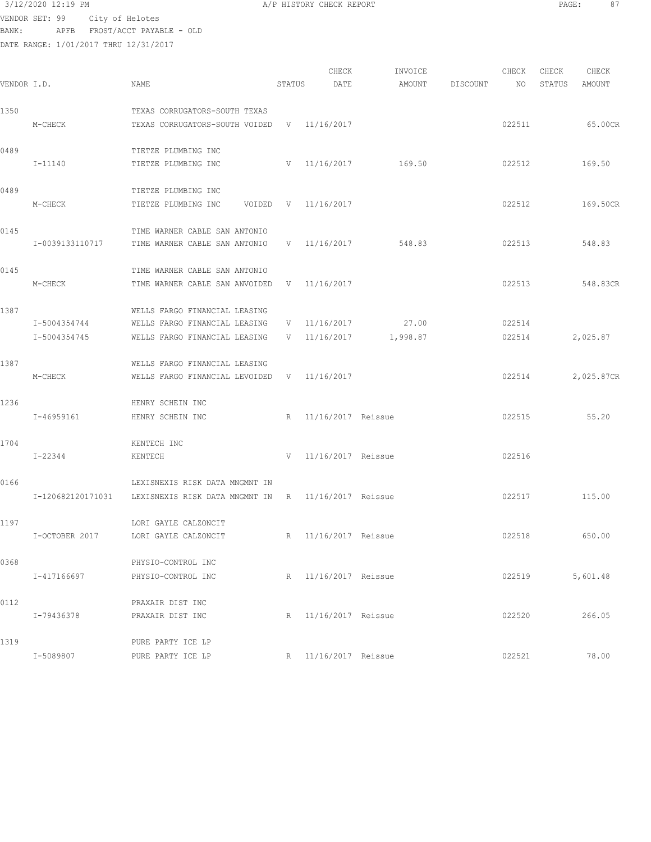VENDOR SET: 99 City of Helotes BANK: APFB FROST/ACCT PAYABLE - OLD

DATE RANGE: 1/01/2017 THRU 12/31/2017

CHECK INVOICE CHECK CHECK CHECK<br>DATE AMOUNT DISCOUNT NO STATUS AMOUNT .<br>In the other weapon of the Search Status Date and a the Discount and Status amount Amount Amount and the Statu 1350 TEXAS CORRUGATORS-SOUTH TEXAS M-CHECK TEXAS CORRUGATORS-SOUTH VOIDED V 11/16/2017 022511 65.00CR 0489 TIETZE PLUMBING INC<br>I-11140 TIETZE PLUMBING INC TIETZE PLUMBING INC <br>
V 11/16/2017 169.50 022512 169.50 0489 TIETZE PLUMBING INC M-CHECK TIETZE PLUMBING INC VOIDED V 11/16/2017 022512 169.50CR 0145 TIME WARNER CABLE SAN ANTONIO I-0039133110717 TIME WARNER CABLE SAN ANTONIO V 11/16/2017 548.83 022513 548.83 0145 TIME WARNER CABLE SAN ANTONIO M-CHECK TIME WARNER CABLE SAN ANVOIDED V 11/16/2017 022513 548.83CR 1387 WELLS FARGO FINANCIAL LEASING I-5004354744 WELLS FARGO FINANCIAL LEASING V 11/16/2017 27.00 022514 I-5004354745 WELLS FARGO FINANCIAL LEASING V 11/16/2017 1,998.87 022514 2,025.87 1387 WELLS FARGO FINANCIAL LEASING M-CHECK WELLS FARGO FINANCIAL LEVOIDED V 11/16/2017 022514 2,025.87CR 1236 HENRY SCHEIN INC I-46959161 HENRY SCHEIN INC R 11/16/2017 Reissue 022515 55.20 1704 KENTECH INC I-22344 KENTECH V 11/16/2017 Reissue 022516 0166 LEXISNEXIS RISK DATA MNGMNT IN I-120682120171031 LEXISNEXIS RISK DATA MNGMNT IN R 11/16/2017 Reissue 022517 115.00 1197 LORI GAYLE CALZONCIT I-OCTOBER 2017 LORI GAYLE CALZONCIT R 11/16/2017 Reissue 022518 650.00 0368 PHYSIO-CONTROL INC I-417166697 PHYSIO-CONTROL INC R 11/16/2017 Reissue 022519 5,601.48 0112 PRAXAIR DIST INC I-79436378 PRAXAIR DIST INC R 11/16/2017 Reissue 022520 266.05 1319 PURE PARTY ICE LP I-5089807 PURE PARTY ICE LP R 11/16/2017 Reissue 022521 022521 78.00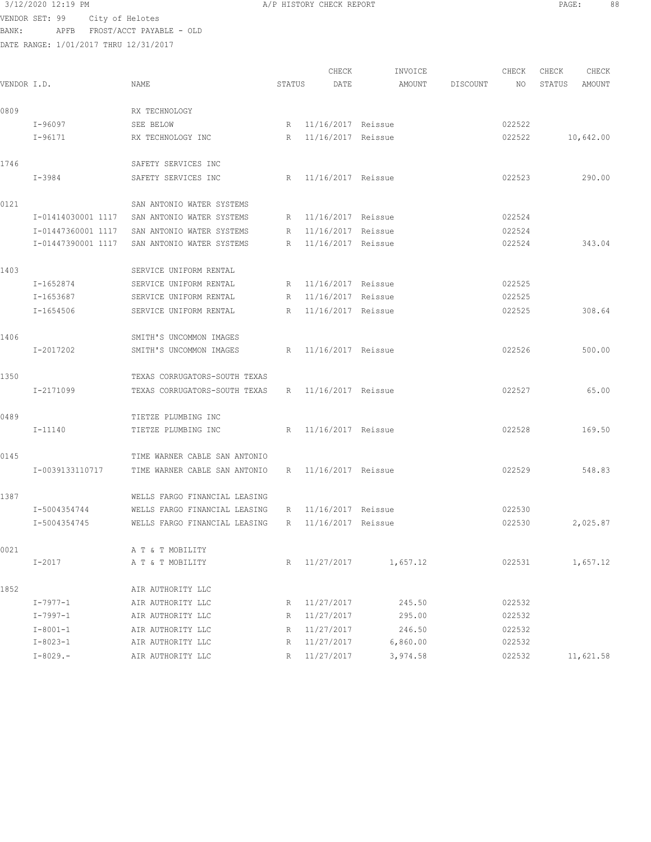VENDOR SET: 99 City of Helotes BANK: APFB FROST/ACCT PAYABLE - OLD DATE RANGE: 1/01/2017 THRU 12/31/2017

CHECK INVOICE CHECK CHECK CHECK<br>DATE AMOUNT DISCOUNT NO STATUS AMOUNT VENDOR I.D. NAME STATUS DATE AMOUNT DISCOUNT NO STATUS AMOUNT 0809 RX TECHNOLOGY I-96097 SEE BELOW R 11/16/2017 Reissue 022522 I-96171 RX TECHNOLOGY INC R 11/16/2017 Reissue 022522 10,642.00 1746 SAFETY SERVICES INC I-3984 SAFETY SERVICES INC R 11/16/2017 Reissue 022523 290.00 0121 SAN ANTONIO WATER SYSTEMS I-01414030001 1117 SAN ANTONIO WATER SYSTEMS R 11/16/2017 Reissue 022524 I-01447360001 1117 SAN ANTONIO WATER SYSTEMS R 11/16/2017 Reissue 022524 I-01447390001 1117 SAN ANTONIO WATER SYSTEMS R 11/16/2017 Reissue 022524 343.04 1403 SERVICE UNIFORM RENTAL I-1652874 SERVICE UNIFORM RENTAL R 11/16/2017 Reissue 022525 I-1653687 SERVICE UNIFORM RENTAL R 11/16/2017 Reissue 022525 I-1654506 SERVICE UNIFORM RENTAL R 11/16/2017 Reissue 022525 308.64 1406 SMITH'S UNCOMMON IMAGES I-2017202 SMITH'S UNCOMMON IMAGES R 11/16/2017 Reissue 022526 500.00 1350 TEXAS CORRUGATORS-SOUTH TEXAS I-2171099 TEXAS CORRUGATORS-SOUTH TEXAS R 11/16/2017 Reissue 022527 65.00 0489 TIETZE PLUMBING INC I-11140 TIETZE PLUMBING INC R 11/16/2017 Reissue 022528 169.50 0145 TIME WARNER CABLE SAN ANTONIO I-0039133110717 TIME WARNER CABLE SAN ANTONIO R 11/16/2017 Reissue 022529 548.83 1387 WELLS FARGO FINANCIAL LEASING I-5004354744 WELLS FARGO FINANCIAL LEASING R 11/16/2017 Reissue 022530 I-5004354745 WELLS FARGO FINANCIAL LEASING R 11/16/2017 Reissue 022530 2,025.87 0021 A T & T MOBILITY I-2017 A T & T MOBILITY R 11/27/2017 1,657.12 022531 1,657.12 1852 AIR AUTHORITY LLC I-7977-1 AIR AUTHORITY LLC R 11/27/2017 245.50 022532 I-7997-1 AIR AUTHORITY LLC R 11/27/2017 295.00 022532 I-8001-1 AIR AUTHORITY LLC R 11/27/2017 246.50 022532 I-8023-1 AIR AUTHORITY LLC R 11/27/2017 6,860.00 022532 I-8029.- AIR AUTHORITY LLC R 11/27/2017 3,974.58 022532 11,621.58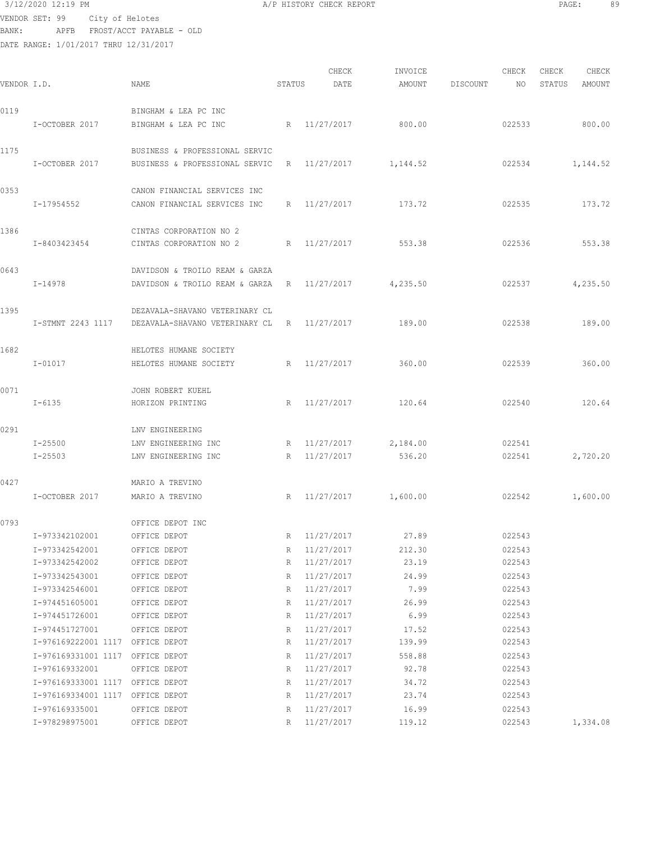3/12/2020 12:19 PM A/P HISTORY CHECK REPORT PAGE: 89 VENDOR SET: 99 City of Helotes BANK: APFB FROST/ACCT PAYABLE - OLD

| VENDOR I.D. |                                                                                        | NAME                                                             | STATUS      | CHECK<br>DATE                          | INVOICE<br>AMOUNT         | <b>DISCOUNT</b> | CHECK<br>NO                | CHECK<br>STATUS | CHECK<br>AMOUNT |
|-------------|----------------------------------------------------------------------------------------|------------------------------------------------------------------|-------------|----------------------------------------|---------------------------|-----------------|----------------------------|-----------------|-----------------|
| 0119        | I-OCTOBER 2017                                                                         | BINGHAM & LEA PC INC<br>BINGHAM & LEA PC INC                     | R           | 11/27/2017                             | 800.00                    |                 | 022533                     |                 | 800.00          |
| 1175        | I-OCTOBER 2017                                                                         | BUSINESS & PROFESSIONAL SERVIC<br>BUSINESS & PROFESSIONAL SERVIC | R           | 11/27/2017                             | 1,144.52                  |                 | 022534                     |                 | 1,144.52        |
| 0353        | I-17954552                                                                             | CANON FINANCIAL SERVICES INC<br>CANON FINANCIAL SERVICES INC     | R           | 11/27/2017                             | 173.72                    |                 | 022535                     |                 | 173.72          |
| 1386        | I-8403423454                                                                           | CINTAS CORPORATION NO 2<br>CINTAS CORPORATION NO 2               | R           | 11/27/2017                             | 553.38                    |                 | 022536                     |                 | 553.38          |
| 0643        | I-14978                                                                                | DAVIDSON & TROILO REAM & GARZA<br>DAVIDSON & TROILO REAM & GARZA | R           | 11/27/2017                             | 4,235.50                  |                 | 022537                     |                 | 4,235.50        |
| 1395        | I-STMNT 2243 1117                                                                      | DEZAVALA-SHAVANO VETERINARY CL<br>DEZAVALA-SHAVANO VETERINARY CL | R           | 11/27/2017                             | 189.00                    |                 | 022538                     |                 | 189.00          |
| 1682        | $I - 01017$                                                                            | HELOTES HUMANE SOCIETY<br>HELOTES HUMANE SOCIETY                 | R           | 11/27/2017                             | 360.00                    |                 | 022539                     |                 | 360.00          |
| 0071        | $I - 6135$                                                                             | JOHN ROBERT KUEHL<br>HORIZON PRINTING                            | R           | 11/27/2017                             | 120.64                    |                 | 022540                     |                 | 120.64          |
| 0291        |                                                                                        | LNV ENGINEERING                                                  |             |                                        |                           |                 |                            |                 |                 |
|             | $I - 25500$<br>$I - 25503$                                                             | LNV ENGINEERING INC<br>LNV ENGINEERING INC                       | R<br>R      | 11/27/2017<br>11/27/2017               | 2,184.00<br>536.20        |                 | 022541<br>022541           |                 | 2,720.20        |
| 0427        | I-OCTOBER 2017                                                                         | MARIO A TREVINO<br>MARIO A TREVINO                               | R           | 11/27/2017                             | 1,600.00                  |                 | 022542                     |                 | 1,600.00        |
| 0793        | I-973342102001                                                                         | OFFICE DEPOT INC<br>OFFICE DEPOT                                 | R           | 11/27/2017                             | 27.89                     |                 | 022543                     |                 |                 |
|             | I-973342542001<br>I-973342542002                                                       | OFFICE DEPOT<br>OFFICE DEPOT                                     | R<br>R      | 11/27/2017<br>11/27/2017               | 212.30<br>23.19           |                 | 022543<br>022543           |                 |                 |
|             | I-973342543001<br>I-973342546001<br>I-974451605001                                     | OFFICE DEPOT<br>OFFICE DEPOT<br>OFFICE DEPOT                     | R<br>R<br>R | 11/27/2017<br>11/27/2017<br>11/27/2017 | 24.99<br>7.99<br>26.99    |                 | 022543<br>022543<br>022543 |                 |                 |
|             | I-974451726001<br>I-974451727001                                                       | OFFICE DEPOT<br>OFFICE DEPOT                                     | R<br>R      | 11/27/2017<br>11/27/2017               | 6.99<br>17.52             |                 | 022543<br>022543           |                 |                 |
|             | I-976169222001 1117 OFFICE DEPOT<br>I-976169331001 1117 OFFICE DEPOT<br>I-976169332001 | OFFICE DEPOT                                                     | R<br>R<br>R | 11/27/2017<br>11/27/2017<br>11/27/2017 | 139.99<br>558.88<br>92.78 |                 | 022543<br>022543<br>022543 |                 |                 |
|             | I-976169333001 1117 OFFICE DEPOT<br>I-976169334001 1117 OFFICE DEPOT<br>I-976169335001 | OFFICE DEPOT                                                     | R<br>R      | 11/27/2017<br>11/27/2017<br>11/27/2017 | 34.72<br>23.74<br>16.99   |                 | 022543<br>022543<br>022543 |                 |                 |
|             | I-978298975001                                                                         | OFFICE DEPOT                                                     | R<br>R      | 11/27/2017                             | 119.12                    |                 | 022543                     |                 | 1,334.08        |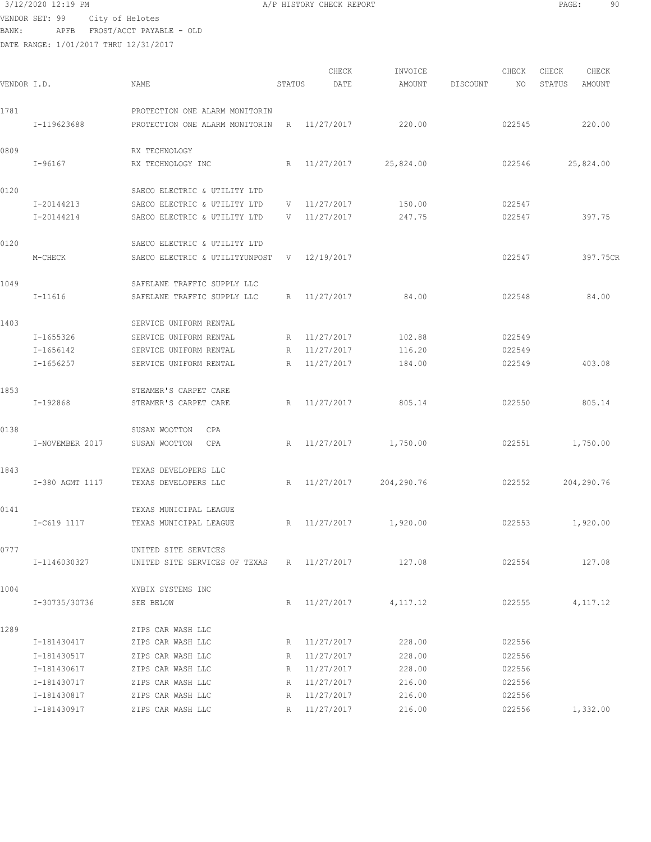3/12/2020 12:19 PM A/P HISTORY CHECK REPORT PAGE: 90 VENDOR SET: 99 City of Helotes BANK: APFB FROST/ACCT PAYABLE - OLD

| VENDOR I.D. |                 | NAME                                                       | STATUS          | CHECK<br>DATE | INVOICE<br>AMOUNT | DISCOUNT | CHECK<br>NO. | CHECK<br>STATUS | CHECK<br>AMOUNT |
|-------------|-----------------|------------------------------------------------------------|-----------------|---------------|-------------------|----------|--------------|-----------------|-----------------|
| 1781        |                 | PROTECTION ONE ALARM MONITORIN                             |                 |               |                   |          |              |                 |                 |
|             | I-119623688     | PROTECTION ONE ALARM MONITORIN                             |                 | R 11/27/2017  | 220.00            |          | 022545       |                 | 220.00          |
| 0809        | $I-96167$       | RX TECHNOLOGY<br>RX TECHNOLOGY INC                         | R               | 11/27/2017    | 25,824.00         |          | 022546       |                 | 25,824.00       |
| 0120        |                 | SAECO ELECTRIC & UTILITY LTD                               |                 |               |                   |          |              |                 |                 |
|             | I-20144213      | SAECO ELECTRIC & UTILITY LTD                               | V               | 11/27/2017    | 150.00            |          | 022547       |                 |                 |
|             | I-20144214      | SAECO ELECTRIC & UTILITY LTD                               | V               | 11/27/2017    | 247.75            |          | 022547       |                 | 397.75          |
| 0120        |                 | SAECO ELECTRIC & UTILITY LTD                               |                 |               |                   |          |              |                 |                 |
|             | M-CHECK         | SAECO ELECTRIC & UTILITYUNPOST                             |                 | V 12/19/2017  |                   |          | 022547       |                 | 397.75CR        |
| 1049        | $I-11616$       | SAFELANE TRAFFIC SUPPLY LLC<br>SAFELANE TRAFFIC SUPPLY LLC | R               | 11/27/2017    | 84.00             |          | 022548       |                 | 84.00           |
| 1403        |                 | SERVICE UNIFORM RENTAL                                     |                 |               |                   |          |              |                 |                 |
|             | I-1655326       | SERVICE UNIFORM RENTAL                                     | R               | 11/27/2017    | 102.88            |          | 022549       |                 |                 |
|             | $I - 1656142$   | SERVICE UNIFORM RENTAL                                     | R               | 11/27/2017    | 116.20            |          | 022549       |                 |                 |
|             | $I - 1656257$   | SERVICE UNIFORM RENTAL                                     | $R_{\parallel}$ | 11/27/2017    | 184.00            |          | 022549       |                 | 403.08          |
| 1853        |                 | STEAMER'S CARPET CARE                                      |                 |               |                   |          |              |                 |                 |
|             | I-192868        | STEAMER'S CARPET CARE                                      | R               | 11/27/2017    | 805.14            |          | 022550       |                 | 805.14          |
| 0138        |                 | SUSAN WOOTTON<br>CPA                                       |                 |               |                   |          |              |                 |                 |
|             | I-NOVEMBER 2017 | CPA<br>SUSAN WOOTTON                                       | R               | 11/27/2017    | 1,750.00          |          | 022551       |                 | 1,750.00        |
| 1843        |                 | TEXAS DEVELOPERS LLC                                       |                 |               |                   |          |              |                 |                 |
|             | I-380 AGMT 1117 | TEXAS DEVELOPERS LLC                                       | R               | 11/27/2017    | 204,290.76        |          | 022552       |                 | 204,290.76      |
| 0141        |                 | TEXAS MUNICIPAL LEAGUE                                     |                 |               |                   |          |              |                 |                 |
|             | I-C619 1117     | TEXAS MUNICIPAL LEAGUE                                     | R               | 11/27/2017    | 1,920.00          |          | 022553       |                 | 1,920.00        |
| 0777        |                 | UNITED SITE SERVICES                                       |                 |               |                   |          |              |                 |                 |
|             | I-1146030327    | UNITED SITE SERVICES OF TEXAS                              |                 | R 11/27/2017  | 127.08            |          | 022554       |                 | 127.08          |
| 1004        |                 | XYBIX SYSTEMS INC                                          |                 |               |                   |          |              |                 |                 |
|             | I-30735/30736   | SEE BELOW                                                  | R               | 11/27/2017    | 4,117.12          |          | 022555       |                 | 4, 117. 12      |
| 1289        |                 | ZIPS CAR WASH LLC                                          |                 |               |                   |          |              |                 |                 |
|             | I-181430417     | ZIPS CAR WASH LLC                                          |                 | R 11/27/2017  | 228.00            |          | 022556       |                 |                 |
|             | I-181430517     | ZIPS CAR WASH LLC                                          |                 | R 11/27/2017  | 228.00            |          | 022556       |                 |                 |
|             | I-181430617     | ZIPS CAR WASH LLC                                          | R               | 11/27/2017    | 228.00            |          | 022556       |                 |                 |
|             | I-181430717     | ZIPS CAR WASH LLC                                          | R               | 11/27/2017    | 216.00            |          | 022556       |                 |                 |
|             | I-181430817     | ZIPS CAR WASH LLC                                          | R               | 11/27/2017    | 216.00            |          | 022556       |                 |                 |
|             | I-181430917     | ZIPS CAR WASH LLC                                          | R               | 11/27/2017    | 216.00            |          | 022556       |                 | 1,332.00        |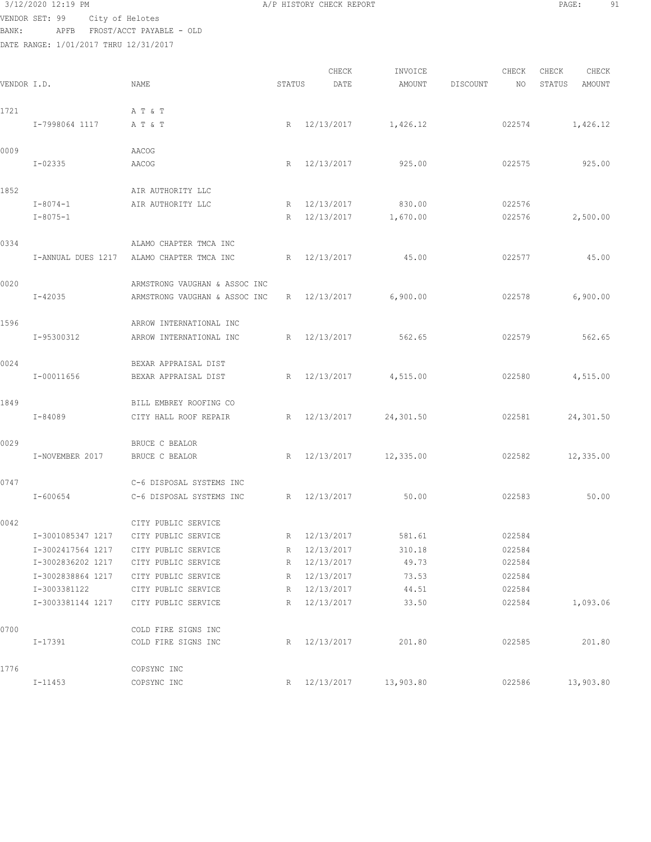# $3/12/2020$  12:19 PM  $A/P$  HISTORY CHECK REPORT  $\blacksquare$  PAGE: 91 VENDOR SET: 99 City of Helotes

BANK: APFB FROST/ACCT PAYABLE - OLD

|             |                    |                               |                 | CHECK        | INVOICE   |                 | CHECK  | CHECK  | CHECK     |
|-------------|--------------------|-------------------------------|-----------------|--------------|-----------|-----------------|--------|--------|-----------|
| VENDOR I.D. |                    | NAME                          | STATUS          | DATE         | AMOUNT    | <b>DISCOUNT</b> | NO     | STATUS | AMOUNT    |
| 1721        |                    | A T & T                       |                 |              |           |                 |        |        |           |
|             | I-7998064 1117     | A T & T                       | R               | 12/13/2017   | 1,426.12  |                 | 022574 |        | 1,426.12  |
| 0009        |                    | AACOG                         |                 |              |           |                 |        |        |           |
|             | $I - 02335$        | AACOG                         | $R_{\parallel}$ | 12/13/2017   | 925.00    |                 | 022575 |        | 925.00    |
| 1852        |                    | AIR AUTHORITY LLC             |                 |              |           |                 |        |        |           |
|             | $I - 8074 - 1$     | AIR AUTHORITY LLC             | R               | 12/13/2017   | 830.00    |                 | 022576 |        |           |
|             | $I - 8075 - 1$     |                               | R               | 12/13/2017   | 1,670.00  |                 | 022576 |        | 2,500.00  |
| 0334        |                    | ALAMO CHAPTER TMCA INC        |                 |              |           |                 |        |        |           |
|             | I-ANNUAL DUES 1217 | ALAMO CHAPTER TMCA INC        | R               | 12/13/2017   | 45.00     |                 | 022577 |        | 45.00     |
| 0020        |                    | ARMSTRONG VAUGHAN & ASSOC INC |                 |              |           |                 |        |        |           |
|             | $I - 42035$        | ARMSTRONG VAUGHAN & ASSOC INC | R               | 12/13/2017   | 6,900.00  |                 | 022578 |        | 6,900.00  |
| 1596        |                    | ARROW INTERNATIONAL INC       |                 |              |           |                 |        |        |           |
|             | I-95300312         | ARROW INTERNATIONAL INC       | $R_{\parallel}$ | 12/13/2017   | 562.65    |                 | 022579 |        | 562.65    |
| 0024        |                    | BEXAR APPRAISAL DIST          |                 |              |           |                 |        |        |           |
|             | I-00011656         | BEXAR APPRAISAL DIST          | $R_{\parallel}$ | 12/13/2017   | 4,515.00  |                 | 022580 |        | 4,515.00  |
| 1849        |                    | BILL EMBREY ROOFING CO        |                 |              |           |                 |        |        |           |
|             | I-84089            | CITY HALL ROOF REPAIR         | R               | 12/13/2017   | 24,301.50 |                 | 022581 |        | 24,301.50 |
| 0029        |                    | BRUCE C BEALOR                |                 |              |           |                 |        |        |           |
|             | I-NOVEMBER 2017    | BRUCE C BEALOR                | R               | 12/13/2017   | 12,335.00 |                 | 022582 |        | 12,335.00 |
| 0747        |                    | C-6 DISPOSAL SYSTEMS INC      |                 |              |           |                 |        |        |           |
|             | I-600654           | C-6 DISPOSAL SYSTEMS INC      | R               | 12/13/2017   | 50.00     |                 | 022583 |        | 50.00     |
| 0042        |                    | CITY PUBLIC SERVICE           |                 |              |           |                 |        |        |           |
|             | I-3001085347 1217  | CITY PUBLIC SERVICE           | R               | 12/13/2017   | 581.61    |                 | 022584 |        |           |
|             | I-3002417564 1217  | CITY PUBLIC SERVICE           | R               | 12/13/2017   | 310.18    |                 | 022584 |        |           |
|             | I-3002836202 1217  | CITY PUBLIC SERVICE           | R               | 12/13/2017   | 49.73     |                 | 022584 |        |           |
|             | I-3002838864 1217  | CITY PUBLIC SERVICE           | R               | 12/13/2017   | 73.53     |                 | 022584 |        |           |
|             | I-3003381122       | CITY PUBLIC SERVICE           | R               | 12/13/2017   | 44.51     |                 | 022584 |        |           |
|             | I-3003381144 1217  | CITY PUBLIC SERVICE           | $R_{\perp}$     | 12/13/2017   | 33.50     |                 | 022584 |        | 1,093.06  |
| 0700        |                    | COLD FIRE SIGNS INC           |                 |              |           |                 |        |        |           |
|             | I-17391            | COLD FIRE SIGNS INC           |                 | R 12/13/2017 | 201.80    |                 | 022585 |        | 201.80    |
| 1776        |                    | COPSYNC INC                   |                 |              |           |                 |        |        |           |
|             | I-11453            | COPSYNC INC                   |                 | R 12/13/2017 | 13,903.80 |                 | 022586 |        | 13,903.80 |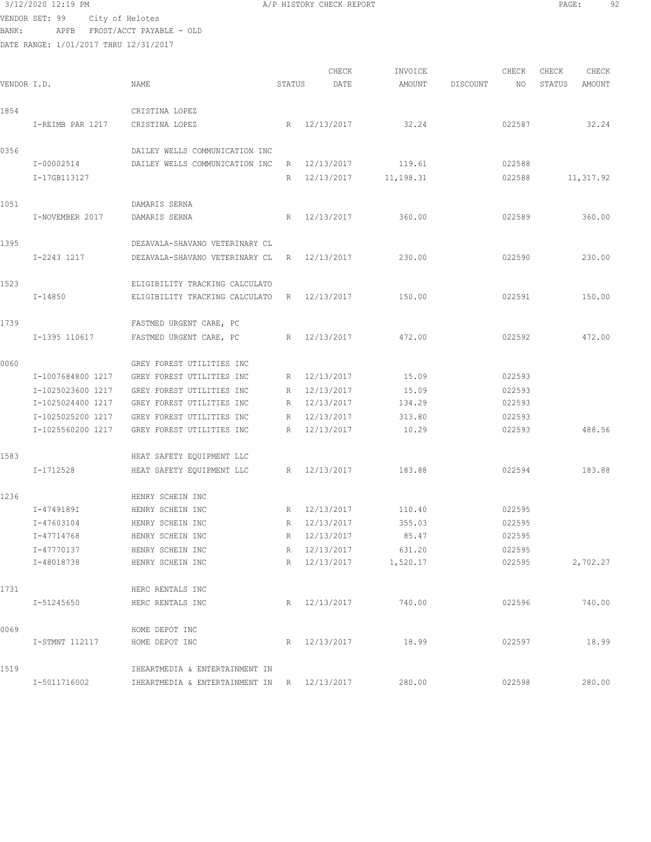| 3/12/2020 12:19 PM |      |                      |
|--------------------|------|----------------------|
| VENDOR SET: 99     |      | City of Helotes      |
| BANK:              | APFB | FROST/ACCT PAYABLE - |

A/P HISTORY CHECK REPORT PAGE: 92

ACCT PAYABLE - OLD

| VENDOR I.D. |                   | NAME                                        | STATUS | CHECK<br>DATE | INVOICE<br>AMOUNT | DISCOUNT | CHECK<br>NO | CHECK<br>STATUS | CHECK<br>AMOUNT |
|-------------|-------------------|---------------------------------------------|--------|---------------|-------------------|----------|-------------|-----------------|-----------------|
| 1854        |                   | CRISTINA LOPEZ                              |        |               |                   |          |             |                 |                 |
|             | I-REIMB PAR 1217  | CRISTINA LOPEZ                              |        | R 12/13/2017  | 32.24             |          | 022587      |                 | 32.24           |
| 0356        |                   | DAILEY WELLS COMMUNICATION INC              |        |               |                   |          |             |                 |                 |
|             | I-00002514        | DAILEY WELLS COMMUNICATION INC              | R      | 12/13/2017    | 119.61            |          | 022588      |                 |                 |
|             | I-17GB113127      |                                             | R      | 12/13/2017    | 11,198.31         |          | 022588      |                 | 11,317.92       |
| 1051        |                   | DAMARIS SERNA                               |        |               |                   |          |             |                 |                 |
|             | I-NOVEMBER 2017   | DAMARIS SERNA                               | R      | 12/13/2017    | 360.00            |          | 022589      |                 | 360.00          |
| 1395        |                   | DEZAVALA-SHAVANO VETERINARY CL              |        |               |                   |          |             |                 |                 |
|             | I-2243 1217       | DEZAVALA-SHAVANO VETERINARY CL              |        | R 12/13/2017  | 230.00            |          | 022590      |                 | 230.00          |
| 1523        |                   | ELIGIBILITY TRACKING CALCULATO              |        |               |                   |          |             |                 |                 |
|             | I-14850           | ELIGIBILITY TRACKING CALCULATO              |        | R 12/13/2017  | 150.00            |          | 022591      |                 | 150.00          |
| 1739        |                   | FASTMED URGENT CARE, PC                     |        |               |                   |          |             |                 |                 |
|             | I-1395 110617     | FASTMED URGENT CARE, PC                     |        | R 12/13/2017  | 472.00            |          | 022592      |                 | 472.00          |
| 0060        |                   | GREY FOREST UTILITIES INC                   |        |               |                   |          |             |                 |                 |
|             | I-1007684800 1217 | GREY FOREST UTILITIES INC                   | R      | 12/13/2017    | 15.09             |          | 022593      |                 |                 |
|             | I-1025023600 1217 | GREY FOREST UTILITIES INC                   | R      | 12/13/2017    | 15.09             |          | 022593      |                 |                 |
|             | I-1025024400 1217 | GREY FOREST UTILITIES INC                   |        | R 12/13/2017  | 134.29            |          | 022593      |                 |                 |
|             | I-1025025200 1217 | GREY FOREST UTILITIES INC                   |        | R 12/13/2017  | 313.80            |          | 022593      |                 |                 |
|             | I-1025560200 1217 | GREY FOREST UTILITIES INC                   | R      | 12/13/2017    | 10.29             |          | 022593      |                 | 488.56          |
| 1583        |                   | HEAT SAFETY EQUIPMENT LLC                   |        |               |                   |          |             |                 |                 |
|             | I-1712528         | HEAT SAFETY EQUIPMENT LLC                   |        | R 12/13/2017  | 183.88            |          | 022594      |                 | 183.88          |
| 1236        |                   | HENRY SCHEIN INC                            |        |               |                   |          |             |                 |                 |
|             | I-47491891        | HENRY SCHEIN INC                            | R      | 12/13/2017    | 110.40            |          | 022595      |                 |                 |
|             | I-47603104        | HENRY SCHEIN INC                            |        | R 12/13/2017  | 355.03            |          | 022595      |                 |                 |
|             | I-47714768        | HENRY SCHEIN INC                            | R      | 12/13/2017    | 85.47             |          | 022595      |                 |                 |
|             | I-47770137        | HENRY SCHEIN INC                            |        | R 12/13/2017  | 631.20            |          | 022595      |                 |                 |
|             | I-48018738        | HENRY SCHEIN INC                            |        | R 12/13/2017  | 1,520.17          |          | 022595      |                 | 2,702.27        |
| 1731        |                   | HERC RENTALS INC                            |        |               |                   |          |             |                 |                 |
|             | I-51245650        | HERC RENTALS INC                            |        | R 12/13/2017  | 740.00            |          | 022596      |                 | 740.00          |
| 0069        |                   | HOME DEPOT INC                              |        |               |                   |          |             |                 |                 |
|             | I-STMNT 112117    | HOME DEPOT INC                              |        | R 12/13/2017  | 18.99             |          | 022597      |                 | 18.99           |
| 1519        |                   | IHEARTMEDIA & ENTERTAINMENT IN              |        |               |                   |          |             |                 |                 |
|             | I-5011716002      | IHEARTMEDIA & ENTERTAINMENT IN R 12/13/2017 |        |               | 280.00            |          | 022598      |                 | 280.00          |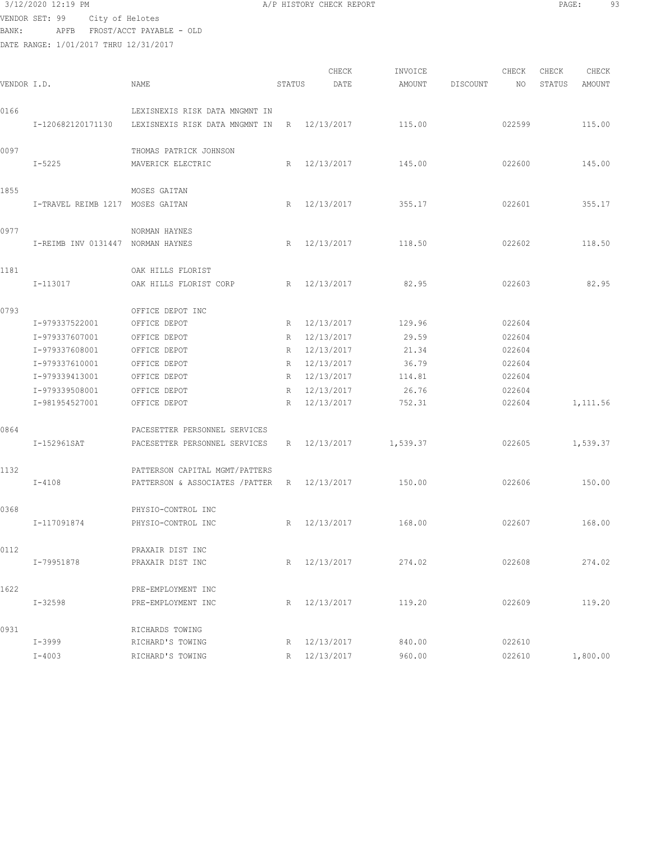# 3/12/2020 12:19 PM A/P HISTORY CHECK REPORT PAGE: 93 VENDOR SET: 99 City of Helotes BANK: APFB FROST/ACCT PAYABLE - OLD

| VENDOR I.D. |                                   | NAME                                         | STATUS          | CHECK<br>DATE | INVOICE<br>AMOUNT | DISCOUNT | CHECK<br>NO. | CHECK<br>STATUS | CHECK<br>AMOUNT |
|-------------|-----------------------------------|----------------------------------------------|-----------------|---------------|-------------------|----------|--------------|-----------------|-----------------|
| 0166        |                                   | LEXISNEXIS RISK DATA MNGMNT IN               |                 |               |                   |          |              |                 |                 |
|             | I-120682120171130                 | LEXISNEXIS RISK DATA MNGMNT IN               |                 | R 12/13/2017  | 115.00            |          | 022599       |                 | 115.00          |
| 0097        |                                   | THOMAS PATRICK JOHNSON                       |                 |               |                   |          |              |                 |                 |
|             | $I - 5225$                        | MAVERICK ELECTRIC                            | R               | 12/13/2017    | 145.00            |          | 022600       |                 | 145.00          |
| 1855        |                                   | MOSES GAITAN                                 |                 |               |                   |          |              |                 |                 |
|             | I-TRAVEL REIMB 1217 MOSES GAITAN  |                                              |                 | R 12/13/2017  | 355.17            |          | 022601       |                 | 355.17          |
| 0977        |                                   | NORMAN HAYNES                                |                 |               |                   |          |              |                 |                 |
|             | I-REIMB INV 0131447 NORMAN HAYNES |                                              |                 | R 12/13/2017  | 118.50            |          | 022602       |                 | 118.50          |
| 1181        |                                   | OAK HILLS FLORIST                            |                 |               |                   |          |              |                 |                 |
|             | I-113017                          | OAK HILLS FLORIST CORP                       |                 | R 12/13/2017  | 82.95             |          | 022603       |                 | 82.95           |
| 0793        |                                   | OFFICE DEPOT INC                             |                 |               |                   |          |              |                 |                 |
|             | I-979337522001                    | OFFICE DEPOT                                 |                 | R 12/13/2017  | 129.96            |          | 022604       |                 |                 |
|             | I-979337607001                    | OFFICE DEPOT                                 |                 | R 12/13/2017  | 29.59             |          | 022604       |                 |                 |
|             | I-979337608001                    | OFFICE DEPOT                                 |                 | R 12/13/2017  | 21.34             |          | 022604       |                 |                 |
|             | I-979337610001                    | OFFICE DEPOT                                 |                 | R 12/13/2017  | 36.79             |          | 022604       |                 |                 |
|             | I-979339413001                    | OFFICE DEPOT                                 |                 | R 12/13/2017  | 114.81            |          | 022604       |                 |                 |
|             | I-979339508001                    | OFFICE DEPOT                                 | R               | 12/13/2017    | 26.76             |          | 022604       |                 |                 |
|             | I-981954527001                    | OFFICE DEPOT                                 | $R_{\parallel}$ | 12/13/2017    | 752.31            |          | 022604       |                 | 1,111.56        |
| 0864        |                                   | PACESETTER PERSONNEL SERVICES                |                 |               |                   |          |              |                 |                 |
|             | I-152961SAT                       | PACESETTER PERSONNEL SERVICES                |                 | R 12/13/2017  | 1,539.37          |          | 022605       |                 | 1,539.37        |
| 1132        |                                   | PATTERSON CAPITAL MGMT/PATTERS               |                 |               |                   |          |              |                 |                 |
|             | $I-4108$                          | PATTERSON & ASSOCIATES / PATTER R 12/13/2017 |                 |               | 150.00            |          | 022606       |                 | 150.00          |
| 0368        |                                   | PHYSIO-CONTROL INC                           |                 |               |                   |          |              |                 |                 |
|             | I-117091874                       | PHYSIO-CONTROL INC                           |                 | R 12/13/2017  | 168.00            |          | 022607       |                 | 168.00          |
| 0112        |                                   | PRAXAIR DIST INC                             |                 |               |                   |          |              |                 |                 |
|             | I-79951878                        | PRAXAIR DIST INC                             |                 | R 12/13/2017  | 274.02            |          | 022608       |                 | 274.02          |
| 1622        |                                   | PRE-EMPLOYMENT INC                           |                 |               |                   |          |              |                 |                 |
|             | I-32598                           | PRE-EMPLOYMENT INC                           | R               | 12/13/2017    | 119.20            |          | 022609       |                 | 119.20          |
| 0931        |                                   | RICHARDS TOWING                              |                 |               |                   |          |              |                 |                 |
|             | $I - 3999$                        | RICHARD'S TOWING                             |                 | R 12/13/2017  | 840.00            |          | 022610       |                 |                 |
|             | $I - 4003$                        | RICHARD'S TOWING                             | R               | 12/13/2017    | 960.00            |          | 022610       |                 | 1,800.00        |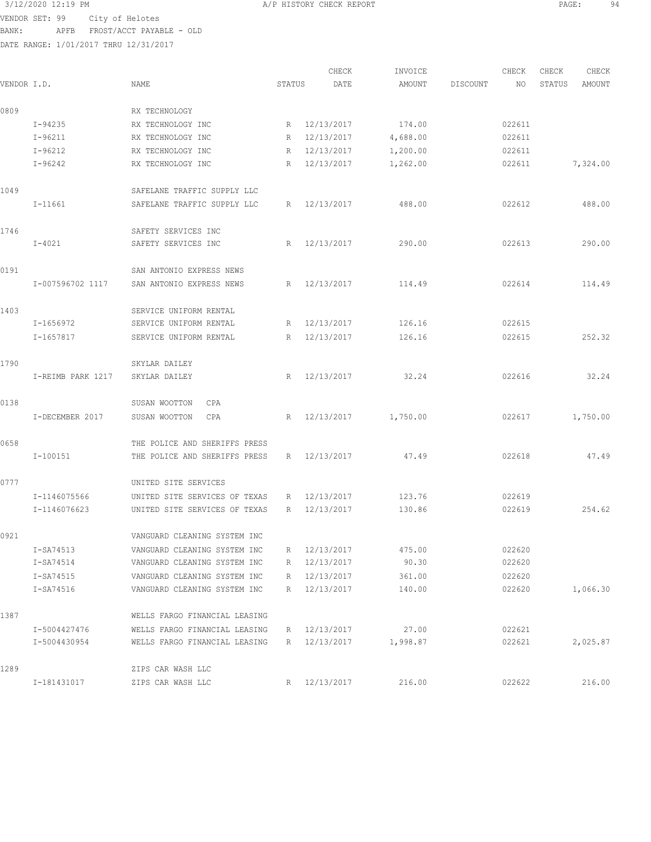$3/12/2020$  12:19 PM  $A/P$  HISTORY CHECK REPORT  $\begin{array}{ccc} 3/12/2020 & 12:19 & \text{PMGE:} \\ 94 & & \text{PMGE:} \end{array}$ VENDOR SET: 99 City of Helotes BANK: APFB FROST/ACCT PAYABLE - OLD

| VENDOR I.D. |                   | NAME                          | STATUS          |              | CHECK<br>DATE | INVOICE<br>AMOUNT | DISCOUNT | CHECK<br>NO. | CHECK<br>STATUS | CHECK<br>AMOUNT |
|-------------|-------------------|-------------------------------|-----------------|--------------|---------------|-------------------|----------|--------------|-----------------|-----------------|
|             |                   |                               |                 |              |               |                   |          |              |                 |                 |
| 0809        |                   | RX TECHNOLOGY                 |                 |              |               |                   |          |              |                 |                 |
|             | $I - 94235$       | RX TECHNOLOGY INC             | R               | 12/13/2017   |               | 174.00            |          | 022611       |                 |                 |
|             | $I - 96211$       | RX TECHNOLOGY INC             | R               | 12/13/2017   |               | 4,688.00          |          | 022611       |                 |                 |
|             | $I-96212$         | RX TECHNOLOGY INC             | R               | 12/13/2017   |               | 1,200.00          |          | 022611       |                 |                 |
|             | $I-96242$         | RX TECHNOLOGY INC             | $R_{\parallel}$ | 12/13/2017   |               | 1,262.00          |          | 022611       |                 | 7,324.00        |
| 1049        |                   | SAFELANE TRAFFIC SUPPLY LLC   |                 |              |               |                   |          |              |                 |                 |
|             | $I-11661$         | SAFELANE TRAFFIC SUPPLY LLC   | $R_{\perp}$     | 12/13/2017   |               | 488.00            |          | 022612       |                 | 488.00          |
| 1746        |                   | SAFETY SERVICES INC           |                 |              |               |                   |          |              |                 |                 |
|             | $I-4021$          | SAFETY SERVICES INC           |                 | R 12/13/2017 |               | 290.00            |          | 022613       |                 | 290.00          |
| 0191        |                   | SAN ANTONIO EXPRESS NEWS      |                 |              |               |                   |          |              |                 |                 |
|             | I-007596702 1117  | SAN ANTONIO EXPRESS NEWS      |                 | R 12/13/2017 |               | 114.49            |          | 022614       |                 | 114.49          |
| 1403        |                   | SERVICE UNIFORM RENTAL        |                 |              |               |                   |          |              |                 |                 |
|             | I-1656972         | SERVICE UNIFORM RENTAL        | $R_{\parallel}$ | 12/13/2017   |               | 126.16            |          | 022615       |                 |                 |
|             | I-1657817         | SERVICE UNIFORM RENTAL        | R               | 12/13/2017   |               | 126.16            |          | 022615       |                 | 252.32          |
| 1790        |                   | SKYLAR DAILEY                 |                 |              |               |                   |          |              |                 |                 |
|             | I-REIMB PARK 1217 | SKYLAR DAILEY                 | R               | 12/13/2017   |               | 32.24             |          | 022616       |                 | 32.24           |
| 0138        |                   | SUSAN WOOTTON<br>CPA          |                 |              |               |                   |          |              |                 |                 |
|             | I-DECEMBER 2017   | SUSAN WOOTTON<br>CPA          | R               | 12/13/2017   |               | 1,750.00          |          | 022617       |                 | 1,750.00        |
| 0658        |                   | THE POLICE AND SHERIFFS PRESS |                 |              |               |                   |          |              |                 |                 |
|             | I-100151          | THE POLICE AND SHERIFFS PRESS | R               | 12/13/2017   |               | 47.49             |          | 022618       |                 | 47.49           |
| 0777        |                   | UNITED SITE SERVICES          |                 |              |               |                   |          |              |                 |                 |
|             | I-1146075566      | UNITED SITE SERVICES OF TEXAS | R               | 12/13/2017   |               | 123.76            |          | 022619       |                 |                 |
|             | I-1146076623      | UNITED SITE SERVICES OF TEXAS | R               | 12/13/2017   |               | 130.86            |          | 022619       |                 | 254.62          |
| 0921        |                   | VANGUARD CLEANING SYSTEM INC  |                 |              |               |                   |          |              |                 |                 |
|             | I-SA74513         | VANGUARD CLEANING SYSTEM INC  |                 | R 12/13/2017 |               | 475.00            |          | 022620       |                 |                 |
|             | I-SA74514         | VANGUARD CLEANING SYSTEM INC  |                 | R 12/13/2017 |               | 90.30             |          | 022620       |                 |                 |
|             | I-SA74515         | VANGUARD CLEANING SYSTEM INC  | R               | 12/13/2017   |               | 361.00            |          | 022620       |                 |                 |
|             | I-SA74516         | VANGUARD CLEANING SYSTEM INC  | R               | 12/13/2017   |               | 140.00            |          | 022620       |                 | 1,066.30        |
| 1387        |                   | WELLS FARGO FINANCIAL LEASING |                 |              |               |                   |          |              |                 |                 |
|             | I-5004427476      | WELLS FARGO FINANCIAL LEASING |                 | R 12/13/2017 |               | 27.00             |          | 022621       |                 |                 |
|             | I-5004430954      | WELLS FARGO FINANCIAL LEASING |                 | R 12/13/2017 |               | 1,998.87          |          | 022621       |                 | 2,025.87        |
| 1289        |                   | ZIPS CAR WASH LLC             |                 |              |               |                   |          |              |                 |                 |
|             | I-181431017       | ZIPS CAR WASH LLC             | R               | 12/13/2017   |               | 216.00            |          | 022622       |                 | 216.00          |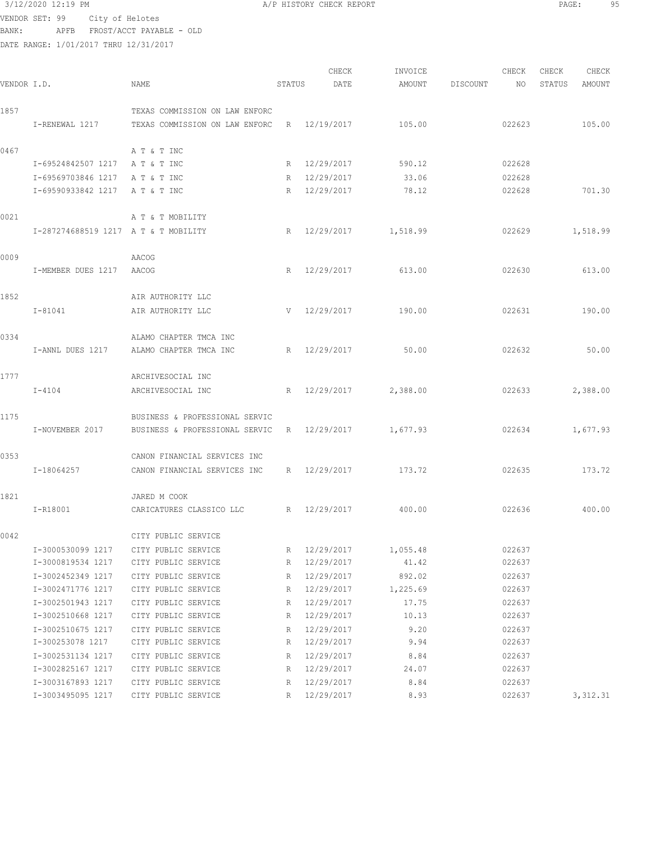# 3/12/2020 12:19 PM **A/P HISTORY CHECK REPORT** PAGE: 95 VENDOR SET: 99 City of Helotes

BANK: APFB FROST/ACCT PAYABLE - OLD

|             |                                      |                                |        | CHECK        | INVOICE               |          | CHECK  | CHECK  | CHECK     |
|-------------|--------------------------------------|--------------------------------|--------|--------------|-----------------------|----------|--------|--------|-----------|
| VENDOR I.D. |                                      | NAME                           | STATUS | DATE         | AMOUNT                | DISCOUNT | NO     | STATUS | AMOUNT    |
| 1857        |                                      | TEXAS COMMISSION ON LAW ENFORC |        |              |                       |          |        |        |           |
|             | I-RENEWAL 1217                       | TEXAS COMMISSION ON LAW ENFORC |        | R 12/19/2017 | 105.00                |          | 022623 |        | 105.00    |
|             |                                      |                                |        |              |                       |          |        |        |           |
| 0467        |                                      | A T & T INC                    |        |              |                       |          |        |        |           |
|             | I-69524842507 1217                   | A T & T INC                    |        | R 12/29/2017 | 590.12                |          | 022628 |        |           |
|             | I-69569703846 1217                   | A T & T INC                    |        | R 12/29/2017 | 33.06                 |          | 022628 |        |           |
|             | I-69590933842 1217                   | A T & T INC                    |        | R 12/29/2017 | 78.12                 |          | 022628 |        | 701.30    |
| 0021        |                                      | A T & T MOBILITY               |        |              |                       |          |        |        |           |
|             | I-287274688519 1217 A T & T MOBILITY |                                | R      |              | 12/29/2017 1,518.99   |          | 022629 |        | 1,518.99  |
| 0009        |                                      | AACOG                          |        |              |                       |          |        |        |           |
|             | I-MEMBER DUES 1217                   | AACOG                          | R      | 12/29/2017   | 613.00                |          | 022630 |        | 613.00    |
|             |                                      |                                |        |              |                       |          |        |        |           |
| 1852        |                                      | AIR AUTHORITY LLC              |        |              |                       |          |        |        |           |
|             | I-81041                              | AIR AUTHORITY LLC              |        | V 12/29/2017 | 190.00                |          | 022631 |        | 190.00    |
| 0334        |                                      | ALAMO CHAPTER TMCA INC         |        |              |                       |          |        |        |           |
|             | I-ANNL DUES 1217                     | ALAMO CHAPTER TMCA INC         |        | R 12/29/2017 | 50.00                 |          | 022632 |        | 50.00     |
|             |                                      |                                |        |              |                       |          |        |        |           |
| 1777        |                                      | ARCHIVESOCIAL INC              |        |              |                       |          |        |        |           |
|             | $I-4104$                             | ARCHIVESOCIAL INC              |        |              | R 12/29/2017 2,388.00 |          | 022633 |        | 2,388.00  |
| 1175        |                                      | BUSINESS & PROFESSIONAL SERVIC |        |              |                       |          |        |        |           |
|             | I-NOVEMBER 2017                      | BUSINESS & PROFESSIONAL SERVIC |        |              | R 12/29/2017 1,677.93 |          | 022634 |        | 1,677.93  |
|             |                                      |                                |        |              |                       |          |        |        |           |
| 0353        |                                      | CANON FINANCIAL SERVICES INC   |        |              |                       |          |        |        |           |
|             | I-18064257                           | CANON FINANCIAL SERVICES INC   |        | R 12/29/2017 | 173.72                |          | 022635 |        | 173.72    |
| 1821        |                                      | JARED M COOK                   |        |              |                       |          |        |        |           |
|             | I-R18001                             | CARICATURES CLASSICO LLC       |        | R 12/29/2017 | 400.00                |          | 022636 |        | 400.00    |
|             |                                      |                                |        |              |                       |          |        |        |           |
| 0042        |                                      | CITY PUBLIC SERVICE            |        |              |                       |          |        |        |           |
|             | I-3000530099 1217                    | CITY PUBLIC SERVICE            | R      | 12/29/2017   | 1,055.48              |          | 022637 |        |           |
|             | I-3000819534 1217                    | CITY PUBLIC SERVICE            | R      | 12/29/2017   | 41.42                 |          | 022637 |        |           |
|             | I-3002452349 1217                    | CITY PUBLIC SERVICE            | R      | 12/29/2017   | 892.02                |          | 022637 |        |           |
|             | I-3002471776 1217                    | CITY PUBLIC SERVICE            | R      | 12/29/2017   | 1,225.69              |          | 022637 |        |           |
|             | I-3002501943 1217                    | CITY PUBLIC SERVICE            | R      | 12/29/2017   | 17.75                 |          | 022637 |        |           |
|             | I-3002510668 1217                    | CITY PUBLIC SERVICE            | R      | 12/29/2017   | 10.13                 |          | 022637 |        |           |
|             | I-3002510675 1217                    | CITY PUBLIC SERVICE            | R      | 12/29/2017   | 9.20                  |          | 022637 |        |           |
|             | I-300253078 1217                     | CITY PUBLIC SERVICE            | R      | 12/29/2017   | 9.94                  |          | 022637 |        |           |
|             | I-3002531134 1217                    | CITY PUBLIC SERVICE            | R      | 12/29/2017   | 8.84                  |          | 022637 |        |           |
|             | I-3002825167 1217                    | CITY PUBLIC SERVICE            | R      | 12/29/2017   | 24.07                 |          | 022637 |        |           |
|             | I-3003167893 1217                    | CITY PUBLIC SERVICE            | R      | 12/29/2017   | 8.84                  |          | 022637 |        |           |
|             | I-3003495095 1217                    | CITY PUBLIC SERVICE            | R      | 12/29/2017   | 8.93                  |          | 022637 |        | 3, 312.31 |
|             |                                      |                                |        |              |                       |          |        |        |           |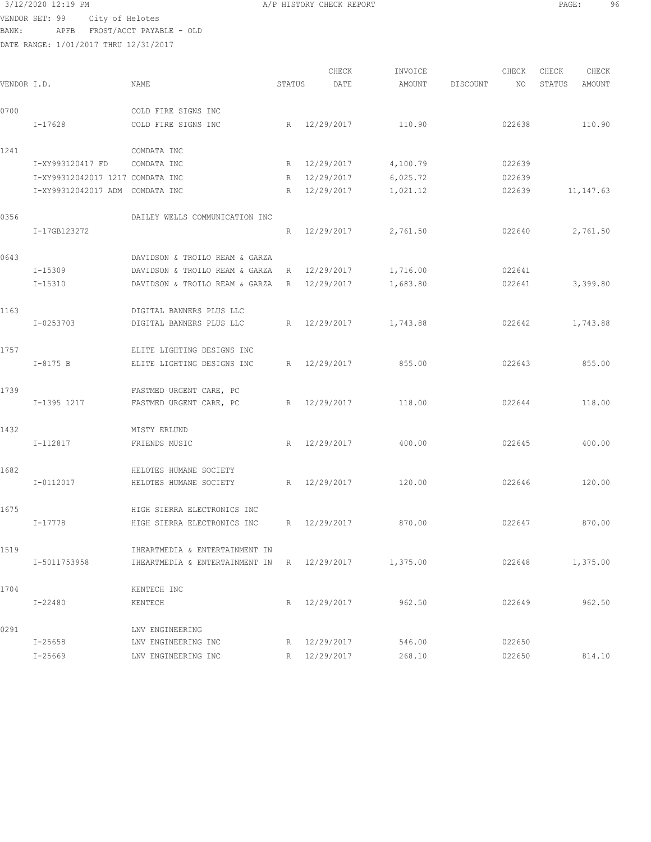| 3/12/2020 12:19 PM |      |                        |
|--------------------|------|------------------------|
| VENDOR SET: 99     |      | City of Helotes        |
| BANK:              | APFB | FROST/ACCT PAYABLE - 0 |
|                    |      |                        |

A/P HISTORY CHECK REPORT PAGE: 96

|             |                                  |                                |             | CHECK        | INVOICE  |          | CHECK  | CHECK  | CHECK      |
|-------------|----------------------------------|--------------------------------|-------------|--------------|----------|----------|--------|--------|------------|
| VENDOR I.D. |                                  | NAME                           | STATUS      | DATE         | AMOUNT   | DISCOUNT | NO.    | STATUS | AMOUNT     |
| 0700        |                                  | COLD FIRE SIGNS INC            |             |              |          |          |        |        |            |
|             | I-17628                          | COLD FIRE SIGNS INC            |             | R 12/29/2017 | 110.90   |          | 022638 |        | 110.90     |
| 1241        |                                  | COMDATA INC                    |             |              |          |          |        |        |            |
|             | I-XY993120417 FD                 | COMDATA INC                    |             | R 12/29/2017 | 4,100.79 |          | 022639 |        |            |
|             | I-XY99312042017 1217 COMDATA INC |                                |             | R 12/29/2017 | 6,025.72 |          | 022639 |        |            |
|             | I-XY99312042017 ADM COMDATA INC  |                                | R           | 12/29/2017   | 1,021.12 |          | 022639 |        | 11, 147.63 |
| 0356        |                                  | DAILEY WELLS COMMUNICATION INC |             |              |          |          |        |        |            |
|             | I-17GB123272                     |                                | R           | 12/29/2017   | 2,761.50 |          | 022640 |        | 2,761.50   |
| 0643        |                                  | DAVIDSON & TROILO REAM & GARZA |             |              |          |          |        |        |            |
|             | $I-15309$                        | DAVIDSON & TROILO REAM & GARZA | $R_{\odot}$ | 12/29/2017   | 1,716.00 |          | 022641 |        |            |
|             | I-15310                          | DAVIDSON & TROILO REAM & GARZA | R           | 12/29/2017   | 1,683.80 |          | 022641 |        | 3,399.80   |
| 1163        |                                  | DIGITAL BANNERS PLUS LLC       |             |              |          |          |        |        |            |
|             | I-0253703                        | DIGITAL BANNERS PLUS LLC       | R           | 12/29/2017   | 1,743.88 |          | 022642 |        | 1,743.88   |
| 1757        |                                  | ELITE LIGHTING DESIGNS INC     |             |              |          |          |        |        |            |
|             | $I-8175 B$                       | ELITE LIGHTING DESIGNS INC     | R           | 12/29/2017   | 855.00   |          | 022643 |        | 855.00     |
| 1739        |                                  | FASTMED URGENT CARE, PC        |             |              |          |          |        |        |            |
|             | I-1395 1217                      | FASTMED URGENT CARE, PC        |             | R 12/29/2017 | 118.00   |          | 022644 |        | 118.00     |
| 1432        |                                  | MISTY ERLUND                   |             |              |          |          |        |        |            |
|             | I-112817                         | FRIENDS MUSIC                  | R           | 12/29/2017   | 400.00   |          | 022645 |        | 400.00     |
| 1682        |                                  | HELOTES HUMANE SOCIETY         |             |              |          |          |        |        |            |
|             | I-0112017                        | HELOTES HUMANE SOCIETY         |             | R 12/29/2017 | 120.00   |          | 022646 |        | 120.00     |
| 1675        |                                  | HIGH SIERRA ELECTRONICS INC    |             |              |          |          |        |        |            |
|             | I-17778                          | HIGH SIERRA ELECTRONICS INC    | R           | 12/29/2017   | 870.00   |          | 022647 |        | 870.00     |
| 1519        |                                  | IHEARTMEDIA & ENTERTAINMENT IN |             |              |          |          |        |        |            |
|             | I-5011753958                     | IHEARTMEDIA & ENTERTAINMENT IN |             | R 12/29/2017 | 1,375.00 |          | 022648 |        | 1,375.00   |
| 1704        |                                  | KENTECH INC                    |             |              |          |          |        |        |            |
|             | $I - 22480$                      | KENTECH                        |             | R 12/29/2017 | 962.50   |          | 022649 |        | 962.50     |
| 0291        |                                  | LNV ENGINEERING                |             |              |          |          |        |        |            |
|             | $I - 25658$                      | LNV ENGINEERING INC            |             | R 12/29/2017 | 546.00   |          | 022650 |        |            |
|             | $I - 25669$                      | LNV ENGINEERING INC            | R           | 12/29/2017   | 268.10   |          | 022650 |        | 814.10     |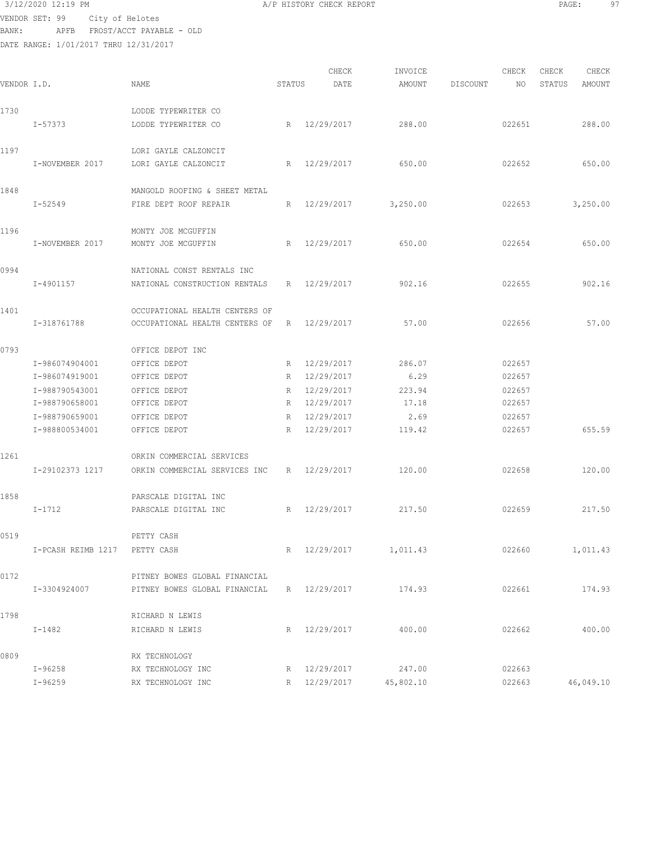| 3/12/2020 12:19 PM |                                | A/P HISTORY CHECK REPORT | PAGE: | 97 |
|--------------------|--------------------------------|--------------------------|-------|----|
|                    | VENDOR SET: 99 City of Helotes |                          |       |    |
| BANK:              | APFB FROST/ACCT PAYABLE - OLD  |                          |       |    |
|                    |                                |                          |       |    |

|             |                               |                                |        | CHECK        | INVOICE                |          | CHECK  | CHECK  | CHECK     |
|-------------|-------------------------------|--------------------------------|--------|--------------|------------------------|----------|--------|--------|-----------|
| VENDOR I.D. |                               | NAME                           | STATUS | DATE         | AMOUNT                 | DISCOUNT | NO     | STATUS | AMOUNT    |
| 1730        |                               | LODDE TYPEWRITER CO            |        |              |                        |          |        |        |           |
|             | I-57373                       | LODDE TYPEWRITER CO            |        | R 12/29/2017 | 288.00                 |          | 022651 |        | 288.00    |
| 1197        |                               | LORI GAYLE CALZONCIT           |        |              |                        |          |        |        |           |
|             | I-NOVEMBER 2017               | LORI GAYLE CALZONCIT           | R      | 12/29/2017   | 650.00                 |          | 022652 |        | 650.00    |
| 1848        |                               | MANGOLD ROOFING & SHEET METAL  |        |              |                        |          |        |        |           |
|             | $I - 52549$                   | FIRE DEPT ROOF REPAIR          | R      | 12/29/2017   | 3,250.00               |          | 022653 |        | 3,250.00  |
| 1196        |                               | MONTY JOE MCGUFFIN             |        |              |                        |          |        |        |           |
|             | I-NOVEMBER 2017               | MONTY JOE MCGUFFIN             | R      | 12/29/2017   | 650.00                 |          | 022654 |        | 650.00    |
| 0994        |                               | NATIONAL CONST RENTALS INC     |        |              |                        |          |        |        |           |
|             | I-4901157                     | NATIONAL CONSTRUCTION RENTALS  | R      | 12/29/2017   | 902.16                 |          | 022655 |        | 902.16    |
| 1401        |                               | OCCUPATIONAL HEALTH CENTERS OF |        |              |                        |          |        |        |           |
|             | I-318761788                   | OCCUPATIONAL HEALTH CENTERS OF | R      | 12/29/2017   | 57.00                  |          | 022656 |        | 57.00     |
| 0793        |                               | OFFICE DEPOT INC               |        |              |                        |          |        |        |           |
|             | I-986074904001                | OFFICE DEPOT                   |        | R 12/29/2017 | 286.07                 |          | 022657 |        |           |
|             | I-986074919001                | OFFICE DEPOT                   | R      | 12/29/2017   | 6.29                   |          | 022657 |        |           |
|             | I-988790543001                | OFFICE DEPOT                   | R      | 12/29/2017   | 223.94                 |          | 022657 |        |           |
|             | I-988790658001                | OFFICE DEPOT                   |        | R 12/29/2017 | 17.18                  |          | 022657 |        |           |
|             | I-988790659001                | OFFICE DEPOT                   | R      | 12/29/2017   | 2.69                   |          | 022657 |        |           |
|             | I-988800534001                | OFFICE DEPOT                   | R      | 12/29/2017   | 119.42                 |          | 022657 |        | 655.59    |
| 1261        |                               | ORKIN COMMERCIAL SERVICES      |        |              |                        |          |        |        |           |
|             | I-29102373 1217               | ORKIN COMMERCIAL SERVICES INC  | R      | 12/29/2017   | 120.00                 |          | 022658 |        | 120.00    |
| 1858        |                               | PARSCALE DIGITAL INC           |        |              |                        |          |        |        |           |
|             | I-1712                        | PARSCALE DIGITAL INC           | R      | 12/29/2017   | 217.50                 |          | 022659 |        | 217.50    |
| 0519        |                               | PETTY CASH                     |        |              |                        |          |        |        |           |
|             | I-PCASH REIMB 1217 PETTY CASH |                                |        |              | R 12/29/2017 1,011.43  |          | 022660 |        | 1,011.43  |
| 0172        |                               | PITNEY BOWES GLOBAL FINANCIAL  |        |              |                        |          |        |        |           |
|             | I-3304924007                  | PITNEY BOWES GLOBAL FINANCIAL  |        | R 12/29/2017 | 174.93                 |          | 022661 |        | 174.93    |
| 1798        |                               | RICHARD N LEWIS                |        |              |                        |          |        |        |           |
|             | $I-1482$                      | RICHARD N LEWIS                |        | R 12/29/2017 | 400.00                 |          | 022662 |        | 400.00    |
| 0809        |                               | RX TECHNOLOGY                  |        |              |                        |          |        |        |           |
|             | $I-96258$                     | RX TECHNOLOGY INC              |        | R 12/29/2017 | 247.00                 |          | 022663 |        |           |
|             | $I - 96259$                   | RX TECHNOLOGY INC              |        |              | R 12/29/2017 45,802.10 |          | 022663 |        | 46,049.10 |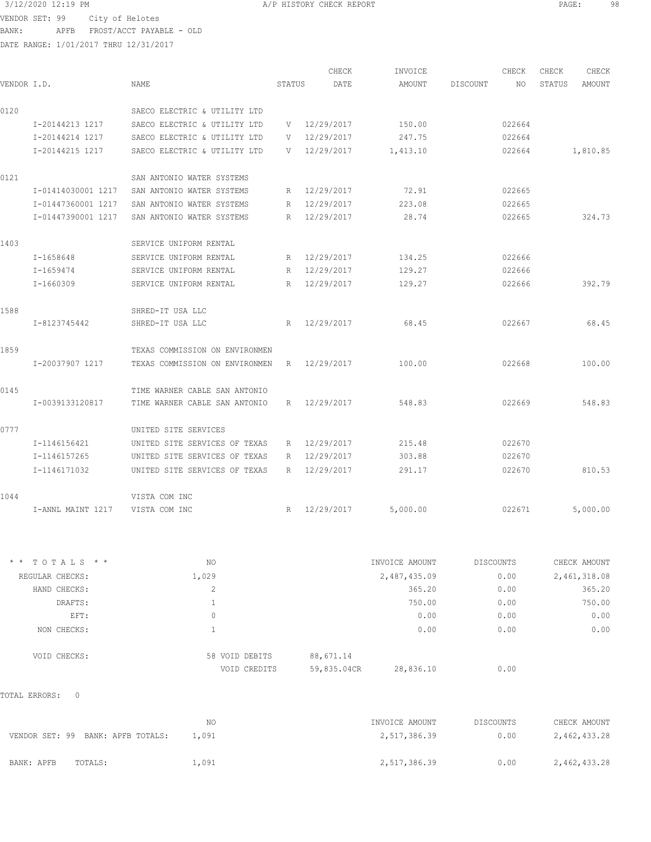DATE RANGE: 1/01/2017 THRU 12/31/2017

CHECK INVOICE CHECK CHECK CHECK<br>DATE AMOUNT DISCOUNT NO STATUS AMOUNT VENDOR I.D. NAME STATUS DATE AMOUNT DISCOUNT NO STATUS AMOUNT 0120 SAECO ELECTRIC & UTILITY LTD I-20144213 1217 SAECO ELECTRIC & UTILITY LTD V 12/29/2017 150.00 022664 I-20144214 1217 SAECO ELECTRIC & UTILITY LTD V 12/29/2017 247.75 022664 I-20144215 1217 SAECO ELECTRIC & UTILITY LTD V 12/29/2017 1,413.10 022664 1,810.85 0121 SAN ANTONIO WATER SYSTEMS I-01414030001 1217 SAN ANTONIO WATER SYSTEMS R 12/29/2017 72.91 022665 I-01447360001 1217 SAN ANTONIO WATER SYSTEMS R 12/29/2017 223.08 022665 I-01447390001 1217 SAN ANTONIO WATER SYSTEMS R 12/29/2017 28.74 022665 324.73 1403 SERVICE UNIFORM RENTAL I-1658648 SERVICE UNIFORM RENTAL R 12/29/2017 134.25 022666 I-1659474 SERVICE UNIFORM RENTAL R 12/29/2017 129.27 022666 I-1660309 SERVICE UNIFORM RENTAL R 12/29/2017 129.27 022666 392.79 1588 SHRED-IT USA LLC I-8123745442 SHRED-IT USA LLC R 12/29/2017 68.45 022667 68.45 1859 TEXAS COMMISSION ON ENVIRONMEN I-20037907 1217 TEXAS COMMISSION ON ENVIRONMEN R 12/29/2017 100.00 022668 100.00 0145 TIME WARNER CABLE SAN ANTONIO I-0039133120817 TIME WARNER CABLE SAN ANTONIO R 12/29/2017 548.83 022669 548.83 0777 UNITED SITE SERVICES I-1146156421 UNITED SITE SERVICES OF TEXAS R 12/29/2017 215.48 022670 I-1146157265 UNITED SITE SERVICES OF TEXAS R 12/29/2017 303.88 022670 I-1146171032 UNITED SITE SERVICES OF TEXAS R 12/29/2017 291.17 022670 810.53 1044 VISTA COM INC I-ANNL MAINT 1217 VISTA COM INC R 12/29/2017 5,000.00 022671 5,000.00

| $*$ * TOTALS * * | NO             | INVOICE AMOUNT           | <b>DISCOUNTS</b> | CHECK AMOUNT |
|------------------|----------------|--------------------------|------------------|--------------|
| REGULAR CHECKS:  | 1,029          | 2,487,435.09             | 0.00             | 2,461,318.08 |
| HAND CHECKS:     | $\sim$<br>∠    | 365.20                   | 0.00             | 365.20       |
| DRAFTS:          |                | 750.00                   | 0.00             | 750.00       |
| EFT:             | 0              | 0.00                     | 0.00             | 0.00         |
| NON CHECKS:      |                | 0.00                     | 0.00             | 0.00         |
| VOID CHECKS:     | 58 VOID DEBITS | 88,671.14                |                  |              |
|                  | VOID CREDITS   | 59,835.04CR<br>28,836.10 | 0.00             |              |

TOTAL ERRORS: 0

|                                   | ΝO    | INVOICE AMOUNT | DISCOUNTS | CHECK AMOUNT |
|-----------------------------------|-------|----------------|-----------|--------------|
| VENDOR SET: 99 BANK: APFB TOTALS: | 1.091 | 2,517,386.39   | 0.00      | 2,462,433.28 |
| BANK: APFB<br>TOTALS:             | 1,091 | 2,517,386.39   | 0.00      | 2,462,433.28 |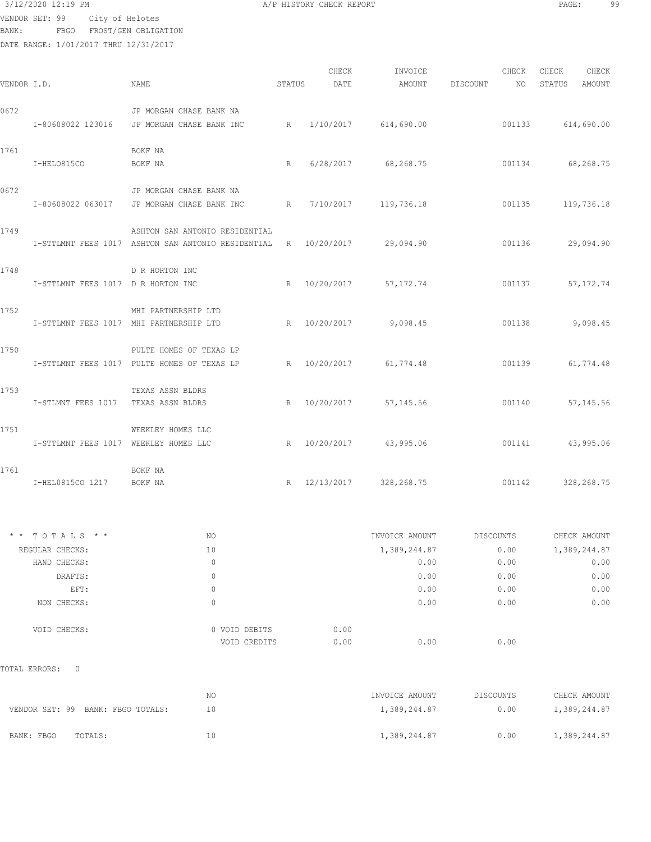```
 3/12/2020 12:19 PM A/P HISTORY CHECK REPORT PAGE: 99
```
VENDOR SET: 99 City of Helotes

BANK: FBGO FROST/GEN OBLIGATION

DATE RANGE: 1/01/2017 THRU 12/31/2017

|             |                                         |                                                                           |        | CHECK        | INVOICE                |                    | CHECK  | CHECK             | CHECK      |
|-------------|-----------------------------------------|---------------------------------------------------------------------------|--------|--------------|------------------------|--------------------|--------|-------------------|------------|
| VENDOR I.D. |                                         | NAME                                                                      | STATUS | DATE         |                        | AMOUNT DISCOUNT NO |        | STATUS            | AMOUNT     |
| 0672        |                                         | JP MORGAN CHASE BANK NA                                                   |        |              |                        |                    |        |                   |            |
|             |                                         | I-80608022 123016 JP MORGAN CHASE BANK INC R 1/10/2017 614,690.00         |        |              |                        |                    |        | 001133 614,690.00 |            |
| 1761        |                                         | BOKF NA                                                                   |        |              |                        |                    |        |                   |            |
|             | I-HELO815CO                             | BOKF NA                                                                   |        |              | R 6/28/2017 68,268.75  | 001134 68,268.75   |        |                   |            |
| 0672        |                                         | JP MORGAN CHASE BANK NA                                                   |        |              |                        |                    |        |                   |            |
|             |                                         | I-80608022 063017 JP MORGAN CHASE BANK INC R 7/10/2017 119,736.18         |        |              |                        |                    |        | 001135 119,736.18 |            |
| 1749        |                                         | ASHTON SAN ANTONIO RESIDENTIAL                                            |        |              |                        |                    |        |                   |            |
|             |                                         | I-STTLMNT FEES 1017 ASHTON SAN ANTONIO RESIDENTIAL R 10/20/2017 29,094.90 |        |              |                        |                    |        | 001136 29,094.90  |            |
| 1748        |                                         | D R HORTON INC                                                            |        |              |                        |                    |        |                   |            |
|             | I-STTLMNT FEES 1017 D R HORTON INC      |                                                                           |        |              | R 10/20/2017 57,172.74 |                    | 001137 |                   | 57, 172.74 |
| 1752        |                                         | MHI PARTNERSHIP LTD                                                       |        |              |                        |                    |        |                   |            |
|             | I-STTLMNT FEES 1017 MHI PARTNERSHIP LTD |                                                                           |        |              | R 10/20/2017 9,098.45  |                    | 001138 |                   | 9,098.45   |
| 1750        |                                         | PULTE HOMES OF TEXAS LP                                                   |        |              |                        |                    |        |                   |            |
|             |                                         | I-STTLMNT FEES 1017 PULTE HOMES OF TEXAS LP R 10/20/2017 61,774.48        |        |              |                        |                    | 001139 |                   | 61,774.48  |
| 1753        |                                         | TEXAS ASSN BLDRS                                                          |        |              |                        |                    |        |                   |            |
|             | I-STLMNT FEES 1017 TEXAS ASSN BLDRS     |                                                                           |        |              | R 10/20/2017 57,145.56 |                    | 001140 |                   | 57,145.56  |
| 1751        |                                         | WEEKLEY HOMES LLC                                                         |        |              |                        |                    |        |                   |            |
|             | I-STTLMNT FEES 1017 WEEKLEY HOMES LLC   |                                                                           |        |              | R 10/20/2017 43,995.06 | 001141 43,995.06   |        |                   |            |
| 1761        |                                         | BOKF NA                                                                   |        |              |                        |                    |        |                   |            |
|             | I-HEL0815CO 1217 BOKF NA                |                                                                           |        | R 12/13/2017 | 328,268.75             |                    | 001142 |                   | 328,268.75 |

| $*$ * TOTALS * * | NO            | INVOICE AMOUNT | DISCOUNTS | CHECK AMOUNT |
|------------------|---------------|----------------|-----------|--------------|
| REGULAR CHECKS:  | 10            | 1,389,244.87   | 0.00      | 1,389,244.87 |
| HAND CHECKS:     | 0             | 0.00           | 0.00      | 0.00         |
| DRAFTS:          | 0             | 0.00           | 0.00      | 0.00         |
| EFT:             | 0             | 0.00           | 0.00      | 0.00         |
| NON CHECKS:      | 0             | 0.00           | 0.00      | 0.00         |
| VOID CHECKS:     | 0 VOID DEBITS | 0.00           |           |              |
|                  | VOID CREDITS  | 0.00<br>0.00   | 0.00      |              |
|                  |               |                |           |              |

TOTAL ERRORS: 0

|                                   | ΝO | INVOICE AMOUNT | DISCOUNTS | CHECK AMOUNT |
|-----------------------------------|----|----------------|-----------|--------------|
| VENDOR SET: 99 BANK: FBGO TOTALS: | 10 | 1,389,244.87   | 0.00      | 1,389,244.87 |
| BANK: FBGO<br>TOTALS:             | 10 | 1,389,244.87   | 0.00      | 1,389,244.87 |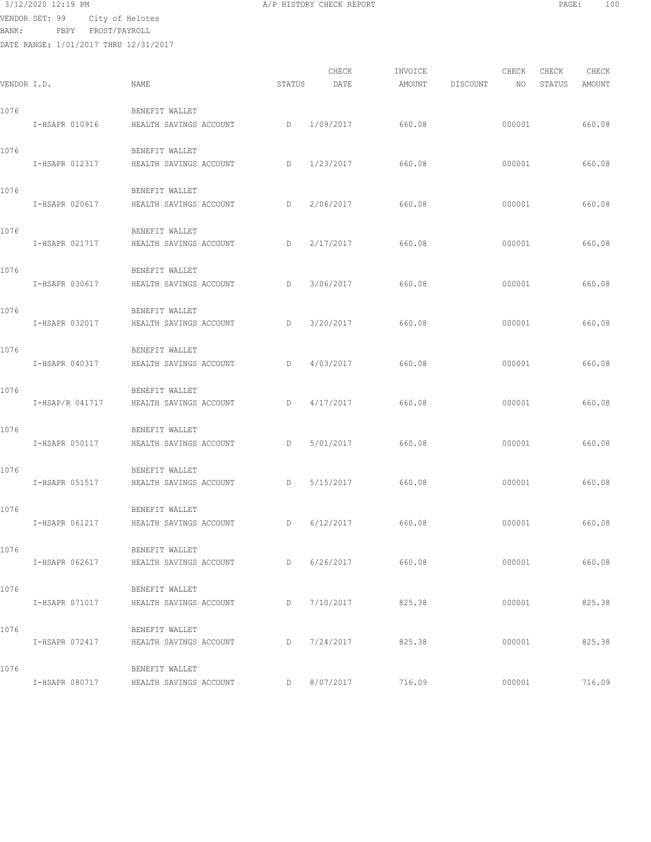VENDOR SET: 99 City of Helotes

BANK: FBPY FROST/PAYROLL

|             |                 |                        |        | CHECK     | INVOICE |          | CHECK  | CHECK  | CHECK  |
|-------------|-----------------|------------------------|--------|-----------|---------|----------|--------|--------|--------|
| VENDOR I.D. |                 | <b>NAME</b>            | STATUS | DATE      | AMOUNT  | DISCOUNT | NO     | STATUS | AMOUNT |
| 1076        |                 | BENEFIT WALLET         |        |           |         |          |        |        |        |
|             | I-HSAPR 010916  | HEALTH SAVINGS ACCOUNT | D      | 1/09/2017 | 660.08  |          | 000001 |        | 660.08 |
| 1076        |                 | BENEFIT WALLET         |        |           |         |          |        |        |        |
|             | I-HSAPR 012317  | HEALTH SAVINGS ACCOUNT | D      | 1/23/2017 | 660.08  |          | 000001 |        | 660.08 |
| 1076        |                 | BENEFIT WALLET         |        |           |         |          |        |        |        |
|             | I-HSAPR 020617  | HEALTH SAVINGS ACCOUNT | D      | 2/06/2017 | 660.08  |          | 000001 |        | 660.08 |
| 1076        |                 | BENEFIT WALLET         |        |           |         |          |        |        |        |
|             | I-HSAPR 021717  | HEALTH SAVINGS ACCOUNT | D      | 2/17/2017 | 660.08  |          | 000001 |        | 660.08 |
| 1076        |                 | BENEFIT WALLET         |        |           |         |          |        |        |        |
|             | I-HSAPR 030617  | HEALTH SAVINGS ACCOUNT | D      | 3/06/2017 | 660.08  |          | 000001 |        | 660.08 |
| 1076        |                 | BENEFIT WALLET         |        |           |         |          |        |        |        |
|             | I-HSAPR 032017  | HEALTH SAVINGS ACCOUNT | D      | 3/20/2017 | 660.08  |          | 000001 |        | 660.08 |
| 1076        |                 | BENEFIT WALLET         |        |           |         |          |        |        |        |
|             | I-HSAPR 040317  | HEALTH SAVINGS ACCOUNT | D      | 4/03/2017 | 660.08  |          | 000001 |        | 660.08 |
| 1076        |                 | BENEFIT WALLET         |        |           |         |          |        |        |        |
|             | I-HSAP/R 041717 | HEALTH SAVINGS ACCOUNT | D      | 4/17/2017 | 660.08  |          | 000001 |        | 660.08 |
| 1076        |                 | BENEFIT WALLET         |        |           |         |          |        |        |        |
|             | I-HSAPR 050117  | HEALTH SAVINGS ACCOUNT | D      | 5/01/2017 | 660.08  |          | 000001 |        | 660.08 |
| 1076        |                 | BENEFIT WALLET         |        |           |         |          |        |        |        |
|             | I-HSAPR 051517  | HEALTH SAVINGS ACCOUNT | D      | 5/15/2017 | 660.08  |          | 000001 |        | 660.08 |
| 1076        |                 | BENEFIT WALLET         |        |           |         |          |        |        |        |
|             | I-HSAPR 061217  | HEALTH SAVINGS ACCOUNT | D      | 6/12/2017 | 660.08  |          | 000001 |        | 660.08 |
| 1076        |                 | BENEFIT WALLET         |        |           |         |          |        |        |        |
|             | I-HSAPR 062617  | HEALTH SAVINGS ACCOUNT | D      | 6/26/2017 | 660.08  |          | 000001 |        | 660.08 |
| 1076        |                 | BENEFIT WALLET         |        |           |         |          |        |        |        |
|             | I-HSAPR 071017  | HEALTH SAVINGS ACCOUNT | D      | 7/10/2017 | 825.38  |          | 000001 |        | 825.38 |
| 1076        |                 | BENEFIT WALLET         |        |           |         |          |        |        |        |
|             | I-HSAPR 072417  | HEALTH SAVINGS ACCOUNT | D      | 7/24/2017 | 825.38  |          | 000001 |        | 825.38 |
| 1076        |                 | BENEFIT WALLET         |        |           |         |          |        |        |        |
|             | I-HSAPR 080717  | HEALTH SAVINGS ACCOUNT | D      | 8/07/2017 | 716.09  |          | 000001 |        | 716.09 |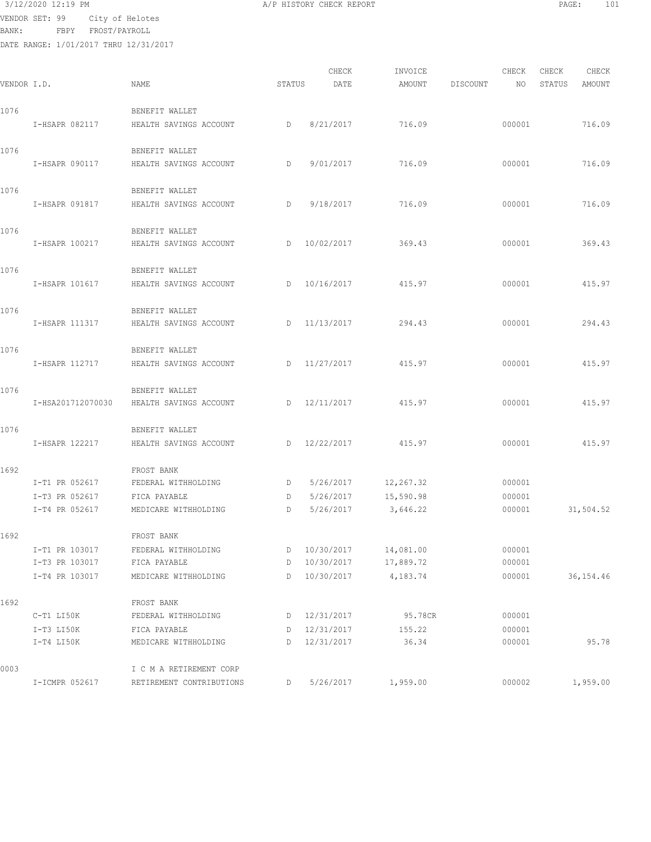1692 FROST BANK

1692 FROST BANK

1692 FROST BANK

0003 I C M A RETIREMENT CORP

| BANK :      | VENDOR SET: 99 City of Helotes<br>FBPY FROST/PAYROLL<br>DATE RANGE: 1/01/2017 THRU 12/31/2017 |                        |        |              |         |          |        |        |        |  |
|-------------|-----------------------------------------------------------------------------------------------|------------------------|--------|--------------|---------|----------|--------|--------|--------|--|
|             |                                                                                               |                        |        | CHECK        | INVOICE |          | CHECK  | CHECK  | CHECK  |  |
| VENDOR I.D. |                                                                                               | NAME                   | STATUS | DATE         | AMOUNT  | DISCOUNT | NO     | STATUS | AMOUNT |  |
| 1076        |                                                                                               | BENEFIT WALLET         |        |              |         |          |        |        |        |  |
|             | I-HSAPR 082117                                                                                | HEALTH SAVINGS ACCOUNT | D      | 8/21/2017    | 716.09  |          | 000001 |        | 716.09 |  |
| 1076        |                                                                                               | BENEFIT WALLET         |        |              |         |          |        |        |        |  |
|             | I-HSAPR 090117                                                                                | HEALTH SAVINGS ACCOUNT | D      | 9/01/2017    | 716.09  |          | 000001 |        | 716.09 |  |
| 1076        |                                                                                               | BENEFIT WALLET         |        |              |         |          |        |        |        |  |
|             | I-HSAPR 091817                                                                                | HEALTH SAVINGS ACCOUNT | D      | 9/18/2017    | 716.09  |          | 000001 |        | 716.09 |  |
| 1076        |                                                                                               | BENEFIT WALLET         |        |              |         |          |        |        |        |  |
|             | I-HSAPR 100217                                                                                | HEALTH SAVINGS ACCOUNT |        | D 10/02/2017 | 369.43  |          | 000001 |        | 369.43 |  |
| 1076        |                                                                                               | BENEFIT WALLET         |        |              |         |          |        |        |        |  |
|             | I-HSAPR 101617                                                                                | HEALTH SAVINGS ACCOUNT |        | D 10/16/2017 | 415.97  |          | 000001 |        | 415.97 |  |
| 1076        |                                                                                               | BENEFIT WALLET         |        |              |         |          |        |        |        |  |
|             | I-HSAPR 111317                                                                                | HEALTH SAVINGS ACCOUNT |        | D 11/13/2017 | 294.43  |          | 000001 |        | 294.43 |  |
| 1076        |                                                                                               | BENEFIT WALLET         |        |              |         |          |        |        |        |  |
|             | I-HSAPR 112717                                                                                | HEALTH SAVINGS ACCOUNT |        | D 11/27/2017 | 415.97  |          | 000001 |        | 415.97 |  |
| 1076        |                                                                                               | BENEFIT WALLET         |        |              |         |          |        |        |        |  |
|             | I-HSA201712070030                                                                             | HEALTH SAVINGS ACCOUNT |        | D 12/11/2017 | 415.97  |          | 000001 |        | 415.97 |  |
| 1076        |                                                                                               | BENEFIT WALLET         |        |              |         |          |        |        |        |  |
|             | I-HSAPR 122217                                                                                | HEALTH SAVINGS ACCOUNT |        | D 12/22/2017 | 415.97  |          | 000001 |        | 415.97 |  |

 I-T1 PR 052617 FEDERAL WITHHOLDING D 5/26/2017 12,267.32 000001 I-T3 PR 052617 FICA PAYABLE D 5/26/2017 15,590.98 000001

 I-T1 PR 103017 FEDERAL WITHHOLDING D 10/30/2017 14,081.00 000001 I-T3 PR 103017 FICA PAYABLE D 10/30/2017 17,889.72 000001

 C-T1 LI50K FEDERAL WITHHOLDING D 12/31/2017 95.78CR 000001 I-T3 LI50K FICA PAYABLE D 12/31/2017 155.22 000001

I-T4 PR 052617 MEDICARE WITHHOLDING D 5/26/2017 3,646.22 000001 31,504.52

I-T4 PR 103017 MEDICARE WITHHOLDING D 10/30/2017 4,183.74 000001 36,154.46

I-T4 LI50K MEDICARE WITHHOLDING D 12/31/2017 36.34 000001 95.78

I-ICMPR 052617 RETIREMENT CONTRIBUTIONS D 5/26/2017 1,959.00 000002 1,959.00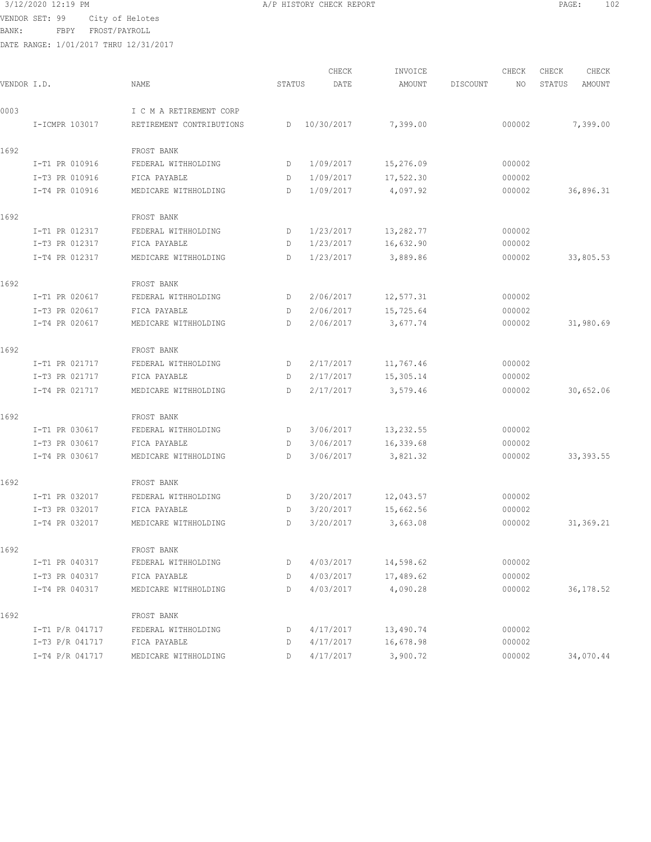VENDOR SET: 99 City of Helotes

BANK: FBPY FROST/PAYROLL

| VENDOR I.D. |                 | NAME                     | STATUS | CHECK<br>DATE | INVOICE<br>AMOUNT | DISCOUNT | CHECK<br>NO | CHECK<br>STATUS | CHECK<br>AMOUNT |
|-------------|-----------------|--------------------------|--------|---------------|-------------------|----------|-------------|-----------------|-----------------|
|             |                 |                          |        |               |                   |          |             |                 |                 |
| 0003        |                 | I C M A RETIREMENT CORP  |        |               |                   |          |             |                 |                 |
|             | I-ICMPR 103017  | RETIREMENT CONTRIBUTIONS | D      | 10/30/2017    | 7,399.00          |          | 000002      |                 | 7,399.00        |
| 1692        |                 | FROST BANK               |        |               |                   |          |             |                 |                 |
|             | I-T1 PR 010916  | FEDERAL WITHHOLDING      | D      | 1/09/2017     | 15,276.09         |          | 000002      |                 |                 |
|             | I-T3 PR 010916  | FICA PAYABLE             | D      | 1/09/2017     | 17,522.30         |          | 000002      |                 |                 |
|             | I-T4 PR 010916  | MEDICARE WITHHOLDING     | D      | 1/09/2017     | 4,097.92          |          | 000002      |                 | 36,896.31       |
| 1692        |                 | FROST BANK               |        |               |                   |          |             |                 |                 |
|             | I-T1 PR 012317  | FEDERAL WITHHOLDING      | D      | 1/23/2017     | 13,282.77         |          | 000002      |                 |                 |
|             | I-T3 PR 012317  | FICA PAYABLE             | D      | 1/23/2017     | 16,632.90         |          | 000002      |                 |                 |
|             | I-T4 PR 012317  | MEDICARE WITHHOLDING     | D      | 1/23/2017     | 3,889.86          |          | 000002      |                 | 33,805.53       |
| 1692        |                 | FROST BANK               |        |               |                   |          |             |                 |                 |
|             | I-T1 PR 020617  | FEDERAL WITHHOLDING      | D      | 2/06/2017     | 12,577.31         |          | 000002      |                 |                 |
|             | I-T3 PR 020617  | FICA PAYABLE             | D      | 2/06/2017     | 15,725.64         |          | 000002      |                 |                 |
|             | I-T4 PR 020617  | MEDICARE WITHHOLDING     | D      | 2/06/2017     | 3,677.74          |          | 000002      |                 | 31,980.69       |
| 1692        |                 | FROST BANK               |        |               |                   |          |             |                 |                 |
|             | I-T1 PR 021717  | FEDERAL WITHHOLDING      | D      | 2/17/2017     | 11,767.46         |          | 000002      |                 |                 |
|             | I-T3 PR 021717  | FICA PAYABLE             | D      | 2/17/2017     | 15,305.14         |          | 000002      |                 |                 |
|             | I-T4 PR 021717  | MEDICARE WITHHOLDING     | D      | 2/17/2017     | 3,579.46          |          | 000002      |                 | 30,652.06       |
| 1692        |                 | FROST BANK               |        |               |                   |          |             |                 |                 |
|             | I-T1 PR 030617  | FEDERAL WITHHOLDING      | D      | 3/06/2017     | 13,232.55         |          | 000002      |                 |                 |
|             | I-T3 PR 030617  | FICA PAYABLE             | D      | 3/06/2017     | 16,339.68         |          | 000002      |                 |                 |
|             | I-T4 PR 030617  | MEDICARE WITHHOLDING     | D      | 3/06/2017     | 3,821.32          |          | 000002      |                 | 33, 393.55      |
| 1692        |                 | FROST BANK               |        |               |                   |          |             |                 |                 |
|             | I-T1 PR 032017  | FEDERAL WITHHOLDING      | D      | 3/20/2017     | 12,043.57         |          | 000002      |                 |                 |
|             | I-T3 PR 032017  | FICA PAYABLE             | D      | 3/20/2017     | 15,662.56         |          | 000002      |                 |                 |
|             | I-T4 PR 032017  | MEDICARE WITHHOLDING     | D      | 3/20/2017     | 3,663.08          |          | 000002      |                 | 31,369.21       |
| 1692        |                 | FROST BANK               |        |               |                   |          |             |                 |                 |
|             | I-T1 PR 040317  | FEDERAL WITHHOLDING      | D      | 4/03/2017     | 14,598.62         |          | 000002      |                 |                 |
|             | I-T3 PR 040317  | FICA PAYABLE             | D      | 4/03/2017     | 17,489.62         |          | 000002      |                 |                 |
|             | I-T4 PR 040317  | MEDICARE WITHHOLDING     | D      | 4/03/2017     | 4,090.28          |          | 000002      |                 | 36,178.52       |
| 1692        |                 | FROST BANK               |        |               |                   |          |             |                 |                 |
|             | I-T1 P/R 041717 | FEDERAL WITHHOLDING      | D      | 4/17/2017     | 13,490.74         |          | 000002      |                 |                 |
|             | I-T3 P/R 041717 | FICA PAYABLE             | D      | 4/17/2017     | 16,678.98         |          | 000002      |                 |                 |
|             | I-T4 P/R 041717 | MEDICARE WITHHOLDING     | D      | 4/17/2017     | 3,900.72          |          | 000002      |                 | 34,070.44       |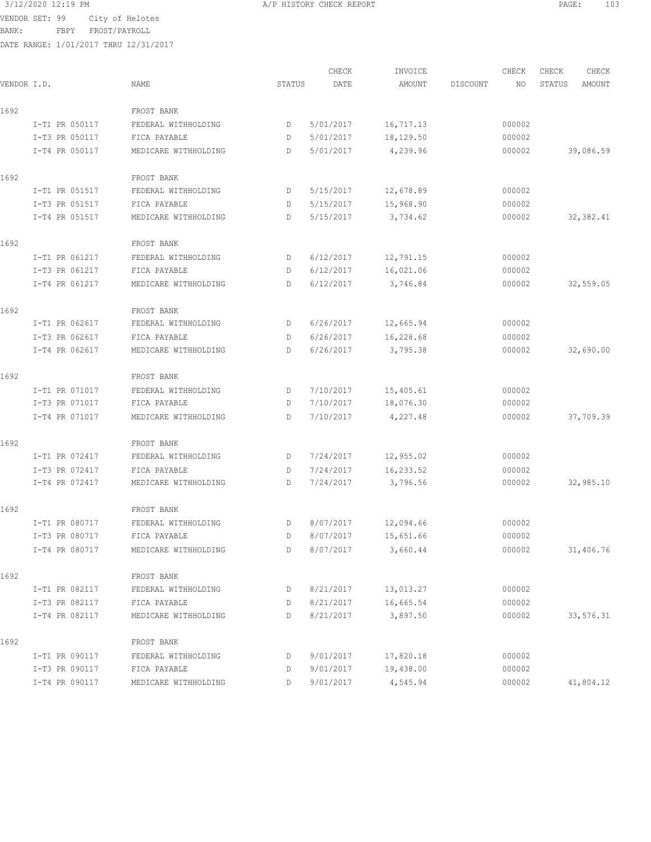VENDOR SET: 99 City of Helotes

3/12/2020 12:19 PM **A/P HISTORY CHECK REPORT PAGE:** 103

BANK: FBPY FROST/PAYROLL

| VENDOR I.D. |                | NAME                 | STATUS | CHECK<br>DATE | INVOICE<br>AMOUNT | DISCOUNT | CHECK<br>NO | CHECK<br>STATUS | CHECK<br>AMOUNT |
|-------------|----------------|----------------------|--------|---------------|-------------------|----------|-------------|-----------------|-----------------|
|             |                |                      |        |               |                   |          |             |                 |                 |
| 1692        |                | FROST BANK           |        |               |                   |          |             |                 |                 |
|             | I-T1 PR 050117 | FEDERAL WITHHOLDING  | D      | 5/01/2017     | 16,717.13         |          | 000002      |                 |                 |
|             | I-T3 PR 050117 | FICA PAYABLE         | D      | 5/01/2017     | 18,129.50         |          | 000002      |                 |                 |
|             | I-T4 PR 050117 | MEDICARE WITHHOLDING | D      | 5/01/2017     | 4,239.96          |          | 000002      |                 | 39,086.59       |
| 1692        |                | FROST BANK           |        |               |                   |          |             |                 |                 |
|             | I-T1 PR 051517 | FEDERAL WITHHOLDING  | D      | 5/15/2017     | 12,678.89         |          | 000002      |                 |                 |
|             | I-T3 PR 051517 | FICA PAYABLE         | D      | 5/15/2017     | 15,968.90         |          | 000002      |                 |                 |
|             | I-T4 PR 051517 | MEDICARE WITHHOLDING | D      | 5/15/2017     | 3,734.62          |          | 000002      |                 | 32,382.41       |
| 1692        |                | FROST BANK           |        |               |                   |          |             |                 |                 |
|             | I-T1 PR 061217 | FEDERAL WITHHOLDING  | D      | 6/12/2017     | 12,791.15         |          | 000002      |                 |                 |
|             | I-T3 PR 061217 | FICA PAYABLE         | D      | 6/12/2017     | 16,021.06         |          | 000002      |                 |                 |
|             | I-T4 PR 061217 | MEDICARE WITHHOLDING | D      | 6/12/2017     | 3,746.84          |          | 000002      |                 | 32,559.05       |
| 1692        |                | FROST BANK           |        |               |                   |          |             |                 |                 |
|             | I-T1 PR 062617 | FEDERAL WITHHOLDING  | D      | 6/26/2017     | 12,665.94         |          | 000002      |                 |                 |
|             | I-T3 PR 062617 | FICA PAYABLE         | D      | 6/26/2017     | 16,228.68         |          | 000002      |                 |                 |
|             | I-T4 PR 062617 | MEDICARE WITHHOLDING | D      | 6/26/2017     | 3,795.38          |          | 000002      |                 | 32,690.00       |
| 1692        |                | FROST BANK           |        |               |                   |          |             |                 |                 |
|             | I-T1 PR 071017 | FEDERAL WITHHOLDING  | D      | 7/10/2017     | 15,405.61         |          | 000002      |                 |                 |
|             | I-T3 PR 071017 | FICA PAYABLE         | D      | 7/10/2017     | 18,076.30         |          | 000002      |                 |                 |
|             | I-T4 PR 071017 | MEDICARE WITHHOLDING | D      | 7/10/2017     | 4,227.48          |          | 000002      |                 | 37,709.39       |
| 1692        |                | FROST BANK           |        |               |                   |          |             |                 |                 |
|             | I-T1 PR 072417 | FEDERAL WITHHOLDING  | D      | 7/24/2017     | 12,955.02         |          | 000002      |                 |                 |
|             | I-T3 PR 072417 | FICA PAYABLE         | D      | 7/24/2017     | 16,233.52         |          | 000002      |                 |                 |
|             | I-T4 PR 072417 | MEDICARE WITHHOLDING | D      | 7/24/2017     | 3,796.56          |          | 000002      |                 | 32,985.10       |
| 1692        |                | FROST BANK           |        |               |                   |          |             |                 |                 |
|             | I-T1 PR 080717 | FEDERAL WITHHOLDING  | D      | 8/07/2017     | 12,094.66         |          | 000002      |                 |                 |
|             | I-T3 PR 080717 | FICA PAYABLE         | D      | 8/07/2017     | 15,651.66         |          | 000002      |                 |                 |
|             | I-T4 PR 080717 | MEDICARE WITHHOLDING | D      | 8/07/2017     | 3,660.44          |          | 000002      |                 | 31,406.76       |
| 1692        |                | FROST BANK           |        |               |                   |          |             |                 |                 |
|             | I-T1 PR 082117 | FEDERAL WITHHOLDING  | D      | 8/21/2017     | 13,013.27         |          | 000002      |                 |                 |
|             | I-T3 PR 082117 | FICA PAYABLE         | D      | 8/21/2017     | 16,665.54         |          | 000002      |                 |                 |
|             | I-T4 PR 082117 | MEDICARE WITHHOLDING | D      | 8/21/2017     | 3,897.50          |          | 000002      |                 | 33,576.31       |
| 1692        |                | FROST BANK           |        |               |                   |          |             |                 |                 |
|             | I-T1 PR 090117 | FEDERAL WITHHOLDING  | D      | 9/01/2017     | 17,820.18         |          | 000002      |                 |                 |
|             | I-T3 PR 090117 | FICA PAYABLE         | D      | 9/01/2017     | 19,438.00         |          | 000002      |                 |                 |
|             | I-T4 PR 090117 | MEDICARE WITHHOLDING | D      | 9/01/2017     | 4,545.94          |          | 000002      |                 | 41,804.12       |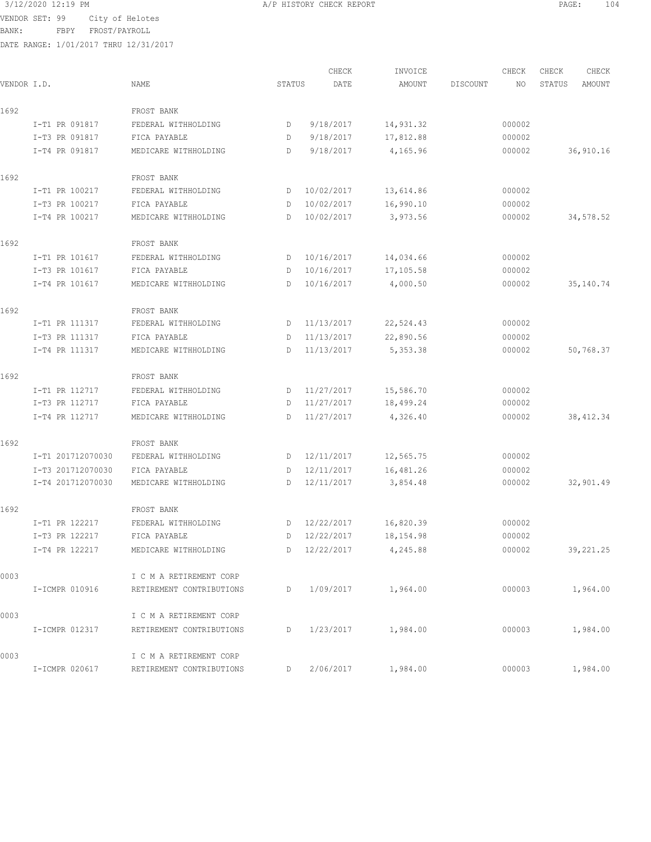VENDOR SET: 99 City of Helotes

BANK: FBPY FROST/PAYROLL

|             |                   |                          |        | CHECK        | INVOICE   |          | CHECK  | CHECK  | CHECK      |
|-------------|-------------------|--------------------------|--------|--------------|-----------|----------|--------|--------|------------|
| VENDOR I.D. |                   | NAME                     | STATUS | DATE         | AMOUNT    | DISCOUNT | NO     | STATUS | AMOUNT     |
| 1692        |                   | FROST BANK               |        |              |           |          |        |        |            |
|             | I-T1 PR 091817    | FEDERAL WITHHOLDING      | D      | 9/18/2017    | 14,931.32 |          | 000002 |        |            |
|             | I-T3 PR 091817    | FICA PAYABLE             | D      | 9/18/2017    | 17,812.88 |          | 000002 |        |            |
|             | I-T4 PR 091817    | MEDICARE WITHHOLDING     | D      | 9/18/2017    | 4,165.96  |          | 000002 |        | 36,910.16  |
| 1692        |                   | FROST BANK               |        |              |           |          |        |        |            |
|             | I-T1 PR 100217    | FEDERAL WITHHOLDING      | D      | 10/02/2017   | 13,614.86 |          | 000002 |        |            |
|             | I-T3 PR 100217    | FICA PAYABLE             | D      | 10/02/2017   | 16,990.10 |          | 000002 |        |            |
|             | I-T4 PR 100217    | MEDICARE WITHHOLDING     | D      | 10/02/2017   | 3,973.56  |          | 000002 |        | 34,578.52  |
| 1692        |                   | FROST BANK               |        |              |           |          |        |        |            |
|             | I-T1 PR 101617    | FEDERAL WITHHOLDING      | D      | 10/16/2017   | 14,034.66 |          | 000002 |        |            |
|             | I-T3 PR 101617    | FICA PAYABLE             | D      | 10/16/2017   | 17,105.58 |          | 000002 |        |            |
|             | I-T4 PR 101617    | MEDICARE WITHHOLDING     | D      | 10/16/2017   | 4,000.50  |          | 000002 |        | 35,140.74  |
| 1692        |                   | FROST BANK               |        |              |           |          |        |        |            |
|             | I-T1 PR 111317    | FEDERAL WITHHOLDING      | D      | 11/13/2017   | 22,524.43 |          | 000002 |        |            |
|             | I-T3 PR 111317    | FICA PAYABLE             | D      | 11/13/2017   | 22,890.56 |          | 000002 |        |            |
|             | I-T4 PR 111317    | MEDICARE WITHHOLDING     | D      | 11/13/2017   | 5,353.38  |          | 000002 |        | 50,768.37  |
| 1692        |                   | FROST BANK               |        |              |           |          |        |        |            |
|             | I-T1 PR 112717    | FEDERAL WITHHOLDING      | D      | 11/27/2017   | 15,586.70 |          | 000002 |        |            |
|             | I-T3 PR 112717    | FICA PAYABLE             | D      | 11/27/2017   | 18,499.24 |          | 000002 |        |            |
|             | I-T4 PR 112717    | MEDICARE WITHHOLDING     | D      | 11/27/2017   | 4,326.40  |          | 000002 |        | 38, 412.34 |
| 1692        |                   | FROST BANK               |        |              |           |          |        |        |            |
|             | I-T1 201712070030 | FEDERAL WITHHOLDING      | D      | 12/11/2017   | 12,565.75 |          | 000002 |        |            |
|             | I-T3 201712070030 | FICA PAYABLE             | D      | 12/11/2017   | 16,481.26 |          | 000002 |        |            |
|             | I-T4 201712070030 | MEDICARE WITHHOLDING     | D      | 12/11/2017   | 3,854.48  |          | 000002 |        | 32,901.49  |
| 1692        |                   | FROST BANK               |        |              |           |          |        |        |            |
|             | I-T1 PR 122217    | FEDERAL WITHHOLDING      | D      | 12/22/2017   | 16,820.39 |          | 000002 |        |            |
|             | I-T3 PR 122217    | FICA PAYABLE             |        | D 12/22/2017 | 18,154.98 |          | 000002 |        |            |
|             | I-T4 PR 122217    | MEDICARE WITHHOLDING     |        | D 12/22/2017 | 4,245.88  |          | 000002 |        | 39,221.25  |
| 0003        |                   | I C M A RETIREMENT CORP  |        |              |           |          |        |        |            |
|             | I-ICMPR 010916    | RETIREMENT CONTRIBUTIONS | D      | 1/09/2017    | 1,964.00  |          | 000003 |        | 1,964.00   |
| 0003        |                   | I C M A RETIREMENT CORP  |        |              |           |          |        |        |            |
|             | I-ICMPR 012317    | RETIREMENT CONTRIBUTIONS | D      | 1/23/2017    | 1,984.00  |          | 000003 |        | 1,984.00   |
| 0003        |                   | I C M A RETIREMENT CORP  |        |              |           |          |        |        |            |
|             | I-ICMPR 020617    | RETIREMENT CONTRIBUTIONS | D      | 2/06/2017    | 1,984.00  |          | 000003 |        | 1,984.00   |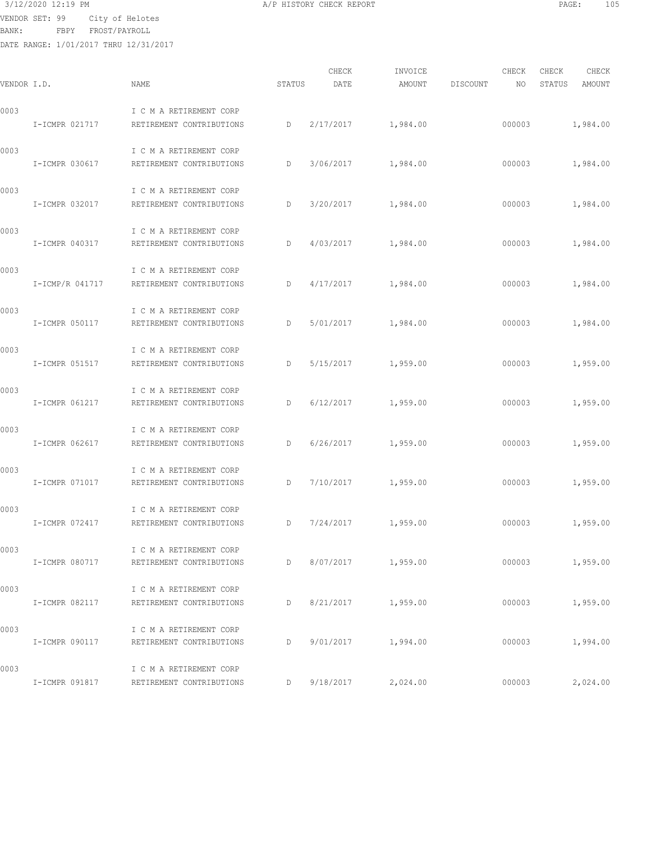VENDOR SET: 99 City of Helotes

BANK: FBPY FROST/PAYROLL

| VENDOR I.D. |                 | NAME                                                               | STATUS | CHECK<br>DATE | INVOICE<br>AMOUNT      | DISCOUNT | CHECK<br>NO. | CHECK<br>STATUS | CHECK<br>AMOUNT |
|-------------|-----------------|--------------------------------------------------------------------|--------|---------------|------------------------|----------|--------------|-----------------|-----------------|
| 0003        | I-ICMPR 021717  | I C M A RETIREMENT CORP<br>RETIREMENT CONTRIBUTIONS                | D      |               | 2/17/2017 1,984.00     |          | 000003       |                 | 1,984.00        |
| 0003        | I-ICMPR 030617  | I C M A RETIREMENT CORP<br>RETIREMENT CONTRIBUTIONS                | D      |               | 3/06/2017 1,984.00     |          | 000003       |                 | 1,984.00        |
| 0003        | I-ICMPR 032017  | I C M A RETIREMENT CORP<br>RETIREMENT CONTRIBUTIONS                | D      | 3/20/2017     | 1,984.00               |          | 000003       |                 | 1,984.00        |
| 0003        | I-ICMPR 040317  | I C M A RETIREMENT CORP<br>RETIREMENT CONTRIBUTIONS                | D      | 4/03/2017     | 1,984.00               |          | 000003       |                 | 1,984.00        |
| 0003        | I-ICMP/R 041717 | I C M A RETIREMENT CORP<br>RETIREMENT CONTRIBUTIONS                | D      | 4/17/2017     | 1,984.00               |          | 000003       |                 | 1,984.00        |
| 0003        | I-ICMPR 050117  | I C M A RETIREMENT CORP<br>RETIREMENT CONTRIBUTIONS                | D      | 5/01/2017     | 1,984.00               |          | 000003       |                 | 1,984.00        |
| 0003        | I-ICMPR 051517  | I C M A RETIREMENT CORP<br>RETIREMENT CONTRIBUTIONS                | D      | 5/15/2017     | 1,959.00               |          | 000003       |                 | 1,959.00        |
| 0003        | I-ICMPR 061217  | I C M A RETIREMENT CORP<br>RETIREMENT CONTRIBUTIONS                | D      | 6/12/2017     | 1,959.00               |          | 000003       |                 | 1,959.00        |
| 0003        | I-ICMPR 062617  | I C M A RETIREMENT CORP<br>RETIREMENT CONTRIBUTIONS                | D      | 6/26/2017     | 1,959.00               |          | 000003       |                 | 1,959.00        |
| 0003        | I-ICMPR 071017  | I C M A RETIREMENT CORP<br>RETIREMENT CONTRIBUTIONS                | D      |               | $7/10/2017$ 1,959.00   |          | 000003       |                 | 1,959.00        |
| 0003        | I-ICMPR 072417  | I C M A RETIREMENT CORP<br>RETIREMENT CONTRIBUTIONS                | D      | 7/24/2017     | 1,959.00               |          | 000003       |                 | 1,959.00        |
| 0003        |                 | I C M A RETIREMENT CORP<br>I-ICMPR 080717 RETIREMENT CONTRIBUTIONS | D      |               | 8/07/2017 1,959.00     |          | 000003       |                 | 1,959.00        |
| 0003        |                 | I C M A RETIREMENT CORP<br>I-ICMPR 082117 RETIREMENT CONTRIBUTIONS | D      |               | 8/21/2017 1,959.00     |          | 000003       |                 | 1,959.00        |
| 0003        |                 | I C M A RETIREMENT CORP<br>I-ICMPR 090117 RETIREMENT CONTRIBUTIONS | D      |               | 9/01/2017 1,994.00     |          | 000003       |                 | 1,994.00        |
| 0003        |                 | I C M A RETIREMENT CORP<br>I-ICMPR 091817 RETIREMENT CONTRIBUTIONS |        |               | $D$ 9/18/2017 2,024.00 |          | 000003       |                 | 2,024.00        |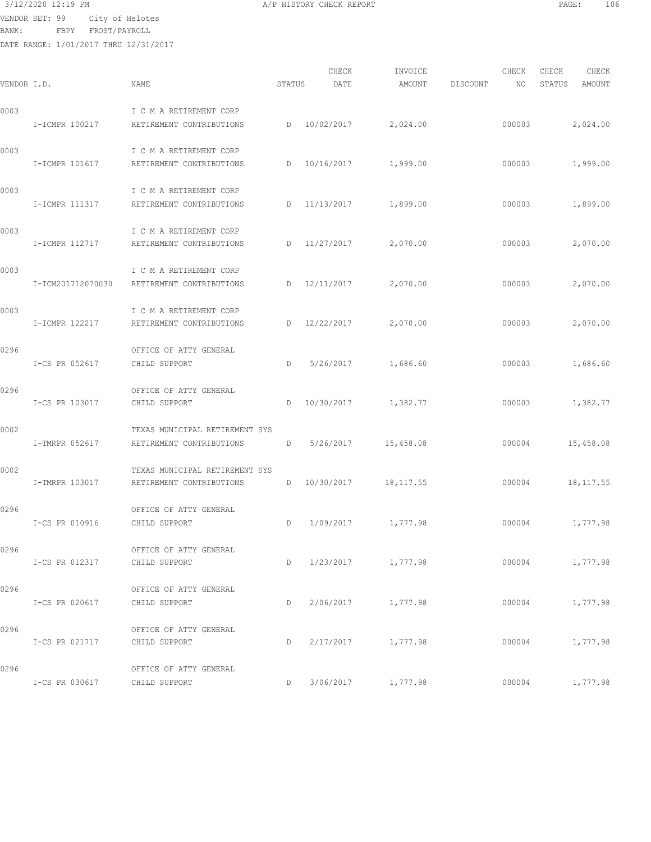VENDOR SET: 99 City of Helotes

BANK: FBPY FROST/PAYROLL

| VENDOR I.D. |                              | NAME                                                       | STATUS | CHECK<br>DATE | INVOICE<br>AMOUNT     | DISCOUNT | CHECK<br>NO | CHECK<br>STATUS | CHECK<br>AMOUNT |
|-------------|------------------------------|------------------------------------------------------------|--------|---------------|-----------------------|----------|-------------|-----------------|-----------------|
| 0003        | I-ICMPR 100217               | I C M A RETIREMENT CORP<br>RETIREMENT CONTRIBUTIONS        |        |               | D 10/02/2017 2,024.00 |          | 000003      |                 | 2,024.00        |
| 0003        | I-ICMPR 101617               | I C M A RETIREMENT CORP<br>RETIREMENT CONTRIBUTIONS        |        |               | D 10/16/2017 1,999.00 |          | 000003      |                 | 1,999.00        |
| 0003        | I-ICMPR 111317               | I C M A RETIREMENT CORP<br>RETIREMENT CONTRIBUTIONS        | D      |               | 11/13/2017 1,899.00   |          | 000003      |                 | 1,899.00        |
| 0003        | I-ICMPR 112717               | I C M A RETIREMENT CORP<br>RETIREMENT CONTRIBUTIONS        | D      | 11/27/2017    | 2,070.00              |          | 000003      |                 | 2,070.00        |
| 0003        | I-ICM201712070030            | I C M A RETIREMENT CORP<br>RETIREMENT CONTRIBUTIONS        |        | D 12/11/2017  | 2,070.00              |          | 000003      |                 | 2,070.00        |
| 0003        | I-ICMPR 122217               | I C M A RETIREMENT CORP<br>RETIREMENT CONTRIBUTIONS        |        | D 12/22/2017  | 2,070.00              |          | 000003      |                 | 2,070.00        |
| 0296        | I-CS PR 052617               | OFFICE OF ATTY GENERAL<br>CHILD SUPPORT                    | D      | 5/26/2017     | 1,686.60              |          | 000003      |                 | 1,686.60        |
| 0296        | I-CS PR 103017               | OFFICE OF ATTY GENERAL<br>CHILD SUPPORT                    | D      |               | 10/30/2017 1,382.77   |          | 000003      |                 | 1,382.77        |
| 0002        | I-TMRPR 052617               | TEXAS MUNICIPAL RETIREMENT SYS<br>RETIREMENT CONTRIBUTIONS | D      |               | $5/26/2017$ 15,458.08 |          | 000004      |                 | 15,458.08       |
| 0002        | I-TMRPR 103017               | TEXAS MUNICIPAL RETIREMENT SYS<br>RETIREMENT CONTRIBUTIONS | D      |               | 10/30/2017 18,117.55  |          | 000004      |                 | 18,117.55       |
| 0296        | I-CS PR 010916               | OFFICE OF ATTY GENERAL<br>CHILD SUPPORT                    | D      |               | 1/09/2017 1,777.98    |          | 000004      |                 | 1,777.98        |
| 0296        | I-CS PR 012317 CHILD SUPPORT | OFFICE OF ATTY GENERAL                                     |        |               | D 1/23/2017 1,777.98  |          | 000004      |                 | 1,777.98        |
| 0296        | I-CS PR 020617 CHILD SUPPORT | OFFICE OF ATTY GENERAL                                     |        |               | D 2/06/2017 1,777.98  |          | 000004      |                 | 1,777.98        |
| 0296        | I-CS PR 021717 CHILD SUPPORT | OFFICE OF ATTY GENERAL                                     |        |               | D 2/17/2017 1,777.98  |          |             | 000004 1,777.98 |                 |
| 0296        | I-CS PR 030617 CHILD SUPPORT | OFFICE OF ATTY GENERAL                                     |        |               | D 3/06/2017 1,777.98  |          | 000004      |                 | 1,777.98        |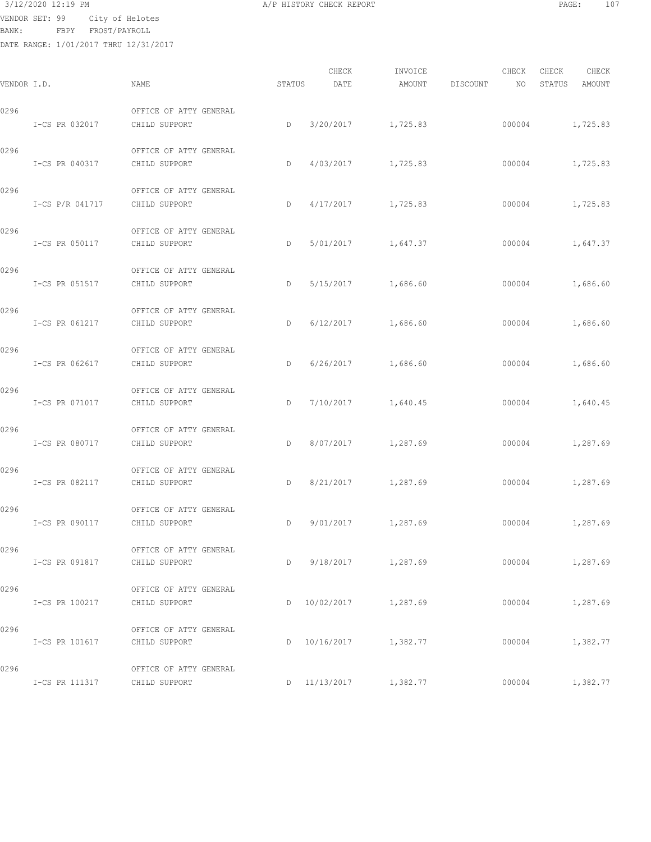VENDOR SET: 99 City of Helotes

BANK: FBPY FROST/PAYROLL

| VENDOR I.D. |                              | NAME                                                         | STATUS | CHECK<br>DATE | INVOICE<br>AMOUNT     | DISCOUNT | CHECK<br>NO <sub>1</sub> | CHECK<br>STATUS | CHECK<br>AMOUNT |
|-------------|------------------------------|--------------------------------------------------------------|--------|---------------|-----------------------|----------|--------------------------|-----------------|-----------------|
| 0296        | I-CS PR 032017               | OFFICE OF ATTY GENERAL<br>CHILD SUPPORT                      | D      |               | 3/20/2017 1,725.83    |          |                          | 000004 1,725.83 |                 |
| 0296        | I-CS PR 040317               | OFFICE OF ATTY GENERAL<br>CHILD SUPPORT                      | D      |               | 4/03/2017 1,725.83    |          | 000004                   |                 | 1,725.83        |
| 0296        | I-CS P/R 041717              | OFFICE OF ATTY GENERAL<br>CHILD SUPPORT                      | D      |               | $4/17/2017$ 1,725.83  |          | 000004                   |                 | 1,725.83        |
| 0296        | I-CS PR 050117               | OFFICE OF ATTY GENERAL<br>CHILD SUPPORT                      | D      |               | 5/01/2017 1,647.37    |          | 000004                   |                 | 1,647.37        |
| 0296        | I-CS PR 051517               | OFFICE OF ATTY GENERAL<br>CHILD SUPPORT                      | D      |               | 5/15/2017 1,686.60    |          |                          | 000004 1,686.60 |                 |
| 0296        | I-CS PR 061217               | OFFICE OF ATTY GENERAL<br>CHILD SUPPORT                      | D      |               | $6/12/2017$ 1,686.60  |          | 000004                   | 1,686.60        |                 |
| 0296        | I-CS PR 062617               | OFFICE OF ATTY GENERAL<br>CHILD SUPPORT                      | D      |               | $6/26/2017$ 1,686.60  |          | 000004                   |                 | 1,686.60        |
| 0296        | I-CS PR 071017               | OFFICE OF ATTY GENERAL<br>CHILD SUPPORT                      | D      |               | 7/10/2017 1,640.45    |          | 000004                   |                 | 1,640.45        |
| 0296        | I-CS PR 080717               | OFFICE OF ATTY GENERAL<br>CHILD SUPPORT                      | D      |               | 8/07/2017 1,287.69    |          | 000004                   |                 | 1,287.69        |
| 0296        | I-CS PR 082117               | OFFICE OF ATTY GENERAL<br>CHILD SUPPORT                      | D      |               | 8/21/2017 1,287.69    |          | 000004                   |                 | 1,287.69        |
| 0296        | I-CS PR 090117               | OFFICE OF ATTY GENERAL<br>CHILD SUPPORT<br><b>Example 20</b> |        |               | 9/01/2017 1,287.69    |          | 000004                   |                 | 1,287.69        |
| 0296        | I-CS PR 091817               | OFFICE OF ATTY GENERAL<br>CHILD SUPPORT                      | D      |               | 9/18/2017 1,287.69    |          |                          | 000004          | 1,287.69        |
| 0296        | I-CS PR 100217               | OFFICE OF ATTY GENERAL<br>CHILD SUPPORT                      |        |               | D 10/02/2017 1,287.69 |          | 000004                   |                 | 1,287.69        |
| 0296        | I-CS PR 101617 CHILD SUPPORT | OFFICE OF ATTY GENERAL                                       |        |               | D 10/16/2017 1,382.77 |          | 000004                   |                 | 1,382.77        |
| 0296        | I-CS PR 111317               | OFFICE OF ATTY GENERAL<br>CHILD SUPPORT                      |        | D 11/13/2017  | 1,382.77              |          | 000004                   |                 | 1,382.77        |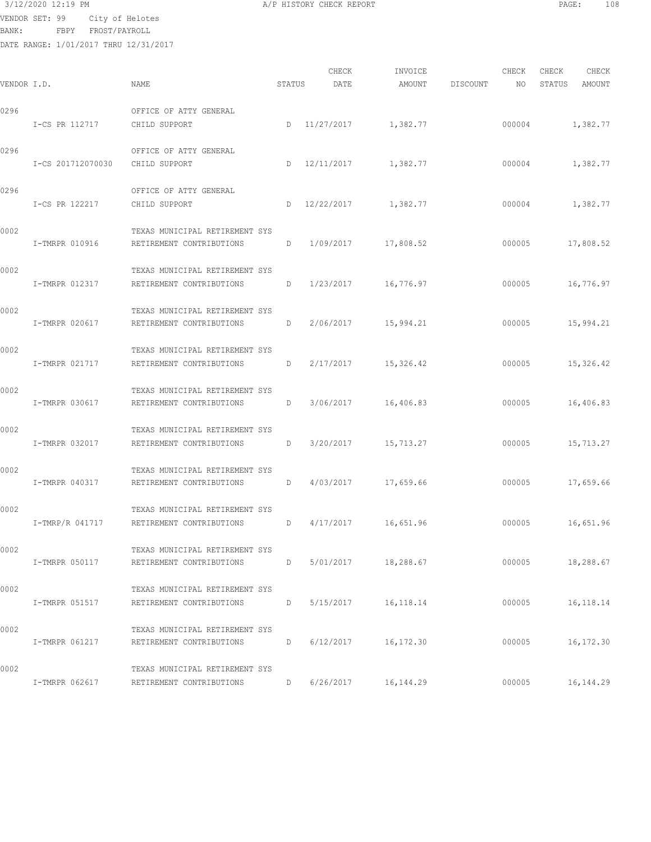VENDOR SET: 99 City of Helotes

BANK: FBPY FROST/PAYROLL

| 3/12/2020 12:19 PM | CHECK REPORT<br>HISTORY<br>CHECK REPORT<br>11/ L | 100<br>PAGE<br>TAQ |
|--------------------|--------------------------------------------------|--------------------|
|                    |                                                  |                    |

| VENDOR I.D. |                   | NAME                                                       | STATUS | CHECK<br>DATE | INVOICE<br>AMOUNT | DISCOUNT | CHECK<br>NO | CHECK<br>STATUS | CHECK<br>AMOUNT |
|-------------|-------------------|------------------------------------------------------------|--------|---------------|-------------------|----------|-------------|-----------------|-----------------|
| 0296        | I-CS PR 112717    | OFFICE OF ATTY GENERAL<br>CHILD SUPPORT                    | D      | 11/27/2017    | 1,382.77          |          | 000004      | 1,382.77        |                 |
| 0296        | I-CS 201712070030 | OFFICE OF ATTY GENERAL<br>CHILD SUPPORT                    | D      | 12/11/2017    | 1,382.77          |          | 000004      | 1,382.77        |                 |
| 0296        | I-CS PR 122217    | OFFICE OF ATTY GENERAL<br>CHILD SUPPORT                    | D      | 12/22/2017    | 1,382.77          |          | 000004      | 1,382.77        |                 |
| 0002        | I-TMRPR 010916    | TEXAS MUNICIPAL RETIREMENT SYS<br>RETIREMENT CONTRIBUTIONS | D      | 1/09/2017     | 17,808.52         |          | 000005      | 17,808.52       |                 |
| 0002        | I-TMRPR 012317    | TEXAS MUNICIPAL RETIREMENT SYS<br>RETIREMENT CONTRIBUTIONS | D      | 1/23/2017     | 16,776.97         |          | 000005      | 16,776.97       |                 |
| 0002        | I-TMRPR 020617    | TEXAS MUNICIPAL RETIREMENT SYS<br>RETIREMENT CONTRIBUTIONS | D      | 2/06/2017     | 15,994.21         |          | 000005      | 15,994.21       |                 |
| 0002        | I-TMRPR 021717    | TEXAS MUNICIPAL RETIREMENT SYS<br>RETIREMENT CONTRIBUTIONS | D      | 2/17/2017     | 15,326.42         |          | 000005      | 15,326.42       |                 |
| 0002        | I-TMRPR 030617    | TEXAS MUNICIPAL RETIREMENT SYS<br>RETIREMENT CONTRIBUTIONS | D      | 3/06/2017     | 16,406.83         |          | 000005      | 16,406.83       |                 |
| 0002        | I-TMRPR 032017    | TEXAS MUNICIPAL RETIREMENT SYS<br>RETIREMENT CONTRIBUTIONS | D      | 3/20/2017     | 15,713.27         |          | 000005      | 15,713.27       |                 |
| 0002        | I-TMRPR 040317    | TEXAS MUNICIPAL RETIREMENT SYS<br>RETIREMENT CONTRIBUTIONS | D      | 4/03/2017     | 17,659.66         |          | 000005      | 17,659.66       |                 |
| 0002        | I-TMRP/R 041717   | TEXAS MUNICIPAL RETIREMENT SYS<br>RETIREMENT CONTRIBUTIONS | D      | 4/17/2017     | 16,651.96         |          | 000005      | 16,651.96       |                 |
| 0002        | I-TMRPR 050117    | TEXAS MUNICIPAL RETIREMENT SYS<br>RETIREMENT CONTRIBUTIONS | D      | 5/01/2017     | 18,288.67         |          | 000005      | 18,288.67       |                 |
| 0002        | I-TMRPR 051517    | TEXAS MUNICIPAL RETIREMENT SYS<br>RETIREMENT CONTRIBUTIONS | D      | 5/15/2017     | 16, 118. 14       |          | 000005      | 16, 118. 14     |                 |
| 0002        | I-TMRPR 061217    | TEXAS MUNICIPAL RETIREMENT SYS<br>RETIREMENT CONTRIBUTIONS | D      | 6/12/2017     | 16, 172.30        |          | 000005      | 16, 172.30      |                 |
| 0002        | I-TMRPR 062617    | TEXAS MUNICIPAL RETIREMENT SYS<br>RETIREMENT CONTRIBUTIONS | D      | 6/26/2017     | 16,144.29         |          | 000005      | 16, 144.29      |                 |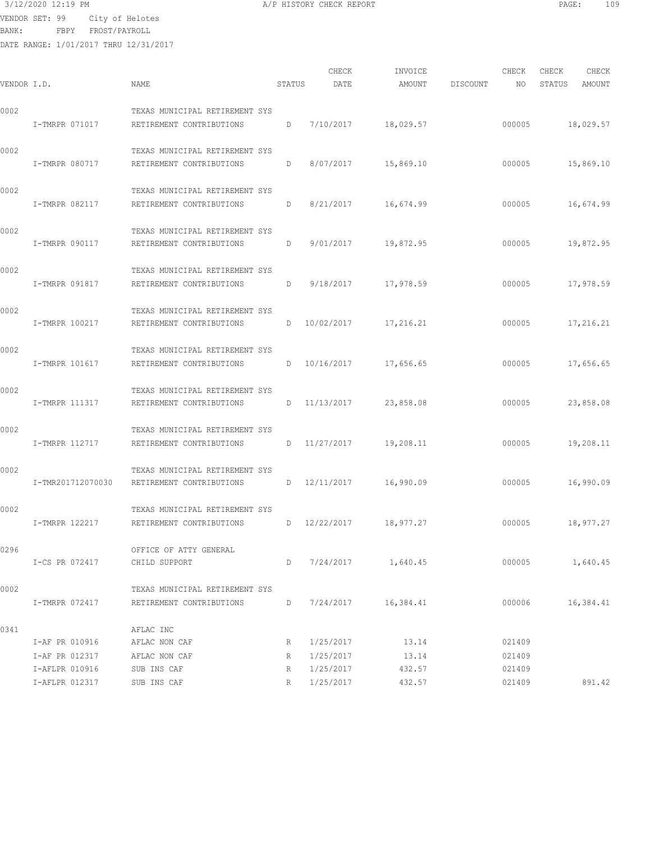VENDOR SET: 99 City of Helotes

BANK: FBPY FROST/PAYROLL

| VENDOR I.D. |                   | NAME                                                       | STATUS | CHECK<br>DATE | INVOICE<br>AMOUNT | DISCOUNT | CHECK<br>NO. | CHECK<br>CHECK<br>STATUS<br>AMOUNT |
|-------------|-------------------|------------------------------------------------------------|--------|---------------|-------------------|----------|--------------|------------------------------------|
| 0002        |                   | TEXAS MUNICIPAL RETIREMENT SYS                             |        |               |                   |          |              |                                    |
|             | I-TMRPR 071017    | RETIREMENT CONTRIBUTIONS                                   | D      | 7/10/2017     | 18,029.57         |          | 000005       | 18,029.57                          |
| 0002        | I-TMRPR 080717    | TEXAS MUNICIPAL RETIREMENT SYS<br>RETIREMENT CONTRIBUTIONS | D      | 8/07/2017     | 15,869.10         |          | 000005       | 15,869.10                          |
| 0002        | I-TMRPR 082117    | TEXAS MUNICIPAL RETIREMENT SYS<br>RETIREMENT CONTRIBUTIONS | D      | 8/21/2017     | 16,674.99         |          | 000005       | 16,674.99                          |
| 0002        | I-TMRPR 090117    | TEXAS MUNICIPAL RETIREMENT SYS<br>RETIREMENT CONTRIBUTIONS | D      | 9/01/2017     | 19,872.95         |          | 000005       | 19,872.95                          |
| 0002        | I-TMRPR 091817    | TEXAS MUNICIPAL RETIREMENT SYS<br>RETIREMENT CONTRIBUTIONS | D      | 9/18/2017     | 17,978.59         |          | 000005       | 17,978.59                          |
| 0002        | I-TMRPR 100217    | TEXAS MUNICIPAL RETIREMENT SYS<br>RETIREMENT CONTRIBUTIONS | D      | 10/02/2017    | 17,216.21         |          | 000005       | 17,216.21                          |
| 0002        | I-TMRPR 101617    | TEXAS MUNICIPAL RETIREMENT SYS<br>RETIREMENT CONTRIBUTIONS | D      | 10/16/2017    | 17,656.65         |          | 000005       | 17,656.65                          |
| 0002        | I-TMRPR 111317    | TEXAS MUNICIPAL RETIREMENT SYS<br>RETIREMENT CONTRIBUTIONS | D      | 11/13/2017    | 23,858.08         |          | 000005       | 23,858.08                          |
| 0002        | I-TMRPR 112717    | TEXAS MUNICIPAL RETIREMENT SYS<br>RETIREMENT CONTRIBUTIONS | D      | 11/27/2017    | 19,208.11         |          | 000005       | 19,208.11                          |
| 0002        | I-TMR201712070030 | TEXAS MUNICIPAL RETIREMENT SYS<br>RETIREMENT CONTRIBUTIONS | D      | 12/11/2017    | 16,990.09         |          | 000005       | 16,990.09                          |
| 0002        | I-TMRPR 122217    | TEXAS MUNICIPAL RETIREMENT SYS<br>RETIREMENT CONTRIBUTIONS | D      | 12/22/2017    | 18,977.27         |          | 000005       | 18,977.27                          |
| 0296        | I-CS PR 072417    | OFFICE OF ATTY GENERAL<br>CHILD SUPPORT                    | D      | 7/24/2017     | 1,640.45          |          | 000005       | 1,640.45                           |
| 0002        | I-TMRPR 072417    | TEXAS MUNICIPAL RETIREMENT SYS<br>RETIREMENT CONTRIBUTIONS | D      | 7/24/2017     | 16,384.41         |          | 000006       | 16,384.41                          |
| 0341        | I-AF PR 010916    | AFLAC INC<br>AFLAC NON CAF                                 |        | 1/25/2017     | 13.14             |          | 021409       |                                    |
|             | I-AF PR 012317    | AFLAC NON CAF                                              | R<br>R | 1/25/2017     | 13.14             |          | 021409       |                                    |
|             | I-AFLPR 010916    | SUB INS CAF                                                | R      | 1/25/2017     | 432.57            |          | 021409       |                                    |
|             | I-AFLPR 012317    | SUB INS CAF                                                | R      | 1/25/2017     | 432.57            |          | 021409       | 891.42                             |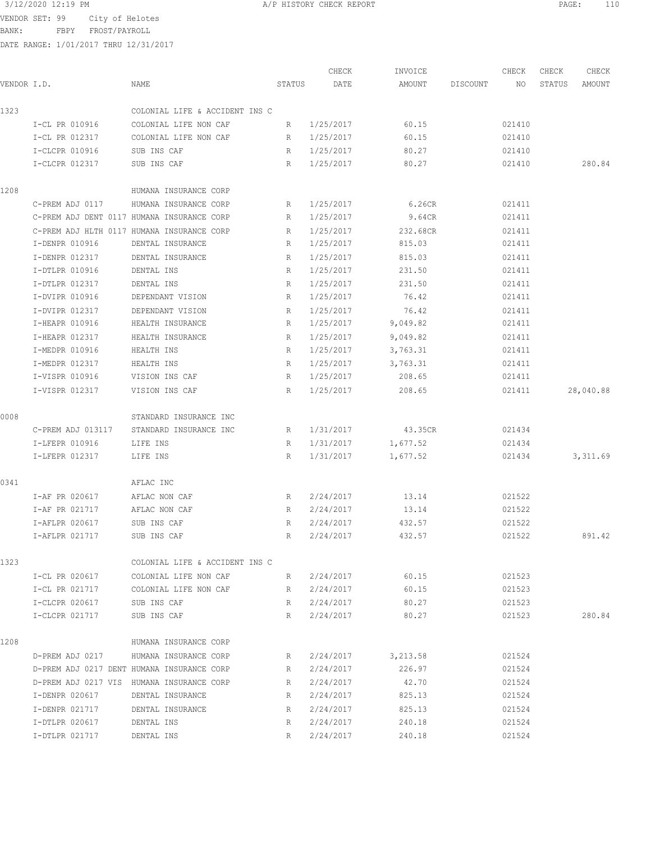VENDOR SET: 99 City of Helotes

BANK: FBPY FROST/PAYROLL

|             |                   |                                            |             | CHECK       | INVOICE  |          | CHECK  | CHECK  | CHECK     |
|-------------|-------------------|--------------------------------------------|-------------|-------------|----------|----------|--------|--------|-----------|
| VENDOR I.D. |                   | NAME                                       | STATUS      | DATE        | AMOUNT   | DISCOUNT | NO     | STATUS | AMOUNT    |
| 1323        |                   | COLONIAL LIFE & ACCIDENT INS C             |             |             |          |          |        |        |           |
|             | I-CL PR 010916    | COLONIAL LIFE NON CAF                      | R           | 1/25/2017   | 60.15    |          | 021410 |        |           |
|             | I-CL PR 012317    | COLONIAL LIFE NON CAF                      | R           | 1/25/2017   | 60.15    |          | 021410 |        |           |
|             | I-CLCPR 010916    | SUB INS CAF                                | R           | 1/25/2017   | 80.27    |          | 021410 |        |           |
|             | I-CLCPR 012317    | SUB INS CAF                                | R           | 1/25/2017   | 80.27    |          | 021410 |        | 280.84    |
| 1208        |                   | HUMANA INSURANCE CORP                      |             |             |          |          |        |        |           |
|             | C-PREM ADJ 0117   | HUMANA INSURANCE CORP                      | R           | 1/25/2017   | 6.26CR   |          | 021411 |        |           |
|             |                   | C-PREM ADJ DENT 0117 HUMANA INSURANCE CORP | R           | 1/25/2017   | 9.64CR   |          | 021411 |        |           |
|             |                   | C-PREM ADJ HLTH 0117 HUMANA INSURANCE CORP | R           | 1/25/2017   | 232.68CR |          | 021411 |        |           |
|             | I-DENPR 010916    | DENTAL INSURANCE                           | R           | 1/25/2017   | 815.03   |          | 021411 |        |           |
|             | I-DENPR 012317    | DENTAL INSURANCE                           | R           | 1/25/2017   | 815.03   |          | 021411 |        |           |
|             | I-DTLPR 010916    | DENTAL INS                                 | R           | 1/25/2017   | 231.50   |          | 021411 |        |           |
|             | I-DTLPR 012317    | DENTAL INS                                 | R           | 1/25/2017   | 231.50   |          | 021411 |        |           |
|             | I-DVIPR 010916    | DEPENDANT VISION                           | R           | 1/25/2017   | 76.42    |          | 021411 |        |           |
|             | I-DVIPR 012317    | DEPENDANT VISION                           | R           | 1/25/2017   | 76.42    |          | 021411 |        |           |
|             | I-HEAPR 010916    | HEALTH INSURANCE                           | R           | 1/25/2017   | 9,049.82 |          | 021411 |        |           |
|             | I-HEAPR 012317    | HEALTH INSURANCE                           | R           | 1/25/2017   | 9,049.82 |          | 021411 |        |           |
|             | I-MEDPR 010916    | HEALTH INS                                 | R           | 1/25/2017   | 3,763.31 |          | 021411 |        |           |
|             | I-MEDPR 012317    | HEALTH INS                                 | R           | 1/25/2017   | 3,763.31 |          | 021411 |        |           |
|             | I-VISPR 010916    | VISION INS CAF                             | R           | 1/25/2017   | 208.65   |          | 021411 |        |           |
|             | I-VISPR 012317    | VISION INS CAF                             | R           | 1/25/2017   | 208.65   |          | 021411 |        | 28,040.88 |
| 0008        |                   | STANDARD INSURANCE INC                     |             |             |          |          |        |        |           |
|             | C-PREM ADJ 013117 | STANDARD INSURANCE INC                     | R           | 1/31/2017   | 43.35CR  |          | 021434 |        |           |
|             | I-LFEPR 010916    | LIFE INS                                   | R           | 1/31/2017   | 1,677.52 |          | 021434 |        |           |
|             | I-LFEPR 012317    | LIFE INS                                   | R           | 1/31/2017   | 1,677.52 |          | 021434 |        | 3,311.69  |
| 0341        |                   | AFLAC INC                                  |             |             |          |          |        |        |           |
|             | I-AF PR 020617    | AFLAC NON CAF                              | R           | 2/24/2017   | 13.14    |          | 021522 |        |           |
|             | I-AF PR 021717    | AFLAC NON CAF                              | R           | 2/24/2017   | 13.14    |          | 021522 |        |           |
|             | I-AFLPR 020617    | SUB INS CAF                                | R           | 2/24/2017   | 432.57   |          | 021522 |        |           |
|             | I-AFLPR 021717    | SUB INS CAF                                |             | R 2/24/2017 | 432.57   |          | 021522 |        | 891.42    |
| 1323        |                   | COLONIAL LIFE & ACCIDENT INS C             |             |             |          |          |        |        |           |
|             | I-CL PR 020617    | COLONIAL LIFE NON CAF                      | $R_{\odot}$ | 2/24/2017   | 60.15    |          | 021523 |        |           |
|             | I-CL PR 021717    | COLONIAL LIFE NON CAF                      | R           | 2/24/2017   | 60.15    |          | 021523 |        |           |
|             | I-CLCPR 020617    | SUB INS CAF                                | R           | 2/24/2017   | 80.27    |          | 021523 |        |           |
|             | I-CLCPR 021717    | SUB INS CAF                                | R           | 2/24/2017   | 80.27    |          | 021523 |        | 280.84    |
| 1208        |                   | HUMANA INSURANCE CORP                      |             |             |          |          |        |        |           |
|             | D-PREM ADJ 0217   | HUMANA INSURANCE CORP                      | $R_{\perp}$ | 2/24/2017   | 3,213.58 |          | 021524 |        |           |
|             |                   | D-PREM ADJ 0217 DENT HUMANA INSURANCE CORP | R           | 2/24/2017   | 226.97   |          | 021524 |        |           |
|             |                   | D-PREM ADJ 0217 VIS HUMANA INSURANCE CORP  | R           | 2/24/2017   | 42.70    |          | 021524 |        |           |
|             | I-DENPR 020617    | DENTAL INSURANCE                           | R           | 2/24/2017   | 825.13   |          | 021524 |        |           |
|             | I-DENPR 021717    | DENTAL INSURANCE                           | R           | 2/24/2017   | 825.13   |          | 021524 |        |           |
|             | I-DTLPR 020617    | DENTAL INS                                 | R           | 2/24/2017   | 240.18   |          | 021524 |        |           |
|             | I-DTLPR 021717    | DENTAL INS                                 | R           | 2/24/2017   | 240.18   |          | 021524 |        |           |
|             |                   |                                            |             |             |          |          |        |        |           |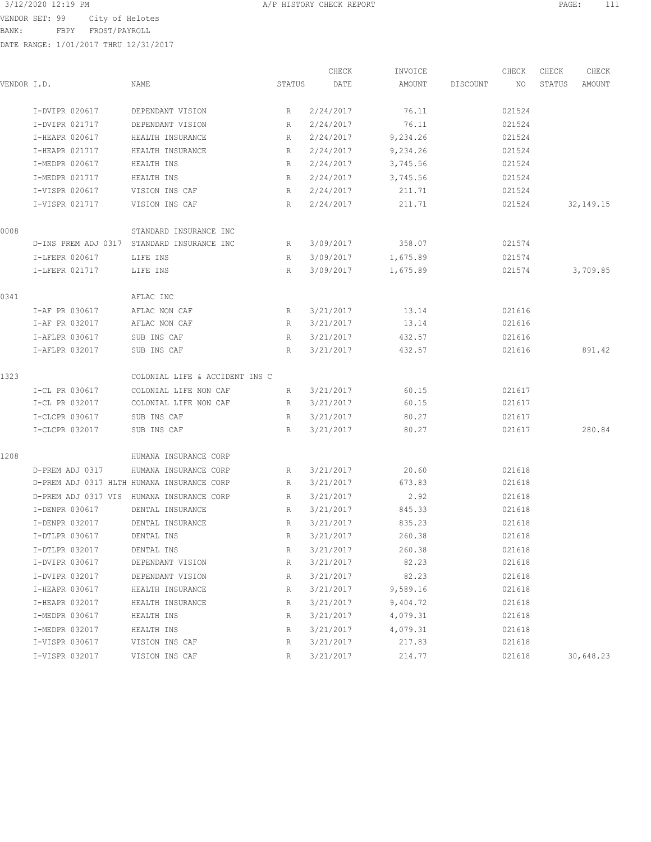BANK: FBPY FROST/PAYROLL

|             |                 |                                            |        | CHECK     | INVOICE  |          | CHECK  | CHECK  | CHECK       |
|-------------|-----------------|--------------------------------------------|--------|-----------|----------|----------|--------|--------|-------------|
| VENDOR I.D. |                 | NAME                                       | STATUS | DATE      | AMOUNT   | DISCOUNT | NO     | STATUS | AMOUNT      |
|             | I-DVIPR 020617  | DEPENDANT VISION                           | R      | 2/24/2017 | 76.11    |          | 021524 |        |             |
|             | I-DVIPR 021717  | DEPENDANT VISION                           | R      | 2/24/2017 | 76.11    |          | 021524 |        |             |
|             | I-HEAPR 020617  | HEALTH INSURANCE                           | R      | 2/24/2017 | 9,234.26 |          | 021524 |        |             |
|             | I-HEAPR 021717  | HEALTH INSURANCE                           | R      | 2/24/2017 | 9,234.26 |          | 021524 |        |             |
|             | I-MEDPR 020617  | HEALTH INS                                 | R      | 2/24/2017 | 3,745.56 |          | 021524 |        |             |
|             | I-MEDPR 021717  | HEALTH INS                                 | R      | 2/24/2017 | 3,745.56 |          | 021524 |        |             |
|             | I-VISPR 020617  | VISION INS CAF                             | R      | 2/24/2017 | 211.71   |          | 021524 |        |             |
|             | I-VISPR 021717  | VISION INS CAF                             | R      | 2/24/2017 | 211.71   |          | 021524 |        | 32, 149. 15 |
| 0008        |                 | STANDARD INSURANCE INC                     |        |           |          |          |        |        |             |
|             |                 | D-INS PREM ADJ 0317 STANDARD INSURANCE INC | R      | 3/09/2017 | 358.07   |          | 021574 |        |             |
|             | I-LFEPR 020617  | LIFE INS                                   | R      | 3/09/2017 | 1,675.89 |          | 021574 |        |             |
|             | I-LFEPR 021717  | LIFE INS                                   | R      | 3/09/2017 | 1,675.89 |          | 021574 |        | 3,709.85    |
| 0341        |                 | AFLAC INC                                  |        |           |          |          |        |        |             |
|             | I-AF PR 030617  | AFLAC NON CAF                              | R      | 3/21/2017 | 13.14    |          | 021616 |        |             |
|             | I-AF PR 032017  | AFLAC NON CAF                              | R      | 3/21/2017 | 13.14    |          | 021616 |        |             |
|             | I-AFLPR 030617  | SUB INS CAF                                | R      | 3/21/2017 | 432.57   |          | 021616 |        |             |
|             | I-AFLPR 032017  | SUB INS CAF                                | R      | 3/21/2017 | 432.57   |          | 021616 |        | 891.42      |
| 1323        |                 | COLONIAL LIFE & ACCIDENT INS C             |        |           |          |          |        |        |             |
|             | I-CL PR 030617  | COLONIAL LIFE NON CAF                      | R      | 3/21/2017 | 60.15    |          | 021617 |        |             |
|             | I-CL PR 032017  | COLONIAL LIFE NON CAF                      | R      | 3/21/2017 | 60.15    |          | 021617 |        |             |
|             | I-CLCPR 030617  | SUB INS CAF                                | R      | 3/21/2017 | 80.27    |          | 021617 |        |             |
|             | I-CLCPR 032017  | SUB INS CAF                                | R      | 3/21/2017 | 80.27    |          | 021617 |        | 280.84      |
| 1208        |                 | HUMANA INSURANCE CORP                      |        |           |          |          |        |        |             |
|             | D-PREM ADJ 0317 | HUMANA INSURANCE CORP                      | R      | 3/21/2017 | 20.60    |          | 021618 |        |             |
|             |                 | D-PREM ADJ 0317 HLTH HUMANA INSURANCE CORP | R      | 3/21/2017 | 673.83   |          | 021618 |        |             |
|             |                 | D-PREM ADJ 0317 VIS HUMANA INSURANCE CORP  | R      | 3/21/2017 | 2.92     |          | 021618 |        |             |
|             | I-DENPR 030617  | DENTAL INSURANCE                           | R      | 3/21/2017 | 845.33   |          | 021618 |        |             |
|             | I-DENPR 032017  | DENTAL INSURANCE                           | R      | 3/21/2017 | 835.23   |          | 021618 |        |             |
|             | I-DTLPR 030617  | DENTAL INS                                 | R      | 3/21/2017 | 260.38   |          | 021618 |        |             |
|             | I-DTLPR 032017  | DENTAL INS                                 | R      | 3/21/2017 | 260.38   |          | 021618 |        |             |
|             | I-DVIPR 030617  | DEPENDANT VISION                           | R      | 3/21/2017 | 82.23    |          | 021618 |        |             |
|             | I-DVIPR 032017  | DEPENDANT VISION                           | R      | 3/21/2017 | 82.23    |          | 021618 |        |             |
|             | I-HEAPR 030617  | HEALTH INSURANCE                           | R      | 3/21/2017 | 9,589.16 |          | 021618 |        |             |
|             | I-HEAPR 032017  | HEALTH INSURANCE                           | R      | 3/21/2017 | 9,404.72 |          | 021618 |        |             |
|             | I-MEDPR 030617  | HEALTH INS                                 | R      | 3/21/2017 | 4,079.31 |          | 021618 |        |             |
|             | I-MEDPR 032017  | HEALTH INS                                 | R      | 3/21/2017 | 4,079.31 |          | 021618 |        |             |
|             | I-VISPR 030617  | VISION INS CAF                             | R      | 3/21/2017 | 217.83   |          | 021618 |        |             |
|             | I-VISPR 032017  | VISION INS CAF                             | R      | 3/21/2017 | 214.77   |          | 021618 |        | 30,648.23   |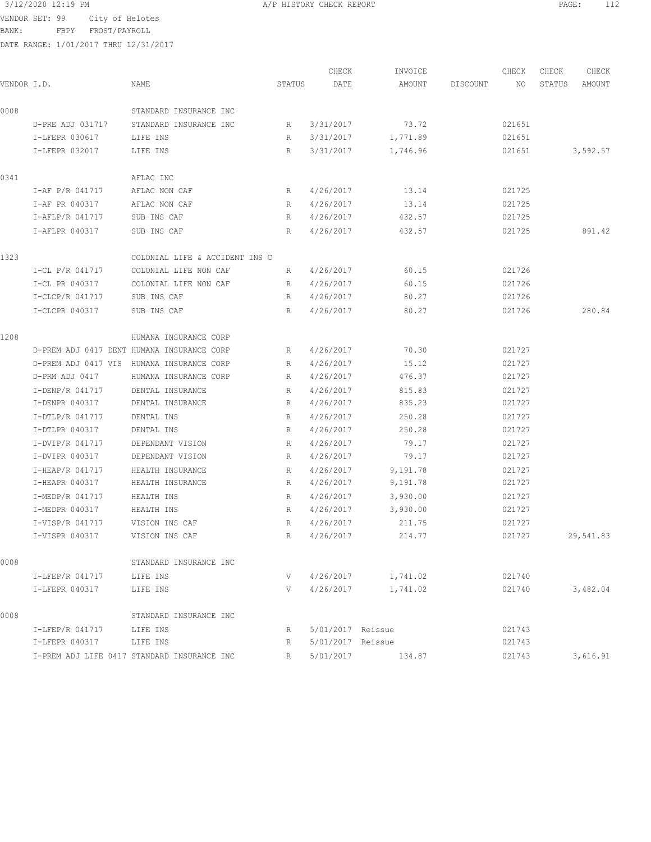VENDOR SET: 99 City of Helotes

BANK: FBPY FROST/PAYROLL

| VENDOR I.D. |                          | NAME                                        | STATUS | CHECK<br>DATE     | INVOICE<br>AMOUNT  | DISCOUNT | CHECK<br>NO | CHECK<br>STATUS | CHECK<br>AMOUNT |
|-------------|--------------------------|---------------------------------------------|--------|-------------------|--------------------|----------|-------------|-----------------|-----------------|
| 0008        |                          | STANDARD INSURANCE INC                      |        |                   |                    |          |             |                 |                 |
|             | D-PRE ADJ 031717         | STANDARD INSURANCE INC                      | R      | 3/31/2017         | 73.72              |          | 021651      |                 |                 |
|             | I-LFEPR 030617           | LIFE INS                                    | R      | 3/31/2017         | 1,771.89           |          | 021651      |                 |                 |
|             | I-LFEPR 032017           | LIFE INS                                    | R      | 3/31/2017         | 1,746.96           |          | 021651      |                 | 3,592.57        |
| 0341        |                          | AFLAC INC                                   |        |                   |                    |          |             |                 |                 |
|             | I-AF P/R 041717          | AFLAC NON CAF                               | R      | 4/26/2017         | 13.14              |          | 021725      |                 |                 |
|             | I-AF PR 040317           | AFLAC NON CAF                               | R      | 4/26/2017         | 13.14              |          | 021725      |                 |                 |
|             | I-AFLP/R 041717          | SUB INS CAF                                 | R      | 4/26/2017         | 432.57             |          | 021725      |                 |                 |
|             | I-AFLPR 040317           | SUB INS CAF                                 | R      | 4/26/2017         | 432.57             |          | 021725      |                 | 891.42          |
| 1323        |                          | COLONIAL LIFE & ACCIDENT INS C              |        |                   |                    |          |             |                 |                 |
|             | I-CL P/R 041717          | COLONIAL LIFE NON CAF                       | R      | 4/26/2017         | 60.15              |          | 021726      |                 |                 |
|             | I-CL PR 040317           | COLONIAL LIFE NON CAF                       | R      | 4/26/2017         | 60.15              |          | 021726      |                 |                 |
|             | I-CLCP/R 041717          | SUB INS CAF                                 | R      | 4/26/2017         | 80.27              |          | 021726      |                 |                 |
|             | I-CLCPR 040317           | SUB INS CAF                                 | R      | 4/26/2017         | 80.27              |          | 021726      |                 | 280.84          |
| 1208        |                          | HUMANA INSURANCE CORP                       |        |                   |                    |          |             |                 |                 |
|             |                          | D-PREM ADJ 0417 DENT HUMANA INSURANCE CORP  | R      | 4/26/2017         | 70.30              |          | 021727      |                 |                 |
|             |                          | D-PREM ADJ 0417 VIS HUMANA INSURANCE CORP   | R      | 4/26/2017         | 15.12              |          | 021727      |                 |                 |
|             | D-PRM ADJ 0417           | HUMANA INSURANCE CORP                       | R      | 4/26/2017         | 476.37             |          | 021727      |                 |                 |
|             | I-DENP/R 041717          | DENTAL INSURANCE                            | R      | 4/26/2017         | 815.83             |          | 021727      |                 |                 |
|             | I-DENPR 040317           | DENTAL INSURANCE                            | R      | 4/26/2017         | 835.23             |          | 021727      |                 |                 |
|             | I-DTLP/R 041717          | DENTAL INS                                  | R      | 4/26/2017         | 250.28             |          | 021727      |                 |                 |
|             | I-DTLPR 040317           | DENTAL INS                                  | R      | 4/26/2017         | 250.28             |          | 021727      |                 |                 |
|             | I-DVIP/R 041717          | DEPENDANT VISION                            | R      | 4/26/2017         | 79.17              |          | 021727      |                 |                 |
|             | I-DVIPR 040317           | DEPENDANT VISION                            | R      | 4/26/2017         | 79.17              |          | 021727      |                 |                 |
|             | I-HEAP/R 041717          | HEALTH INSURANCE                            | R      | 4/26/2017         | 9,191.78           |          | 021727      |                 |                 |
|             | I-HEAPR 040317           | HEALTH INSURANCE                            | R      | 4/26/2017         | 9,191.78           |          | 021727      |                 |                 |
|             | I-MEDP/R 041717          | HEALTH INS                                  | R      | 4/26/2017         | 3,930.00           |          | 021727      |                 |                 |
|             | I-MEDPR 040317           | HEALTH INS                                  | R      | 4/26/2017         | 3,930.00           |          | 021727      |                 |                 |
|             | I-VISP/R 041717          | VISION INS CAF                              | R      | 4/26/2017         | 211.75             |          | 021727      |                 |                 |
|             | I-VISPR 040317           | VISION INS CAF                              | R      | 4/26/2017         | 214.77             |          | 021727      |                 | 29,541.83       |
| 0008        |                          | STANDARD INSURANCE INC                      |        |                   |                    |          |             |                 |                 |
|             | I-LFEP/R 041717 LIFE INS |                                             | V      |                   | 4/26/2017 1,741.02 |          | 021740      |                 |                 |
|             | I-LFEPR 040317 LIFE INS  |                                             | V —    |                   | 4/26/2017 1,741.02 |          | 021740      |                 | 3,482.04        |
| 0008        |                          | STANDARD INSURANCE INC                      |        |                   |                    |          |             |                 |                 |
|             | I-LFEP/R 041717 LIFE INS |                                             | R      | 5/01/2017 Reissue |                    |          | 021743      |                 |                 |
|             | I-LFEPR 040317 LIFE INS  |                                             | R      | 5/01/2017 Reissue |                    |          | 021743      |                 |                 |
|             |                          | I-PREM ADJ LIFE 0417 STANDARD INSURANCE INC | R      |                   | 5/01/2017 134.87   |          | 021743      |                 | 3,616.91        |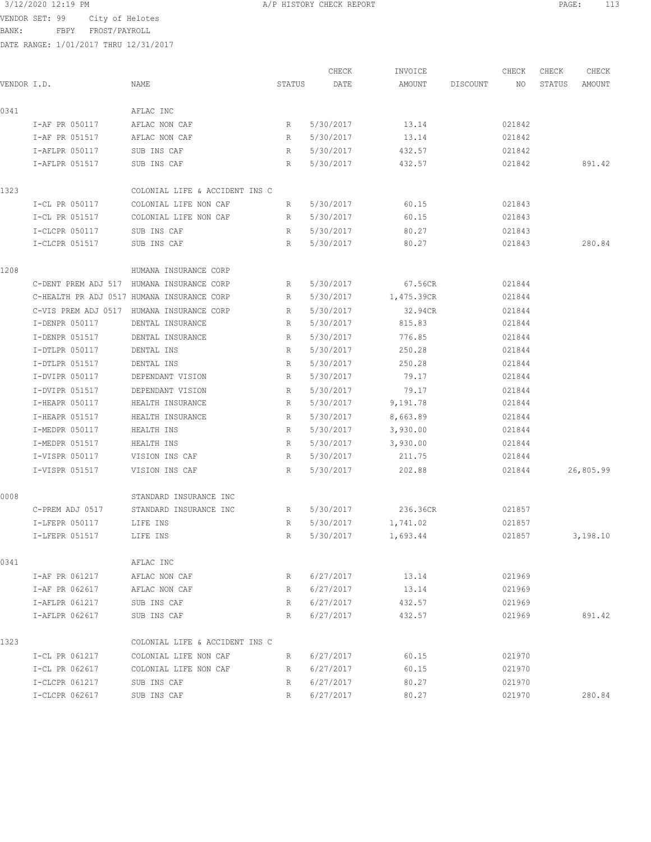3/12/2020 12:19 PM **A/P HISTORY CHECK REPORT PAGE:** 113

BANK: FBPY FROST/PAYROLL

|             |                 |                                            |             | CHECK     | INVOICE    |          | CHECK  | CHECK  | CHECK     |
|-------------|-----------------|--------------------------------------------|-------------|-----------|------------|----------|--------|--------|-----------|
| VENDOR I.D. |                 | NAME                                       | STATUS      | DATE      | AMOUNT     | DISCOUNT | NO     | STATUS | AMOUNT    |
| 0341        |                 | AFLAC INC                                  |             |           |            |          |        |        |           |
|             | I-AF PR 050117  | AFLAC NON CAF                              | $R_{\odot}$ | 5/30/2017 | 13.14      |          | 021842 |        |           |
|             | I-AF PR 051517  | AFLAC NON CAF                              | R           | 5/30/2017 | 13.14      |          | 021842 |        |           |
|             | I-AFLPR 050117  | SUB INS CAF                                | R           | 5/30/2017 | 432.57     |          | 021842 |        |           |
|             | I-AFLPR 051517  | SUB INS CAF                                | R           | 5/30/2017 | 432.57     |          | 021842 |        | 891.42    |
| 1323        |                 | COLONIAL LIFE & ACCIDENT INS C             |             |           |            |          |        |        |           |
|             | I-CL PR 050117  | COLONIAL LIFE NON CAF                      | R           | 5/30/2017 | 60.15      |          | 021843 |        |           |
|             | I-CL PR 051517  | COLONIAL LIFE NON CAF                      | R           | 5/30/2017 | 60.15      |          | 021843 |        |           |
|             | I-CLCPR 050117  | SUB INS CAF                                | R           | 5/30/2017 | 80.27      |          | 021843 |        |           |
|             | I-CLCPR 051517  | SUB INS CAF                                | R           | 5/30/2017 | 80.27      |          | 021843 |        | 280.84    |
| 1208        |                 | HUMANA INSURANCE CORP                      |             |           |            |          |        |        |           |
|             |                 | C-DENT PREM ADJ 517 HUMANA INSURANCE CORP  | R           | 5/30/2017 | 67.56CR    |          | 021844 |        |           |
|             |                 | C-HEALTH PR ADJ 0517 HUMANA INSURANCE CORP | R           | 5/30/2017 | 1,475.39CR |          | 021844 |        |           |
|             |                 | C-VIS PREM ADJ 0517 HUMANA INSURANCE CORP  | R           | 5/30/2017 | 32.94CR    |          | 021844 |        |           |
|             | I-DENPR 050117  | DENTAL INSURANCE                           | R           | 5/30/2017 | 815.83     |          | 021844 |        |           |
|             | I-DENPR 051517  | DENTAL INSURANCE                           | R           | 5/30/2017 | 776.85     |          | 021844 |        |           |
|             | I-DTLPR 050117  | DENTAL INS                                 | R           | 5/30/2017 | 250.28     |          | 021844 |        |           |
|             | I-DTLPR 051517  | DENTAL INS                                 | R           | 5/30/2017 | 250.28     |          | 021844 |        |           |
|             | I-DVIPR 050117  | DEPENDANT VISION                           | R           | 5/30/2017 | 79.17      |          | 021844 |        |           |
|             | I-DVIPR 051517  | DEPENDANT VISION                           | R           | 5/30/2017 | 79.17      |          | 021844 |        |           |
|             | I-HEAPR 050117  | HEALTH INSURANCE                           | R           | 5/30/2017 | 9,191.78   |          | 021844 |        |           |
|             | I-HEAPR 051517  | HEALTH INSURANCE                           | R           | 5/30/2017 | 8,663.89   |          | 021844 |        |           |
|             | I-MEDPR 050117  | HEALTH INS                                 | R           | 5/30/2017 | 3,930.00   |          | 021844 |        |           |
|             | I-MEDPR 051517  | HEALTH INS                                 | R           | 5/30/2017 | 3,930.00   |          | 021844 |        |           |
|             | I-VISPR 050117  | VISION INS CAF                             | R           | 5/30/2017 | 211.75     |          | 021844 |        |           |
|             | I-VISPR 051517  | VISION INS CAF                             | R           | 5/30/2017 | 202.88     |          | 021844 |        | 26,805.99 |
| 0008        |                 | STANDARD INSURANCE INC                     |             |           |            |          |        |        |           |
|             | C-PREM ADJ 0517 | STANDARD INSURANCE INC                     | R           | 5/30/2017 | 236.36CR   |          | 021857 |        |           |
|             | I-LFEPR 050117  | LIFE INS                                   | R           | 5/30/2017 | 1,741.02   |          | 021857 |        |           |
|             | I-LFEPR 051517  | LIFE INS                                   | R           | 5/30/2017 | 1,693.44   |          | 021857 |        | 3,198.10  |
| 0341        |                 | AFLAC INC                                  |             |           |            |          |        |        |           |
|             | I-AF PR 061217  | AFLAC NON CAF                              | R           | 6/27/2017 | 13.14      |          | 021969 |        |           |
|             | I-AF PR 062617  | AFLAC NON CAF                              | R           | 6/27/2017 | 13.14      |          | 021969 |        |           |
|             | I-AFLPR 061217  | SUB INS CAF                                | R           | 6/27/2017 | 432.57     |          | 021969 |        |           |
|             | I-AFLPR 062617  | SUB INS CAF                                | R           | 6/27/2017 | 432.57     |          | 021969 |        | 891.42    |
| 1323        |                 | COLONIAL LIFE & ACCIDENT INS C             |             |           |            |          |        |        |           |
|             | I-CL PR 061217  | COLONIAL LIFE NON CAF                      | R           | 6/27/2017 | 60.15      |          | 021970 |        |           |
|             | I-CL PR 062617  | COLONIAL LIFE NON CAF                      | R           | 6/27/2017 | 60.15      |          | 021970 |        |           |
|             | I-CLCPR 061217  | SUB INS CAF                                | R           | 6/27/2017 | 80.27      |          | 021970 |        |           |
|             | I-CLCPR 062617  | SUB INS CAF                                | R           | 6/27/2017 | 80.27      |          | 021970 |        | 280.84    |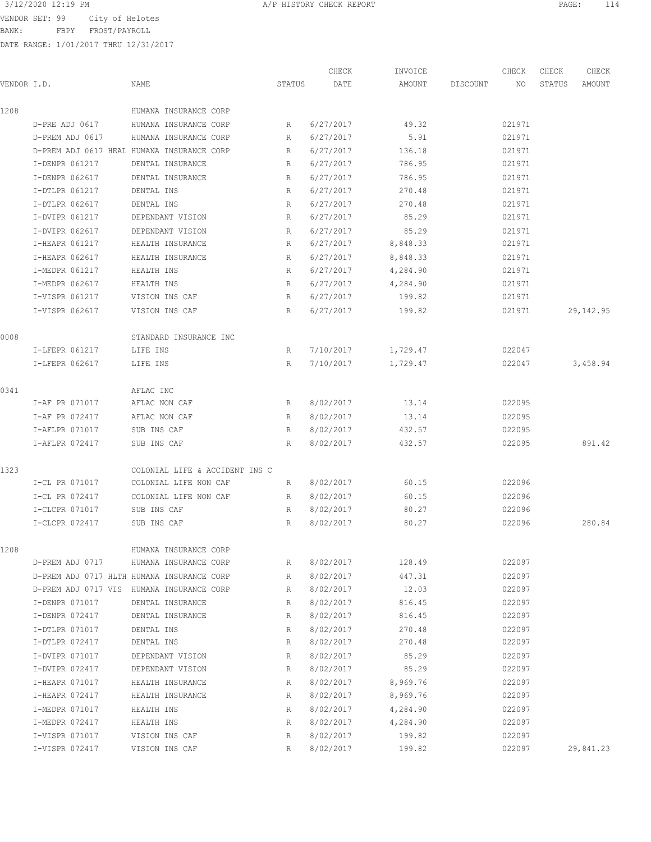VENDOR SET: 99 City of Helotes

BANK: FBPY FROST/PAYROLL

|             |                 |                                            |        | CHECK     | INVOICE  |          | CHECK  | CHECK  | CHECK      |
|-------------|-----------------|--------------------------------------------|--------|-----------|----------|----------|--------|--------|------------|
| VENDOR I.D. |                 | NAME                                       | STATUS | DATE      | AMOUNT   | DISCOUNT | NO.    | STATUS | AMOUNT     |
| 1208        |                 | HUMANA INSURANCE CORP                      |        |           |          |          |        |        |            |
|             | D-PRE ADJ 0617  | HUMANA INSURANCE CORP                      | R      | 6/27/2017 | 49.32    |          | 021971 |        |            |
|             | D-PREM ADJ 0617 | HUMANA INSURANCE CORP                      | R      | 6/27/2017 | 5.91     |          | 021971 |        |            |
|             |                 | D-PREM ADJ 0617 HEAL HUMANA INSURANCE CORP | R      | 6/27/2017 | 136.18   |          | 021971 |        |            |
|             | I-DENPR 061217  | DENTAL INSURANCE                           | R      | 6/27/2017 | 786.95   |          | 021971 |        |            |
|             | I-DENPR 062617  | DENTAL INSURANCE                           | R      | 6/27/2017 | 786.95   |          | 021971 |        |            |
|             | I-DTLPR 061217  | DENTAL INS                                 | R      | 6/27/2017 | 270.48   |          | 021971 |        |            |
|             | I-DTLPR 062617  | DENTAL INS                                 | R      | 6/27/2017 | 270.48   |          | 021971 |        |            |
|             | I-DVIPR 061217  | DEPENDANT VISION                           | R      | 6/27/2017 | 85.29    |          | 021971 |        |            |
|             | I-DVIPR 062617  | DEPENDANT VISION                           | R      | 6/27/2017 | 85.29    |          | 021971 |        |            |
|             | I-HEAPR 061217  | HEALTH INSURANCE                           | R      | 6/27/2017 | 8,848.33 |          | 021971 |        |            |
|             | I-HEAPR 062617  | HEALTH INSURANCE                           | R      | 6/27/2017 | 8,848.33 |          | 021971 |        |            |
|             | I-MEDPR 061217  | HEALTH INS                                 | R      | 6/27/2017 | 4,284.90 |          | 021971 |        |            |
|             | I-MEDPR 062617  | HEALTH INS                                 | R      | 6/27/2017 | 4,284.90 |          | 021971 |        |            |
|             | I-VISPR 061217  | VISION INS CAF                             | R      | 6/27/2017 | 199.82   |          | 021971 |        |            |
|             | I-VISPR 062617  | VISION INS CAF                             | R      | 6/27/2017 | 199.82   |          | 021971 |        | 29, 142.95 |
| 0008        |                 | STANDARD INSURANCE INC                     |        |           |          |          |        |        |            |
|             | I-LFEPR 061217  | LIFE INS                                   | R      | 7/10/2017 | 1,729.47 |          | 022047 |        |            |
|             | I-LFEPR 062617  | LIFE INS                                   | R      | 7/10/2017 | 1,729.47 |          | 022047 |        | 3,458.94   |
| 0341        |                 | AFLAC INC                                  |        |           |          |          |        |        |            |
|             | I-AF PR 071017  | AFLAC NON CAF                              | R      | 8/02/2017 | 13.14    |          | 022095 |        |            |
|             | I-AF PR 072417  | AFLAC NON CAF                              | R      | 8/02/2017 | 13.14    |          | 022095 |        |            |
|             | I-AFLPR 071017  | SUB INS CAF                                | R      | 8/02/2017 | 432.57   |          | 022095 |        |            |
|             | I-AFLPR 072417  | SUB INS CAF                                | R      | 8/02/2017 | 432.57   |          | 022095 |        | 891.42     |
| 1323        |                 | COLONIAL LIFE & ACCIDENT INS C             |        |           |          |          |        |        |            |
|             | I-CL PR 071017  | COLONIAL LIFE NON CAF                      | R      | 8/02/2017 | 60.15    |          | 022096 |        |            |
|             | I-CL PR 072417  | COLONIAL LIFE NON CAF                      | R      | 8/02/2017 | 60.15    |          | 022096 |        |            |
|             | I-CLCPR 071017  | SUB INS CAF                                | R      | 8/02/2017 | 80.27    |          | 022096 |        |            |
|             | I-CLCPR 072417  | SUB INS CAF                                | R      | 8/02/2017 | 80.27    |          | 022096 |        | 280.84     |
| 1208        |                 | HUMANA INSURANCE CORP                      |        |           |          |          |        |        |            |
|             | D-PREM ADJ 0717 | HUMANA INSURANCE CORP                      | R      | 8/02/2017 | 128.49   |          | 022097 |        |            |
|             |                 | D-PREM ADJ 0717 HLTH HUMANA INSURANCE CORP | R      | 8/02/2017 | 447.31   |          | 022097 |        |            |
|             |                 | D-PREM ADJ 0717 VIS HUMANA INSURANCE CORP  | R      | 8/02/2017 | 12.03    |          | 022097 |        |            |
|             | I-DENPR 071017  | DENTAL INSURANCE                           | R      | 8/02/2017 | 816.45   |          | 022097 |        |            |
|             | I-DENPR 072417  | DENTAL INSURANCE                           | R      | 8/02/2017 | 816.45   |          | 022097 |        |            |
|             | I-DTLPR 071017  | DENTAL INS                                 | R      | 8/02/2017 | 270.48   |          | 022097 |        |            |
|             | I-DTLPR 072417  | DENTAL INS                                 | R      | 8/02/2017 | 270.48   |          | 022097 |        |            |
|             | I-DVIPR 071017  | DEPENDANT VISION                           | R      | 8/02/2017 | 85.29    |          | 022097 |        |            |
|             | I-DVIPR 072417  | DEPENDANT VISION                           | R      | 8/02/2017 | 85.29    |          | 022097 |        |            |
|             | I-HEAPR 071017  | HEALTH INSURANCE                           | R      | 8/02/2017 | 8,969.76 |          | 022097 |        |            |
|             | I-HEAPR 072417  | HEALTH INSURANCE                           | R      | 8/02/2017 | 8,969.76 |          | 022097 |        |            |
|             | I-MEDPR 071017  | HEALTH INS                                 | R      | 8/02/2017 | 4,284.90 |          | 022097 |        |            |
|             | I-MEDPR 072417  | HEALTH INS                                 | R      | 8/02/2017 | 4,284.90 |          | 022097 |        |            |
|             | I-VISPR 071017  | VISION INS CAF                             | R      | 8/02/2017 | 199.82   |          | 022097 |        |            |
|             | I-VISPR 072417  | VISION INS CAF                             | R      | 8/02/2017 | 199.82   |          | 022097 |        | 29,841.23  |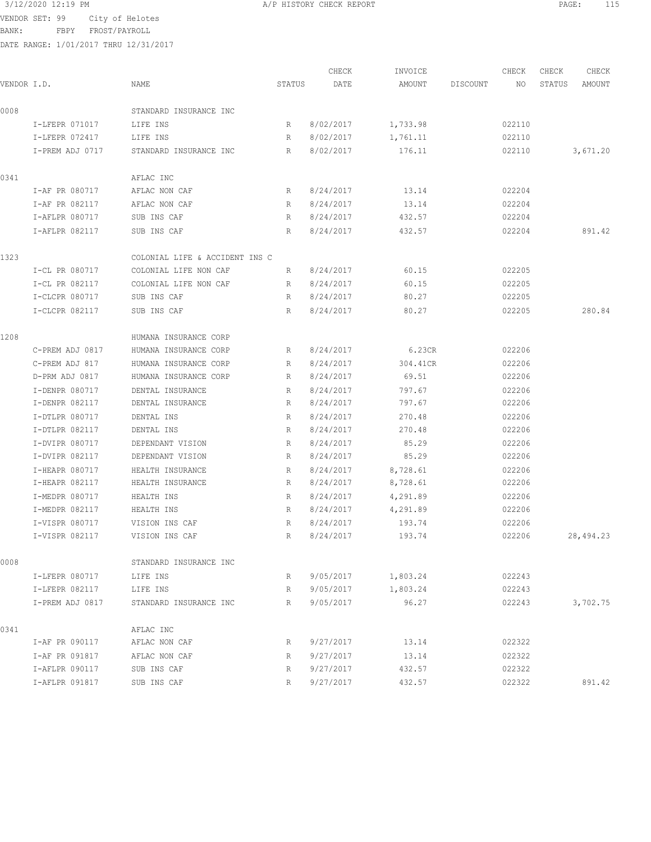BANK: FBPY FROST/PAYROLL

| VENDOR I.D. |                                  | NAME                           | STATUS      | CHECK<br>DATE          | INVOICE<br>AMOUNT    | DISCOUNT | CHECK<br>ΝO      | CHECK<br>STATUS | CHECK<br>AMOUNT |
|-------------|----------------------------------|--------------------------------|-------------|------------------------|----------------------|----------|------------------|-----------------|-----------------|
|             |                                  |                                |             |                        |                      |          |                  |                 |                 |
| 0008        |                                  | STANDARD INSURANCE INC         |             |                        |                      |          |                  |                 |                 |
|             | I-LFEPR 071017                   | LIFE INS                       | R           | 8/02/2017              | 1,733.98             |          | 022110           |                 |                 |
|             | I-LFEPR 072417                   | LIFE INS                       | R           | 8/02/2017              | 1,761.11             |          | 022110           |                 |                 |
|             | I-PREM ADJ 0717                  | STANDARD INSURANCE INC         | R           | 8/02/2017              | 176.11               |          | 022110           |                 | 3,671.20        |
| 0341        |                                  | AFLAC INC                      |             |                        |                      |          |                  |                 |                 |
|             | I-AF PR 080717                   | AFLAC NON CAF                  | R           | 8/24/2017              | 13.14                |          | 022204           |                 |                 |
|             | I-AF PR 082117                   | AFLAC NON CAF                  | R           | 8/24/2017              | 13.14                |          | 022204           |                 |                 |
|             | I-AFLPR 080717                   | SUB INS CAF                    | R           | 8/24/2017              | 432.57               |          | 022204           |                 |                 |
|             | I-AFLPR 082117                   | SUB INS CAF                    | R           | 8/24/2017              | 432.57               |          | 022204           |                 | 891.42          |
| 1323        |                                  | COLONIAL LIFE & ACCIDENT INS C |             |                        |                      |          |                  |                 |                 |
|             | I-CL PR 080717                   | COLONIAL LIFE NON CAF          | R           | 8/24/2017              | 60.15                |          | 022205           |                 |                 |
|             | I-CL PR 082117                   | COLONIAL LIFE NON CAF          | R           | 8/24/2017              | 60.15                |          | 022205           |                 |                 |
|             | I-CLCPR 080717                   | SUB INS CAF                    | R           | 8/24/2017              | 80.27                |          | 022205           |                 |                 |
|             | I-CLCPR 082117                   | SUB INS CAF                    | R           | 8/24/2017              | 80.27                |          | 022205           |                 | 280.84          |
| 1208        |                                  | HUMANA INSURANCE CORP          |             |                        |                      |          |                  |                 |                 |
|             | C-PREM ADJ 0817                  | HUMANA INSURANCE CORP          | R           | 8/24/2017              | 6.23CR               |          | 022206           |                 |                 |
|             | C-PREM ADJ 817                   | HUMANA INSURANCE CORP          | R           | 8/24/2017              | 304.41CR             |          | 022206           |                 |                 |
|             | D-PRM ADJ 0817                   | HUMANA INSURANCE CORP          | R           | 8/24/2017              | 69.51                |          | 022206           |                 |                 |
|             | I-DENPR 080717                   | DENTAL INSURANCE               | R           | 8/24/2017              | 797.67               |          | 022206           |                 |                 |
|             | I-DENPR 082117                   | DENTAL INSURANCE               | R           | 8/24/2017              | 797.67               |          | 022206           |                 |                 |
|             | I-DTLPR 080717                   | DENTAL INS                     | R           | 8/24/2017              | 270.48               |          | 022206           |                 |                 |
|             | I-DTLPR 082117                   | DENTAL INS                     | R           | 8/24/2017              | 270.48               |          | 022206           |                 |                 |
|             | I-DVIPR 080717                   | DEPENDANT VISION               | R           | 8/24/2017              | 85.29                |          | 022206           |                 |                 |
|             | I-DVIPR 082117                   | DEPENDANT VISION               | R           | 8/24/2017              | 85.29                |          | 022206           |                 |                 |
|             | I-HEAPR 080717                   | HEALTH INSURANCE               | R           | 8/24/2017              | 8,728.61             |          | 022206           |                 |                 |
|             | I-HEAPR 082117                   | HEALTH INSURANCE               | R           | 8/24/2017              | 8,728.61             |          | 022206           |                 |                 |
|             | I-MEDPR 080717<br>I-MEDPR 082117 | HEALTH INS<br>HEALTH INS       | R<br>R      | 8/24/2017<br>8/24/2017 | 4,291.89<br>4,291.89 |          | 022206<br>022206 |                 |                 |
|             | I-VISPR 080717                   | VISION INS CAF                 | R           | 8/24/2017              | 193.74               |          | 022206           |                 |                 |
|             | I-VISPR 082117                   | VISION INS CAF                 | $R_{\perp}$ | 8/24/2017              | 193.74               |          | 022206           |                 | 28, 494.23      |
| 0008        |                                  | STANDARD INSURANCE INC         |             |                        |                      |          |                  |                 |                 |
|             | I-LFEPR 080717                   | LIFE INS                       | R           | 9/05/2017              | 1,803.24             |          | 022243           |                 |                 |
|             | I-LFEPR 082117                   | LIFE INS                       | R           | 9/05/2017              | 1,803.24             |          | 022243           |                 |                 |
|             | I-PREM ADJ 0817                  | STANDARD INSURANCE INC         | R           | 9/05/2017              | 96.27                |          | 022243           |                 | 3,702.75        |
|             |                                  |                                |             |                        |                      |          |                  |                 |                 |
| 0341        | I-AF PR 090117                   | AFLAC INC<br>AFLAC NON CAF     | R           | 9/27/2017              | 13.14                |          | 022322           |                 |                 |
|             | I-AF PR 091817                   | AFLAC NON CAF                  | R           | 9/27/2017              | 13.14                |          | 022322           |                 |                 |
|             | I-AFLPR 090117                   | SUB INS CAF                    | R           | 9/27/2017              | 432.57               |          | 022322           |                 |                 |
|             | I-AFLPR 091817                   | SUB INS CAF                    | R           | 9/27/2017              | 432.57               |          | 022322           |                 | 891.42          |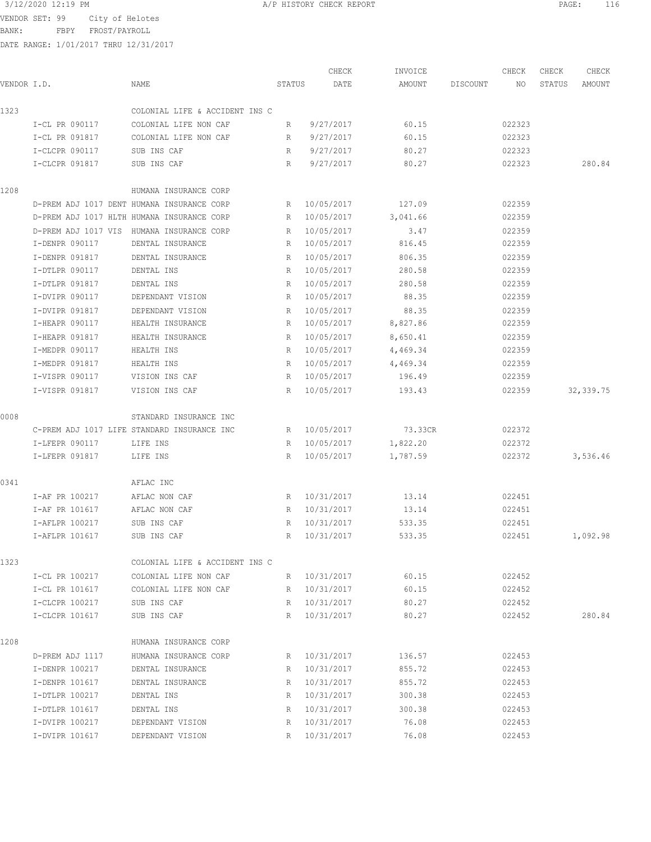VENDOR SET: 99 City of Helotes

BANK: FBPY FROST/PAYROLL

DATE RANGE: 1/01/2017 THRU 12/31/2017

|             |                     |                                             |                 | CHECK        | INVOICE  |          | CHECK  | CHECK  | CHECK      |
|-------------|---------------------|---------------------------------------------|-----------------|--------------|----------|----------|--------|--------|------------|
| VENDOR I.D. |                     | NAME                                        | STATUS          | DATE         | AMOUNT   | DISCOUNT | NO     | STATUS | AMOUNT     |
| 1323        |                     | COLONIAL LIFE & ACCIDENT INS C              |                 |              |          |          |        |        |            |
|             | I-CL PR 090117      | COLONIAL LIFE NON CAF                       | R               | 9/27/2017    | 60.15    |          | 022323 |        |            |
|             | I-CL PR 091817      | COLONIAL LIFE NON CAF                       | R               | 9/27/2017    | 60.15    |          | 022323 |        |            |
|             | I-CLCPR 090117      | SUB INS CAF                                 | R               | 9/27/2017    | 80.27    |          | 022323 |        |            |
|             | I-CLCPR 091817      | SUB INS CAF                                 | R               | 9/27/2017    | 80.27    |          | 022323 |        | 280.84     |
| 1208        |                     | HUMANA INSURANCE CORP                       |                 |              |          |          |        |        |            |
|             |                     | D-PREM ADJ 1017 DENT HUMANA INSURANCE CORP  | R               | 10/05/2017   | 127.09   |          | 022359 |        |            |
|             |                     | D-PREM ADJ 1017 HLTH HUMANA INSURANCE CORP  | R               | 10/05/2017   | 3,041.66 |          | 022359 |        |            |
|             | D-PREM ADJ 1017 VIS | HUMANA INSURANCE CORP                       | $R_{\parallel}$ | 10/05/2017   | 3.47     |          | 022359 |        |            |
|             | I-DENPR 090117      | DENTAL INSURANCE                            | R               | 10/05/2017   | 816.45   |          | 022359 |        |            |
|             | I-DENPR 091817      | DENTAL INSURANCE                            | R               | 10/05/2017   | 806.35   |          | 022359 |        |            |
|             | I-DTLPR 090117      | DENTAL INS                                  | R               | 10/05/2017   | 280.58   |          | 022359 |        |            |
|             | I-DTLPR 091817      | DENTAL INS                                  | R               | 10/05/2017   | 280.58   |          | 022359 |        |            |
|             | I-DVIPR 090117      | DEPENDANT VISION                            | R               | 10/05/2017   | 88.35    |          | 022359 |        |            |
|             | I-DVIPR 091817      | DEPENDANT VISION                            | R               | 10/05/2017   | 88.35    |          | 022359 |        |            |
|             | I-HEAPR 090117      | HEALTH INSURANCE                            | R               | 10/05/2017   | 8,827.86 |          | 022359 |        |            |
|             | I-HEAPR 091817      | HEALTH INSURANCE                            | R               | 10/05/2017   | 8,650.41 |          | 022359 |        |            |
|             | I-MEDPR 090117      | HEALTH INS                                  | R               | 10/05/2017   | 4,469.34 |          | 022359 |        |            |
|             | I-MEDPR 091817      | HEALTH INS                                  | R               | 10/05/2017   | 4,469.34 |          | 022359 |        |            |
|             | I-VISPR 090117      | VISION INS CAF                              | R               | 10/05/2017   | 196.49   |          | 022359 |        |            |
|             | I-VISPR 091817      | VISION INS CAF                              | R               | 10/05/2017   | 193.43   |          | 022359 |        | 32, 339.75 |
| 0008        |                     | STANDARD INSURANCE INC                      |                 |              |          |          |        |        |            |
|             |                     | C-PREM ADJ 1017 LIFE STANDARD INSURANCE INC |                 | R 10/05/2017 | 73.33CR  |          | 022372 |        |            |
|             | I-LFEPR 090117      | LIFE INS                                    | R               | 10/05/2017   | 1,822.20 |          | 022372 |        |            |
|             | I-LFEPR 091817      | LIFE INS                                    | R               | 10/05/2017   | 1,787.59 |          | 022372 |        | 3,536.46   |
| 0341        |                     | AFLAC INC                                   |                 |              |          |          |        |        |            |
|             | I-AF PR 100217      | AFLAC NON CAF                               | R               | 10/31/2017   | 13.14    |          | 022451 |        |            |
|             | I-AF PR 101617      | AFLAC NON CAF                               | R               | 10/31/2017   | 13.14    |          | 022451 |        |            |
|             | I-AFLPR 100217      | SUB INS CAF                                 | R               | 10/31/2017   | 533.35   |          | 022451 |        |            |
|             | I-AFLPR 101617      | SUB INS CAF                                 | R               | 10/31/2017   | 533.35   |          | 022451 |        | 1,092.98   |
| 1323        |                     | COLONIAL LIFE & ACCIDENT INS C              |                 |              |          |          |        |        |            |
|             | I-CL PR 100217      | COLONIAL LIFE NON CAF                       |                 | R 10/31/2017 | 60.15    |          | 022452 |        |            |
|             | I-CL PR 101617      | COLONIAL LIFE NON CAF                       |                 | R 10/31/2017 | 60.15    |          | 022452 |        |            |
|             | I-CLCPR 100217      | SUB INS CAF                                 |                 | R 10/31/2017 | 80.27    |          | 022452 |        |            |
|             | I-CLCPR 101617      | SUB INS CAF                                 |                 | R 10/31/2017 | 80.27    |          | 022452 |        | 280.84     |
| 1208        |                     | HUMANA INSURANCE CORP                       |                 |              |          |          |        |        |            |
|             | D-PREM ADJ 1117     | HUMANA INSURANCE CORP                       |                 | R 10/31/2017 | 136.57   |          | 022453 |        |            |

 I-DENPR 100217 DENTAL INSURANCE R 10/31/2017 855.72 022453 I-DENPR 101617 DENTAL INSURANCE R 10/31/2017 855.72 022453 I-DENPR 101017 DENTAL INS<br>I-DTLPR 100217 DENTAL INS R 10/31/2017 300.38 022453<br>CORPORATION DENTAL INS I-DTLPR 101617 DENTAL INS R 10/31/2017 300.38 022453 I-DVIPR 100217 DEPENDANT VISION R 10/31/2017 76.08 022453<br>I-DVIPR 101617 DEPENDANT VISION R 10/31/2017 76.08 022453 I-DVIPR 101617 DEPENDANT VISION R 10/31/2017 76.08 022453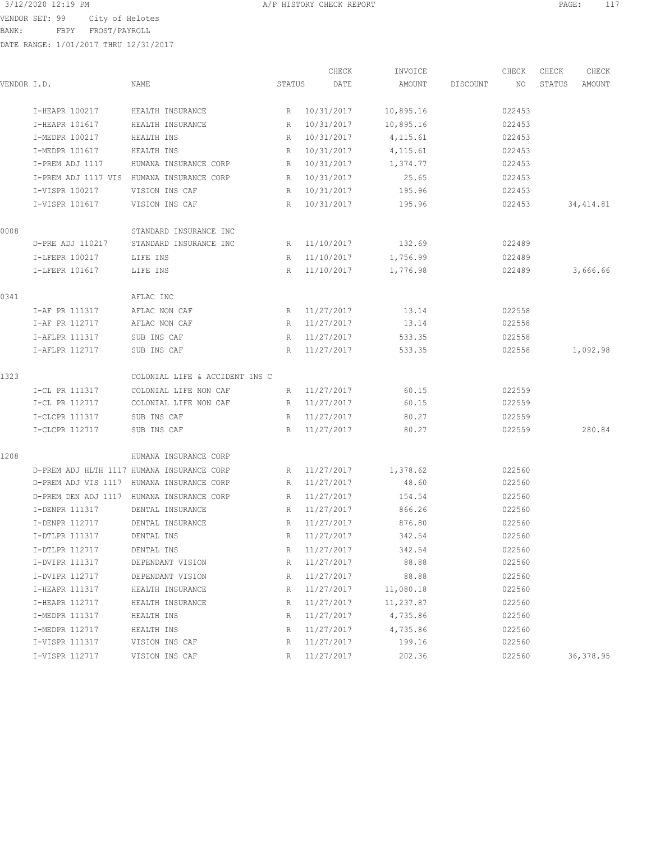BANK: FBPY FROST/PAYROLL

| VENDOR I.D. |                     | NAME                                       | STATUS | CHECK<br>DATE | INVOICE<br>AMOUNT | DISCOUNT | CHECK<br>NO. | CHECK<br>STATUS | CHECK<br>AMOUNT |
|-------------|---------------------|--------------------------------------------|--------|---------------|-------------------|----------|--------------|-----------------|-----------------|
|             | I-HEAPR 100217      | HEALTH INSURANCE                           | R      | 10/31/2017    | 10,895.16         |          | 022453       |                 |                 |
|             | I-HEAPR 101617      | HEALTH INSURANCE                           | R      | 10/31/2017    | 10,895.16         |          | 022453       |                 |                 |
|             | I-MEDPR 100217      | HEALTH INS                                 | R      | 10/31/2017    | 4, 115.61         |          | 022453       |                 |                 |
|             | I-MEDPR 101617      | HEALTH INS                                 | R      | 10/31/2017    | 4,115.61          |          | 022453       |                 |                 |
|             | I-PREM ADJ 1117     | HUMANA INSURANCE CORP                      | R      | 10/31/2017    | 1,374.77          |          | 022453       |                 |                 |
|             |                     | I-PREM ADJ 1117 VIS HUMANA INSURANCE CORP  | R      | 10/31/2017    | 25.65             |          | 022453       |                 |                 |
|             | I-VISPR 100217      | VISION INS CAF                             | R      | 10/31/2017    | 195.96            |          | 022453       |                 |                 |
|             | I-VISPR 101617      | VISION INS CAF                             | R      | 10/31/2017    | 195.96            |          | 022453       |                 | 34, 414.81      |
| 0008        |                     | STANDARD INSURANCE INC                     |        |               |                   |          |              |                 |                 |
|             | D-PRE ADJ 110217    | STANDARD INSURANCE INC                     |        | R 11/10/2017  | 132.69            |          | 022489       |                 |                 |
|             | I-LFEPR 100217      | LIFE INS                                   | R      | 11/10/2017    | 1,756.99          |          | 022489       |                 |                 |
|             | I-LFEPR 101617      | LIFE INS                                   | R      | 11/10/2017    | 1,776.98          |          | 022489       |                 | 3,666.66        |
| 0341        |                     | AFLAC INC                                  |        |               |                   |          |              |                 |                 |
|             | I-AF PR 111317      | AFLAC NON CAF                              |        | R 11/27/2017  | 13.14             |          | 022558       |                 |                 |
|             | I-AF PR 112717      | AFLAC NON CAF                              | R      | 11/27/2017    | 13.14             |          | 022558       |                 |                 |
|             | I-AFLPR 111317      | SUB INS CAF                                | R      | 11/27/2017    | 533.35            |          | 022558       |                 |                 |
|             | I-AFLPR 112717      | SUB INS CAF                                | R      | 11/27/2017    | 533.35            |          | 022558       |                 | 1,092.98        |
| 1323        |                     | COLONIAL LIFE & ACCIDENT INS C             |        |               |                   |          |              |                 |                 |
|             | I-CL PR 111317      | COLONIAL LIFE NON CAF                      | R      | 11/27/2017    | 60.15             |          | 022559       |                 |                 |
|             | I-CL PR 112717      | COLONIAL LIFE NON CAF                      | R      | 11/27/2017    | 60.15             |          | 022559       |                 |                 |
|             | I-CLCPR 111317      | SUB INS CAF                                | R      | 11/27/2017    | 80.27             |          | 022559       |                 |                 |
|             | I-CLCPR 112717      | SUB INS CAF                                | R      | 11/27/2017    | 80.27             |          | 022559       |                 | 280.84          |
| 1208        |                     | HUMANA INSURANCE CORP                      |        |               |                   |          |              |                 |                 |
|             |                     | D-PREM ADJ HLTH 1117 HUMANA INSURANCE CORP | R      | 11/27/2017    | 1,378.62          |          | 022560       |                 |                 |
|             |                     | D-PREM ADJ VIS 1117 HUMANA INSURANCE CORP  | R      | 11/27/2017    | 48.60             |          | 022560       |                 |                 |
|             | D-PREM DEN ADJ 1117 | HUMANA INSURANCE CORP                      | R      | 11/27/2017    | 154.54            |          | 022560       |                 |                 |
|             | I-DENPR 111317      | DENTAL INSURANCE                           | R      | 11/27/2017    | 866.26            |          | 022560       |                 |                 |
|             | I-DENPR 112717      | DENTAL INSURANCE                           | R      | 11/27/2017    | 876.80            |          | 022560       |                 |                 |
|             | I-DTLPR 111317      | DENTAL INS                                 | R      | 11/27/2017    | 342.54            |          | 022560       |                 |                 |
|             | I-DTLPR 112717      | DENTAL INS                                 | R      | 11/27/2017    | 342.54            |          | 022560       |                 |                 |
|             | I-DVIPR 111317      | DEPENDANT VISION                           | R      | 11/27/2017    | 88.88             |          | 022560       |                 |                 |
|             | I-DVIPR 112717      | DEPENDANT VISION                           | R      | 11/27/2017    | 88.88             |          | 022560       |                 |                 |
|             | I-HEAPR 111317      | HEALTH INSURANCE                           | R      | 11/27/2017    | 11,080.18         |          | 022560       |                 |                 |
|             | I-HEAPR 112717      | HEALTH INSURANCE                           | R      | 11/27/2017    | 11,237.87         |          | 022560       |                 |                 |
|             | I-MEDPR 111317      | HEALTH INS                                 | R      | 11/27/2017    | 4,735.86          |          | 022560       |                 |                 |
|             | I-MEDPR 112717      | HEALTH INS                                 | R      | 11/27/2017    | 4,735.86          |          | 022560       |                 |                 |
|             | I-VISPR 111317      | VISION INS CAF                             | R      | 11/27/2017    | 199.16            |          | 022560       |                 |                 |
|             | I-VISPR 112717      | VISION INS CAF                             | R      | 11/27/2017    | 202.36            |          | 022560       |                 | 36, 378.95      |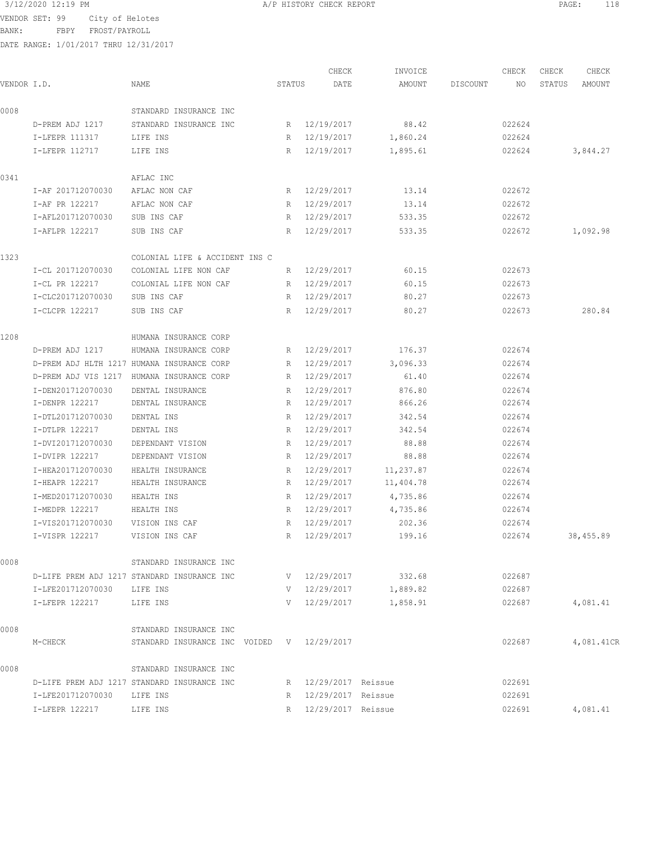BANK: FBPY FROST/PAYROLL

| VENDOR I.D. |                         | NAME                                        | STATUS | CHECK<br>DATE        | INVOICE<br>AMOUNT   | DISCOUNT | CHECK<br>NO. | CHECK<br>STATUS | CHECK<br>AMOUNT |
|-------------|-------------------------|---------------------------------------------|--------|----------------------|---------------------|----------|--------------|-----------------|-----------------|
|             |                         |                                             |        |                      |                     |          |              |                 |                 |
| 0008        |                         | STANDARD INSURANCE INC                      |        |                      |                     |          |              |                 |                 |
|             | D-PREM ADJ 1217         | STANDARD INSURANCE INC                      |        | R 12/19/2017         | 88.42               |          | 022624       |                 |                 |
|             | I-LFEPR 111317          | LIFE INS                                    |        | R 12/19/2017         | 1,860.24            |          | 022624       |                 |                 |
|             | I-LFEPR 112717          | LIFE INS                                    |        | R 12/19/2017         | 1,895.61            |          | 022624       |                 | 3,844.27        |
| 0341        |                         | AFLAC INC                                   |        |                      |                     |          |              |                 |                 |
|             | I-AF 201712070030       | AFLAC NON CAF                               |        | R 12/29/2017         | 13.14               |          | 022672       |                 |                 |
|             | I-AF PR 122217          | AFLAC NON CAF                               | R      | 12/29/2017           | 13.14               |          | 022672       |                 |                 |
|             | I-AFL201712070030       | SUB INS CAF                                 | R      | 12/29/2017           | 533.35              |          | 022672       |                 |                 |
|             | I-AFLPR 122217          | SUB INS CAF                                 | R      | 12/29/2017           | 533.35              |          | 022672       |                 | 1,092.98        |
| 1323        |                         | COLONIAL LIFE & ACCIDENT INS C              |        |                      |                     |          |              |                 |                 |
|             | I-CL 201712070030       | COLONIAL LIFE NON CAF                       | R      | 12/29/2017           | 60.15               |          | 022673       |                 |                 |
|             | I-CL PR 122217          | COLONIAL LIFE NON CAF                       |        | R 12/29/2017         | 60.15               |          | 022673       |                 |                 |
|             | I-CLC201712070030       | SUB INS CAF                                 |        | R 12/29/2017         | 80.27               |          | 022673       |                 |                 |
|             | I-CLCPR 122217          | SUB INS CAF                                 | R      | 12/29/2017           | 80.27               |          | 022673       |                 | 280.84          |
| 1208        |                         | HUMANA INSURANCE CORP                       |        |                      |                     |          |              |                 |                 |
|             | D-PREM ADJ 1217         | HUMANA INSURANCE CORP                       | R      | 12/29/2017           | 176.37              |          | 022674       |                 |                 |
|             |                         | D-PREM ADJ HLTH 1217 HUMANA INSURANCE CORP  | R      | 12/29/2017           | 3,096.33            |          | 022674       |                 |                 |
|             | D-PREM ADJ VIS 1217     | HUMANA INSURANCE CORP                       | R      | 12/29/2017           | 61.40               |          | 022674       |                 |                 |
|             | I-DEN201712070030       | DENTAL INSURANCE                            | R      | 12/29/2017           | 876.80              |          | 022674       |                 |                 |
|             | I-DENPR 122217          | DENTAL INSURANCE                            | R      | 12/29/2017           | 866.26              |          | 022674       |                 |                 |
|             | I-DTL201712070030       | DENTAL INS                                  | R      | 12/29/2017           | 342.54              |          | 022674       |                 |                 |
|             | I-DTLPR 122217          | DENTAL INS                                  | R      | 12/29/2017           | 342.54              |          | 022674       |                 |                 |
|             | I-DVI201712070030       | DEPENDANT VISION                            | R      | 12/29/2017           | 88.88               |          | 022674       |                 |                 |
|             | I-DVIPR 122217          | DEPENDANT VISION                            | R      | 12/29/2017           | 88.88               |          | 022674       |                 |                 |
|             | I-HEA201712070030       | HEALTH INSURANCE                            | R      | 12/29/2017           | 11,237.87           |          | 022674       |                 |                 |
|             | I-HEAPR 122217          | HEALTH INSURANCE                            | R      | 12/29/2017           | 11,404.78           |          | 022674       |                 |                 |
|             | I-MED201712070030       | HEALTH INS                                  | R      | 12/29/2017           | 4,735.86            |          | 022674       |                 |                 |
|             | I-MEDPR 122217          | HEALTH INS                                  | R      | 12/29/2017           | 4,735.86            |          | 022674       |                 |                 |
|             | I-VIS201712070030       | VISION INS CAF                              | R      | 12/29/2017           | 202.36              |          | 022674       |                 |                 |
|             | I-VISPR 122217          | VISION INS CAF                              |        | 12/29/2017           | 199.16              |          | 022674       |                 | 38,455.89       |
|             |                         |                                             |        |                      |                     |          |              |                 |                 |
| 0008        |                         | STANDARD INSURANCE INC                      |        |                      |                     |          |              |                 |                 |
|             |                         | D-LIFE PREM ADJ 1217 STANDARD INSURANCE INC |        |                      | V 12/29/2017 332.68 |          | 022687       |                 |                 |
|             | I-LFE201712070030       | LIFE INS                                    |        | V 12/29/2017         | 1,889.82            |          | 022687       |                 |                 |
|             | I-LFEPR 122217 LIFE INS |                                             |        | V 12/29/2017         | 1,858.91            |          | 022687       |                 | 4,081.41        |
| 0008        |                         | STANDARD INSURANCE INC                      |        |                      |                     |          |              |                 |                 |
|             | M-CHECK                 | STANDARD INSURANCE INC VOIDED V 12/29/2017  |        |                      |                     |          | 022687       |                 | 4,081.41CR      |
| 0008        |                         | STANDARD INSURANCE INC                      |        |                      |                     |          |              |                 |                 |
|             |                         | D-LIFE PREM ADJ 1217 STANDARD INSURANCE INC |        | R 12/29/2017 Reissue |                     |          | 022691       |                 |                 |
|             | I-LFE201712070030       | LIFE INS                                    |        | R 12/29/2017 Reissue |                     |          | 022691       |                 |                 |
|             | I-LFEPR 122217          | LIFE INS                                    |        | R 12/29/2017 Reissue |                     |          | 022691       |                 | 4,081.41        |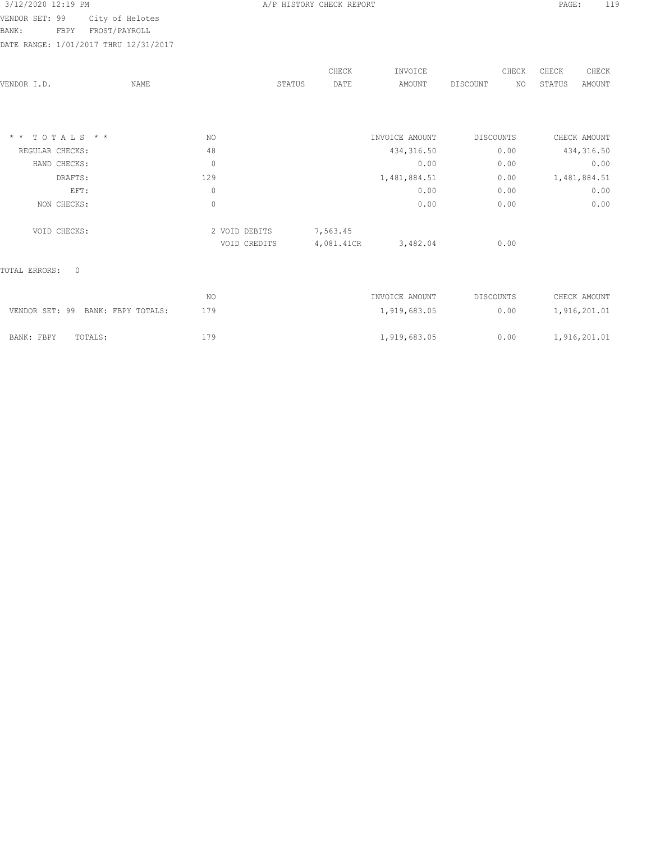| 3/12/2020 12:19 PM |  |  |
|--------------------|--|--|
|                    |  |  |

BANK: FBPY FROST/PAYROLL

DATE RANGE: 1/01/2017 THRU 12/31/2017

|                          |             |               | CHECK      | INVOICE        | CHECK                 | CHECK<br>CHECK          |
|--------------------------|-------------|---------------|------------|----------------|-----------------------|-------------------------|
| VENDOR I.D.              | <b>NAME</b> | STATUS        | DATE       | AMOUNT         | <b>DISCOUNT</b><br>NO | STATUS<br><b>AMOUNT</b> |
|                          |             |               |            |                |                       |                         |
| $*$ * TOTALS * *         | NO.         |               |            | INVOICE AMOUNT | <b>DISCOUNTS</b>      | CHECK AMOUNT            |
| REGULAR CHECKS:          | 48          |               |            | 434, 316.50    | 0.00                  | 434, 316.50             |
| HAND CHECKS:             | $\mathbb O$ |               |            | 0.00           | 0.00                  | 0.00                    |
| DRAFTS:                  | 129         |               |            | 1,481,884.51   | 0.00                  | 1,481,884.51            |
| EFT:                     | $\mathbb O$ |               |            | 0.00           | 0.00                  | 0.00                    |
| NON CHECKS:              | $\circ$     |               |            | 0.00           | 0.00                  | 0.00                    |
| VOID CHECKS:             |             | 2 VOID DEBITS | 7,563.45   |                |                       |                         |
|                          |             | VOID CREDITS  | 4,081.41CR | 3,482.04       | 0.00                  |                         |
| $\circ$<br>TOTAL ERRORS: |             |               |            |                |                       |                         |
|                          | NO          |               |            | INVOICE AMOUNT | DISCOUNTS             | CHECK AMOUNT            |

A/P HISTORY CHECK REPORT PAGE: 119

|            | VENDOR SET: 99 BANK: FBPY TOTALS: | 179 | 1,919,683.05 | 0.00 | 1,916,201.01 |
|------------|-----------------------------------|-----|--------------|------|--------------|
| BANK: FBPY | TOTALS:                           | 179 | 1,919,683.05 | 0.00 | 1,916,201.01 |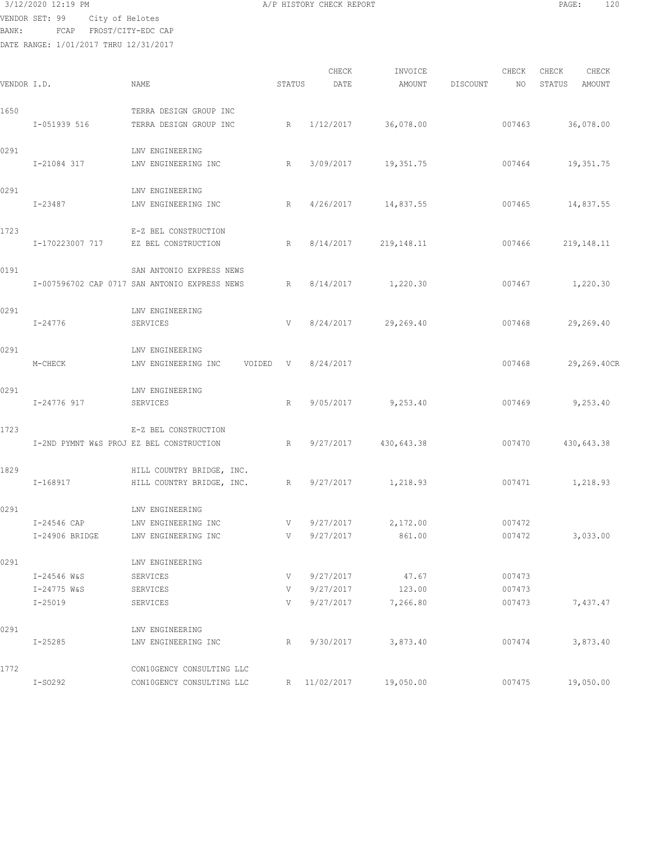VENDOR SET: 99 City of Helotes

BANK: FCAP FROST/CITY-EDC CAP

| VENDOR I.D. |                                          | NAME                                          | STATUS      | CHECK<br>DATE      | INVOICE<br>AMOUNT | DISCOUNT | CHECK<br>NO | CHECK<br>STATUS | CHECK<br>AMOUNT |
|-------------|------------------------------------------|-----------------------------------------------|-------------|--------------------|-------------------|----------|-------------|-----------------|-----------------|
| 1650        |                                          | TERRA DESIGN GROUP INC                        |             |                    |                   |          |             |                 |                 |
|             | I-051939 516                             | TERRA DESIGN GROUP INC                        | $R_{\perp}$ | 1/12/2017          | 36,078.00         |          | 007463      |                 | 36,078.00       |
| 0291        |                                          | LNV ENGINEERING                               |             |                    |                   |          |             |                 |                 |
|             | I-21084 317                              | LNV ENGINEERING INC                           | R           | 3/09/2017          | 19,351.75         |          | 007464      |                 | 19,351.75       |
| 0291        |                                          | LNV ENGINEERING                               |             |                    |                   |          |             |                 |                 |
|             | I-23487                                  | LNV ENGINEERING INC                           | R           | 4/26/2017          | 14,837.55         |          | 007465      |                 | 14,837.55       |
| 1723        |                                          | E-Z BEL CONSTRUCTION                          |             |                    |                   |          |             |                 |                 |
|             | I-170223007 717                          | EZ BEL CONSTRUCTION                           | R           | 8/14/2017          | 219, 148. 11      |          | 007466      |                 | 219, 148. 11    |
| 0191        |                                          | SAN ANTONIO EXPRESS NEWS                      |             |                    |                   |          |             |                 |                 |
|             |                                          | I-007596702 CAP 0717 SAN ANTONIO EXPRESS NEWS | $R_{\perp}$ | 8/14/2017          | 1,220.30          |          | 007467      |                 | 1,220.30        |
| 0291        |                                          | LNV ENGINEERING                               |             |                    |                   |          |             |                 |                 |
|             | I-24776                                  | SERVICES                                      | V           | 8/24/2017          | 29,269.40         |          | 007468      |                 | 29,269.40       |
| 0291        |                                          | LNV ENGINEERING                               |             |                    |                   |          |             |                 |                 |
|             | M-CHECK                                  | LNV ENGINEERING INC                           |             | VOIDED V 8/24/2017 |                   |          | 007468      |                 | 29,269.40CR     |
| 0291        |                                          | LNV ENGINEERING                               |             |                    |                   |          |             |                 |                 |
|             | I-24776 917                              | SERVICES                                      | R           | 9/05/2017          | 9,253.40          |          | 007469      |                 | 9,253.40        |
| 1723        |                                          | E-Z BEL CONSTRUCTION                          |             |                    |                   |          |             |                 |                 |
|             | I-2ND PYMNT W&S PROJ EZ BEL CONSTRUCTION |                                               | R           | 9/27/2017          | 430,643.38        |          | 007470      |                 | 430,643.38      |
| 1829        |                                          | HILL COUNTRY BRIDGE, INC.                     |             |                    |                   |          |             |                 |                 |
|             | I-168917                                 | HILL COUNTRY BRIDGE, INC. R                   |             | 9/27/2017          | 1,218.93          |          | 007471      |                 | 1,218.93        |
| 0291        |                                          | LNV ENGINEERING                               |             |                    |                   |          |             |                 |                 |
|             | I-24546 CAP                              | LNV ENGINEERING INC                           | V           | 9/27/2017          | 2,172.00          |          | 007472      |                 |                 |
|             | I-24906 BRIDGE                           | LNV ENGINEERING INC                           | V           | 9/27/2017          | 861.00            |          | 007472      |                 | 3,033.00        |
| 0291        |                                          | LNV ENGINEERING                               |             |                    |                   |          |             |                 |                 |
|             | I-24546 W&S                              | SERVICES                                      | V           | 9/27/2017          | 47.67             |          | 007473      |                 |                 |
|             | I-24775 W&S                              | SERVICES                                      | V           | 9/27/2017          | 123.00            |          | 007473      |                 |                 |
|             | $I - 25019$                              | SERVICES                                      | V           | 9/27/2017          | 7,266.80          |          | 007473      |                 | 7,437.47        |
| 0291        |                                          | LNV ENGINEERING                               |             |                    |                   |          |             |                 |                 |
|             | $I - 25285$                              | LNV ENGINEERING INC                           | R           | 9/30/2017          | 3,873.40          |          | 007474      |                 | 3,873.40        |
| 1772        |                                          | CON10GENCY CONSULTING LLC                     |             |                    |                   |          |             |                 |                 |
|             | $I-SO292$                                | CON10GENCY CONSULTING LLC                     | R           | 11/02/2017         | 19,050.00         |          | 007475      |                 | 19,050.00       |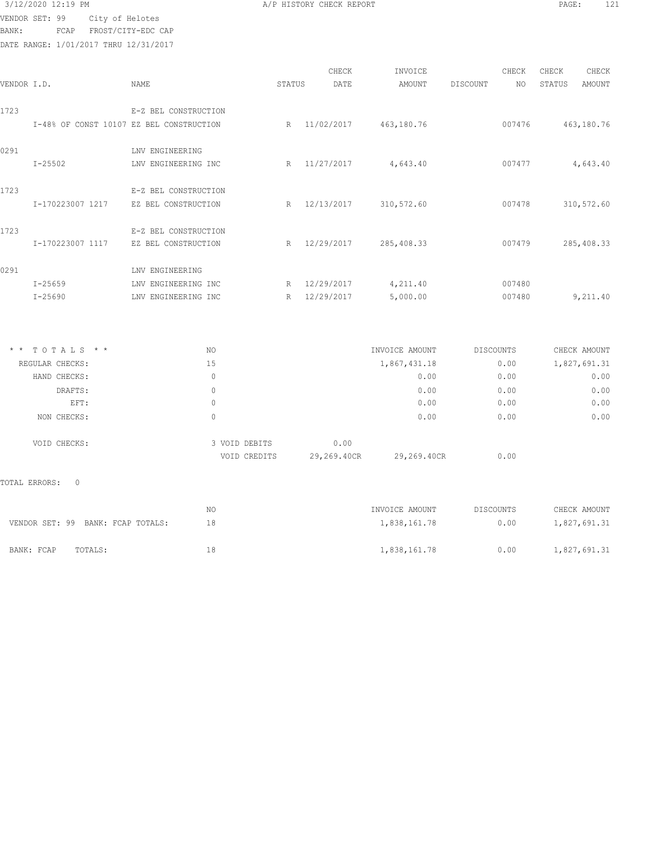| 3/12/2020 12:19 PM |  |                 |  |
|--------------------|--|-----------------|--|
| VENDOR SET: 99     |  | City of Helotes |  |

A/P HISTORY CHECK REPORT PAGE: 121

BANK: FCAP FROST/CITY-EDC CAP

DATE RANGE: 1/01/2017 THRU 12/31/2017

| VENDOR I.D. |                                          | <b>NAME</b>          |               | STATUS | CHECK<br>DATE | INVOICE<br><b>AMOUNT</b> | DISCOUNT         | CHECK<br>NO | CHECK<br>STATUS | CHECK<br><b>AMOUNT</b> |
|-------------|------------------------------------------|----------------------|---------------|--------|---------------|--------------------------|------------------|-------------|-----------------|------------------------|
| 1723        |                                          | E-Z BEL CONSTRUCTION |               |        |               |                          |                  |             |                 |                        |
|             | I-48% OF CONST 10107 EZ BEL CONSTRUCTION |                      |               |        | R 11/02/2017  | 463,180.76               |                  | 007476      |                 | 463,180.76             |
| 0291        |                                          | LNV ENGINEERING      |               |        |               |                          |                  |             |                 |                        |
|             | $I - 25502$                              | LNV ENGINEERING INC  |               | R      | 11/27/2017    | 4,643.40                 |                  | 007477      |                 | 4,643.40               |
| 1723        |                                          | E-Z BEL CONSTRUCTION |               |        |               |                          |                  |             |                 |                        |
|             | I-170223007 1217                         | EZ BEL CONSTRUCTION  |               |        | R 12/13/2017  | 310,572.60               |                  | 007478      |                 | 310,572.60             |
| 1723        |                                          | E-Z BEL CONSTRUCTION |               |        |               |                          |                  |             |                 |                        |
|             | I-170223007 1117                         | EZ BEL CONSTRUCTION  |               |        | R 12/29/2017  | 285, 408.33              |                  | 007479      |                 | 285, 408.33            |
| 0291        |                                          | LNV ENGINEERING      |               |        |               |                          |                  |             |                 |                        |
|             | $I - 25659$                              | LNV ENGINEERING INC  |               |        | R 12/29/2017  | 4,211.40                 |                  | 007480      |                 |                        |
|             | $I - 25690$                              | LNV ENGINEERING INC  |               |        | R 12/29/2017  | 5,000.00                 |                  | 007480      |                 | 9,211.40               |
|             |                                          |                      |               |        |               |                          |                  |             |                 |                        |
|             | * * TOTALS * *                           | NO                   |               |        |               | INVOICE AMOUNT           | DISCOUNTS        |             |                 | CHECK AMOUNT           |
|             | REGULAR CHECKS:                          | 15                   |               |        |               | 1,867,431.18             |                  | 0.00        |                 | 1,827,691.31           |
|             | HAND CHECKS:                             |                      | $\Omega$      |        |               | 0.00                     |                  | 0.00        |                 | 0.00                   |
|             | DRAFTS:                                  |                      | $\mathbf{0}$  |        |               | 0.00                     |                  | 0.00        |                 | 0.00                   |
|             | EFT:                                     |                      | $\mathbf{0}$  |        |               | 0.00                     |                  | 0.00        |                 | 0.00                   |
|             | NON CHECKS:                              |                      | $\circ$       |        |               | 0.00                     |                  | 0.00        |                 | 0.00                   |
|             | VOID CHECKS:                             |                      | 3 VOID DEBITS |        | 0.00          |                          |                  |             |                 |                        |
|             |                                          |                      | VOID CREDITS  |        | 29,269.40CR   | 29,269.40CR              |                  | 0.00        |                 |                        |
|             | TOTAL ERRORS:<br>$\Omega$                |                      |               |        |               |                          |                  |             |                 |                        |
|             |                                          | NO                   |               |        |               | INVOICE AMOUNT           | <b>DISCOUNTS</b> |             |                 | CHECK AMOUNT           |
|             | VENDOR SET: 99 BANK: FCAP TOTALS:        | 18                   |               |        |               | 1,838,161.78             |                  | 0.00        |                 | 1,827,691.31           |

BANK: FCAP TOTALS: 18 18 18 1,838,161.78 0.00 1,827,691.31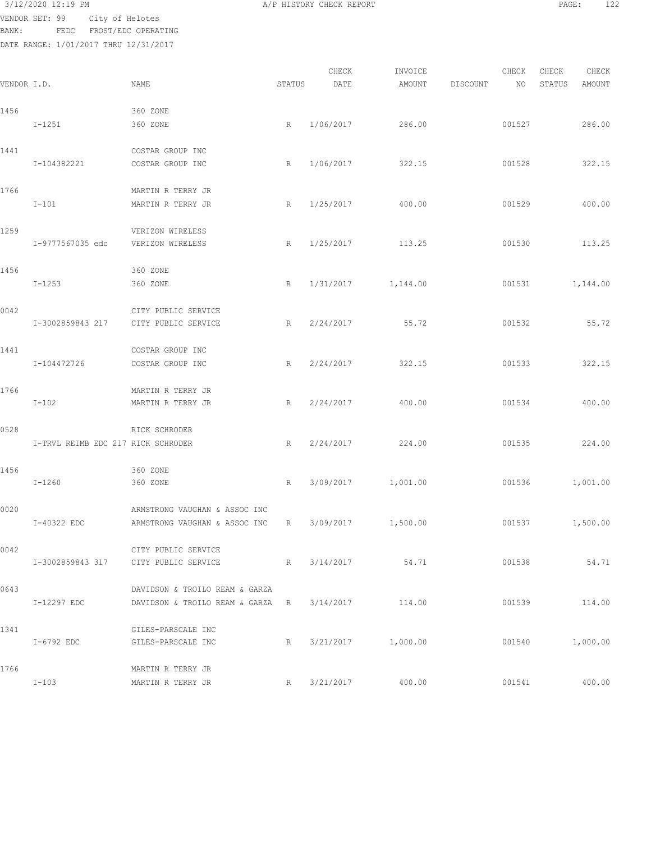VENDOR SET: 99 City of Helotes BANK: FEDC FROST/EDC OPERATING

| VENDOR I.D. |                                      | NAME                                                               | STATUS | CHECK<br>DATE | INVOICE<br>AMOUNT | DISCOUNT | CHECK<br>NO | CHECK<br>STATUS | CHECK<br>AMOUNT |
|-------------|--------------------------------------|--------------------------------------------------------------------|--------|---------------|-------------------|----------|-------------|-----------------|-----------------|
| 1456        | $I - 1251$                           | 360 ZONE<br>360 ZONE                                               | R      | 1/06/2017     | 286.00            |          | 001527      |                 | 286.00          |
| 1441        | I-104382221                          | COSTAR GROUP INC<br>COSTAR GROUP INC                               | R      | 1/06/2017     | 322.15            |          | 001528      |                 | 322.15          |
| 1766        | $I-101$                              | MARTIN R TERRY JR<br>MARTIN R TERRY JR                             | R      | 1/25/2017     | 400.00            |          | 001529      |                 | 400.00          |
| 1259        | I-9777567035 edc                     | VERIZON WIRELESS<br>VERIZON WIRELESS                               | R      | 1/25/2017     | 113.25            |          | 001530      |                 | 113.25          |
| 1456        | $I - 1253$                           | 360 ZONE<br>360 ZONE                                               | R      | 1/31/2017     | 1,144.00          |          | 001531      |                 | 1,144.00        |
| 0042        | I-3002859843 217                     | CITY PUBLIC SERVICE<br>CITY PUBLIC SERVICE                         | R      | 2/24/2017     | 55.72             |          | 001532      |                 | 55.72           |
| 1441        | I-104472726                          | COSTAR GROUP INC<br>COSTAR GROUP INC                               | R      | 2/24/2017     | 322.15            |          | 001533      |                 | 322.15          |
| 1766        | $I-102$                              | MARTIN R TERRY JR<br>MARTIN R TERRY JR                             | R      | 2/24/2017     | 400.00            |          | 001534      |                 | 400.00          |
| 0528        | I-TRVL REIMB EDC 217 RICK SCHRODER   | RICK SCHRODER                                                      | R      | 2/24/2017     | 224.00            |          | 001535      |                 | 224.00          |
| 1456        | $I - 1260$                           | 360 ZONE<br>360 ZONE                                               | R      | 3/09/2017     | 1,001.00          |          | 001536      |                 | 1,001.00        |
| 0020        | I-40322 EDC                          | ARMSTRONG VAUGHAN & ASSOC INC<br>ARMSTRONG VAUGHAN & ASSOC INC     | R      | 3/09/2017     | 1,500.00          |          | 001537      |                 | 1,500.00        |
| 0042        | I-3002859843 317 CITY PUBLIC SERVICE | CITY PUBLIC SERVICE                                                | R      | 3/14/2017     | 54.71             |          | 001538      |                 | 54.71           |
| 0643        | I-12297 EDC                          | DAVIDSON & TROILO REAM & GARZA<br>DAVIDSON & TROILO REAM & GARZA R |        | 3/14/2017     | 114.00            |          | 001539      |                 | 114.00          |
| 1341        | I-6792 EDC                           | GILES-PARSCALE INC<br>GILES-PARSCALE INC                           | R      | 3/21/2017     | 1,000.00          |          | 001540      |                 | 1,000.00        |
| 1766        | $I-103$                              | MARTIN R TERRY JR<br>MARTIN R TERRY JR                             | R      | 3/21/2017     | 400.00            |          | 001541      |                 | 400.00          |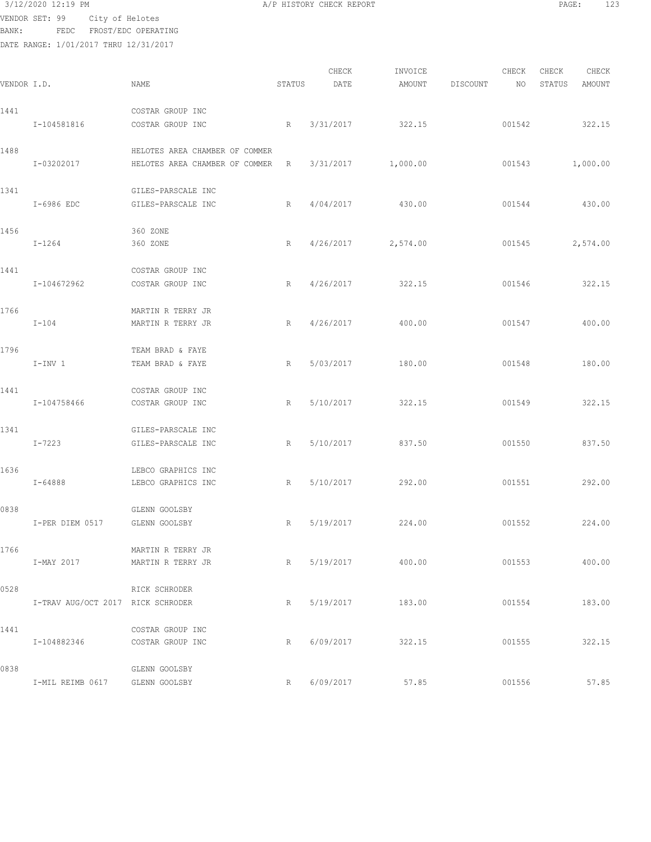BANK: FEDC FROST/EDC OPERATING

| VENDOR I.D. |                                   | NAME                                                             | STATUS | CHECK<br>DATE | INVOICE<br>AMOUNT | DISCOUNT | CHECK<br>NO | CHECK<br>CHECK<br>AMOUNT<br>STATUS |
|-------------|-----------------------------------|------------------------------------------------------------------|--------|---------------|-------------------|----------|-------------|------------------------------------|
| 1441        | I-104581816                       | COSTAR GROUP INC<br>COSTAR GROUP INC                             | R      | 3/31/2017     | 322.15            |          | 001542      | 322.15                             |
| 1488        | I-03202017                        | HELOTES AREA CHAMBER OF COMMER<br>HELOTES AREA CHAMBER OF COMMER | R      | 3/31/2017     | 1,000.00          |          | 001543      | 1,000.00                           |
| 1341        | I-6986 EDC                        | GILES-PARSCALE INC<br>GILES-PARSCALE INC                         | R      | 4/04/2017     | 430.00            |          | 001544      | 430.00                             |
| 1456        | $I - 1264$                        | 360 ZONE<br>360 ZONE                                             | R      | 4/26/2017     | 2,574.00          |          | 001545      | 2,574.00                           |
| 1441        | I-104672962                       | COSTAR GROUP INC<br>COSTAR GROUP INC                             | R      | 4/26/2017     | 322.15            |          | 001546      | 322.15                             |
| 1766        | $I-104$                           | MARTIN R TERRY JR<br>MARTIN R TERRY JR                           | R      | 4/26/2017     | 400.00            |          | 001547      | 400.00                             |
| 1796        | $I-INV$ 1                         | TEAM BRAD & FAYE<br>TEAM BRAD & FAYE                             | R      | 5/03/2017     | 180.00            |          | 001548      | 180.00                             |
| 1441        | I-104758466                       | COSTAR GROUP INC<br>COSTAR GROUP INC                             | R      | 5/10/2017     | 322.15            |          | 001549      | 322.15                             |
| 1341        | $I - 7223$                        | GILES-PARSCALE INC<br>GILES-PARSCALE INC                         | R      | 5/10/2017     | 837.50            |          | 001550      | 837.50                             |
| 1636        | $I - 64888$                       | LEBCO GRAPHICS INC<br>LEBCO GRAPHICS INC                         | R      | 5/10/2017     | 292.00            |          | 001551      | 292.00                             |
| 0838        | I-PER DIEM 0517                   | GLENN GOOLSBY<br>GLENN GOOLSBY                                   | R      | 5/19/2017     | 224.00            |          | 001552      | 224.00                             |
| 1766        | I-MAY 2017                        | MARTIN R TERRY JR<br>MARTIN R TERRY JR                           | R      |               | 5/19/2017 400.00  |          | 001553      | 400.00                             |
| 0528        | I-TRAV AUG/OCT 2017 RICK SCHRODER | RICK SCHRODER                                                    | R      |               | 5/19/2017 183.00  |          | 001554      | 183.00                             |
| 1441        | I-104882346 COSTAR GROUP INC      | COSTAR GROUP INC                                                 | R      |               | 6/09/2017 322.15  |          | 001555      | 322.15                             |
| 0838        | I-MIL REIMB 0617 GLENN GOOLSBY    | GLENN GOOLSBY                                                    | R      | 6/09/2017     | 57.85             |          | 001556      | 57.85                              |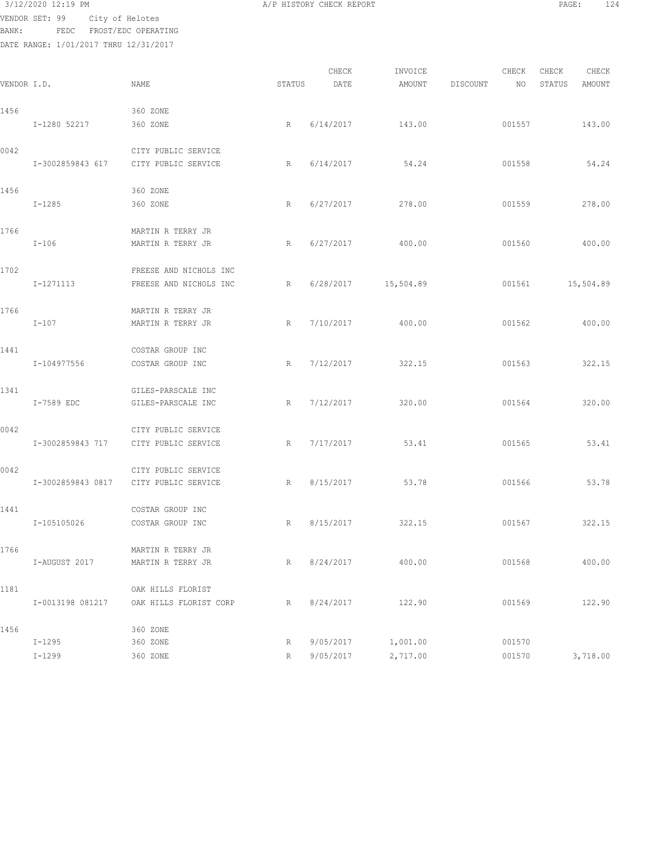3/12/2020 12:19 PM **A/P HISTORY CHECK REPORT PAGE:** 124 VENDOR SET: 99 City of Helotes

BANK: FEDC FROST/EDC OPERATING

| VENDOR I.D. |                   | NAME                   | STATUS | CHECK<br>DATE | INVOICE<br>AMOUNT | DISCOUNT | CHECK<br>NO. | CHECK<br>STATUS | CHECK<br>AMOUNT |
|-------------|-------------------|------------------------|--------|---------------|-------------------|----------|--------------|-----------------|-----------------|
| 1456        |                   | 360 ZONE               |        |               |                   |          |              |                 |                 |
|             | I-1280 52217      | 360 ZONE               | R      | 6/14/2017     | 143.00            |          | 001557       |                 | 143.00          |
| 0042        |                   | CITY PUBLIC SERVICE    |        |               |                   |          |              |                 |                 |
|             | I-3002859843 617  | CITY PUBLIC SERVICE    | R      | 6/14/2017     | 54.24             |          | 001558       |                 | 54.24           |
| 1456        |                   | 360 ZONE               |        |               |                   |          |              |                 |                 |
|             | $I - 1285$        | 360 ZONE               | R      | 6/27/2017     | 278.00            |          | 001559       |                 | 278.00          |
| 1766        |                   | MARTIN R TERRY JR      |        |               |                   |          |              |                 |                 |
|             | $I-106$           | MARTIN R TERRY JR      | R      | 6/27/2017     | 400.00            |          | 001560       |                 | 400.00          |
| 1702        |                   | FREESE AND NICHOLS INC |        |               |                   |          |              |                 |                 |
|             | I-1271113         | FREESE AND NICHOLS INC | R      | 6/28/2017     | 15,504.89         |          | 001561       | 15,504.89       |                 |
| 1766        |                   | MARTIN R TERRY JR      |        |               |                   |          |              |                 |                 |
|             | $I-107$           | MARTIN R TERRY JR      | R      | 7/10/2017     | 400.00            |          | 001562       |                 | 400.00          |
| 1441        |                   | COSTAR GROUP INC       |        |               |                   |          |              |                 |                 |
|             | I-104977556       | COSTAR GROUP INC       | R      | 7/12/2017     | 322.15            |          | 001563       |                 | 322.15          |
| 1341        |                   | GILES-PARSCALE INC     |        |               |                   |          |              |                 |                 |
|             | I-7589 EDC        | GILES-PARSCALE INC     | R      | 7/12/2017     | 320.00            |          | 001564       |                 | 320.00          |
| 0042        |                   | CITY PUBLIC SERVICE    |        |               |                   |          |              |                 |                 |
|             | I-3002859843 717  | CITY PUBLIC SERVICE    | R      | 7/17/2017     | 53.41             |          | 001565       |                 | 53.41           |
| 0042        |                   | CITY PUBLIC SERVICE    |        |               |                   |          |              |                 |                 |
|             | I-3002859843 0817 | CITY PUBLIC SERVICE    | R      | 8/15/2017     | 53.78             |          | 001566       |                 | 53.78           |
| 1441        |                   | COSTAR GROUP INC       |        |               |                   |          |              |                 |                 |
|             | I-105105026       | COSTAR GROUP INC       | R      | 8/15/2017     | 322.15            |          | 001567       |                 | 322.15          |
| 1766        |                   | MARTIN R TERRY JR      |        |               |                   |          |              |                 |                 |
|             | I-AUGUST 2017     | MARTIN R TERRY JR      | R      | 8/24/2017     | 400.00            |          | 001568       |                 | 400.00          |
| 1181        |                   | OAK HILLS FLORIST      |        |               |                   |          |              |                 |                 |
|             | I-0013198 081217  | OAK HILLS FLORIST CORP | R      | 8/24/2017     | 122.90            |          | 001569       |                 | 122.90          |
|             |                   |                        |        |               |                   |          |              |                 |                 |
| 1456        | $I - 1295$        | 360 ZONE<br>360 ZONE   | R      | 9/05/2017     | 1,001.00          |          | 001570       |                 |                 |
|             | $I-1299$          | 360 ZONE               | R      | 9/05/2017     | 2,717.00          |          | 001570       |                 | 3,718.00        |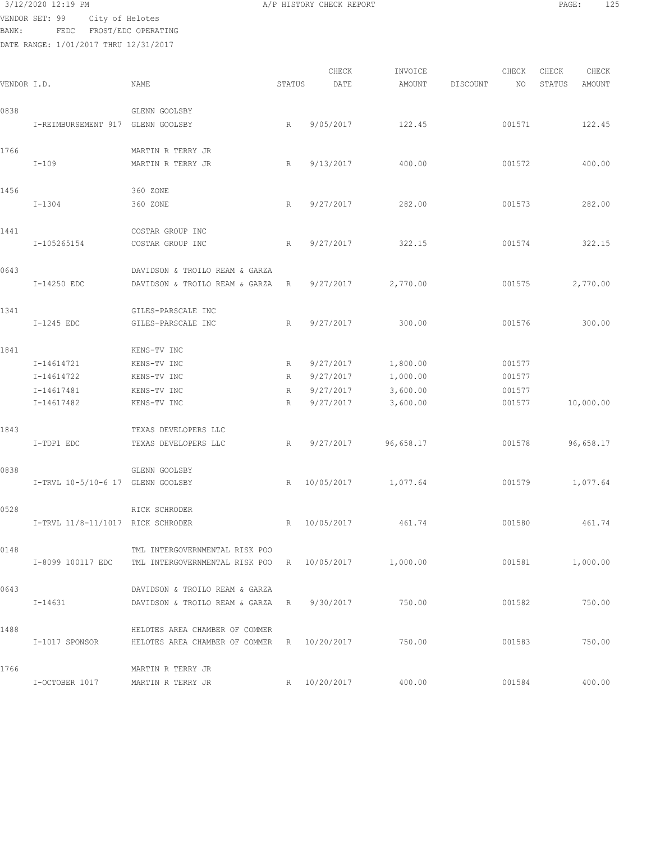BANK: FEDC FROST/EDC OPERATING

| VENDOR I.D. |                                                      | NAME                                                                                   | STATUS           | CHECK<br>DATE                                    | INVOICE<br>AMOUNT                            | DISCOUNT | CHECK<br>NO.                         | CHECK<br>STATUS | CHECK<br><b>AMOUNT</b> |
|-------------|------------------------------------------------------|----------------------------------------------------------------------------------------|------------------|--------------------------------------------------|----------------------------------------------|----------|--------------------------------------|-----------------|------------------------|
| 0838        | I-REIMBURSEMENT 917 GLENN GOOLSBY                    | GLENN GOOLSBY                                                                          | R                | 9/05/2017                                        | 122.45                                       |          | 001571                               |                 | 122.45                 |
| 1766        | $I-109$                                              | MARTIN R TERRY JR<br>MARTIN R TERRY JR                                                 | R                | 9/13/2017                                        | 400.00                                       |          | 001572                               |                 | 400.00                 |
| 1456        | $I-1304$                                             | 360 ZONE<br>360 ZONE                                                                   | R                | 9/27/2017                                        | 282.00                                       |          | 001573                               |                 | 282.00                 |
| 1441        | I-105265154                                          | COSTAR GROUP INC<br>COSTAR GROUP INC                                                   | R                | 9/27/2017                                        | 322.15                                       |          | 001574                               |                 | 322.15                 |
| 0643        | I-14250 EDC                                          | DAVIDSON & TROILO REAM & GARZA<br>DAVIDSON & TROILO REAM & GARZA                       | R                | 9/27/2017                                        | 2,770.00                                     |          | 001575                               |                 | 2,770.00               |
| 1341        | I-1245 EDC                                           | GILES-PARSCALE INC<br>GILES-PARSCALE INC                                               | R                | 9/27/2017                                        | 300.00                                       |          | 001576                               |                 | 300.00                 |
| 1841        | I-14614721<br>I-14614722<br>I-14617481<br>I-14617482 | KENS-TV INC<br>KENS-TV INC<br>KENS-TV INC<br>KENS-TV INC<br>KENS-TV INC                | R<br>R<br>R<br>R | 9/27/2017<br>9/27/2017<br>9/27/2017<br>9/27/2017 | 1,800.00<br>1,000.00<br>3,600.00<br>3,600.00 |          | 001577<br>001577<br>001577<br>001577 |                 | 10,000.00              |
| 1843        | I-TDP1 EDC                                           | TEXAS DEVELOPERS LLC<br>TEXAS DEVELOPERS LLC                                           | R                | 9/27/2017                                        | 96,658.17                                    |          | 001578                               |                 | 96,658.17              |
| 0838        | I-TRVL 10-5/10-6 17 GLENN GOOLSBY                    | GLENN GOOLSBY                                                                          | R                | 10/05/2017                                       | 1,077.64                                     |          | 001579                               |                 | 1,077.64               |
| 0528        | I-TRVL 11/8-11/1017 RICK SCHRODER                    | RICK SCHRODER                                                                          | R                | 10/05/2017                                       | 461.74                                       |          | 001580                               |                 | 461.74                 |
| 0148        | I-8099 100117 EDC                                    | TML INTERGOVERNMENTAL RISK POO<br>TML INTERGOVERNMENTAL RISK POO R 10/05/2017 1,000.00 |                  |                                                  |                                              |          | 001581                               |                 | 1,000.00               |
| 0643        | I-14631                                              | DAVIDSON & TROILO REAM & GARZA<br>DAVIDSON & TROILO REAM & GARZA R                     |                  | 9/30/2017                                        | 750.00                                       |          | 001582                               |                 | 750.00                 |
| 1488        | I-1017 SPONSOR                                       | HELOTES AREA CHAMBER OF COMMER<br>HELOTES AREA CHAMBER OF COMMER R                     |                  | 10/20/2017                                       | 750.00                                       |          | 001583                               |                 | 750.00                 |
| 1766        | I-OCTOBER 1017                                       | MARTIN R TERRY JR<br>MARTIN R TERRY JR                                                 |                  | R 10/20/2017                                     | 400.00                                       |          | 001584                               |                 | 400.00                 |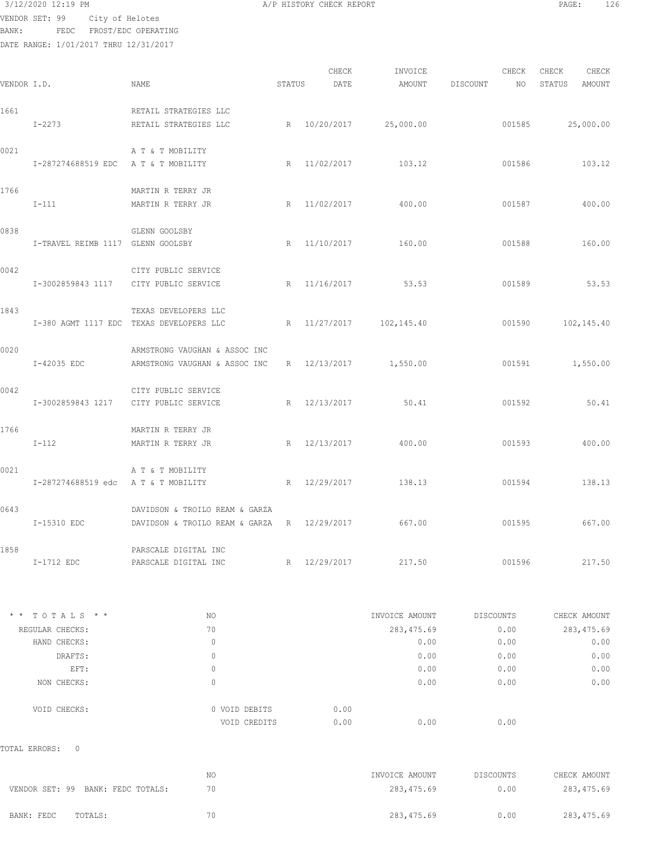3/12/2020 12:19 PM A/P HISTORY CHECK REPORT PAGE: 126 VENDOR SET: 99 City of Helotes

BANK: FEDC FROST/EDC OPERATING

|             |                                     |                                                    |        | CHECK        | INVOICE                 |           | CHECK        | CHECK            | CHECK        |
|-------------|-------------------------------------|----------------------------------------------------|--------|--------------|-------------------------|-----------|--------------|------------------|--------------|
| VENDOR I.D. |                                     | NAME                                               | STATUS | DATE         | AMOUNT                  | DISCOUNT  | NO           | STATUS           | AMOUNT       |
|             |                                     |                                                    |        |              |                         |           |              |                  |              |
| 1661        | I-2273                              | RETAIL STRATEGIES LLC<br>RETAIL STRATEGIES LLC     |        |              | R 10/20/2017 25,000.00  |           |              |                  |              |
|             |                                     |                                                    |        |              |                         |           |              | 001585 25,000.00 |              |
| 0021        |                                     | A T & T MOBILITY                                   |        |              |                         |           |              |                  |              |
|             | I-287274688519 EDC A T & T MOBILITY |                                                    |        |              | R 11/02/2017 103.12     |           | 001586       | 103.12           |              |
|             |                                     |                                                    |        |              |                         |           |              |                  |              |
| 1766        | $I-111$                             | MARTIN R TERRY JR<br>MARTIN R TERRY JR             |        |              | R 11/02/2017 400.00     |           | 001587       |                  | 400.00       |
|             |                                     |                                                    |        |              |                         |           |              |                  |              |
| 0838        |                                     | GLENN GOOLSBY                                      |        |              |                         |           |              |                  |              |
|             | I-TRAVEL REIMB 1117 GLENN GOOLSBY   |                                                    |        | R 11/10/2017 | 160.00                  |           | 001588       |                  | 160.00       |
| 0042        |                                     | CITY PUBLIC SERVICE                                |        |              |                         |           |              |                  |              |
|             |                                     | I-3002859843 1117 CITY PUBLIC SERVICE              |        |              | R 11/16/2017 53.53      |           | 001589       |                  | 53.53        |
|             |                                     |                                                    |        |              |                         |           |              |                  |              |
| 1843        |                                     | TEXAS DEVELOPERS LLC                               |        |              |                         |           |              |                  |              |
|             |                                     | I-380 AGMT 1117 EDC TEXAS DEVELOPERS LLC           |        |              | R 11/27/2017 102,145.40 |           | 001590       |                  | 102,145.40   |
| 0020        |                                     | ARMSTRONG VAUGHAN & ASSOC INC                      |        |              |                         |           |              |                  |              |
|             | I-42035 EDC                         | ARMSTRONG VAUGHAN & ASSOC INC                      |        |              | R 12/13/2017 1,550.00   |           | 001591       |                  | 1,550.00     |
|             |                                     |                                                    |        |              |                         |           |              |                  |              |
| 0042        |                                     | CITY PUBLIC SERVICE                                |        |              |                         |           |              |                  |              |
|             | I-3002859843 1217                   | CITY PUBLIC SERVICE                                |        | R 12/13/2017 | 50.41                   |           | 001592       |                  | 50.41        |
| 1766        |                                     | MARTIN R TERRY JR                                  |        |              |                         |           |              |                  |              |
|             | $I-112$                             | MARTIN R TERRY JR                                  |        |              | R 12/13/2017 400.00     |           | 001593       |                  | 400.00       |
|             |                                     |                                                    |        |              |                         |           |              |                  |              |
| 0021        |                                     | A T & T MOBILITY                                   |        |              |                         |           |              |                  |              |
|             | I-287274688519 edc AT & T MOBILITY  |                                                    |        |              | R 12/29/2017 138.13     |           | 001594       |                  | 138.13       |
| 0643        |                                     | DAVIDSON & TROILO REAM & GARZA                     |        |              |                         |           |              |                  |              |
|             | I-15310 EDC                         | DAVIDSON & TROILO REAM & GARZA R 12/29/2017 667.00 |        |              |                         |           | 001595       | 667.00           |              |
|             |                                     |                                                    |        |              |                         |           |              |                  |              |
| 1858        | I-1712 EDC                          | PARSCALE DIGITAL INC<br>PARSCALE DIGITAL INC       |        | R 12/29/2017 | 217.50                  |           | 001596       |                  | 217.50       |
|             |                                     |                                                    |        |              |                         |           |              |                  |              |
|             | * * TOTALS * *                      | NO                                                 |        |              | INVOICE AMOUNT          | DISCOUNTS |              | CHECK AMOUNT     |              |
|             | REGULAR CHECKS:                     | 70                                                 |        |              | 283, 475.69             |           | 0.00         |                  | 283, 475.69  |
|             | HAND CHECKS:                        | $\mathbf{0}$                                       |        |              | 0.00                    |           | 0.00         |                  | 0.00         |
|             | DRAFTS:                             | 0                                                  |        |              | 0.00                    |           | 0.00         |                  | 0.00         |
|             | EFT:<br>NON CHECKS:                 | 0<br>$\mathbf{0}$                                  |        |              | 0.00<br>0.00            |           | 0.00<br>0.00 |                  | 0.00<br>0.00 |
|             |                                     |                                                    |        |              |                         |           |              |                  |              |
|             | VOID CHECKS:                        | 0 VOID DEBITS                                      |        | 0.00         |                         |           |              |                  |              |
|             |                                     | VOID CREDITS                                       |        | 0.00         | 0.00                    |           | 0.00         |                  |              |
|             | TOTAL ERRORS:<br>$\mathbf{0}$       |                                                    |        |              |                         |           |              |                  |              |
|             |                                     | NO                                                 |        |              | INVOICE AMOUNT          | DISCOUNTS |              | CHECK AMOUNT     |              |
|             | VENDOR SET: 99 BANK: FEDC TOTALS:   | 70                                                 |        |              | 283, 475.69             |           | 0.00         |                  | 283, 475.69  |
|             |                                     |                                                    |        |              |                         |           |              |                  |              |
|             | BANK: FEDC<br>TOTALS:               | 70                                                 |        |              | 283, 475.69             |           | 0.00         |                  | 283, 475.69  |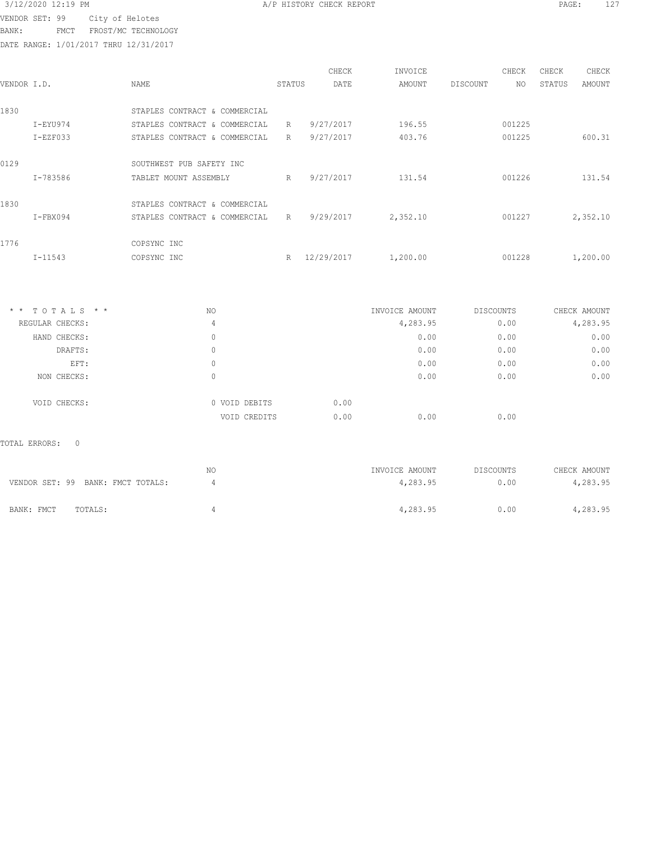BANK: FMCT FROST/MC TECHNOLOGY

DATE RANGE: 1/01/2017 THRU 12/31/2017

| CHECK    | CHECK  | CHECK  |          | INVOICE  | CHECK      |        |                               |             |             |
|----------|--------|--------|----------|----------|------------|--------|-------------------------------|-------------|-------------|
| AMOUNT   | STATUS | NO.    | DISCOUNT | AMOUNT   | DATE       | STATUS | NAME                          |             | VENDOR I.D. |
|          |        |        |          |          |            |        | STAPLES CONTRACT & COMMERCIAL |             | 1830        |
|          |        | 001225 |          | 196.55   | 9/27/2017  | R      | STAPLES CONTRACT & COMMERCIAL | I-EYU974    |             |
| 600.31   |        | 001225 |          | 403.76   | 9/27/2017  | R      | STAPLES CONTRACT & COMMERCIAL | $I-EZF033$  |             |
|          |        |        |          |          |            |        | SOUTHWEST PUB SAFETY INC      |             | 0129        |
| 131.54   |        | 001226 |          | 131.54   | 9/27/2017  | R      | TABLET MOUNT ASSEMBLY         | I-783586    |             |
|          |        |        |          |          |            |        | STAPLES CONTRACT & COMMERCIAL |             | 1830        |
| 2,352.10 |        | 001227 |          | 2,352.10 | 9/29/2017  | R      | STAPLES CONTRACT & COMMERCIAL | $I-FBX094$  |             |
|          |        |        |          |          |            |        | COPSYNC INC                   |             | 1776        |
| 1,200.00 |        | 001228 |          | 1,200.00 | 12/29/2017 | R      | COPSYNC INC                   | $I - 11543$ |             |
|          |        |        |          |          |            |        |                               |             |             |

| $*$ * TOTALS * * | NO            | INVOICE AMOUNT | DISCOUNTS | CHECK AMOUNT |
|------------------|---------------|----------------|-----------|--------------|
| REGULAR CHECKS:  | 4             | 4,283.95       | 0.00      | 4,283.95     |
| HAND CHECKS:     | 0             | 0.00           | 0.00      | 0.00         |
| DRAFTS:          | 0             | 0.00           | 0.00      | 0.00         |
| EFT:             | 0             | 0.00           | 0.00      | 0.00         |
| NON CHECKS:      | 0             | 0.00           | 0.00      | 0.00         |
| VOID CHECKS:     | 0 VOID DEBITS | 0.00           |           |              |
|                  | VOID CREDITS  | 0.00<br>0.00   | 0.00      |              |

# TOTAL ERRORS: 0

| VENDOR SET: 99 BANK: FMCT TOTALS: | NO | INVOICE AMOUNT<br>4,283.95 | DISCOUNTS<br>0.00 | CHECK AMOUNT<br>4,283.95 |
|-----------------------------------|----|----------------------------|-------------------|--------------------------|
| BANK: FMCT<br>TOTALS:             |    | 4,283.95                   | 0.00              | 4,283.95                 |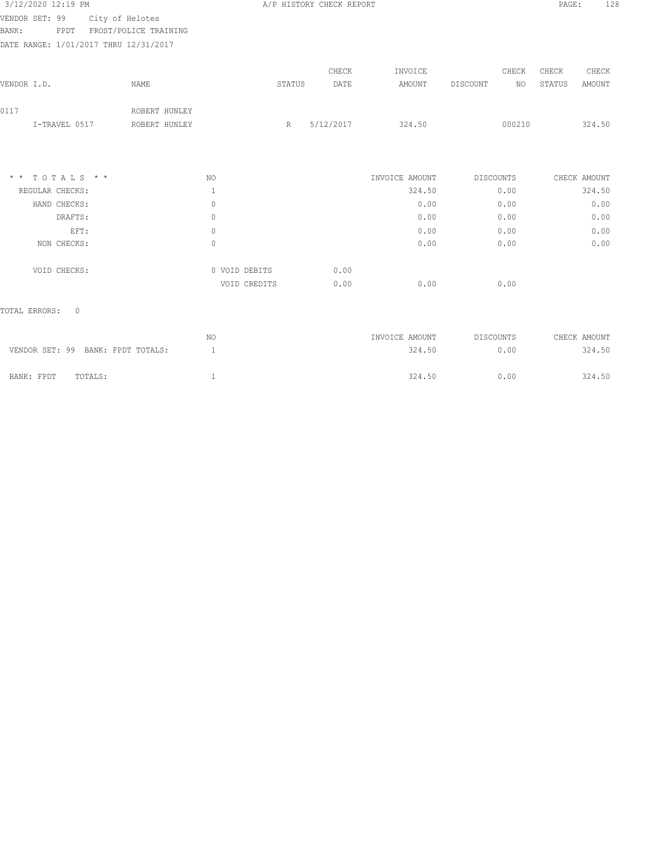| 3/12/2020 12:19 PM                    |                       |               | A/P HISTORY CHECK REPORT | 128<br>PAGE: |                |                       |                         |      |
|---------------------------------------|-----------------------|---------------|--------------------------|--------------|----------------|-----------------------|-------------------------|------|
| VENDOR SET: 99                        | City of Helotes       |               |                          |              |                |                       |                         |      |
| BANK:<br>FPDT                         | FROST/POLICE TRAINING |               |                          |              |                |                       |                         |      |
| DATE RANGE: 1/01/2017 THRU 12/31/2017 |                       |               |                          |              |                |                       |                         |      |
|                                       |                       |               |                          | CHECK        | INVOICE        | CHECK                 | CHECK<br>CHECK          |      |
| VENDOR I.D.                           | <b>NAME</b>           |               | STATUS                   | DATE         | AMOUNT         | <b>DISCOUNT</b><br>NO | STATUS<br><b>AMOUNT</b> |      |
| 0117                                  | ROBERT HUNLEY         |               |                          |              |                |                       |                         |      |
| I-TRAVEL 0517                         | ROBERT HUNLEY         |               | R                        | 5/12/2017    | 324.50         | 000210                | 324.50                  |      |
|                                       |                       |               |                          |              |                |                       |                         |      |
| $*$ * TOTALS * *                      |                       | NO.           |                          |              | INVOICE AMOUNT | DISCOUNTS             | CHECK AMOUNT            |      |
| REGULAR CHECKS:                       |                       | $\mathbf{1}$  |                          |              | 324.50         | 0.00                  | 324.50                  |      |
| HAND CHECKS:                          |                       | $\mathbf{0}$  |                          |              | 0.00           | 0.00                  |                         | 0.00 |
| DRAFTS:                               |                       | $\mathbf{0}$  |                          |              | 0.00           | 0.00                  |                         | 0.00 |
| EFT:                                  |                       | $\mathbf{0}$  |                          |              | 0.00           | 0.00                  |                         | 0.00 |
| NON CHECKS:                           |                       | $\Omega$      |                          |              | 0.00           | 0.00                  |                         | 0.00 |
| VOID CHECKS:                          |                       | 0 VOID DEBITS |                          | 0.00         |                |                       |                         |      |
|                                       |                       | VOID CREDITS  |                          | 0.00         | 0.00           | 0.00                  |                         |      |
| $\circ$<br>TOTAL ERRORS:              |                       |               |                          |              |                |                       |                         |      |

|                                   | NO | INVOICE AMOUNT | DISCOUNTS | CHECK AMOUNT |
|-----------------------------------|----|----------------|-----------|--------------|
| VENDOR SET: 99 BANK: FPDT TOTALS: |    | 324.50         | 0.00      | 324.50       |
| BANK: FPDT<br>TOTALS:             |    | 324.50         | 0.00      | 324.50       |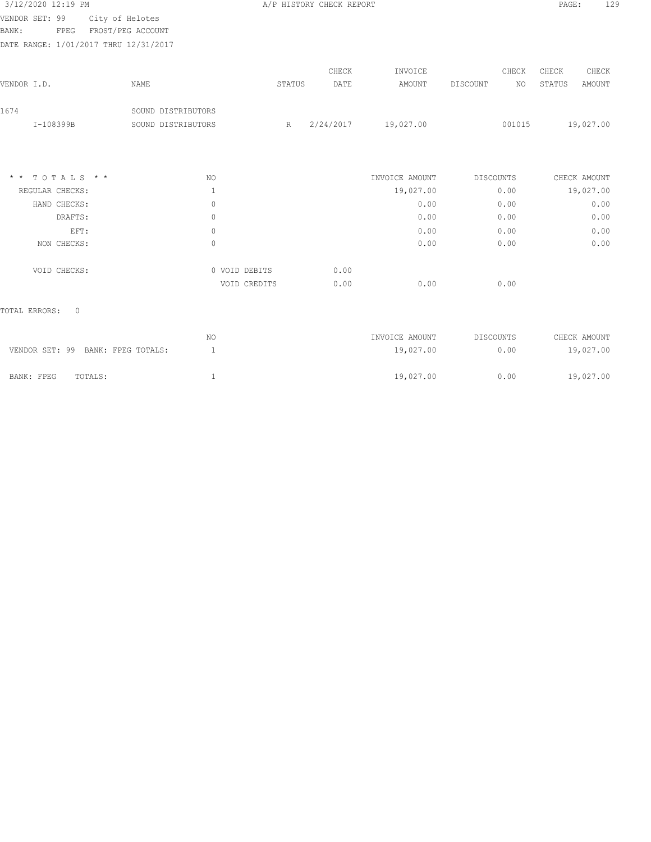| 3/12/2020 12:19 PM                    |                    |               | A/P HISTORY CHECK REPORT |                |                  | 129<br>PAGE:            |
|---------------------------------------|--------------------|---------------|--------------------------|----------------|------------------|-------------------------|
| City of Helotes<br>VENDOR SET: 99     |                    |               |                          |                |                  |                         |
| BANK:<br>FROST/PEG ACCOUNT<br>FPEG    |                    |               |                          |                |                  |                         |
| DATE RANGE: 1/01/2017 THRU 12/31/2017 |                    |               |                          |                |                  |                         |
|                                       |                    |               | CHECK                    | INVOICE        | CHECK            | CHECK<br>CHECK          |
| VENDOR I.D.                           | NAME               | STATUS        | DATE                     | AMOUNT         | DISCOUNT<br>NO   | <b>AMOUNT</b><br>STATUS |
| 1674                                  | SOUND DISTRIBUTORS |               |                          |                |                  |                         |
| I-108399B                             | SOUND DISTRIBUTORS | R             | 2/24/2017                | 19,027.00      | 001015           | 19,027.00               |
|                                       |                    |               |                          |                |                  |                         |
| TOTALS * *<br>$\star$ $\star$         | NO.                |               |                          | INVOICE AMOUNT | DISCOUNTS        | CHECK AMOUNT            |
| REGULAR CHECKS:                       | 1                  |               |                          | 19,027.00      | 0.00             | 19,027.00               |
| HAND CHECKS:                          | 0                  |               |                          | 0.00           | 0.00             | 0.00                    |
| DRAFTS:                               | $\mathbf{0}$       |               |                          | 0.00           | 0.00             | 0.00                    |
| EFT:                                  | $\circ$            |               |                          | 0.00           | 0.00             | 0.00                    |
| NON CHECKS:                           | $\mathbb O$        |               |                          | 0.00           | 0.00             | 0.00                    |
| VOID CHECKS:                          |                    | 0 VOID DEBITS | 0.00                     |                |                  |                         |
|                                       |                    | VOID CREDITS  | 0.00                     | 0.00           | 0.00             |                         |
| $\mathbf{0}$<br>TOTAL ERRORS:         |                    |               |                          |                |                  |                         |
|                                       | NO.                |               |                          | INVOICE AMOUNT | <b>DISCOUNTS</b> | CHECK AMOUNT            |
| VENDOR SET: 99 BANK: FPEG TOTALS:     | $\mathbf{1}$       |               |                          | 19,027.00      | 0.00             | 19,027.00               |

BANK: FPEG TOTALS: 1 19,027.00 0.00 19,027.00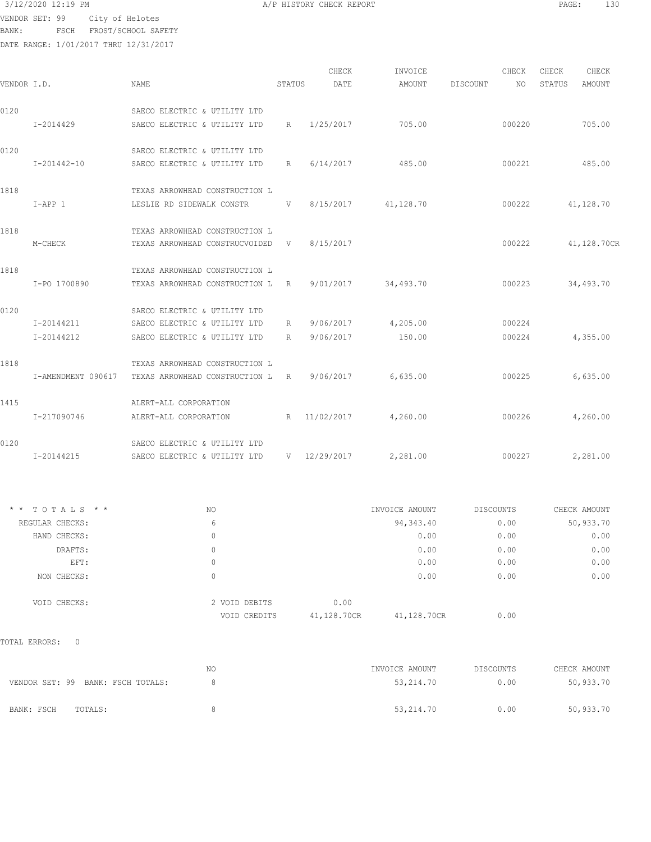BANK: FSCH FROST/SCHOOL SAFETY

DATE RANGE: 1/01/2017 THRU 12/31/2017

| 3/12/2020 12:19 PM<br>PAGE<br>A/P HISTORY CHECK REPORT | 130 |
|--------------------------------------------------------|-----|
|--------------------------------------------------------|-----|

|                    |                                |             | CHECK                               | INVOICE                                                                                                                                                                                                                 |                       | CHECK  | CHECK  | CHECK  |                                                                                       |
|--------------------|--------------------------------|-------------|-------------------------------------|-------------------------------------------------------------------------------------------------------------------------------------------------------------------------------------------------------------------------|-----------------------|--------|--------|--------|---------------------------------------------------------------------------------------|
| VENDOR I.D.        | NAME                           |             | DATE                                | AMOUNT                                                                                                                                                                                                                  | DISCOUNT              | NO     | STATUS | AMOUNT |                                                                                       |
|                    | SAECO ELECTRIC & UTILITY LTD   |             |                                     |                                                                                                                                                                                                                         |                       |        |        |        |                                                                                       |
| I-2014429          | SAECO ELECTRIC & UTILITY LTD   | $R_{\odot}$ | 1/25/2017                           | 705.00                                                                                                                                                                                                                  |                       | 000220 |        | 705.00 |                                                                                       |
|                    | SAECO ELECTRIC & UTILITY LTD   |             |                                     |                                                                                                                                                                                                                         |                       |        |        |        |                                                                                       |
| I-201442-10        |                                |             | 6/14/2017                           | 485.00                                                                                                                                                                                                                  |                       | 000221 |        | 485.00 |                                                                                       |
|                    | TEXAS ARROWHEAD CONSTRUCTION L |             |                                     |                                                                                                                                                                                                                         |                       |        |        |        |                                                                                       |
| $I-APP 1$          |                                |             |                                     |                                                                                                                                                                                                                         |                       | 000222 |        |        |                                                                                       |
|                    | TEXAS ARROWHEAD CONSTRUCTION L |             |                                     |                                                                                                                                                                                                                         |                       |        |        |        |                                                                                       |
| M-CHECK            |                                |             |                                     |                                                                                                                                                                                                                         |                       | 000222 |        |        |                                                                                       |
|                    | TEXAS ARROWHEAD CONSTRUCTION L |             |                                     |                                                                                                                                                                                                                         |                       |        |        |        |                                                                                       |
| I-PO 1700890       |                                |             |                                     | 34,493.70                                                                                                                                                                                                               |                       | 000223 |        |        |                                                                                       |
|                    | SAECO ELECTRIC & UTILITY LTD   |             |                                     |                                                                                                                                                                                                                         |                       |        |        |        |                                                                                       |
| I-20144211         | SAECO ELECTRIC & UTILITY LTD   | R           | 9/06/2017                           |                                                                                                                                                                                                                         |                       | 000224 |        |        |                                                                                       |
| I-20144212         | SAECO ELECTRIC & UTILITY LTD   | R           | 9/06/2017                           | 150.00                                                                                                                                                                                                                  |                       | 000224 |        |        |                                                                                       |
|                    | TEXAS ARROWHEAD CONSTRUCTION L |             |                                     |                                                                                                                                                                                                                         |                       |        |        |        |                                                                                       |
| I-AMENDMENT 090617 |                                |             |                                     | 6,635.00                                                                                                                                                                                                                |                       | 000225 |        |        |                                                                                       |
|                    | ALERT-ALL CORPORATION          |             |                                     |                                                                                                                                                                                                                         |                       |        |        |        |                                                                                       |
| I-217090746        | ALERT-ALL CORPORATION          |             |                                     | 4,260.00                                                                                                                                                                                                                |                       | 000226 |        |        |                                                                                       |
|                    | SAECO ELECTRIC & UTILITY LTD   |             |                                     |                                                                                                                                                                                                                         |                       |        |        |        |                                                                                       |
| I-20144215         | SAECO ELECTRIC & UTILITY LTD   |             |                                     | 2,281.00                                                                                                                                                                                                                |                       | 000227 |        |        |                                                                                       |
|                    |                                |             | SAECO ELECTRIC & UTILITY LTD R<br>R | STATUS<br>LESLIE RD SIDEWALK CONSTR V 8/15/2017<br>TEXAS ARROWHEAD CONSTRUCVOIDED V 8/15/2017<br>TEXAS ARROWHEAD CONSTRUCTION L R 9/01/2017<br>TEXAS ARROWHEAD CONSTRUCTION L R 9/06/2017<br>11/02/2017<br>V 12/29/2017 | 41,128.70<br>4,205.00 |        |        |        | 41,128.70<br>41,128.70CR<br>34,493.70<br>4,355.00<br>6,635.00<br>4,260.00<br>2,281.00 |

| $*$ * TOTALS * * | NO. |                               | INVOICE AMOUNT      |             | DISCOUNTS | CHECK AMOUNT |
|------------------|-----|-------------------------------|---------------------|-------------|-----------|--------------|
| REGULAR CHECKS:  | 6   |                               |                     | 94,343.40   | 0.00      | 50,933.70    |
| HAND CHECKS:     | 0   |                               |                     | 0.00        | 0.00      | 0.00         |
| DRAFTS:          | 0   |                               |                     | 0.00        | 0.00      | 0.00         |
| EFT:             | 0   |                               |                     | 0.00        | 0.00      | 0.00         |
| NON CHECKS:      |     |                               |                     | 0.00        | 0.00      | 0.00         |
| VOID CHECKS:     |     | 2 VOID DEBITS<br>VOID CREDITS | 0.00<br>41,128.70CR | 41,128.70CR | 0.00      |              |

TOTAL ERRORS: 0

|                                   | ΝC | INVOICE AMOUNT | DISCOUNTS | CHECK AMOUNT |
|-----------------------------------|----|----------------|-----------|--------------|
| VENDOR SET: 99 BANK: FSCH TOTALS: |    | 53,214.70      | 0.00      | 50,933.70    |
| TOTALS:<br>BANK: FSCH             |    | 53,214.70      | 0.00      | 50,933.70    |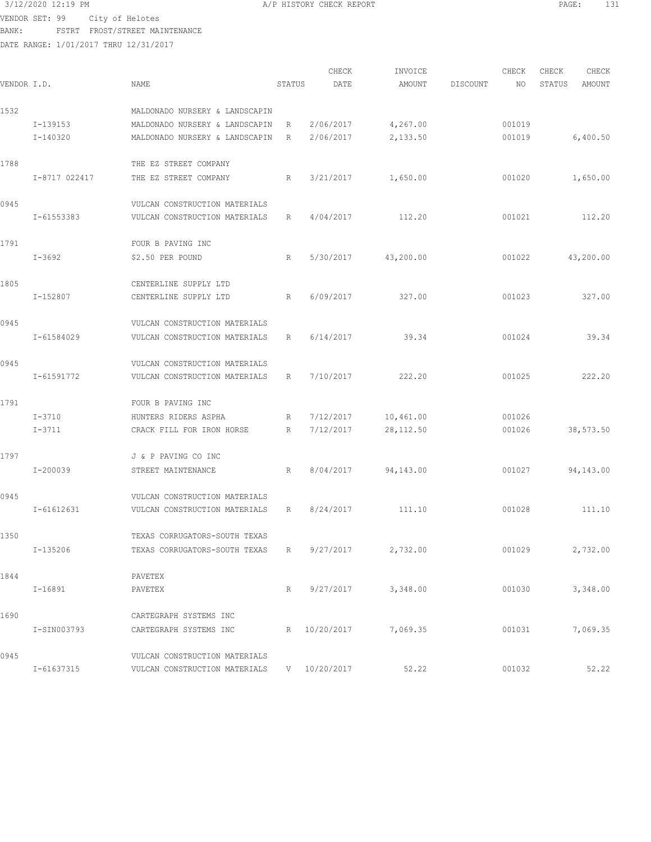# $3/12/2020$  12:19 PM  $A/P$  HISTORY CHECK REPORT  $\blacksquare$  PAGE: 131

VENDOR SET: 99 City of Helotes BANK: FSTRT FROST/STREET MAINTENANCE

| VENDOR I.D. |               | NAME                           | STATUS | CHECK<br>DATE | INVOICE<br>AMOUNT | DISCOUNT | CHECK<br>NO | CHECK<br>STATUS | CHECK<br>AMOUNT |
|-------------|---------------|--------------------------------|--------|---------------|-------------------|----------|-------------|-----------------|-----------------|
| 1532        |               | MALDONADO NURSERY & LANDSCAPIN |        |               |                   |          |             |                 |                 |
|             | I-139153      | MALDONADO NURSERY & LANDSCAPIN | R      | 2/06/2017     | 4,267.00          |          | 001019      |                 |                 |
|             | I-140320      | MALDONADO NURSERY & LANDSCAPIN | R      | 2/06/2017     | 2,133.50          |          | 001019      |                 | 6,400.50        |
| 1788        |               | THE EZ STREET COMPANY          |        |               |                   |          |             |                 |                 |
|             | I-8717 022417 | THE EZ STREET COMPANY          | R      | 3/21/2017     | 1,650.00          |          | 001020      |                 | 1,650.00        |
| 0945        |               | VULCAN CONSTRUCTION MATERIALS  |        |               |                   |          |             |                 |                 |
|             | I-61553383    | VULCAN CONSTRUCTION MATERIALS  | R      | 4/04/2017     | 112.20            |          | 001021      |                 | 112.20          |
| 1791        |               | FOUR B PAVING INC              |        |               |                   |          |             |                 |                 |
|             | $I - 3692$    | \$2.50 PER POUND               | R      | 5/30/2017     | 43,200.00         |          | 001022      |                 | 43,200.00       |
| 1805        |               | CENTERLINE SUPPLY LTD          |        |               |                   |          |             |                 |                 |
|             | I-152807      | CENTERLINE SUPPLY LTD          | R      | 6/09/2017     | 327.00            |          | 001023      |                 | 327.00          |
| 0945        |               | VULCAN CONSTRUCTION MATERIALS  |        |               |                   |          |             |                 |                 |
|             | I-61584029    | VULCAN CONSTRUCTION MATERIALS  | R      | 6/14/2017     | 39.34             |          | 001024      |                 | 39.34           |
| 0945        |               | VULCAN CONSTRUCTION MATERIALS  |        |               |                   |          |             |                 |                 |
|             | I-61591772    | VULCAN CONSTRUCTION MATERIALS  | R      | 7/10/2017     | 222.20            |          | 001025      |                 | 222.20          |
| 1791        |               | FOUR B PAVING INC              |        |               |                   |          |             |                 |                 |
|             | $I - 3710$    | HUNTERS RIDERS ASPHA           | R      | 7/12/2017     | 10,461.00         |          | 001026      |                 |                 |
|             | $I - 3711$    | CRACK FILL FOR IRON HORSE      | R      | 7/12/2017     | 28, 112.50        |          | 001026      |                 | 38,573.50       |
| 1797        |               | J & P PAVING CO INC            |        |               |                   |          |             |                 |                 |
|             | I-200039      | STREET MAINTENANCE             | R      | 8/04/2017     | 94,143.00         |          | 001027      |                 | 94,143.00       |
| 0945        |               | VULCAN CONSTRUCTION MATERIALS  |        |               |                   |          |             |                 |                 |
|             | I-61612631    | VULCAN CONSTRUCTION MATERIALS  | R      | 8/24/2017     | 111.10            |          | 001028      |                 | 111.10          |
| 1350        |               | TEXAS CORRUGATORS-SOUTH TEXAS  |        |               |                   |          |             |                 |                 |
|             | I-135206      | TEXAS CORRUGATORS-SOUTH TEXAS  | R      | 9/27/2017     | 2,732.00          |          | 001029      |                 | 2,732.00        |
| 1844        |               | PAVETEX                        |        |               |                   |          |             |                 |                 |
|             | $I-16891$     | PAVETEX                        | R      | 9/27/2017     | 3,348.00          |          | 001030      |                 | 3,348.00        |
| 1690        |               | CARTEGRAPH SYSTEMS INC         |        |               |                   |          |             |                 |                 |
|             | I-SIN003793   | CARTEGRAPH SYSTEMS INC         |        | R 10/20/2017  | 7,069.35          |          | 001031      |                 | 7,069.35        |
| 0945        |               | VULCAN CONSTRUCTION MATERIALS  |        |               |                   |          |             |                 |                 |
|             | I-61637315    | VULCAN CONSTRUCTION MATERIALS  |        | V 10/20/2017  | 52.22             |          | 001032      |                 | 52.22           |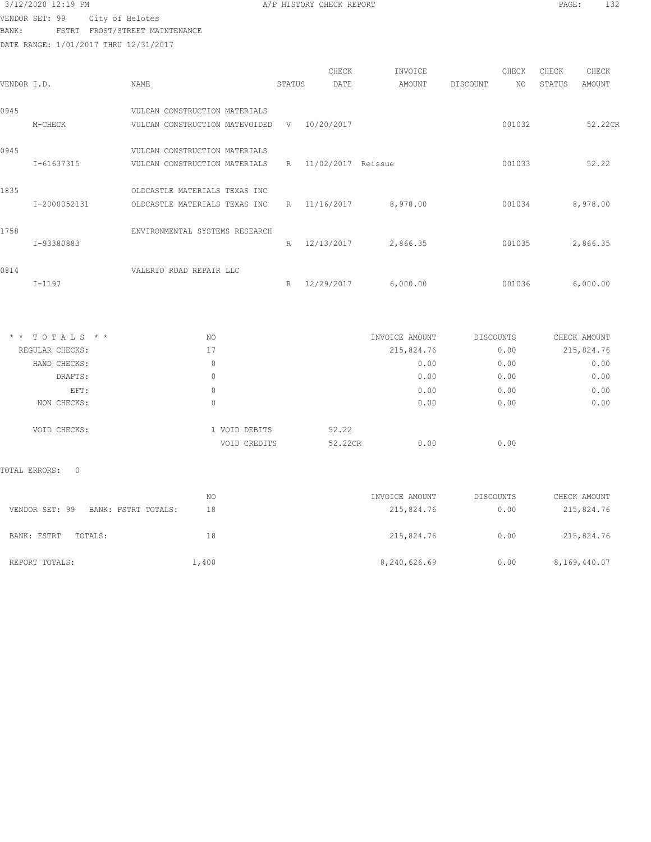$3/12/2020$  12:19 PM  $A/P$  HISTORY CHECK REPORT  $\blacksquare$  PAGE: 132

VENDOR SET: 99 City of Helotes BANK: FSTRT FROST/STREET MAINTENANCE

| VENDOR I.D.   |                        | NAME                           |               | STATUS | CHECK<br>DATE        | INVOICE<br>AMOUNT | DISCOUNT | CHECK<br>NO  | CHECK<br>STATUS | CHECK<br>AMOUNT |
|---------------|------------------------|--------------------------------|---------------|--------|----------------------|-------------------|----------|--------------|-----------------|-----------------|
| 0945          |                        | VULCAN CONSTRUCTION MATERIALS  |               |        |                      |                   |          |              |                 |                 |
|               | M-CHECK                | VULCAN CONSTRUCTION MATEVOIDED |               |        | V 10/20/2017         |                   |          | 001032       |                 | 52.22CR         |
| 0945          |                        | VULCAN CONSTRUCTION MATERIALS  |               |        |                      |                   |          |              |                 |                 |
|               | I-61637315             | VULCAN CONSTRUCTION MATERIALS  |               |        | R 11/02/2017 Reissue |                   |          | 001033       |                 | 52.22           |
| 1835          |                        | OLDCASTLE MATERIALS TEXAS INC  |               |        |                      |                   |          |              |                 |                 |
|               | I-2000052131           | OLDCASTLE MATERIALS TEXAS INC  |               |        | R 11/16/2017         | 8,978.00          |          | 001034       |                 | 8,978.00        |
| 1758          |                        | ENVIRONMENTAL SYSTEMS RESEARCH |               |        |                      |                   |          |              |                 |                 |
|               | I-93380883             |                                |               |        | R 12/13/2017         | 2,866.35          |          | 001035       |                 | 2,866.35        |
| 0814          | $I-1197$               | VALERIO ROAD REPAIR LLC        |               |        | R 12/29/2017         | 6,000.00          |          | 001036       |                 | 6,000.00        |
|               |                        |                                |               |        |                      |                   |          |              |                 |                 |
|               |                        |                                |               |        |                      |                   |          |              |                 |                 |
|               | * * TOTALS * *         | NO                             |               |        |                      | INVOICE AMOUNT    |          | DISCOUNTS    |                 | CHECK AMOUNT    |
|               | REGULAR CHECKS:        | 17                             |               |        |                      | 215,824.76        |          | 0.00         |                 | 215,824.76      |
|               | HAND CHECKS:           | $\mathbf{0}$<br>$\Omega$       |               |        |                      | 0.00              |          | 0.00         |                 | 0.00            |
|               | DRAFTS:                |                                |               |        |                      | 0.00              |          | 0.00         |                 | 0.00            |
|               | EFT:<br>NON CHECKS:    | $\mathbf{0}$<br>$\mathbf{0}$   |               |        |                      | 0.00<br>0.00      |          | 0.00<br>0.00 |                 | 0.00<br>0.00    |
|               | VOID CHECKS:           |                                | 1 VOID DEBITS |        | 52.22                |                   |          |              |                 |                 |
|               |                        |                                | VOID CREDITS  |        | 52.22CR              | 0.00              |          | 0.00         |                 |                 |
| TOTAL ERRORS: | $\circ$                |                                |               |        |                      |                   |          |              |                 |                 |
|               |                        | NO.                            |               |        |                      | INVOICE AMOUNT    |          | DISCOUNTS    |                 | CHECK AMOUNT    |
|               | VENDOR SET: 99         | BANK: FSTRT TOTALS:<br>18      |               |        |                      | 215,824.76        |          | 0.00         |                 | 215,824.76      |
|               | BANK: FSTRT<br>TOTALS: | 18                             |               |        |                      | 215,824.76        |          | 0.00         |                 | 215,824.76      |
|               | REPORT TOTALS:         | 1,400                          |               |        |                      | 8,240,626.69      |          | 0.00         |                 | 8,169,440.07    |